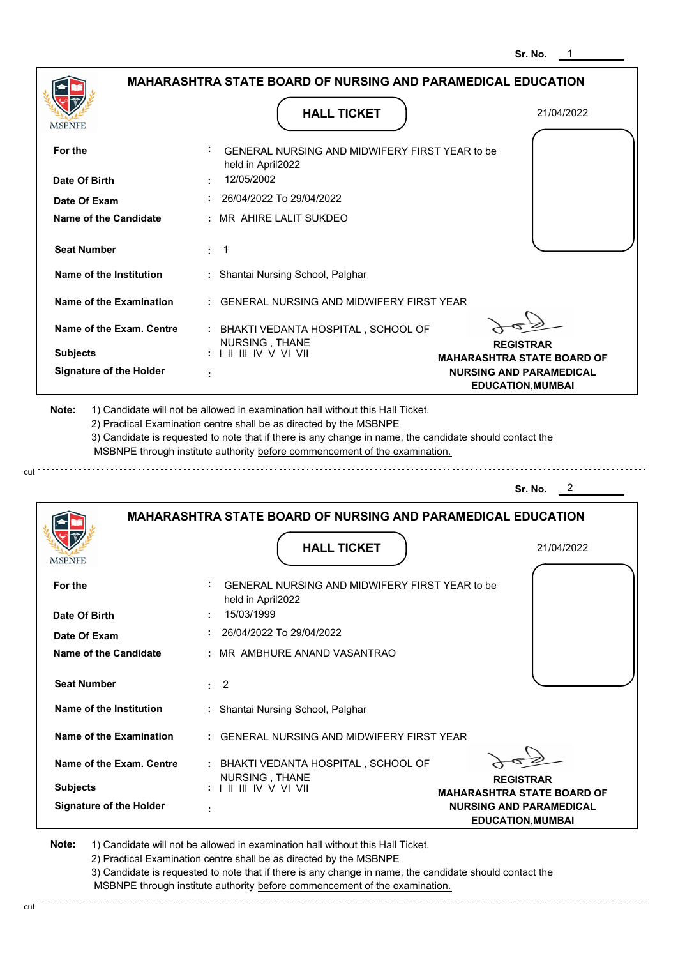|                                              | <b>MAHARASHTRA STATE BOARD OF NURSING AND PARAMEDICAL EDUCATION</b>      |                                                            |
|----------------------------------------------|--------------------------------------------------------------------------|------------------------------------------------------------|
| MSBNPE                                       | <b>HALL TICKET</b>                                                       | 21/04/2022                                                 |
| For the                                      | GENERAL NURSING AND MIDWIFERY FIRST YEAR to be<br>held in April2022      |                                                            |
| Date Of Birth                                | 12/05/2002                                                               |                                                            |
| Date Of Exam                                 | 26/04/2022 To 29/04/2022                                                 |                                                            |
| Name of the Candidate                        | MR AHIRE LALIT SUKDEO                                                    |                                                            |
| <b>Seat Number</b>                           | -1<br>÷.                                                                 |                                                            |
| Name of the Institution                      | : Shantai Nursing School, Palghar                                        |                                                            |
| Name of the Examination                      | <b>GENERAL NURSING AND MIDWIFERY FIRST YEAR</b>                          |                                                            |
| Name of the Exam. Centre                     | : BHAKTI VEDANTA HOSPITAL, SCHOOL OF<br>NURSING, THANE                   |                                                            |
| <b>Subjects</b>                              | $: 1 \mathbb{I}$ III IIV V VI VII                                        | <b>REGISTRAR</b><br><b>MAHARASHTRA STATE BOARD OF</b>      |
| <b>Signature of the Holder</b>               |                                                                          | <b>NURSING AND PARAMEDICAL</b><br><b>EDUCATION, MUMBAI</b> |
|                                              |                                                                          |                                                            |
|                                              |                                                                          | 2<br>Sr. No.                                               |
|                                              | <b>MAHARASHTRA STATE BOARD OF NURSING AND PARAMEDICAL EDUCATION</b>      |                                                            |
|                                              | <b>HALL TICKET</b>                                                       | 21/04/2022                                                 |
| For the                                      | ÷<br>GENERAL NURSING AND MIDWIFERY FIRST YEAR to be<br>held in April2022 |                                                            |
| Date Of Birth                                | 15/03/1999                                                               |                                                            |
| Date Of Exam<br><b>Name of the Candidate</b> | 26/04/2022 To 29/04/2022<br>MR AMBHURE ANAND VASANTRAO                   |                                                            |
| <b>Seat Number</b>                           | $\overline{2}$<br>÷.                                                     |                                                            |
| Name of the Institution                      | : Shantai Nursing School, Palghar                                        |                                                            |
| <b>Name of the Examination</b>               | GENERAL NURSING AND MIDWIFERY FIRST YEAR                                 |                                                            |
| Name of the Exam. Centre                     | : BHAKTI VEDANTA HOSPITAL, SCHOOL OF                                     |                                                            |
| <b>MSBNPE</b><br><b>Subjects</b>             | NURSING, THANE<br>$: 1 \mathbb{I}$ III IIV V VI VII                      | <b>REGISTRAR</b><br><b>MAHARASHTRA STATE BOARD OF</b>      |

cut

2) Practical Examination centre shall be as directed by the MSBNPE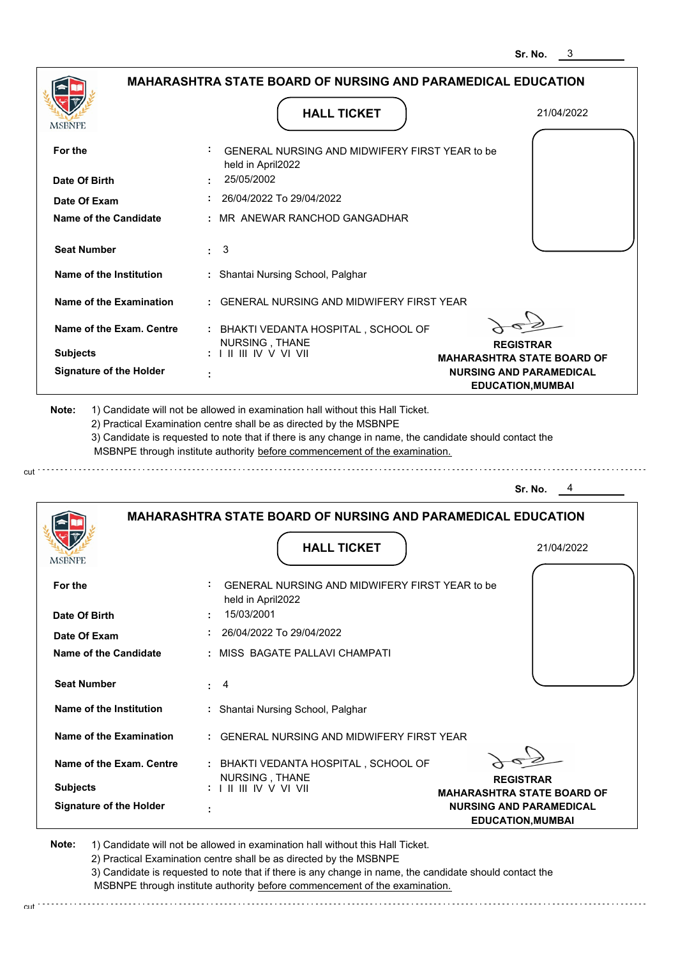|                                                                                | <b>HALL TICKET</b>                                                                                                                                                                                                                                          | 21/04/2022                                                 |
|--------------------------------------------------------------------------------|-------------------------------------------------------------------------------------------------------------------------------------------------------------------------------------------------------------------------------------------------------------|------------------------------------------------------------|
| <b>MSBNPE</b>                                                                  |                                                                                                                                                                                                                                                             |                                                            |
| For the                                                                        | GENERAL NURSING AND MIDWIFERY FIRST YEAR to be<br>held in April2022                                                                                                                                                                                         |                                                            |
| Date Of Birth                                                                  | 25/05/2002                                                                                                                                                                                                                                                  |                                                            |
| Date Of Exam                                                                   | 26/04/2022 To 29/04/2022                                                                                                                                                                                                                                    |                                                            |
| <b>Name of the Candidate</b>                                                   | : MR ANEWAR RANCHOD GANGADHAR                                                                                                                                                                                                                               |                                                            |
| <b>Seat Number</b>                                                             | : 3                                                                                                                                                                                                                                                         |                                                            |
| Name of the Institution                                                        | : Shantai Nursing School, Palghar                                                                                                                                                                                                                           |                                                            |
| Name of the Examination                                                        | : GENERAL NURSING AND MIDWIFERY FIRST YEAR                                                                                                                                                                                                                  |                                                            |
| Name of the Exam. Centre                                                       | : BHAKTI VEDANTA HOSPITAL, SCHOOL OF<br>NURSING, THANE                                                                                                                                                                                                      | <b>REGISTRAR</b>                                           |
| <b>Subjects</b>                                                                | $: 1 \parallel \parallel \parallel$ IV V VI VII                                                                                                                                                                                                             | <b>MAHARASHTRA STATE BOARD OF</b>                          |
| <b>Signature of the Holder</b>                                                 |                                                                                                                                                                                                                                                             | <b>NURSING AND PARAMEDICAL</b><br><b>EDUCATION, MUMBAI</b> |
| 1) Candidate will not be allowed in examination hall without this Hall Ticket. | 2) Practical Examination centre shall be as directed by the MSBNPE<br>3) Candidate is requested to note that if there is any change in name, the candidate should contact the<br>MSBNPE through institute authority before commencement of the examination. | Sr. No.                                                    |
|                                                                                | <b>MAHARASHTRA STATE BOARD OF NURSING AND PARAMEDICAL EDUCATION</b>                                                                                                                                                                                         |                                                            |
|                                                                                |                                                                                                                                                                                                                                                             |                                                            |
| <b>MSBNPE</b>                                                                  | <b>HALL TICKET</b>                                                                                                                                                                                                                                          | 21/04/2022                                                 |
| For the                                                                        | GENERAL NURSING AND MIDWIFERY FIRST YEAR to be<br>held in April2022                                                                                                                                                                                         |                                                            |
| Date Of Birth                                                                  | 15/03/2001                                                                                                                                                                                                                                                  |                                                            |
| Date Of Exam                                                                   | 26/04/2022 To 29/04/2022                                                                                                                                                                                                                                    |                                                            |
| Name of the Candidate                                                          | : MISS BAGATE PALLAVI CHAMPATI                                                                                                                                                                                                                              |                                                            |
| <b>Seat Number</b>                                                             | $\therefore$ 4                                                                                                                                                                                                                                              |                                                            |
| Name of the Institution                                                        | : Shantai Nursing School, Palghar                                                                                                                                                                                                                           |                                                            |
| Name of the Examination                                                        | : GENERAL NURSING AND MIDWIFERY FIRST YEAR                                                                                                                                                                                                                  |                                                            |
| Name of the Exam. Centre                                                       | : BHAKTI VEDANTA HOSPITAL, SCHOOL OF                                                                                                                                                                                                                        |                                                            |
| <b>Subjects</b>                                                                | NURSING, THANE<br>: I II III IV V VI VII                                                                                                                                                                                                                    | <b>REGISTRAR</b><br><b>MAHARASHTRA STATE BOARD OF</b>      |

2) Practical Examination centre shall be as directed by the MSBNPE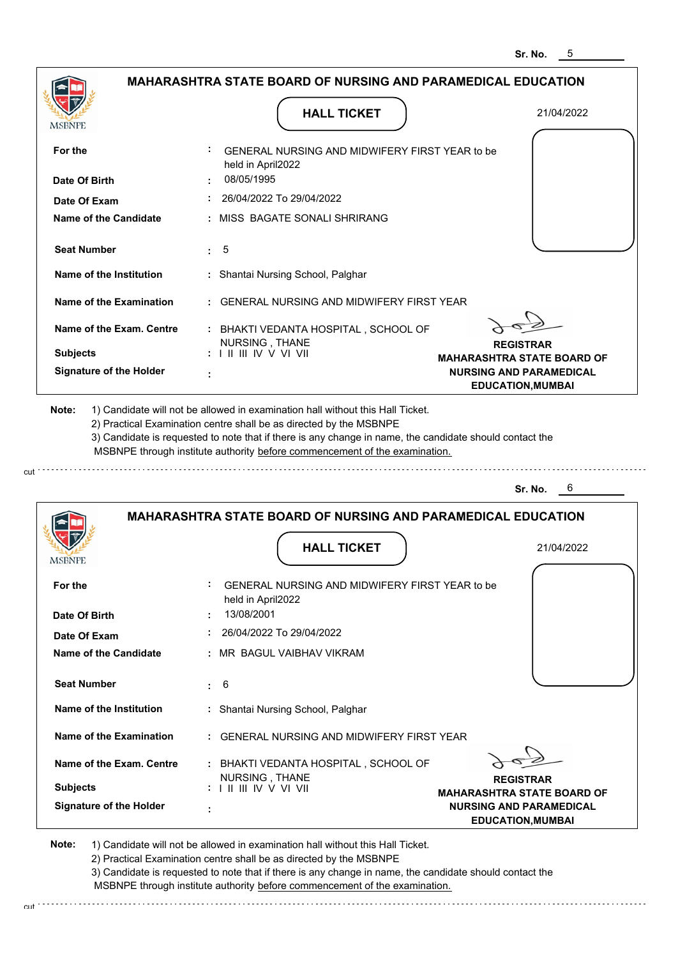|                                             | <b>MAHARASHTRA STATE BOARD OF NURSING AND PARAMEDICAL EDUCATION</b>                                                                                                                                                                                                                                                                           |                                                            |
|---------------------------------------------|-----------------------------------------------------------------------------------------------------------------------------------------------------------------------------------------------------------------------------------------------------------------------------------------------------------------------------------------------|------------------------------------------------------------|
| <b>MSBNPE</b>                               | <b>HALL TICKET</b>                                                                                                                                                                                                                                                                                                                            | 21/04/2022                                                 |
| For the                                     | GENERAL NURSING AND MIDWIFERY FIRST YEAR to be<br>held in April2022<br>08/05/1995                                                                                                                                                                                                                                                             |                                                            |
| Date Of Birth                               |                                                                                                                                                                                                                                                                                                                                               |                                                            |
| Date Of Exam                                | 26/04/2022 To 29/04/2022                                                                                                                                                                                                                                                                                                                      |                                                            |
| <b>Name of the Candidate</b>                | : MISS BAGATE SONALI SHRIRANG                                                                                                                                                                                                                                                                                                                 |                                                            |
| <b>Seat Number</b>                          | 5<br>$\mathbf{r}$                                                                                                                                                                                                                                                                                                                             |                                                            |
| Name of the Institution                     | : Shantai Nursing School, Palghar                                                                                                                                                                                                                                                                                                             |                                                            |
| <b>Name of the Examination</b>              | : GENERAL NURSING AND MIDWIFERY FIRST YEAR                                                                                                                                                                                                                                                                                                    |                                                            |
| Name of the Exam. Centre<br><b>Subjects</b> | : BHAKTI VEDANTA HOSPITAL, SCHOOL OF<br>NURSING, THANE                                                                                                                                                                                                                                                                                        | <b>REGISTRAR</b><br><b>MAHARASHTRA STATE BOARD OF</b>      |
| <b>Signature of the Holder</b>              |                                                                                                                                                                                                                                                                                                                                               | <b>NURSING AND PARAMEDICAL</b><br><b>EDUCATION, MUMBAI</b> |
| Note:                                       | 1) Candidate will not be allowed in examination hall without this Hall Ticket.<br>2) Practical Examination centre shall be as directed by the MSBNPE<br>3) Candidate is requested to note that if there is any change in name, the candidate should contact the<br>MSBNPE through institute authority before commencement of the examination. |                                                            |
|                                             | <b>MAHARASHTRA STATE BOARD OF NURSING AND PARAMEDICAL EDUCATION</b>                                                                                                                                                                                                                                                                           | Sr. No.<br>6                                               |
| <b>MSBNPE</b>                               | <b>HALL TICKET</b>                                                                                                                                                                                                                                                                                                                            | 21/04/2022                                                 |
| For the                                     | GENERAL NURSING AND MIDWIFERY FIRST YEAR to be<br>held in April2022                                                                                                                                                                                                                                                                           |                                                            |
| Date Of Birth                               | 13/08/2001                                                                                                                                                                                                                                                                                                                                    |                                                            |
| Date Of Exam                                | 26/04/2022 To 29/04/2022                                                                                                                                                                                                                                                                                                                      |                                                            |
| Name of the Candidate                       | MR BAGUL VAIBHAV VIKRAM                                                                                                                                                                                                                                                                                                                       |                                                            |
| <b>Seat Number</b>                          | 6<br>÷.                                                                                                                                                                                                                                                                                                                                       |                                                            |
| Name of the Institution                     | : Shantai Nursing School, Palghar                                                                                                                                                                                                                                                                                                             |                                                            |
| <b>Name of the Examination</b>              | <b>GENERAL NURSING AND MIDWIFERY FIRST YEAR</b>                                                                                                                                                                                                                                                                                               |                                                            |
| Name of the Exam. Centre                    | BHAKTI VEDANTA HOSPITAL, SCHOOL OF                                                                                                                                                                                                                                                                                                            |                                                            |
| <b>Subjects</b>                             | NURSING, THANE                                                                                                                                                                                                                                                                                                                                | <b>REGISTRAR</b><br><b>MAHARASHTRA STATE BOARD OF</b>      |

3) Candidate is requested to note that if there is any change in name, the candidate should contact the MSBNPE through institute authority before commencement of the examination.

cut

cut.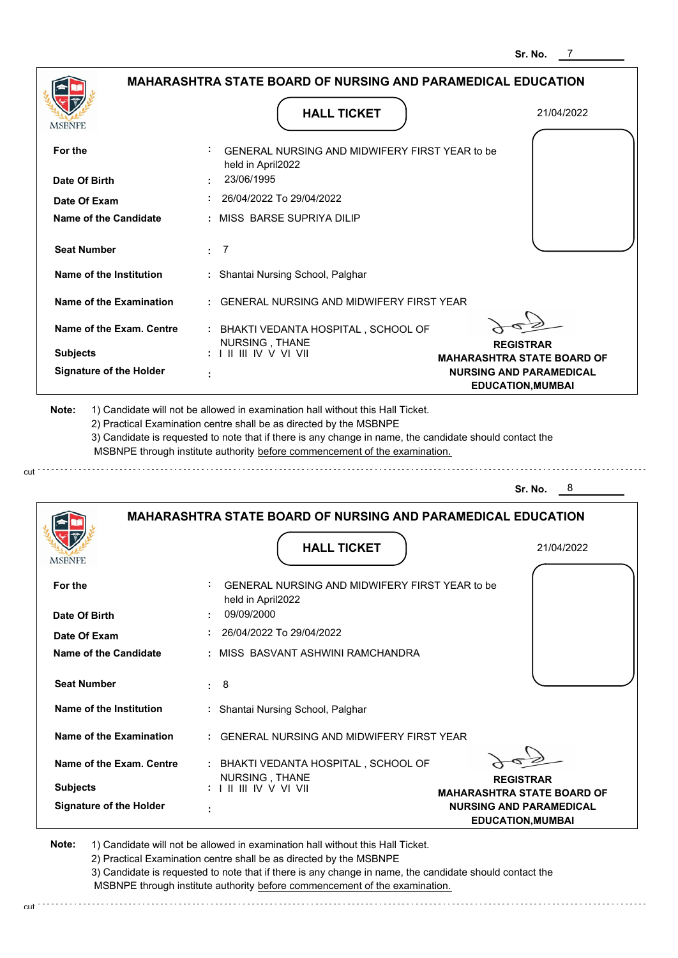|                                |                                                                                                                                                                                                                                                                                                                                               | Sr. No.<br>7                                                        |
|--------------------------------|-----------------------------------------------------------------------------------------------------------------------------------------------------------------------------------------------------------------------------------------------------------------------------------------------------------------------------------------------|---------------------------------------------------------------------|
|                                | <b>MAHARASHTRA STATE BOARD OF NURSING AND PARAMEDICAL EDUCATION</b><br><b>HALL TICKET</b>                                                                                                                                                                                                                                                     | 21/04/2022                                                          |
| MSBNPE                         |                                                                                                                                                                                                                                                                                                                                               |                                                                     |
| For the                        | GENERAL NURSING AND MIDWIFERY FIRST YEAR to be<br>held in April2022                                                                                                                                                                                                                                                                           |                                                                     |
| Date Of Birth                  | 23/06/1995                                                                                                                                                                                                                                                                                                                                    |                                                                     |
| Date Of Exam                   | 26/04/2022 To 29/04/2022                                                                                                                                                                                                                                                                                                                      |                                                                     |
| <b>Name of the Candidate</b>   | MISS BARSE SUPRIYA DILIP                                                                                                                                                                                                                                                                                                                      |                                                                     |
| <b>Seat Number</b>             | $\cdot$ 7                                                                                                                                                                                                                                                                                                                                     |                                                                     |
| Name of the Institution        | : Shantai Nursing School, Palghar                                                                                                                                                                                                                                                                                                             |                                                                     |
| <b>Name of the Examination</b> | <b>GENERAL NURSING AND MIDWIFERY FIRST YEAR</b>                                                                                                                                                                                                                                                                                               |                                                                     |
| Name of the Exam. Centre       | : BHAKTI VEDANTA HOSPITAL, SCHOOL OF                                                                                                                                                                                                                                                                                                          |                                                                     |
| <b>Subjects</b>                | NURSING, THANE<br>$: 1 \mathbb{H} \mathbb{H} \mathbb{N} \vee \mathbb{V} \mathbb{V} \mathbb{H}$                                                                                                                                                                                                                                                | <b>REGISTRAR</b>                                                    |
| <b>Signature of the Holder</b> |                                                                                                                                                                                                                                                                                                                                               | <b>MAHARASHTRA STATE BOARD OF</b><br><b>NURSING AND PARAMEDICAL</b> |
|                                |                                                                                                                                                                                                                                                                                                                                               | <b>EDUCATION, MUMBAI</b>                                            |
|                                |                                                                                                                                                                                                                                                                                                                                               |                                                                     |
| Note:                          | 1) Candidate will not be allowed in examination hall without this Hall Ticket.<br>2) Practical Examination centre shall be as directed by the MSBNPE<br>3) Candidate is requested to note that if there is any change in name, the candidate should contact the<br>MSBNPE through institute authority before commencement of the examination. | 8<br>Sr. No.                                                        |
|                                | <b>MAHARASHTRA STATE BOARD OF NURSING AND PARAMEDICAL EDUCATION</b><br><b>HALL TICKET</b>                                                                                                                                                                                                                                                     | 21/04/2022                                                          |
| <b>IMODIAL L</b>               |                                                                                                                                                                                                                                                                                                                                               |                                                                     |
| For the                        | GENERAL NURSING AND MIDWIFERY FIRST YEAR to be<br>held in April2022                                                                                                                                                                                                                                                                           |                                                                     |
| Date Of Birth                  | 09/09/2000                                                                                                                                                                                                                                                                                                                                    |                                                                     |
| Date Of Exam                   | 26/04/2022 To 29/04/2022                                                                                                                                                                                                                                                                                                                      |                                                                     |
| <b>Name of the Candidate</b>   | MISS BASVANT ASHWINI RAMCHANDRA                                                                                                                                                                                                                                                                                                               |                                                                     |
| <b>Seat Number</b>             | 8<br>÷.                                                                                                                                                                                                                                                                                                                                       |                                                                     |
| Name of the Institution        | : Shantai Nursing School, Palghar                                                                                                                                                                                                                                                                                                             |                                                                     |

| Name of the Exam. Centre | : BHAKTI VEDANTA HOSPITAL . SCHOOL OF                                              |               |
|--------------------------|------------------------------------------------------------------------------------|---------------|
| <b>Subjects</b>          | NURSING THANE<br>$: 1 \mathbb{H} \mathbb{H} \mathbb{V} \vee \mathbb{V} \mathbb{H}$ | <b>MAHARA</b> |
| Signature of the Holder  | ٠                                                                                  | <b>NURS</b>   |

**REGISTRAR**

**MAHARASHTRA STATE BOARD OF NURSING AND PARAMEDICAL EDUCATION,MUMBAI**

**Note:**  1) Candidate will not be allowed in examination hall without this Hall Ticket. 2) Practical Examination centre shall be as directed by the MSBNPE

cut

cut.

. . . . . . . . . . . . . .

3) Candidate is requested to note that if there is any change in name, the candidate should contact the MSBNPE through institute authority before commencement of the examination.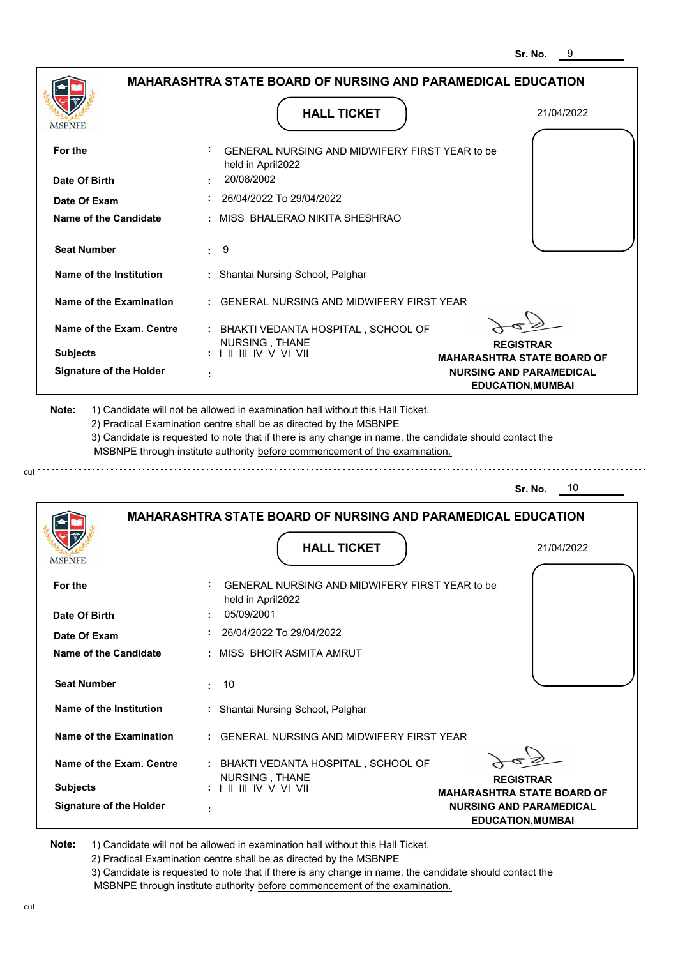|                                             | MAHARASHTRA STATE BOARD OF NURSING AND PARAMEDICAL EDUCATION                                                                                                                                                                                                    |                                                            |
|---------------------------------------------|-----------------------------------------------------------------------------------------------------------------------------------------------------------------------------------------------------------------------------------------------------------------|------------------------------------------------------------|
| MSBNPE                                      | <b>HALL TICKET</b>                                                                                                                                                                                                                                              | 21/04/2022                                                 |
| For the                                     | GENERAL NURSING AND MIDWIFERY FIRST YEAR to be<br>held in April2022                                                                                                                                                                                             |                                                            |
| Date Of Birth                               | 20/08/2002                                                                                                                                                                                                                                                      |                                                            |
| Date Of Exam                                | 26/04/2022 To 29/04/2022                                                                                                                                                                                                                                        |                                                            |
| Name of the Candidate                       | : MISS BHALERAO NIKITA SHESHRAO                                                                                                                                                                                                                                 |                                                            |
| <b>Seat Number</b>                          | 9<br>÷.                                                                                                                                                                                                                                                         |                                                            |
| Name of the Institution                     | : Shantai Nursing School, Palghar                                                                                                                                                                                                                               |                                                            |
| <b>Name of the Examination</b>              | : GENERAL NURSING AND MIDWIFERY FIRST YEAR                                                                                                                                                                                                                      |                                                            |
| Name of the Exam. Centre<br><b>Subjects</b> | : BHAKTI VEDANTA HOSPITAL, SCHOOL OF<br>NURSING, THANE<br>: I II III IV V VI VII                                                                                                                                                                                | <b>REGISTRAR</b><br><b>MAHARASHTRA STATE BOARD OF</b>      |
| <b>Signature of the Holder</b>              |                                                                                                                                                                                                                                                                 | <b>NURSING AND PARAMEDICAL</b><br><b>EDUCATION, MUMBAI</b> |
| Note:                                       | 1) Candidate will not be allowed in examination hall without this Hall Ticket.<br>2) Practical Examination centre shall be as directed by the MSBNPE<br>3) Candidate is requested to note that if there is any change in name, the candidate should contact the |                                                            |
|                                             | MSBNPE through institute authority before commencement of the examination.<br><b>MAHARASHTRA STATE BOARD OF NURSING AND PARAMEDICAL EDUCATION</b>                                                                                                               | 10<br>Sr. No.                                              |
| MSBNPE                                      | <b>HALL TICKET</b>                                                                                                                                                                                                                                              | 21/04/2022                                                 |
| For the                                     | GENERAL NURSING AND MIDWIFERY FIRST YEAR to be<br>held in April2022                                                                                                                                                                                             |                                                            |
| Date Of Birth                               | 05/09/2001                                                                                                                                                                                                                                                      |                                                            |
| Date Of Exam                                | 26/04/2022 To 29/04/2022                                                                                                                                                                                                                                        |                                                            |
| <b>Name of the Candidate</b>                | : MISS BHOIR ASMITA AMRUT                                                                                                                                                                                                                                       |                                                            |
| <b>Seat Number</b>                          | 10<br>÷.                                                                                                                                                                                                                                                        |                                                            |
| Name of the Institution                     | : Shantai Nursing School, Palghar                                                                                                                                                                                                                               |                                                            |
| Name of the Examination                     | : GENERAL NURSING AND MIDWIFERY FIRST YEAR                                                                                                                                                                                                                      |                                                            |
| Name of the Exam. Centre<br><b>Subjects</b> | : BHAKTI VEDANTA HOSPITAL, SCHOOL OF<br>NURSING, THANE                                                                                                                                                                                                          | <b>REGISTRAR</b>                                           |

cut.

3) Candidate is requested to note that if there is any change in name, the candidate should contact the MSBNPE through institute authority before commencement of the examination. cut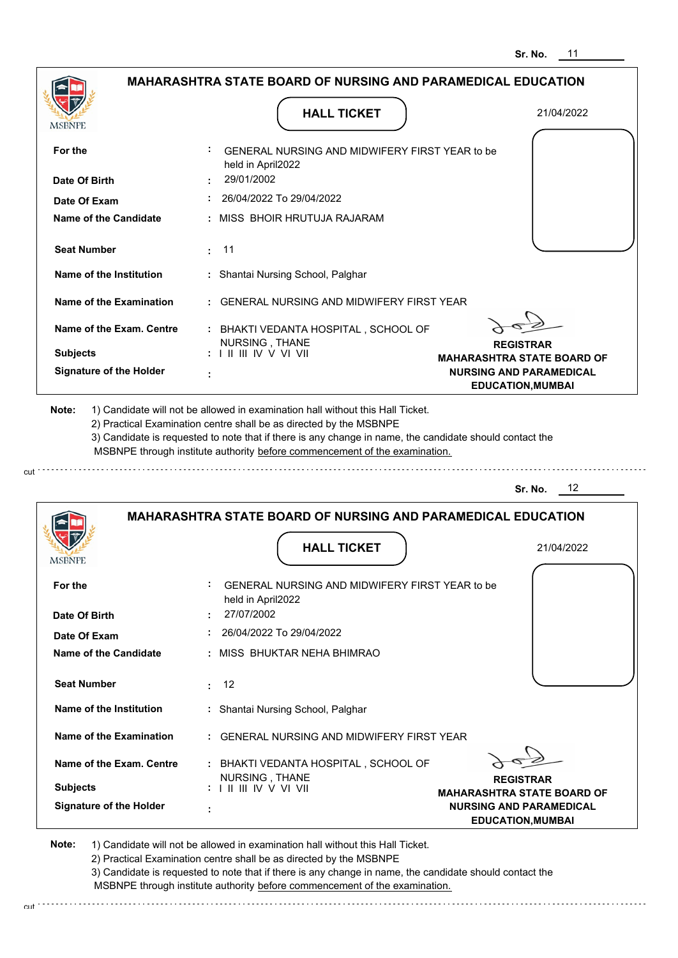| MSBNPE                                             | <b>HALL TICKET</b>                                                                                                                                                                                                                                                                                                                            | 21/04/2022                                            |
|----------------------------------------------------|-----------------------------------------------------------------------------------------------------------------------------------------------------------------------------------------------------------------------------------------------------------------------------------------------------------------------------------------------|-------------------------------------------------------|
| For the                                            | GENERAL NURSING AND MIDWIFERY FIRST YEAR to be<br>held in April2022                                                                                                                                                                                                                                                                           |                                                       |
| Date Of Birth                                      | 29/01/2002                                                                                                                                                                                                                                                                                                                                    |                                                       |
| Date Of Exam                                       | 26/04/2022 To 29/04/2022                                                                                                                                                                                                                                                                                                                      |                                                       |
| <b>Name of the Candidate</b>                       | : MISS BHOIR HRUTUJA RAJARAM                                                                                                                                                                                                                                                                                                                  |                                                       |
| <b>Seat Number</b>                                 | $\cdot$ 11                                                                                                                                                                                                                                                                                                                                    |                                                       |
| Name of the Institution                            | : Shantai Nursing School, Palghar                                                                                                                                                                                                                                                                                                             |                                                       |
| Name of the Examination                            | : GENERAL NURSING AND MIDWIFERY FIRST YEAR                                                                                                                                                                                                                                                                                                    |                                                       |
| Name of the Exam. Centre                           | : BHAKTI VEDANTA HOSPITAL, SCHOOL OF                                                                                                                                                                                                                                                                                                          |                                                       |
| <b>Subjects</b>                                    | NURSING, THANE<br>: I II III IV V VI VII                                                                                                                                                                                                                                                                                                      | <b>REGISTRAR</b><br><b>MAHARASHTRA STATE BOARD OF</b> |
| <b>Signature of the Holder</b>                     |                                                                                                                                                                                                                                                                                                                                               | <b>NURSING AND PARAMEDICAL</b>                        |
|                                                    | 1) Candidate will not be allowed in examination hall without this Hall Ticket.<br>2) Practical Examination centre shall be as directed by the MSBNPE<br>3) Candidate is requested to note that if there is any change in name, the candidate should contact the<br>MSBNPE through institute authority before commencement of the examination. | <b>EDUCATION, MUMBAI</b><br>12<br>Sr. No.             |
| Note:                                              | <b>MAHARASHTRA STATE BOARD OF NURSING AND PARAMEDICAL EDUCATION</b>                                                                                                                                                                                                                                                                           |                                                       |
|                                                    | <b>HALL TICKET</b>                                                                                                                                                                                                                                                                                                                            | 21/04/2022                                            |
|                                                    |                                                                                                                                                                                                                                                                                                                                               |                                                       |
|                                                    | GENERAL NURSING AND MIDWIFERY FIRST YEAR to be<br>held in April2022                                                                                                                                                                                                                                                                           |                                                       |
|                                                    | 27/07/2002                                                                                                                                                                                                                                                                                                                                    |                                                       |
| MSBNPE<br>For the<br>Date Of Birth<br>Date Of Exam | : 26/04/2022 To 29/04/2022                                                                                                                                                                                                                                                                                                                    |                                                       |
| Name of the Candidate                              | : MISS BHUKTAR NEHA BHIMRAO                                                                                                                                                                                                                                                                                                                   |                                                       |
| <b>Seat Number</b>                                 | $\div$ 12                                                                                                                                                                                                                                                                                                                                     |                                                       |
| Name of the Institution                            | : Shantai Nursing School, Palghar                                                                                                                                                                                                                                                                                                             |                                                       |
| Name of the Examination                            | : GENERAL NURSING AND MIDWIFERY FIRST YEAR                                                                                                                                                                                                                                                                                                    |                                                       |
| Name of the Exam. Centre                           | : BHAKTI VEDANTA HOSPITAL, SCHOOL OF<br>NURSING, THANE                                                                                                                                                                                                                                                                                        | <b>REGISTRAR</b>                                      |

2) Practical Examination centre shall be as directed by the MSBNPE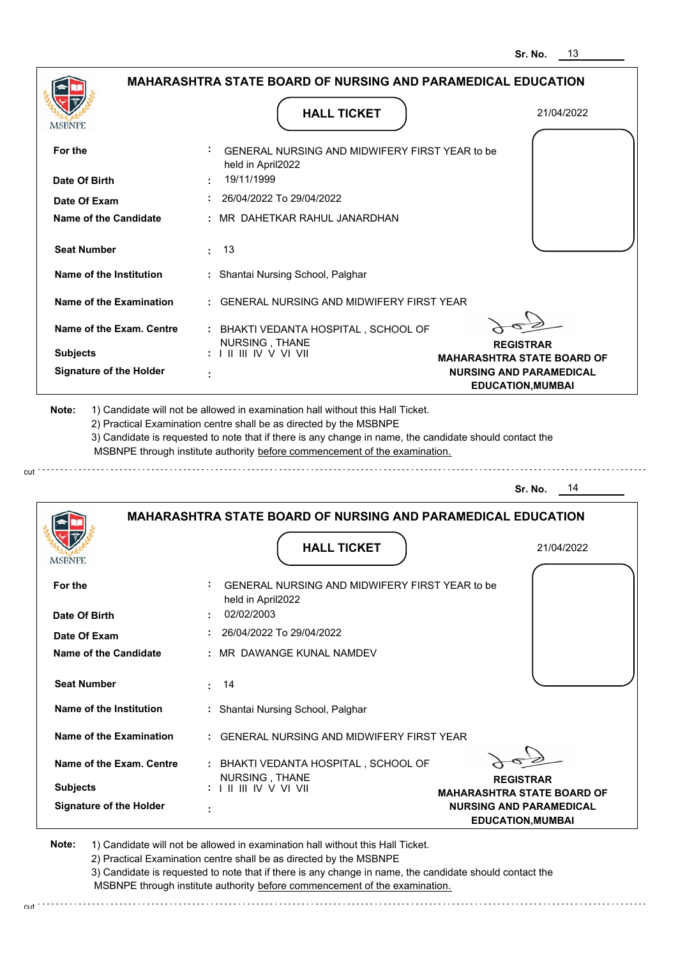| <b>MSBNPE</b>                                     | <b>HALL TICKET</b>                                                                                                                                                                                                                                          | 21/04/2022                                                          |
|---------------------------------------------------|-------------------------------------------------------------------------------------------------------------------------------------------------------------------------------------------------------------------------------------------------------------|---------------------------------------------------------------------|
| For the                                           | GENERAL NURSING AND MIDWIFERY FIRST YEAR to be<br>held in April2022                                                                                                                                                                                         |                                                                     |
| Date Of Birth                                     | 19/11/1999                                                                                                                                                                                                                                                  |                                                                     |
| Date Of Exam                                      | 26/04/2022 To 29/04/2022                                                                                                                                                                                                                                    |                                                                     |
| Name of the Candidate                             | : MR DAHETKAR RAHUL JANARDHAN                                                                                                                                                                                                                               |                                                                     |
| <b>Seat Number</b>                                | $\pm$ 13                                                                                                                                                                                                                                                    |                                                                     |
| Name of the Institution                           | : Shantai Nursing School, Palghar                                                                                                                                                                                                                           |                                                                     |
| Name of the Examination                           | : GENERAL NURSING AND MIDWIFERY FIRST YEAR                                                                                                                                                                                                                  |                                                                     |
| Name of the Exam. Centre                          | : BHAKTI VEDANTA HOSPITAL, SCHOOL OF<br>NURSING, THANE                                                                                                                                                                                                      | <b>REGISTRAR</b>                                                    |
| <b>Subjects</b><br><b>Signature of the Holder</b> | $: 1 \mathbb{H} \mathbb{H} \mathbb{W} \vee \mathbb{V} \mathbb{W}$                                                                                                                                                                                           | <b>MAHARASHTRA STATE BOARD OF</b><br><b>NURSING AND PARAMEDICAL</b> |
|                                                   |                                                                                                                                                                                                                                                             | <b>EDUCATION, MUMBAI</b>                                            |
|                                                   | 2) Practical Examination centre shall be as directed by the MSBNPE<br>3) Candidate is requested to note that if there is any change in name, the candidate should contact the<br>MSBNPE through institute authority before commencement of the examination. | Sr. No.<br>14                                                       |
|                                                   | <b>MAHARASHTRA STATE BOARD OF NURSING AND PARAMEDICAL EDUCATION</b>                                                                                                                                                                                         |                                                                     |
|                                                   | <b>HALL TICKET</b>                                                                                                                                                                                                                                          | 21/04/2022                                                          |
|                                                   | GENERAL NURSING AND MIDWIFERY FIRST YEAR to be<br>held in April2022                                                                                                                                                                                         |                                                                     |
| MSBNPF<br>For the<br>Date Of Birth                | 02/02/2003                                                                                                                                                                                                                                                  |                                                                     |
| Date Of Exam                                      | 26/04/2022 To 29/04/2022                                                                                                                                                                                                                                    |                                                                     |
| <b>Name of the Candidate</b>                      | : MR DAWANGE KUNAL NAMDEV                                                                                                                                                                                                                                   |                                                                     |
| <b>Seat Number</b>                                | $\cdot$ 14                                                                                                                                                                                                                                                  |                                                                     |
| Name of the Institution                           | : Shantai Nursing School, Palghar                                                                                                                                                                                                                           |                                                                     |
| Name of the Examination                           | : GENERAL NURSING AND MIDWIFERY FIRST YEAR                                                                                                                                                                                                                  |                                                                     |
| Name of the Exam. Centre                          | : BHAKTI VEDANTA HOSPITAL, SCHOOL OF                                                                                                                                                                                                                        |                                                                     |
| <b>Subjects</b>                                   | NURSING, THANE<br>: I II III IV V VI VII                                                                                                                                                                                                                    | <b>REGISTRAR</b><br><b>MAHARASHTRA STATE BOARD OF</b>               |

3) Candidate is requested to note that if there is any change in name, the candidate should contact the MSBNPE through institute authority before commencement of the examination.

cut de contra a construction de construction de construction de construction de construction de construction de construction de construction de construction de construction de construction de construction de construction d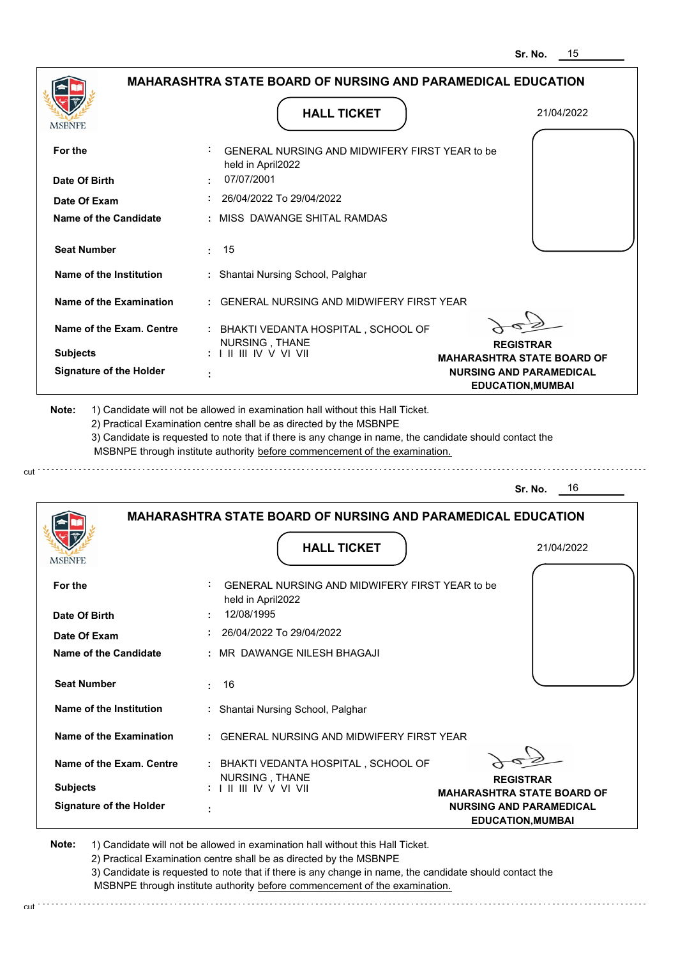| <b>MSBNPE</b>                                                                  | <b>HALL TICKET</b>                                                                                                                                                                    | 21/04/2022                                                 |
|--------------------------------------------------------------------------------|---------------------------------------------------------------------------------------------------------------------------------------------------------------------------------------|------------------------------------------------------------|
| For the<br>Date Of Birth                                                       | GENERAL NURSING AND MIDWIFERY FIRST YEAR to be<br>held in April2022<br>07/07/2001                                                                                                     |                                                            |
|                                                                                | $: 26/04/2022$ To 29/04/2022                                                                                                                                                          |                                                            |
| Date Of Exam<br><b>Name of the Candidate</b>                                   | : MISS DAWANGE SHITAL RAMDAS                                                                                                                                                          |                                                            |
| <b>Seat Number</b>                                                             | : 15                                                                                                                                                                                  |                                                            |
| Name of the Institution                                                        | : Shantai Nursing School, Palghar                                                                                                                                                     |                                                            |
| Name of the Examination                                                        | : GENERAL NURSING AND MIDWIFERY FIRST YEAR                                                                                                                                            |                                                            |
| Name of the Exam. Centre                                                       | : BHAKTI VEDANTA HOSPITAL, SCHOOL OF<br>NURSING, THANE                                                                                                                                | <b>REGISTRAR</b>                                           |
| <b>Subjects</b>                                                                | $: 1 \mathbb{H} \mathbb{H} \mathbb{W} \vee \mathbb{V} \mathbb{W}$                                                                                                                     | <b>MAHARASHTRA STATE BOARD OF</b>                          |
| <b>Signature of the Holder</b>                                                 | ÷                                                                                                                                                                                     | <b>NURSING AND PARAMEDICAL</b><br><b>EDUCATION, MUMBAI</b> |
|                                                                                | 3) Candidate is requested to note that if there is any change in name, the candidate should contact the<br>MSBNPE through institute authority before commencement of the examination. | 16<br>Sr. No.                                              |
|                                                                                | <b>MAHARASHTRA STATE BOARD OF NURSING AND PARAMEDICAL EDUCATION</b>                                                                                                                   |                                                            |
|                                                                                | <b>HALL TICKET</b>                                                                                                                                                                    | 21/04/2022                                                 |
|                                                                                | GENERAL NURSING AND MIDWIFERY FIRST YEAR to be<br>held in April2022                                                                                                                   |                                                            |
|                                                                                | 12/08/1995                                                                                                                                                                            |                                                            |
| <b>MSBNPE</b><br>For the<br>Date Of Birth<br>Date Of Exam                      | 26/04/2022 To 29/04/2022                                                                                                                                                              |                                                            |
| <b>Name of the Candidate</b>                                                   | : MR DAWANGE NILESH BHAGAJI                                                                                                                                                           |                                                            |
| <b>Seat Number</b>                                                             | 16<br>÷.                                                                                                                                                                              |                                                            |
|                                                                                | : Shantai Nursing School, Palghar                                                                                                                                                     |                                                            |
|                                                                                | : GENERAL NURSING AND MIDWIFERY FIRST YEAR                                                                                                                                            |                                                            |
| Name of the Institution<br>Name of the Examination<br>Name of the Exam. Centre | : BHAKTI VEDANTA HOSPITAL, SCHOOL OF                                                                                                                                                  |                                                            |
| <b>Subjects</b>                                                                | NURSING, THANE<br>$: 1 \mathbb{I}$ III IIV V VI VII                                                                                                                                   | <b>REGISTRAR</b><br><b>MAHARASHTRA STATE BOARD OF</b>      |

3) Candidate is requested to note that if there is any change in name, the candidate should contact the MSBNPE through institute authority before commencement of the examination.

cut de contra a construction de construction de construction de construction de construction de construction de construction de construction de construction de construction de construction de construction de construction d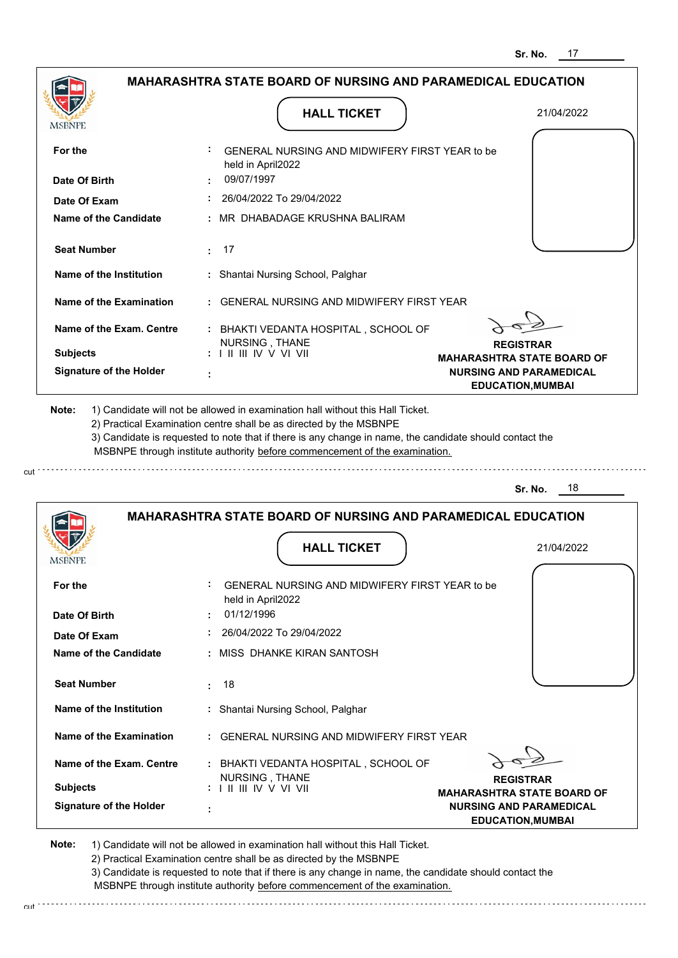|                                |                                                                            | 31. NU.<br>.,                                              |
|--------------------------------|----------------------------------------------------------------------------|------------------------------------------------------------|
|                                | <b>MAHARASHTRA STATE BOARD OF NURSING AND PARAMEDICAL EDUCATION</b>        |                                                            |
| MSBNPE                         | <b>HALL TICKET</b>                                                         | 21/04/2022                                                 |
| For the                        | GENERAL NURSING AND MIDWIFERY FIRST YEAR to be                             |                                                            |
| Date Of Birth                  | held in April2022<br>09/07/1997                                            |                                                            |
| Date Of Exam                   | 26/04/2022 To 29/04/2022                                                   |                                                            |
| <b>Name of the Candidate</b>   | MR DHABADAGE KRUSHNA BALIRAM                                               |                                                            |
| <b>Seat Number</b>             | 17<br>÷.                                                                   |                                                            |
| Name of the Institution        | Shantai Nursing School, Palghar<br>÷.                                      |                                                            |
| <b>Name of the Examination</b> | <b>GENERAL NURSING AND MIDWIFERY FIRST YEAR</b>                            |                                                            |
| Name of the Exam. Centre       | : BHAKTI VEDANTA HOSPITAL, SCHOOL OF<br>NURSING, THANE                     | <b>REGISTRAR</b>                                           |
| <b>Subjects</b>                |                                                                            | <b>MAHARASHTRA STATE BOARD OF</b>                          |
| <b>Signature of the Holder</b> |                                                                            | <b>NURSING AND PARAMEDICAL</b><br><b>EDUCATION, MUMBAI</b> |
|                                | MSBNPE through institute authority before commencement of the examination. | Sr. No.<br>- 18                                            |
|                                | <b>MAHARASHTRA STATE BOARD OF NURSING AND PARAMEDICAL EDUCATION</b>        |                                                            |
| <b>MSBNPE</b>                  | <b>HALL TICKET</b>                                                         | 21/04/2022                                                 |
| For the                        | GENERAL NURSING AND MIDWIFERY FIRST YEAR to be<br>held in April2022        |                                                            |
| Date Of Birth                  | 01/12/1996                                                                 |                                                            |
| Date Of Exam                   | 26/04/2022 To 29/04/2022                                                   |                                                            |
| Name of the Candidate          | : MISS DHANKE KIRAN SANTOSH                                                |                                                            |
| <b>Seat Number</b>             | 18<br>ŧ.                                                                   |                                                            |
| Name of the Institution        | : Shantai Nursing School, Palghar                                          |                                                            |
| Name of the Examination        | : GENERAL NURSING AND MIDWIFERY FIRST YEAR                                 |                                                            |
| Name of the Exam. Centre       | : BHAKTI VEDANTA HOSPITAL, SCHOOL OF<br>NURSING, THANE                     |                                                            |
| <b>Subjects</b>                |                                                                            | <b>REGISTRAR</b><br><b>MAHARASHTRA STATE BOARD OF</b>      |
| <b>Signature of the Holder</b> |                                                                            | <b>NURSING AND PARAMEDICAL</b><br><b>EDUCATION, MUMBAI</b> |

cut

2) Practical Examination centre shall be as directed by the MSBNPE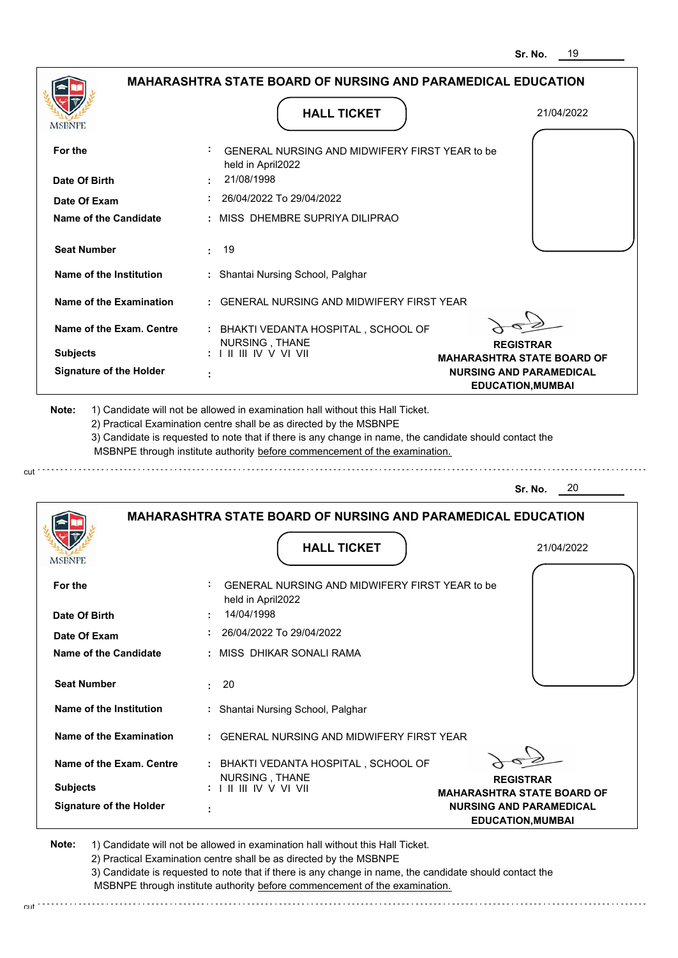|                                                                                                         |                                                                                                                                            | <b>MAHARASHTRA STATE BOARD OF NURSING AND PARAMEDICAL EDUCATION</b>                                                                                                                                                                                                                                                                           |                                                                     |
|---------------------------------------------------------------------------------------------------------|--------------------------------------------------------------------------------------------------------------------------------------------|-----------------------------------------------------------------------------------------------------------------------------------------------------------------------------------------------------------------------------------------------------------------------------------------------------------------------------------------------|---------------------------------------------------------------------|
|                                                                                                         |                                                                                                                                            | <b>HALL TICKET</b>                                                                                                                                                                                                                                                                                                                            | 21/04/2022                                                          |
| MSBNPE                                                                                                  |                                                                                                                                            |                                                                                                                                                                                                                                                                                                                                               |                                                                     |
| For the                                                                                                 | held in April2022                                                                                                                          | GENERAL NURSING AND MIDWIFERY FIRST YEAR to be                                                                                                                                                                                                                                                                                                |                                                                     |
| Date Of Birth                                                                                           | 21/08/1998                                                                                                                                 |                                                                                                                                                                                                                                                                                                                                               |                                                                     |
| Date Of Exam                                                                                            |                                                                                                                                            | 26/04/2022 To 29/04/2022                                                                                                                                                                                                                                                                                                                      |                                                                     |
| Name of the Candidate                                                                                   |                                                                                                                                            | MISS DHEMBRE SUPRIYA DILIPRAO                                                                                                                                                                                                                                                                                                                 |                                                                     |
| <b>Seat Number</b>                                                                                      | 19<br>÷                                                                                                                                    |                                                                                                                                                                                                                                                                                                                                               |                                                                     |
| Name of the Institution                                                                                 |                                                                                                                                            | : Shantai Nursing School, Palghar                                                                                                                                                                                                                                                                                                             |                                                                     |
| Name of the Examination                                                                                 |                                                                                                                                            | <b>GENERAL NURSING AND MIDWIFERY FIRST YEAR</b>                                                                                                                                                                                                                                                                                               |                                                                     |
| Name of the Exam. Centre                                                                                |                                                                                                                                            | : BHAKTI VEDANTA HOSPITAL, SCHOOL OF                                                                                                                                                                                                                                                                                                          |                                                                     |
| <b>Subjects</b>                                                                                         | NURSING, THANE<br>$: 1 \mathbb{I} \mathbb{I} \mathbb{I} \mathbb{I} \mathbb{I} \mathbb{V} \vee \mathbb{V} \mathbb{I} \mathbb{V} \mathbb{I}$ |                                                                                                                                                                                                                                                                                                                                               | <b>REGISTRAR</b><br><b>MAHARASHTRA STATE BOARD OF</b>               |
| <b>Signature of the Holder</b>                                                                          |                                                                                                                                            |                                                                                                                                                                                                                                                                                                                                               | <b>NURSING AND PARAMEDICAL</b>                                      |
|                                                                                                         |                                                                                                                                            | 1) Candidate will not be allowed in examination hall without this Hall Ticket.<br>2) Practical Examination centre shall be as directed by the MSBNPE<br>3) Candidate is requested to note that if there is any change in name, the candidate should contact the<br>MSBNPE through institute authority before commencement of the examination. | <b>EDUCATION, MUMBAI</b>                                            |
|                                                                                                         |                                                                                                                                            |                                                                                                                                                                                                                                                                                                                                               | 20<br>Sr. No.                                                       |
|                                                                                                         |                                                                                                                                            |                                                                                                                                                                                                                                                                                                                                               | <b>MAHARASHTRA STATE BOARD OF NURSING AND PARAMEDICAL EDUCATION</b> |
|                                                                                                         |                                                                                                                                            | <b>HALL TICKET</b>                                                                                                                                                                                                                                                                                                                            | 21/04/2022                                                          |
|                                                                                                         |                                                                                                                                            |                                                                                                                                                                                                                                                                                                                                               |                                                                     |
|                                                                                                         |                                                                                                                                            | GENERAL NURSING AND MIDWIFERY FIRST YEAR to be                                                                                                                                                                                                                                                                                                |                                                                     |
|                                                                                                         | held in April2022<br>14/04/1998<br>÷                                                                                                       |                                                                                                                                                                                                                                                                                                                                               |                                                                     |
|                                                                                                         |                                                                                                                                            | 26/04/2022 To 29/04/2022                                                                                                                                                                                                                                                                                                                      |                                                                     |
|                                                                                                         |                                                                                                                                            | MISS DHIKAR SONALI RAMA                                                                                                                                                                                                                                                                                                                       |                                                                     |
|                                                                                                         | 20<br>÷                                                                                                                                    |                                                                                                                                                                                                                                                                                                                                               |                                                                     |
|                                                                                                         |                                                                                                                                            | : Shantai Nursing School, Palghar                                                                                                                                                                                                                                                                                                             |                                                                     |
| <b>Seat Number</b><br><b>Name of the Examination</b>                                                    |                                                                                                                                            | GENERAL NURSING AND MIDWIFERY FIRST YEAR                                                                                                                                                                                                                                                                                                      |                                                                     |
| Name of the Institution<br>Name of the Exam. Centre                                                     |                                                                                                                                            | : BHAKTI VEDANTA HOSPITAL, SCHOOL OF                                                                                                                                                                                                                                                                                                          |                                                                     |
| Note:<br>MSBNPE<br>For the<br>Date Of Birth<br>Date Of Exam<br>Name of the Candidate<br><b>Subjects</b> | NURSING, THANE                                                                                                                             |                                                                                                                                                                                                                                                                                                                                               | <b>REGISTRAR</b><br><b>MAHARASHTRA STATE BOARD OF</b>               |

**Note:**  1) Candidate will not be allowed in examination hall without this Hall Ticket. 2) Practical Examination centre shall be as directed by the MSBNPE

cut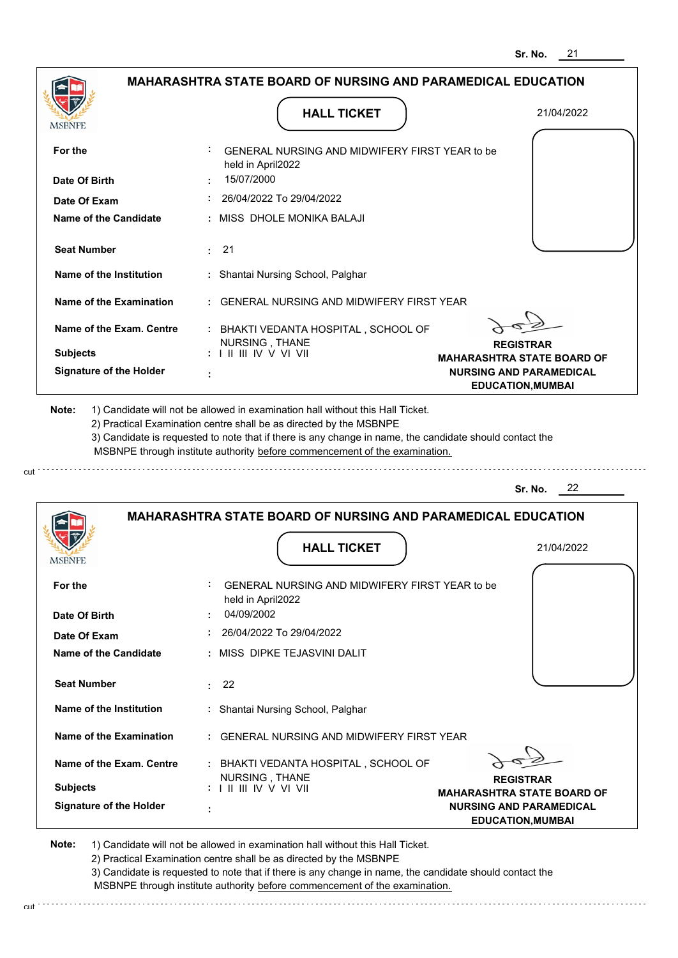|                                                                                                                         | <b>MAHARASHTRA STATE BOARD OF NURSING AND PARAMEDICAL EDUCATION</b>                                                                                                                                                                                                                                                                           |                                                            |
|-------------------------------------------------------------------------------------------------------------------------|-----------------------------------------------------------------------------------------------------------------------------------------------------------------------------------------------------------------------------------------------------------------------------------------------------------------------------------------------|------------------------------------------------------------|
| <b>MSBNPE</b>                                                                                                           | <b>HALL TICKET</b>                                                                                                                                                                                                                                                                                                                            | 21/04/2022                                                 |
| For the                                                                                                                 | GENERAL NURSING AND MIDWIFERY FIRST YEAR to be<br>held in April2022                                                                                                                                                                                                                                                                           |                                                            |
| Date Of Birth                                                                                                           | 15/07/2000                                                                                                                                                                                                                                                                                                                                    |                                                            |
| Date Of Exam                                                                                                            | 26/04/2022 To 29/04/2022                                                                                                                                                                                                                                                                                                                      |                                                            |
| Name of the Candidate                                                                                                   | : MISS DHOLE MONIKA BALAJI                                                                                                                                                                                                                                                                                                                    |                                                            |
| <b>Seat Number</b>                                                                                                      | : 21                                                                                                                                                                                                                                                                                                                                          |                                                            |
| Name of the Institution                                                                                                 | : Shantai Nursing School, Palghar                                                                                                                                                                                                                                                                                                             |                                                            |
| Name of the Examination                                                                                                 | : GENERAL NURSING AND MIDWIFERY FIRST YEAR                                                                                                                                                                                                                                                                                                    |                                                            |
| Name of the Exam. Centre                                                                                                | : BHAKTI VEDANTA HOSPITAL, SCHOOL OF                                                                                                                                                                                                                                                                                                          |                                                            |
| <b>Subjects</b>                                                                                                         | NURSING, THANE<br>: I II III IV V VI VII                                                                                                                                                                                                                                                                                                      | <b>REGISTRAR</b><br><b>MAHARASHTRA STATE BOARD OF</b>      |
| <b>Signature of the Holder</b>                                                                                          |                                                                                                                                                                                                                                                                                                                                               | <b>NURSING AND PARAMEDICAL</b><br><b>EDUCATION, MUMBAI</b> |
|                                                                                                                         | 1) Candidate will not be allowed in examination hall without this Hall Ticket.<br>2) Practical Examination centre shall be as directed by the MSBNPE<br>3) Candidate is requested to note that if there is any change in name, the candidate should contact the<br>MSBNPE through institute authority before commencement of the examination. |                                                            |
|                                                                                                                         |                                                                                                                                                                                                                                                                                                                                               | 22<br>Sr. No.                                              |
|                                                                                                                         | <b>MAHARASHTRA STATE BOARD OF NURSING AND PARAMEDICAL EDUCATION</b>                                                                                                                                                                                                                                                                           |                                                            |
|                                                                                                                         | <b>HALL TICKET</b>                                                                                                                                                                                                                                                                                                                            | 21/04/2022                                                 |
|                                                                                                                         | GENERAL NURSING AND MIDWIFERY FIRST YEAR to be<br>held in April2022                                                                                                                                                                                                                                                                           |                                                            |
|                                                                                                                         | 04/09/2002                                                                                                                                                                                                                                                                                                                                    |                                                            |
|                                                                                                                         | 26/04/2022 To 29/04/2022                                                                                                                                                                                                                                                                                                                      |                                                            |
|                                                                                                                         | : MISS DIPKE TEJASVINI DALIT                                                                                                                                                                                                                                                                                                                  |                                                            |
| <b>Seat Number</b>                                                                                                      | : 22                                                                                                                                                                                                                                                                                                                                          |                                                            |
| Name of the Institution                                                                                                 | : Shantai Nursing School, Palghar                                                                                                                                                                                                                                                                                                             |                                                            |
| Name of the Examination                                                                                                 | : GENERAL NURSING AND MIDWIFERY FIRST YEAR                                                                                                                                                                                                                                                                                                    |                                                            |
| Note:<br><b>MSBNPE</b><br>For the<br>Date Of Birth<br>Date Of Exam<br>Name of the Candidate<br>Name of the Exam. Centre | : BHAKTI VEDANTA HOSPITAL, SCHOOL OF<br>NURSING, THANE                                                                                                                                                                                                                                                                                        | <b>REGISTRAR</b>                                           |

2) Practical Examination centre shall be as directed by the MSBNPE

3) Candidate is requested to note that if there is any change in name, the candidate should contact the MSBNPE through institute authority before commencement of the examination.

cut de la component de la component de la component de la component de la component de la component de la component de la component de la component de la component de la component de la component de la component de la comp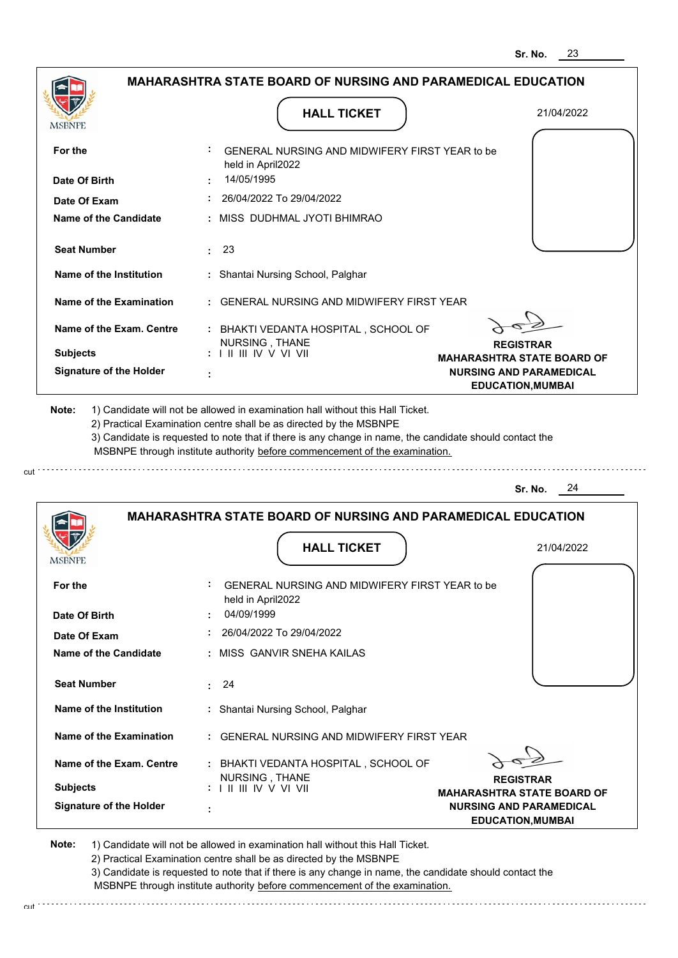|                                                                                | <b>HALL TICKET</b>                                                                                                                                                                                                                                          | 21/04/2022                                                 |
|--------------------------------------------------------------------------------|-------------------------------------------------------------------------------------------------------------------------------------------------------------------------------------------------------------------------------------------------------------|------------------------------------------------------------|
| <b>MSBNPE</b>                                                                  |                                                                                                                                                                                                                                                             |                                                            |
| For the                                                                        | GENERAL NURSING AND MIDWIFERY FIRST YEAR to be<br>held in April2022                                                                                                                                                                                         |                                                            |
| Date Of Birth                                                                  | 14/05/1995                                                                                                                                                                                                                                                  |                                                            |
| Date Of Exam                                                                   | 26/04/2022 To 29/04/2022                                                                                                                                                                                                                                    |                                                            |
| Name of the Candidate                                                          | : MISS DUDHMAL JYOTI BHIMRAO                                                                                                                                                                                                                                |                                                            |
| <b>Seat Number</b>                                                             | : 23                                                                                                                                                                                                                                                        |                                                            |
| Name of the Institution                                                        | : Shantai Nursing School, Palghar                                                                                                                                                                                                                           |                                                            |
| Name of the Examination                                                        | : GENERAL NURSING AND MIDWIFERY FIRST YEAR                                                                                                                                                                                                                  |                                                            |
| Name of the Exam. Centre                                                       | : BHAKTI VEDANTA HOSPITAL, SCHOOL OF<br>NURSING, THANE                                                                                                                                                                                                      | <b>REGISTRAR</b>                                           |
| <b>Subjects</b>                                                                | $: 1 \mathbb{H} \mathbb{H} \mathbb{W} \vee \mathbb{V} \mathbb{V} \mathbb{H}$                                                                                                                                                                                | <b>MAHARASHTRA STATE BOARD OF</b>                          |
| <b>Signature of the Holder</b>                                                 |                                                                                                                                                                                                                                                             | <b>NURSING AND PARAMEDICAL</b><br><b>EDUCATION, MUMBAI</b> |
|                                                                                | 2) Practical Examination centre shall be as directed by the MSBNPE<br>3) Candidate is requested to note that if there is any change in name, the candidate should contact the<br>MSBNPE through institute authority before commencement of the examination. | 24<br>Sr. No.                                              |
|                                                                                | <b>MAHARASHTRA STATE BOARD OF NURSING AND PARAMEDICAL EDUCATION</b>                                                                                                                                                                                         |                                                            |
| <b>MSBNPE</b>                                                                  | <b>HALL TICKET</b>                                                                                                                                                                                                                                          | 21/04/2022                                                 |
| For the                                                                        | GENERAL NURSING AND MIDWIFERY FIRST YEAR to be<br>held in April2022                                                                                                                                                                                         |                                                            |
| Date Of Birth                                                                  | 04/09/1999                                                                                                                                                                                                                                                  |                                                            |
| Date Of Exam                                                                   | 26/04/2022 To 29/04/2022                                                                                                                                                                                                                                    |                                                            |
|                                                                                | : MISS GANVIR SNEHA KAILAS                                                                                                                                                                                                                                  |                                                            |
| <b>Name of the Candidate</b><br><b>Seat Number</b>                             | $\cdot$ 24                                                                                                                                                                                                                                                  |                                                            |
|                                                                                | : Shantai Nursing School, Palghar                                                                                                                                                                                                                           |                                                            |
|                                                                                | : GENERAL NURSING AND MIDWIFERY FIRST YEAR                                                                                                                                                                                                                  |                                                            |
| Name of the Institution<br>Name of the Examination<br>Name of the Exam. Centre | : BHAKTI VEDANTA HOSPITAL, SCHOOL OF                                                                                                                                                                                                                        |                                                            |
| <b>Subjects</b>                                                                | NURSING, THANE<br>: I II III IV V VI VII                                                                                                                                                                                                                    | <b>REGISTRAR</b><br><b>MAHARASHTRA STATE BOARD OF</b>      |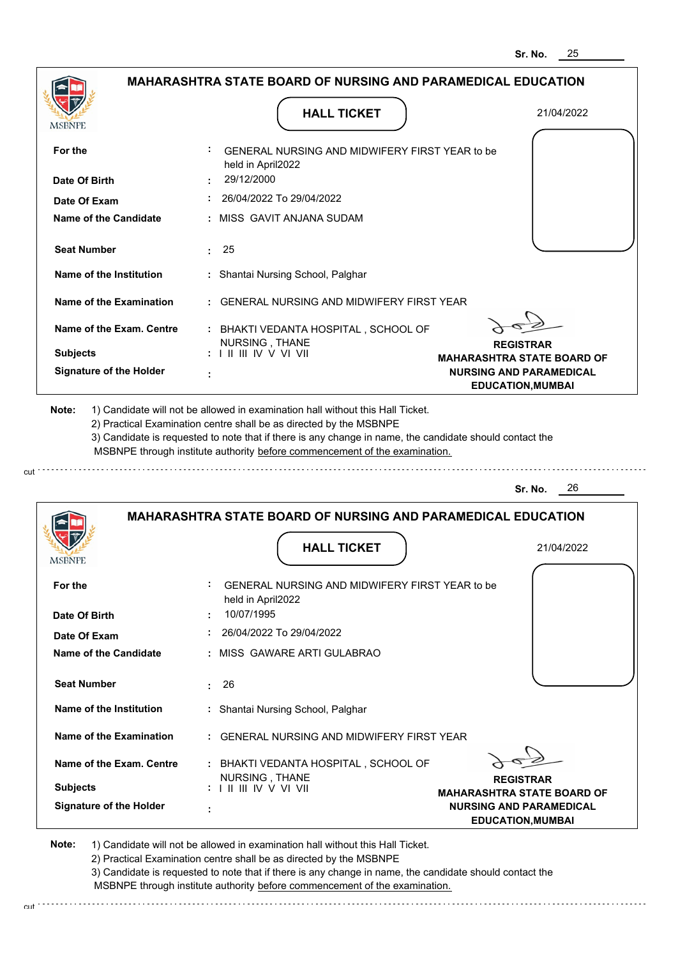|                                |                                                                                                                                                                                                                                    |                    | <b>MAHARASHTRA STATE BOARD OF NURSING AND PARAMEDICAL EDUCATION</b>                                                                 |
|--------------------------------|------------------------------------------------------------------------------------------------------------------------------------------------------------------------------------------------------------------------------------|--------------------|-------------------------------------------------------------------------------------------------------------------------------------|
|                                |                                                                                                                                                                                                                                    |                    |                                                                                                                                     |
|                                |                                                                                                                                                                                                                                    | <b>HALL TICKET</b> | 21/04/2022                                                                                                                          |
| MSBNPE                         |                                                                                                                                                                                                                                    |                    |                                                                                                                                     |
| For the                        | GENERAL NURSING AND MIDWIFERY FIRST YEAR to be<br>held in April2022                                                                                                                                                                |                    |                                                                                                                                     |
| Date Of Birth                  | 29/12/2000                                                                                                                                                                                                                         |                    |                                                                                                                                     |
| Date Of Exam                   | 26/04/2022 To 29/04/2022                                                                                                                                                                                                           |                    |                                                                                                                                     |
| Name of the Candidate          | : MISS GAVIT ANJANA SUDAM                                                                                                                                                                                                          |                    |                                                                                                                                     |
| <b>Seat Number</b>             | 25<br>$\mathcal{L}^{\pm}$                                                                                                                                                                                                          |                    |                                                                                                                                     |
| Name of the Institution        | : Shantai Nursing School, Palghar                                                                                                                                                                                                  |                    |                                                                                                                                     |
| <b>Name of the Examination</b> | <b>GENERAL NURSING AND MIDWIFERY FIRST YEAR</b>                                                                                                                                                                                    |                    |                                                                                                                                     |
|                                |                                                                                                                                                                                                                                    |                    |                                                                                                                                     |
| Name of the Exam. Centre       | : BHAKTI VEDANTA HOSPITAL, SCHOOL OF                                                                                                                                                                                               |                    |                                                                                                                                     |
| <b>Subjects</b>                | NURSING, THANE<br>$: 1 \mathbb{H} \mathbb{H} \mathbb{W} \vee \mathbb{V} \mathbb{V} \mathbb{H}$                                                                                                                                     |                    | <b>REGISTRAR</b><br><b>MAHARASHTRA STATE BOARD OF</b>                                                                               |
| <b>Signature of the Holder</b> |                                                                                                                                                                                                                                    |                    | <b>NURSING AND PARAMEDICAL</b>                                                                                                      |
| Note:                          | 1) Candidate will not be allowed in examination hall without this Hall Ticket.<br>2) Practical Examination centre shall be as directed by the MSBNPE<br>MSBNPE through institute authority before commencement of the examination. |                    | <b>EDUCATION, MUMBAI</b><br>3) Candidate is requested to note that if there is any change in name, the candidate should contact the |
|                                |                                                                                                                                                                                                                                    |                    | 26<br>Sr. No.                                                                                                                       |
|                                |                                                                                                                                                                                                                                    |                    | <b>MAHARASHTRA STATE BOARD OF NURSING AND PARAMEDICAL EDUCATION</b>                                                                 |
| MSBNPE                         |                                                                                                                                                                                                                                    | <b>HALL TICKET</b> | 21/04/2022                                                                                                                          |
| For the                        | GENERAL NURSING AND MIDWIFERY FIRST YEAR to be                                                                                                                                                                                     |                    |                                                                                                                                     |
| Date Of Birth                  | held in April2022<br>10/07/1995                                                                                                                                                                                                    |                    |                                                                                                                                     |
| Date Of Exam                   | 26/04/2022 To 29/04/2022                                                                                                                                                                                                           |                    |                                                                                                                                     |
| <b>Name of the Candidate</b>   | MISS GAWARE ARTI GULABRAO                                                                                                                                                                                                          |                    |                                                                                                                                     |
| <b>Seat Number</b>             | 26<br>ŧ.                                                                                                                                                                                                                           |                    |                                                                                                                                     |
| <b>Name of the Institution</b> | Shantai Nursing School, Palghar                                                                                                                                                                                                    |                    |                                                                                                                                     |
| <b>Name of the Examination</b> | <b>GENERAL NURSING AND MIDWIFERY FIRST YEAR</b>                                                                                                                                                                                    |                    |                                                                                                                                     |
| Name of the Exam. Centre       | : BHAKTI VEDANTA HOSPITAL, SCHOOL OF                                                                                                                                                                                               |                    |                                                                                                                                     |
| <b>Subjects</b>                | NURSING, THANE<br>: III III IV V VI VII                                                                                                                                                                                            |                    | <b>REGISTRAR</b><br><b>MAHARASHTRA STATE BOARD OF</b>                                                                               |

cut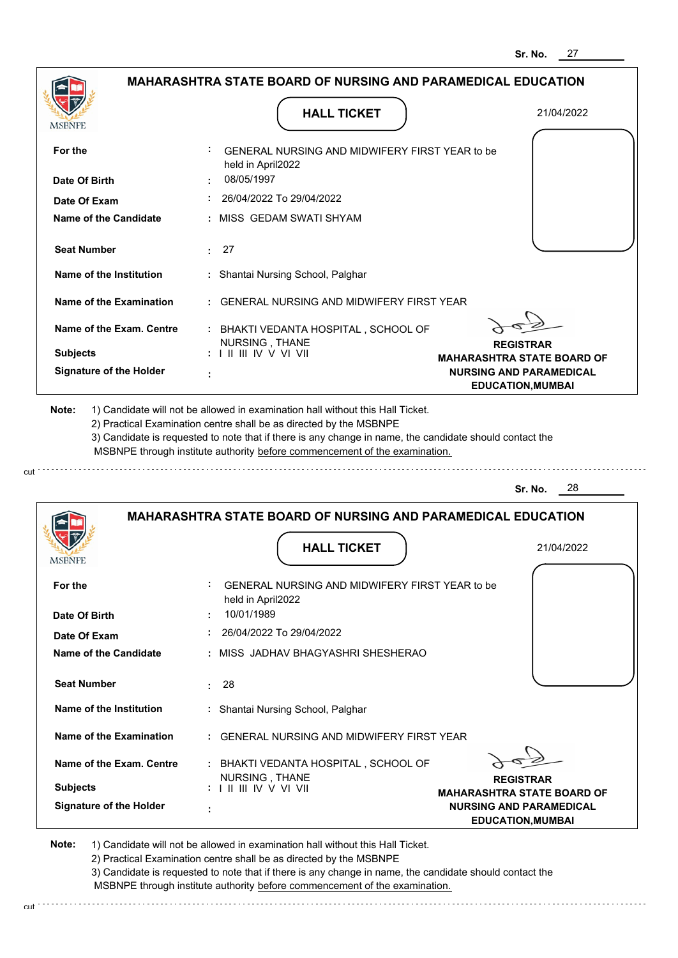|                                                                   |                                                                                                           | Sr. NO.<br>21                                                                                   |
|-------------------------------------------------------------------|-----------------------------------------------------------------------------------------------------------|-------------------------------------------------------------------------------------------------|
|                                                                   | <b>MAHARASHTRA STATE BOARD OF NURSING AND PARAMEDICAL EDUCATION</b>                                       |                                                                                                 |
| <b>MSBNPE</b>                                                     | <b>HALL TICKET</b>                                                                                        | 21/04/2022                                                                                      |
| For the                                                           | GENERAL NURSING AND MIDWIFERY FIRST YEAR to be<br>held in April2022                                       |                                                                                                 |
| Date Of Birth                                                     | 08/05/1997                                                                                                |                                                                                                 |
| Date Of Exam                                                      | 26/04/2022 To 29/04/2022                                                                                  |                                                                                                 |
| <b>Name of the Candidate</b>                                      | : MISS GEDAM SWATI SHYAM                                                                                  |                                                                                                 |
| <b>Seat Number</b>                                                | : 27                                                                                                      |                                                                                                 |
| Name of the Institution                                           | : Shantai Nursing School, Palghar                                                                         |                                                                                                 |
| <b>Name of the Examination</b>                                    | : GENERAL NURSING AND MIDWIFERY FIRST YEAR                                                                |                                                                                                 |
| Name of the Exam. Centre<br><b>Subjects</b>                       | : BHAKTI VEDANTA HOSPITAL, SCHOOL OF<br>NURSING, THANE<br>$: 1 \parallel \parallel \parallel$ IV V VI VII | <b>REGISTRAR</b>                                                                                |
| <b>Signature of the Holder</b>                                    |                                                                                                           | <b>MAHARASHTRA STATE BOARD OF</b><br><b>NURSING AND PARAMEDICAL</b><br><b>EDUCATION, MUMBAI</b> |
|                                                                   | MSBNPE through institute authority before commencement of the examination.                                |                                                                                                 |
|                                                                   |                                                                                                           | 28<br>Sr. No.                                                                                   |
|                                                                   | <b>MAHARASHTRA STATE BOARD OF NURSING AND PARAMEDICAL EDUCATION</b><br><b>HALL TICKET</b>                 |                                                                                                 |
| MSBNPI                                                            |                                                                                                           | 21/04/2022                                                                                      |
| For the                                                           |                                                                                                           |                                                                                                 |
|                                                                   | GENERAL NURSING AND MIDWIFERY FIRST YEAR to be                                                            |                                                                                                 |
|                                                                   | held in April2022<br>10/01/1989                                                                           |                                                                                                 |
| Date Of Exam                                                      | $: 26/04/2022$ To 29/04/2022                                                                              |                                                                                                 |
|                                                                   | : MISS JADHAV BHAGYASHRI SHESHERAO                                                                        |                                                                                                 |
| <b>Seat Number</b>                                                | : 28                                                                                                      |                                                                                                 |
| Name of the Institution                                           | : Shantai Nursing School, Palghar                                                                         |                                                                                                 |
| Date Of Birth<br>Name of the Candidate<br>Name of the Examination | : GENERAL NURSING AND MIDWIFERY FIRST YEAR                                                                |                                                                                                 |

**REGISTRAR MAHARASHTRA STATE BOARD OF NURSING AND PARAMEDICAL EDUCATION,MUMBAI**

**Note:**  1) Candidate will not be allowed in examination hall without this Hall Ticket. 2) Practical Examination centre shall be as directed by the MSBNPE

NURSING , THANE I II III IV V VI VII

 **:**

**Signature of the Holder**

**Subjects :**

cut : : : : : : : : : : : : : : : :

3) Candidate is requested to note that if there is any change in name, the candidate should contact the MSBNPE through institute authority before commencement of the examination.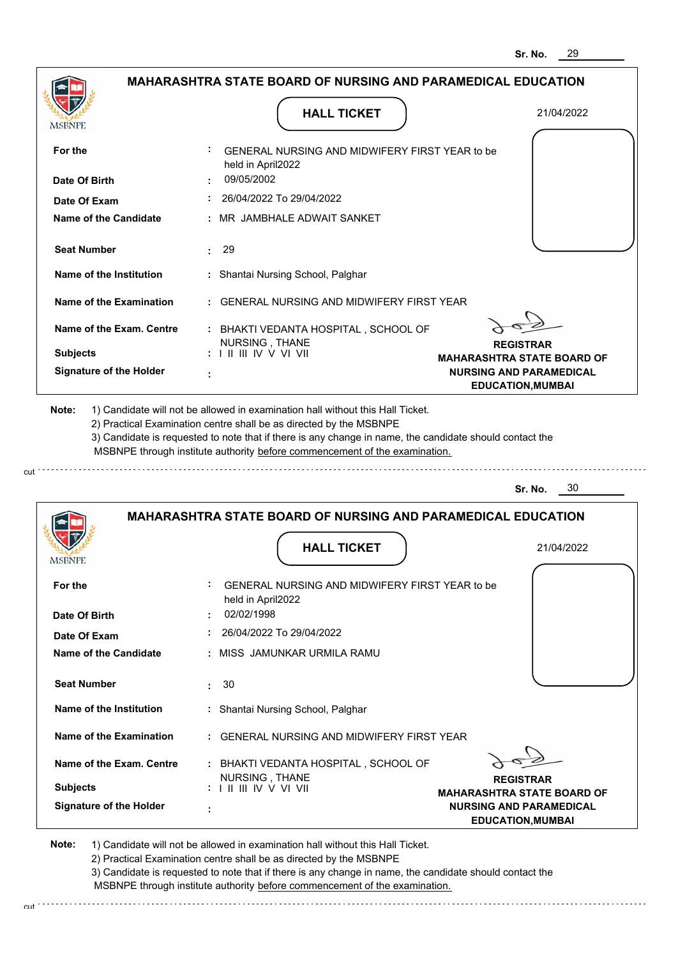|                                |                                                                                                                                                                                                                                                             | 29<br>Sr. No.                                              |
|--------------------------------|-------------------------------------------------------------------------------------------------------------------------------------------------------------------------------------------------------------------------------------------------------------|------------------------------------------------------------|
|                                | <b>MAHARASHTRA STATE BOARD OF NURSING AND PARAMEDICAL EDUCATION</b>                                                                                                                                                                                         |                                                            |
| MSBNPE                         | <b>HALL TICKET</b>                                                                                                                                                                                                                                          | 21/04/2022                                                 |
| For the                        | GENERAL NURSING AND MIDWIFERY FIRST YEAR to be                                                                                                                                                                                                              |                                                            |
| Date Of Birth                  | held in April2022<br>09/05/2002                                                                                                                                                                                                                             |                                                            |
| Date Of Exam                   | 26/04/2022 To 29/04/2022                                                                                                                                                                                                                                    |                                                            |
| Name of the Candidate          | MR JAMBHALE ADWAIT SANKET                                                                                                                                                                                                                                   |                                                            |
| <b>Seat Number</b>             | -29<br>t.                                                                                                                                                                                                                                                   |                                                            |
| Name of the Institution        | : Shantai Nursing School, Palghar                                                                                                                                                                                                                           |                                                            |
| Name of the Examination        | <b>GENERAL NURSING AND MIDWIFERY FIRST YEAR</b>                                                                                                                                                                                                             |                                                            |
| Name of the Exam. Centre       | : BHAKTI VEDANTA HOSPITAL, SCHOOL OF                                                                                                                                                                                                                        |                                                            |
| <b>Subjects</b>                | NURSING, THANE<br>: I II III IV V VI VII                                                                                                                                                                                                                    | <b>REGISTRAR</b><br><b>MAHARASHTRA STATE BOARD OF</b>      |
| <b>Signature of the Holder</b> |                                                                                                                                                                                                                                                             | <b>NURSING AND PARAMEDICAL</b><br><b>EDUCATION, MUMBAI</b> |
|                                | 2) Practical Examination centre shall be as directed by the MSBNPE<br>3) Candidate is requested to note that if there is any change in name, the candidate should contact the<br>MSBNPE through institute authority before commencement of the examination. | 30<br>Sr. No.                                              |
|                                | <b>MAHARASHTRA STATE BOARD OF NURSING AND PARAMEDICAL EDUCATION</b>                                                                                                                                                                                         |                                                            |
|                                |                                                                                                                                                                                                                                                             |                                                            |
|                                | <b>HALL TICKET</b>                                                                                                                                                                                                                                          | 21/04/2022                                                 |
| <b>IMPDIAL P</b>               |                                                                                                                                                                                                                                                             |                                                            |
| For the                        | GENERAL NURSING AND MIDWIFERY FIRST YEAR to be<br>held in April2022                                                                                                                                                                                         |                                                            |
| Date Of Birth                  | 02/02/1998                                                                                                                                                                                                                                                  |                                                            |
| Date Of Exam                   | 26/04/2022 To 29/04/2022                                                                                                                                                                                                                                    |                                                            |
| Name of the Candidate          | MISS JAMUNKAR URMILA RAMU                                                                                                                                                                                                                                   |                                                            |
| <b>Seat Number</b>             | 30<br>÷                                                                                                                                                                                                                                                     |                                                            |
| Name of the Institution        | : Shantai Nursing School, Palghar                                                                                                                                                                                                                           |                                                            |
| Name of the Examination        | : GENERAL NURSING AND MIDWIFERY FIRST YEAR                                                                                                                                                                                                                  |                                                            |

| Name of the Exam. Centre | : BHAKTI VEDANTA HOSPITAL . SCHOOL OF     |               |
|--------------------------|-------------------------------------------|---------------|
| <b>Subjects</b>          | NURSING . THANE<br>: I II III IV V VI VII |               |
|                          |                                           | <b>MAHARA</b> |
| Signature of the Holder  | ٠                                         | <b>NURSIN</b> |

**REGISTRAR SHTRA STATE BOARD OF NURSING AND PARAMEDICAL EDUCATION,MUMBAI**

**Note:**  1) Candidate will not be allowed in examination hall without this Hall Ticket. 2) Practical Examination centre shall be as directed by the MSBNPE

cut

cut.

3) Candidate is requested to note that if there is any change in name, the candidate should contact the

MSBNPE through institute authority before commencement of the examination.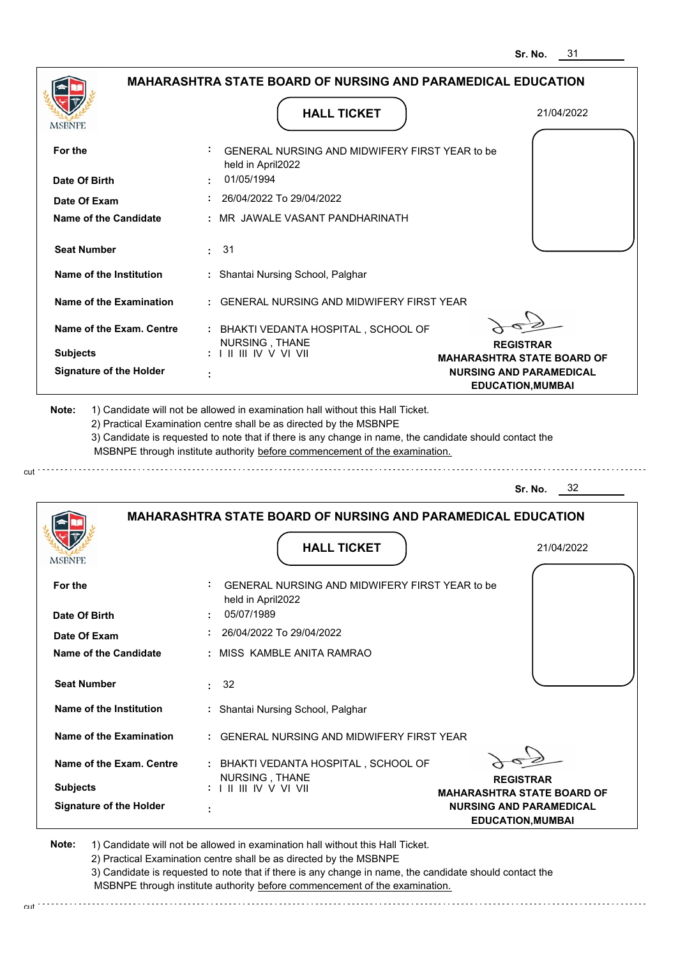| <b>MSBNPE</b>                                                                         | <b>HALL TICKET</b>                                                                                                                                                                    | 21/04/2022                                            |
|---------------------------------------------------------------------------------------|---------------------------------------------------------------------------------------------------------------------------------------------------------------------------------------|-------------------------------------------------------|
| For the<br>Date Of Birth                                                              | GENERAL NURSING AND MIDWIFERY FIRST YEAR to be<br>held in April2022<br>01/05/1994                                                                                                     |                                                       |
| Date Of Exam                                                                          | 26/04/2022 To 29/04/2022                                                                                                                                                              |                                                       |
| Name of the Candidate                                                                 | : MR JAWALE VASANT PANDHARINATH                                                                                                                                                       |                                                       |
| <b>Seat Number</b>                                                                    | : 31                                                                                                                                                                                  |                                                       |
| Name of the Institution                                                               | : Shantai Nursing School, Palghar                                                                                                                                                     |                                                       |
| Name of the Examination                                                               | : GENERAL NURSING AND MIDWIFERY FIRST YEAR                                                                                                                                            |                                                       |
| Name of the Exam. Centre                                                              | : BHAKTI VEDANTA HOSPITAL, SCHOOL OF<br>NURSING, THANE                                                                                                                                | <b>REGISTRAR</b>                                      |
| <b>Subjects</b>                                                                       | : I II III IV V VI VII                                                                                                                                                                | <b>MAHARASHTRA STATE BOARD OF</b>                     |
| <b>Signature of the Holder</b>                                                        |                                                                                                                                                                                       | <b>NURSING AND PARAMEDICAL</b>                        |
|                                                                                       | 3) Candidate is requested to note that if there is any change in name, the candidate should contact the<br>MSBNPE through institute authority before commencement of the examination. | 32<br>Sr. No.                                         |
|                                                                                       | <b>MAHARASHTRA STATE BOARD OF NURSING AND PARAMEDICAL EDUCATION</b>                                                                                                                   |                                                       |
|                                                                                       | <b>HALL TICKET</b>                                                                                                                                                                    | 21/04/2022                                            |
|                                                                                       | GENERAL NURSING AND MIDWIFERY FIRST YEAR to be<br>held in April2022                                                                                                                   |                                                       |
|                                                                                       | 05/07/1989                                                                                                                                                                            |                                                       |
| <b>MSBNPE</b><br>For the<br>Date Of Birth<br>Date Of Exam                             | 26/04/2022 To 29/04/2022                                                                                                                                                              |                                                       |
|                                                                                       | : MISS KAMBLE ANITA RAMRAO                                                                                                                                                            |                                                       |
| <b>Name of the Candidate</b><br><b>Seat Number</b>                                    | $\div$ 32                                                                                                                                                                             |                                                       |
|                                                                                       | : Shantai Nursing School, Palghar                                                                                                                                                     |                                                       |
|                                                                                       | : GENERAL NURSING AND MIDWIFERY FIRST YEAR                                                                                                                                            |                                                       |
| Name of the Institution<br><b>Name of the Examination</b><br>Name of the Exam. Centre | : BHAKTI VEDANTA HOSPITAL, SCHOOL OF                                                                                                                                                  |                                                       |
| <b>Subjects</b>                                                                       | NURSING, THANE<br>: I II III IV V VI VII                                                                                                                                              | <b>REGISTRAR</b><br><b>MAHARASHTRA STATE BOARD OF</b> |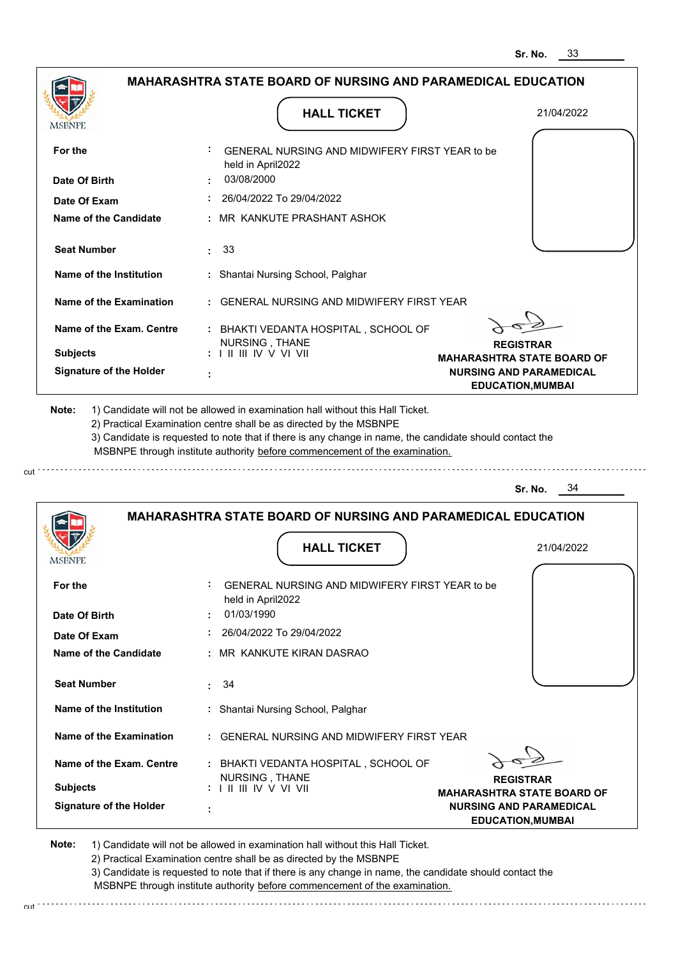|                                                                                                                                                                                                                      | <b>HALL TICKET</b>                                                                                                                                                                                                                                          | 21/04/2022                                            |
|----------------------------------------------------------------------------------------------------------------------------------------------------------------------------------------------------------------------|-------------------------------------------------------------------------------------------------------------------------------------------------------------------------------------------------------------------------------------------------------------|-------------------------------------------------------|
| <b>MSBNPE</b>                                                                                                                                                                                                        |                                                                                                                                                                                                                                                             |                                                       |
| For the                                                                                                                                                                                                              | GENERAL NURSING AND MIDWIFERY FIRST YEAR to be<br>held in April2022                                                                                                                                                                                         |                                                       |
| Date Of Birth                                                                                                                                                                                                        | 03/08/2000                                                                                                                                                                                                                                                  |                                                       |
| Date Of Exam                                                                                                                                                                                                         | 26/04/2022 To 29/04/2022                                                                                                                                                                                                                                    |                                                       |
| Name of the Candidate                                                                                                                                                                                                | : MR KANKUTE PRASHANT ASHOK                                                                                                                                                                                                                                 |                                                       |
| <b>Seat Number</b>                                                                                                                                                                                                   | : 33                                                                                                                                                                                                                                                        |                                                       |
| Name of the Institution                                                                                                                                                                                              | : Shantai Nursing School, Palghar                                                                                                                                                                                                                           |                                                       |
| Name of the Examination                                                                                                                                                                                              | : GENERAL NURSING AND MIDWIFERY FIRST YEAR                                                                                                                                                                                                                  |                                                       |
| Name of the Exam. Centre                                                                                                                                                                                             | : BHAKTI VEDANTA HOSPITAL, SCHOOL OF                                                                                                                                                                                                                        |                                                       |
| <b>Subjects</b>                                                                                                                                                                                                      | NURSING, THANE<br>$: 1 \parallel \parallel \parallel$ IV V VI VII                                                                                                                                                                                           | <b>REGISTRAR</b><br><b>MAHARASHTRA STATE BOARD OF</b> |
| <b>Signature of the Holder</b>                                                                                                                                                                                       |                                                                                                                                                                                                                                                             | <b>NURSING AND PARAMEDICAL</b>                        |
|                                                                                                                                                                                                                      | 2) Practical Examination centre shall be as directed by the MSBNPE<br>3) Candidate is requested to note that if there is any change in name, the candidate should contact the<br>MSBNPE through institute authority before commencement of the examination. | 34<br>Sr. No.                                         |
|                                                                                                                                                                                                                      | <b>MAHARASHTRA STATE BOARD OF NURSING AND PARAMEDICAL EDUCATION</b>                                                                                                                                                                                         |                                                       |
|                                                                                                                                                                                                                      | <b>HALL TICKET</b>                                                                                                                                                                                                                                          | 21/04/2022                                            |
|                                                                                                                                                                                                                      | GENERAL NURSING AND MIDWIFERY FIRST YEAR to be<br>held in April2022                                                                                                                                                                                         |                                                       |
|                                                                                                                                                                                                                      | 01/03/1990                                                                                                                                                                                                                                                  |                                                       |
|                                                                                                                                                                                                                      | 26/04/2022 To 29/04/2022                                                                                                                                                                                                                                    |                                                       |
|                                                                                                                                                                                                                      | : MR KANKUTE KIRAN DASRAO                                                                                                                                                                                                                                   |                                                       |
|                                                                                                                                                                                                                      | .34                                                                                                                                                                                                                                                         |                                                       |
|                                                                                                                                                                                                                      | : Shantai Nursing School, Palghar                                                                                                                                                                                                                           |                                                       |
|                                                                                                                                                                                                                      | : GENERAL NURSING AND MIDWIFERY FIRST YEAR                                                                                                                                                                                                                  |                                                       |
|                                                                                                                                                                                                                      | : BHAKTI VEDANTA HOSPITAL, SCHOOL OF                                                                                                                                                                                                                        |                                                       |
| <b>MSBNPE</b><br>For the<br>Date Of Birth<br>Date Of Exam<br><b>Name of the Candidate</b><br><b>Seat Number</b><br>Name of the Institution<br>Name of the Examination<br>Name of the Exam. Centre<br><b>Subjects</b> | NURSING, THANE                                                                                                                                                                                                                                              | <b>REGISTRAR</b><br><b>MAHARASHTRA STATE BOARD OF</b> |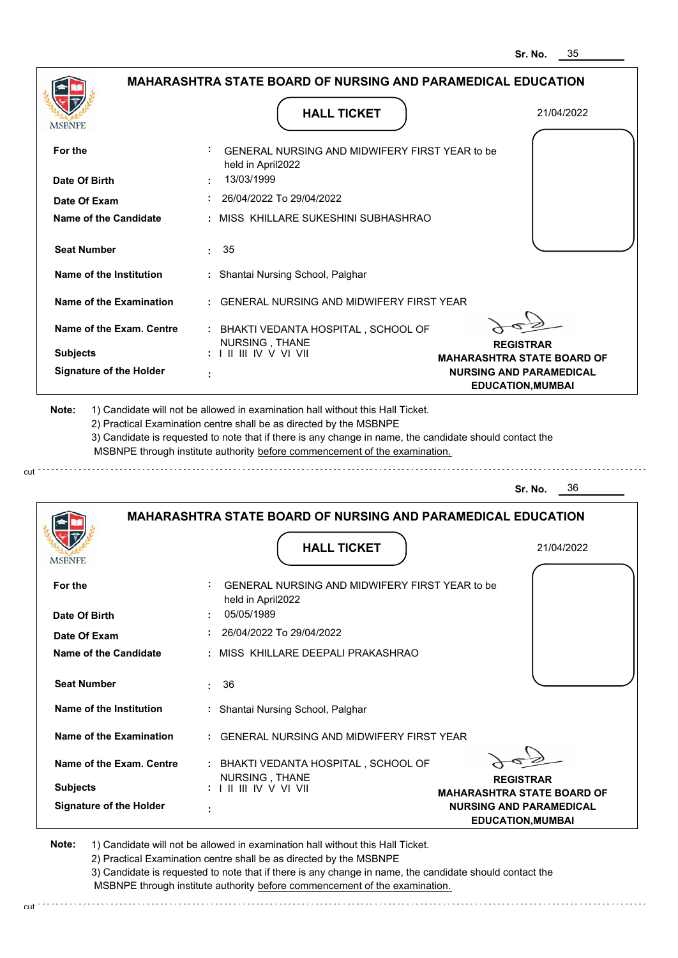| <b>MSBNPE</b>                                                                                         | <b>HALL TICKET</b>                                                                                                                                                                                                                                                                                                                            | 21/04/2022                                                 |
|-------------------------------------------------------------------------------------------------------|-----------------------------------------------------------------------------------------------------------------------------------------------------------------------------------------------------------------------------------------------------------------------------------------------------------------------------------------------|------------------------------------------------------------|
| For the                                                                                               | GENERAL NURSING AND MIDWIFERY FIRST YEAR to be<br>held in April2022<br>13/03/1999                                                                                                                                                                                                                                                             |                                                            |
| Date Of Birth                                                                                         | 26/04/2022 To 29/04/2022                                                                                                                                                                                                                                                                                                                      |                                                            |
| Date Of Exam                                                                                          |                                                                                                                                                                                                                                                                                                                                               |                                                            |
| <b>Name of the Candidate</b>                                                                          | : MISS KHILLARE SUKESHINI SUBHASHRAO                                                                                                                                                                                                                                                                                                          |                                                            |
| <b>Seat Number</b>                                                                                    | : 35                                                                                                                                                                                                                                                                                                                                          |                                                            |
| Name of the Institution                                                                               | : Shantai Nursing School, Palghar                                                                                                                                                                                                                                                                                                             |                                                            |
| <b>Name of the Examination</b>                                                                        | : GENERAL NURSING AND MIDWIFERY FIRST YEAR                                                                                                                                                                                                                                                                                                    |                                                            |
| Name of the Exam. Centre                                                                              | : BHAKTI VEDANTA HOSPITAL, SCHOOL OF<br>NURSING, THANE                                                                                                                                                                                                                                                                                        | <b>REGISTRAR</b>                                           |
| <b>Subjects</b>                                                                                       | : I II III IV V VI VII                                                                                                                                                                                                                                                                                                                        | <b>MAHARASHTRA STATE BOARD OF</b>                          |
| <b>Signature of the Holder</b>                                                                        |                                                                                                                                                                                                                                                                                                                                               | <b>NURSING AND PARAMEDICAL</b><br><b>EDUCATION, MUMBAI</b> |
|                                                                                                       | 1) Candidate will not be allowed in examination hall without this Hall Ticket.<br>2) Practical Examination centre shall be as directed by the MSBNPE<br>3) Candidate is requested to note that if there is any change in name, the candidate should contact the<br>MSBNPE through institute authority before commencement of the examination. | 36<br>Sr. No.                                              |
|                                                                                                       | <b>MAHARASHTRA STATE BOARD OF NURSING AND PARAMEDICAL EDUCATION</b>                                                                                                                                                                                                                                                                           |                                                            |
| Note:                                                                                                 |                                                                                                                                                                                                                                                                                                                                               |                                                            |
|                                                                                                       | <b>HALL TICKET</b>                                                                                                                                                                                                                                                                                                                            | 21/04/2022                                                 |
|                                                                                                       | GENERAL NURSING AND MIDWIFERY FIRST YEAR to be<br>held in April2022                                                                                                                                                                                                                                                                           |                                                            |
|                                                                                                       | 05/05/1989                                                                                                                                                                                                                                                                                                                                    |                                                            |
|                                                                                                       | 26/04/2022 To 29/04/2022                                                                                                                                                                                                                                                                                                                      |                                                            |
|                                                                                                       | : MISS KHILLARE DEEPALI PRAKASHRAO                                                                                                                                                                                                                                                                                                            |                                                            |
| <b>Seat Number</b>                                                                                    | : 36                                                                                                                                                                                                                                                                                                                                          |                                                            |
| Name of the Institution                                                                               | : Shantai Nursing School, Palghar                                                                                                                                                                                                                                                                                                             |                                                            |
| Name of the Examination                                                                               | : GENERAL NURSING AND MIDWIFERY FIRST YEAR                                                                                                                                                                                                                                                                                                    |                                                            |
| Name of the Exam. Centre                                                                              | : BHAKTI VEDANTA HOSPITAL, SCHOOL OF                                                                                                                                                                                                                                                                                                          |                                                            |
| <b>MSBNPE</b><br>For the<br>Date Of Birth<br>Date Of Exam<br>Name of the Candidate<br><b>Subjects</b> | NURSING, THANE<br>: I II III IV V VI VII                                                                                                                                                                                                                                                                                                      | <b>REGISTRAR</b><br><b>MAHARASHTRA STATE BOARD OF</b>      |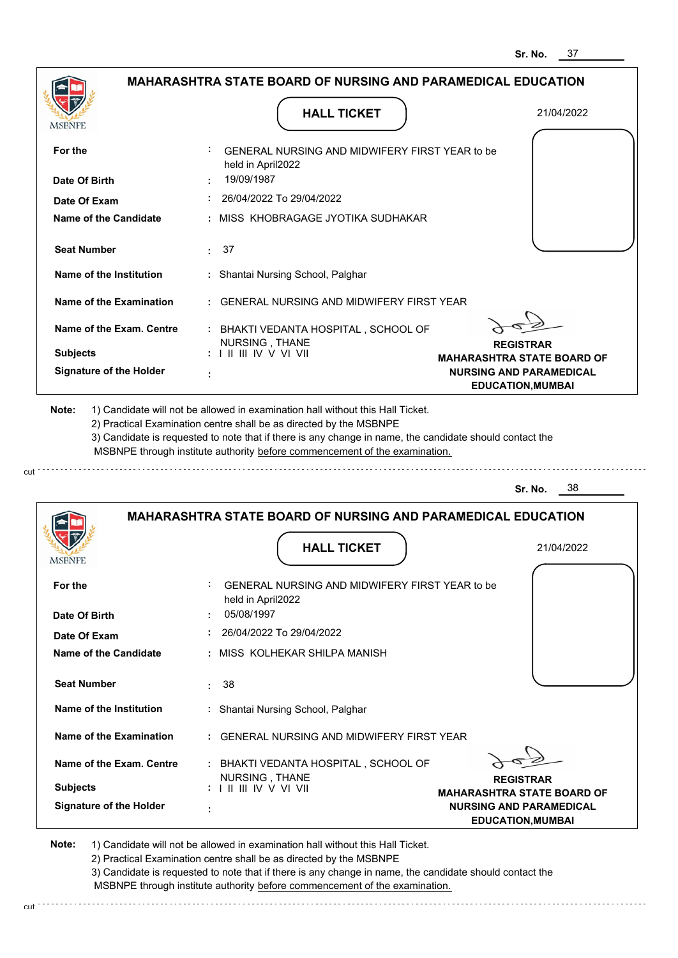**NURSING AND PARAMEDICAL EDUCATION,MUMBAI**

|                                |                                                                                                                                                                                       | 31. IVU.<br>៴៸                                             |
|--------------------------------|---------------------------------------------------------------------------------------------------------------------------------------------------------------------------------------|------------------------------------------------------------|
|                                | MAHARASHTRA STATE BOARD OF NURSING AND PARAMEDICAL EDUCATION                                                                                                                          |                                                            |
| MSBNPE                         | <b>HALL TICKET</b>                                                                                                                                                                    | 21/04/2022                                                 |
| For the                        | GENERAL NURSING AND MIDWIFERY FIRST YEAR to be<br>held in April2022                                                                                                                   |                                                            |
| Date Of Birth                  | 19/09/1987                                                                                                                                                                            |                                                            |
| Date Of Exam                   | 26/04/2022 To 29/04/2022                                                                                                                                                              |                                                            |
| <b>Name of the Candidate</b>   | MISS KHOBRAGAGE JYOTIKA SUDHAKAR                                                                                                                                                      |                                                            |
| <b>Seat Number</b>             | 37<br>÷.                                                                                                                                                                              |                                                            |
| Name of the Institution        | : Shantai Nursing School, Palghar                                                                                                                                                     |                                                            |
| Name of the Examination        | <b>GENERAL NURSING AND MIDWIFERY FIRST YEAR</b>                                                                                                                                       |                                                            |
| Name of the Exam. Centre       | : BHAKTI VEDANTA HOSPITAL, SCHOOL OF                                                                                                                                                  |                                                            |
| <b>Subjects</b>                | NURSING, THANE<br>: I II III IV V VI VII                                                                                                                                              | <b>REGISTRAR</b><br><b>MAHARASHTRA STATE BOARD OF</b>      |
| <b>Signature of the Holder</b> |                                                                                                                                                                                       | <b>NURSING AND PARAMEDICAL</b><br><b>EDUCATION, MUMBAI</b> |
|                                | 3) Candidate is requested to note that if there is any change in name, the candidate should contact the<br>MSBNPE through institute authority before commencement of the examination. | - 38<br>Sr. No.                                            |
|                                | <b>MAHARASHTRA STATE BOARD OF NURSING AND PARAMEDICAL EDUCATION</b><br><b>HALL TICKET</b>                                                                                             |                                                            |
| MSBNPE                         |                                                                                                                                                                                       | 21/04/2022                                                 |
| For the                        | GENERAL NURSING AND MIDWIFERY FIRST YEAR to be<br>held in April2022                                                                                                                   |                                                            |
| Date Of Birth                  | 05/08/1997                                                                                                                                                                            |                                                            |
| Date Of Exam                   | 26/04/2022 To 29/04/2022                                                                                                                                                              |                                                            |
| Name of the Candidate          | MISS KOLHEKAR SHILPA MANISH                                                                                                                                                           |                                                            |
| <b>Seat Number</b>             | 38<br>÷                                                                                                                                                                               |                                                            |
| Name of the Institution        | : Shantai Nursing School, Palghar                                                                                                                                                     |                                                            |
| Name of the Examination        | <b>GENERAL NURSING AND MIDWIFERY FIRST YEAR</b>                                                                                                                                       |                                                            |
| Name of the Exam. Centre       |                                                                                                                                                                                       |                                                            |
|                                | : BHAKTI VEDANTA HOSPITAL, SCHOOL OF<br>NURSING, THANE                                                                                                                                | <b>REGISTRAR</b>                                           |

**Note:**  1) Candidate will not be allowed in examination hall without this Hall Ticket.

 **:**

**Signature of the Holder**

cut

2) Practical Examination centre shall be as directed by the MSBNPE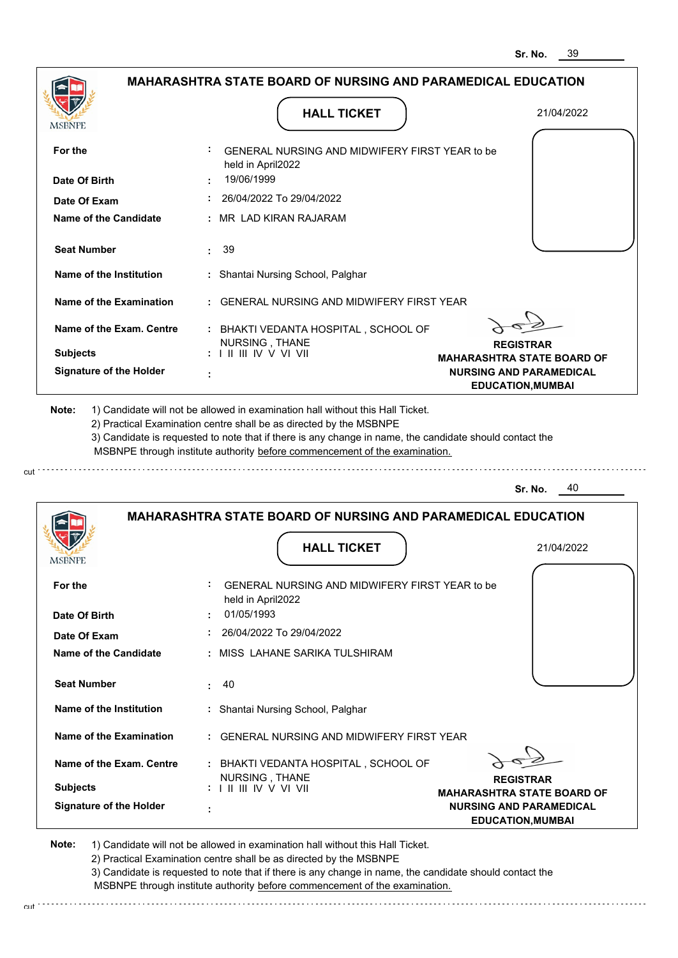|                                | <b>MAHARASHTRA STATE BOARD OF NURSING AND PARAMEDICAL EDUCATION</b>                                                                                                                                                                                                                                                                           |                                                       |
|--------------------------------|-----------------------------------------------------------------------------------------------------------------------------------------------------------------------------------------------------------------------------------------------------------------------------------------------------------------------------------------------|-------------------------------------------------------|
| MSBNPE                         | <b>HALL TICKET</b>                                                                                                                                                                                                                                                                                                                            | 21/04/2022                                            |
| For the                        | GENERAL NURSING AND MIDWIFERY FIRST YEAR to be<br>held in April2022                                                                                                                                                                                                                                                                           |                                                       |
| Date Of Birth                  | 19/06/1999                                                                                                                                                                                                                                                                                                                                    |                                                       |
| Date Of Exam                   | 26/04/2022 To 29/04/2022                                                                                                                                                                                                                                                                                                                      |                                                       |
| <b>Name of the Candidate</b>   | MR LAD KIRAN RAJARAM                                                                                                                                                                                                                                                                                                                          |                                                       |
| <b>Seat Number</b>             | 39<br>÷                                                                                                                                                                                                                                                                                                                                       |                                                       |
| Name of the Institution        | : Shantai Nursing School, Palghar                                                                                                                                                                                                                                                                                                             |                                                       |
| <b>Name of the Examination</b> | GENERAL NURSING AND MIDWIFFRY FIRST YFAR                                                                                                                                                                                                                                                                                                      |                                                       |
| Name of the Exam. Centre       | : BHAKTI VEDANTA HOSPITAL, SCHOOL OF                                                                                                                                                                                                                                                                                                          |                                                       |
| <b>Subjects</b>                | NURSING, THANE<br>$: 1$ II III IV V VI VII                                                                                                                                                                                                                                                                                                    | <b>REGISTRAR</b><br><b>MAHARASHTRA STATE BOARD OF</b> |
| <b>Signature of the Holder</b> |                                                                                                                                                                                                                                                                                                                                               | <b>NURSING AND PARAMEDICAL</b>                        |
|                                |                                                                                                                                                                                                                                                                                                                                               | <b>EDUCATION, MUMBAI</b>                              |
| Note:                          | 1) Candidate will not be allowed in examination hall without this Hall Ticket.<br>2) Practical Examination centre shall be as directed by the MSBNPE<br>3) Candidate is requested to note that if there is any change in name, the candidate should contact the<br>MSBNPE through institute authority before commencement of the examination. |                                                       |
|                                |                                                                                                                                                                                                                                                                                                                                               | 40<br>Sr. No.                                         |
|                                | <b>MAHARASHTRA STATE BOARD OF NURSING AND PARAMEDICAL EDUCATION</b>                                                                                                                                                                                                                                                                           |                                                       |
| MSBNPE                         | <b>HALL TICKET</b>                                                                                                                                                                                                                                                                                                                            | 21/04/2022                                            |
| For the                        | GENERAL NURSING AND MIDWIFERY FIRST YEAR to be<br>held in April2022                                                                                                                                                                                                                                                                           |                                                       |
| Date Of Birth                  | 01/05/1993                                                                                                                                                                                                                                                                                                                                    |                                                       |
| Date Of Exam                   | 26/04/2022 To 29/04/2022<br>: MISS LAHANE SARIKA TULSHIRAM                                                                                                                                                                                                                                                                                    |                                                       |

**REGISTRAR MAHARASHTRA STATE BOARD OF NURSING AND PARAMEDICAL EDUCATION,MUMBAI Signature of the Holder Name of the Exam. Centre Name of the Examination Note: :** GENERAL NURSING AND MIDWIFERY FIRST YEAR  **:** BHAKTI VEDANTA HOSPITAL , SCHOOL OF  **: Subjects :** NURSING , THANE I II III IV V VI VII

 **:** Shantai Nursing School, Palghar

1) Candidate will not be allowed in examination hall without this Hall Ticket. 2) Practical Examination centre shall be as directed by the MSBNPE 3) Candidate is requested to note that if there is any change in name, the candidate should contact the MSBNPE through institute authority before commencement of the examination.

 **:** 40

cut

**Name of the Institution**

**Seat Number**

cut : . . . . . . . . . . . . . .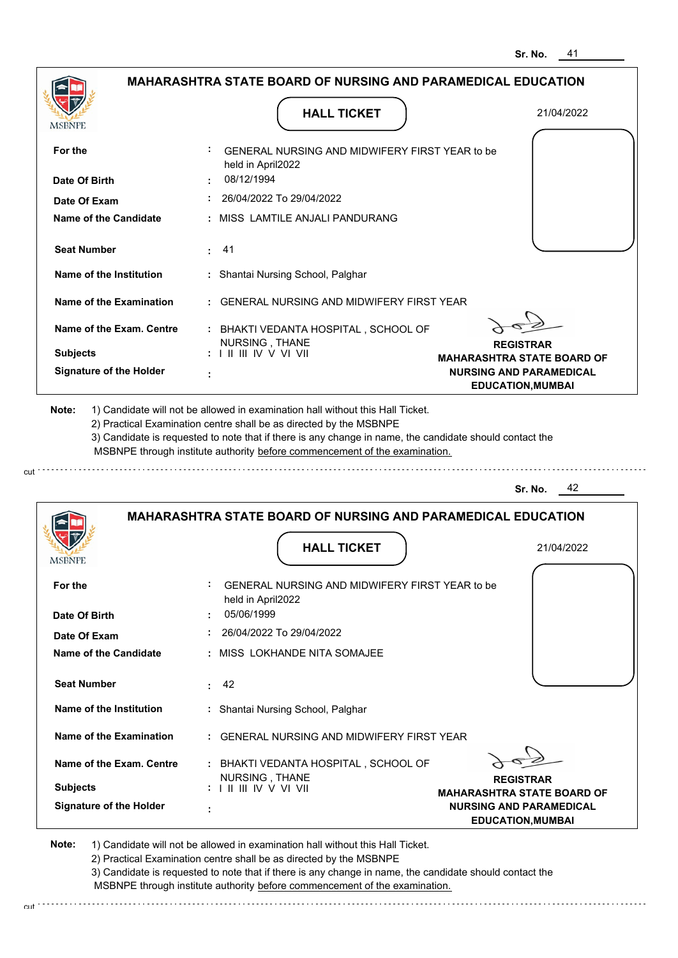|                                |                                                                                                                                                                                       | 41<br>Sr. No.                                              |
|--------------------------------|---------------------------------------------------------------------------------------------------------------------------------------------------------------------------------------|------------------------------------------------------------|
|                                | <b>MAHARASHTRA STATE BOARD OF NURSING AND PARAMEDICAL EDUCATION</b>                                                                                                                   |                                                            |
| MSBNPE                         | <b>HALL TICKET</b>                                                                                                                                                                    | 21/04/2022                                                 |
| For the                        | GENERAL NURSING AND MIDWIFERY FIRST YEAR to be<br>held in April2022                                                                                                                   |                                                            |
| Date Of Birth                  | 08/12/1994                                                                                                                                                                            |                                                            |
| Date Of Exam                   | 26/04/2022 To 29/04/2022                                                                                                                                                              |                                                            |
| Name of the Candidate          | MISS LAMTILE ANJALI PANDURANG                                                                                                                                                         |                                                            |
| <b>Seat Number</b>             | 41                                                                                                                                                                                    |                                                            |
| Name of the Institution        | Shantai Nursing School, Palghar                                                                                                                                                       |                                                            |
| <b>Name of the Examination</b> | GENERAL NURSING AND MIDWIFERY FIRST YEAR                                                                                                                                              |                                                            |
| Name of the Exam. Centre       | : BHAKTI VEDANTA HOSPITAL, SCHOOL OF<br>NURSING, THANE                                                                                                                                | <b>REGISTRAR</b>                                           |
| <b>Subjects</b>                | : I II III IV V VI VII                                                                                                                                                                | <b>MAHARASHTRA STATE BOARD OF</b>                          |
| <b>Signature of the Holder</b> |                                                                                                                                                                                       | <b>NURSING AND PARAMEDICAL</b><br><b>EDUCATION, MUMBAI</b> |
|                                | 3) Candidate is requested to note that if there is any change in name, the candidate should contact the<br>MSBNPE through institute authority before commencement of the examination. |                                                            |
|                                |                                                                                                                                                                                       | 42<br>Sr. No.                                              |
|                                | <b>MAHARASHTRA STATE BOARD OF NURSING AND PARAMEDICAL EDUCATION</b>                                                                                                                   |                                                            |
| <b>IMODIAL L</b>               | <b>HALL TICKET</b>                                                                                                                                                                    | 21/04/2022                                                 |
| For the                        | GENERAL NURSING AND MIDWIFERY FIRST YEAR to be<br>held in April2022                                                                                                                   |                                                            |
| Date Of Birth                  | 05/06/1999                                                                                                                                                                            |                                                            |
| Date Of Exam                   | 26/04/2022 To 29/04/2022                                                                                                                                                              |                                                            |
| <b>Name of the Candidate</b>   | MISS LOKHANDE NITA SOMAJEE                                                                                                                                                            |                                                            |
| <b>Seat Number</b>             | 42<br>٠.                                                                                                                                                                              |                                                            |
| Name of the Institution        | Shantai Nursing School, Palghar                                                                                                                                                       |                                                            |
| <b>Name of the Examination</b> | GENERAL NURSING AND MIDWIFERY FIRST YEAR                                                                                                                                              |                                                            |
| Name of the Exam. Centre       | : BHAKTI VEDANTA HOSPITAL, SCHOOL OF                                                                                                                                                  |                                                            |

**REGISTRAR MAHARASHTRA STATE BOARD OF NURSING AND PARAMEDICAL EDUCATION,MUMBAI**

**Note:**  1) Candidate will not be allowed in examination hall without this Hall Ticket. 2) Practical Examination centre shall be as directed by the MSBNPE

NURSING , THANE I II III IV V VI VII

 **:**

**Signature of the Holder**

**Subjects :**

cut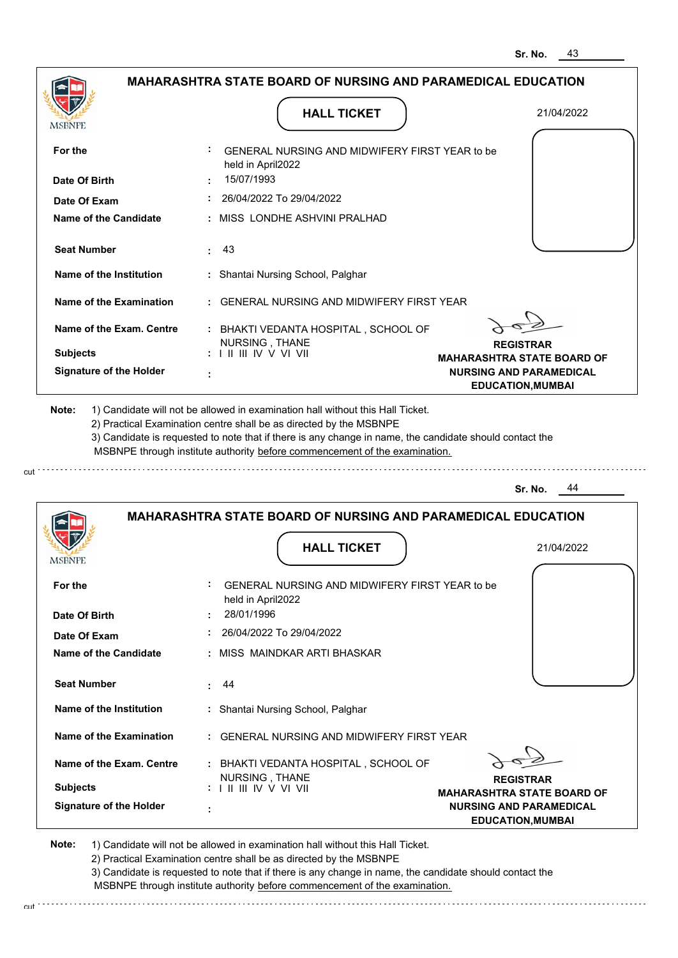| MSBNPE                                                                 | <b>HALL TICKET</b>                                                                                                                                                                                                                                                                                                                            | 21/04/2022                                            |
|------------------------------------------------------------------------|-----------------------------------------------------------------------------------------------------------------------------------------------------------------------------------------------------------------------------------------------------------------------------------------------------------------------------------------------|-------------------------------------------------------|
| For the                                                                | GENERAL NURSING AND MIDWIFERY FIRST YEAR to be<br>held in April2022                                                                                                                                                                                                                                                                           |                                                       |
| Date Of Birth                                                          | 15/07/1993                                                                                                                                                                                                                                                                                                                                    |                                                       |
| Date Of Exam                                                           | 26/04/2022 To 29/04/2022                                                                                                                                                                                                                                                                                                                      |                                                       |
| Name of the Candidate                                                  | : MISS LONDHE ASHVINI PRALHAD                                                                                                                                                                                                                                                                                                                 |                                                       |
| <b>Seat Number</b>                                                     | $\cdot$ 43                                                                                                                                                                                                                                                                                                                                    |                                                       |
| Name of the Institution                                                | : Shantai Nursing School, Palghar                                                                                                                                                                                                                                                                                                             |                                                       |
| Name of the Examination                                                | : GENERAL NURSING AND MIDWIFERY FIRST YEAR                                                                                                                                                                                                                                                                                                    |                                                       |
| Name of the Exam. Centre                                               | : BHAKTI VEDANTA HOSPITAL, SCHOOL OF                                                                                                                                                                                                                                                                                                          |                                                       |
| <b>Subjects</b>                                                        | NURSING, THANE<br>: I II III IV V VI VII                                                                                                                                                                                                                                                                                                      | <b>REGISTRAR</b><br><b>MAHARASHTRA STATE BOARD OF</b> |
| <b>Signature of the Holder</b>                                         |                                                                                                                                                                                                                                                                                                                                               | <b>NURSING AND PARAMEDICAL</b>                        |
|                                                                        | 1) Candidate will not be allowed in examination hall without this Hall Ticket.<br>2) Practical Examination centre shall be as directed by the MSBNPE<br>3) Candidate is requested to note that if there is any change in name, the candidate should contact the<br>MSBNPE through institute authority before commencement of the examination. | <b>EDUCATION, MUMBAI</b><br>Sr. No.<br>44             |
| Note:                                                                  |                                                                                                                                                                                                                                                                                                                                               |                                                       |
|                                                                        | <b>MAHARASHTRA STATE BOARD OF NURSING AND PARAMEDICAL EDUCATION</b><br><b>HALL TICKET</b>                                                                                                                                                                                                                                                     | 21/04/2022                                            |
| For the                                                                | GENERAL NURSING AND MIDWIFERY FIRST YEAR to be<br>held in April2022                                                                                                                                                                                                                                                                           |                                                       |
|                                                                        | 28/01/1996                                                                                                                                                                                                                                                                                                                                    |                                                       |
| Date Of Exam                                                           | 26/04/2022 To 29/04/2022                                                                                                                                                                                                                                                                                                                      |                                                       |
|                                                                        | : MISS MAINDKAR ARTI BHASKAR                                                                                                                                                                                                                                                                                                                  |                                                       |
| MSBNPE<br>Date Of Birth<br>Name of the Candidate<br><b>Seat Number</b> | 44<br>$\mathbf{L}$                                                                                                                                                                                                                                                                                                                            |                                                       |
| Name of the Institution                                                | : Shantai Nursing School, Palghar                                                                                                                                                                                                                                                                                                             |                                                       |
| Name of the Examination                                                | : GENERAL NURSING AND MIDWIFERY FIRST YEAR                                                                                                                                                                                                                                                                                                    |                                                       |
| Name of the Exam. Centre                                               | : BHAKTI VEDANTA HOSPITAL, SCHOOL OF<br>NURSING, THANE                                                                                                                                                                                                                                                                                        | <b>REGISTRAR</b>                                      |

2) Practical Examination centre shall be as directed by the MSBNPE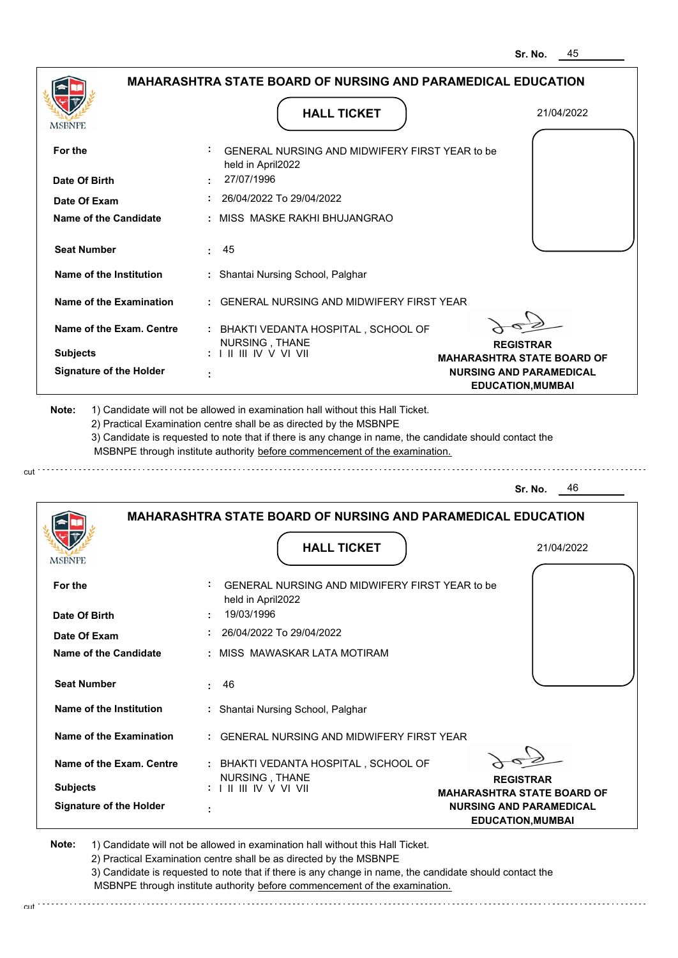| <b>MSBNPE</b>                                                                                        | <b>HALL TICKET</b>                                                                                                                                                                    | 21/04/2022                                            |
|------------------------------------------------------------------------------------------------------|---------------------------------------------------------------------------------------------------------------------------------------------------------------------------------------|-------------------------------------------------------|
| For the                                                                                              | GENERAL NURSING AND MIDWIFERY FIRST YEAR to be<br>held in April2022                                                                                                                   |                                                       |
| Date Of Birth                                                                                        | 27/07/1996                                                                                                                                                                            |                                                       |
| Date Of Exam                                                                                         | $: 26/04/2022$ To 29/04/2022                                                                                                                                                          |                                                       |
| <b>Name of the Candidate</b>                                                                         | : MISS MASKE RAKHI BHUJANGRAO                                                                                                                                                         |                                                       |
| <b>Seat Number</b>                                                                                   | : 45                                                                                                                                                                                  |                                                       |
| Name of the Institution                                                                              | : Shantai Nursing School, Palghar                                                                                                                                                     |                                                       |
| Name of the Examination                                                                              | : GENERAL NURSING AND MIDWIFERY FIRST YEAR                                                                                                                                            |                                                       |
| Name of the Exam. Centre                                                                             | : BHAKTI VEDANTA HOSPITAL, SCHOOL OF                                                                                                                                                  |                                                       |
| <b>Subjects</b>                                                                                      | NURSING, THANE<br>$: 1 \mathbb{H} \mathbb{H} \mathbb{W} \vee \mathbb{V} \mathbb{V} \mathbb{H}$                                                                                        | <b>REGISTRAR</b><br><b>MAHARASHTRA STATE BOARD OF</b> |
| <b>Signature of the Holder</b>                                                                       |                                                                                                                                                                                       | <b>NURSING AND PARAMEDICAL</b>                        |
| 2) Practical Examination centre shall be as directed by the MSBNPE                                   | 3) Candidate is requested to note that if there is any change in name, the candidate should contact the<br>MSBNPE through institute authority before commencement of the examination. | - 46<br>Sr. No.                                       |
|                                                                                                      | <b>MAHARASHTRA STATE BOARD OF NURSING AND PARAMEDICAL EDUCATION</b>                                                                                                                   |                                                       |
|                                                                                                      | <b>HALL TICKET</b>                                                                                                                                                                    | 21/04/2022                                            |
|                                                                                                      | GENERAL NURSING AND MIDWIFERY FIRST YEAR to be<br>held in April2022                                                                                                                   |                                                       |
|                                                                                                      | 19/03/1996                                                                                                                                                                            |                                                       |
| <b>MSBNPE</b><br>For the<br>Date Of Birth<br>Date Of Exam                                            | 26/04/2022 To 29/04/2022                                                                                                                                                              |                                                       |
| <b>Name of the Candidate</b>                                                                         | : MISS MAWASKAR LATA MOTIRAM                                                                                                                                                          |                                                       |
|                                                                                                      | 46                                                                                                                                                                                    |                                                       |
|                                                                                                      | : Shantai Nursing School, Palghar                                                                                                                                                     |                                                       |
|                                                                                                      | : GENERAL NURSING AND MIDWIFERY FIRST YEAR                                                                                                                                            |                                                       |
| <b>Seat Number</b><br>Name of the Institution<br>Name of the Examination<br>Name of the Exam. Centre | : BHAKTI VEDANTA HOSPITAL, SCHOOL OF                                                                                                                                                  |                                                       |
| <b>Subjects</b>                                                                                      | NURSING, THANE<br>$: 1 \parallel \parallel \parallel$ IV V VI VII                                                                                                                     | <b>REGISTRAR</b><br><b>MAHARASHTRA STATE BOARD OF</b> |

2) Practical Examination centre shall be as directed by the MSBNPE

3) Candidate is requested to note that if there is any change in name, the candidate should contact the MSBNPE through institute authority before commencement of the examination.

cut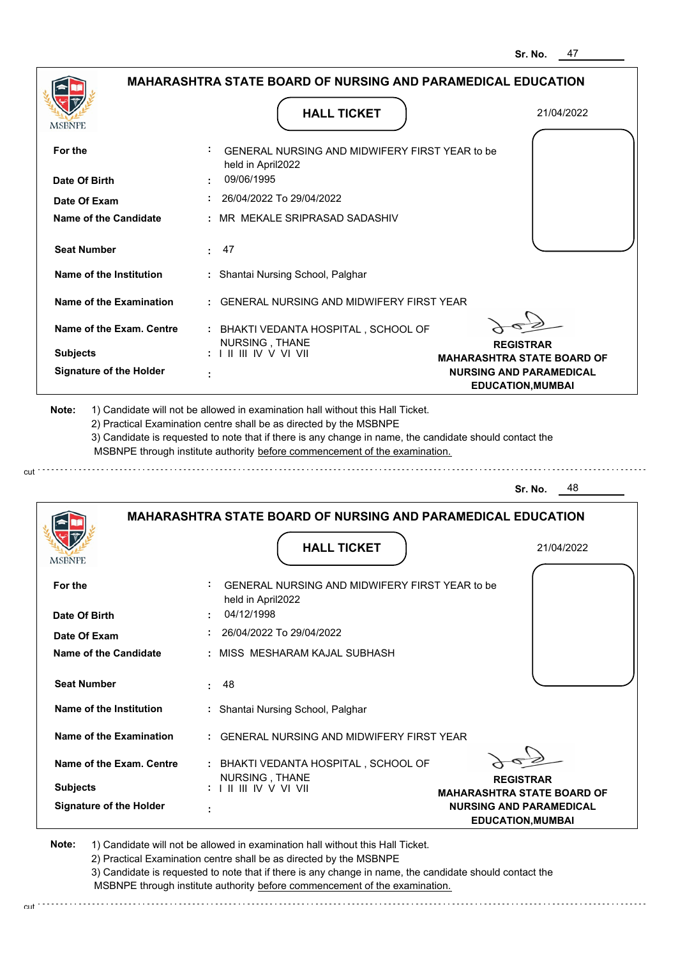**EDUCATION,MUMBAI**

|                                |                                                                                           | อr. เพย.<br>41                                             |
|--------------------------------|-------------------------------------------------------------------------------------------|------------------------------------------------------------|
|                                | MAHARASHTRA STATE BOARD OF NURSING AND PARAMEDICAL EDUCATION                              |                                                            |
| MSBNPE                         | <b>HALL TICKET</b>                                                                        | 21/04/2022                                                 |
| For the                        | GENERAL NURSING AND MIDWIFERY FIRST YEAR to be<br>held in April2022                       |                                                            |
| Date Of Birth                  | 09/06/1995                                                                                |                                                            |
| Date Of Exam                   | 26/04/2022 To 29/04/2022                                                                  |                                                            |
| <b>Name of the Candidate</b>   | MR MEKALE SRIPRASAD SADASHIV                                                              |                                                            |
| <b>Seat Number</b>             | 47                                                                                        |                                                            |
| Name of the Institution        | Shantai Nursing School, Palghar                                                           |                                                            |
| <b>Name of the Examination</b> | <b>GENERAL NURSING AND MIDWIFERY FIRST YEAR</b>                                           |                                                            |
| Name of the Exam. Centre       | : BHAKTI VEDANTA HOSPITAL, SCHOOL OF                                                      |                                                            |
| <b>Subjects</b>                | NURSING, THANE<br>$: 1 \mathbb{I}$ III IIV V VI VII                                       | <b>REGISTRAR</b><br><b>MAHARASHTRA STATE BOARD OF</b>      |
| <b>Signature of the Holder</b> |                                                                                           | <b>NURSING AND PARAMEDICAL</b><br><b>EDUCATION, MUMBAI</b> |
|                                | MSBNPE through institute authority before commencement of the examination.                | 48<br>Sr. No.                                              |
| <b>MSBNPE</b>                  | <b>MAHARASHTRA STATE BOARD OF NURSING AND PARAMEDICAL EDUCATION</b><br><b>HALL TICKET</b> | 21/04/2022                                                 |
| For the                        | GENERAL NURSING AND MIDWIFERY FIRST YEAR to be<br>held in April2022                       |                                                            |
| Date Of Birth                  | 04/12/1998                                                                                |                                                            |
| Date Of Exam                   | 26/04/2022 To 29/04/2022                                                                  |                                                            |
| Name of the Candidate          | : MISS MESHARAM KAJAL SUBHASH                                                             |                                                            |
| <b>Seat Number</b>             | 48                                                                                        |                                                            |
| Name of the Institution        | : Shantai Nursing School, Palghar                                                         |                                                            |
| Name of the Examination        | : GENERAL NURSING AND MIDWIFERY FIRST YEAR                                                |                                                            |
| Name of the Exam. Centre       | : BHAKTI VEDANTA HOSPITAL, SCHOOL OF                                                      |                                                            |
| <b>Subjects</b>                |                                                                                           |                                                            |
|                                | NURSING, THANE                                                                            | <b>REGISTRAR</b><br><b>MAHARASHTRA STATE BOARD OF</b>      |

**Note:**  1) Candidate will not be allowed in examination hall without this Hall Ticket. 2) Practical Examination centre shall be as directed by the MSBNPE

cut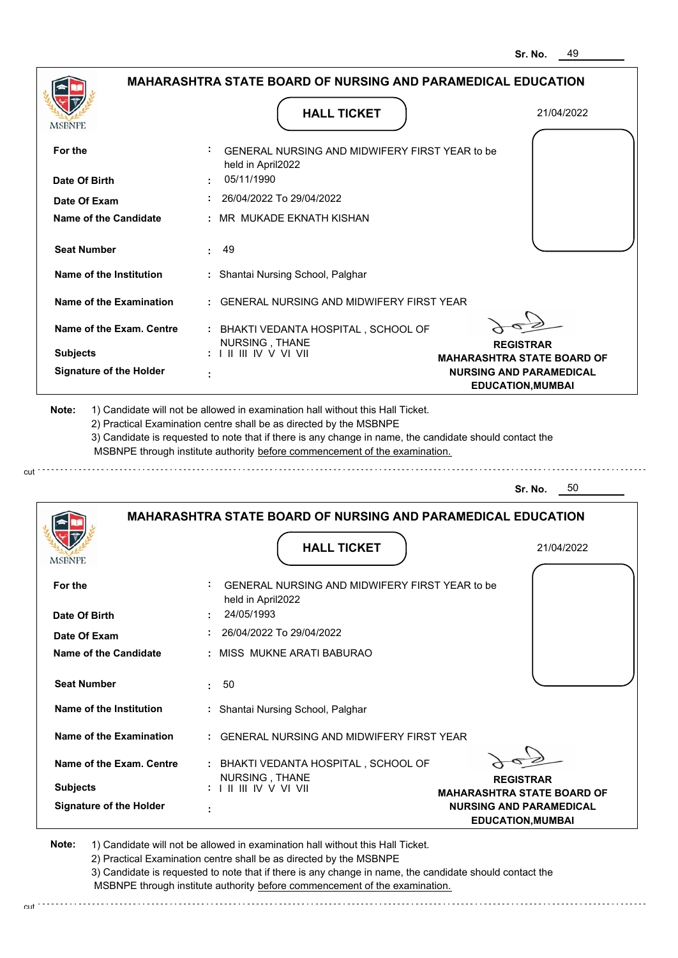|                                                                                                                                                                                                                                                                                                                                               |            |                                                                                                                          | <b>MAHARASHTRA STATE BOARD OF NURSING AND PARAMEDICAL EDUCATION</b> |                                                       |
|-----------------------------------------------------------------------------------------------------------------------------------------------------------------------------------------------------------------------------------------------------------------------------------------------------------------------------------------------|------------|--------------------------------------------------------------------------------------------------------------------------|---------------------------------------------------------------------|-------------------------------------------------------|
|                                                                                                                                                                                                                                                                                                                                               |            | <b>HALL TICKET</b>                                                                                                       |                                                                     | 21/04/2022                                            |
| MSBNPE                                                                                                                                                                                                                                                                                                                                        |            |                                                                                                                          |                                                                     |                                                       |
| For the                                                                                                                                                                                                                                                                                                                                       |            | GENERAL NURSING AND MIDWIFERY FIRST YEAR to be<br>held in April2022                                                      |                                                                     |                                                       |
| Date Of Birth                                                                                                                                                                                                                                                                                                                                 | 05/11/1990 |                                                                                                                          |                                                                     |                                                       |
| Date Of Exam                                                                                                                                                                                                                                                                                                                                  |            | 26/04/2022 To 29/04/2022                                                                                                 |                                                                     |                                                       |
| <b>Name of the Candidate</b>                                                                                                                                                                                                                                                                                                                  |            | MR MUKADE EKNATH KISHAN                                                                                                  |                                                                     |                                                       |
| <b>Seat Number</b>                                                                                                                                                                                                                                                                                                                            | 49<br>÷.   |                                                                                                                          |                                                                     |                                                       |
| Name of the Institution                                                                                                                                                                                                                                                                                                                       |            | : Shantai Nursing School, Palghar                                                                                        |                                                                     |                                                       |
| Name of the Examination                                                                                                                                                                                                                                                                                                                       |            | <b>GENERAL NURSING AND MIDWIFERY FIRST YEAR</b>                                                                          |                                                                     |                                                       |
| Name of the Exam. Centre                                                                                                                                                                                                                                                                                                                      |            | : BHAKTI VEDANTA HOSPITAL, SCHOOL OF<br>NURSING, THANE                                                                   |                                                                     | <b>REGISTRAR</b>                                      |
| <b>Subjects</b>                                                                                                                                                                                                                                                                                                                               |            | $: 1 \mathbb{I} \mathbb{I} \mathbb{I} \mathbb{I} \mathbb{I} \mathbb{V} \vee \mathbb{V} \mathbb{I} \mathbb{V} \mathbb{I}$ |                                                                     | <b>MAHARASHTRA STATE BOARD OF</b>                     |
| <b>Signature of the Holder</b>                                                                                                                                                                                                                                                                                                                |            |                                                                                                                          |                                                                     | <b>NURSING AND PARAMEDICAL</b>                        |
| 1) Candidate will not be allowed in examination hall without this Hall Ticket.<br>2) Practical Examination centre shall be as directed by the MSBNPE<br>3) Candidate is requested to note that if there is any change in name, the candidate should contact the<br>MSBNPE through institute authority before commencement of the examination. |            |                                                                                                                          |                                                                     | <b>EDUCATION, MUMBAI</b><br>50<br>Sr. No.             |
|                                                                                                                                                                                                                                                                                                                                               |            |                                                                                                                          |                                                                     |                                                       |
|                                                                                                                                                                                                                                                                                                                                               |            |                                                                                                                          | <b>MAHARASHTRA STATE BOARD OF NURSING AND PARAMEDICAL EDUCATION</b> |                                                       |
|                                                                                                                                                                                                                                                                                                                                               |            | <b>HALL TICKET</b>                                                                                                       |                                                                     | 21/04/2022                                            |
| For the                                                                                                                                                                                                                                                                                                                                       |            | GENERAL NURSING AND MIDWIFERY FIRST YEAR to be<br>held in April2022                                                      |                                                                     |                                                       |
|                                                                                                                                                                                                                                                                                                                                               | 24/05/1993 |                                                                                                                          |                                                                     |                                                       |
| Date Of Exam                                                                                                                                                                                                                                                                                                                                  |            | 26/04/2022 To 29/04/2022                                                                                                 |                                                                     |                                                       |
| Date Of Birth<br><b>Name of the Candidate</b>                                                                                                                                                                                                                                                                                                 |            | MISS MUKNE ARATI BABURAO                                                                                                 |                                                                     |                                                       |
| <b>Seat Number</b>                                                                                                                                                                                                                                                                                                                            | 50<br>÷    |                                                                                                                          |                                                                     |                                                       |
| Name of the Institution                                                                                                                                                                                                                                                                                                                       |            | : Shantai Nursing School, Palghar                                                                                        |                                                                     |                                                       |
| Name of the Examination                                                                                                                                                                                                                                                                                                                       |            | <b>GENERAL NURSING AND MIDWIFERY FIRST YEAR</b>                                                                          |                                                                     |                                                       |
| Name of the Exam. Centre                                                                                                                                                                                                                                                                                                                      |            | : BHAKTI VEDANTA HOSPITAL, SCHOOL OF                                                                                     |                                                                     |                                                       |
| Note:<br>MSBNPE<br><b>Subjects</b>                                                                                                                                                                                                                                                                                                            |            | NURSING, THANE                                                                                                           |                                                                     | <b>REGISTRAR</b><br><b>MAHARASHTRA STATE BOARD OF</b> |

**Note:**  1) Candidate will not be allowed in examination hall without this Hall Ticket. 2) Practical Examination centre shall be as directed by the MSBNPE

cut

3) Candidate is requested to note that if there is any change in name, the candidate should contact the MSBNPE through institute authority before commencement of the examination.

cut de la component de la component de la component de la component de la component de la component de la component de la component de la component de la component de la component de la component de la component de la comp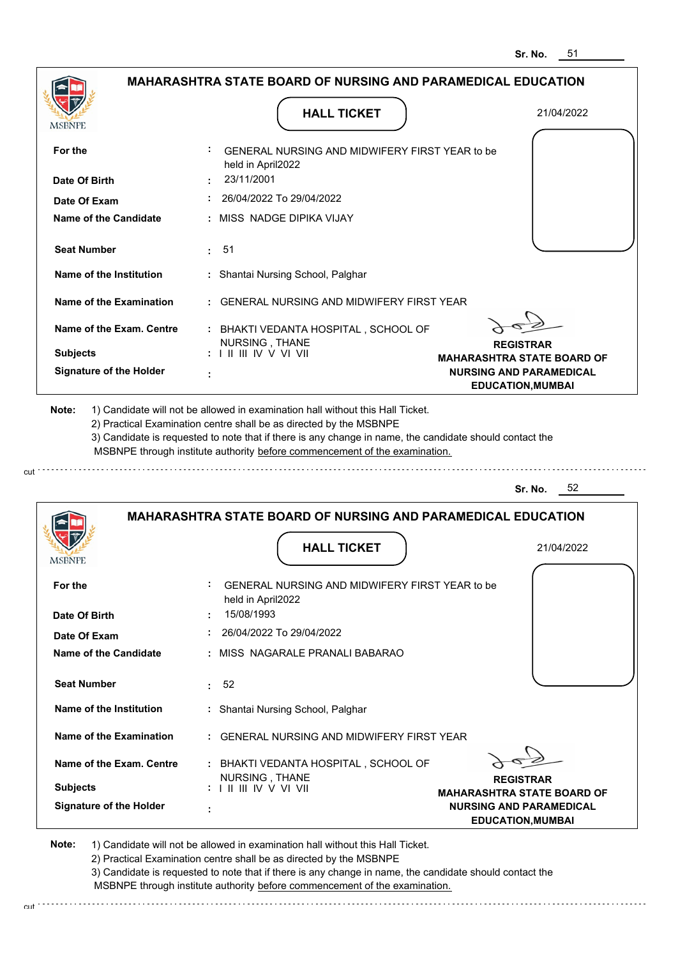|                                                                                                                                                                                    | <b>MAHARASHTRA STATE BOARD OF NURSING AND PARAMEDICAL EDUCATION</b>                                                                                                                   |                                                            |
|------------------------------------------------------------------------------------------------------------------------------------------------------------------------------------|---------------------------------------------------------------------------------------------------------------------------------------------------------------------------------------|------------------------------------------------------------|
| <b>MSBNPE</b>                                                                                                                                                                      | <b>HALL TICKET</b>                                                                                                                                                                    | 21/04/2022                                                 |
| For the                                                                                                                                                                            | GENERAL NURSING AND MIDWIFERY FIRST YEAR to be<br>held in April2022                                                                                                                   |                                                            |
| Date Of Birth                                                                                                                                                                      | 23/11/2001                                                                                                                                                                            |                                                            |
| Date Of Exam                                                                                                                                                                       | 26/04/2022 To 29/04/2022                                                                                                                                                              |                                                            |
| <b>Name of the Candidate</b>                                                                                                                                                       | : MISS NADGE DIPIKA VIJAY                                                                                                                                                             |                                                            |
| <b>Seat Number</b>                                                                                                                                                                 | 51<br>÷.                                                                                                                                                                              |                                                            |
| Name of the Institution                                                                                                                                                            | : Shantai Nursing School, Palghar                                                                                                                                                     |                                                            |
| Name of the Examination                                                                                                                                                            | : GENERAL NURSING AND MIDWIFERY FIRST YEAR                                                                                                                                            |                                                            |
| Name of the Exam. Centre                                                                                                                                                           | : BHAKTI VEDANTA HOSPITAL, SCHOOL OF<br>NURSING, THANE                                                                                                                                | <b>REGISTRAR</b>                                           |
| <b>Subjects</b>                                                                                                                                                                    | $: 1 \parallel \parallel \parallel$ IV V VI VII                                                                                                                                       | <b>MAHARASHTRA STATE BOARD OF</b>                          |
| <b>Signature of the Holder</b>                                                                                                                                                     |                                                                                                                                                                                       | <b>NURSING AND PARAMEDICAL</b><br><b>EDUCATION, MUMBAI</b> |
|                                                                                                                                                                                    | 3) Candidate is requested to note that if there is any change in name, the candidate should contact the<br>MSBNPE through institute authority before commencement of the examination. |                                                            |
|                                                                                                                                                                                    |                                                                                                                                                                                       | 52<br>Sr. No.                                              |
|                                                                                                                                                                                    | <b>MAHARASHTRA STATE BOARD OF NURSING AND PARAMEDICAL EDUCATION</b>                                                                                                                   |                                                            |
|                                                                                                                                                                                    | <b>HALL TICKET</b>                                                                                                                                                                    | 21/04/2022                                                 |
|                                                                                                                                                                                    | GENERAL NURSING AND MIDWIFERY FIRST YEAR to be<br>held in April2022                                                                                                                   |                                                            |
|                                                                                                                                                                                    | 15/08/1993                                                                                                                                                                            |                                                            |
|                                                                                                                                                                                    | 26/04/2022 To 29/04/2022                                                                                                                                                              |                                                            |
|                                                                                                                                                                                    | : MISS NAGARALE PRANALI BABARAO                                                                                                                                                       |                                                            |
|                                                                                                                                                                                    | : 52                                                                                                                                                                                  |                                                            |
|                                                                                                                                                                                    | : Shantai Nursing School, Palghar                                                                                                                                                     |                                                            |
|                                                                                                                                                                                    | : GENERAL NURSING AND MIDWIFERY FIRST YEAR                                                                                                                                            |                                                            |
| MSBNP<br>For the<br>Date Of Birth<br>Date Of Exam<br>Name of the Candidate<br><b>Seat Number</b><br>Name of the Institution<br>Name of the Examination<br>Name of the Exam. Centre | : BHAKTI VEDANTA HOSPITAL, SCHOOL OF                                                                                                                                                  |                                                            |
| <b>Subjects</b>                                                                                                                                                                    | NURSING, THANE<br>: I II III IV V VI VII                                                                                                                                              | <b>REGISTRAR</b><br><b>MAHARASHTRA STATE BOARD OF</b>      |

2) Practical Examination centre shall be as directed by the MSBNPE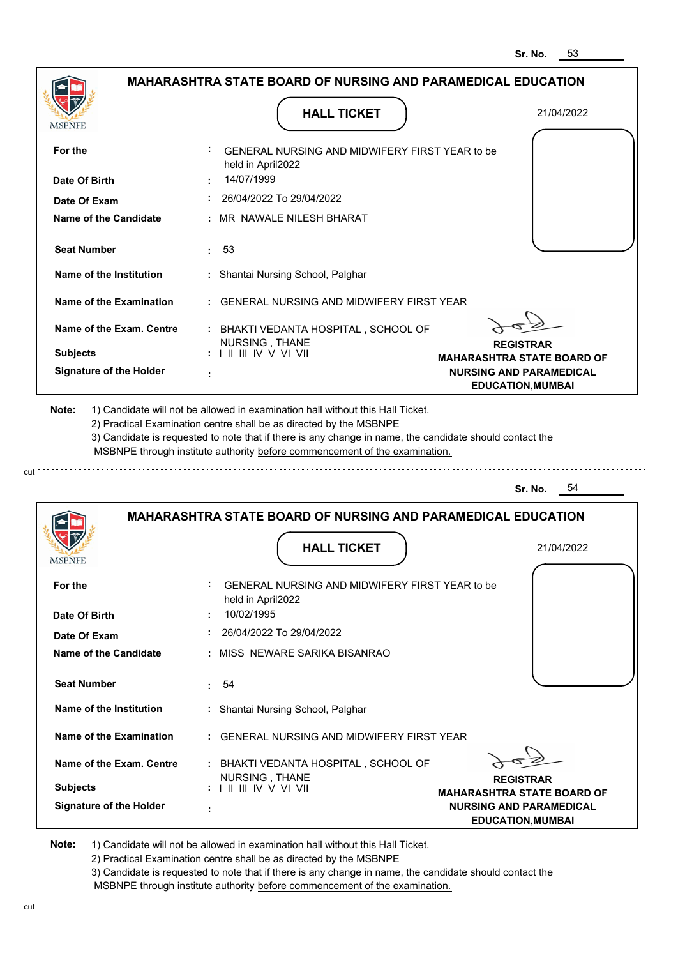|                                                   |                                                                                                                                             | Sr. NO.<br>აა                                                                                   |
|---------------------------------------------------|---------------------------------------------------------------------------------------------------------------------------------------------|-------------------------------------------------------------------------------------------------|
|                                                   | <b>MAHARASHTRA STATE BOARD OF NURSING AND PARAMEDICAL EDUCATION</b>                                                                         |                                                                                                 |
| <b>MSBNPE</b>                                     | <b>HALL TICKET</b>                                                                                                                          | 21/04/2022                                                                                      |
| For the                                           | GENERAL NURSING AND MIDWIFERY FIRST YEAR to be<br>held in April2022                                                                         |                                                                                                 |
| Date Of Birth                                     | 14/07/1999                                                                                                                                  |                                                                                                 |
| Date Of Exam                                      | 26/04/2022 To 29/04/2022                                                                                                                    |                                                                                                 |
| <b>Name of the Candidate</b>                      | : MR NAWALE NILESH BHARAT                                                                                                                   |                                                                                                 |
| <b>Seat Number</b>                                | 53<br>÷.                                                                                                                                    |                                                                                                 |
| Name of the Institution                           | : Shantai Nursing School, Palghar                                                                                                           |                                                                                                 |
| Name of the Examination                           | : GENERAL NURSING AND MIDWIFERY FIRST YEAR                                                                                                  |                                                                                                 |
| Name of the Exam. Centre                          | : BHAKTI VEDANTA HOSPITAL, SCHOOL OF<br>NURSING, THANE                                                                                      | <b>REGISTRAR</b>                                                                                |
| <b>Subjects</b><br><b>Signature of the Holder</b> | $: 1 \mathbb{H} \mathbb{H} \mathbb{N} \vee \mathbb{V} \mathbb{V} \mathbb{H}$                                                                | <b>MAHARASHTRA STATE BOARD OF</b><br><b>NURSING AND PARAMEDICAL</b><br><b>EDUCATION, MUMBAI</b> |
|                                                   |                                                                                                                                             | 54<br>Sr. No.                                                                                   |
| MSBNPI                                            | <b>MAHARASHTRA STATE BOARD OF NURSING AND PARAMEDICAL EDUCATION</b><br><b>HALL TICKET</b><br>GENERAL NURSING AND MIDWIFERY FIRST YEAR to be | 21/04/2022                                                                                      |
| For the<br>Date Of Birth                          | held in April2022<br>10/02/1995                                                                                                             |                                                                                                 |
| Date Of Exam                                      | $: 26/04/2022$ To 29/04/2022                                                                                                                |                                                                                                 |
| Name of the Candidate                             | : MISS NEWARE SARIKA BISANRAO                                                                                                               |                                                                                                 |
| <b>Seat Number</b>                                | : 54                                                                                                                                        |                                                                                                 |
| Name of the Institution                           | : Shantai Nursing School, Palghar                                                                                                           |                                                                                                 |
| Name of the Examination                           | : GENERAL NURSING AND MIDWIFERY FIRST YEAR                                                                                                  |                                                                                                 |
| Name of the Exam. Centre                          |                                                                                                                                             |                                                                                                 |
| <b>Subjects</b>                                   | : BHAKTI VEDANTA HOSPITAL, SCHOOL OF<br>NURSING, THANE<br>: I II III IV V VI VII                                                            | <b>REGISTRAR</b><br><b>MAHARASHTRA STATE BOARD OF</b>                                           |

**Note:**  1) Candidate will not be allowed in examination hall without this Hall Ticket.

2) Practical Examination centre shall be as directed by the MSBNPE

3) Candidate is requested to note that if there is any change in name, the candidate should contact the MSBNPE through institute authority before commencement of the examination. cut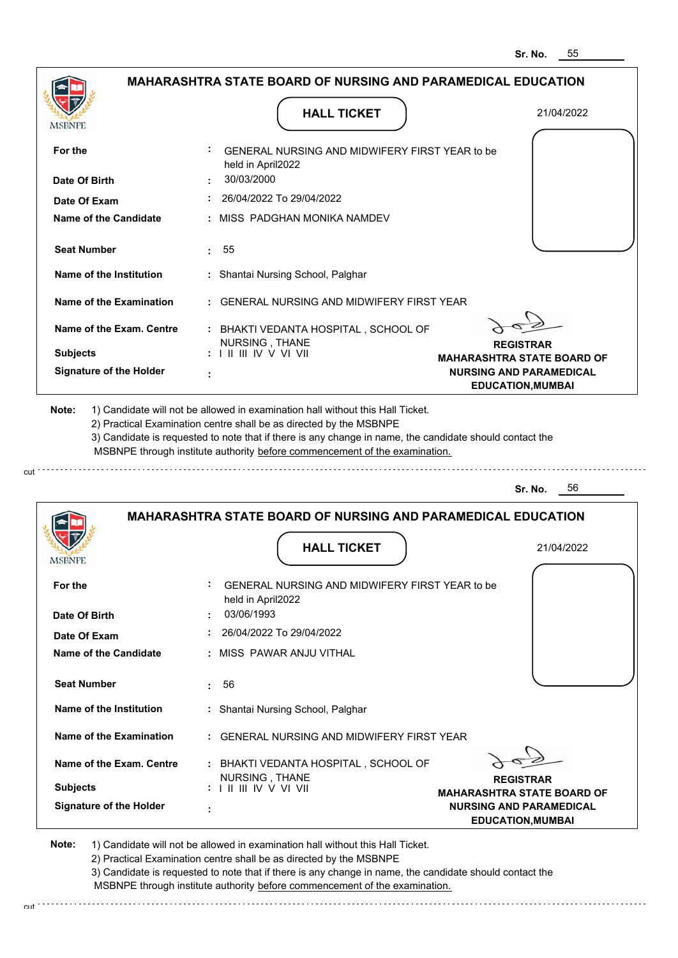|                                |                                                                     | <u> จr. พบ.</u><br>ບບ                                      |
|--------------------------------|---------------------------------------------------------------------|------------------------------------------------------------|
|                                | MAHARASHTRA STATE BOARD OF NURSING AND PARAMEDICAL EDUCATION        |                                                            |
|                                | <b>HALL TICKET</b>                                                  | 21/04/2022                                                 |
| MSBNPE                         |                                                                     |                                                            |
| For the                        | GENERAL NURSING AND MIDWIFERY FIRST YEAR to be<br>held in April2022 |                                                            |
| Date Of Birth                  | 30/03/2000                                                          |                                                            |
| Date Of Exam                   | 26/04/2022 To 29/04/2022                                            |                                                            |
| <b>Name of the Candidate</b>   | MISS PADGHAN MONIKA NAMDEV                                          |                                                            |
| <b>Seat Number</b>             | 55                                                                  |                                                            |
| Name of the Institution        | : Shantai Nursing School, Palghar                                   |                                                            |
| <b>Name of the Examination</b> | <b>GENERAL NURSING AND MIDWIFERY FIRST YEAR</b>                     |                                                            |
| Name of the Exam. Centre       | : BHAKTI VEDANTA HOSPITAL, SCHOOL OF                                |                                                            |
| <b>Subjects</b>                | NURSING, THANE<br>$: 1 \mathbb{I}$ III IIV V VI VII                 | <b>REGISTRAR</b><br><b>MAHARASHTRA STATE BOARD OF</b>      |
| <b>Signature of the Holder</b> |                                                                     | <b>NURSING AND PARAMEDICAL</b><br><b>EDUCATION, MUMBAI</b> |
|                                |                                                                     | Sr. No.<br>56                                              |
|                                | <b>MAHARASHTRA STATE BOARD OF NURSING AND PARAMEDICAL EDUCATION</b> |                                                            |
|                                |                                                                     |                                                            |
| MSBNPE                         | <b>HALL TICKET</b>                                                  | 21/04/2022                                                 |
| For the                        | GENERAL NURSING AND MIDWIFERY FIRST YEAR to be<br>held in April2022 |                                                            |
| Date Of Birth                  | 03/06/1993                                                          |                                                            |
| Date Of Exam                   | 26/04/2022 To 29/04/2022                                            |                                                            |
| Name of the Candidate          | : MISS PAWAR ANJU VITHAL                                            |                                                            |
| <b>Seat Number</b>             | 56<br>÷                                                             |                                                            |
| Name of the Institution        | : Shantai Nursing School, Palghar                                   |                                                            |
| Name of the Examination        | <b>GENERAL NURSING AND MIDWIFERY FIRST YEAR</b>                     |                                                            |
| Name of the Exam. Centre       | : BHAKTI VEDANTA HOSPITAL, SCHOOL OF<br>NURSING, THANE              | <b>REGISTRAR</b>                                           |
| <b>Subjects</b>                |                                                                     | <b>MAHARASHTRA STATE BOARD OF</b>                          |
| <b>Signature of the Holder</b> |                                                                     | <b>NURSING AND PARAMEDICAL</b><br><b>EDUCATION, MUMBAI</b> |

**Note:**  1) Candidate will not be allowed in examination hall without this Hall Ticket.

cut

2) Practical Examination centre shall be as directed by the MSBNPE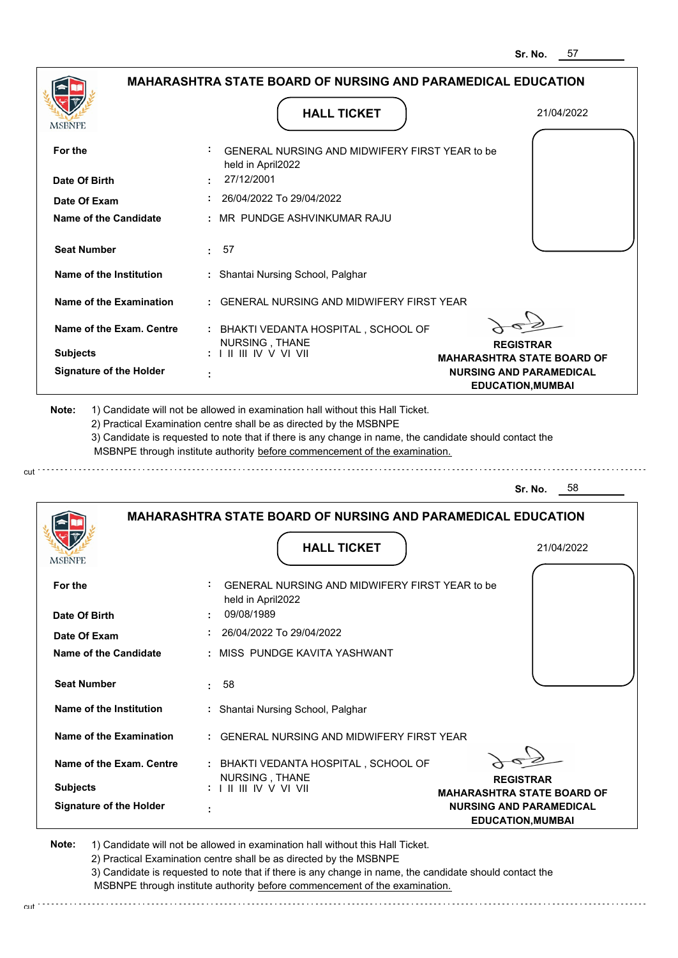|                                                                                     | <b>MAHARASHTRA STATE BOARD OF NURSING AND PARAMEDICAL EDUCATION</b>                                                                                                                                                                                                                                                                           |                                                                     |
|-------------------------------------------------------------------------------------|-----------------------------------------------------------------------------------------------------------------------------------------------------------------------------------------------------------------------------------------------------------------------------------------------------------------------------------------------|---------------------------------------------------------------------|
|                                                                                     | <b>HALL TICKET</b>                                                                                                                                                                                                                                                                                                                            | 21/04/2022                                                          |
| <b>MSBNPE</b>                                                                       |                                                                                                                                                                                                                                                                                                                                               |                                                                     |
| For the                                                                             | GENERAL NURSING AND MIDWIFERY FIRST YEAR to be<br>held in April2022                                                                                                                                                                                                                                                                           |                                                                     |
| Date Of Birth                                                                       | 27/12/2001                                                                                                                                                                                                                                                                                                                                    |                                                                     |
| Date Of Exam                                                                        | 26/04/2022 To 29/04/2022                                                                                                                                                                                                                                                                                                                      |                                                                     |
| <b>Name of the Candidate</b>                                                        | MR PUNDGE ASHVINKUMAR RAJU                                                                                                                                                                                                                                                                                                                    |                                                                     |
| <b>Seat Number</b>                                                                  | : 57                                                                                                                                                                                                                                                                                                                                          |                                                                     |
| <b>Name of the Institution</b>                                                      | : Shantai Nursing School, Palghar                                                                                                                                                                                                                                                                                                             |                                                                     |
| Name of the Examination                                                             | <b>GENERAL NURSING AND MIDWIFERY FIRST YEAR</b>                                                                                                                                                                                                                                                                                               |                                                                     |
| Name of the Exam. Centre                                                            | : BHAKTI VEDANTA HOSPITAL, SCHOOL OF                                                                                                                                                                                                                                                                                                          |                                                                     |
| <b>Subjects</b>                                                                     | NURSING, THANE<br>$: 1 \mathbb{I}$ III IIV V VI VII                                                                                                                                                                                                                                                                                           | <b>REGISTRAR</b>                                                    |
| <b>Signature of the Holder</b>                                                      | ÷                                                                                                                                                                                                                                                                                                                                             | <b>MAHARASHTRA STATE BOARD OF</b><br><b>NURSING AND PARAMEDICAL</b> |
|                                                                                     | 1) Candidate will not be allowed in examination hall without this Hall Ticket.<br>2) Practical Examination centre shall be as directed by the MSBNPE<br>3) Candidate is requested to note that if there is any change in name, the candidate should contact the<br>MSBNPE through institute authority before commencement of the examination. | <b>EDUCATION, MUMBAI</b><br>- 58<br>Sr. No.                         |
|                                                                                     |                                                                                                                                                                                                                                                                                                                                               |                                                                     |
|                                                                                     | <b>MAHARASHTRA STATE BOARD OF NURSING AND PARAMEDICAL EDUCATION</b>                                                                                                                                                                                                                                                                           |                                                                     |
|                                                                                     | <b>HALL TICKET</b>                                                                                                                                                                                                                                                                                                                            | 21/04/2022                                                          |
|                                                                                     |                                                                                                                                                                                                                                                                                                                                               |                                                                     |
|                                                                                     | GENERAL NURSING AND MIDWIFERY FIRST YEAR to be                                                                                                                                                                                                                                                                                                |                                                                     |
|                                                                                     | held in April2022<br>09/08/1989                                                                                                                                                                                                                                                                                                               |                                                                     |
|                                                                                     | 26/04/2022 To 29/04/2022                                                                                                                                                                                                                                                                                                                      |                                                                     |
|                                                                                     | MISS PUNDGE KAVITA YASHWANT                                                                                                                                                                                                                                                                                                                   |                                                                     |
| Date Of Exam<br><b>Seat Number</b>                                                  | 58<br>÷                                                                                                                                                                                                                                                                                                                                       |                                                                     |
| Name of the Institution                                                             | : Shantai Nursing School, Palghar                                                                                                                                                                                                                                                                                                             |                                                                     |
| For the<br>Date Of Birth<br>Name of the Candidate<br><b>Name of the Examination</b> | <b>GENERAL NURSING AND MIDWIFERY FIRST YEAR</b>                                                                                                                                                                                                                                                                                               |                                                                     |
| Name of the Exam. Centre                                                            | : BHAKTI VEDANTA HOSPITAL, SCHOOL OF                                                                                                                                                                                                                                                                                                          |                                                                     |
| Note:<br>MSBNPE<br><b>Subjects</b>                                                  | NURSING, THANE                                                                                                                                                                                                                                                                                                                                | <b>REGISTRAR</b><br><b>MAHARASHTRA STATE BOARD OF</b>               |

cut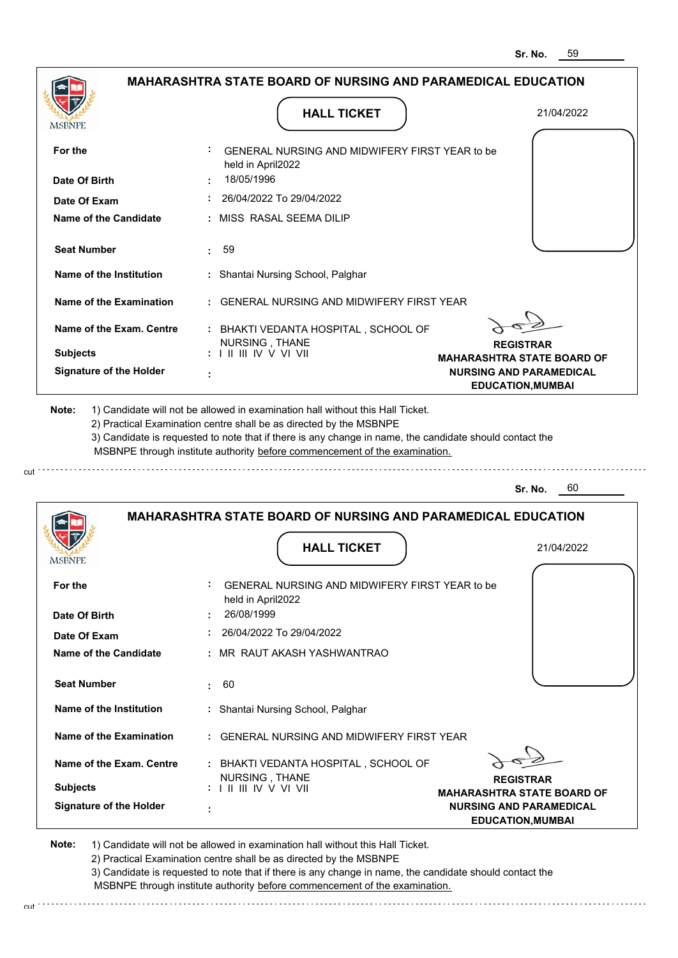**NURSING AND PARAMEDICAL EDUCATION,MUMBAI**

|                                |                                                                            | 59<br>Sr. No.                                              |
|--------------------------------|----------------------------------------------------------------------------|------------------------------------------------------------|
|                                | <b>MAHARASHTRA STATE BOARD OF NURSING AND PARAMEDICAL EDUCATION</b>        |                                                            |
|                                | <b>HALL TICKET</b>                                                         | 21/04/2022                                                 |
| MSBNPE                         |                                                                            |                                                            |
| For the                        | GENERAL NURSING AND MIDWIFERY FIRST YEAR to be<br>held in April2022        |                                                            |
| Date Of Birth                  | 18/05/1996                                                                 |                                                            |
| Date Of Exam                   | 26/04/2022 To 29/04/2022                                                   |                                                            |
| Name of the Candidate          | MISS RASAL SEEMA DILIP                                                     |                                                            |
| <b>Seat Number</b>             | 59                                                                         |                                                            |
| Name of the Institution        | : Shantai Nursing School, Palghar                                          |                                                            |
| <b>Name of the Examination</b> | <b>GENERAL NURSING AND MIDWIFERY FIRST YEAR</b>                            |                                                            |
| Name of the Exam. Centre       | : BHAKTI VEDANTA HOSPITAL, SCHOOL OF                                       |                                                            |
| <b>Subjects</b>                | NURSING, THANE<br>$: 1$ II III IV V VI VII                                 | <b>REGISTRAR</b>                                           |
| <b>Signature of the Holder</b> |                                                                            | <b>MAHARASHTRA STATE BOARD OF</b>                          |
|                                |                                                                            | <b>NURSING AND PARAMEDICAL</b><br><b>EDUCATION, MUMBAI</b> |
|                                | MSBNPE through institute authority before commencement of the examination. |                                                            |
|                                |                                                                            | 60<br>Sr. No.                                              |
|                                | <b>MAHARASHTRA STATE BOARD OF NURSING AND PARAMEDICAL EDUCATION</b>        |                                                            |
| <b>IMPDIAL P</b>               | <b>HALL TICKET</b>                                                         | 21/04/2022                                                 |
| For the                        | GENERAL NURSING AND MIDWIFERY FIRST YEAR to be<br>held in April2022        |                                                            |
| Date Of Birth                  | 26/08/1999                                                                 |                                                            |
| Date Of Exam                   | 26/04/2022 To 29/04/2022                                                   |                                                            |
| <b>Name of the Candidate</b>   | MR RAUT AKASH YASHWANTRAO                                                  |                                                            |
|                                |                                                                            |                                                            |
| <b>Seat Number</b>             | 60<br>÷.                                                                   |                                                            |
| Name of the Institution        | Shantai Nursing School, Palghar                                            |                                                            |
| Name of the Examination        | <b>GENERAL NURSING AND MIDWIFERY FIRST YEAR</b>                            |                                                            |
| Name of the Exam. Centre       | : BHAKTI VEDANTA HOSPITAL, SCHOOL OF<br>NURSING, THANE                     | <b>REGISTRAR</b>                                           |
| <b>Subjects</b>                | : I II III IV V VI VII                                                     | <b>MAHARASHTRA STATE BOARD OF</b>                          |

**Note:**  1) Candidate will not be allowed in examination hall without this Hall Ticket.

2) Practical Examination centre shall be as directed by the MSBNPE

 **:**

**Signature of the Holder**

cut

3) Candidate is requested to note that if there is any change in name, the candidate should contact the MSBNPE through institute authority before commencement of the examination. cut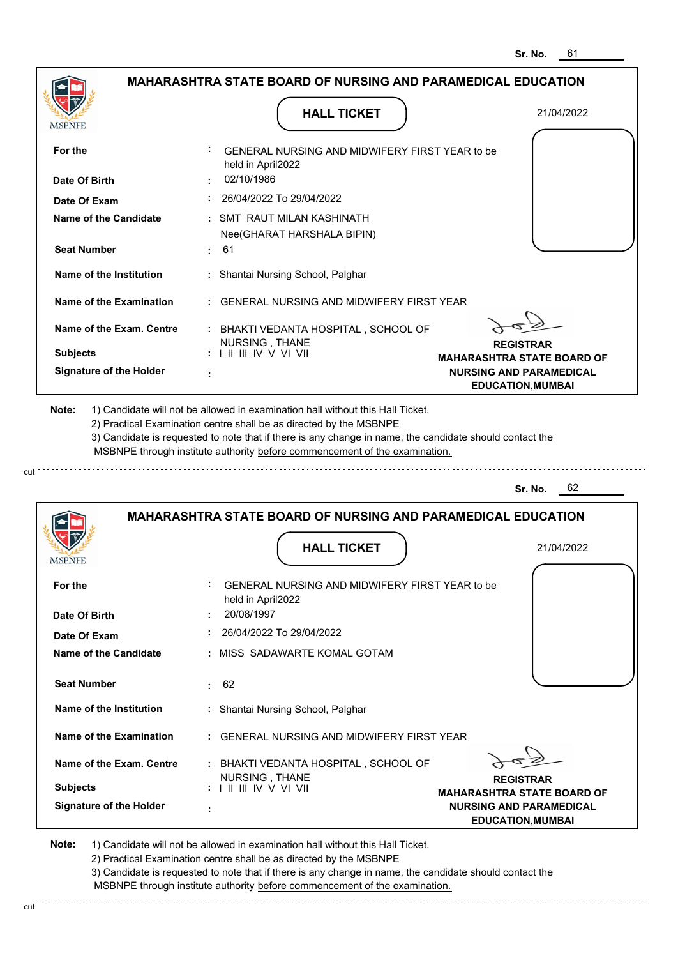|                                |                                                                                                                                                                                       | อเ. เงบ.<br>υı                                             |
|--------------------------------|---------------------------------------------------------------------------------------------------------------------------------------------------------------------------------------|------------------------------------------------------------|
|                                | MAHARASHTRA STATE BOARD OF NURSING AND PARAMEDICAL EDUCATION                                                                                                                          |                                                            |
| MSBNPE                         | <b>HALL TICKET</b>                                                                                                                                                                    | 21/04/2022                                                 |
| For the                        | GENERAL NURSING AND MIDWIFERY FIRST YEAR to be<br>held in April2022                                                                                                                   |                                                            |
| Date Of Birth                  | 02/10/1986                                                                                                                                                                            |                                                            |
| Date Of Exam                   | 26/04/2022 To 29/04/2022                                                                                                                                                              |                                                            |
| <b>Name of the Candidate</b>   | : SMT RAUT MILAN KASHINATH<br>Nee(GHARAT HARSHALA BIPIN)                                                                                                                              |                                                            |
| <b>Seat Number</b>             | 61<br>÷.                                                                                                                                                                              |                                                            |
| Name of the Institution        | Shantai Nursing School, Palghar<br>÷.                                                                                                                                                 |                                                            |
| <b>Name of the Examination</b> | <b>GENERAL NURSING AND MIDWIFERY FIRST YEAR</b>                                                                                                                                       |                                                            |
| Name of the Exam. Centre       | : BHAKTI VEDANTA HOSPITAL, SCHOOL OF                                                                                                                                                  |                                                            |
| <b>Subjects</b>                | NURSING, THANE<br>: I II III IV V VI VII                                                                                                                                              | <b>REGISTRAR</b><br><b>MAHARASHTRA STATE BOARD OF</b>      |
| <b>Signature of the Holder</b> |                                                                                                                                                                                       | <b>NURSING AND PARAMEDICAL</b><br><b>EDUCATION, MUMBAI</b> |
|                                | 3) Candidate is requested to note that if there is any change in name, the candidate should contact the<br>MSBNPE through institute authority before commencement of the examination. | 62<br>Sr. No.                                              |
|                                | <b>MAHARASHTRA STATE BOARD OF NURSING AND PARAMEDICAL EDUCATION</b><br><b>HALL TICKET</b>                                                                                             |                                                            |
| MSBNPE                         |                                                                                                                                                                                       | 21/04/2022                                                 |
| For the                        | GENERAL NURSING AND MIDWIFERY FIRST YEAR to be<br>held in April2022                                                                                                                   |                                                            |
| Date Of Birth                  | 20/08/1997                                                                                                                                                                            |                                                            |
| Date Of Exam                   | 26/04/2022 To 29/04/2022                                                                                                                                                              |                                                            |
| Name of the Candidate          | : MISS SADAWARTE KOMAL GOTAM                                                                                                                                                          |                                                            |
| <b>Seat Number</b>             | 62<br>÷                                                                                                                                                                               |                                                            |
| Name of the Institution        | : Shantai Nursing School, Palghar                                                                                                                                                     |                                                            |
| Name of the Examination        | <b>GENERAL NURSING AND MIDWIFERY FIRST YEAR</b>                                                                                                                                       |                                                            |
| Name of the Exam. Centre       | : BHAKTI VEDANTA HOSPITAL, SCHOOL OF<br>NURSING, THANE                                                                                                                                | <b>REGISTRAR</b>                                           |
| <b>Subjects</b>                | $: 1 \mathbb{I}$ III IIV V VI VII                                                                                                                                                     | <b>MAHARASHTRA STATE BOARD OF</b>                          |
| <b>Signature of the Holder</b> |                                                                                                                                                                                       | <b>NURSING AND PARAMEDICAL</b><br><b>EDUCATION, MUMBAI</b> |

cut

2) Practical Examination centre shall be as directed by the MSBNPE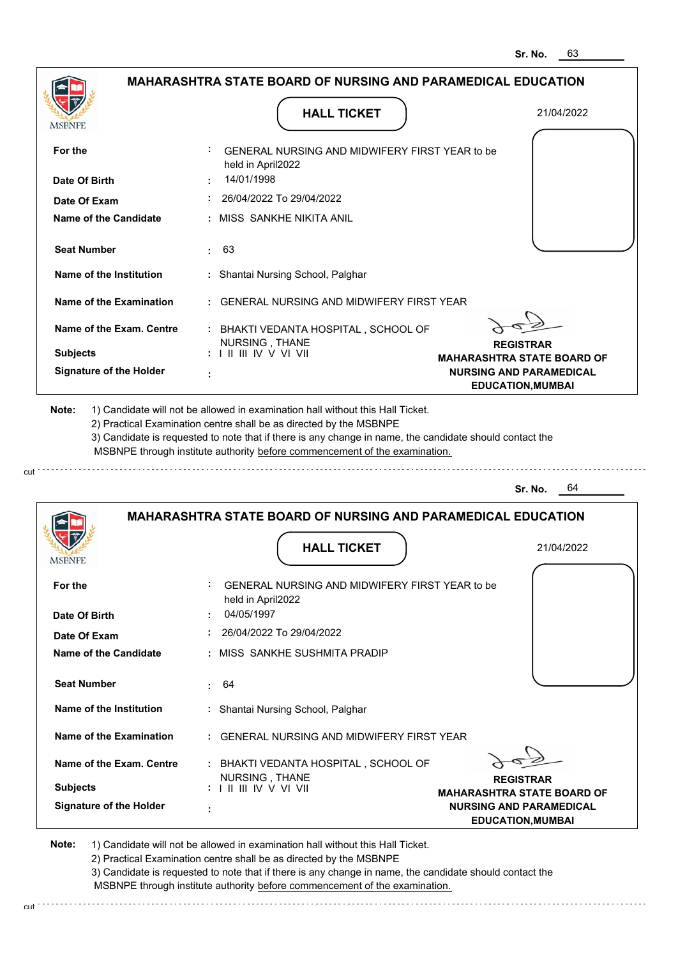|                                                                                              | <b>MAHARASHTRA STATE BOARD OF NURSING AND PARAMEDICAL EDUCATION</b>                                                                                                                                                                                                                                                                           |                                                            |
|----------------------------------------------------------------------------------------------|-----------------------------------------------------------------------------------------------------------------------------------------------------------------------------------------------------------------------------------------------------------------------------------------------------------------------------------------------|------------------------------------------------------------|
| <b>MSBNPE</b>                                                                                | <b>HALL TICKET</b>                                                                                                                                                                                                                                                                                                                            | 21/04/2022                                                 |
| For the                                                                                      | GENERAL NURSING AND MIDWIFERY FIRST YEAR to be<br>held in April2022                                                                                                                                                                                                                                                                           |                                                            |
| Date Of Birth                                                                                | 14/01/1998                                                                                                                                                                                                                                                                                                                                    |                                                            |
| Date Of Exam                                                                                 | 26/04/2022 To 29/04/2022                                                                                                                                                                                                                                                                                                                      |                                                            |
| <b>Name of the Candidate</b>                                                                 | : MISS SANKHE NIKITA ANIL                                                                                                                                                                                                                                                                                                                     |                                                            |
| <b>Seat Number</b>                                                                           | 63<br>t.                                                                                                                                                                                                                                                                                                                                      |                                                            |
| Name of the Institution                                                                      | : Shantai Nursing School, Palghar                                                                                                                                                                                                                                                                                                             |                                                            |
| Name of the Examination                                                                      | : GENERAL NURSING AND MIDWIFERY FIRST YEAR                                                                                                                                                                                                                                                                                                    |                                                            |
| Name of the Exam. Centre                                                                     | : BHAKTI VEDANTA HOSPITAL, SCHOOL OF                                                                                                                                                                                                                                                                                                          |                                                            |
| <b>Subjects</b>                                                                              | NURSING, THANE<br>: I II III IV V VI VII                                                                                                                                                                                                                                                                                                      | <b>REGISTRAR</b><br><b>MAHARASHTRA STATE BOARD OF</b>      |
| <b>Signature of the Holder</b>                                                               |                                                                                                                                                                                                                                                                                                                                               | <b>NURSING AND PARAMEDICAL</b><br><b>EDUCATION, MUMBAI</b> |
|                                                                                              | 1) Candidate will not be allowed in examination hall without this Hall Ticket.<br>2) Practical Examination centre shall be as directed by the MSBNPE<br>3) Candidate is requested to note that if there is any change in name, the candidate should contact the<br>MSBNPE through institute authority before commencement of the examination. |                                                            |
|                                                                                              |                                                                                                                                                                                                                                                                                                                                               | Sr. No.<br>64                                              |
|                                                                                              | <b>MAHARASHTRA STATE BOARD OF NURSING AND PARAMEDICAL EDUCATION</b>                                                                                                                                                                                                                                                                           |                                                            |
| Note:<br><b>MSBNPE</b>                                                                       | <b>HALL TICKET</b>                                                                                                                                                                                                                                                                                                                            | 21/04/2022                                                 |
|                                                                                              | GENERAL NURSING AND MIDWIFERY FIRST YEAR to be<br>held in April2022                                                                                                                                                                                                                                                                           |                                                            |
|                                                                                              | 04/05/1997                                                                                                                                                                                                                                                                                                                                    |                                                            |
|                                                                                              | 26/04/2022 To 29/04/2022                                                                                                                                                                                                                                                                                                                      |                                                            |
|                                                                                              | : MISS SANKHE SUSHMITA PRADIP                                                                                                                                                                                                                                                                                                                 |                                                            |
| <b>Seat Number</b>                                                                           | : 64                                                                                                                                                                                                                                                                                                                                          |                                                            |
| Name of the Institution                                                                      | : Shantai Nursing School, Palghar                                                                                                                                                                                                                                                                                                             |                                                            |
| For the<br>Date Of Birth<br>Date Of Exam<br>Name of the Candidate<br>Name of the Examination | : GENERAL NURSING AND MIDWIFERY FIRST YEAR                                                                                                                                                                                                                                                                                                    |                                                            |
| Name of the Exam. Centre                                                                     | : BHAKTI VEDANTA HOSPITAL, SCHOOL OF<br>NURSING, THANE                                                                                                                                                                                                                                                                                        | <b>REGISTRAR</b>                                           |

2) Practical Examination centre shall be as directed by the MSBNPE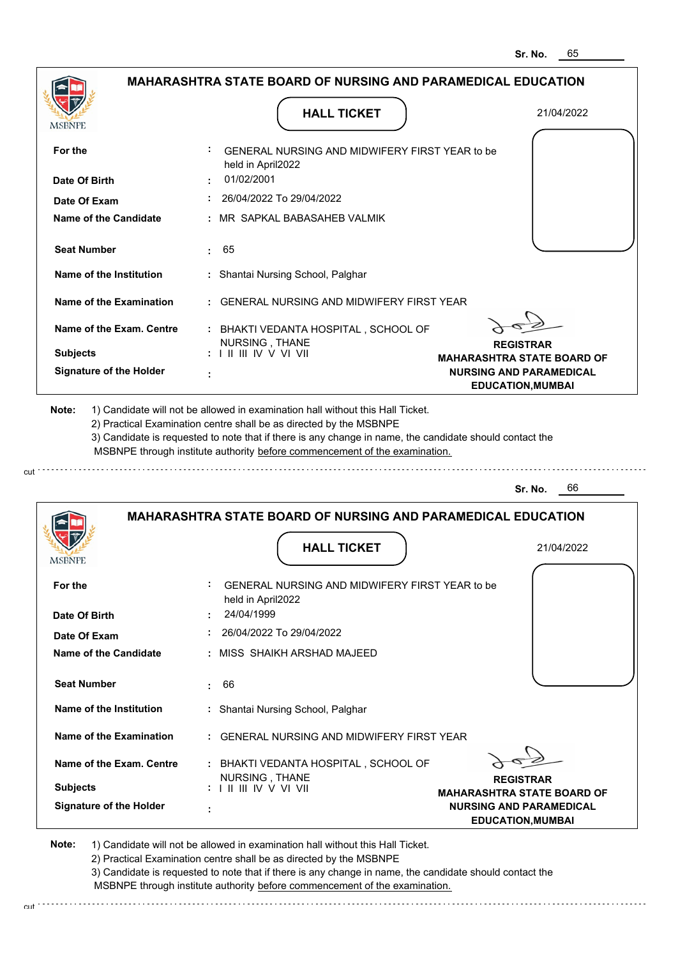|                                |                                                                                           | ວr. No.<br>ပဎ                                              |
|--------------------------------|-------------------------------------------------------------------------------------------|------------------------------------------------------------|
|                                | <b>MAHARASHTRA STATE BOARD OF NURSING AND PARAMEDICAL EDUCATION</b>                       |                                                            |
| <b>MSBNPE</b>                  | <b>HALL TICKET</b>                                                                        | 21/04/2022                                                 |
| For the                        | GENERAL NURSING AND MIDWIFERY FIRST YEAR to be<br>held in April2022                       |                                                            |
| Date Of Birth                  | 01/02/2001                                                                                |                                                            |
| Date Of Exam                   | 26/04/2022 To 29/04/2022                                                                  |                                                            |
| <b>Name of the Candidate</b>   | MR SAPKAL BABASAHEB VALMIK                                                                |                                                            |
| <b>Seat Number</b>             | 65                                                                                        |                                                            |
| Name of the Institution        | : Shantai Nursing School, Palghar                                                         |                                                            |
| <b>Name of the Examination</b> | <b>GENERAL NURSING AND MIDWIFERY FIRST YEAR</b>                                           |                                                            |
| Name of the Exam. Centre       | : BHAKTI VEDANTA HOSPITAL, SCHOOL OF<br>NURSING, THANE                                    |                                                            |
| <b>Subjects</b>                | $: 1 \mathbb{I}$ III IIV V VI VII                                                         | <b>REGISTRAR</b><br><b>MAHARASHTRA STATE BOARD OF</b>      |
| <b>Signature of the Holder</b> |                                                                                           | <b>NURSING AND PARAMEDICAL</b><br><b>EDUCATION, MUMBAI</b> |
|                                | MSBNPE through institute authority before commencement of the examination.                | 66<br>Sr. No.                                              |
|                                | <b>MAHARASHTRA STATE BOARD OF NURSING AND PARAMEDICAL EDUCATION</b><br><b>HALL TICKET</b> |                                                            |
| MSBNPE                         |                                                                                           | 21/04/2022                                                 |
| For the                        | GENERAL NURSING AND MIDWIFERY FIRST YEAR to be<br>held in April2022                       |                                                            |
| Date Of Birth                  | 24/04/1999                                                                                |                                                            |
| Date Of Exam                   | 26/04/2022 To 29/04/2022                                                                  |                                                            |
| Name of the Candidate          | : MISS SHAIKH ARSHAD MAJEED                                                               |                                                            |
| <b>Seat Number</b>             | 66<br>÷.                                                                                  |                                                            |
| Name of the Institution        | : Shantai Nursing School, Palghar                                                         |                                                            |
| <b>Name of the Examination</b> | <b>GENERAL NURSING AND MIDWIFERY FIRST YEAR</b>                                           |                                                            |
| Name of the Exam. Centre       | : BHAKTI VEDANTA HOSPITAL, SCHOOL OF<br>NURSING, THANE                                    |                                                            |
| <b>Subjects</b>                | $: 1 \mathbb{I}$ III IIV V VI VII                                                         | <b>REGISTRAR</b><br><b>MAHARASHTRA STATE BOARD OF</b>      |
| <b>Signature of the Holder</b> |                                                                                           | <b>NURSING AND PARAMEDICAL</b><br><b>EDUCATION, MUMBAI</b> |

**Note:**  1) Candidate will not be allowed in examination hall without this Hall Ticket.

cut

2) Practical Examination centre shall be as directed by the MSBNPE

3) Candidate is requested to note that if there is any change in name, the candidate should contact the MSBNPE through institute authority before commencement of the examination. cut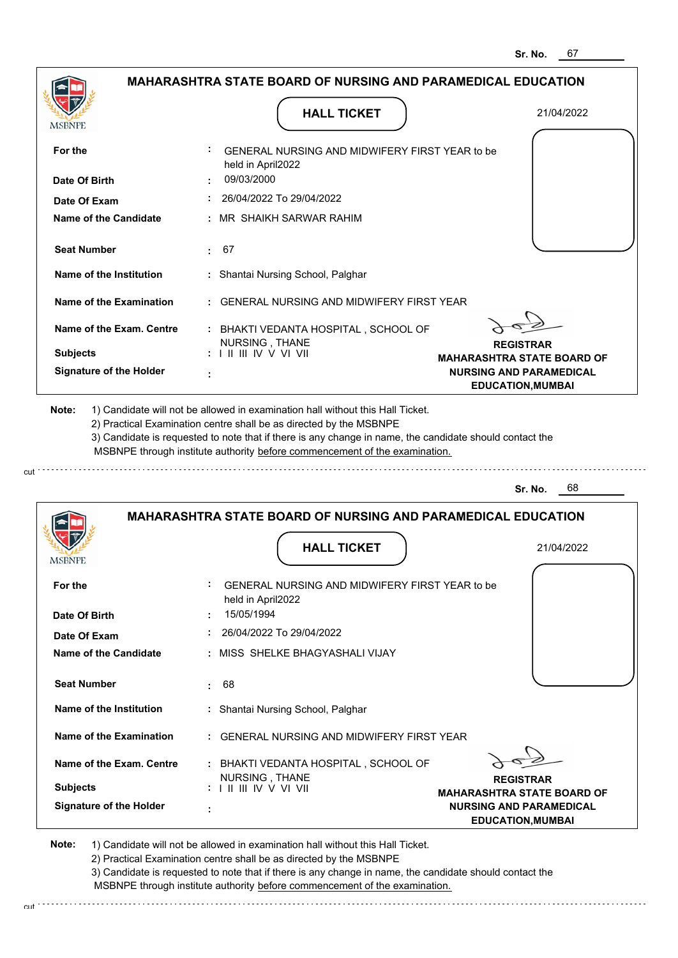|                                         | <b>MAHARASHTRA STATE BOARD OF NURSING AND PARAMEDICAL EDUCATION</b>                                                                                                                   |                                                            |
|-----------------------------------------|---------------------------------------------------------------------------------------------------------------------------------------------------------------------------------------|------------------------------------------------------------|
|                                         |                                                                                                                                                                                       |                                                            |
| <b>MSBNPE</b>                           | <b>HALL TICKET</b>                                                                                                                                                                    | 21/04/2022                                                 |
| For the                                 | GENERAL NURSING AND MIDWIFERY FIRST YEAR to be<br>held in April2022                                                                                                                   |                                                            |
| Date Of Birth                           | 09/03/2000                                                                                                                                                                            |                                                            |
| Date Of Exam                            | 26/04/2022 To 29/04/2022                                                                                                                                                              |                                                            |
| <b>Name of the Candidate</b>            | : MR_SHAIKH SARWAR RAHIM                                                                                                                                                              |                                                            |
| <b>Seat Number</b>                      | : 67                                                                                                                                                                                  |                                                            |
| Name of the Institution                 | : Shantai Nursing School, Palghar                                                                                                                                                     |                                                            |
| Name of the Examination                 | : GENERAL NURSING AND MIDWIFERY FIRST YEAR                                                                                                                                            |                                                            |
| Name of the Exam. Centre                | : BHAKTI VEDANTA HOSPITAL, SCHOOL OF<br>NURSING, THANE                                                                                                                                | <b>REGISTRAR</b>                                           |
| <b>Subjects</b>                         | $: 1 \parallel \parallel \parallel$ IV V VI VII                                                                                                                                       | <b>MAHARASHTRA STATE BOARD OF</b>                          |
|                                         |                                                                                                                                                                                       |                                                            |
| <b>Signature of the Holder</b><br>Note: | 1) Candidate will not be allowed in examination hall without this Hall Ticket.<br>2) Practical Examination centre shall be as directed by the MSBNPE                                  | <b>NURSING AND PARAMEDICAL</b><br><b>EDUCATION, MUMBAI</b> |
|                                         | 3) Candidate is requested to note that if there is any change in name, the candidate should contact the<br>MSBNPE through institute authority before commencement of the examination. |                                                            |
|                                         |                                                                                                                                                                                       | 68<br>Sr. No.                                              |
|                                         | <b>MAHARASHTRA STATE BOARD OF NURSING AND PARAMEDICAL EDUCATION</b>                                                                                                                   |                                                            |
|                                         | <b>HALL TICKET</b>                                                                                                                                                                    | 21/04/2022                                                 |
| <b>MSBNPE</b><br>For the                | GENERAL NURSING AND MIDWIFERY FIRST YEAR to be<br>held in April2022                                                                                                                   |                                                            |
| Date Of Birth                           | 15/05/1994                                                                                                                                                                            |                                                            |
| Date Of Exam                            | $: 26/04/2022$ To 29/04/2022                                                                                                                                                          |                                                            |
| Name of the Candidate                   | : MISS SHELKE BHAGYASHALI VIJAY                                                                                                                                                       |                                                            |
| <b>Seat Number</b>                      | : 68                                                                                                                                                                                  |                                                            |
| Name of the Institution                 | : Shantai Nursing School, Palghar                                                                                                                                                     |                                                            |
| Name of the Examination                 | : GENERAL NURSING AND MIDWIFERY FIRST YEAR                                                                                                                                            |                                                            |

<sup>2</sup>  **:** BHAKTI VEDANTA HOSPITAL , SCHOOL OF **REGISTRAR MAHARASHTRA STATE BOARD OF NURSING AND PARAMEDICAL EDUCATION,MUMBAI**

**Note:**  1) Candidate will not be allowed in examination hall without this Hall Ticket. 2) Practical Examination centre shall be as directed by the MSBNPE

 **:**

**Signature of the Holder**

**Subjects :**

cut \*\*\*\*\*\*\*\*\*\*\*\*\*\*\*\*\*\*

**Name of the Exam. Centre**

NURSING , THANE I II III IV V VI VII

3) Candidate is requested to note that if there is any change in name, the candidate should contact the MSBNPE through institute authority before commencement of the examination.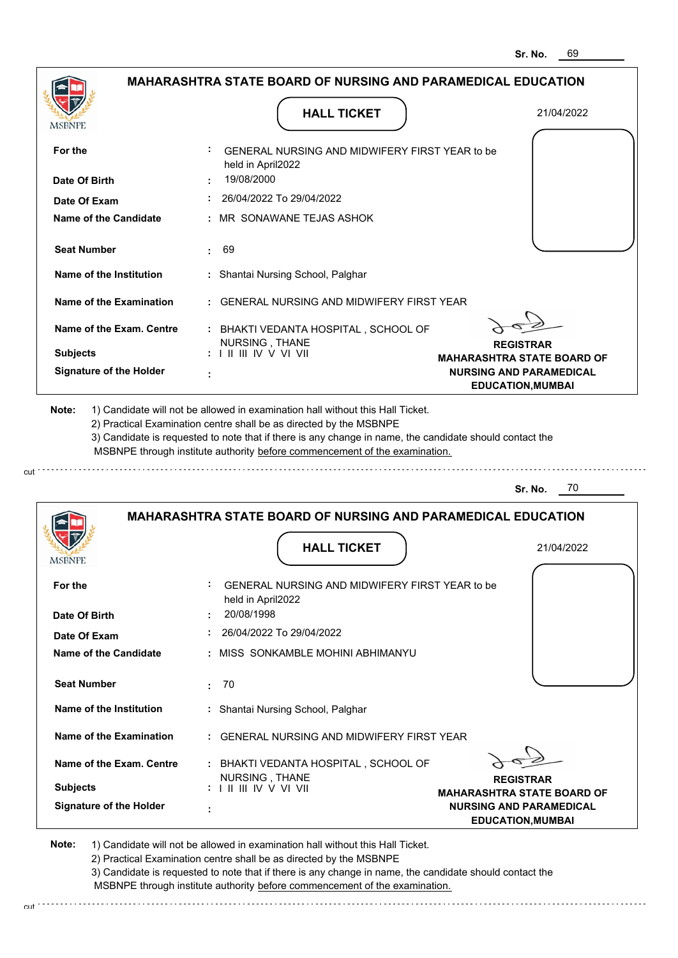| <b>MAHARASHTRA STATE BOARD OF NURSING AND PARAMEDICAL EDUCATION</b> |                                                                     |                                                            |  |
|---------------------------------------------------------------------|---------------------------------------------------------------------|------------------------------------------------------------|--|
| MSBNPE                                                              | <b>HALL TICKET</b>                                                  | 21/04/2022                                                 |  |
| For the                                                             | GENERAL NURSING AND MIDWIFERY FIRST YEAR to be<br>held in April2022 |                                                            |  |
| Date Of Birth                                                       | 19/08/2000                                                          |                                                            |  |
| Date Of Exam                                                        | 26/04/2022 To 29/04/2022                                            |                                                            |  |
| Name of the Candidate                                               | MR SONAWANE TEJAS ASHOK                                             |                                                            |  |
| <b>Seat Number</b>                                                  | 69<br>÷                                                             |                                                            |  |
| Name of the Institution                                             | : Shantai Nursing School, Palghar                                   |                                                            |  |
| <b>Name of the Examination</b>                                      | <b>GENERAL NURSING AND MIDWIFERY FIRST YEAR</b>                     |                                                            |  |
| Name of the Exam. Centre                                            | : BHAKTI VEDANTA HOSPITAL, SCHOOL OF<br>NURSING, THANE              | <b>REGISTRAR</b>                                           |  |
| <b>Subjects</b>                                                     | $: 1 \mathbb{I}$ III IV V VI VII                                    | <b>MAHARASHTRA STATE BOARD OF</b>                          |  |
| <b>Signature of the Holder</b>                                      |                                                                     | <b>NURSING AND PARAMEDICAL</b><br><b>EDUCATION, MUMBAI</b> |  |
|                                                                     | <b>MAHARASHTRA STATE BOARD OF NURSING AND PARAMEDICAL EDUCATION</b> | 70<br>Sr. No.                                              |  |
| MSBNPE                                                              | <b>HALL TICKET</b>                                                  | 21/04/2022                                                 |  |
| For the                                                             | GENERAL NURSING AND MIDWIFERY FIRST YEAR to be<br>held in April2022 |                                                            |  |
| Date Of Birth                                                       | 20/08/1998                                                          |                                                            |  |
| Date Of Exam                                                        | 26/04/2022 To 29/04/2022                                            |                                                            |  |
| <b>Name of the Candidate</b>                                        | : MISS SONKAMBLE MOHINI ABHIMANYU                                   |                                                            |  |
| <b>Seat Number</b>                                                  | 70<br>÷.                                                            |                                                            |  |
| Name of the Institution                                             | : Shantai Nursing School, Palghar                                   |                                                            |  |
| Name of the Examination                                             | : GENERAL NURSING AND MIDWIFERY FIRST YEAR                          |                                                            |  |
| Name of the Exam. Centre                                            | : BHAKTI VEDANTA HOSPITAL, SCHOOL OF<br>NURSING, THANE              | <b>REGISTRAR</b>                                           |  |
| <b>Subjects</b>                                                     |                                                                     | <b>MAHARASHTRA STATE BOARD OF</b>                          |  |
| <b>Signature of the Holder</b>                                      |                                                                     | <b>NURSING AND PARAMEDICAL</b><br><b>EDUCATION, MUMBAI</b> |  |
|                                                                     |                                                                     |                                                            |  |

cut

3) Candidate is requested to note that if there is any change in name, the candidate should contact the MSBNPE through institute authority before commencement of the examination.

cut de contra a construction de construction de construction de construction de construction de construction de construction de construction de construction de construction de construction de construction de construction d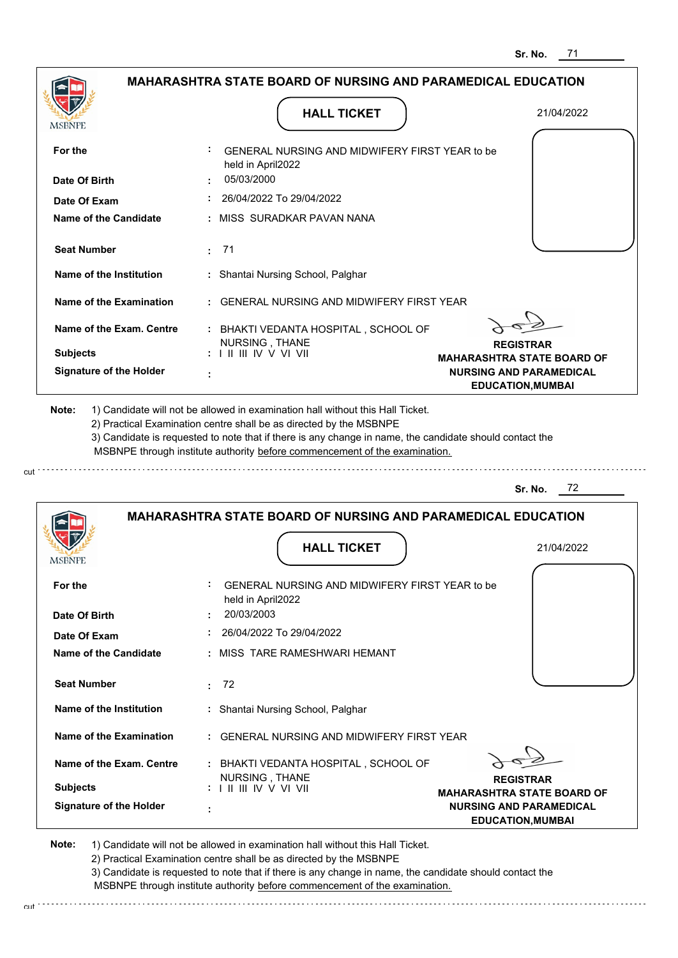|                                                    |                                                                                                                                                                                       | ວr. No.<br>7 L                                             |
|----------------------------------------------------|---------------------------------------------------------------------------------------------------------------------------------------------------------------------------------------|------------------------------------------------------------|
|                                                    | <b>MAHARASHTRA STATE BOARD OF NURSING AND PARAMEDICAL EDUCATION</b>                                                                                                                   |                                                            |
| <b>MSBNPE</b>                                      | <b>HALL TICKET</b>                                                                                                                                                                    | 21/04/2022                                                 |
| For the                                            | GENERAL NURSING AND MIDWIFERY FIRST YEAR to be<br>held in April2022                                                                                                                   |                                                            |
| Date Of Birth                                      | 05/03/2000                                                                                                                                                                            |                                                            |
| Date Of Exam                                       | 26/04/2022 To 29/04/2022                                                                                                                                                              |                                                            |
| Name of the Candidate                              | : MISS SURADKAR PAVAN NANA                                                                                                                                                            |                                                            |
| <b>Seat Number</b>                                 | : 71                                                                                                                                                                                  |                                                            |
| Name of the Institution                            | : Shantai Nursing School, Palghar                                                                                                                                                     |                                                            |
| Name of the Examination                            | <b>GENERAL NURSING AND MIDWIFERY FIRST YEAR</b>                                                                                                                                       |                                                            |
| Name of the Exam. Centre                           | : BHAKTI VEDANTA HOSPITAL, SCHOOL OF                                                                                                                                                  |                                                            |
| <b>Subjects</b>                                    | NURSING, THANE<br>$: 1 \mathbb{H} \mathbb{H} \mathbb{N} \vee \mathbb{V} \mathbb{V} \mathbb{H}$                                                                                        | <b>REGISTRAR</b><br><b>MAHARASHTRA STATE BOARD OF</b>      |
| <b>Signature of the Holder</b>                     |                                                                                                                                                                                       | <b>NURSING AND PARAMEDICAL</b><br><b>EDUCATION, MUMBAI</b> |
|                                                    | 3) Candidate is requested to note that if there is any change in name, the candidate should contact the<br>MSBNPE through institute authority before commencement of the examination. | 72<br>Sr. No.                                              |
|                                                    | <b>MAHARASHTRA STATE BOARD OF NURSING AND PARAMEDICAL EDUCATION</b><br><b>HALL TICKET</b>                                                                                             | 21/04/2022                                                 |
| MSBNPE                                             |                                                                                                                                                                                       |                                                            |
| For the                                            | GENERAL NURSING AND MIDWIFERY FIRST YEAR to be<br>held in April2022                                                                                                                   |                                                            |
| Date Of Birth                                      | 20/03/2003                                                                                                                                                                            |                                                            |
| Date Of Exam                                       | 26/04/2022 To 29/04/2022                                                                                                                                                              |                                                            |
| <b>Name of the Candidate</b><br><b>Seat Number</b> | : MISS TARE RAMESHWARI HEMANT<br>$\cdot$ 72                                                                                                                                           |                                                            |
|                                                    |                                                                                                                                                                                       |                                                            |
| Name of the Institution                            | : Shantai Nursing School, Palghar                                                                                                                                                     |                                                            |
| <b>Name of the Examination</b>                     | GENERAL NURSING AND MIDWIFERY FIRST YEAR                                                                                                                                              |                                                            |
| Name of the Exam. Centre                           | : BHAKTI VEDANTA HOSPITAL, SCHOOL OF<br>NURSING, THANE                                                                                                                                | <b>REGISTRAR</b>                                           |
| <b>Subjects</b>                                    | :                V                                                                                                                                                                    | <b>MAHARASHTRA STATE BOARD OF</b>                          |
| <b>Signature of the Holder</b>                     |                                                                                                                                                                                       | <b>NURSING AND PARAMEDICAL</b><br><b>EDUCATION, MUMBAI</b> |

**Note:**  1) Candidate will not be allowed in examination hall without this Hall Ticket. 2) Practical Examination centre shall be as directed by the MSBNPE

cut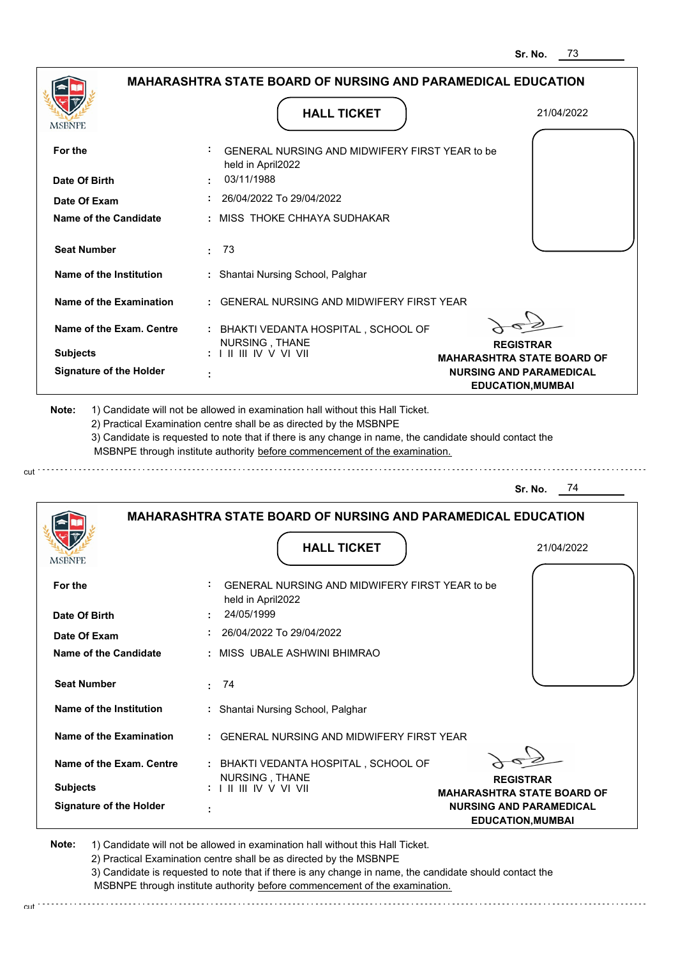|                                | <b>MAHARASHTRA STATE BOARD OF NURSING AND PARAMEDICAL EDUCATION</b>                                                                                                                                                                                                                                                                           |                                                            |
|--------------------------------|-----------------------------------------------------------------------------------------------------------------------------------------------------------------------------------------------------------------------------------------------------------------------------------------------------------------------------------------------|------------------------------------------------------------|
|                                | <b>HALL TICKET</b>                                                                                                                                                                                                                                                                                                                            | 21/04/2022                                                 |
| MSBNPE                         |                                                                                                                                                                                                                                                                                                                                               |                                                            |
| For the                        | GENERAL NURSING AND MIDWIFERY FIRST YEAR to be<br>held in April2022                                                                                                                                                                                                                                                                           |                                                            |
| Date Of Birth                  | 03/11/1988                                                                                                                                                                                                                                                                                                                                    |                                                            |
| Date Of Exam                   | 26/04/2022 To 29/04/2022                                                                                                                                                                                                                                                                                                                      |                                                            |
| <b>Name of the Candidate</b>   | MISS THOKE CHHAYA SUDHAKAR                                                                                                                                                                                                                                                                                                                    |                                                            |
| <b>Seat Number</b>             | 73<br>÷.                                                                                                                                                                                                                                                                                                                                      |                                                            |
| Name of the Institution        | : Shantai Nursing School, Palghar                                                                                                                                                                                                                                                                                                             |                                                            |
| <b>Name of the Examination</b> | <b>GENERAL NURSING AND MIDWIFERY FIRST YEAR</b>                                                                                                                                                                                                                                                                                               |                                                            |
| Name of the Exam. Centre       | : BHAKTI VEDANTA HOSPITAL, SCHOOL OF<br>NURSING, THANE                                                                                                                                                                                                                                                                                        | <b>REGISTRAR</b>                                           |
| <b>Subjects</b>                | : I II III IV V VI VII                                                                                                                                                                                                                                                                                                                        | <b>MAHARASHTRA STATE BOARD OF</b>                          |
| <b>Signature of the Holder</b> | ÷                                                                                                                                                                                                                                                                                                                                             | <b>NURSING AND PARAMEDICAL</b><br><b>EDUCATION, MUMBAI</b> |
| Note:                          | 1) Candidate will not be allowed in examination hall without this Hall Ticket.<br>2) Practical Examination centre shall be as directed by the MSBNPE<br>3) Candidate is requested to note that if there is any change in name, the candidate should contact the<br>MSBNPE through institute authority before commencement of the examination. |                                                            |
|                                |                                                                                                                                                                                                                                                                                                                                               | - 74<br>Sr. No.                                            |
|                                | <b>MAHARASHTRA STATE BOARD OF NURSING AND PARAMEDICAL EDUCATION</b>                                                                                                                                                                                                                                                                           |                                                            |
|                                | <b>HALL TICKET</b>                                                                                                                                                                                                                                                                                                                            | 21/04/2022                                                 |
| MSBNPE                         |                                                                                                                                                                                                                                                                                                                                               |                                                            |
| For the                        | GENERAL NURSING AND MIDWIFERY FIRST YEAR to be<br>held in April2022                                                                                                                                                                                                                                                                           |                                                            |
| Date Of Birth                  | 24/05/1999                                                                                                                                                                                                                                                                                                                                    |                                                            |
| Date Of Exam                   | 26/04/2022 To 29/04/2022                                                                                                                                                                                                                                                                                                                      |                                                            |
| <b>Name of the Candidate</b>   | : MISS UBALE ASHWINI BHIMRAO                                                                                                                                                                                                                                                                                                                  |                                                            |
| <b>Seat Number</b>             | 74<br>÷.                                                                                                                                                                                                                                                                                                                                      |                                                            |
| Name of the Institution        | : Shantai Nursing School, Palghar                                                                                                                                                                                                                                                                                                             |                                                            |
| Name of the Examination        | : GENERAL NURSING AND MIDWIFERY FIRST YEAR                                                                                                                                                                                                                                                                                                    |                                                            |
| Name of the Exam. Centre       | : BHAKTI VEDANTA HOSPITAL, SCHOOL OF                                                                                                                                                                                                                                                                                                          |                                                            |
| <b>Subjects</b>                | NURSING, THANE                                                                                                                                                                                                                                                                                                                                | <b>REGISTRAR</b><br><b>MAHARASHTRA STATE BOARD OF</b>      |

cut

2) Practical Examination centre shall be as directed by the MSBNPE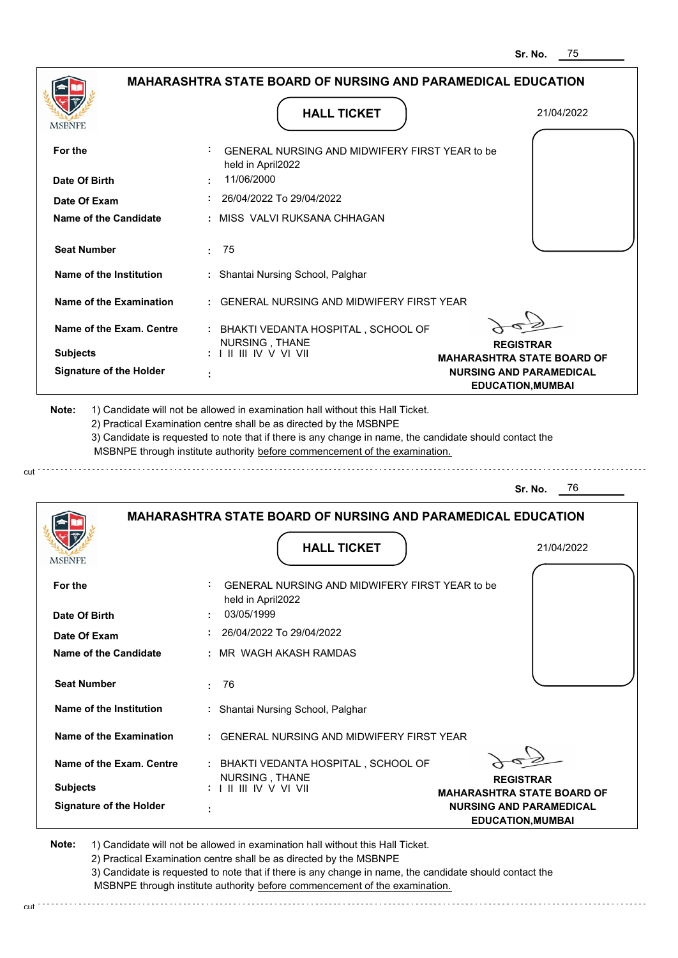|                                           | MAHARASHTRA STATE BOARD OF NURSING AND PARAMEDICAL EDUCATION                                                                                                                                                                                                                                                                                  |                                                            |
|-------------------------------------------|-----------------------------------------------------------------------------------------------------------------------------------------------------------------------------------------------------------------------------------------------------------------------------------------------------------------------------------------------|------------------------------------------------------------|
| MSBNPE                                    | <b>HALL TICKET</b>                                                                                                                                                                                                                                                                                                                            | 21/04/2022                                                 |
| For the                                   | GENERAL NURSING AND MIDWIFERY FIRST YEAR to be                                                                                                                                                                                                                                                                                                |                                                            |
| Date Of Birth                             | held in April2022<br>11/06/2000                                                                                                                                                                                                                                                                                                               |                                                            |
| Date Of Exam                              | 26/04/2022 To 29/04/2022                                                                                                                                                                                                                                                                                                                      |                                                            |
| Name of the Candidate                     | MISS VALVI RUKSANA CHHAGAN                                                                                                                                                                                                                                                                                                                    |                                                            |
| <b>Seat Number</b>                        | -75<br>÷.                                                                                                                                                                                                                                                                                                                                     |                                                            |
| Name of the Institution                   | : Shantai Nursing School, Palghar                                                                                                                                                                                                                                                                                                             |                                                            |
| Name of the Examination                   | <b>GENERAL NURSING AND MIDWIFERY FIRST YEAR</b>                                                                                                                                                                                                                                                                                               |                                                            |
| Name of the Exam. Centre                  | : BHAKTI VEDANTA HOSPITAL, SCHOOL OF                                                                                                                                                                                                                                                                                                          |                                                            |
| <b>Subjects</b>                           | NURSING, THANE<br>: I II III IV V VI VII                                                                                                                                                                                                                                                                                                      | <b>REGISTRAR</b><br><b>MAHARASHTRA STATE BOARD OF</b>      |
| <b>Signature of the Holder</b>            |                                                                                                                                                                                                                                                                                                                                               | <b>NURSING AND PARAMEDICAL</b><br><b>EDUCATION, MUMBAI</b> |
|                                           | 1) Candidate will not be allowed in examination hall without this Hall Ticket.<br>2) Practical Examination centre shall be as directed by the MSBNPE<br>3) Candidate is requested to note that if there is any change in name, the candidate should contact the<br>MSBNPE through institute authority before commencement of the examination. |                                                            |
|                                           |                                                                                                                                                                                                                                                                                                                                               | 76<br>Sr. No.                                              |
|                                           | <b>MAHARASHTRA STATE BOARD OF NURSING AND PARAMEDICAL EDUCATION</b>                                                                                                                                                                                                                                                                           |                                                            |
|                                           | <b>HALL TICKET</b>                                                                                                                                                                                                                                                                                                                            | 21/04/2022                                                 |
| For the                                   | GENERAL NURSING AND MIDWIFERY FIRST YEAR to be<br>held in April2022                                                                                                                                                                                                                                                                           |                                                            |
|                                           | 03/05/1999                                                                                                                                                                                                                                                                                                                                    |                                                            |
| Date Of Exam                              | 26/04/2022 To 29/04/2022                                                                                                                                                                                                                                                                                                                      |                                                            |
| Name of the Candidate                     | : MR_WAGH AKASH RAMDAS                                                                                                                                                                                                                                                                                                                        |                                                            |
| <b>Seat Number</b>                        | 76<br>$\bullet$                                                                                                                                                                                                                                                                                                                               |                                                            |
| Name of the Institution                   | : Shantai Nursing School, Palghar                                                                                                                                                                                                                                                                                                             |                                                            |
| Date Of Birth<br>Name of the Examination  | : GENERAL NURSING AND MIDWIFERY FIRST YEAR                                                                                                                                                                                                                                                                                                    |                                                            |
| Name of the Exam. Centre                  | : BHAKTI VEDANTA HOSPITAL, SCHOOL OF                                                                                                                                                                                                                                                                                                          |                                                            |
| Note:<br><b>MSBNPE</b><br><b>Subjects</b> | NURSING, THANE                                                                                                                                                                                                                                                                                                                                | <b>REGISTRAR</b><br><b>MAHARASHTRA STATE BOARD OF</b>      |

cut

2) Practical Examination centre shall be as directed by the MSBNPE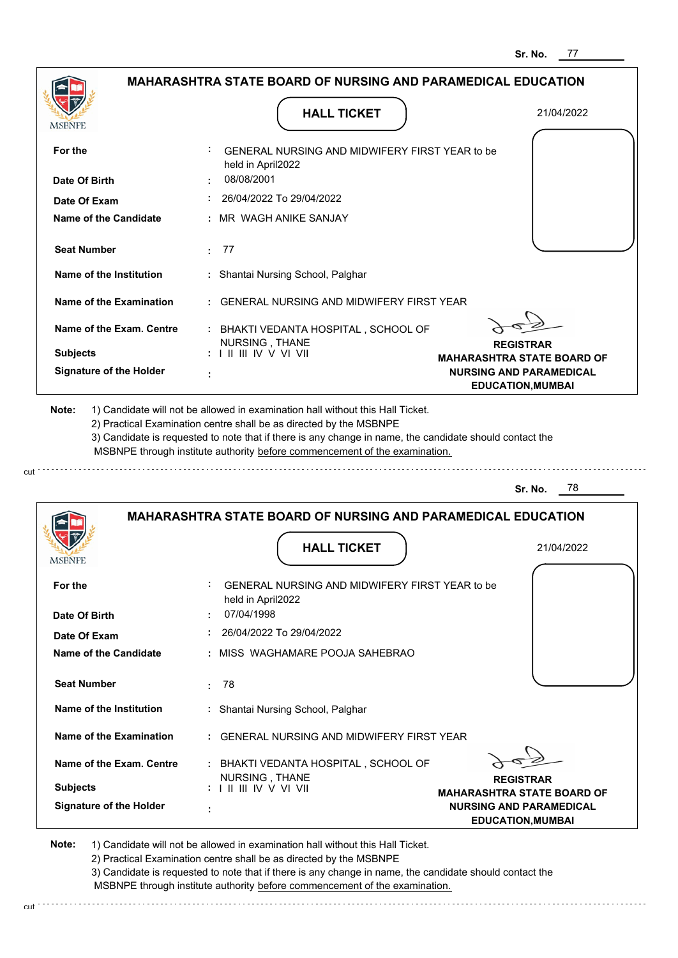|                                | <b>MAHARASHTRA STATE BOARD OF NURSING AND PARAMEDICAL EDUCATION</b>                                                                                                                                                                                                                                                                           |                                                            |
|--------------------------------|-----------------------------------------------------------------------------------------------------------------------------------------------------------------------------------------------------------------------------------------------------------------------------------------------------------------------------------------------|------------------------------------------------------------|
| MSBNPE                         | <b>HALL TICKET</b>                                                                                                                                                                                                                                                                                                                            | 21/04/2022                                                 |
| For the                        | GENERAL NURSING AND MIDWIFERY FIRST YEAR to be<br>held in April2022                                                                                                                                                                                                                                                                           |                                                            |
| Date Of Birth                  | 08/08/2001                                                                                                                                                                                                                                                                                                                                    |                                                            |
| Date Of Exam                   | 26/04/2022 To 29/04/2022                                                                                                                                                                                                                                                                                                                      |                                                            |
| Name of the Candidate          | MR WAGH ANIKE SANJAY                                                                                                                                                                                                                                                                                                                          |                                                            |
| <b>Seat Number</b>             | 77<br>÷                                                                                                                                                                                                                                                                                                                                       |                                                            |
| Name of the Institution        | : Shantai Nursing School, Palghar                                                                                                                                                                                                                                                                                                             |                                                            |
| Name of the Examination        | <b>GENERAL NURSING AND MIDWIFERY FIRST YEAR</b>                                                                                                                                                                                                                                                                                               |                                                            |
| Name of the Exam. Centre       | : BHAKTI VEDANTA HOSPITAL, SCHOOL OF                                                                                                                                                                                                                                                                                                          |                                                            |
| <b>Subjects</b>                | NURSING, THANE<br>$: 1 \mathbb{I}$ III IV V VI VII                                                                                                                                                                                                                                                                                            | <b>REGISTRAR</b><br><b>MAHARASHTRA STATE BOARD OF</b>      |
| <b>Signature of the Holder</b> |                                                                                                                                                                                                                                                                                                                                               | <b>NURSING AND PARAMEDICAL</b><br><b>EDUCATION, MUMBAI</b> |
| Note:                          | 1) Candidate will not be allowed in examination hall without this Hall Ticket.<br>2) Practical Examination centre shall be as directed by the MSBNPE<br>3) Candidate is requested to note that if there is any change in name, the candidate should contact the<br>MSBNPE through institute authority before commencement of the examination. |                                                            |
|                                |                                                                                                                                                                                                                                                                                                                                               | 78<br>Sr. No.                                              |
|                                | <b>MAHARASHTRA STATE BOARD OF NURSING AND PARAMEDICAL EDUCATION</b>                                                                                                                                                                                                                                                                           |                                                            |
| MSBNPF                         | <b>HALL TICKET</b>                                                                                                                                                                                                                                                                                                                            | 21/04/2022                                                 |
| For the                        | GENERAL NURSING AND MIDWIFERY FIRST YEAR to be<br>held in April2022                                                                                                                                                                                                                                                                           |                                                            |
| Date Of Birth                  | 07/04/1998                                                                                                                                                                                                                                                                                                                                    |                                                            |
| Date Of Exam                   | 26/04/2022 To 29/04/2022                                                                                                                                                                                                                                                                                                                      |                                                            |
| Name of the Candidate          | : MISS WAGHAMARE POOJA SAHEBRAO                                                                                                                                                                                                                                                                                                               |                                                            |
| <b>Seat Number</b>             | -78<br>÷.                                                                                                                                                                                                                                                                                                                                     |                                                            |
| Name of the Institution        | : Shantai Nursing School, Palghar                                                                                                                                                                                                                                                                                                             |                                                            |
| <b>Name of the Examination</b> | GENERAL NURSING AND MIDWIFERY FIRST YEAR                                                                                                                                                                                                                                                                                                      |                                                            |
| Name of the Exam. Centre       | : BHAKTI VEDANTA HOSPITAL, SCHOOL OF                                                                                                                                                                                                                                                                                                          |                                                            |
| <b>Subjects</b>                | NURSING, THANE<br>: I II III IV V VI VII                                                                                                                                                                                                                                                                                                      | <b>REGISTRAR</b><br><b>MAHARASHTRA STATE BOARD OF</b>      |

cut

2) Practical Examination centre shall be as directed by the MSBNPE

3) Candidate is requested to note that if there is any change in name, the candidate should contact the MSBNPE through institute authority before commencement of the examination. cut de contra a construction de construction de construction de construction de construction de construction de construction de construction de construction de construction de construction de construction de construction d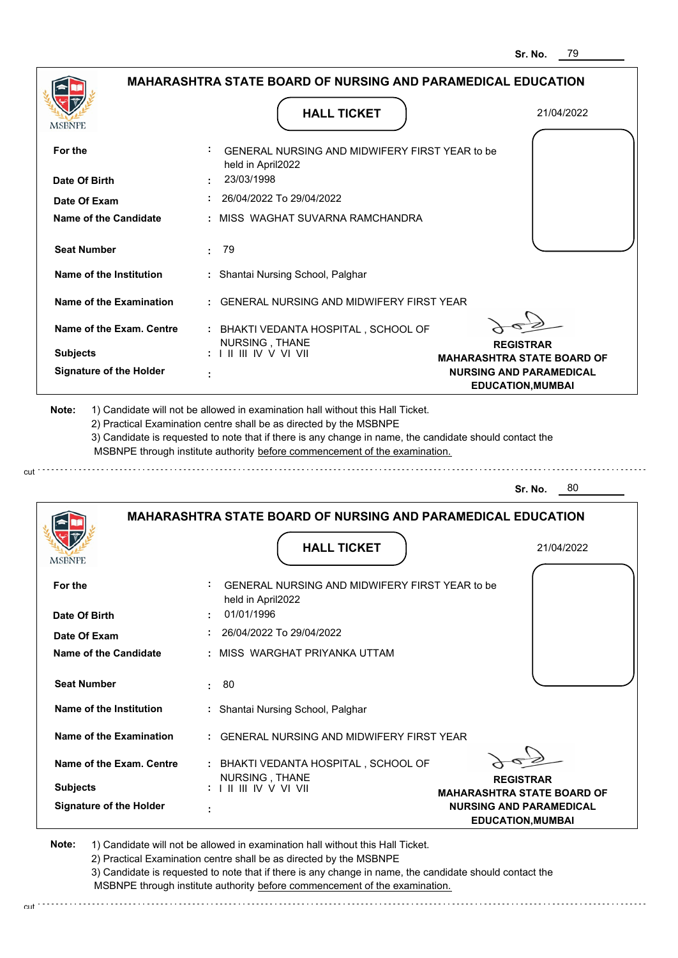|                                                                                                                                                                                                               |                                                                                                                                                                                       | <b>MAHARASHTRA STATE BOARD OF NURSING AND PARAMEDICAL EDUCATION</b>                             |
|---------------------------------------------------------------------------------------------------------------------------------------------------------------------------------------------------------------|---------------------------------------------------------------------------------------------------------------------------------------------------------------------------------------|-------------------------------------------------------------------------------------------------|
|                                                                                                                                                                                                               |                                                                                                                                                                                       |                                                                                                 |
| <b>MSBNPE</b>                                                                                                                                                                                                 | <b>HALL TICKET</b>                                                                                                                                                                    | 21/04/2022                                                                                      |
| For the                                                                                                                                                                                                       | GENERAL NURSING AND MIDWIFERY FIRST YEAR to be<br>held in April2022                                                                                                                   |                                                                                                 |
| Date Of Birth                                                                                                                                                                                                 | 23/03/1998                                                                                                                                                                            |                                                                                                 |
| Date Of Exam                                                                                                                                                                                                  | 26/04/2022 To 29/04/2022                                                                                                                                                              |                                                                                                 |
| <b>Name of the Candidate</b>                                                                                                                                                                                  | : MISS WAGHAT SUVARNA RAMCHANDRA                                                                                                                                                      |                                                                                                 |
| <b>Seat Number</b>                                                                                                                                                                                            | 79<br>t.                                                                                                                                                                              |                                                                                                 |
| Name of the Institution                                                                                                                                                                                       | : Shantai Nursing School, Palghar                                                                                                                                                     |                                                                                                 |
| Name of the Examination                                                                                                                                                                                       | : GENERAL NURSING AND MIDWIFERY FIRST YEAR                                                                                                                                            |                                                                                                 |
| Name of the Exam. Centre<br><b>Subjects</b>                                                                                                                                                                   | : BHAKTI VEDANTA HOSPITAL, SCHOOL OF<br>NURSING, THANE<br>: I II III IV V VI VII                                                                                                      | <b>REGISTRAR</b>                                                                                |
| <b>Signature of the Holder</b>                                                                                                                                                                                |                                                                                                                                                                                       | <b>MAHARASHTRA STATE BOARD OF</b><br><b>NURSING AND PARAMEDICAL</b><br><b>EDUCATION, MUMBAI</b> |
|                                                                                                                                                                                                               | 3) Candidate is requested to note that if there is any change in name, the candidate should contact the<br>MSBNPE through institute authority before commencement of the examination. |                                                                                                 |
|                                                                                                                                                                                                               |                                                                                                                                                                                       | 80<br>Sr. No.                                                                                   |
|                                                                                                                                                                                                               | <b>MAHARASHTRA STATE BOARD OF NURSING AND PARAMEDICAL EDUCATION</b><br><b>HALL TICKET</b>                                                                                             | 21/04/2022                                                                                      |
|                                                                                                                                                                                                               | GENERAL NURSING AND MIDWIFERY FIRST YEAR to be<br>held in April2022<br>01/01/1996                                                                                                     |                                                                                                 |
|                                                                                                                                                                                                               | 26/04/2022 To 29/04/2022                                                                                                                                                              |                                                                                                 |
|                                                                                                                                                                                                               | : MISS WARGHAT PRIYANKA UTTAM                                                                                                                                                         |                                                                                                 |
|                                                                                                                                                                                                               | : 80                                                                                                                                                                                  |                                                                                                 |
|                                                                                                                                                                                                               | : Shantai Nursing School, Palghar                                                                                                                                                     |                                                                                                 |
|                                                                                                                                                                                                               | : GENERAL NURSING AND MIDWIFERY FIRST YEAR                                                                                                                                            |                                                                                                 |
| <b>MSBNPE</b><br>For the<br>Date Of Birth<br>Date Of Exam<br>Name of the Candidate<br><b>Seat Number</b><br>Name of the Institution<br>Name of the Examination<br>Name of the Exam. Centre<br><b>Subjects</b> | : BHAKTI VEDANTA HOSPITAL, SCHOOL OF<br>NURSING, THANE                                                                                                                                | <b>REGISTRAR</b><br><b>MAHARASHTRA STATE BOARD OF</b>                                           |

**Note:**  1) Candidate will not be allowed in examination hall without this Hall Ticket. 2) Practical Examination centre shall be as directed by the MSBNPE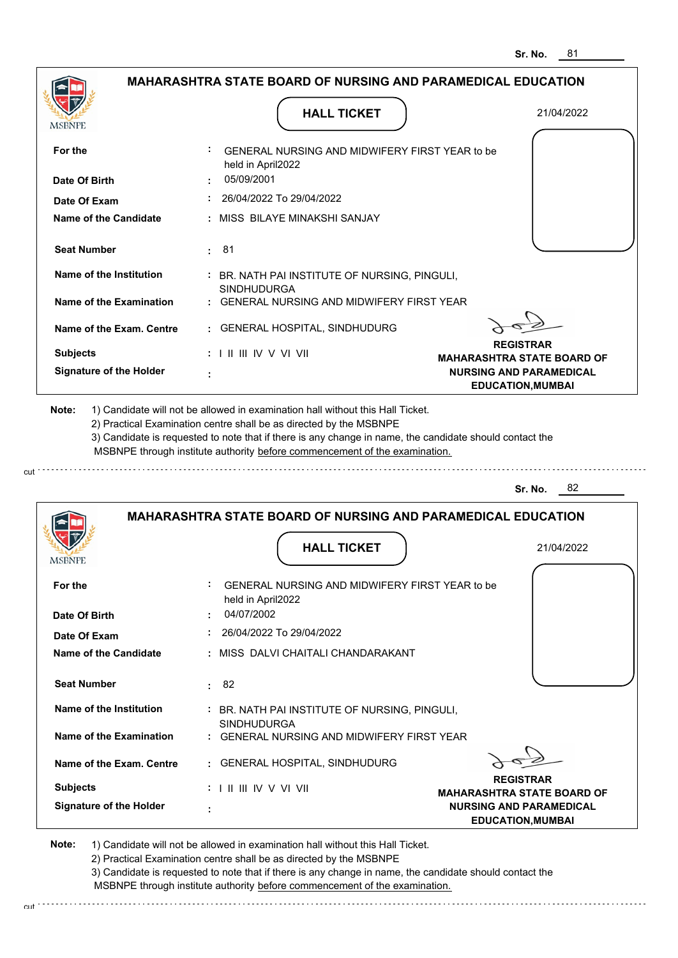| <b>MAHARASHTRA STATE BOARD OF NURSING AND PARAMEDICAL EDUCATION</b>                                                                                                                                                  |                                                                                                                                                                                                                                                                                                                                               |                                                       |
|----------------------------------------------------------------------------------------------------------------------------------------------------------------------------------------------------------------------|-----------------------------------------------------------------------------------------------------------------------------------------------------------------------------------------------------------------------------------------------------------------------------------------------------------------------------------------------|-------------------------------------------------------|
| MSBNPE                                                                                                                                                                                                               | <b>HALL TICKET</b>                                                                                                                                                                                                                                                                                                                            | 21/04/2022                                            |
| For the                                                                                                                                                                                                              | GENERAL NURSING AND MIDWIFERY FIRST YEAR to be<br>held in April2022                                                                                                                                                                                                                                                                           |                                                       |
| Date Of Birth                                                                                                                                                                                                        | 05/09/2001                                                                                                                                                                                                                                                                                                                                    |                                                       |
| Date Of Exam                                                                                                                                                                                                         | 26/04/2022 To 29/04/2022                                                                                                                                                                                                                                                                                                                      |                                                       |
| Name of the Candidate                                                                                                                                                                                                | : MISS BILAYE MINAKSHI SANJAY                                                                                                                                                                                                                                                                                                                 |                                                       |
| <b>Seat Number</b>                                                                                                                                                                                                   | 81<br>÷.                                                                                                                                                                                                                                                                                                                                      |                                                       |
| Name of the Institution                                                                                                                                                                                              | : BR. NATH PAI INSTITUTE OF NURSING, PINGULI,<br><b>SINDHUDURGA</b>                                                                                                                                                                                                                                                                           |                                                       |
| Name of the Examination                                                                                                                                                                                              | : GENERAL NURSING AND MIDWIFERY FIRST YEAR                                                                                                                                                                                                                                                                                                    |                                                       |
| Name of the Exam. Centre                                                                                                                                                                                             | : GENERAL HOSPITAL, SINDHUDURG                                                                                                                                                                                                                                                                                                                |                                                       |
| <b>Subjects</b>                                                                                                                                                                                                      | $: 1 \mathbb{H} \mathbb{H} \mathbb{W} \vee \mathbb{V} \mathbb{V} \mathbb{H}$                                                                                                                                                                                                                                                                  | <b>REGISTRAR</b><br><b>MAHARASHTRA STATE BOARD OF</b> |
| <b>Signature of the Holder</b>                                                                                                                                                                                       |                                                                                                                                                                                                                                                                                                                                               | <b>NURSING AND PARAMEDICAL</b>                        |
|                                                                                                                                                                                                                      | 1) Candidate will not be allowed in examination hall without this Hall Ticket.<br>2) Practical Examination centre shall be as directed by the MSBNPE<br>3) Candidate is requested to note that if there is any change in name, the candidate should contact the<br>MSBNPE through institute authority before commencement of the examination. | 82<br>Sr. No.                                         |
| Note:                                                                                                                                                                                                                | <b>MAHARASHTRA STATE BOARD OF NURSING AND PARAMEDICAL EDUCATION</b>                                                                                                                                                                                                                                                                           |                                                       |
|                                                                                                                                                                                                                      | <b>HALL TICKET</b>                                                                                                                                                                                                                                                                                                                            | 21/04/2022                                            |
|                                                                                                                                                                                                                      | GENERAL NURSING AND MIDWIFERY FIRST YEAR to be                                                                                                                                                                                                                                                                                                |                                                       |
|                                                                                                                                                                                                                      | held in April2022                                                                                                                                                                                                                                                                                                                             |                                                       |
|                                                                                                                                                                                                                      | 04/07/2002                                                                                                                                                                                                                                                                                                                                    |                                                       |
|                                                                                                                                                                                                                      | 26/04/2022 To 29/04/2022<br>: MISS DALVI CHAITALI CHANDARAKANT                                                                                                                                                                                                                                                                                |                                                       |
|                                                                                                                                                                                                                      | 82<br>÷.                                                                                                                                                                                                                                                                                                                                      |                                                       |
|                                                                                                                                                                                                                      | : BR. NATH PAI INSTITUTE OF NURSING, PINGULI,                                                                                                                                                                                                                                                                                                 |                                                       |
|                                                                                                                                                                                                                      | <b>SINDHUDURGA</b><br>: GENERAL NURSING AND MIDWIFERY FIRST YEAR                                                                                                                                                                                                                                                                              |                                                       |
|                                                                                                                                                                                                                      | : GENERAL HOSPITAL, SINDHUDURG                                                                                                                                                                                                                                                                                                                |                                                       |
| MSBNPF<br>For the<br>Date Of Birth<br>Date Of Exam<br><b>Name of the Candidate</b><br><b>Seat Number</b><br>Name of the Institution<br><b>Name of the Examination</b><br>Name of the Exam. Centre<br><b>Subjects</b> | $: 1 \mathbb{I} \mathbb{I} \mathbb{I} \mathbb{I} \mathbb{I} \mathbb{V} \vee \mathbb{V} \mathbb{I} \mathbb{V} \mathbb{I}$                                                                                                                                                                                                                      | <b>REGISTRAR</b><br><b>MAHARASHTRA STATE BOARD OF</b> |

2) Practical Examination centre shall be as directed by the MSBNPE

cut.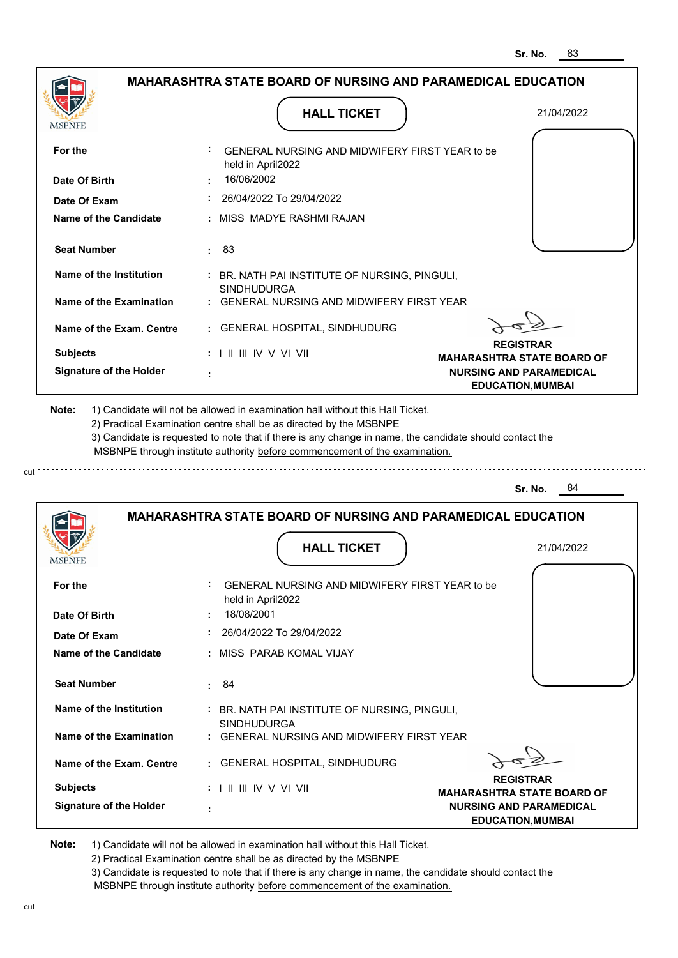| <b>MSBNPE</b>                                | <b>HALL TICKET</b>                                                                                                                                                                                                                                          | 21/04/2022                                                                                      |
|----------------------------------------------|-------------------------------------------------------------------------------------------------------------------------------------------------------------------------------------------------------------------------------------------------------------|-------------------------------------------------------------------------------------------------|
| For the<br>Date Of Birth                     | GENERAL NURSING AND MIDWIFERY FIRST YEAR to be<br>held in April2022<br>16/06/2002                                                                                                                                                                           |                                                                                                 |
|                                              | : 26/04/2022 To 29/04/2022                                                                                                                                                                                                                                  |                                                                                                 |
| Date Of Exam<br><b>Name of the Candidate</b> | : MISS MADYE RASHMI RAJAN                                                                                                                                                                                                                                   |                                                                                                 |
|                                              |                                                                                                                                                                                                                                                             |                                                                                                 |
| <b>Seat Number</b>                           | : 83                                                                                                                                                                                                                                                        |                                                                                                 |
| Name of the Institution                      | : BR. NATH PAI INSTITUTE OF NURSING, PINGULI,<br><b>SINDHUDURGA</b>                                                                                                                                                                                         |                                                                                                 |
| Name of the Examination                      | : GENERAL NURSING AND MIDWIFERY FIRST YEAR                                                                                                                                                                                                                  |                                                                                                 |
| Name of the Exam. Centre                     | : GENERAL HOSPITAL, SINDHUDURG                                                                                                                                                                                                                              |                                                                                                 |
| <b>Subjects</b>                              | $: 1 \mathbb{H} \mathbb{H} \mathbb{W} \vee \mathbb{V} \mathbb{V} \mathbb{H}$                                                                                                                                                                                | <b>REGISTRAR</b>                                                                                |
| <b>Signature of the Holder</b>               |                                                                                                                                                                                                                                                             | <b>MAHARASHTRA STATE BOARD OF</b><br><b>NURSING AND PARAMEDICAL</b><br><b>EDUCATION, MUMBAI</b> |
|                                              | 2) Practical Examination centre shall be as directed by the MSBNPE<br>3) Candidate is requested to note that if there is any change in name, the candidate should contact the<br>MSBNPE through institute authority before commencement of the examination. | Sr. No.<br>- 84                                                                                 |
|                                              | <b>MAHARASHTRA STATE BOARD OF NURSING AND PARAMEDICAL EDUCATION</b>                                                                                                                                                                                         |                                                                                                 |
|                                              |                                                                                                                                                                                                                                                             |                                                                                                 |
| <b>MSBNPE</b>                                | <b>HALL TICKET</b>                                                                                                                                                                                                                                          | 21/04/2022                                                                                      |
| For the                                      | GENERAL NURSING AND MIDWIFERY FIRST YEAR to be<br>held in April2022                                                                                                                                                                                         |                                                                                                 |
| Date Of Birth                                | 18/08/2001                                                                                                                                                                                                                                                  |                                                                                                 |
| Date Of Exam                                 | 26/04/2022 To 29/04/2022                                                                                                                                                                                                                                    |                                                                                                 |
| Name of the Candidate                        | : MISS PARAB KOMAL VIJAY                                                                                                                                                                                                                                    |                                                                                                 |
| <b>Seat Number</b>                           | : 84                                                                                                                                                                                                                                                        |                                                                                                 |
| Name of the Institution                      | : BR. NATH PAI INSTITUTE OF NURSING, PINGULI,<br><b>SINDHUDURGA</b>                                                                                                                                                                                         |                                                                                                 |
| Name of the Examination                      | : GENERAL NURSING AND MIDWIFERY FIRST YEAR                                                                                                                                                                                                                  |                                                                                                 |
| Name of the Exam. Centre                     | : GENERAL HOSPITAL, SINDHUDURG                                                                                                                                                                                                                              |                                                                                                 |
| <b>Subjects</b>                              | : I II III IV V VI VII                                                                                                                                                                                                                                      | <b>REGISTRAR</b><br><b>MAHARASHTRA STATE BOARD OF</b>                                           |

2) Practical Examination centre shall be as directed by the MSBNPE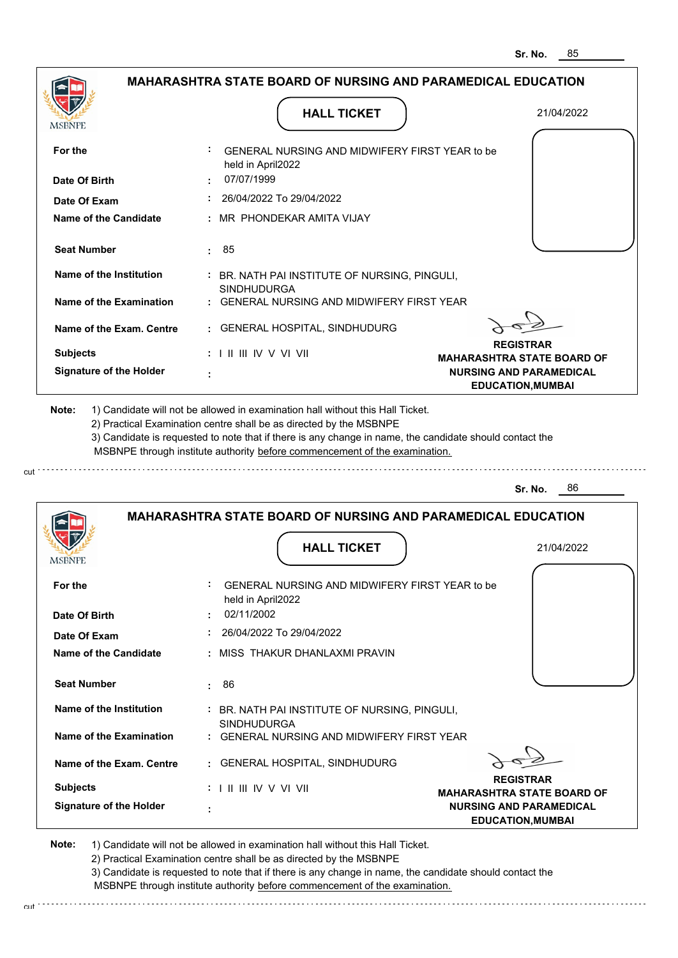|                                | <b>MAHARASHTRA STATE BOARD OF NURSING AND PARAMEDICAL EDUCATION</b>        |                                                            |
|--------------------------------|----------------------------------------------------------------------------|------------------------------------------------------------|
|                                | <b>HALL TICKET</b>                                                         | 21/04/2022                                                 |
| For the                        | GENERAL NURSING AND MIDWIFERY FIRST YEAR to be<br>held in April2022        |                                                            |
| Date Of Birth                  | 07/07/1999                                                                 |                                                            |
| Date Of Exam                   | 26/04/2022 To 29/04/2022                                                   |                                                            |
| <b>Name of the Candidate</b>   | MR PHONDEKAR AMITA VIJAY                                                   |                                                            |
| <b>Seat Number</b>             | 85<br>÷.                                                                   |                                                            |
| Name of the Institution        | : BR. NATH PAI INSTITUTE OF NURSING, PINGULI,<br><b>SINDHUDURGA</b>        |                                                            |
| Name of the Examination        | : GENERAL NURSING AND MIDWIFERY FIRST YEAR                                 |                                                            |
| Name of the Exam. Centre       | : GENERAL HOSPITAL, SINDHUDURG                                             |                                                            |
| <b>Subjects</b>                | $: 1 \mathbb{I}$ III IIV V VI VII                                          | <b>REGISTRAR</b><br><b>MAHARASHTRA STATE BOARD OF</b>      |
| <b>Signature of the Holder</b> |                                                                            | <b>NURSING AND PARAMEDICAL</b><br><b>EDUCATION, MUMBAI</b> |
|                                | MSBNPE through institute authority before commencement of the examination. | 86<br>Sr. No.                                              |
|                                | <b>MAHARASHTRA STATE BOARD OF NURSING AND PARAMEDICAL EDUCATION</b>        |                                                            |
|                                | <b>HALL TICKET</b>                                                         | 21/04/2022                                                 |
| MSBNPE                         |                                                                            |                                                            |
| For the                        | GENERAL NURSING AND MIDWIFERY FIRST YEAR to be<br>held in April2022        |                                                            |
| Date Of Birth                  | 02/11/2002                                                                 |                                                            |
| Date Of Exam                   | 26/04/2022 To 29/04/2022                                                   |                                                            |
| Name of the Candidate          | : MISS THAKUR DHANLAXMI PRAVIN                                             |                                                            |
| <b>Seat Number</b>             | 86<br>÷.                                                                   |                                                            |
| Name of the Institution        | : BR. NATH PAI INSTITUTE OF NURSING, PINGULI,<br><b>SINDHUDURGA</b>        |                                                            |
| <b>Name of the Examination</b> | : GENERAL NURSING AND MIDWIFERY FIRST YEAR                                 |                                                            |
| Name of the Exam. Centre       | : GENERAL HOSPITAL, SINDHUDURG                                             |                                                            |
| <b>Subjects</b>                | : I II III IV V VI VII                                                     | <b>REGISTRAR</b><br><b>MAHARASHTRA STATE BOARD OF</b>      |
| <b>Signature of the Holder</b> | ÷                                                                          | <b>NURSING AND PARAMEDICAL</b><br><b>EDUCATION, MUMBAI</b> |
|                                |                                                                            |                                                            |

cut

2) Practical Examination centre shall be as directed by the MSBNPE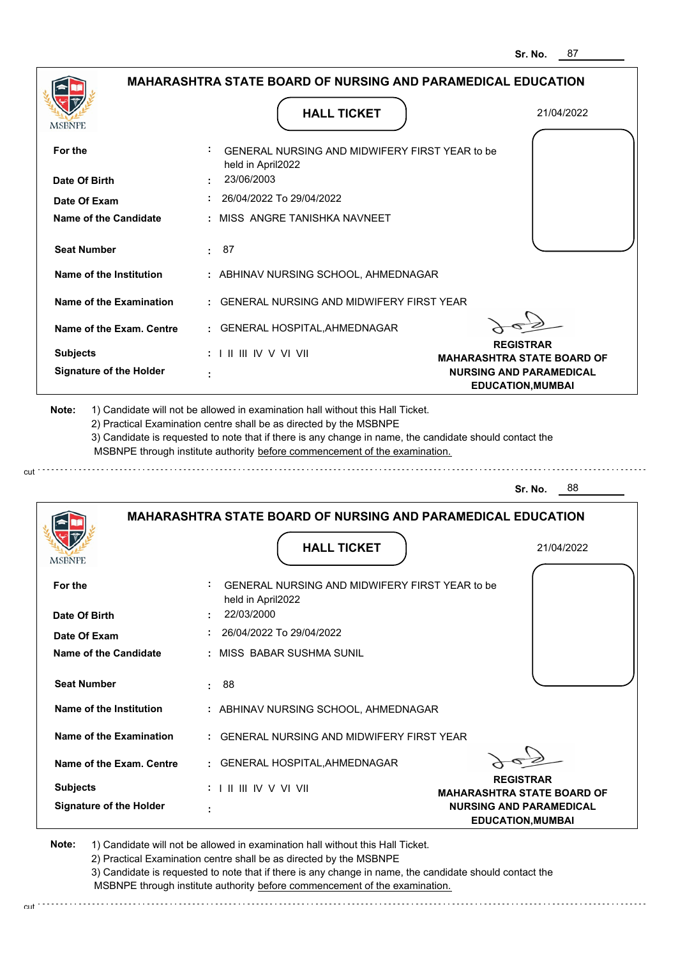|                                                                                       | <b>MAHARASHTRA STATE BOARD OF NURSING AND PARAMEDICAL EDUCATION</b>                                                                                                                                                                                                                                                                           |                                                       |
|---------------------------------------------------------------------------------------|-----------------------------------------------------------------------------------------------------------------------------------------------------------------------------------------------------------------------------------------------------------------------------------------------------------------------------------------------|-------------------------------------------------------|
|                                                                                       | <b>HALL TICKET</b>                                                                                                                                                                                                                                                                                                                            | 21/04/2022                                            |
|                                                                                       |                                                                                                                                                                                                                                                                                                                                               |                                                       |
| For the                                                                               | GENERAL NURSING AND MIDWIFERY FIRST YEAR to be<br>held in April2022                                                                                                                                                                                                                                                                           |                                                       |
| Date Of Birth                                                                         | 23/06/2003                                                                                                                                                                                                                                                                                                                                    |                                                       |
| Date Of Exam                                                                          | 26/04/2022 To 29/04/2022                                                                                                                                                                                                                                                                                                                      |                                                       |
| <b>Name of the Candidate</b>                                                          | : MISS ANGRE TANISHKA NAVNEET                                                                                                                                                                                                                                                                                                                 |                                                       |
| <b>Seat Number</b>                                                                    | 87<br>÷.                                                                                                                                                                                                                                                                                                                                      |                                                       |
| Name of the Institution                                                               | : ABHINAV NURSING SCHOOL, AHMEDNAGAR                                                                                                                                                                                                                                                                                                          |                                                       |
| Name of the Examination                                                               | <b>GENERAL NURSING AND MIDWIFERY FIRST YEAR</b>                                                                                                                                                                                                                                                                                               |                                                       |
| Name of the Exam. Centre                                                              | GENERAL HOSPITAL, AHMEDNAGAR                                                                                                                                                                                                                                                                                                                  |                                                       |
| <b>Subjects</b>                                                                       | : I II III IV V VI VII                                                                                                                                                                                                                                                                                                                        | <b>REGISTRAR</b><br><b>MAHARASHTRA STATE BOARD OF</b> |
| <b>Signature of the Holder</b>                                                        |                                                                                                                                                                                                                                                                                                                                               | <b>NURSING AND PARAMEDICAL</b>                        |
|                                                                                       | 1) Candidate will not be allowed in examination hall without this Hall Ticket.<br>2) Practical Examination centre shall be as directed by the MSBNPE<br>3) Candidate is requested to note that if there is any change in name, the candidate should contact the<br>MSBNPE through institute authority before commencement of the examination. | <b>EDUCATION, MUMBAI</b>                              |
|                                                                                       |                                                                                                                                                                                                                                                                                                                                               | 88<br>Sr. No.                                         |
|                                                                                       | <b>MAHARASHTRA STATE BOARD OF NURSING AND PARAMEDICAL EDUCATION</b>                                                                                                                                                                                                                                                                           |                                                       |
|                                                                                       | <b>HALL TICKET</b>                                                                                                                                                                                                                                                                                                                            | 21/04/2022                                            |
|                                                                                       | GENERAL NURSING AND MIDWIFERY FIRST YEAR to be<br>held in April2022                                                                                                                                                                                                                                                                           |                                                       |
|                                                                                       | 22/03/2000                                                                                                                                                                                                                                                                                                                                    |                                                       |
|                                                                                       | 26/04/2022 To 29/04/2022                                                                                                                                                                                                                                                                                                                      |                                                       |
|                                                                                       | : MISS_BABAR SUSHMA SUNIL                                                                                                                                                                                                                                                                                                                     |                                                       |
| <b>Seat Number</b>                                                                    | 88<br>÷.                                                                                                                                                                                                                                                                                                                                      |                                                       |
| Name of the Institution                                                               | : ABHINAV NURSING SCHOOL, AHMEDNAGAR                                                                                                                                                                                                                                                                                                          |                                                       |
|                                                                                       | : GENERAL NURSING AND MIDWIFERY FIRST YEAR                                                                                                                                                                                                                                                                                                    |                                                       |
| For the<br>Date Of Exam<br><b>Name of the Examination</b><br>Name of the Exam. Centre | GENERAL HOSPITAL, AHMEDNAGAR                                                                                                                                                                                                                                                                                                                  |                                                       |
| Note:<br>MSBNPE<br>Date Of Birth<br><b>Name of the Candidate</b><br><b>Subjects</b>   | : I II III IV V VI VII                                                                                                                                                                                                                                                                                                                        | <b>REGISTRAR</b><br><b>MAHARASHTRA STATE BOARD OF</b> |

cut

2) Practical Examination centre shall be as directed by the MSBNPE

3) Candidate is requested to note that if there is any change in name, the candidate should contact the MSBNPE through institute authority before commencement of the examination. cut de contra a construction de construction de construction de construction de construction de construction de construction de construction de construction de construction de construction de construction de construction d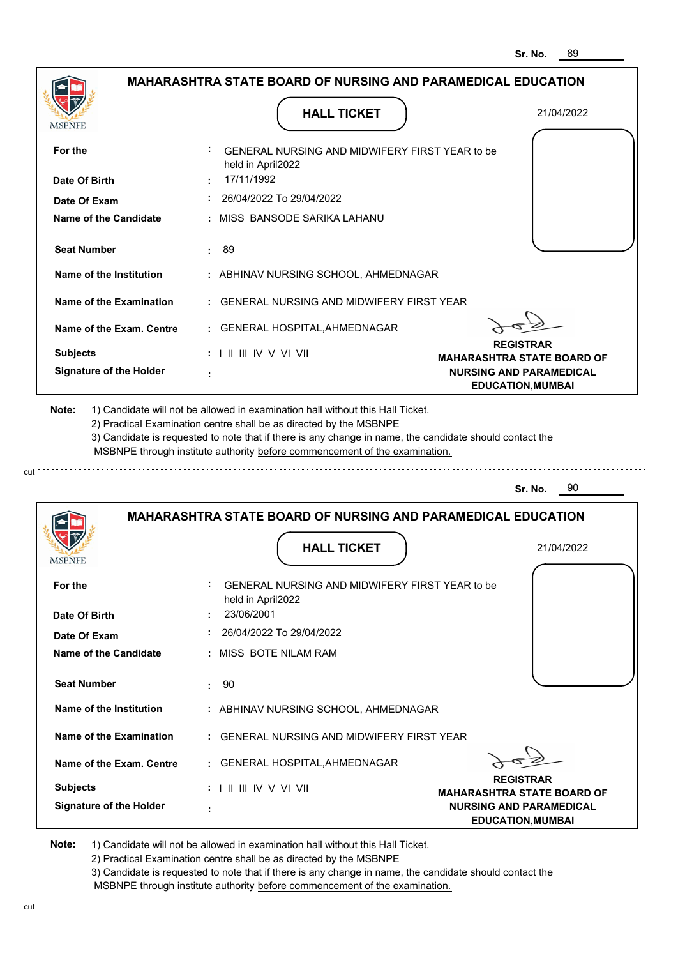|                                | <b>MAHARASHTRA STATE BOARD OF NURSING AND PARAMEDICAL EDUCATION</b>          |                                                            |
|--------------------------------|------------------------------------------------------------------------------|------------------------------------------------------------|
| MSBNPE                         | <b>HALL TICKET</b>                                                           | 21/04/2022                                                 |
| For the                        | GENERAL NURSING AND MIDWIFERY FIRST YEAR to be<br>held in April2022          |                                                            |
| Date Of Birth                  | 17/11/1992                                                                   |                                                            |
| Date Of Exam                   | 26/04/2022 To 29/04/2022                                                     |                                                            |
| <b>Name of the Candidate</b>   | : MISS BANSODE SARIKA LAHANU                                                 |                                                            |
| <b>Seat Number</b>             | 89<br>÷.                                                                     |                                                            |
| Name of the Institution        | : ABHINAV NURSING SCHOOL, AHMEDNAGAR                                         |                                                            |
| Name of the Examination        | : GENERAL NURSING AND MIDWIFERY FIRST YEAR                                   |                                                            |
| Name of the Exam. Centre       | : GENERAL HOSPITAL, AHMEDNAGAR                                               |                                                            |
| <b>Subjects</b>                | $: 1 \mathbb{H} \mathbb{H} \mathbb{W} \vee \mathbb{V} \mathbb{V} \mathbb{H}$ | <b>REGISTRAR</b><br><b>MAHARASHTRA STATE BOARD OF</b>      |
| <b>Signature of the Holder</b> |                                                                              | <b>NURSING AND PARAMEDICAL</b><br><b>EDUCATION, MUMBAI</b> |
|                                |                                                                              |                                                            |
|                                | <b>MAHARASHTRA STATE BOARD OF NURSING AND PARAMEDICAL EDUCATION</b>          | 90<br>Sr. No.                                              |
| <b>MSBNPE</b>                  | <b>HALL TICKET</b>                                                           | 21/04/2022                                                 |
| For the                        | GENERAL NURSING AND MIDWIFERY FIRST YEAR to be<br>held in April2022          |                                                            |
| Date Of Birth                  | 23/06/2001                                                                   |                                                            |
| Date Of Exam                   | 26/04/2022 To 29/04/2022                                                     |                                                            |
| <b>Name of the Candidate</b>   | : MISS BOTE NILAM RAM                                                        |                                                            |
| <b>Seat Number</b>             | -90<br>÷.                                                                    |                                                            |
| <b>Name of the Institution</b> | : ABHINAV NURSING SCHOOL, AHMEDNAGAR                                         |                                                            |
| <b>Name of the Examination</b> | : GENERAL NURSING AND MIDWIFERY FIRST YEAR                                   |                                                            |
| Name of the Exam. Centre       | : GENERAL HOSPITAL, AHMEDNAGAR                                               |                                                            |
| <b>Subjects</b>                | : I II III IV V VI VII                                                       | <b>REGISTRAR</b><br><b>MAHARASHTRA STATE BOARD OF</b>      |

3) Candidate is requested to note that if there is any change in name, the candidate should contact the MSBNPE through institute authority before commencement of the examination. cut de contra a construction de construction de construction de construction de construction de construction de construction de construction de construction de construction de construction de construction de construction d

cut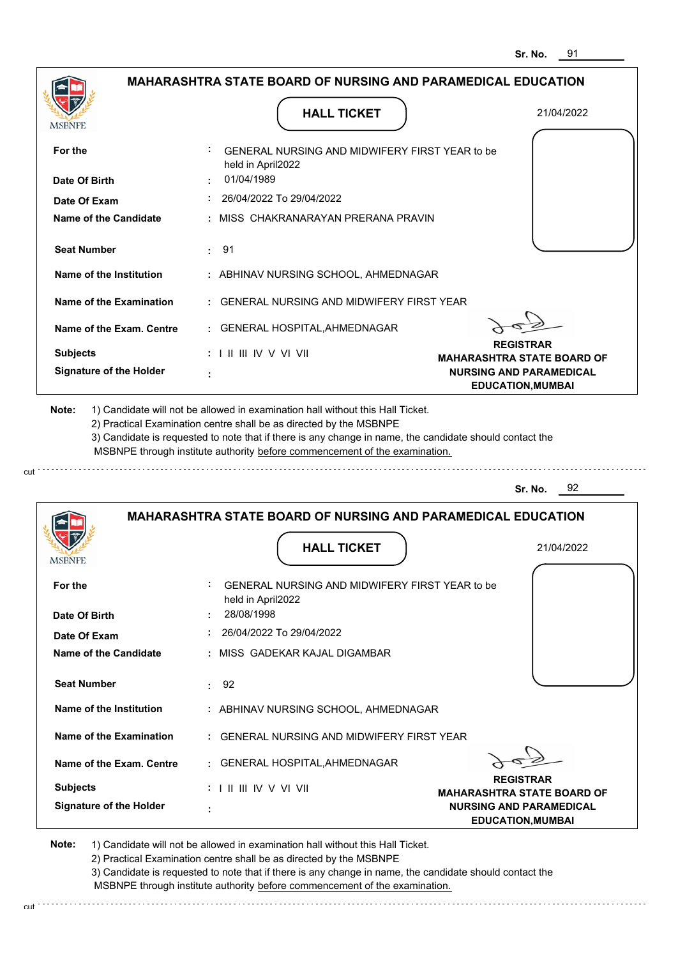|                                                                                                                                                                                                                        |                                                                                                                          | <b>HALL TICKET</b>                                                                                                                                                                                                                                                                                                                            | 21/04/2022                                                          |
|------------------------------------------------------------------------------------------------------------------------------------------------------------------------------------------------------------------------|--------------------------------------------------------------------------------------------------------------------------|-----------------------------------------------------------------------------------------------------------------------------------------------------------------------------------------------------------------------------------------------------------------------------------------------------------------------------------------------|---------------------------------------------------------------------|
| For the                                                                                                                                                                                                                |                                                                                                                          | GENERAL NURSING AND MIDWIFERY FIRST YEAR to be<br>held in April2022                                                                                                                                                                                                                                                                           |                                                                     |
| Date Of Birth                                                                                                                                                                                                          | 01/04/1989                                                                                                               |                                                                                                                                                                                                                                                                                                                                               |                                                                     |
| Date Of Exam                                                                                                                                                                                                           |                                                                                                                          | 26/04/2022 To 29/04/2022                                                                                                                                                                                                                                                                                                                      |                                                                     |
| Name of the Candidate                                                                                                                                                                                                  |                                                                                                                          | MISS CHAKRANARAYAN PRERANA PRAVIN                                                                                                                                                                                                                                                                                                             |                                                                     |
| <b>Seat Number</b>                                                                                                                                                                                                     | 91<br>÷                                                                                                                  |                                                                                                                                                                                                                                                                                                                                               |                                                                     |
| Name of the Institution                                                                                                                                                                                                |                                                                                                                          | : ABHINAV NURSING SCHOOL, AHMEDNAGAR                                                                                                                                                                                                                                                                                                          |                                                                     |
| <b>Name of the Examination</b>                                                                                                                                                                                         |                                                                                                                          | <b>GENERAL NURSING AND MIDWIFERY FIRST YEAR</b>                                                                                                                                                                                                                                                                                               |                                                                     |
| Name of the Exam. Centre                                                                                                                                                                                               |                                                                                                                          | GENERAL HOSPITAL, AHMEDNAGAR                                                                                                                                                                                                                                                                                                                  |                                                                     |
| <b>Subjects</b>                                                                                                                                                                                                        | : I II III IV V VI VII                                                                                                   |                                                                                                                                                                                                                                                                                                                                               | <b>REGISTRAR</b><br><b>MAHARASHTRA STATE BOARD OF</b>               |
| <b>Signature of the Holder</b>                                                                                                                                                                                         |                                                                                                                          |                                                                                                                                                                                                                                                                                                                                               | <b>NURSING AND PARAMEDICAL</b><br><b>EDUCATION, MUMBAI</b>          |
|                                                                                                                                                                                                                        |                                                                                                                          | 1) Candidate will not be allowed in examination hall without this Hall Ticket.<br>2) Practical Examination centre shall be as directed by the MSBNPE<br>3) Candidate is requested to note that if there is any change in name, the candidate should contact the<br>MSBNPE through institute authority before commencement of the examination. | 92<br>Sr. No.                                                       |
|                                                                                                                                                                                                                        |                                                                                                                          |                                                                                                                                                                                                                                                                                                                                               | <b>MAHARASHTRA STATE BOARD OF NURSING AND PARAMEDICAL EDUCATION</b> |
|                                                                                                                                                                                                                        |                                                                                                                          | <b>HALL TICKET</b>                                                                                                                                                                                                                                                                                                                            | 21/04/2022                                                          |
|                                                                                                                                                                                                                        |                                                                                                                          | GENERAL NURSING AND MIDWIFERY FIRST YEAR to be                                                                                                                                                                                                                                                                                                |                                                                     |
|                                                                                                                                                                                                                        | 28/08/1998                                                                                                               | held in April2022                                                                                                                                                                                                                                                                                                                             |                                                                     |
|                                                                                                                                                                                                                        |                                                                                                                          | 26/04/2022 To 29/04/2022                                                                                                                                                                                                                                                                                                                      |                                                                     |
|                                                                                                                                                                                                                        |                                                                                                                          | MISS GADEKAR KAJAL DIGAMBAR                                                                                                                                                                                                                                                                                                                   |                                                                     |
|                                                                                                                                                                                                                        | 92<br>÷                                                                                                                  |                                                                                                                                                                                                                                                                                                                                               |                                                                     |
|                                                                                                                                                                                                                        |                                                                                                                          | : ABHINAV NURSING SCHOOL, AHMEDNAGAR                                                                                                                                                                                                                                                                                                          |                                                                     |
|                                                                                                                                                                                                                        |                                                                                                                          | <b>GENERAL NURSING AND MIDWIFERY FIRST YEAR</b>                                                                                                                                                                                                                                                                                               |                                                                     |
|                                                                                                                                                                                                                        | ÷.                                                                                                                       | GENERAL HOSPITAL, AHMEDNAGAR                                                                                                                                                                                                                                                                                                                  |                                                                     |
| Note:<br>MSBNPE<br>For the<br>Date Of Birth<br>Date Of Exam<br>Name of the Candidate<br><b>Seat Number</b><br>Name of the Institution<br><b>Name of the Examination</b><br>Name of the Exam. Centre<br><b>Subjects</b> | $: 1 \mathbb{I} \mathbb{I} \mathbb{I} \mathbb{I} \mathbb{I} \mathbb{V} \vee \mathbb{V} \mathbb{I} \mathbb{V} \mathbb{I}$ |                                                                                                                                                                                                                                                                                                                                               | <b>REGISTRAR</b><br><b>MAHARASHTRA STATE BOARD OF</b>               |

cut

3) Candidate is requested to note that if there is any change in name, the candidate should contact the MSBNPE through institute authority before commencement of the examination. cut de contra a construction de construction de construction de construction de construction de construction de construction de construction de construction de construction de construction de construction de construction d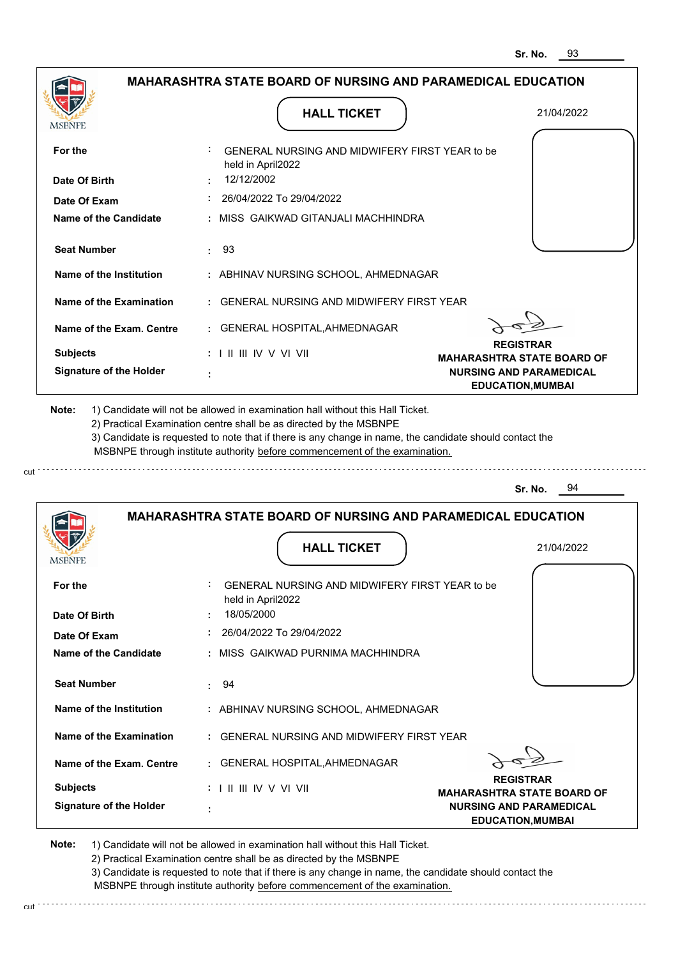| <b>MSBNPE</b>                                             | <b>HALL TICKET</b>                                                                                                                                                                                                                                          | 21/04/2022                                                 |
|-----------------------------------------------------------|-------------------------------------------------------------------------------------------------------------------------------------------------------------------------------------------------------------------------------------------------------------|------------------------------------------------------------|
| For the<br>Date Of Birth                                  | GENERAL NURSING AND MIDWIFERY FIRST YEAR to be<br>held in April2022<br>12/12/2002                                                                                                                                                                           |                                                            |
| Date Of Exam                                              | $: 26/04/2022$ To 29/04/2022                                                                                                                                                                                                                                |                                                            |
| Name of the Candidate                                     | : MISS GAIKWAD GITANJALI MACHHINDRA                                                                                                                                                                                                                         |                                                            |
| <b>Seat Number</b>                                        | : 93                                                                                                                                                                                                                                                        |                                                            |
| Name of the Institution                                   | : ABHINAV NURSING SCHOOL, AHMEDNAGAR                                                                                                                                                                                                                        |                                                            |
| Name of the Examination                                   | : GENERAL NURSING AND MIDWIFERY FIRST YEAR                                                                                                                                                                                                                  |                                                            |
| Name of the Exam. Centre                                  | : GENERAL HOSPITAL, AHMEDNAGAR                                                                                                                                                                                                                              |                                                            |
| <b>Subjects</b>                                           | $: 1 \parallel \parallel \parallel$ IV V VI VII                                                                                                                                                                                                             | <b>REGISTRAR</b><br><b>MAHARASHTRA STATE BOARD OF</b>      |
| <b>Signature of the Holder</b>                            |                                                                                                                                                                                                                                                             | <b>NURSING AND PARAMEDICAL</b><br><b>EDUCATION, MUMBAI</b> |
|                                                           | 2) Practical Examination centre shall be as directed by the MSBNPE<br>3) Candidate is requested to note that if there is any change in name, the candidate should contact the<br>MSBNPE through institute authority before commencement of the examination. | Sr. No.<br>- 94                                            |
|                                                           | <b>MAHARASHTRA STATE BOARD OF NURSING AND PARAMEDICAL EDUCATION</b>                                                                                                                                                                                         |                                                            |
|                                                           | <b>HALL TICKET</b>                                                                                                                                                                                                                                          | 21/04/2022                                                 |
|                                                           | GENERAL NURSING AND MIDWIFERY FIRST YEAR to be<br>held in April2022                                                                                                                                                                                         |                                                            |
|                                                           | 18/05/2000                                                                                                                                                                                                                                                  |                                                            |
| <b>MSBNPE</b><br>For the<br>Date Of Birth<br>Date Of Exam | 26/04/2022 To 29/04/2022                                                                                                                                                                                                                                    |                                                            |
|                                                           | : MISS GAIKWAD PURNIMA MACHHINDRA                                                                                                                                                                                                                           |                                                            |
| <b>Name of the Candidate</b><br><b>Seat Number</b>        | $\cdot$ 94                                                                                                                                                                                                                                                  |                                                            |
| Name of the Institution                                   | : ABHINAV NURSING SCHOOL, AHMEDNAGAR                                                                                                                                                                                                                        |                                                            |
| Name of the Examination                                   | : GENERAL NURSING AND MIDWIFERY FIRST YEAR                                                                                                                                                                                                                  |                                                            |
|                                                           | : GENERAL HOSPITAL, AHMEDNAGAR                                                                                                                                                                                                                              |                                                            |
| Name of the Exam. Centre<br><b>Subjects</b>               | $: 1 \mathbb{H} \mathbb{H} \mathbb{W} \vee \mathbb{V} \mathbb{V} \mathbb{H}$                                                                                                                                                                                | <b>REGISTRAR</b><br><b>MAHARASHTRA STATE BOARD OF</b>      |

2) Practical Examination centre shall be as directed by the MSBNPE

3) Candidate is requested to note that if there is any change in name, the candidate should contact the MSBNPE through institute authority before commencement of the examination. cut de contra a construction de construction de construction de construction de construction de construction de construction de construction de construction de construction de construction de construction de construction d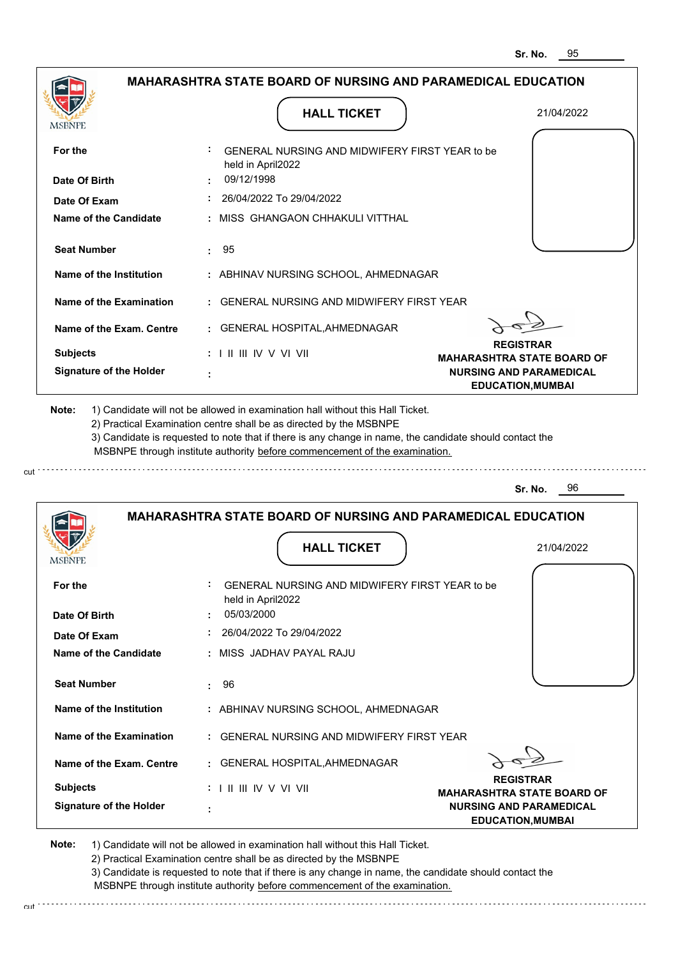|                                                                                         |                                 | <b>HALL TICKET</b>                                                                                                                                                                                                                                                                                                                            | 21/04/2022                                                                                      |
|-----------------------------------------------------------------------------------------|---------------------------------|-----------------------------------------------------------------------------------------------------------------------------------------------------------------------------------------------------------------------------------------------------------------------------------------------------------------------------------------------|-------------------------------------------------------------------------------------------------|
| For the                                                                                 | held in April2022               | GENERAL NURSING AND MIDWIFERY FIRST YEAR to be                                                                                                                                                                                                                                                                                                |                                                                                                 |
| Date Of Birth                                                                           | 09/12/1998                      |                                                                                                                                                                                                                                                                                                                                               |                                                                                                 |
| Date Of Exam                                                                            |                                 | 26/04/2022 To 29/04/2022                                                                                                                                                                                                                                                                                                                      |                                                                                                 |
| Name of the Candidate                                                                   |                                 | MISS GHANGAON CHHAKULI VITTHAL                                                                                                                                                                                                                                                                                                                |                                                                                                 |
| <b>Seat Number</b>                                                                      | 95<br>÷.                        |                                                                                                                                                                                                                                                                                                                                               |                                                                                                 |
| Name of the Institution                                                                 |                                 | : ABHINAV NURSING SCHOOL, AHMEDNAGAR                                                                                                                                                                                                                                                                                                          |                                                                                                 |
| Name of the Examination                                                                 |                                 | <b>GENERAL NURSING AND MIDWIFERY FIRST YEAR</b>                                                                                                                                                                                                                                                                                               |                                                                                                 |
| Name of the Exam. Centre                                                                |                                 | GENERAL HOSPITAL, AHMEDNAGAR                                                                                                                                                                                                                                                                                                                  |                                                                                                 |
| <b>Subjects</b>                                                                         | : I II III IV V VI VII          |                                                                                                                                                                                                                                                                                                                                               | <b>REGISTRAR</b>                                                                                |
| <b>Signature of the Holder</b>                                                          |                                 |                                                                                                                                                                                                                                                                                                                                               | <b>MAHARASHTRA STATE BOARD OF</b><br><b>NURSING AND PARAMEDICAL</b><br><b>EDUCATION, MUMBAI</b> |
|                                                                                         |                                 | 1) Candidate will not be allowed in examination hall without this Hall Ticket.<br>2) Practical Examination centre shall be as directed by the MSBNPE<br>3) Candidate is requested to note that if there is any change in name, the candidate should contact the<br>MSBNPE through institute authority before commencement of the examination. | 96<br>Sr. No.                                                                                   |
|                                                                                         |                                 | <b>MAHARASHTRA STATE BOARD OF NURSING AND PARAMEDICAL EDUCATION</b>                                                                                                                                                                                                                                                                           |                                                                                                 |
|                                                                                         |                                 | <b>HALL TICKET</b>                                                                                                                                                                                                                                                                                                                            | 21/04/2022                                                                                      |
|                                                                                         |                                 | GENERAL NURSING AND MIDWIFERY FIRST YEAR to be                                                                                                                                                                                                                                                                                                |                                                                                                 |
|                                                                                         | held in April2022<br>05/03/2000 |                                                                                                                                                                                                                                                                                                                                               |                                                                                                 |
|                                                                                         |                                 | 26/04/2022 To 29/04/2022                                                                                                                                                                                                                                                                                                                      |                                                                                                 |
| Date Of Exam                                                                            |                                 | : MISS JADHAV PAYAL RAJU                                                                                                                                                                                                                                                                                                                      |                                                                                                 |
| <b>Seat Number</b>                                                                      | 96<br>÷                         |                                                                                                                                                                                                                                                                                                                                               |                                                                                                 |
|                                                                                         |                                 | : ABHINAV NURSING SCHOOL, AHMEDNAGAR                                                                                                                                                                                                                                                                                                          |                                                                                                 |
|                                                                                         | ÷.                              | GENERAL NURSING AND MIDWIFERY FIRST YEAR                                                                                                                                                                                                                                                                                                      |                                                                                                 |
| Name of the Institution<br>Name of the Examination<br>Name of the Exam. Centre          |                                 | <b>GENERAL HOSPITAL, AHMEDNAGAR</b>                                                                                                                                                                                                                                                                                                           |                                                                                                 |
| Note:<br>MSBNPE<br>For the<br>Date Of Birth<br>Name of the Candidate<br><b>Subjects</b> | :             V V    V          |                                                                                                                                                                                                                                                                                                                                               | <b>REGISTRAR</b><br><b>MAHARASHTRA STATE BOARD OF</b>                                           |

2) Practical Examination centre shall be as directed by the MSBNPE

3) Candidate is requested to note that if there is any change in name, the candidate should contact the MSBNPE through institute authority before commencement of the examination. cut de la component de la component de la component de la component de la component de la component de la component de la component de la component de la component de la component de la component de la component de la comp

cut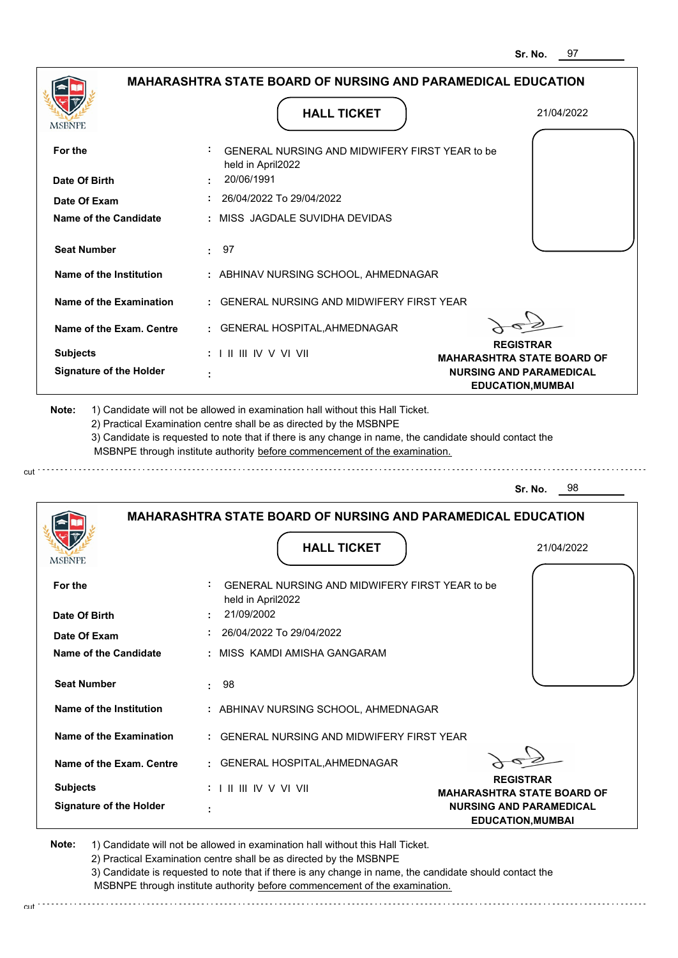|                                | <b>MAHARASHTRA STATE BOARD OF NURSING AND PARAMEDICAL EDUCATION</b>        |                                                            |
|--------------------------------|----------------------------------------------------------------------------|------------------------------------------------------------|
| MSBNPE                         | <b>HALL TICKET</b>                                                         | 21/04/2022                                                 |
| For the                        | GENERAL NURSING AND MIDWIFERY FIRST YEAR to be                             |                                                            |
| Date Of Birth                  | held in April2022<br>20/06/1991                                            |                                                            |
| Date Of Exam                   | 26/04/2022 To 29/04/2022                                                   |                                                            |
| <b>Name of the Candidate</b>   | MISS JAGDALE SUVIDHA DEVIDAS                                               |                                                            |
| <b>Seat Number</b>             | 97<br>÷.                                                                   |                                                            |
| Name of the Institution        | : ABHINAV NURSING SCHOOL, AHMEDNAGAR                                       |                                                            |
| Name of the Examination        | : GENERAL NURSING AND MIDWIFERY FIRST YEAR                                 |                                                            |
| Name of the Exam. Centre       | : GENERAL HOSPITAL, AHMEDNAGAR                                             |                                                            |
| <b>Subjects</b>                | $: 1 \mathbb{I}$ III IIV V VI VII                                          | <b>REGISTRAR</b><br><b>MAHARASHTRA STATE BOARD OF</b>      |
| <b>Signature of the Holder</b> |                                                                            | <b>NURSING AND PARAMEDICAL</b><br><b>EDUCATION, MUMBAI</b> |
|                                | MSBNPE through institute authority before commencement of the examination. | 98<br>Sr. No.                                              |
|                                | <b>MAHARASHTRA STATE BOARD OF NURSING AND PARAMEDICAL EDUCATION</b>        |                                                            |
| <b>MSBNPE</b>                  | <b>HALL TICKET</b>                                                         | 21/04/2022                                                 |
| For the                        | GENERAL NURSING AND MIDWIFERY FIRST YEAR to be                             |                                                            |
| Date Of Birth                  | held in April2022<br>21/09/2002                                            |                                                            |
| Date Of Exam                   | 26/04/2022 To 29/04/2022                                                   |                                                            |
| Name of the Candidate          | MISS KAMDI AMISHA GANGARAM                                                 |                                                            |
| <b>Seat Number</b>             | 98<br>÷.                                                                   |                                                            |
| Name of the Institution        | : ABHINAV NURSING SCHOOL, AHMEDNAGAR                                       |                                                            |
| <b>Name of the Examination</b> | : GENERAL NURSING AND MIDWIFERY FIRST YEAR                                 |                                                            |
| Name of the Exam. Centre       | : GENERAL HOSPITAL, AHMEDNAGAR                                             | <b>REGISTRAR</b>                                           |
| <b>Subjects</b>                | $: 1 \mathbb{I}$ III IIV V VI VII                                          | <b>MAHARASHTRA STATE BOARD OF</b>                          |
| <b>Signature of the Holder</b> |                                                                            | <b>NURSING AND PARAMEDICAL</b><br><b>EDUCATION, MUMBAI</b> |
|                                |                                                                            |                                                            |

2) Practical Examination centre shall be as directed by the MSBNPE

cut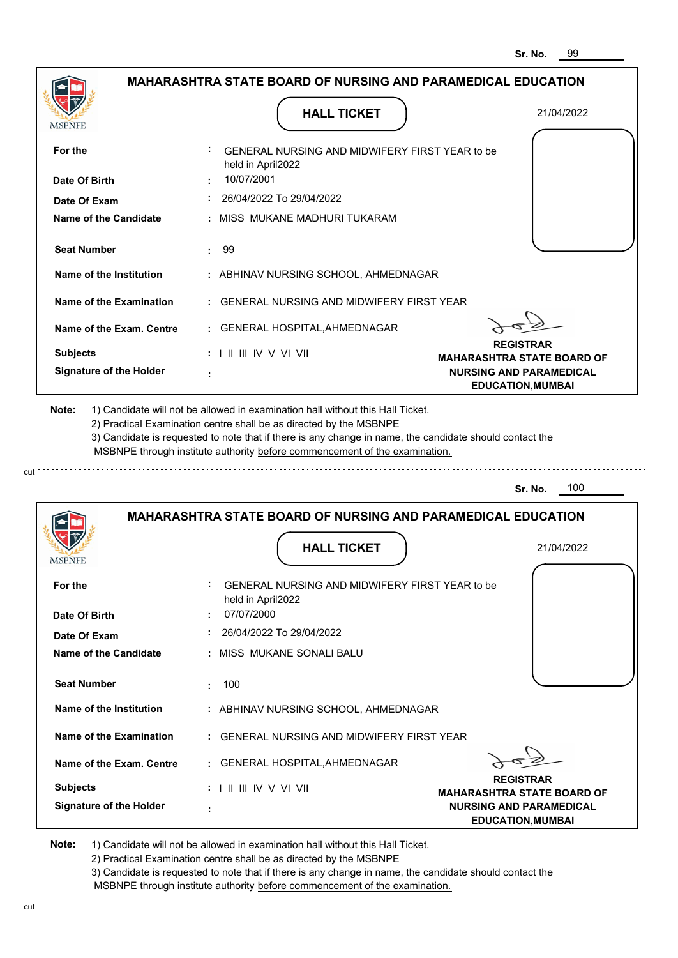|                                                                                                                                                                                                                 |           | <b>HALL TICKET</b>                                                                                                                                                                                                                                                                                                                            | 21/04/2022                                                 |
|-----------------------------------------------------------------------------------------------------------------------------------------------------------------------------------------------------------------|-----------|-----------------------------------------------------------------------------------------------------------------------------------------------------------------------------------------------------------------------------------------------------------------------------------------------------------------------------------------------|------------------------------------------------------------|
| For the                                                                                                                                                                                                         |           | GENERAL NURSING AND MIDWIFERY FIRST YEAR to be<br>held in April2022                                                                                                                                                                                                                                                                           |                                                            |
| Date Of Birth                                                                                                                                                                                                   |           | 10/07/2001                                                                                                                                                                                                                                                                                                                                    |                                                            |
| Date Of Exam                                                                                                                                                                                                    |           | 26/04/2022 To 29/04/2022                                                                                                                                                                                                                                                                                                                      |                                                            |
| <b>Name of the Candidate</b>                                                                                                                                                                                    |           | MISS MUKANE MADHURI TUKARAM                                                                                                                                                                                                                                                                                                                   |                                                            |
| <b>Seat Number</b>                                                                                                                                                                                              | 99        |                                                                                                                                                                                                                                                                                                                                               |                                                            |
| Name of the Institution                                                                                                                                                                                         |           | : ABHINAV NURSING SCHOOL, AHMEDNAGAR                                                                                                                                                                                                                                                                                                          |                                                            |
| <b>Name of the Examination</b>                                                                                                                                                                                  |           | <b>GENERAL NURSING AND MIDWIFERY FIRST YEAR</b>                                                                                                                                                                                                                                                                                               |                                                            |
| Name of the Exam. Centre                                                                                                                                                                                        |           | GENERAL HOSPITAL, AHMEDNAGAR                                                                                                                                                                                                                                                                                                                  |                                                            |
| <b>Subjects</b>                                                                                                                                                                                                 |           | : I II III IV V VI VII                                                                                                                                                                                                                                                                                                                        | <b>REGISTRAR</b><br><b>MAHARASHTRA STATE BOARD OF</b>      |
| <b>Signature of the Holder</b>                                                                                                                                                                                  |           |                                                                                                                                                                                                                                                                                                                                               | <b>NURSING AND PARAMEDICAL</b><br><b>EDUCATION, MUMBAI</b> |
|                                                                                                                                                                                                                 |           | 1) Candidate will not be allowed in examination hall without this Hall Ticket.<br>2) Practical Examination centre shall be as directed by the MSBNPE<br>3) Candidate is requested to note that if there is any change in name, the candidate should contact the<br>MSBNPE through institute authority before commencement of the examination. | 100<br>Sr. No.                                             |
|                                                                                                                                                                                                                 |           | <b>MAHARASHTRA STATE BOARD OF NURSING AND PARAMEDICAL EDUCATION</b>                                                                                                                                                                                                                                                                           |                                                            |
|                                                                                                                                                                                                                 |           | <b>HALL TICKET</b>                                                                                                                                                                                                                                                                                                                            | 21/04/2022                                                 |
|                                                                                                                                                                                                                 |           | GENERAL NURSING AND MIDWIFERY FIRST YEAR to be                                                                                                                                                                                                                                                                                                |                                                            |
|                                                                                                                                                                                                                 |           | held in April2022                                                                                                                                                                                                                                                                                                                             |                                                            |
|                                                                                                                                                                                                                 |           | 07/07/2000                                                                                                                                                                                                                                                                                                                                    |                                                            |
|                                                                                                                                                                                                                 |           | 26/04/2022 To 29/04/2022<br>MISS MUKANE SONALI BALU                                                                                                                                                                                                                                                                                           |                                                            |
|                                                                                                                                                                                                                 | 100<br>÷. |                                                                                                                                                                                                                                                                                                                                               |                                                            |
|                                                                                                                                                                                                                 |           | : ABHINAV NURSING SCHOOL, AHMEDNAGAR                                                                                                                                                                                                                                                                                                          |                                                            |
|                                                                                                                                                                                                                 |           | GENERAL NURSING AND MIDWIFERY FIRST YEAR                                                                                                                                                                                                                                                                                                      |                                                            |
|                                                                                                                                                                                                                 |           | GENERAL HOSPITAL, AHMEDNAGAR                                                                                                                                                                                                                                                                                                                  |                                                            |
| Note:<br>MSBNPE<br>For the<br>Date Of Birth<br>Date Of Exam<br>Name of the Candidate<br><b>Seat Number</b><br>Name of the Institution<br>Name of the Examination<br>Name of the Exam. Centre<br><b>Subjects</b> |           | $: 1 \mathbb{I}$ III IIV V VI VII                                                                                                                                                                                                                                                                                                             | <b>REGISTRAR</b><br><b>MAHARASHTRA STATE BOARD OF</b>      |

2) Practical Examination centre shall be as directed by the MSBNPE

cut

3) Candidate is requested to note that if there is any change in name, the candidate should contact the MSBNPE through institute authority before commencement of the examination. cut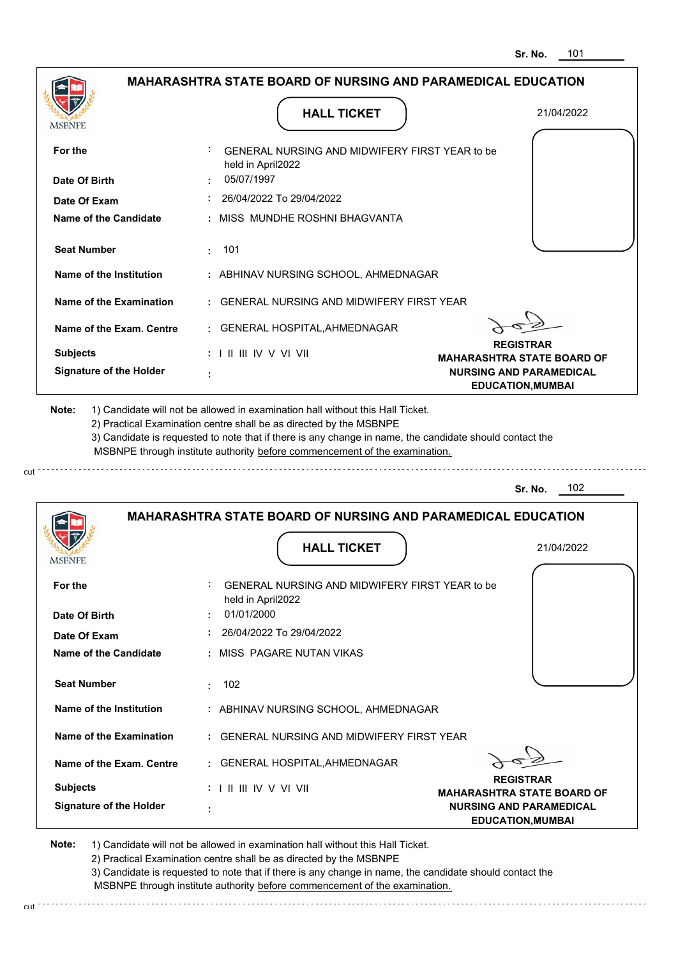|                                                                    | <b>MAHARASHTRA STATE BOARD OF NURSING AND PARAMEDICAL EDUCATION</b>                                                                                                                                                                                                                                                                           |                                                       |
|--------------------------------------------------------------------|-----------------------------------------------------------------------------------------------------------------------------------------------------------------------------------------------------------------------------------------------------------------------------------------------------------------------------------------------|-------------------------------------------------------|
|                                                                    | <b>HALL TICKET</b>                                                                                                                                                                                                                                                                                                                            | 21/04/2022                                            |
| <b>MSBNPE</b>                                                      |                                                                                                                                                                                                                                                                                                                                               |                                                       |
| For the                                                            | <b>GENERAL NURSING AND MIDWIFERY FIRST YEAR to be</b><br>held in April2022                                                                                                                                                                                                                                                                    |                                                       |
| Date Of Birth                                                      | 05/07/1997                                                                                                                                                                                                                                                                                                                                    |                                                       |
| Date Of Exam                                                       | $: 26/04/2022$ To 29/04/2022                                                                                                                                                                                                                                                                                                                  |                                                       |
| Name of the Candidate                                              | : MISS MUNDHE ROSHNI BHAGVANTA                                                                                                                                                                                                                                                                                                                |                                                       |
| <b>Seat Number</b>                                                 | : 101                                                                                                                                                                                                                                                                                                                                         |                                                       |
| Name of the Institution                                            | : ABHINAV NURSING SCHOOL, AHMEDNAGAR                                                                                                                                                                                                                                                                                                          |                                                       |
| Name of the Examination                                            | : GENERAL NURSING AND MIDWIFERY FIRST YEAR                                                                                                                                                                                                                                                                                                    |                                                       |
| Name of the Exam. Centre                                           | : GENERAL HOSPITAL, AHMEDNAGAR                                                                                                                                                                                                                                                                                                                |                                                       |
| <b>Subjects</b>                                                    | $: 1 \mathbb{I}$ III IIV V VI VII                                                                                                                                                                                                                                                                                                             | <b>REGISTRAR</b><br><b>MAHARASHTRA STATE BOARD OF</b> |
| <b>Signature of the Holder</b>                                     |                                                                                                                                                                                                                                                                                                                                               | <b>NURSING AND PARAMEDICAL</b>                        |
| Note:                                                              | 1) Candidate will not be allowed in examination hall without this Hall Ticket.<br>2) Practical Examination centre shall be as directed by the MSBNPE<br>3) Candidate is requested to note that if there is any change in name, the candidate should contact the<br>MSBNPE through institute authority before commencement of the examination. |                                                       |
|                                                                    |                                                                                                                                                                                                                                                                                                                                               | 102<br>Sr. No.                                        |
|                                                                    | <b>MAHARASHTRA STATE BOARD OF NURSING AND PARAMEDICAL EDUCATION</b>                                                                                                                                                                                                                                                                           |                                                       |
|                                                                    | <b>HALL TICKET</b>                                                                                                                                                                                                                                                                                                                            | 21/04/2022                                            |
| <b>IMPDIAL</b><br>For the<br>Date Of Birth                         | GENERAL NURSING AND MIDWIFERY FIRST YEAR to be<br>held in April2022<br>01/01/2000                                                                                                                                                                                                                                                             |                                                       |
|                                                                    | 26/04/2022 To 29/04/2022                                                                                                                                                                                                                                                                                                                      |                                                       |
|                                                                    | : MISS PAGARE NUTAN VIKAS                                                                                                                                                                                                                                                                                                                     |                                                       |
| Date Of Exam<br><b>Name of the Candidate</b><br><b>Seat Number</b> | 102<br>t in                                                                                                                                                                                                                                                                                                                                   |                                                       |
| Name of the Institution                                            | : ABHINAV NURSING SCHOOL, AHMEDNAGAR                                                                                                                                                                                                                                                                                                          |                                                       |
|                                                                    | : GENERAL NURSING AND MIDWIFERY FIRST YEAR                                                                                                                                                                                                                                                                                                    |                                                       |
| <b>Name of the Examination</b><br>Name of the Exam. Centre         | : GENERAL HOSPITAL, AHMEDNAGAR                                                                                                                                                                                                                                                                                                                | <b>REGISTRAR</b>                                      |

**Note:**  1) Candidate will not be allowed in examination hall without this Hall Ticket. 2) Practical Examination centre shall be as directed by the MSBNPE 3) Candidate is requested to note that if there is any change in name, the candidate should contact the

cut.

MSBNPE through institute authority before commencement of the examination.

. . . . . . . . . . . . . .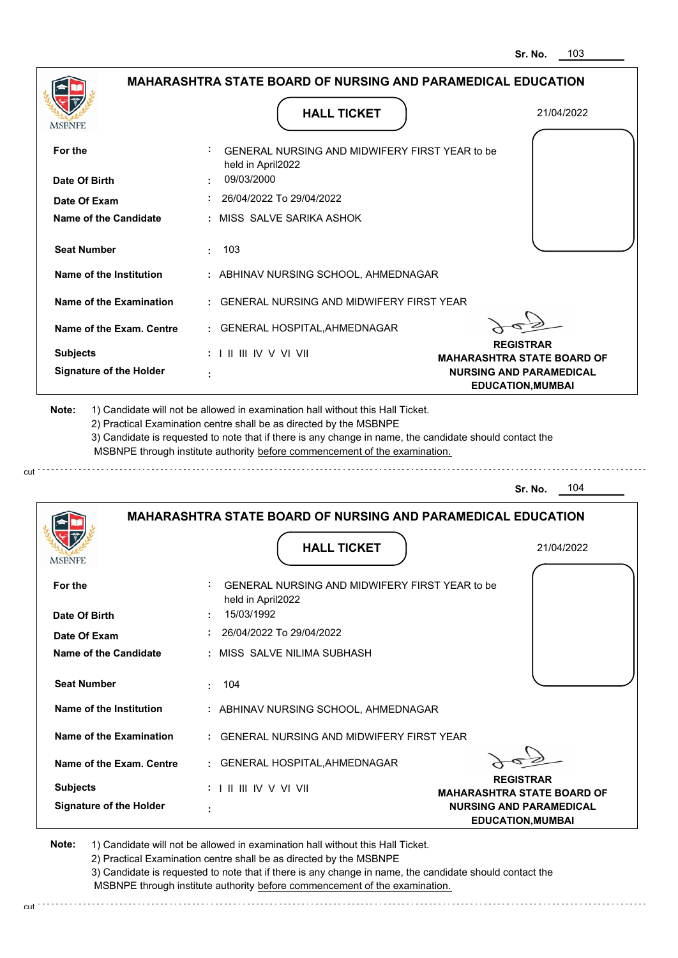|                                                                  | <b>MAHARASHTRA STATE BOARD OF NURSING AND PARAMEDICAL EDUCATION</b>                                                                                                                                                                                                                                                                           |                                                            |
|------------------------------------------------------------------|-----------------------------------------------------------------------------------------------------------------------------------------------------------------------------------------------------------------------------------------------------------------------------------------------------------------------------------------------|------------------------------------------------------------|
|                                                                  | <b>HALL TICKET</b>                                                                                                                                                                                                                                                                                                                            | 21/04/2022                                                 |
| <b>MSBNPE</b>                                                    |                                                                                                                                                                                                                                                                                                                                               |                                                            |
| For the                                                          | GENERAL NURSING AND MIDWIFERY FIRST YEAR to be<br>held in April2022                                                                                                                                                                                                                                                                           |                                                            |
| Date Of Birth                                                    | 09/03/2000                                                                                                                                                                                                                                                                                                                                    |                                                            |
| Date Of Exam                                                     | : 26/04/2022 To 29/04/2022                                                                                                                                                                                                                                                                                                                    |                                                            |
| Name of the Candidate                                            | : MISS SALVE SARIKA ASHOK                                                                                                                                                                                                                                                                                                                     |                                                            |
| <b>Seat Number</b>                                               | $\pm 103$                                                                                                                                                                                                                                                                                                                                     |                                                            |
| Name of the Institution                                          | : ABHINAV NURSING SCHOOL, AHMEDNAGAR                                                                                                                                                                                                                                                                                                          |                                                            |
| Name of the Examination                                          | : GENERAL NURSING AND MIDWIFERY FIRST YEAR                                                                                                                                                                                                                                                                                                    |                                                            |
| Name of the Exam. Centre                                         | : GENERAL HOSPITAL, AHMEDNAGAR                                                                                                                                                                                                                                                                                                                |                                                            |
| <b>Subjects</b>                                                  | $: 1 \mathbb{I}$ III IIV V VI VII                                                                                                                                                                                                                                                                                                             | <b>REGISTRAR</b><br><b>MAHARASHTRA STATE BOARD OF</b>      |
| <b>Signature of the Holder</b>                                   |                                                                                                                                                                                                                                                                                                                                               | <b>NURSING AND PARAMEDICAL</b><br><b>EDUCATION, MUMBAI</b> |
| Note:                                                            | 1) Candidate will not be allowed in examination hall without this Hall Ticket.<br>2) Practical Examination centre shall be as directed by the MSBNPE<br>3) Candidate is requested to note that if there is any change in name, the candidate should contact the<br>MSBNPE through institute authority before commencement of the examination. |                                                            |
|                                                                  |                                                                                                                                                                                                                                                                                                                                               | 104<br>Sr. No.                                             |
|                                                                  | <b>MAHARASHTRA STATE BOARD OF NURSING AND PARAMEDICAL EDUCATION</b>                                                                                                                                                                                                                                                                           |                                                            |
| <b>IMPDIAL</b>                                                   | <b>HALL TICKET</b>                                                                                                                                                                                                                                                                                                                            | 21/04/2022                                                 |
| For the<br>Date Of Birth                                         | GENERAL NURSING AND MIDWIFERY FIRST YEAR to be<br>held in April2022<br>15/03/1992                                                                                                                                                                                                                                                             |                                                            |
|                                                                  | 26/04/2022 To 29/04/2022                                                                                                                                                                                                                                                                                                                      |                                                            |
|                                                                  | : MISS SALVE NILIMA SUBHASH                                                                                                                                                                                                                                                                                                                   |                                                            |
| <b>Seat Number</b>                                               | 104<br>÷.                                                                                                                                                                                                                                                                                                                                     |                                                            |
| Date Of Exam<br>Name of the Candidate<br>Name of the Institution | : ABHINAV NURSING SCHOOL, AHMEDNAGAR                                                                                                                                                                                                                                                                                                          |                                                            |
|                                                                  | : GENERAL NURSING AND MIDWIFERY FIRST YEAR                                                                                                                                                                                                                                                                                                    |                                                            |
| Name of the Examination<br>Name of the Exam. Centre              | : GENERAL HOSPITAL, AHMEDNAGAR                                                                                                                                                                                                                                                                                                                |                                                            |

2) Practical Examination centre shall be as directed by the MSBNPE

cut.

3) Candidate is requested to note that if there is any change in name, the candidate should contact the MSBNPE through institute authority before commencement of the examination.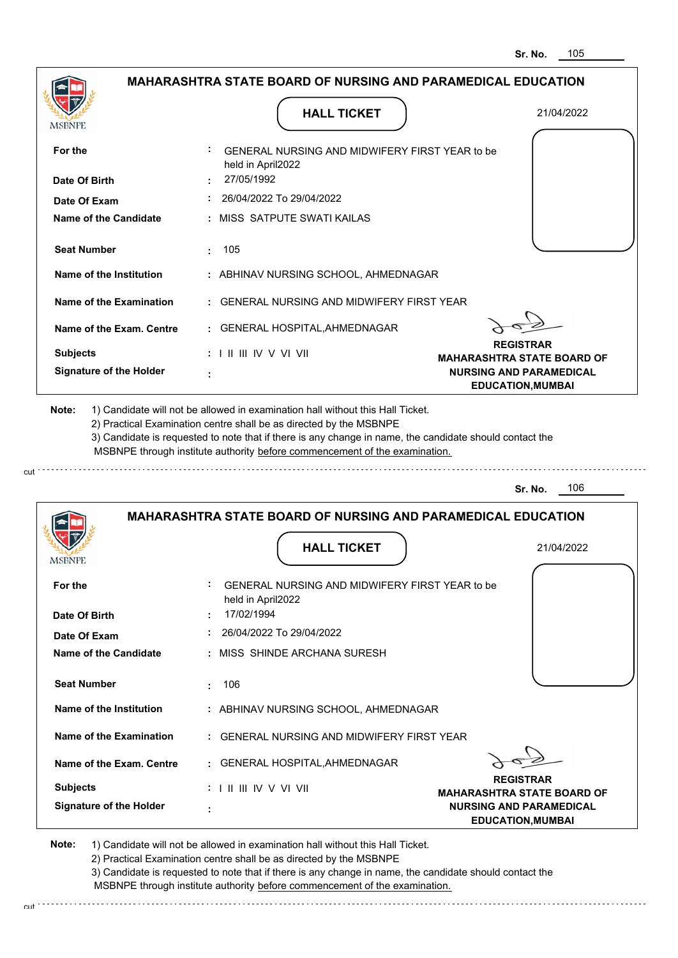|                                | <b>MAHARASHTRA STATE BOARD OF NURSING AND PARAMEDICAL EDUCATION</b>                                                                                                                                                                                                                                                                           |                                                       |
|--------------------------------|-----------------------------------------------------------------------------------------------------------------------------------------------------------------------------------------------------------------------------------------------------------------------------------------------------------------------------------------------|-------------------------------------------------------|
|                                | <b>HALL TICKET</b>                                                                                                                                                                                                                                                                                                                            | 21/04/2022                                            |
| MSBNPE                         |                                                                                                                                                                                                                                                                                                                                               |                                                       |
| For the                        | GENERAL NURSING AND MIDWIFERY FIRST YEAR to be<br>held in April2022                                                                                                                                                                                                                                                                           |                                                       |
| Date Of Birth                  | 27/05/1992                                                                                                                                                                                                                                                                                                                                    |                                                       |
| Date Of Exam                   | : 26/04/2022 To 29/04/2022                                                                                                                                                                                                                                                                                                                    |                                                       |
| Name of the Candidate          | : MISS SATPUTE SWATI KAILAS                                                                                                                                                                                                                                                                                                                   |                                                       |
| <b>Seat Number</b>             | $\pm 105$                                                                                                                                                                                                                                                                                                                                     |                                                       |
| Name of the Institution        | : ABHINAV NURSING SCHOOL, AHMEDNAGAR                                                                                                                                                                                                                                                                                                          |                                                       |
| Name of the Examination        | : GENERAL NURSING AND MIDWIFERY FIRST YEAR                                                                                                                                                                                                                                                                                                    |                                                       |
| Name of the Exam. Centre       | : GENERAL HOSPITAL, AHMEDNAGAR                                                                                                                                                                                                                                                                                                                |                                                       |
| <b>Subjects</b>                | $: 1$ II III IV V VI VII                                                                                                                                                                                                                                                                                                                      | <b>REGISTRAR</b><br><b>MAHARASHTRA STATE BOARD OF</b> |
| <b>Signature of the Holder</b> |                                                                                                                                                                                                                                                                                                                                               | <b>NURSING AND PARAMEDICAL</b>                        |
| Note:                          | 1) Candidate will not be allowed in examination hall without this Hall Ticket.<br>2) Practical Examination centre shall be as directed by the MSBNPE<br>3) Candidate is requested to note that if there is any change in name, the candidate should contact the<br>MSBNPE through institute authority before commencement of the examination. | <b>EDUCATION, MUMBAI</b>                              |
|                                |                                                                                                                                                                                                                                                                                                                                               | 106<br>Sr. No.                                        |
|                                | <b>MAHARASHTRA STATE BOARD OF NURSING AND PARAMEDICAL EDUCATION</b><br><b>HALL TICKET</b>                                                                                                                                                                                                                                                     | 21/04/2022                                            |
| <b>IMPDIAL</b>                 |                                                                                                                                                                                                                                                                                                                                               |                                                       |
| For the                        | GENERAL NURSING AND MIDWIFERY FIRST YEAR to be<br>held in April2022                                                                                                                                                                                                                                                                           |                                                       |
| Date Of Birth                  | 17/02/1994                                                                                                                                                                                                                                                                                                                                    |                                                       |
| Date Of Exam                   | : 26/04/2022 To 29/04/2022                                                                                                                                                                                                                                                                                                                    |                                                       |
| Name of the Candidate          | : MISS SHINDE ARCHANA SURESH                                                                                                                                                                                                                                                                                                                  |                                                       |
| <b>Seat Number</b>             | 106<br>÷.                                                                                                                                                                                                                                                                                                                                     |                                                       |
| Name of the Institution        | : ABHINAV NURSING SCHOOL, AHMEDNAGAR                                                                                                                                                                                                                                                                                                          |                                                       |
| <b>Name of the Examination</b> | : GENERAL NURSING AND MIDWIFERY FIRST YEAR                                                                                                                                                                                                                                                                                                    |                                                       |
| Name of the Exam. Centre       | : GENERAL HOSPITAL, AHMEDNAGAR                                                                                                                                                                                                                                                                                                                | <b>REGISTRAR</b>                                      |

**Note:**  1) Candidate will not be allowed in examination hall without this Hall Ticket. 2) Practical Examination centre shall be as directed by the MSBNPE

cut.

3) Candidate is requested to note that if there is any change in name, the candidate should contact the MSBNPE through institute authority before commencement of the examination.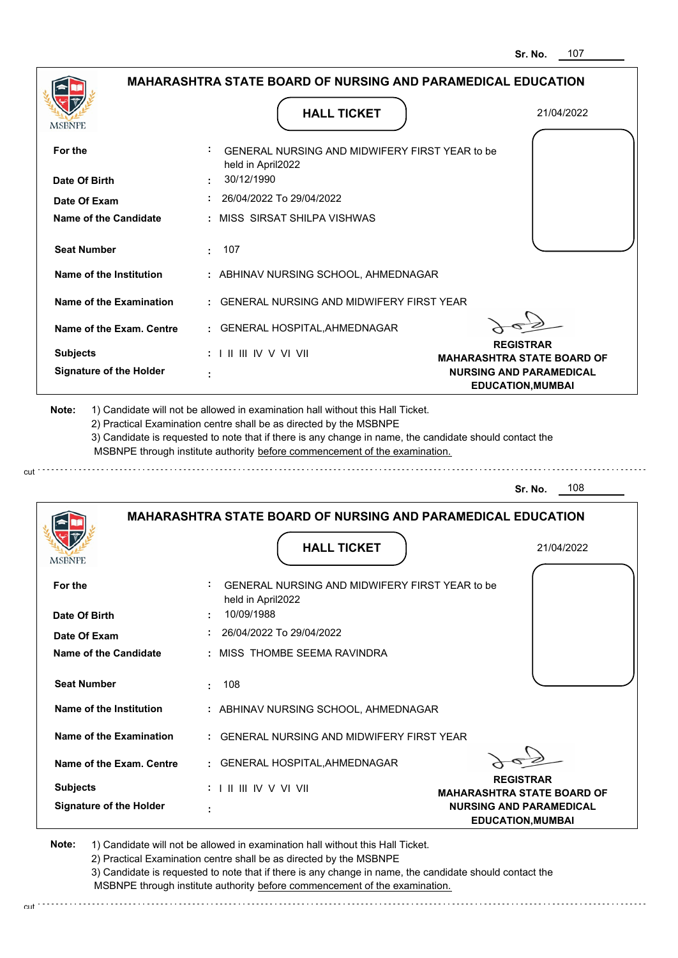|                                                                                                                                                                                                     | <b>MAHARASHTRA STATE BOARD OF NURSING AND PARAMEDICAL EDUCATION</b>                                                                                                                                                                                                                                                                           |                                                            |
|-----------------------------------------------------------------------------------------------------------------------------------------------------------------------------------------------------|-----------------------------------------------------------------------------------------------------------------------------------------------------------------------------------------------------------------------------------------------------------------------------------------------------------------------------------------------|------------------------------------------------------------|
|                                                                                                                                                                                                     | <b>HALL TICKET</b>                                                                                                                                                                                                                                                                                                                            | 21/04/2022                                                 |
| MSBNPE                                                                                                                                                                                              |                                                                                                                                                                                                                                                                                                                                               |                                                            |
| For the                                                                                                                                                                                             | : GENERAL NURSING AND MIDWIFERY FIRST YEAR to be<br>held in April2022                                                                                                                                                                                                                                                                         |                                                            |
| Date Of Birth                                                                                                                                                                                       | 30/12/1990                                                                                                                                                                                                                                                                                                                                    |                                                            |
| Date Of Exam                                                                                                                                                                                        | : 26/04/2022 To 29/04/2022                                                                                                                                                                                                                                                                                                                    |                                                            |
| Name of the Candidate                                                                                                                                                                               | : MISS SIRSAT SHILPA VISHWAS                                                                                                                                                                                                                                                                                                                  |                                                            |
| <b>Seat Number</b>                                                                                                                                                                                  | : 107                                                                                                                                                                                                                                                                                                                                         |                                                            |
| Name of the Institution                                                                                                                                                                             | : ABHINAV NURSING SCHOOL, AHMEDNAGAR                                                                                                                                                                                                                                                                                                          |                                                            |
| Name of the Examination                                                                                                                                                                             | : GENERAL NURSING AND MIDWIFERY FIRST YEAR                                                                                                                                                                                                                                                                                                    |                                                            |
| Name of the Exam. Centre                                                                                                                                                                            | : GENERAL HOSPITAL, AHMEDNAGAR                                                                                                                                                                                                                                                                                                                |                                                            |
| <b>Subjects</b>                                                                                                                                                                                     | $: 1 \mathbb{I}$ III IIV V VI VII                                                                                                                                                                                                                                                                                                             | <b>REGISTRAR</b><br><b>MAHARASHTRA STATE BOARD OF</b>      |
| <b>Signature of the Holder</b>                                                                                                                                                                      |                                                                                                                                                                                                                                                                                                                                               | <b>NURSING AND PARAMEDICAL</b><br><b>EDUCATION, MUMBAI</b> |
|                                                                                                                                                                                                     | 1) Candidate will not be allowed in examination hall without this Hall Ticket.<br>2) Practical Examination centre shall be as directed by the MSBNPE<br>3) Candidate is requested to note that if there is any change in name, the candidate should contact the<br>MSBNPE through institute authority before commencement of the examination. |                                                            |
|                                                                                                                                                                                                     |                                                                                                                                                                                                                                                                                                                                               |                                                            |
| Note:                                                                                                                                                                                               |                                                                                                                                                                                                                                                                                                                                               | 108<br>Sr. No.                                             |
|                                                                                                                                                                                                     | <b>MAHARASHTRA STATE BOARD OF NURSING AND PARAMEDICAL EDUCATION</b>                                                                                                                                                                                                                                                                           |                                                            |
|                                                                                                                                                                                                     | <b>HALL TICKET</b>                                                                                                                                                                                                                                                                                                                            | 21/04/2022                                                 |
|                                                                                                                                                                                                     | GENERAL NURSING AND MIDWIFERY FIRST YEAR to be                                                                                                                                                                                                                                                                                                |                                                            |
|                                                                                                                                                                                                     | held in April2022<br>10/09/1988                                                                                                                                                                                                                                                                                                               |                                                            |
|                                                                                                                                                                                                     | 26/04/2022 To 29/04/2022                                                                                                                                                                                                                                                                                                                      |                                                            |
|                                                                                                                                                                                                     | : MISS THOMBE SEEMA RAVINDRA                                                                                                                                                                                                                                                                                                                  |                                                            |
|                                                                                                                                                                                                     | 108<br>÷.                                                                                                                                                                                                                                                                                                                                     |                                                            |
|                                                                                                                                                                                                     | : ABHINAV NURSING SCHOOL, AHMEDNAGAR                                                                                                                                                                                                                                                                                                          |                                                            |
|                                                                                                                                                                                                     | : GENERAL NURSING AND MIDWIFERY FIRST YEAR                                                                                                                                                                                                                                                                                                    |                                                            |
| <b>IMPDIALE</b><br>For the<br>Date Of Birth<br>Date Of Exam<br><b>Name of the Candidate</b><br><b>Seat Number</b><br>Name of the Institution<br>Name of the Examination<br>Name of the Exam. Centre | : GENERAL HOSPITAL, AHMEDNAGAR                                                                                                                                                                                                                                                                                                                | <b>REGISTRAR</b>                                           |

 **:**

2) Practical Examination centre shall be as directed by the MSBNPE

3) Candidate is requested to note that if there is any change in name, the candidate should contact the MSBNPE through institute authority before commencement of the examination.

**NURSING AND PARAMEDICAL EDUCATION,MUMBAI**

cut.

**Signature of the Holder**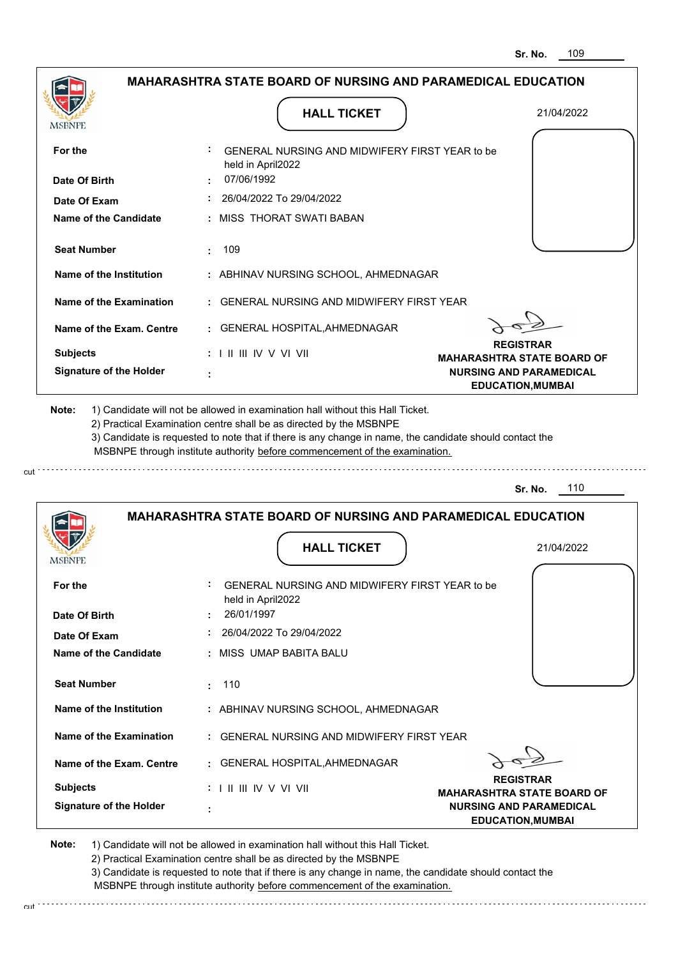. . . . . . . . . . . . . . . . .

|                                | <b>MAHARASHTRA STATE BOARD OF NURSING AND PARAMEDICAL EDUCATION</b>                                                                                                                                                                                                                                                                           |                                                       |
|--------------------------------|-----------------------------------------------------------------------------------------------------------------------------------------------------------------------------------------------------------------------------------------------------------------------------------------------------------------------------------------------|-------------------------------------------------------|
|                                | <b>HALL TICKET</b>                                                                                                                                                                                                                                                                                                                            | 21/04/2022                                            |
| MSBNPE                         |                                                                                                                                                                                                                                                                                                                                               |                                                       |
| For the                        | GENERAL NURSING AND MIDWIFERY FIRST YEAR to be<br>held in April2022                                                                                                                                                                                                                                                                           |                                                       |
| Date Of Birth                  | 07/06/1992                                                                                                                                                                                                                                                                                                                                    |                                                       |
| Date Of Exam                   | 26/04/2022 To 29/04/2022                                                                                                                                                                                                                                                                                                                      |                                                       |
| Name of the Candidate          | : MISS THORAT SWATI BABAN                                                                                                                                                                                                                                                                                                                     |                                                       |
| <b>Seat Number</b>             | $\pm 109$                                                                                                                                                                                                                                                                                                                                     |                                                       |
| Name of the Institution        | : ABHINAV NURSING SCHOOL, AHMEDNAGAR                                                                                                                                                                                                                                                                                                          |                                                       |
| Name of the Examination        | : GENERAL NURSING AND MIDWIFERY FIRST YEAR                                                                                                                                                                                                                                                                                                    |                                                       |
| Name of the Exam. Centre       | : GENERAL HOSPITAL, AHMEDNAGAR                                                                                                                                                                                                                                                                                                                |                                                       |
| <b>Subjects</b>                | $: 1 \mathbb{I}$ III IIV V VI VII                                                                                                                                                                                                                                                                                                             | <b>REGISTRAR</b><br><b>MAHARASHTRA STATE BOARD OF</b> |
| <b>Signature of the Holder</b> |                                                                                                                                                                                                                                                                                                                                               | <b>NURSING AND PARAMEDICAL</b>                        |
| Note:                          | 1) Candidate will not be allowed in examination hall without this Hall Ticket.<br>2) Practical Examination centre shall be as directed by the MSBNPE<br>3) Candidate is requested to note that if there is any change in name, the candidate should contact the<br>MSBNPE through institute authority before commencement of the examination. | <b>EDUCATION, MUMBAI</b>                              |
|                                |                                                                                                                                                                                                                                                                                                                                               | 110<br>Sr. No.                                        |
|                                | <b>MAHARASHTRA STATE BOARD OF NURSING AND PARAMEDICAL EDUCATION</b><br><b>HALL TICKET</b>                                                                                                                                                                                                                                                     | 21/04/2022                                            |
| <b>IMPDIAL</b>                 |                                                                                                                                                                                                                                                                                                                                               |                                                       |
| For the                        | GENERAL NURSING AND MIDWIFERY FIRST YEAR to be<br>held in April2022                                                                                                                                                                                                                                                                           |                                                       |
| Date Of Birth                  | 26/01/1997<br>$: 26/04/2022$ To 29/04/2022                                                                                                                                                                                                                                                                                                    |                                                       |
| Date Of Exam                   |                                                                                                                                                                                                                                                                                                                                               |                                                       |
| <b>Name of the Candidate</b>   | : MISS UMAP BABITA BALU                                                                                                                                                                                                                                                                                                                       |                                                       |
| <b>Seat Number</b>             | : 110                                                                                                                                                                                                                                                                                                                                         |                                                       |
| Name of the Institution        | : ABHINAV NURSING SCHOOL, AHMEDNAGAR                                                                                                                                                                                                                                                                                                          |                                                       |
| <b>Name of the Examination</b> | : GENERAL NURSING AND MIDWIFERY FIRST YEAR                                                                                                                                                                                                                                                                                                    |                                                       |
| Name of the Exam. Centre       | : GENERAL HOSPITAL, AHMEDNAGAR                                                                                                                                                                                                                                                                                                                | <b>REGISTRAR</b>                                      |

**Note:**  1) Candidate will not be allowed in examination hall without this Hall Ticket. 2) Practical Examination centre shall be as directed by the MSBNPE 3) Candidate is requested to note that if there is any change in name, the candidate should contact the

cut.

MSBNPE through institute authority before commencement of the examination.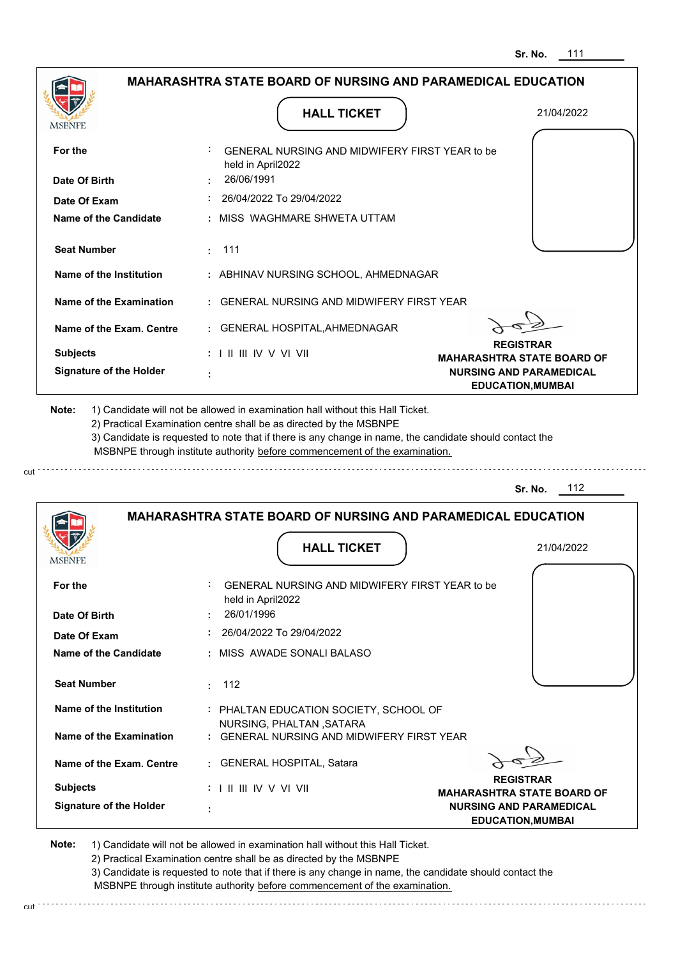| <b>MAHARASHTRA STATE BOARD OF NURSING AND PARAMEDICAL EDUCATION</b>                                                                                                                                                           |            |                                                                                                                                                                                                                                                                                                                                               |                                                                     |
|-------------------------------------------------------------------------------------------------------------------------------------------------------------------------------------------------------------------------------|------------|-----------------------------------------------------------------------------------------------------------------------------------------------------------------------------------------------------------------------------------------------------------------------------------------------------------------------------------------------|---------------------------------------------------------------------|
| MSBNPE                                                                                                                                                                                                                        |            | <b>HALL TICKET</b>                                                                                                                                                                                                                                                                                                                            | 21/04/2022                                                          |
| For the                                                                                                                                                                                                                       |            | GENERAL NURSING AND MIDWIFERY FIRST YEAR to be                                                                                                                                                                                                                                                                                                |                                                                     |
|                                                                                                                                                                                                                               |            | held in April2022                                                                                                                                                                                                                                                                                                                             |                                                                     |
| Date Of Birth                                                                                                                                                                                                                 | 26/06/1991 | 26/04/2022 To 29/04/2022                                                                                                                                                                                                                                                                                                                      |                                                                     |
| Date Of Exam                                                                                                                                                                                                                  |            |                                                                                                                                                                                                                                                                                                                                               |                                                                     |
| <b>Name of the Candidate</b>                                                                                                                                                                                                  |            | MISS WAGHMARE SHWETA UTTAM                                                                                                                                                                                                                                                                                                                    |                                                                     |
| <b>Seat Number</b>                                                                                                                                                                                                            | 111<br>÷   |                                                                                                                                                                                                                                                                                                                                               |                                                                     |
| Name of the Institution                                                                                                                                                                                                       |            | : ABHINAV NURSING SCHOOL, AHMEDNAGAR                                                                                                                                                                                                                                                                                                          |                                                                     |
| Name of the Examination                                                                                                                                                                                                       |            | GENERAL NURSING AND MIDWIFERY FIRST YEAR                                                                                                                                                                                                                                                                                                      |                                                                     |
| Name of the Exam. Centre                                                                                                                                                                                                      |            | : GENERAL HOSPITAL, AHMEDNAGAR                                                                                                                                                                                                                                                                                                                |                                                                     |
| <b>Subjects</b>                                                                                                                                                                                                               |            | $: 1 \mathbb{I}$ III IIV V VI VII                                                                                                                                                                                                                                                                                                             | <b>REGISTRAR</b>                                                    |
| <b>Signature of the Holder</b>                                                                                                                                                                                                | ÷          |                                                                                                                                                                                                                                                                                                                                               | <b>MAHARASHTRA STATE BOARD OF</b><br><b>NURSING AND PARAMEDICAL</b> |
|                                                                                                                                                                                                                               |            | 1) Candidate will not be allowed in examination hall without this Hall Ticket.<br>2) Practical Examination centre shall be as directed by the MSBNPE<br>3) Candidate is requested to note that if there is any change in name, the candidate should contact the<br>MSBNPE through institute authority before commencement of the examination. | <b>EDUCATION, MUMBAI</b><br>- 112<br>Sr. No.                        |
|                                                                                                                                                                                                                               |            | <b>MAHARASHTRA STATE BOARD OF NURSING AND PARAMEDICAL EDUCATION</b>                                                                                                                                                                                                                                                                           |                                                                     |
|                                                                                                                                                                                                                               |            | <b>HALL TICKET</b>                                                                                                                                                                                                                                                                                                                            | 21/04/2022                                                          |
|                                                                                                                                                                                                                               |            |                                                                                                                                                                                                                                                                                                                                               |                                                                     |
|                                                                                                                                                                                                                               |            | GENERAL NURSING AND MIDWIFERY FIRST YEAR to be                                                                                                                                                                                                                                                                                                |                                                                     |
|                                                                                                                                                                                                                               |            | held in April2022                                                                                                                                                                                                                                                                                                                             |                                                                     |
|                                                                                                                                                                                                                               | 26/01/1996 | 26/04/2022 To 29/04/2022                                                                                                                                                                                                                                                                                                                      |                                                                     |
|                                                                                                                                                                                                                               |            | : MISS AWADE SONALI BALASO                                                                                                                                                                                                                                                                                                                    |                                                                     |
|                                                                                                                                                                                                                               |            |                                                                                                                                                                                                                                                                                                                                               |                                                                     |
|                                                                                                                                                                                                                               | 112<br>÷.  |                                                                                                                                                                                                                                                                                                                                               |                                                                     |
|                                                                                                                                                                                                                               |            | : PHALTAN EDUCATION SOCIETY, SCHOOL OF                                                                                                                                                                                                                                                                                                        |                                                                     |
|                                                                                                                                                                                                                               |            | NURSING, PHALTAN, SATARA<br>: GENERAL NURSING AND MIDWIFERY FIRST YEAR                                                                                                                                                                                                                                                                        |                                                                     |
|                                                                                                                                                                                                                               |            | : GENERAL HOSPITAL, Satara                                                                                                                                                                                                                                                                                                                    |                                                                     |
| Note:<br>MSBNPE<br>For the<br>Date Of Birth<br>Date Of Exam<br><b>Name of the Candidate</b><br><b>Seat Number</b><br>Name of the Institution<br><b>Name of the Examination</b><br>Name of the Exam. Centre<br><b>Subjects</b> |            | : I II III IV V VI VII                                                                                                                                                                                                                                                                                                                        | <b>REGISTRAR</b><br><b>MAHARASHTRA STATE BOARD OF</b>               |

cut

3) Candidate is requested to note that if there is any change in name, the candidate should contact the MSBNPE through institute authority before commencement of the examination.

cut de la component de la component de la component de la component de la component de la component de la component de la component de la component de la component de la component de la component de la component de la comp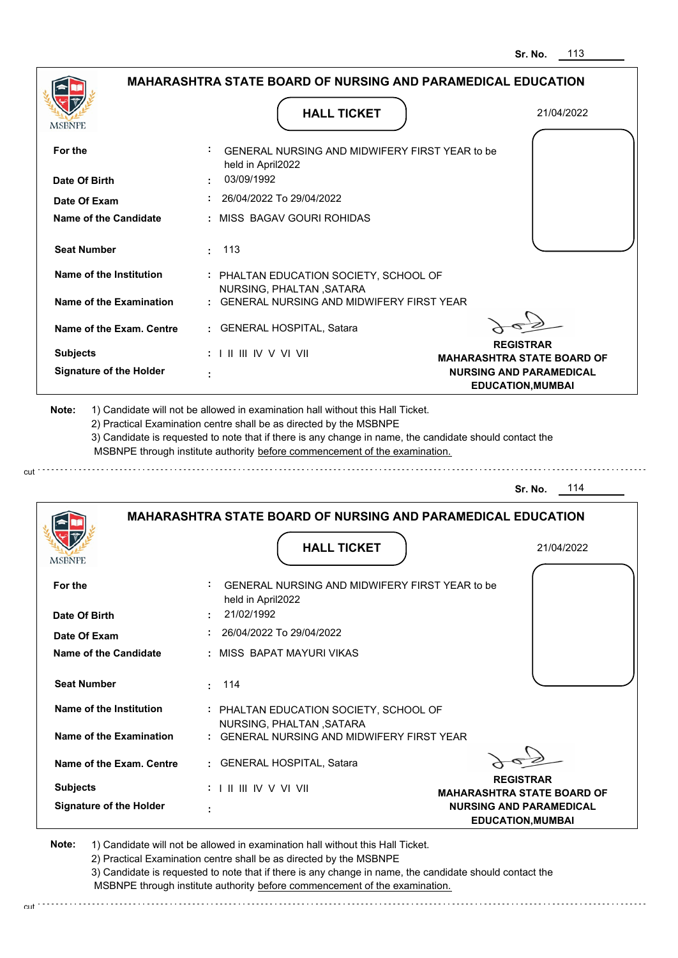|                                                                                     | <b>MAHARASHTRA STATE BOARD OF NURSING AND PARAMEDICAL EDUCATION</b>                                                                                                                                                                                                                                                                           |                                                                     |
|-------------------------------------------------------------------------------------|-----------------------------------------------------------------------------------------------------------------------------------------------------------------------------------------------------------------------------------------------------------------------------------------------------------------------------------------------|---------------------------------------------------------------------|
|                                                                                     |                                                                                                                                                                                                                                                                                                                                               |                                                                     |
| MSBNPE                                                                              | <b>HALL TICKET</b>                                                                                                                                                                                                                                                                                                                            | 21/04/2022                                                          |
| For the                                                                             | GENERAL NURSING AND MIDWIFERY FIRST YEAR to be<br>held in April2022                                                                                                                                                                                                                                                                           |                                                                     |
| Date Of Birth                                                                       | 03/09/1992                                                                                                                                                                                                                                                                                                                                    |                                                                     |
| Date Of Exam                                                                        | 26/04/2022 To 29/04/2022                                                                                                                                                                                                                                                                                                                      |                                                                     |
| <b>Name of the Candidate</b>                                                        | : MISS BAGAV GOURI ROHIDAS                                                                                                                                                                                                                                                                                                                    |                                                                     |
| <b>Seat Number</b>                                                                  | 113<br>÷                                                                                                                                                                                                                                                                                                                                      |                                                                     |
| Name of the Institution                                                             | : PHALTAN EDUCATION SOCIETY, SCHOOL OF                                                                                                                                                                                                                                                                                                        |                                                                     |
| Name of the Examination                                                             | NURSING, PHALTAN, SATARA<br>: GENERAL NURSING AND MIDWIFERY FIRST YEAR                                                                                                                                                                                                                                                                        |                                                                     |
| Name of the Exam. Centre                                                            | : GENERAL HOSPITAL, Satara                                                                                                                                                                                                                                                                                                                    |                                                                     |
| <b>Subjects</b>                                                                     |                                                                                                                                                                                                                                                                                                                                               | <b>REGISTRAR</b>                                                    |
| <b>Signature of the Holder</b>                                                      |                                                                                                                                                                                                                                                                                                                                               | <b>MAHARASHTRA STATE BOARD OF</b><br><b>NURSING AND PARAMEDICAL</b> |
|                                                                                     | 1) Candidate will not be allowed in examination hall without this Hall Ticket.<br>2) Practical Examination centre shall be as directed by the MSBNPE<br>3) Candidate is requested to note that if there is any change in name, the candidate should contact the<br>MSBNPE through institute authority before commencement of the examination. | <b>EDUCATION, MUMBAI</b><br>114<br>Sr. No.                          |
| Note:                                                                               | <b>MAHARASHTRA STATE BOARD OF NURSING AND PARAMEDICAL EDUCATION</b>                                                                                                                                                                                                                                                                           |                                                                     |
|                                                                                     |                                                                                                                                                                                                                                                                                                                                               |                                                                     |
|                                                                                     | <b>HALL TICKET</b>                                                                                                                                                                                                                                                                                                                            | 21/04/2022                                                          |
| <b>MSBNPE</b><br>For the                                                            | GENERAL NURSING AND MIDWIFERY FIRST YEAR to be                                                                                                                                                                                                                                                                                                |                                                                     |
|                                                                                     | held in April2022<br>21/02/1992                                                                                                                                                                                                                                                                                                               |                                                                     |
|                                                                                     | 26/04/2022 To 29/04/2022                                                                                                                                                                                                                                                                                                                      |                                                                     |
|                                                                                     | MISS BAPAT MAYURI VIKAS                                                                                                                                                                                                                                                                                                                       |                                                                     |
| Date Of Birth<br>Date Of Exam<br><b>Name of the Candidate</b><br><b>Seat Number</b> | 114<br>÷.                                                                                                                                                                                                                                                                                                                                     |                                                                     |
| <b>Name of the Institution</b>                                                      | : PHALTAN EDUCATION SOCIETY, SCHOOL OF                                                                                                                                                                                                                                                                                                        |                                                                     |
|                                                                                     | NURSING, PHALTAN, SATARA<br>: GENERAL NURSING AND MIDWIFERY FIRST YEAR                                                                                                                                                                                                                                                                        |                                                                     |
| Name of the Exam. Centre                                                            | : GENERAL HOSPITAL, Satara                                                                                                                                                                                                                                                                                                                    |                                                                     |
| <b>Name of the Examination</b><br><b>Subjects</b>                                   | : I II III IV V VI VII                                                                                                                                                                                                                                                                                                                        | <b>REGISTRAR</b><br><b>MAHARASHTRA STATE BOARD OF</b>               |

cut

3) Candidate is requested to note that if there is any change in name, the candidate should contact the MSBNPE through institute authority before commencement of the examination. cut de contra a construction de construction de construction de construction de construction de construction de construction de construction de construction de construction de construction de construction de construction d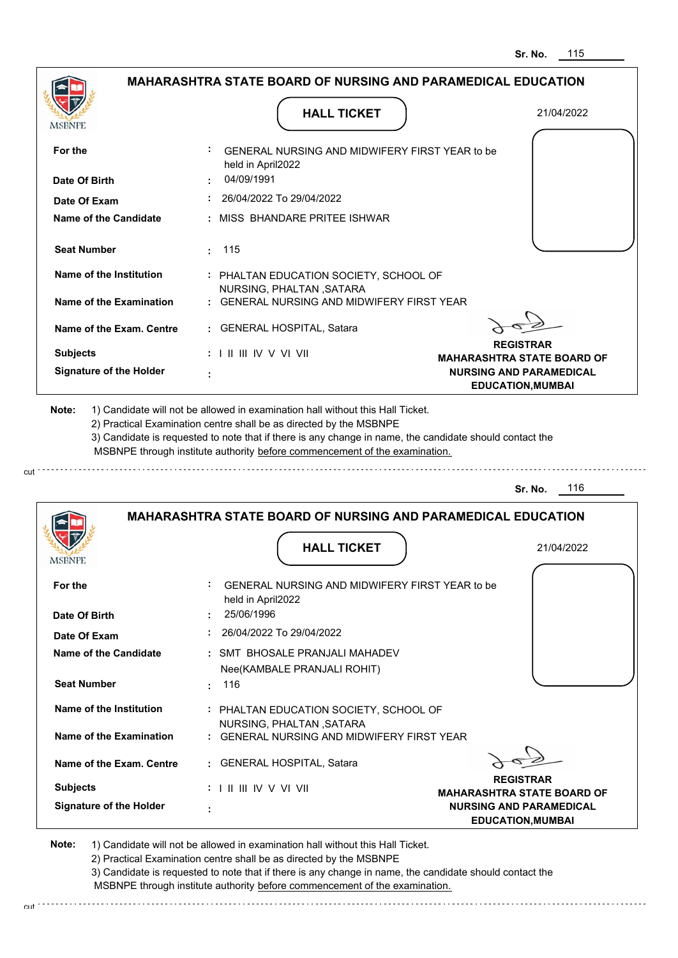|                                                                                                                                                                                                               |                                 | <b>HALL TICKET</b>                                                                                                                                                                                                                                          | 21/04/2022                                                                                      |
|---------------------------------------------------------------------------------------------------------------------------------------------------------------------------------------------------------------|---------------------------------|-------------------------------------------------------------------------------------------------------------------------------------------------------------------------------------------------------------------------------------------------------------|-------------------------------------------------------------------------------------------------|
| For the                                                                                                                                                                                                       | held in April2022               | GENERAL NURSING AND MIDWIFERY FIRST YEAR to be                                                                                                                                                                                                              |                                                                                                 |
| Date Of Birth                                                                                                                                                                                                 | 04/09/1991                      |                                                                                                                                                                                                                                                             |                                                                                                 |
| Date Of Exam                                                                                                                                                                                                  |                                 | 26/04/2022 To 29/04/2022                                                                                                                                                                                                                                    |                                                                                                 |
| Name of the Candidate                                                                                                                                                                                         |                                 | MISS BHANDARE PRITEE ISHWAR                                                                                                                                                                                                                                 |                                                                                                 |
| <b>Seat Number</b>                                                                                                                                                                                            | 115                             |                                                                                                                                                                                                                                                             |                                                                                                 |
| Name of the Institution                                                                                                                                                                                       |                                 | : PHALTAN EDUCATION SOCIETY, SCHOOL OF                                                                                                                                                                                                                      |                                                                                                 |
| Name of the Examination                                                                                                                                                                                       |                                 | NURSING, PHALTAN, SATARA<br><b>GENERAL NURSING AND MIDWIFERY FIRST YEAR</b>                                                                                                                                                                                 |                                                                                                 |
| Name of the Exam. Centre                                                                                                                                                                                      |                                 | <b>GENERAL HOSPITAL, Satara</b>                                                                                                                                                                                                                             |                                                                                                 |
| <b>Subjects</b>                                                                                                                                                                                               | : I II III IV V VI VII          |                                                                                                                                                                                                                                                             | <b>REGISTRAR</b>                                                                                |
| <b>Signature of the Holder</b>                                                                                                                                                                                |                                 |                                                                                                                                                                                                                                                             | <b>MAHARASHTRA STATE BOARD OF</b><br><b>NURSING AND PARAMEDICAL</b><br><b>EDUCATION, MUMBAI</b> |
|                                                                                                                                                                                                               |                                 | 2) Practical Examination centre shall be as directed by the MSBNPE<br>3) Candidate is requested to note that if there is any change in name, the candidate should contact the<br>MSBNPE through institute authority before commencement of the examination. | 116<br>Sr. No.                                                                                  |
|                                                                                                                                                                                                               |                                 | <b>MAHARASHTRA STATE BOARD OF NURSING AND PARAMEDICAL EDUCATION</b>                                                                                                                                                                                         |                                                                                                 |
|                                                                                                                                                                                                               |                                 | <b>HALL TICKET</b>                                                                                                                                                                                                                                          | 21/04/2022                                                                                      |
|                                                                                                                                                                                                               |                                 | GENERAL NURSING AND MIDWIFERY FIRST YEAR to be                                                                                                                                                                                                              |                                                                                                 |
|                                                                                                                                                                                                               | held in April2022<br>25/06/1996 |                                                                                                                                                                                                                                                             |                                                                                                 |
|                                                                                                                                                                                                               |                                 |                                                                                                                                                                                                                                                             |                                                                                                 |
|                                                                                                                                                                                                               |                                 | 26/04/2022 To 29/04/2022                                                                                                                                                                                                                                    |                                                                                                 |
|                                                                                                                                                                                                               |                                 | : SMT BHOSALE PRANJALI MAHADEV                                                                                                                                                                                                                              |                                                                                                 |
|                                                                                                                                                                                                               | 116<br>÷                        | Nee(KAMBALE PRANJALI ROHIT)                                                                                                                                                                                                                                 |                                                                                                 |
|                                                                                                                                                                                                               |                                 | : PHALTAN EDUCATION SOCIETY, SCHOOL OF                                                                                                                                                                                                                      |                                                                                                 |
|                                                                                                                                                                                                               |                                 | NURSING, PHALTAN, SATARA<br><b>GENERAL NURSING AND MIDWIFERY FIRST YEAR</b>                                                                                                                                                                                 |                                                                                                 |
|                                                                                                                                                                                                               |                                 | GENERAL HOSPITAL, Satara                                                                                                                                                                                                                                    |                                                                                                 |
| MSBNPE<br>For the<br>Date Of Birth<br>Date Of Exam<br><b>Name of the Candidate</b><br><b>Seat Number</b><br>Name of the Institution<br>Name of the Examination<br>Name of the Exam. Centre<br><b>Subjects</b> |                                 |                                                                                                                                                                                                                                                             | <b>REGISTRAR</b><br><b>MAHARASHTRA STATE BOARD OF</b>                                           |

cut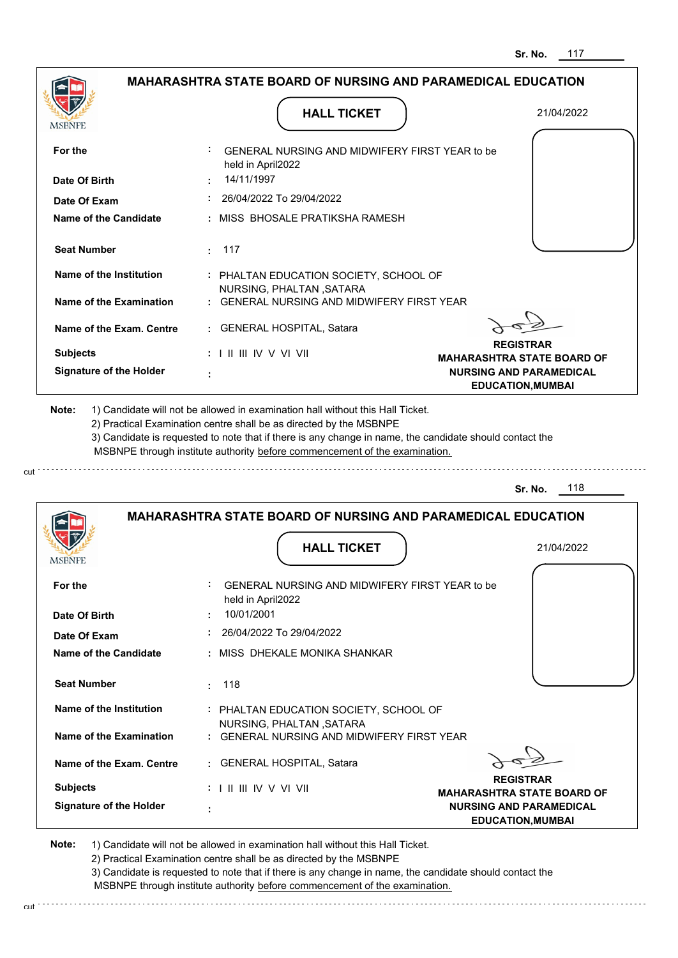|                                                                                                                                                                                                               | <b>MAHARASHTRA STATE BOARD OF NURSING AND PARAMEDICAL EDUCATION</b>                                                                                                                                                                                                                                                                           |                                                       |
|---------------------------------------------------------------------------------------------------------------------------------------------------------------------------------------------------------------|-----------------------------------------------------------------------------------------------------------------------------------------------------------------------------------------------------------------------------------------------------------------------------------------------------------------------------------------------|-------------------------------------------------------|
| MSBNPE                                                                                                                                                                                                        | <b>HALL TICKET</b>                                                                                                                                                                                                                                                                                                                            | 21/04/2022                                            |
| For the                                                                                                                                                                                                       | GENERAL NURSING AND MIDWIFERY FIRST YEAR to be                                                                                                                                                                                                                                                                                                |                                                       |
| Date Of Birth                                                                                                                                                                                                 | held in April2022<br>14/11/1997                                                                                                                                                                                                                                                                                                               |                                                       |
| Date Of Exam                                                                                                                                                                                                  | 26/04/2022 To 29/04/2022                                                                                                                                                                                                                                                                                                                      |                                                       |
| <b>Name of the Candidate</b>                                                                                                                                                                                  | : MISS BHOSALE PRATIKSHA RAMESH                                                                                                                                                                                                                                                                                                               |                                                       |
| <b>Seat Number</b>                                                                                                                                                                                            | 117<br>÷                                                                                                                                                                                                                                                                                                                                      |                                                       |
| Name of the Institution                                                                                                                                                                                       | : PHALTAN EDUCATION SOCIETY, SCHOOL OF                                                                                                                                                                                                                                                                                                        |                                                       |
| <b>Name of the Examination</b>                                                                                                                                                                                | NURSING, PHALTAN, SATARA<br>: GENERAL NURSING AND MIDWIFERY FIRST YEAR                                                                                                                                                                                                                                                                        |                                                       |
| Name of the Exam. Centre                                                                                                                                                                                      | : GENERAL HOSPITAL, Satara                                                                                                                                                                                                                                                                                                                    |                                                       |
| <b>Subjects</b>                                                                                                                                                                                               | $: 1 \mathbb{H} \mathbb{H} \mathbb{W} \vee \mathbb{V} \mathbb{V} \mathbb{H}$                                                                                                                                                                                                                                                                  | <b>REGISTRAR</b><br><b>MAHARASHTRA STATE BOARD OF</b> |
| <b>Signature of the Holder</b>                                                                                                                                                                                |                                                                                                                                                                                                                                                                                                                                               | <b>NURSING AND PARAMEDICAL</b>                        |
|                                                                                                                                                                                                               | 1) Candidate will not be allowed in examination hall without this Hall Ticket.<br>2) Practical Examination centre shall be as directed by the MSBNPE<br>3) Candidate is requested to note that if there is any change in name, the candidate should contact the<br>MSBNPE through institute authority before commencement of the examination. | <b>EDUCATION, MUMBAI</b><br>118<br>Sr. No.            |
| Note:                                                                                                                                                                                                         | <b>MAHARASHTRA STATE BOARD OF NURSING AND PARAMEDICAL EDUCATION</b>                                                                                                                                                                                                                                                                           |                                                       |
|                                                                                                                                                                                                               | <b>HALL TICKET</b>                                                                                                                                                                                                                                                                                                                            | 21/04/2022                                            |
|                                                                                                                                                                                                               | GENERAL NURSING AND MIDWIFERY FIRST YEAR to be                                                                                                                                                                                                                                                                                                |                                                       |
|                                                                                                                                                                                                               | held in April2022<br>10/01/2001                                                                                                                                                                                                                                                                                                               |                                                       |
|                                                                                                                                                                                                               | 26/04/2022 To 29/04/2022                                                                                                                                                                                                                                                                                                                      |                                                       |
|                                                                                                                                                                                                               | : MISS DHEKALE MONIKA SHANKAR                                                                                                                                                                                                                                                                                                                 |                                                       |
|                                                                                                                                                                                                               | 118<br>÷.                                                                                                                                                                                                                                                                                                                                     |                                                       |
|                                                                                                                                                                                                               | : PHALTAN EDUCATION SOCIETY, SCHOOL OF                                                                                                                                                                                                                                                                                                        |                                                       |
|                                                                                                                                                                                                               | NURSING, PHALTAN, SATARA<br>GENERAL NURSING AND MIDWIFERY FIRST YEAR                                                                                                                                                                                                                                                                          |                                                       |
|                                                                                                                                                                                                               | : GENERAL HOSPITAL, Satara                                                                                                                                                                                                                                                                                                                    |                                                       |
| MSBNPE<br>For the<br>Date Of Birth<br>Date Of Exam<br>Name of the Candidate<br><b>Seat Number</b><br>Name of the Institution<br><b>Name of the Examination</b><br>Name of the Exam. Centre<br><b>Subjects</b> | : I II III IV V VI VII                                                                                                                                                                                                                                                                                                                        | <b>REGISTRAR</b><br><b>MAHARASHTRA STATE BOARD OF</b> |

2) Practical Examination centre shall be as directed by the MSBNPE

cut

3) Candidate is requested to note that if there is any change in name, the candidate should contact the MSBNPE through institute authority before commencement of the examination.

cut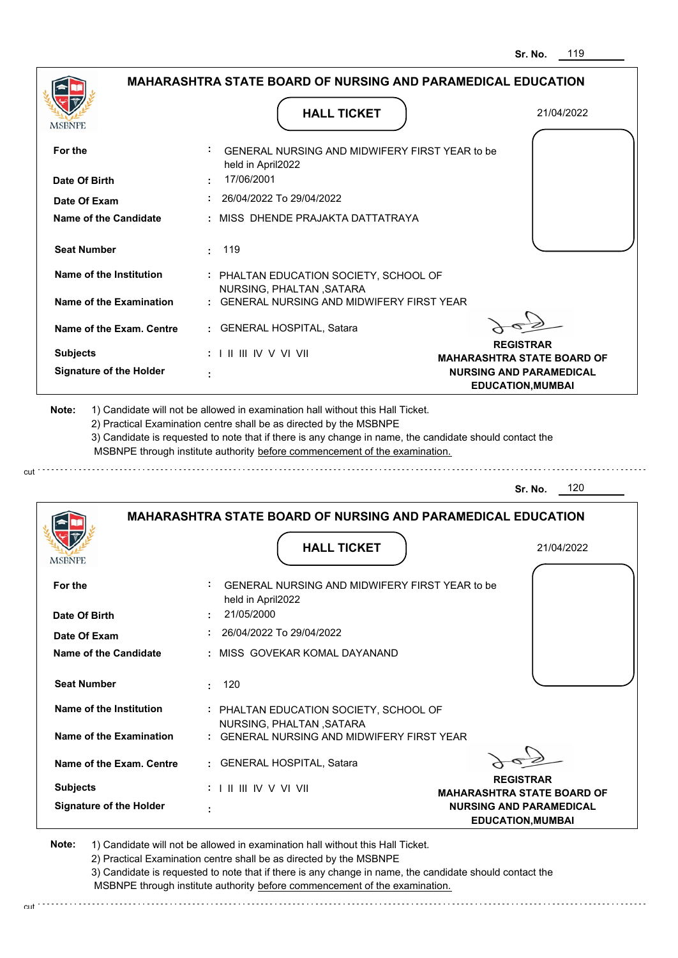| MSBNFF                                                                                                                                                                                                            |                                                                                                                          | <b>HALL TICKET</b>                                                                                                                                                                                                                                                                                                                            | 21/04/2022                                                 |
|-------------------------------------------------------------------------------------------------------------------------------------------------------------------------------------------------------------------|--------------------------------------------------------------------------------------------------------------------------|-----------------------------------------------------------------------------------------------------------------------------------------------------------------------------------------------------------------------------------------------------------------------------------------------------------------------------------------------|------------------------------------------------------------|
| For the                                                                                                                                                                                                           | held in April2022                                                                                                        | GENERAL NURSING AND MIDWIFERY FIRST YEAR to be                                                                                                                                                                                                                                                                                                |                                                            |
| Date Of Birth                                                                                                                                                                                                     | 17/06/2001                                                                                                               |                                                                                                                                                                                                                                                                                                                                               |                                                            |
| Date Of Exam                                                                                                                                                                                                      |                                                                                                                          | 26/04/2022 To 29/04/2022                                                                                                                                                                                                                                                                                                                      |                                                            |
| Name of the Candidate                                                                                                                                                                                             |                                                                                                                          | MISS DHENDE PRAJAKTA DATTATRAYA                                                                                                                                                                                                                                                                                                               |                                                            |
| <b>Seat Number</b>                                                                                                                                                                                                | 119<br>÷.                                                                                                                |                                                                                                                                                                                                                                                                                                                                               |                                                            |
| <b>Name of the Institution</b>                                                                                                                                                                                    |                                                                                                                          | : PHALTAN EDUCATION SOCIETY, SCHOOL OF                                                                                                                                                                                                                                                                                                        |                                                            |
| <b>Name of the Examination</b>                                                                                                                                                                                    |                                                                                                                          | NURSING, PHALTAN, SATARA<br>: GENERAL NURSING AND MIDWIFERY FIRST YEAR                                                                                                                                                                                                                                                                        |                                                            |
| Name of the Exam. Centre                                                                                                                                                                                          |                                                                                                                          | : GENERAL HOSPITAL, Satara                                                                                                                                                                                                                                                                                                                    |                                                            |
| <b>Subjects</b>                                                                                                                                                                                                   | $: 1 \mathbb{I} \mathbb{I} \mathbb{I} \mathbb{I} \mathbb{I} \mathbb{V} \vee \mathbb{V} \mathbb{I} \mathbb{V} \mathbb{I}$ |                                                                                                                                                                                                                                                                                                                                               | <b>REGISTRAR</b><br><b>MAHARASHTRA STATE BOARD OF</b>      |
| <b>Signature of the Holder</b>                                                                                                                                                                                    |                                                                                                                          |                                                                                                                                                                                                                                                                                                                                               | <b>NURSING AND PARAMEDICAL</b><br><b>EDUCATION, MUMBAI</b> |
|                                                                                                                                                                                                                   |                                                                                                                          | 1) Candidate will not be allowed in examination hall without this Hall Ticket.<br>2) Practical Examination centre shall be as directed by the MSBNPE<br>3) Candidate is requested to note that if there is any change in name, the candidate should contact the<br>MSBNPE through institute authority before commencement of the examination. | 120<br>Sr. No.                                             |
| Note:                                                                                                                                                                                                             |                                                                                                                          | <b>MAHARASHTRA STATE BOARD OF NURSING AND PARAMEDICAL EDUCATION</b>                                                                                                                                                                                                                                                                           |                                                            |
|                                                                                                                                                                                                                   |                                                                                                                          | <b>HALL TICKET</b>                                                                                                                                                                                                                                                                                                                            | 21/04/2022                                                 |
|                                                                                                                                                                                                                   |                                                                                                                          | GENERAL NURSING AND MIDWIFERY FIRST YEAR to be                                                                                                                                                                                                                                                                                                |                                                            |
|                                                                                                                                                                                                                   | held in April2022<br>21/05/2000                                                                                          |                                                                                                                                                                                                                                                                                                                                               |                                                            |
|                                                                                                                                                                                                                   |                                                                                                                          | 26/04/2022 To 29/04/2022                                                                                                                                                                                                                                                                                                                      |                                                            |
|                                                                                                                                                                                                                   |                                                                                                                          | : MISS GOVEKAR KOMAL DAYANAND                                                                                                                                                                                                                                                                                                                 |                                                            |
|                                                                                                                                                                                                                   | 120<br>÷.                                                                                                                |                                                                                                                                                                                                                                                                                                                                               |                                                            |
|                                                                                                                                                                                                                   |                                                                                                                          | : PHALTAN EDUCATION SOCIETY, SCHOOL OF                                                                                                                                                                                                                                                                                                        |                                                            |
|                                                                                                                                                                                                                   |                                                                                                                          | NURSING, PHALTAN, SATARA<br>: GENERAL NURSING AND MIDWIFERY FIRST YEAR                                                                                                                                                                                                                                                                        |                                                            |
|                                                                                                                                                                                                                   |                                                                                                                          | : GENERAL HOSPITAL, Satara                                                                                                                                                                                                                                                                                                                    |                                                            |
| For the<br>Date Of Birth<br>Date Of Exam<br><b>Name of the Candidate</b><br><b>Seat Number</b><br><b>Name of the Institution</b><br><b>Name of the Examination</b><br>Name of the Exam. Centre<br><b>Subjects</b> | : I II III IV V VI VII                                                                                                   |                                                                                                                                                                                                                                                                                                                                               | <b>REGISTRAR</b><br><b>MAHARASHTRA STATE BOARD OF</b>      |

cut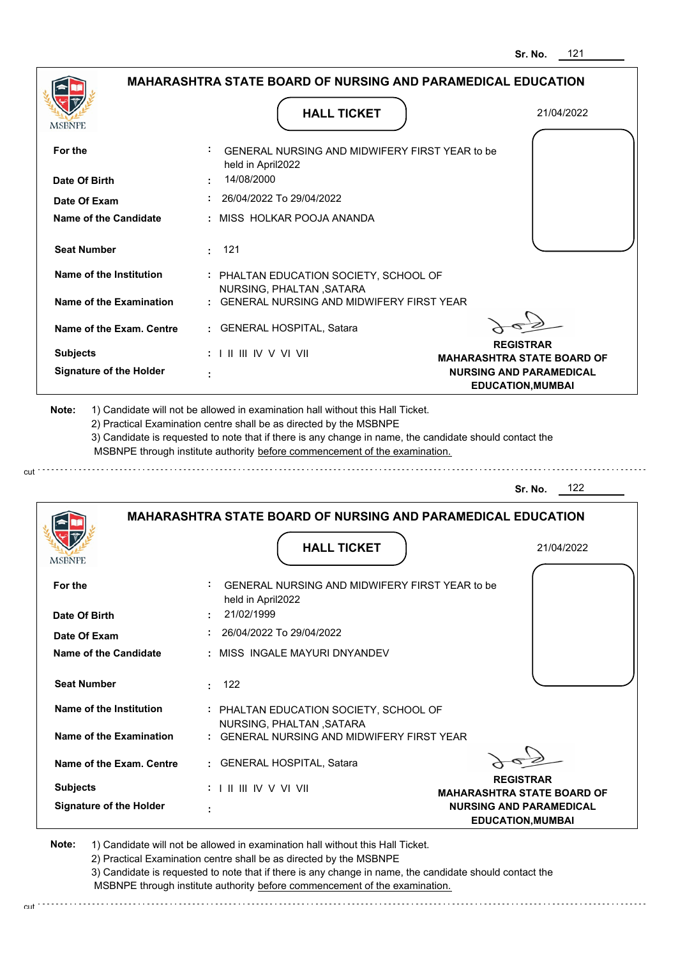|                                |                                                                                                                                                   | 121<br>Sr. No.                                             |
|--------------------------------|---------------------------------------------------------------------------------------------------------------------------------------------------|------------------------------------------------------------|
|                                | <b>MAHARASHTRA STATE BOARD OF NURSING AND PARAMEDICAL EDUCATION</b>                                                                               |                                                            |
| MSBNPE                         | <b>HALL TICKET</b>                                                                                                                                | 21/04/2022                                                 |
| For the                        | GENERAL NURSING AND MIDWIFERY FIRST YEAR to be<br>held in April2022                                                                               |                                                            |
| Date Of Birth                  | 14/08/2000                                                                                                                                        |                                                            |
| Date Of Exam                   | 26/04/2022 To 29/04/2022                                                                                                                          |                                                            |
| Name of the Candidate          | : MISS HOLKAR POOJA ANANDA                                                                                                                        |                                                            |
| <b>Seat Number</b>             | - 121<br>÷                                                                                                                                        |                                                            |
| <b>Name of the Institution</b> | : PHALTAN EDUCATION SOCIETY, SCHOOL OF<br>NURSING, PHALTAN, SATARA                                                                                |                                                            |
| Name of the Examination        | <b>GENERAL NURSING AND MIDWIFERY FIRST YEAR</b>                                                                                                   |                                                            |
| Name of the Exam. Centre       | : GENERAL HOSPITAL, Satara                                                                                                                        |                                                            |
| <b>Subjects</b>                | : I II III IV V VI VII                                                                                                                            | <b>REGISTRAR</b><br><b>MAHARASHTRA STATE BOARD OF</b>      |
| <b>Signature of the Holder</b> |                                                                                                                                                   | <b>NURSING AND PARAMEDICAL</b><br><b>EDUCATION, MUMBAI</b> |
|                                | MSBNPE through institute authority before commencement of the examination.<br><b>MAHARASHTRA STATE BOARD OF NURSING AND PARAMEDICAL EDUCATION</b> | 122<br>Sr. No.                                             |
|                                | <b>HALL TICKET</b>                                                                                                                                | 21/04/2022                                                 |
| MƏBNIL                         |                                                                                                                                                   |                                                            |
| For the                        | GENERAL NURSING AND MIDWIFERY FIRST YEAR to be<br>held in April2022                                                                               |                                                            |
| Date Of Birth                  | 21/02/1999                                                                                                                                        |                                                            |
| Date Of Exam                   | 26/04/2022 To 29/04/2022                                                                                                                          |                                                            |
| Name of the Candidate          | : MISS INGALE MAYURI DNYANDEV                                                                                                                     |                                                            |
| <b>Seat Number</b>             | 122<br>÷                                                                                                                                          |                                                            |
| <b>Name of the Institution</b> | : PHALTAN EDUCATION SOCIETY, SCHOOL OF<br>NURSING, PHALTAN, SATARA                                                                                |                                                            |
| <b>Name of the Examination</b> | : GENERAL NURSING AND MIDWIFERY FIRST YEAR                                                                                                        |                                                            |
|                                |                                                                                                                                                   |                                                            |
| Name of the Exam. Centre       | : GENERAL HOSPITAL, Satara                                                                                                                        |                                                            |
| <b>Subjects</b>                | $: 1 \mathbb{I}$ III IIV V VI VII                                                                                                                 | <b>REGISTRAR</b><br><b>MAHARASHTRA STATE BOARD OF</b>      |

cut

2) Practical Examination centre shall be as directed by the MSBNPE

3) Candidate is requested to note that if there is any change in name, the candidate should contact the MSBNPE through institute authority before commencement of the examination. cut de contra a construction de construction de construction de construction de construction de construction de construction de construction de construction de construction de construction de construction de construction d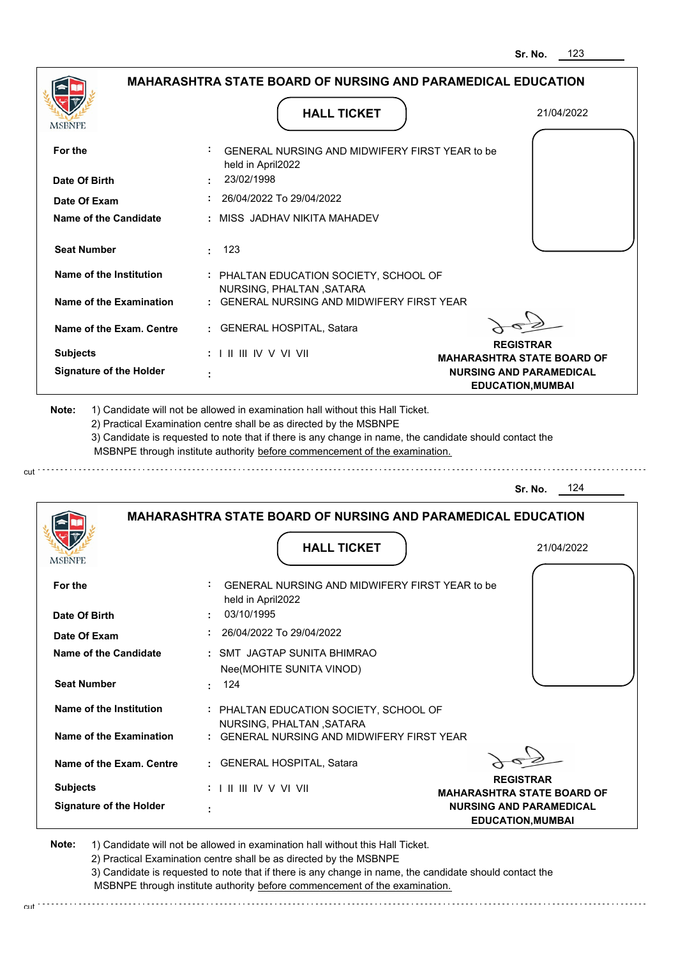|                                                                                                         | MAHARASHTRA STATE BOARD OF NURSING AND PARAMEDICAL EDUCATION                                                                                                                                                                                                                                                                                  |                                                            |
|---------------------------------------------------------------------------------------------------------|-----------------------------------------------------------------------------------------------------------------------------------------------------------------------------------------------------------------------------------------------------------------------------------------------------------------------------------------------|------------------------------------------------------------|
| MSBNPE                                                                                                  | <b>HALL TICKET</b>                                                                                                                                                                                                                                                                                                                            | 21/04/2022                                                 |
|                                                                                                         |                                                                                                                                                                                                                                                                                                                                               |                                                            |
| For the                                                                                                 | GENERAL NURSING AND MIDWIFERY FIRST YEAR to be<br>held in April2022                                                                                                                                                                                                                                                                           |                                                            |
| Date Of Birth                                                                                           | 23/02/1998                                                                                                                                                                                                                                                                                                                                    |                                                            |
| Date Of Exam                                                                                            | 26/04/2022 To 29/04/2022                                                                                                                                                                                                                                                                                                                      |                                                            |
| Name of the Candidate                                                                                   | : MISS JADHAV NIKITA MAHADEV                                                                                                                                                                                                                                                                                                                  |                                                            |
| <b>Seat Number</b>                                                                                      | 123<br>$\mathbf{r}$ .                                                                                                                                                                                                                                                                                                                         |                                                            |
| Name of the Institution                                                                                 | : PHALTAN EDUCATION SOCIETY, SCHOOL OF<br>NURSING, PHALTAN, SATARA                                                                                                                                                                                                                                                                            |                                                            |
| Name of the Examination                                                                                 | : GENERAL NURSING AND MIDWIFERY FIRST YEAR                                                                                                                                                                                                                                                                                                    |                                                            |
| Name of the Exam. Centre                                                                                | : GENERAL HOSPITAL, Satara                                                                                                                                                                                                                                                                                                                    |                                                            |
| <b>Subjects</b>                                                                                         | : I II III IV V VI VII                                                                                                                                                                                                                                                                                                                        | <b>REGISTRAR</b><br><b>MAHARASHTRA STATE BOARD OF</b>      |
| <b>Signature of the Holder</b>                                                                          |                                                                                                                                                                                                                                                                                                                                               | <b>NURSING AND PARAMEDICAL</b><br><b>EDUCATION, MUMBAI</b> |
|                                                                                                         | 1) Candidate will not be allowed in examination hall without this Hall Ticket.<br>2) Practical Examination centre shall be as directed by the MSBNPE<br>3) Candidate is requested to note that if there is any change in name, the candidate should contact the<br>MSBNPE through institute authority before commencement of the examination. |                                                            |
|                                                                                                         |                                                                                                                                                                                                                                                                                                                                               |                                                            |
|                                                                                                         |                                                                                                                                                                                                                                                                                                                                               | 124<br>Sr. No.                                             |
|                                                                                                         | <b>MAHARASHTRA STATE BOARD OF NURSING AND PARAMEDICAL EDUCATION</b>                                                                                                                                                                                                                                                                           |                                                            |
|                                                                                                         | <b>HALL TICKET</b>                                                                                                                                                                                                                                                                                                                            | 21/04/2022                                                 |
|                                                                                                         |                                                                                                                                                                                                                                                                                                                                               |                                                            |
|                                                                                                         | GENERAL NURSING AND MIDWIFERY FIRST YEAR to be<br>held in April2022                                                                                                                                                                                                                                                                           |                                                            |
|                                                                                                         | 03/10/1995                                                                                                                                                                                                                                                                                                                                    |                                                            |
|                                                                                                         | 26/04/2022 To 29/04/2022                                                                                                                                                                                                                                                                                                                      |                                                            |
|                                                                                                         | : SMT JAGTAP SUNITA BHIMRAO                                                                                                                                                                                                                                                                                                                   |                                                            |
|                                                                                                         | Nee(MOHITE SUNITA VINOD)                                                                                                                                                                                                                                                                                                                      |                                                            |
| Date Of Exam<br><b>Seat Number</b>                                                                      | : 124                                                                                                                                                                                                                                                                                                                                         |                                                            |
| Name of the Institution                                                                                 | : PHALTAN EDUCATION SOCIETY, SCHOOL OF                                                                                                                                                                                                                                                                                                        |                                                            |
| Name of the Examination                                                                                 | NURSING, PHALTAN, SATARA<br>: GENERAL NURSING AND MIDWIFERY FIRST YEAR                                                                                                                                                                                                                                                                        |                                                            |
| Note:<br>MSBNFE<br>For the<br>Date Of Birth<br><b>Name of the Candidate</b><br>Name of the Exam. Centre | : GENERAL HOSPITAL, Satara                                                                                                                                                                                                                                                                                                                    |                                                            |

 **:**

**Signature of the Holder**

2) Practical Examination centre shall be as directed by the MSBNPE

3) Candidate is requested to note that if there is any change in name, the candidate should contact the MSBNPE through institute authority before commencement of the examination. cut de la component de la component de la component de la component de la component de la component de la component de la component de la component de la component de la component de la component de la component de la comp

**NURSING AND PARAMEDICAL EDUCATION,MUMBAI**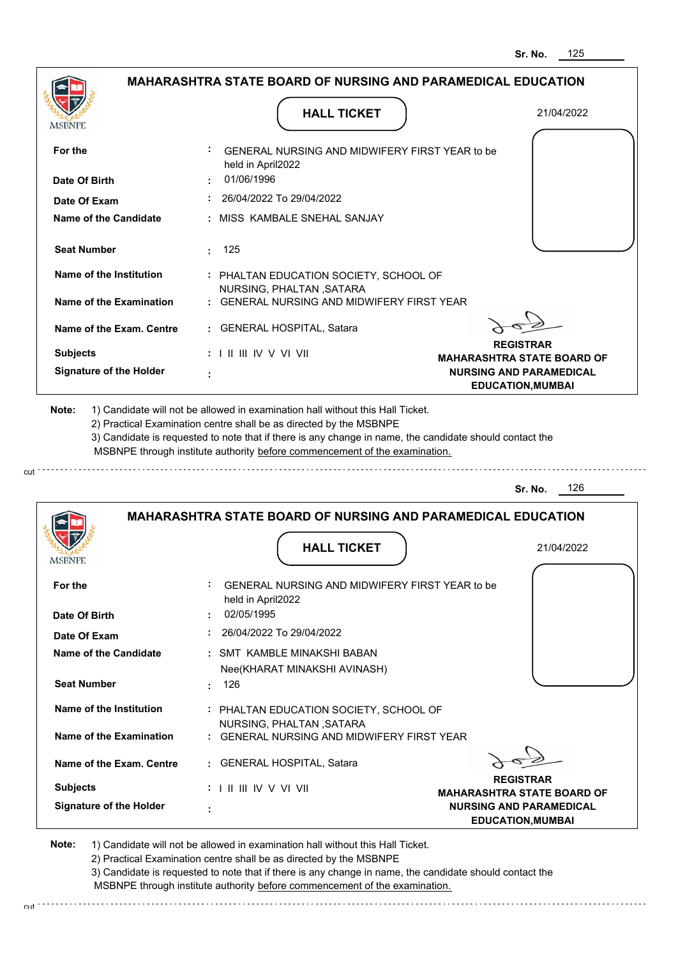|                                |                                                                                                                                                   | 125<br>Sr. No.                                                                                  |
|--------------------------------|---------------------------------------------------------------------------------------------------------------------------------------------------|-------------------------------------------------------------------------------------------------|
|                                | <b>MAHARASHTRA STATE BOARD OF NURSING AND PARAMEDICAL EDUCATION</b>                                                                               |                                                                                                 |
| MSBNPE                         | <b>HALL TICKET</b>                                                                                                                                | 21/04/2022                                                                                      |
| For the                        | GENERAL NURSING AND MIDWIFERY FIRST YEAR to be                                                                                                    |                                                                                                 |
| Date Of Birth                  | held in April2022<br>01/06/1996                                                                                                                   |                                                                                                 |
| Date Of Exam                   | 26/04/2022 To 29/04/2022                                                                                                                          |                                                                                                 |
| Name of the Candidate          | MISS KAMBALE SNEHAL SANJAY                                                                                                                        |                                                                                                 |
| <b>Seat Number</b>             | 125<br>$\bullet$                                                                                                                                  |                                                                                                 |
| Name of the Institution        | : PHALTAN EDUCATION SOCIETY, SCHOOL OF<br>NURSING, PHALTAN, SATARA                                                                                |                                                                                                 |
| Name of the Examination        | GENERAL NURSING AND MIDWIFFRY FIRST YFAR                                                                                                          |                                                                                                 |
| Name of the Exam. Centre       | <b>GENERAL HOSPITAL, Satara</b>                                                                                                                   |                                                                                                 |
| <b>Subjects</b>                | $: 1 \mathbb{I}$ III IIV V VI VII                                                                                                                 | <b>REGISTRAR</b>                                                                                |
| <b>Signature of the Holder</b> |                                                                                                                                                   | <b>MAHARASHTRA STATE BOARD OF</b><br><b>NURSING AND PARAMEDICAL</b><br><b>EDUCATION, MUMBAI</b> |
|                                | MSBNPE through institute authority before commencement of the examination.<br><b>MAHARASHTRA STATE BOARD OF NURSING AND PARAMEDICAL EDUCATION</b> | 126<br>Sr. No.                                                                                  |
|                                | <b>HALL TICKET</b>                                                                                                                                | 21/04/2022                                                                                      |
| <b>MSBNPE</b>                  |                                                                                                                                                   |                                                                                                 |
| For the                        | GENERAL NURSING AND MIDWIFERY FIRST YEAR to be<br>held in April2022                                                                               |                                                                                                 |
| Date Of Birth                  | 02/05/1995                                                                                                                                        |                                                                                                 |
| Date Of Exam                   | 26/04/2022 To 29/04/2022                                                                                                                          |                                                                                                 |
| <b>Name of the Candidate</b>   | : SMT KAMBLE MINAKSHI BABAN                                                                                                                       |                                                                                                 |
|                                | Nee(KHARAT MINAKSHI AVINASH)                                                                                                                      |                                                                                                 |
| <b>Seat Number</b>             | 126                                                                                                                                               |                                                                                                 |
| Name of the Institution        | : PHALTAN EDUCATION SOCIETY, SCHOOL OF<br>NURSING, PHALTAN, SATARA                                                                                |                                                                                                 |
| <b>Name of the Examination</b> | GENERAL NURSING AND MIDWIFERY FIRST YEAR                                                                                                          |                                                                                                 |
| Name of the Exam. Centre       | <b>GENERAL HOSPITAL, Satara</b>                                                                                                                   |                                                                                                 |
| <b>Subjects</b>                | : I II III IV V VI VII                                                                                                                            | <b>REGISTRAR</b><br><b>MAHARASHTRA STATE BOARD OF</b>                                           |
| <b>Signature of the Holder</b> |                                                                                                                                                   | <b>NURSING AND PARAMEDICAL</b>                                                                  |

 **:**

cut

2) Practical Examination centre shall be as directed by the MSBNPE

3) Candidate is requested to note that if there is any change in name, the candidate should contact the MSBNPE through institute authority before commencement of the examination. cut

**EDUCATION,MUMBAI**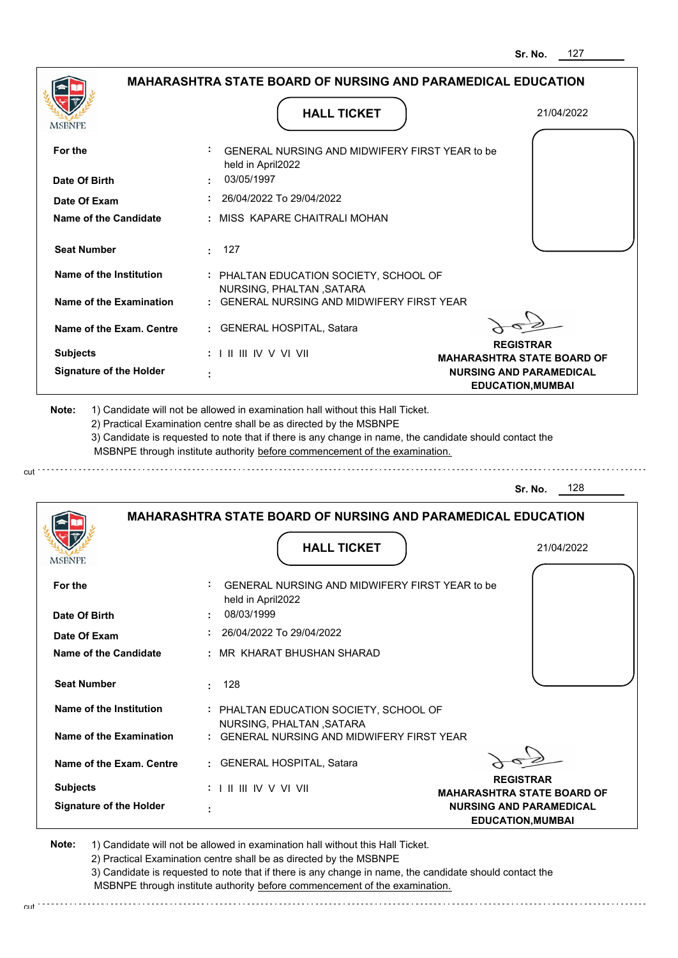|                                |                                                                            | 127<br>Sr. No.                                             |
|--------------------------------|----------------------------------------------------------------------------|------------------------------------------------------------|
|                                | <b>MAHARASHTRA STATE BOARD OF NURSING AND PARAMEDICAL EDUCATION</b>        |                                                            |
| MSBNPE                         | <b>HALL TICKET</b>                                                         | 21/04/2022                                                 |
| For the                        | GENERAL NURSING AND MIDWIFERY FIRST YEAR to be<br>held in April2022        |                                                            |
| Date Of Birth                  | 03/05/1997                                                                 |                                                            |
| Date Of Exam                   | 26/04/2022 To 29/04/2022                                                   |                                                            |
| Name of the Candidate          | MISS KAPARE CHAITRALI MOHAN                                                |                                                            |
| <b>Seat Number</b>             | - 127<br>÷.                                                                |                                                            |
| Name of the Institution        | : PHALTAN EDUCATION SOCIETY, SCHOOL OF<br>NURSING, PHALTAN, SATARA         |                                                            |
| Name of the Examination        | <b>GENERAL NURSING AND MIDWIFERY FIRST YEAR</b>                            |                                                            |
| Name of the Exam. Centre       | <b>GENERAL HOSPITAL, Satara</b>                                            |                                                            |
| <b>Subjects</b>                | $: 1$ II III IV V VI VII                                                   | <b>REGISTRAR</b><br><b>MAHARASHTRA STATE BOARD OF</b>      |
| <b>Signature of the Holder</b> |                                                                            | <b>NURSING AND PARAMEDICAL</b><br><b>EDUCATION, MUMBAI</b> |
|                                | MSBNPE through institute authority before commencement of the examination. | 128<br>Sr. No.                                             |
|                                | <b>MAHARASHTRA STATE BOARD OF NURSING AND PARAMEDICAL EDUCATION</b>        |                                                            |
| IMODINI L                      | <b>HALL TICKET</b>                                                         | 21/04/2022                                                 |
| For the                        | GENERAL NURSING AND MIDWIFERY FIRST YEAR to be<br>held in April2022        |                                                            |
| Date Of Birth                  | 08/03/1999                                                                 |                                                            |
| Date Of Exam                   | 26/04/2022 To 29/04/2022                                                   |                                                            |
| Name of the Candidate          | : MR KHARAT BHUSHAN SHARAD                                                 |                                                            |
| <b>Seat Number</b>             | 128<br>÷                                                                   |                                                            |
| Name of the Institution        | : PHALTAN EDUCATION SOCIETY, SCHOOL OF<br>NURSING, PHALTAN, SATARA         |                                                            |
| <b>Name of the Examination</b> | : GENERAL NURSING AND MIDWIFERY FIRST YEAR                                 |                                                            |
| Name of the Exam. Centre       | <b>GENERAL HOSPITAL, Satara</b>                                            |                                                            |
| <b>Subjects</b>                | : I II III IV V VI VII                                                     | <b>REGISTRAR</b><br><b>MAHARASHTRA STATE BOARD OF</b>      |
| <b>Signature of the Holder</b> |                                                                            | <b>NURSING AND PARAMEDICAL</b><br><b>EDUCATION, MUMBAI</b> |

cut

2) Practical Examination centre shall be as directed by the MSBNPE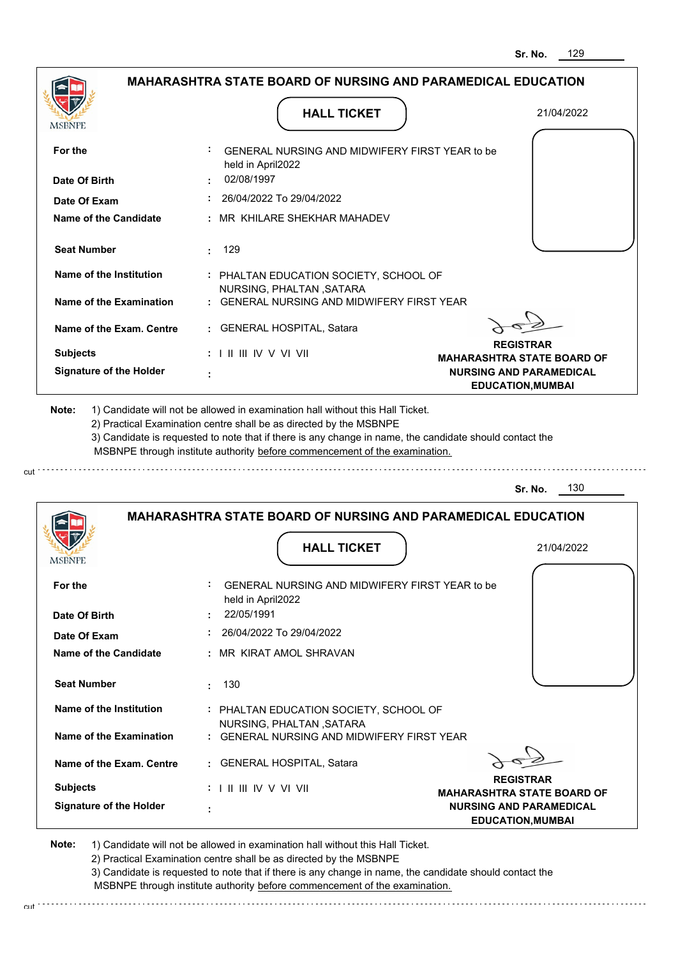|                                |                                                                                   | 129<br>Sr. No.                                             |
|--------------------------------|-----------------------------------------------------------------------------------|------------------------------------------------------------|
|                                | <b>MAHARASHTRA STATE BOARD OF NURSING AND PARAMEDICAL EDUCATION</b>               |                                                            |
| MSBNPE                         | <b>HALL TICKET</b>                                                                | 21/04/2022                                                 |
| For the                        | GENERAL NURSING AND MIDWIFERY FIRST YEAR to be<br>held in April2022               |                                                            |
| Date Of Birth                  | 02/08/1997                                                                        |                                                            |
| Date Of Exam                   | 26/04/2022 To 29/04/2022                                                          |                                                            |
| Name of the Candidate          | : MR KHILARE SHEKHAR MAHADEV                                                      |                                                            |
| <b>Seat Number</b>             | 129<br>÷.                                                                         |                                                            |
| Name of the Institution        | : PHALTAN EDUCATION SOCIETY, SCHOOL OF                                            |                                                            |
| <b>Name of the Examination</b> | NURSING, PHALTAN, SATARA<br><b>GENERAL NURSING AND MIDWIFERY FIRST YEAR</b>       |                                                            |
| Name of the Exam. Centre       | <b>GENERAL HOSPITAL, Satara</b><br>t.                                             |                                                            |
| <b>Subjects</b>                | : I II III IV V VI VII                                                            | <b>REGISTRAR</b><br><b>MAHARASHTRA STATE BOARD OF</b>      |
| <b>Signature of the Holder</b> |                                                                                   | <b>NURSING AND PARAMEDICAL</b><br><b>EDUCATION, MUMBAI</b> |
|                                | MSBNPE through institute authority before commencement of the examination.        | 130<br>Sr. No.                                             |
|                                | <b>MAHARASHTRA STATE BOARD OF NURSING AND PARAMEDICAL EDUCATION</b>               |                                                            |
| <b>MODIAL</b>                  | <b>HALL TICKET</b>                                                                | 21/04/2022                                                 |
| For the<br>Date Of Birth       | GENERAL NURSING AND MIDWIFERY FIRST YEAR to be<br>held in April2022<br>22/05/1991 |                                                            |
| Date Of Exam                   |                                                                                   |                                                            |
|                                |                                                                                   |                                                            |
| <b>Name of the Candidate</b>   | 26/04/2022 To 29/04/2022<br>: MR KIRAT AMOL SHRAVAN                               |                                                            |
| <b>Seat Number</b>             | 130<br>$\bullet$                                                                  |                                                            |
| Name of the Institution        | : PHALTAN EDUCATION SOCIETY, SCHOOL OF                                            |                                                            |
| Name of the Examination        | NURSING, PHALTAN, SATARA<br>: GENERAL NURSING AND MIDWIFERY FIRST YEAR            |                                                            |
| Name of the Exam. Centre       | : GENERAL HOSPITAL, Satara                                                        |                                                            |
| <b>Subjects</b>                | $: 1 \mathbb{I}$ III IIV V VI VII                                                 | <b>REGISTRAR</b><br><b>MAHARASHTRA STATE BOARD OF</b>      |

cut

2) Practical Examination centre shall be as directed by the MSBNPE

3) Candidate is requested to note that if there is any change in name, the candidate should contact the MSBNPE through institute authority before commencement of the examination. cut de contra a construction de construction de construction de construction de construction de construction de construction de construction de construction de construction de construction de construction de construction d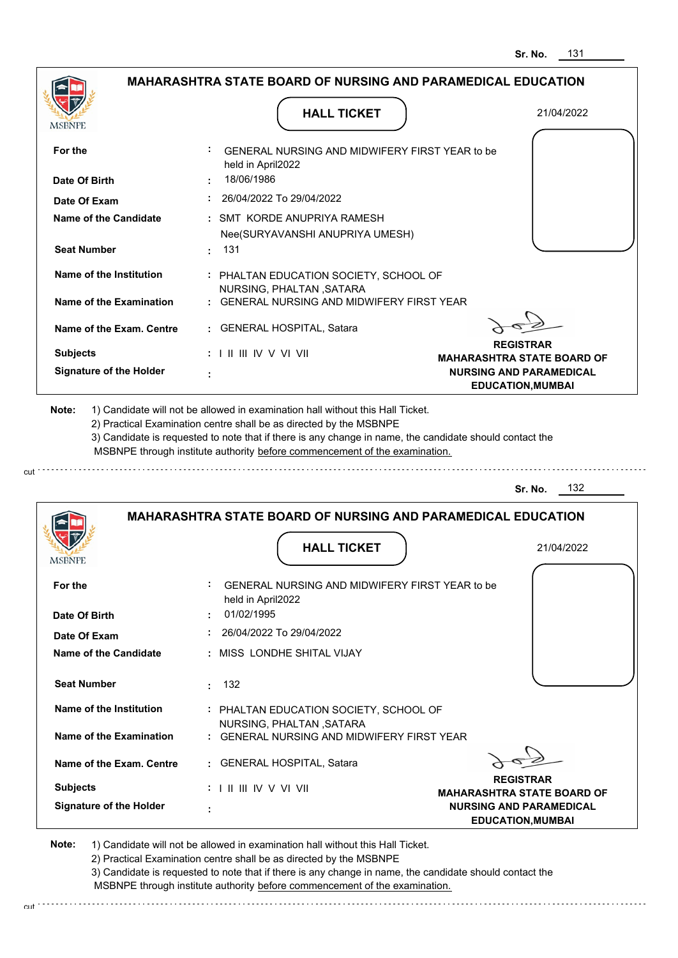|                                | <b>MAHARASHTRA STATE BOARD OF NURSING AND PARAMEDICAL EDUCATION</b>                                                                                                                                                                                                                                                                           |                                                            |
|--------------------------------|-----------------------------------------------------------------------------------------------------------------------------------------------------------------------------------------------------------------------------------------------------------------------------------------------------------------------------------------------|------------------------------------------------------------|
|                                |                                                                                                                                                                                                                                                                                                                                               |                                                            |
| <b>MSBNPE</b>                  | <b>HALL TICKET</b>                                                                                                                                                                                                                                                                                                                            | 21/04/2022                                                 |
|                                |                                                                                                                                                                                                                                                                                                                                               |                                                            |
| For the                        | GENERAL NURSING AND MIDWIFERY FIRST YEAR to be<br>held in April2022                                                                                                                                                                                                                                                                           |                                                            |
| Date Of Birth                  | 18/06/1986                                                                                                                                                                                                                                                                                                                                    |                                                            |
| Date Of Exam                   | 26/04/2022 To 29/04/2022                                                                                                                                                                                                                                                                                                                      |                                                            |
| Name of the Candidate          | : SMT KORDE ANUPRIYA RAMESH<br>Nee(SURYAVANSHI ANUPRIYA UMESH)                                                                                                                                                                                                                                                                                |                                                            |
| <b>Seat Number</b>             | : 131                                                                                                                                                                                                                                                                                                                                         |                                                            |
| Name of the Institution        | : PHALTAN EDUCATION SOCIETY, SCHOOL OF<br>NURSING, PHALTAN, SATARA                                                                                                                                                                                                                                                                            |                                                            |
| Name of the Examination        | : GENERAL NURSING AND MIDWIFERY FIRST YEAR                                                                                                                                                                                                                                                                                                    |                                                            |
| Name of the Exam. Centre       | : GENERAL HOSPITAL, Satara                                                                                                                                                                                                                                                                                                                    |                                                            |
| <b>Subjects</b>                | $: 1 \mathbb{I} \mathbb{I} \mathbb{I} \mathbb{I} \mathbb{I} \mathbb{V} \vee \mathbb{V} \mathbb{I} \mathbb{V} \mathbb{I}$                                                                                                                                                                                                                      | <b>REGISTRAR</b><br><b>MAHARASHTRA STATE BOARD OF</b>      |
|                                |                                                                                                                                                                                                                                                                                                                                               |                                                            |
| <b>Signature of the Holder</b> |                                                                                                                                                                                                                                                                                                                                               | <b>NURSING AND PARAMEDICAL</b><br><b>EDUCATION, MUMBAI</b> |
| Note:                          | 1) Candidate will not be allowed in examination hall without this Hall Ticket.<br>2) Practical Examination centre shall be as directed by the MSBNPE<br>3) Candidate is requested to note that if there is any change in name, the candidate should contact the<br>MSBNPE through institute authority before commencement of the examination. |                                                            |
|                                |                                                                                                                                                                                                                                                                                                                                               |                                                            |
|                                |                                                                                                                                                                                                                                                                                                                                               | 132<br>Sr. No.                                             |
|                                | <b>MAHARASHTRA STATE BOARD OF NURSING AND PARAMEDICAL EDUCATION</b>                                                                                                                                                                                                                                                                           |                                                            |
|                                |                                                                                                                                                                                                                                                                                                                                               |                                                            |
| <b>MSBNPE</b>                  | <b>HALL TICKET</b>                                                                                                                                                                                                                                                                                                                            | 21/04/2022                                                 |
| For the                        | GENERAL NURSING AND MIDWIFERY FIRST YEAR to be<br>held in April2022                                                                                                                                                                                                                                                                           |                                                            |
| Date Of Birth                  | 01/02/1995                                                                                                                                                                                                                                                                                                                                    |                                                            |

**Seat Number Name of the Candidate :** MISS LONDHE SHITAL VIJAY  **:** 132

**Name of the Exam. Centre Name of the Examination Name of the Institution :** PHALTAN EDUCATION SOCIETY, SCHOOL OF  **:** GENERAL NURSING AND MIDWIFERY FIRST YEAR  **:** GENERAL HOSPITAL, Satara NURSING, PHALTAN ,SATARA

> **REGISTRAR MAHARASHTRA STATE BOARD OF NURSING AND PARAMEDICAL EDUCATION,MUMBAI**

**Note:**  1) Candidate will not be allowed in examination hall without this Hall Ticket.

I II III IV V VI VII

 **:**

**Signature of the Holder**

**Subjects :**

2) Practical Examination centre shall be as directed by the MSBNPE

3) Candidate is requested to note that if there is any change in name, the candidate should contact the MSBNPE through institute authority before commencement of the examination. cut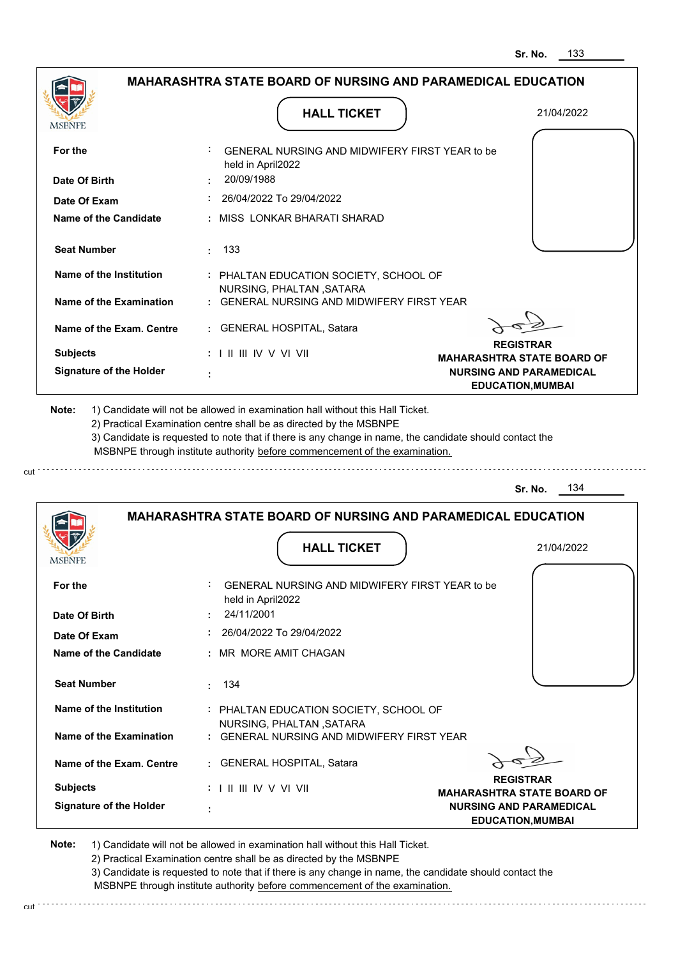|                                              |                                                                             | Sr. No.                                                    |
|----------------------------------------------|-----------------------------------------------------------------------------|------------------------------------------------------------|
|                                              | <b>MAHARASHTRA STATE BOARD OF NURSING AND PARAMEDICAL EDUCATION</b>         |                                                            |
| MSBNPE                                       | <b>HALL TICKET</b>                                                          | 21/04/2022                                                 |
| For the                                      | GENERAL NURSING AND MIDWIFERY FIRST YEAR to be<br>held in April2022         |                                                            |
| Date Of Birth                                | 20/09/1988                                                                  |                                                            |
| Date Of Exam                                 | 26/04/2022 To 29/04/2022                                                    |                                                            |
| Name of the Candidate                        | : MISS LONKAR BHARATI SHARAD                                                |                                                            |
| <b>Seat Number</b>                           | 133<br>÷.                                                                   |                                                            |
| Name of the Institution                      | : PHALTAN EDUCATION SOCIETY, SCHOOL OF                                      |                                                            |
| <b>Name of the Examination</b>               | NURSING, PHALTAN, SATARA<br><b>GENERAL NURSING AND MIDWIFERY FIRST YEAR</b> |                                                            |
| Name of the Exam. Centre                     | <b>GENERAL HOSPITAL, Satara</b><br>t.                                       |                                                            |
| <b>Subjects</b>                              | : I II III IV V VI VII                                                      | <b>REGISTRAR</b><br><b>MAHARASHTRA STATE BOARD OF</b>      |
| <b>Signature of the Holder</b>               |                                                                             | <b>NURSING AND PARAMEDICAL</b><br><b>EDUCATION, MUMBAI</b> |
|                                              | MSBNPE through institute authority before commencement of the examination.  | 134<br>Sr. No.                                             |
|                                              | <b>MAHARASHTRA STATE BOARD OF NURSING AND PARAMEDICAL EDUCATION</b>         |                                                            |
|                                              |                                                                             |                                                            |
| <b>MODIAL</b>                                | <b>HALL TICKET</b>                                                          | 21/04/2022                                                 |
| For the                                      | GENERAL NURSING AND MIDWIFERY FIRST YEAR to be<br>held in April2022         |                                                            |
| Date Of Birth                                | 24/11/2001<br>26/04/2022 To 29/04/2022                                      |                                                            |
| Date Of Exam<br><b>Name of the Candidate</b> | : MR MORE AMIT CHAGAN                                                       |                                                            |
| <b>Seat Number</b>                           | 134<br>÷                                                                    |                                                            |
| Name of the Institution                      | : PHALTAN EDUCATION SOCIETY, SCHOOL OF                                      |                                                            |
| Name of the Examination                      | NURSING, PHALTAN, SATARA<br>: GENERAL NURSING AND MIDWIFERY FIRST YEAR      |                                                            |
| Name of the Exam. Centre                     | : GENERAL HOSPITAL, Satara                                                  |                                                            |
| <b>Subjects</b>                              | $: 1 \mathbb{I}$ III IIV V VI VII                                           | <b>REGISTRAR</b><br><b>MAHARASHTRA STATE BOARD OF</b>      |

cut

2) Practical Examination centre shall be as directed by the MSBNPE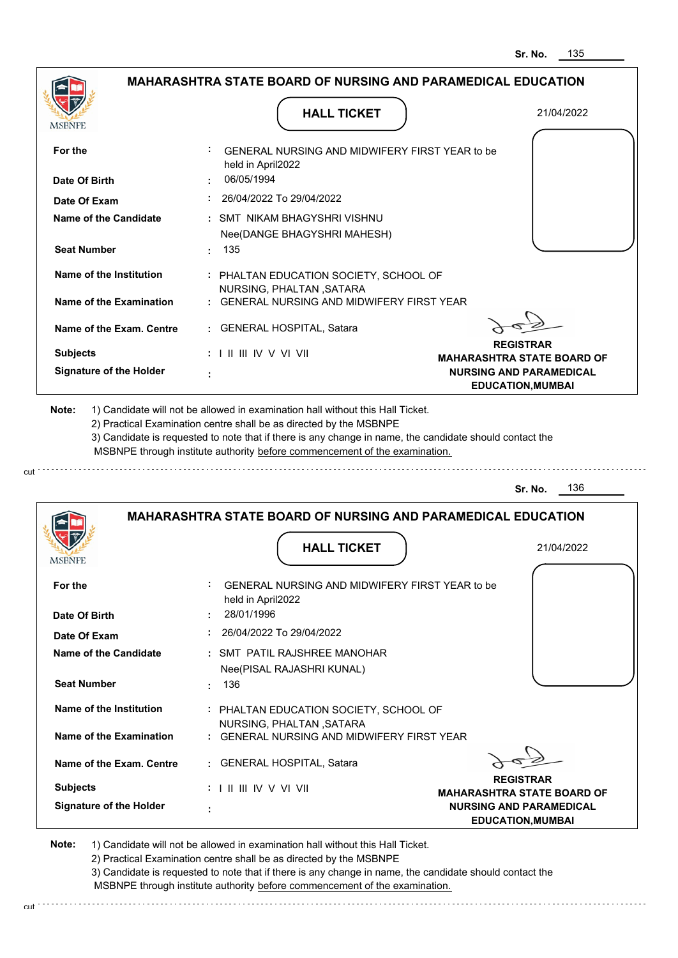| <b>MSBNPE</b>                                      | <b>HALL TICKET</b>                                                                                                                                                                                                                                                                                                                            | 21/04/2022                                                                                                          |
|----------------------------------------------------|-----------------------------------------------------------------------------------------------------------------------------------------------------------------------------------------------------------------------------------------------------------------------------------------------------------------------------------------------|---------------------------------------------------------------------------------------------------------------------|
| For the<br>Date Of Birth                           | GENERAL NURSING AND MIDWIFERY FIRST YEAR to be<br>held in April2022<br>06/05/1994                                                                                                                                                                                                                                                             |                                                                                                                     |
| Date Of Exam                                       | 26/04/2022 To 29/04/2022                                                                                                                                                                                                                                                                                                                      |                                                                                                                     |
| Name of the Candidate                              | : SMT NIKAM BHAGYSHRI VISHNU<br>Nee(DANGE BHAGYSHRI MAHESH)                                                                                                                                                                                                                                                                                   |                                                                                                                     |
| <b>Seat Number</b>                                 | : 135                                                                                                                                                                                                                                                                                                                                         |                                                                                                                     |
| Name of the Institution<br>Name of the Examination | : PHALTAN EDUCATION SOCIETY, SCHOOL OF<br>NURSING, PHALTAN, SATARA<br>: GENERAL NURSING AND MIDWIFERY FIRST YEAR                                                                                                                                                                                                                              |                                                                                                                     |
| Name of the Exam. Centre                           | : GENERAL HOSPITAL, Satara                                                                                                                                                                                                                                                                                                                    |                                                                                                                     |
| <b>Subjects</b><br><b>Signature of the Holder</b>  | : I II III IV V VI VII                                                                                                                                                                                                                                                                                                                        | <b>REGISTRAR</b><br><b>MAHARASHTRA STATE BOARD OF</b><br><b>NURSING AND PARAMEDICAL</b><br><b>EDUCATION, MUMBAI</b> |
| Note:                                              | 1) Candidate will not be allowed in examination hall without this Hall Ticket.<br>2) Practical Examination centre shall be as directed by the MSBNPE<br>3) Candidate is requested to note that if there is any change in name, the candidate should contact the<br>MSBNPE through institute authority before commencement of the examination. |                                                                                                                     |
|                                                    |                                                                                                                                                                                                                                                                                                                                               | 136<br>Sr. No.                                                                                                      |
|                                                    |                                                                                                                                                                                                                                                                                                                                               |                                                                                                                     |

| For the                  | GENERAL NURSING AND MIDWIFERY FIRST YEAR to be<br>held in April2022             |
|--------------------------|---------------------------------------------------------------------------------|
| Date Of Birth            | 28/01/1996                                                                      |
| Date Of Exam             | 26/04/2022 To 29/04/2022                                                        |
| Name of the Candidate    | : SMT PATIL RAJSHREE MANOHAR<br>Nee(PISAL RAJASHRI KUNAL)                       |
| <b>Seat Number</b>       | 136<br>٠.                                                                       |
| Name of the Institution  | : PHALTAN EDUCATION SOCIETY, SCHOOL OF<br>NURSING, PHALTAN , SATARA             |
| Name of the Examination  | : GENERAL NURSING AND MIDWIFERY FIRST YEAR                                      |
| Name of the Exam. Centre | : GENERAL HOSPITAL, Satara                                                      |
| <b>Subjects</b>          | <b>REGISTRAR</b><br>: I II III IV V VI VII<br><b>MAHARASHTRA STATE BOARD OF</b> |
| Signature of the Holder  | <b>NURSING AND PARAMEDICAL</b><br>٠<br><b>EDUCATION, MUMBAI</b>                 |

**Note:**  1) Candidate will not be allowed in examination hall without this Hall Ticket.

2) Practical Examination centre shall be as directed by the MSBNPE

3) Candidate is requested to note that if there is any change in name, the candidate should contact the MSBNPE through institute authority before commencement of the examination.

cut.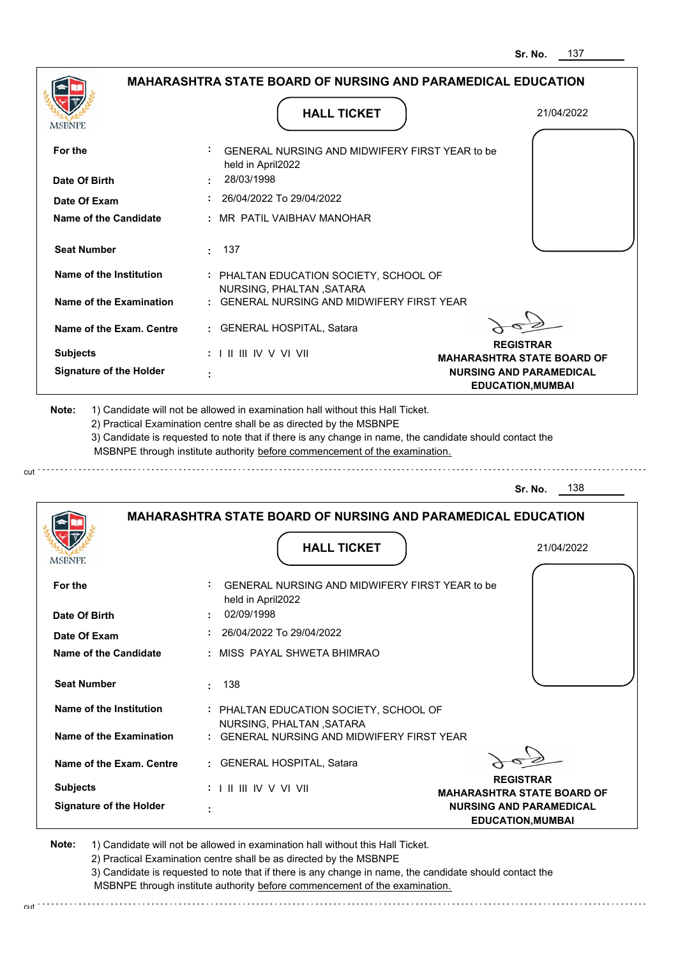|                                                                                                                               | <b>HALL TICKET</b>                                                                                                                                                                                                                                                                                                                            | 21/04/2022                        |
|-------------------------------------------------------------------------------------------------------------------------------|-----------------------------------------------------------------------------------------------------------------------------------------------------------------------------------------------------------------------------------------------------------------------------------------------------------------------------------------------|-----------------------------------|
| MSBNPE                                                                                                                        |                                                                                                                                                                                                                                                                                                                                               |                                   |
| For the                                                                                                                       | GENERAL NURSING AND MIDWIFERY FIRST YEAR to be<br>held in April2022                                                                                                                                                                                                                                                                           |                                   |
| Date Of Birth                                                                                                                 | 28/03/1998                                                                                                                                                                                                                                                                                                                                    |                                   |
| Date Of Exam                                                                                                                  | $: 26/04/2022$ To 29/04/2022                                                                                                                                                                                                                                                                                                                  |                                   |
| Name of the Candidate                                                                                                         | : MR PATIL VAIBHAV MANOHAR                                                                                                                                                                                                                                                                                                                    |                                   |
| <b>Seat Number</b>                                                                                                            | $\cdot$ 137                                                                                                                                                                                                                                                                                                                                   |                                   |
| Name of the Institution                                                                                                       | : PHALTAN EDUCATION SOCIETY, SCHOOL OF<br>NURSING, PHALTAN, SATARA                                                                                                                                                                                                                                                                            |                                   |
| Name of the Examination                                                                                                       | : GENERAL NURSING AND MIDWIFERY FIRST YEAR                                                                                                                                                                                                                                                                                                    |                                   |
| Name of the Exam. Centre                                                                                                      | : GENERAL HOSPITAL, Satara                                                                                                                                                                                                                                                                                                                    |                                   |
|                                                                                                                               |                                                                                                                                                                                                                                                                                                                                               | <b>REGISTRAR</b>                  |
| <b>Subjects</b>                                                                                                               | $: 1 \mathbb{H} \mathbb{H} \mathbb{W} \vee \mathbb{V} \mathbb{V} \mathbb{H}$                                                                                                                                                                                                                                                                  | <b>MAHARASHTRA STATE BOARD OF</b> |
| <b>Signature of the Holder</b>                                                                                                |                                                                                                                                                                                                                                                                                                                                               | <b>NURSING AND PARAMEDICAL</b>    |
|                                                                                                                               | 1) Candidate will not be allowed in examination hall without this Hall Ticket.<br>2) Practical Examination centre shall be as directed by the MSBNPE<br>3) Candidate is requested to note that if there is any change in name, the candidate should contact the<br>MSBNPE through institute authority before commencement of the examination. | <b>EDUCATION, MUMBAI</b>          |
|                                                                                                                               |                                                                                                                                                                                                                                                                                                                                               | 138<br>Sr. No.                    |
|                                                                                                                               | <b>MAHARASHTRA STATE BOARD OF NURSING AND PARAMEDICAL EDUCATION</b>                                                                                                                                                                                                                                                                           |                                   |
|                                                                                                                               | <b>HALL TICKET</b>                                                                                                                                                                                                                                                                                                                            | 21/04/2022                        |
|                                                                                                                               | GENERAL NURSING AND MIDWIFERY FIRST YEAR to be<br>held in April2022                                                                                                                                                                                                                                                                           |                                   |
|                                                                                                                               | 02/09/1998                                                                                                                                                                                                                                                                                                                                    |                                   |
|                                                                                                                               | 26/04/2022 To 29/04/2022                                                                                                                                                                                                                                                                                                                      |                                   |
|                                                                                                                               | : MISS PAYAL SHWETA BHIMRAO                                                                                                                                                                                                                                                                                                                   |                                   |
|                                                                                                                               | 138<br>÷.                                                                                                                                                                                                                                                                                                                                     |                                   |
| <b>Seat Number</b><br>Name of the Institution                                                                                 | : PHALTAN EDUCATION SOCIETY, SCHOOL OF<br>NURSING, PHALTAN, SATARA                                                                                                                                                                                                                                                                            |                                   |
| Note:<br><b>MSBNPE</b><br>For the<br>Date Of Birth<br>Date Of Exam<br><b>Name of the Candidate</b><br>Name of the Examination | : GENERAL NURSING AND MIDWIFERY FIRST YEAR                                                                                                                                                                                                                                                                                                    |                                   |

2) Practical Examination centre shall be as directed by the MSBNPE

cut.

3) Candidate is requested to note that if there is any change in name, the candidate should contact the MSBNPE through institute authority before commencement of the examination.

**EDUCATION,MUMBAI**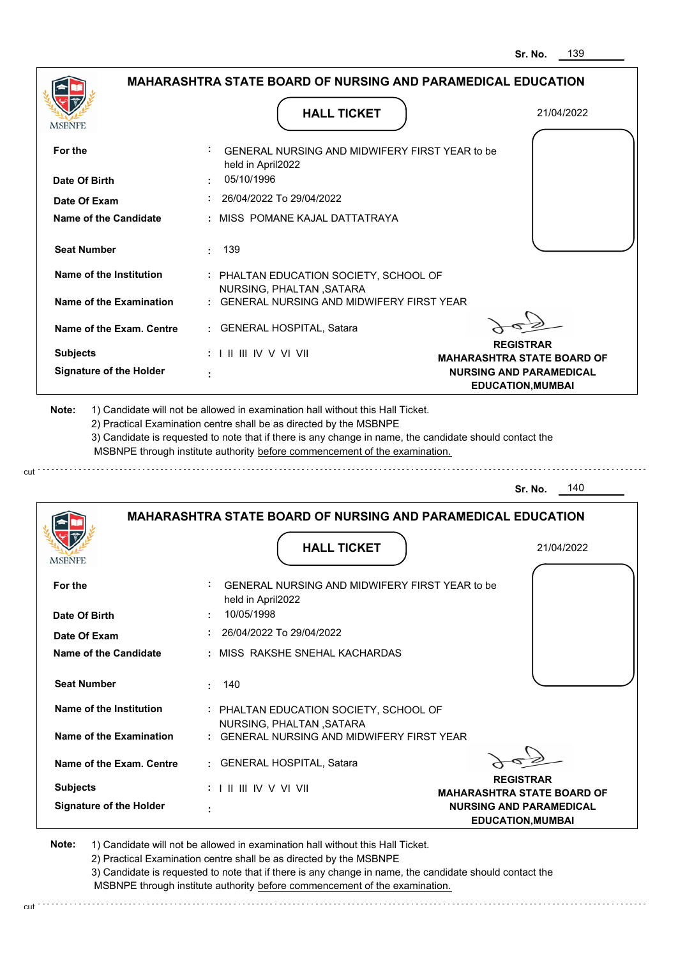|                                |                                                                                                                                                                                       | 139<br>Sr. No.                                                      |
|--------------------------------|---------------------------------------------------------------------------------------------------------------------------------------------------------------------------------------|---------------------------------------------------------------------|
|                                | MAHARASHTRA STATE BOARD OF NURSING AND PARAMEDICAL EDUCATION                                                                                                                          |                                                                     |
| MSBNPE                         | <b>HALL TICKET</b>                                                                                                                                                                    | 21/04/2022                                                          |
| For the                        | GENERAL NURSING AND MIDWIFERY FIRST YEAR to be<br>held in April2022                                                                                                                   |                                                                     |
| Date Of Birth                  | 05/10/1996                                                                                                                                                                            |                                                                     |
| Date Of Exam                   | 26/04/2022 To 29/04/2022                                                                                                                                                              |                                                                     |
| Name of the Candidate          | MISS POMANE KAJAL DATTATRAYA                                                                                                                                                          |                                                                     |
| <b>Seat Number</b>             | 139<br>÷.                                                                                                                                                                             |                                                                     |
| Name of the Institution        | : PHALTAN EDUCATION SOCIETY, SCHOOL OF<br>NURSING, PHALTAN, SATARA                                                                                                                    |                                                                     |
| Name of the Examination        | GENERAL NURSING AND MIDWIFERY FIRST YEAR                                                                                                                                              |                                                                     |
| Name of the Exam. Centre       | <b>GENERAL HOSPITAL, Satara</b>                                                                                                                                                       |                                                                     |
| <b>Subjects</b>                | : I II III IV V VI VII                                                                                                                                                                | <b>REGISTRAR</b>                                                    |
| <b>Signature of the Holder</b> |                                                                                                                                                                                       | <b>MAHARASHTRA STATE BOARD OF</b><br><b>NURSING AND PARAMEDICAL</b> |
|                                | 3) Candidate is requested to note that if there is any change in name, the candidate should contact the<br>MSBNPE through institute authority before commencement of the examination. | 140<br>Sr. No.                                                      |
|                                | <b>MAHARASHTRA STATE BOARD OF NURSING AND PARAMEDICAL EDUCATION</b>                                                                                                                   |                                                                     |
| MSBNFE                         | <b>HALL TICKET</b>                                                                                                                                                                    | 21/04/2022                                                          |
| For the                        | GENERAL NURSING AND MIDWIFERY FIRST YEAR to be<br>held in April2022                                                                                                                   |                                                                     |
| Date Of Birth                  | 10/05/1998                                                                                                                                                                            |                                                                     |
| Date Of Exam                   | 26/04/2022 To 29/04/2022                                                                                                                                                              |                                                                     |
| <b>Name of the Candidate</b>   | : MISS RAKSHE SNEHAL KACHARDAS                                                                                                                                                        |                                                                     |
| <b>Seat Number</b>             | 140<br>÷                                                                                                                                                                              |                                                                     |
| Name of the Institution        | : PHALTAN EDUCATION SOCIETY, SCHOOL OF<br>NURSING, PHALTAN, SATARA                                                                                                                    |                                                                     |
| <b>Name of the Examination</b> | : GENERAL NURSING AND MIDWIFERY FIRST YEAR                                                                                                                                            |                                                                     |
| Name of the Exam. Centre       | <b>GENERAL HOSPITAL, Satara</b>                                                                                                                                                       | <b>REGISTRAR</b>                                                    |
| <b>Subjects</b>                | : I II III IV V VI VII                                                                                                                                                                | <b>MAHARASHTRA STATE BOARD OF</b>                                   |
| <b>Signature of the Holder</b> |                                                                                                                                                                                       | <b>NURSING AND PARAMEDICAL</b>                                      |

cut

2) Practical Examination centre shall be as directed by the MSBNPE

3) Candidate is requested to note that if there is any change in name, the candidate should contact the MSBNPE through institute authority before commencement of the examination. cut de la component de la component de la component de la component de la component de la component de la component de la component de la component de la component de la component de la component de la component de la comp

**EDUCATION,MUMBAI**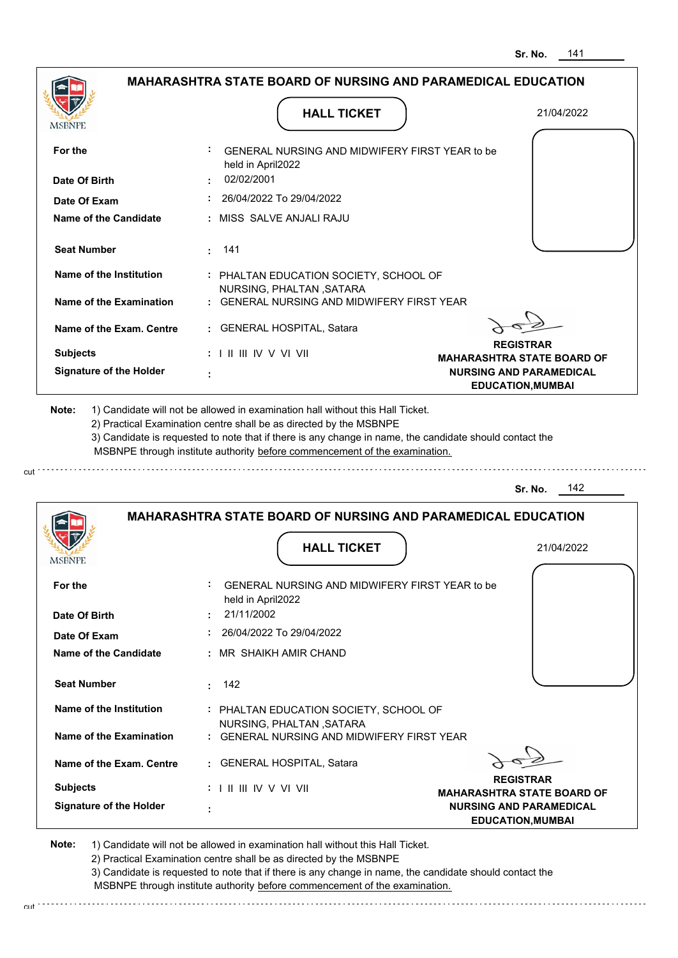|                                                                                                |                                                                                                                                                                                                                                                             | <b>MAHARASHTRA STATE BOARD OF NURSING AND PARAMEDICAL EDUCATION</b> |
|------------------------------------------------------------------------------------------------|-------------------------------------------------------------------------------------------------------------------------------------------------------------------------------------------------------------------------------------------------------------|---------------------------------------------------------------------|
| MSBNPE                                                                                         | <b>HALL TICKET</b>                                                                                                                                                                                                                                          | 21/04/2022                                                          |
| For the                                                                                        | GENERAL NURSING AND MIDWIFERY FIRST YEAR to be<br>held in April2022                                                                                                                                                                                         |                                                                     |
| Date Of Birth                                                                                  | 02/02/2001                                                                                                                                                                                                                                                  |                                                                     |
| Date Of Exam                                                                                   | 26/04/2022 To 29/04/2022                                                                                                                                                                                                                                    |                                                                     |
| <b>Name of the Candidate</b>                                                                   | : MISS SALVE ANJALI RAJU                                                                                                                                                                                                                                    |                                                                     |
| <b>Seat Number</b>                                                                             | $\cdot$ 141                                                                                                                                                                                                                                                 |                                                                     |
| Name of the Institution                                                                        | : PHALTAN EDUCATION SOCIETY, SCHOOL OF                                                                                                                                                                                                                      |                                                                     |
| Name of the Examination                                                                        | NURSING, PHALTAN, SATARA<br>: GENERAL NURSING AND MIDWIFERY FIRST YEAR                                                                                                                                                                                      |                                                                     |
| Name of the Exam. Centre                                                                       | : GENERAL HOSPITAL, Satara                                                                                                                                                                                                                                  |                                                                     |
| <b>Subjects</b>                                                                                | : I II III IV V VI VII                                                                                                                                                                                                                                      | <b>REGISTRAR</b><br><b>MAHARASHTRA STATE BOARD OF</b>               |
| <b>Signature of the Holder</b>                                                                 |                                                                                                                                                                                                                                                             | <b>NURSING AND PARAMEDICAL</b><br><b>EDUCATION, MUMBAI</b>          |
|                                                                                                | 2) Practical Examination centre shall be as directed by the MSBNPE<br>3) Candidate is requested to note that if there is any change in name, the candidate should contact the<br>MSBNPE through institute authority before commencement of the examination. |                                                                     |
|                                                                                                |                                                                                                                                                                                                                                                             | 142<br>Sr. No.                                                      |
|                                                                                                | <b>MAHARASHTRA STATE BOARD OF NURSING AND PARAMEDICAL EDUCATION</b>                                                                                                                                                                                         |                                                                     |
|                                                                                                | <b>HALL TICKET</b>                                                                                                                                                                                                                                          | 21/04/2022                                                          |
|                                                                                                | GENERAL NURSING AND MIDWIFERY FIRST YEAR to be<br>held in April2022                                                                                                                                                                                         |                                                                     |
|                                                                                                | 21/11/2002                                                                                                                                                                                                                                                  |                                                                     |
|                                                                                                | : 26/04/2022 To 29/04/2022                                                                                                                                                                                                                                  |                                                                     |
|                                                                                                | : MR SHAIKH AMIR CHAND                                                                                                                                                                                                                                      |                                                                     |
| <b>Seat Number</b>                                                                             | 142<br>t in                                                                                                                                                                                                                                                 |                                                                     |
| Name of the Institution                                                                        | : PHALTAN EDUCATION SOCIETY, SCHOOL OF                                                                                                                                                                                                                      |                                                                     |
| Name of the Examination                                                                        | NURSING, PHALTAN, SATARA<br>: GENERAL NURSING AND MIDWIFERY FIRST YEAR                                                                                                                                                                                      |                                                                     |
| Name of the Exam. Centre                                                                       | : GENERAL HOSPITAL, Satara                                                                                                                                                                                                                                  |                                                                     |
| MSBNFE<br>For the<br>Date Of Birth<br>Date Of Exam<br>Name of the Candidate<br><b>Subjects</b> | $: 1 \mathbb{H} \mathbb{H} \mathbb{W} \vee \mathbb{V} \mathbb{V} \mathbb{H}$                                                                                                                                                                                | <b>REGISTRAR</b><br><b>MAHARASHTRA STATE BOARD OF</b>               |

2) Practical Examination centre shall be as directed by the MSBNPE

3) Candidate is requested to note that if there is any change in name, the candidate should contact the MSBNPE through institute authority before commencement of the examination. cut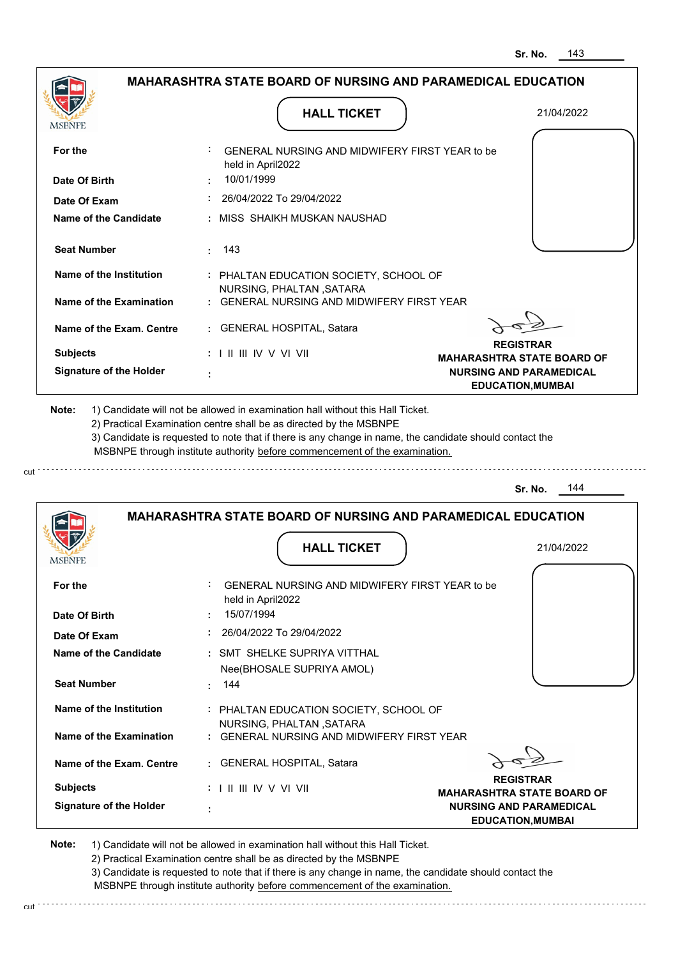|                                |                                                                                                                                                                                       | 143<br>Sr. No.                                             |
|--------------------------------|---------------------------------------------------------------------------------------------------------------------------------------------------------------------------------------|------------------------------------------------------------|
|                                | <b>MAHARASHTRA STATE BOARD OF NURSING AND PARAMEDICAL EDUCATION</b>                                                                                                                   |                                                            |
| MSBNPE                         | <b>HALL TICKET</b>                                                                                                                                                                    | 21/04/2022                                                 |
| For the                        | GENERAL NURSING AND MIDWIFERY FIRST YEAR to be<br>held in April2022                                                                                                                   |                                                            |
| Date Of Birth                  | 10/01/1999                                                                                                                                                                            |                                                            |
| Date Of Exam                   | 26/04/2022 To 29/04/2022                                                                                                                                                              |                                                            |
| Name of the Candidate          | : MISS SHAIKH MUSKAN NAUSHAD                                                                                                                                                          |                                                            |
| <b>Seat Number</b>             | -143<br>÷.                                                                                                                                                                            |                                                            |
| <b>Name of the Institution</b> | : PHALTAN EDUCATION SOCIETY, SCHOOL OF<br>NURSING, PHALTAN, SATARA                                                                                                                    |                                                            |
| Name of the Examination        | <b>GENERAL NURSING AND MIDWIFERY FIRST YEAR</b>                                                                                                                                       |                                                            |
| Name of the Exam. Centre       | : GENERAL HOSPITAL, Satara                                                                                                                                                            |                                                            |
| <b>Subjects</b>                | : I II III IV V VI VII                                                                                                                                                                | <b>REGISTRAR</b><br><b>MAHARASHTRA STATE BOARD OF</b>      |
| <b>Signature of the Holder</b> |                                                                                                                                                                                       | <b>NURSING AND PARAMEDICAL</b><br><b>EDUCATION, MUMBAI</b> |
|                                | 3) Candidate is requested to note that if there is any change in name, the candidate should contact the<br>MSBNPE through institute authority before commencement of the examination. |                                                            |
|                                |                                                                                                                                                                                       | 144<br>Sr. No.                                             |
|                                | <b>MAHARASHTRA STATE BOARD OF NURSING AND PARAMEDICAL EDUCATION</b>                                                                                                                   |                                                            |
| MƏBNIL                         | <b>HALL TICKET</b>                                                                                                                                                                    | 21/04/2022                                                 |
| For the                        | GENERAL NURSING AND MIDWIFERY FIRST YEAR to be<br>held in April2022                                                                                                                   |                                                            |
| Date Of Birth                  | 15/07/1994                                                                                                                                                                            |                                                            |
| Date Of Exam                   | 26/04/2022 To 29/04/2022                                                                                                                                                              |                                                            |
| Name of the Candidate          | : SMT SHELKE SUPRIYA VITTHAL                                                                                                                                                          |                                                            |
| <b>Seat Number</b>             | Nee(BHOSALE SUPRIYA AMOL)<br>144                                                                                                                                                      |                                                            |
| <b>Name of the Institution</b> | : PHALTAN EDUCATION SOCIETY, SCHOOL OF<br>NURSING, PHALTAN, SATARA                                                                                                                    |                                                            |
| <b>Name of the Examination</b> | : GENERAL NURSING AND MIDWIFERY FIRST YEAR                                                                                                                                            |                                                            |
| Name of the Exam. Centre       | : GENERAL HOSPITAL, Satara                                                                                                                                                            |                                                            |
| <b>Subjects</b>                | : I II III IV V VI VII                                                                                                                                                                | <b>REGISTRAR</b><br><b>MAHARASHTRA STATE BOARD OF</b>      |
| <b>Signature of the Holder</b> |                                                                                                                                                                                       | <b>NURSING AND PARAMEDICAL</b>                             |

cut

2) Practical Examination centre shall be as directed by the MSBNPE

3) Candidate is requested to note that if there is any change in name, the candidate should contact the MSBNPE through institute authority before commencement of the examination. cut de la component de la component de la component de la component de la component de la component de la component de la component de la component de la component de la component de la component de la component de la comp

**EDUCATION,MUMBAI**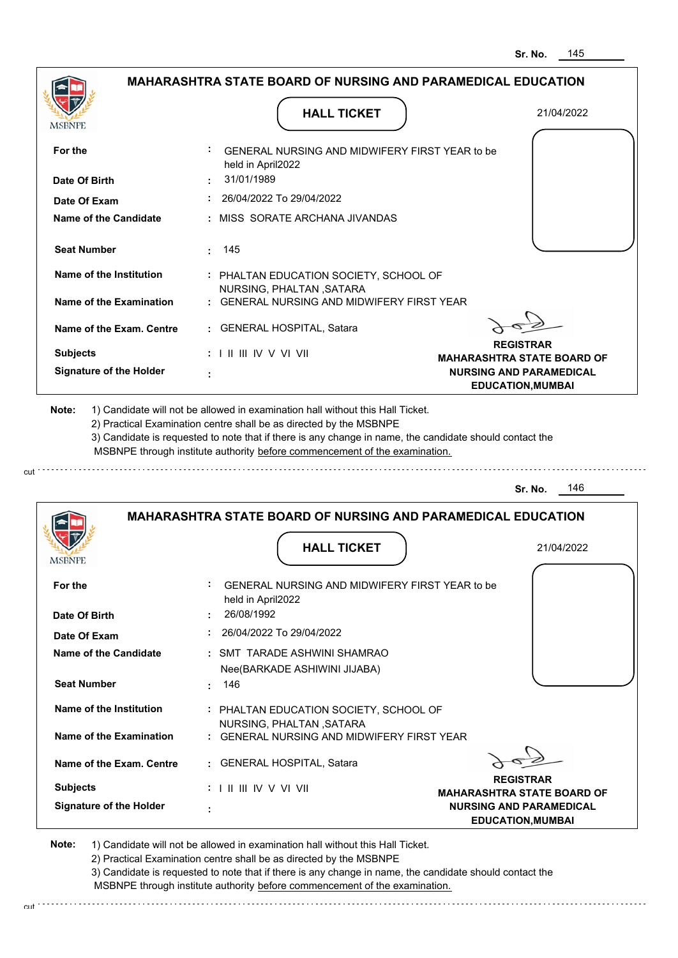|                                |                                                                                                                                                   | Sr. No.<br>145                                                      |
|--------------------------------|---------------------------------------------------------------------------------------------------------------------------------------------------|---------------------------------------------------------------------|
|                                | <b>MAHARASHTRA STATE BOARD OF NURSING AND PARAMEDICAL EDUCATION</b>                                                                               |                                                                     |
| MSBNPE                         | <b>HALL TICKET</b>                                                                                                                                | 21/04/2022                                                          |
| For the                        | GENERAL NURSING AND MIDWIFERY FIRST YEAR to be<br>held in April2022                                                                               |                                                                     |
| Date Of Birth                  | 31/01/1989                                                                                                                                        |                                                                     |
| Date Of Exam                   | 26/04/2022 To 29/04/2022                                                                                                                          |                                                                     |
| Name of the Candidate          | MISS SORATE ARCHANA JIVANDAS                                                                                                                      |                                                                     |
| <b>Seat Number</b>             | 145                                                                                                                                               |                                                                     |
| Name of the Institution        | : PHALTAN EDUCATION SOCIETY, SCHOOL OF                                                                                                            |                                                                     |
| Name of the Examination        | NURSING, PHALTAN, SATARA<br>GENERAL NURSING AND MIDWIFFRY FIRST YFAR                                                                              |                                                                     |
| Name of the Exam. Centre       | <b>GENERAL HOSPITAL, Satara</b>                                                                                                                   |                                                                     |
| <b>Subjects</b>                | : I II III IV V VI VII                                                                                                                            | <b>REGISTRAR</b>                                                    |
| <b>Signature of the Holder</b> |                                                                                                                                                   | <b>MAHARASHTRA STATE BOARD OF</b><br><b>NURSING AND PARAMEDICAL</b> |
|                                | MSBNPE through institute authority before commencement of the examination.<br><b>MAHARASHTRA STATE BOARD OF NURSING AND PARAMEDICAL EDUCATION</b> | 146<br>Sr. No.                                                      |
| <b>MSBNPE</b>                  | <b>HALL TICKET</b>                                                                                                                                | 21/04/2022                                                          |
| For the                        | ÷<br>GENERAL NURSING AND MIDWIFERY FIRST YEAR to be<br>held in April2022                                                                          |                                                                     |
| Date Of Birth                  | 26/08/1992                                                                                                                                        |                                                                     |
| Date Of Exam                   | 26/04/2022 To 29/04/2022                                                                                                                          |                                                                     |
| <b>Name of the Candidate</b>   | : SMT TARADE ASHWINI SHAMRAO                                                                                                                      |                                                                     |
| <b>Seat Number</b>             | Nee(BARKADE ASHIWINI JIJABA)<br>146                                                                                                               |                                                                     |
| Name of the Institution        | : PHALTAN EDUCATION SOCIETY, SCHOOL OF<br>NURSING, PHALTAN, SATARA                                                                                |                                                                     |
| <b>Name of the Examination</b> | <b>GENERAL NURSING AND MIDWIFERY FIRST YEAR</b>                                                                                                   |                                                                     |
| Name of the Exam. Centre       | GENERAL HOSPITAL, Satara                                                                                                                          |                                                                     |
| <b>Subjects</b>                | : I II III IV V VI VII                                                                                                                            | <b>REGISTRAR</b><br><b>MAHARASHTRA STATE BOARD OF</b>               |
| <b>Signature of the Holder</b> |                                                                                                                                                   | <b>NURSING AND PARAMEDICAL</b>                                      |

cut

2) Practical Examination centre shall be as directed by the MSBNPE

3) Candidate is requested to note that if there is any change in name, the candidate should contact the MSBNPE through institute authority before commencement of the examination. cut

**EDUCATION,MUMBAI**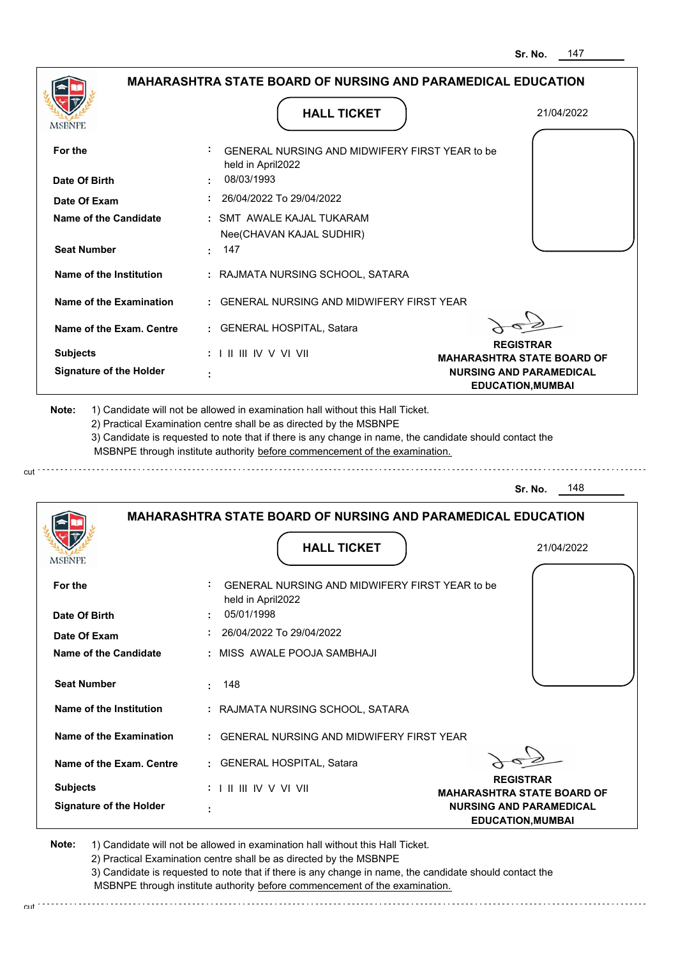| <b>MAHARASHTRA STATE BOARD OF NURSING AND PARAMEDICAL EDUCATION</b> |                                                                                                                                                                                                                                                                                                                                               |                                                                     |
|---------------------------------------------------------------------|-----------------------------------------------------------------------------------------------------------------------------------------------------------------------------------------------------------------------------------------------------------------------------------------------------------------------------------------------|---------------------------------------------------------------------|
| MSBNPE                                                              | <b>HALL TICKET</b>                                                                                                                                                                                                                                                                                                                            | 21/04/2022                                                          |
| For the                                                             | GENERAL NURSING AND MIDWIFERY FIRST YEAR to be                                                                                                                                                                                                                                                                                                |                                                                     |
|                                                                     | held in April2022                                                                                                                                                                                                                                                                                                                             |                                                                     |
| Date Of Birth                                                       | 08/03/1993                                                                                                                                                                                                                                                                                                                                    |                                                                     |
| Date Of Exam                                                        | : 26/04/2022 To 29/04/2022                                                                                                                                                                                                                                                                                                                    |                                                                     |
| <b>Name of the Candidate</b>                                        | : SMT AWALE KAJAL TUKARAM<br>Nee(CHAVAN KAJAL SUDHIR)                                                                                                                                                                                                                                                                                         |                                                                     |
| <b>Seat Number</b>                                                  | $\cdot$ 147                                                                                                                                                                                                                                                                                                                                   |                                                                     |
| Name of the Institution                                             | : RAJMATA NURSING SCHOOL, SATARA                                                                                                                                                                                                                                                                                                              |                                                                     |
| Name of the Examination                                             | : GENERAL NURSING AND MIDWIFERY FIRST YEAR                                                                                                                                                                                                                                                                                                    |                                                                     |
| Name of the Exam. Centre                                            | : GENERAL HOSPITAL, Satara                                                                                                                                                                                                                                                                                                                    |                                                                     |
| <b>Subjects</b>                                                     | $: 1 \mathbb{H} \mathbb{H} \mathbb{W} \vee \mathbb{V} \mathbb{V} \mathbb{H}$                                                                                                                                                                                                                                                                  | <b>REGISTRAR</b>                                                    |
| <b>Signature of the Holder</b>                                      |                                                                                                                                                                                                                                                                                                                                               | <b>MAHARASHTRA STATE BOARD OF</b><br><b>NURSING AND PARAMEDICAL</b> |
|                                                                     |                                                                                                                                                                                                                                                                                                                                               |                                                                     |
|                                                                     | 1) Candidate will not be allowed in examination hall without this Hall Ticket.<br>2) Practical Examination centre shall be as directed by the MSBNPE<br>3) Candidate is requested to note that if there is any change in name, the candidate should contact the<br>MSBNPE through institute authority before commencement of the examination. | <b>EDUCATION, MUMBAI</b>                                            |
|                                                                     |                                                                                                                                                                                                                                                                                                                                               | 148<br>Sr. No.                                                      |
|                                                                     | <b>MAHARASHTRA STATE BOARD OF NURSING AND PARAMEDICAL EDUCATION</b>                                                                                                                                                                                                                                                                           |                                                                     |
|                                                                     | <b>HALL TICKET</b>                                                                                                                                                                                                                                                                                                                            | 21/04/2022                                                          |
|                                                                     | GENERAL NURSING AND MIDWIFERY FIRST YEAR to be                                                                                                                                                                                                                                                                                                |                                                                     |
|                                                                     | held in April2022<br>05/01/1998                                                                                                                                                                                                                                                                                                               |                                                                     |
| Note:<br><b>MSBNPE</b><br>For the<br>Date Of Birth<br>Date Of Exam  | 26/04/2022 To 29/04/2022                                                                                                                                                                                                                                                                                                                      |                                                                     |
|                                                                     | : MISS AWALE POOJA SAMBHAJI                                                                                                                                                                                                                                                                                                                   |                                                                     |
| <b>Name of the Candidate</b><br><b>Seat Number</b>                  | 148                                                                                                                                                                                                                                                                                                                                           |                                                                     |
| Name of the Institution                                             | : RAJMATA NURSING SCHOOL, SATARA                                                                                                                                                                                                                                                                                                              |                                                                     |
| Name of the Examination                                             | : GENERAL NURSING AND MIDWIFERY FIRST YEAR                                                                                                                                                                                                                                                                                                    |                                                                     |

 **:**

cut.

2) Practical Examination centre shall be as directed by the MSBNPE

3) Candidate is requested to note that if there is any change in name, the candidate should contact the MSBNPE through institute authority before commencement of the examination.

**EDUCATION,MUMBAI**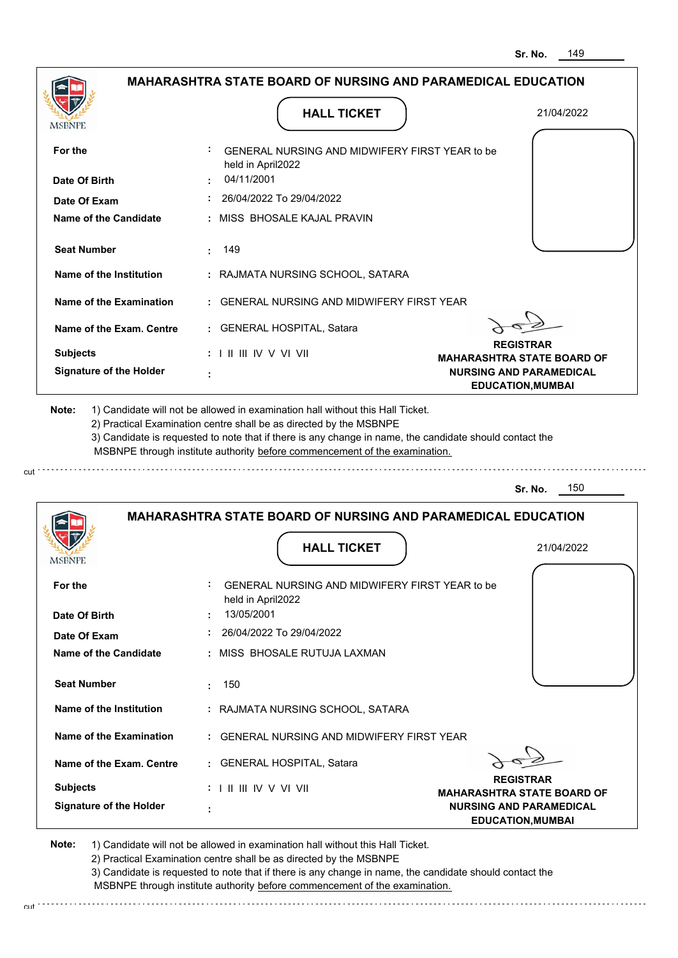|                                                                                | <b>MAHARASHTRA STATE BOARD OF NURSING AND PARAMEDICAL EDUCATION</b>                                                                                                                                                                                         |                                                            |
|--------------------------------------------------------------------------------|-------------------------------------------------------------------------------------------------------------------------------------------------------------------------------------------------------------------------------------------------------------|------------------------------------------------------------|
| <b>MSBNPE</b>                                                                  | <b>HALL TICKET</b>                                                                                                                                                                                                                                          | 21/04/2022                                                 |
| For the                                                                        | <b>GENERAL NURSING AND MIDWIFERY FIRST YEAR to be</b><br>held in April2022                                                                                                                                                                                  |                                                            |
| Date Of Birth                                                                  | 04/11/2001                                                                                                                                                                                                                                                  |                                                            |
| Date Of Exam                                                                   | 26/04/2022 To 29/04/2022                                                                                                                                                                                                                                    |                                                            |
| Name of the Candidate                                                          | : MISS BHOSALE KAJAL PRAVIN                                                                                                                                                                                                                                 |                                                            |
| <b>Seat Number</b>                                                             | : 149                                                                                                                                                                                                                                                       |                                                            |
| Name of the Institution                                                        | : RAJMATA NURSING SCHOOL, SATARA                                                                                                                                                                                                                            |                                                            |
| Name of the Examination                                                        | : GENERAL NURSING AND MIDWIFERY FIRST YEAR                                                                                                                                                                                                                  |                                                            |
| Name of the Exam. Centre                                                       | : GENERAL HOSPITAL, Satara                                                                                                                                                                                                                                  |                                                            |
| <b>Subjects</b>                                                                | $: 1 \mathbb{I}$ III IV V VI VII                                                                                                                                                                                                                            | <b>REGISTRAR</b><br><b>MAHARASHTRA STATE BOARD OF</b>      |
| <b>Signature of the Holder</b>                                                 |                                                                                                                                                                                                                                                             | <b>NURSING AND PARAMEDICAL</b><br><b>EDUCATION, MUMBAI</b> |
| 1) Candidate will not be allowed in examination hall without this Hall Ticket. | 2) Practical Examination centre shall be as directed by the MSBNPE<br>3) Candidate is requested to note that if there is any change in name, the candidate should contact the<br>MSBNPE through institute authority before commencement of the examination. |                                                            |
|                                                                                |                                                                                                                                                                                                                                                             | 150<br>Sr. No.                                             |
| <b>IMPDIAL</b>                                                                 | <b>MAHARASHTRA STATE BOARD OF NURSING AND PARAMEDICAL EDUCATION</b><br><b>HALL TICKET</b>                                                                                                                                                                   | 21/04/2022                                                 |
| For the                                                                        | GENERAL NURSING AND MIDWIFERY FIRST YEAR to be                                                                                                                                                                                                              |                                                            |
| Date Of Birth                                                                  | held in April2022<br>13/05/2001                                                                                                                                                                                                                             |                                                            |
| Date Of Exam                                                                   | 26/04/2022 To 29/04/2022                                                                                                                                                                                                                                    |                                                            |
| <b>Name of the Candidate</b>                                                   | : MISS BHOSALE RUTUJA LAXMAN                                                                                                                                                                                                                                |                                                            |
| <b>Seat Number</b>                                                             | 150                                                                                                                                                                                                                                                         |                                                            |
| Name of the Institution                                                        | : RAJMATA NURSING SCHOOL, SATARA                                                                                                                                                                                                                            |                                                            |
| Name of the Examination                                                        | : GENERAL NURSING AND MIDWIFERY FIRST YEAR                                                                                                                                                                                                                  |                                                            |
| Name of the Exam. Centre                                                       | : GENERAL HOSPITAL, Satara                                                                                                                                                                                                                                  |                                                            |
| <b>Subjects</b>                                                                | : I II III IV V VI VII                                                                                                                                                                                                                                      | <b>REGISTRAR</b><br><b>MAHARASHTRA STATE BOARD OF</b>      |

2) Practical Examination centre shall be as directed by the MSBNPE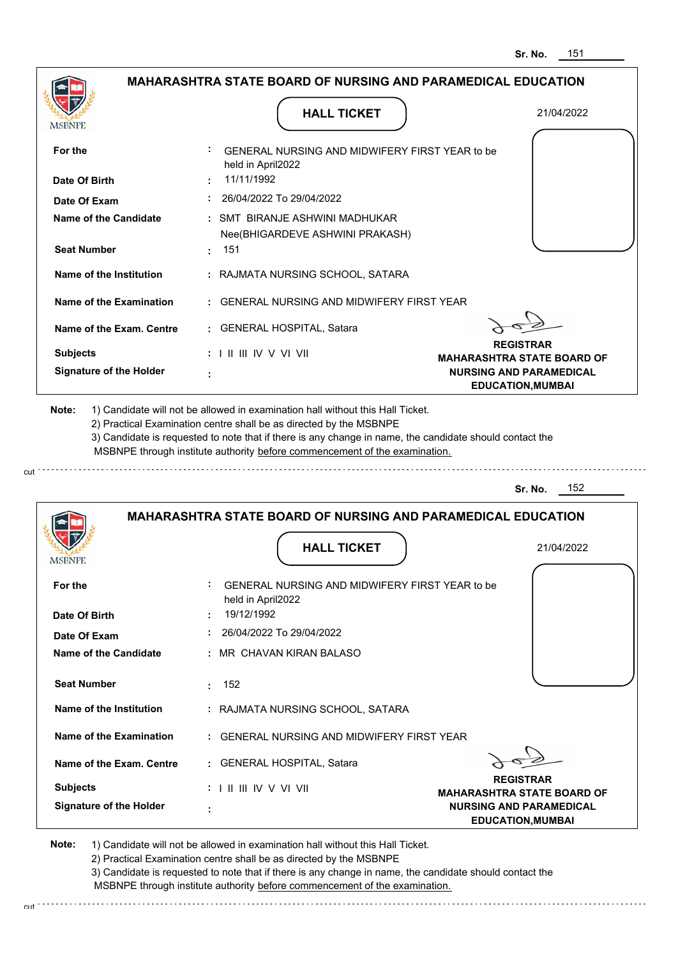|                                | <b>MAHARASHTRA STATE BOARD OF NURSING AND PARAMEDICAL EDUCATION</b>                                                                                                                                                                                         |                                                            |
|--------------------------------|-------------------------------------------------------------------------------------------------------------------------------------------------------------------------------------------------------------------------------------------------------------|------------------------------------------------------------|
| MSBNPE                         | <b>HALL TICKET</b>                                                                                                                                                                                                                                          | 21/04/2022                                                 |
| For the                        | : GENERAL NURSING AND MIDWIFERY FIRST YEAR to be<br>held in April2022                                                                                                                                                                                       |                                                            |
| Date Of Birth                  | 11/11/1992                                                                                                                                                                                                                                                  |                                                            |
| Date Of Exam                   | 26/04/2022 To 29/04/2022                                                                                                                                                                                                                                    |                                                            |
| <b>Name of the Candidate</b>   | : SMT BIRANJE ASHWINI MADHUKAR<br>Nee(BHIGARDEVE ASHWINI PRAKASH)                                                                                                                                                                                           |                                                            |
| <b>Seat Number</b>             | : 151                                                                                                                                                                                                                                                       |                                                            |
| Name of the Institution        | : RAJMATA NURSING SCHOOL, SATARA                                                                                                                                                                                                                            |                                                            |
| Name of the Examination        | : GENERAL NURSING AND MIDWIFERY FIRST YEAR                                                                                                                                                                                                                  |                                                            |
| Name of the Exam. Centre       | : GENERAL HOSPITAL, Satara                                                                                                                                                                                                                                  | <b>REGISTRAR</b>                                           |
| <b>Subjects</b>                | $: 1 \parallel \parallel \parallel$ IV V VI VII                                                                                                                                                                                                             | <b>MAHARASHTRA STATE BOARD OF</b>                          |
| <b>Signature of the Holder</b> |                                                                                                                                                                                                                                                             |                                                            |
|                                | 1) Candidate will not be allowed in examination hall without this Hall Ticket.                                                                                                                                                                              | <b>NURSING AND PARAMEDICAL</b><br><b>EDUCATION, MUMBAI</b> |
| Note:                          | 2) Practical Examination centre shall be as directed by the MSBNPE<br>3) Candidate is requested to note that if there is any change in name, the candidate should contact the<br>MSBNPE through institute authority before commencement of the examination. |                                                            |
|                                |                                                                                                                                                                                                                                                             | 152<br>Sr. No.                                             |
|                                | <b>MAHARASHTRA STATE BOARD OF NURSING AND PARAMEDICAL EDUCATION</b>                                                                                                                                                                                         |                                                            |
| <b>MSBNFE</b>                  | <b>HALL TICKET</b>                                                                                                                                                                                                                                          | 21/04/2022                                                 |
| For the                        | GENERAL NURSING AND MIDWIFERY FIRST YEAR to be<br>held in April2022                                                                                                                                                                                         |                                                            |
| Date Of Birth                  | 19/12/1992                                                                                                                                                                                                                                                  |                                                            |
| Date Of Exam                   | 26/04/2022 To 29/04/2022                                                                                                                                                                                                                                    |                                                            |
| <b>Name of the Candidate</b>   | : MR CHAVAN KIRAN BALASO                                                                                                                                                                                                                                    |                                                            |

**Name of the Examination :** GENERAL NURSING AND MIDWIFERY FIRST YEAR

**Name of the Exam. Centre :** GENERAL HOSPITAL, Satara

 **:**

**Signature of the Holder Subjects :** I II III IV V VI VII **REGISTRAR**

**MAHARASHTRA STATE BOARD OF NURSING AND PARAMEDICAL EDUCATION,MUMBAI**

**Note:**  1) Candidate will not be allowed in examination hall without this Hall Ticket.

2) Practical Examination centre shall be as directed by the MSBNPE

3) Candidate is requested to note that if there is any change in name, the candidate should contact the MSBNPE through institute authority before commencement of the examination.

cut de contra a construction de construction de construction de construction de construction de construction de construction de construction de construction de construction de construction de construction de construction d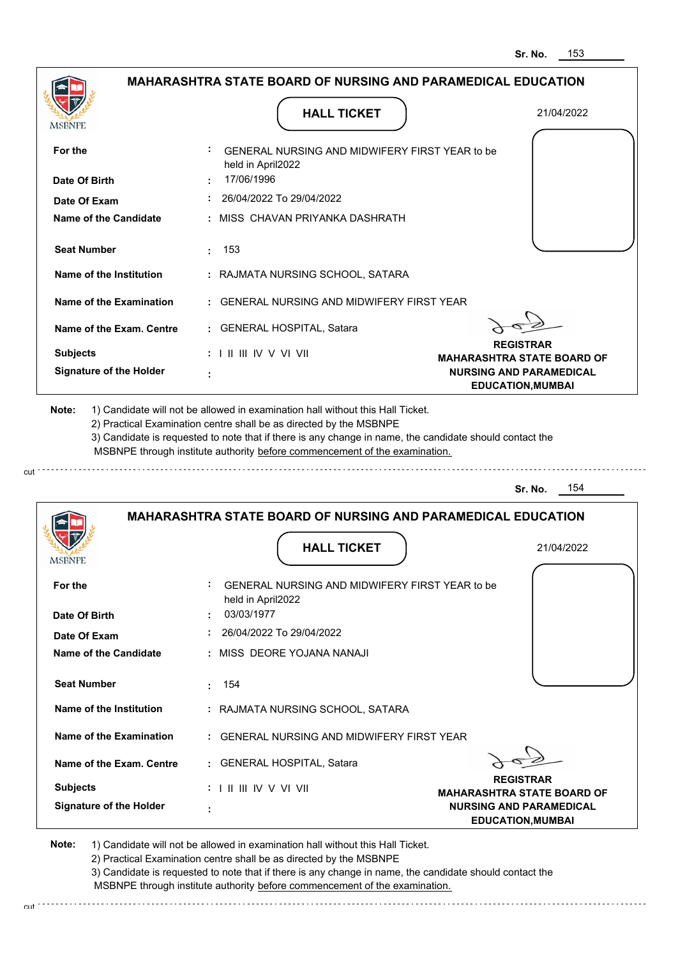|                                                                                                                                                                                                       | <b>MAHARASHTRA STATE BOARD OF NURSING AND PARAMEDICAL EDUCATION</b>                                                                                                                                                                                                                                                                           |                                                                                                 |
|-------------------------------------------------------------------------------------------------------------------------------------------------------------------------------------------------------|-----------------------------------------------------------------------------------------------------------------------------------------------------------------------------------------------------------------------------------------------------------------------------------------------------------------------------------------------|-------------------------------------------------------------------------------------------------|
|                                                                                                                                                                                                       |                                                                                                                                                                                                                                                                                                                                               |                                                                                                 |
| <b>MSBNPE</b>                                                                                                                                                                                         | <b>HALL TICKET</b>                                                                                                                                                                                                                                                                                                                            | 21/04/2022                                                                                      |
| For the                                                                                                                                                                                               | GENERAL NURSING AND MIDWIFERY FIRST YEAR to be<br>held in April2022                                                                                                                                                                                                                                                                           |                                                                                                 |
| Date Of Birth                                                                                                                                                                                         | 17/06/1996                                                                                                                                                                                                                                                                                                                                    |                                                                                                 |
| Date Of Exam                                                                                                                                                                                          | 26/04/2022 To 29/04/2022                                                                                                                                                                                                                                                                                                                      |                                                                                                 |
| Name of the Candidate                                                                                                                                                                                 | : MISS CHAVAN PRIYANKA DASHRATH                                                                                                                                                                                                                                                                                                               |                                                                                                 |
| <b>Seat Number</b>                                                                                                                                                                                    | 153<br>t.                                                                                                                                                                                                                                                                                                                                     |                                                                                                 |
| Name of the Institution                                                                                                                                                                               | : RAJMATA NURSING SCHOOL, SATARA                                                                                                                                                                                                                                                                                                              |                                                                                                 |
| Name of the Examination                                                                                                                                                                               | : GENERAL NURSING AND MIDWIFERY FIRST YEAR                                                                                                                                                                                                                                                                                                    |                                                                                                 |
| Name of the Exam. Centre                                                                                                                                                                              | : GENERAL HOSPITAL, Satara                                                                                                                                                                                                                                                                                                                    |                                                                                                 |
| <b>Subjects</b>                                                                                                                                                                                       | $: 1 \parallel \parallel \parallel$ IV V VI VII                                                                                                                                                                                                                                                                                               | <b>REGISTRAR</b>                                                                                |
| <b>Signature of the Holder</b>                                                                                                                                                                        |                                                                                                                                                                                                                                                                                                                                               | <b>MAHARASHTRA STATE BOARD OF</b><br><b>NURSING AND PARAMEDICAL</b><br><b>EDUCATION, MUMBAI</b> |
| Note:                                                                                                                                                                                                 | 1) Candidate will not be allowed in examination hall without this Hall Ticket.<br>2) Practical Examination centre shall be as directed by the MSBNPE<br>3) Candidate is requested to note that if there is any change in name, the candidate should contact the<br>MSBNPE through institute authority before commencement of the examination. | 154<br>Sr. No.                                                                                  |
|                                                                                                                                                                                                       | <b>MAHARASHTRA STATE BOARD OF NURSING AND PARAMEDICAL EDUCATION</b>                                                                                                                                                                                                                                                                           |                                                                                                 |
|                                                                                                                                                                                                       | <b>HALL TICKET</b>                                                                                                                                                                                                                                                                                                                            | 21/04/2022                                                                                      |
|                                                                                                                                                                                                       | <b>GENERAL NURSING AND MIDWIFERY FIRST YEAR to be</b><br>held in April2022                                                                                                                                                                                                                                                                    |                                                                                                 |
|                                                                                                                                                                                                       | 03/03/1977                                                                                                                                                                                                                                                                                                                                    |                                                                                                 |
|                                                                                                                                                                                                       | $: 26/04/2022$ To 29/04/2022                                                                                                                                                                                                                                                                                                                  |                                                                                                 |
|                                                                                                                                                                                                       | : MISS DEORE YOJANA NANAJI                                                                                                                                                                                                                                                                                                                    |                                                                                                 |
|                                                                                                                                                                                                       | : 154                                                                                                                                                                                                                                                                                                                                         |                                                                                                 |
|                                                                                                                                                                                                       | : RAJMATA NURSING SCHOOL, SATARA                                                                                                                                                                                                                                                                                                              |                                                                                                 |
|                                                                                                                                                                                                       | : GENERAL NURSING AND MIDWIFERY FIRST YEAR                                                                                                                                                                                                                                                                                                    |                                                                                                 |
|                                                                                                                                                                                                       | : GENERAL HOSPITAL, Satara                                                                                                                                                                                                                                                                                                                    |                                                                                                 |
| MSBNF<br>For the<br>Date Of Birth<br>Date Of Exam<br>Name of the Candidate<br><b>Seat Number</b><br>Name of the Institution<br>Name of the Examination<br>Name of the Exam. Centre<br><b>Subjects</b> | $: 1 \parallel \parallel \parallel$ IV V VI VII                                                                                                                                                                                                                                                                                               | <b>REGISTRAR</b><br><b>MAHARASHTRA STATE BOARD OF</b>                                           |

2) Practical Examination centre shall be as directed by the MSBNPE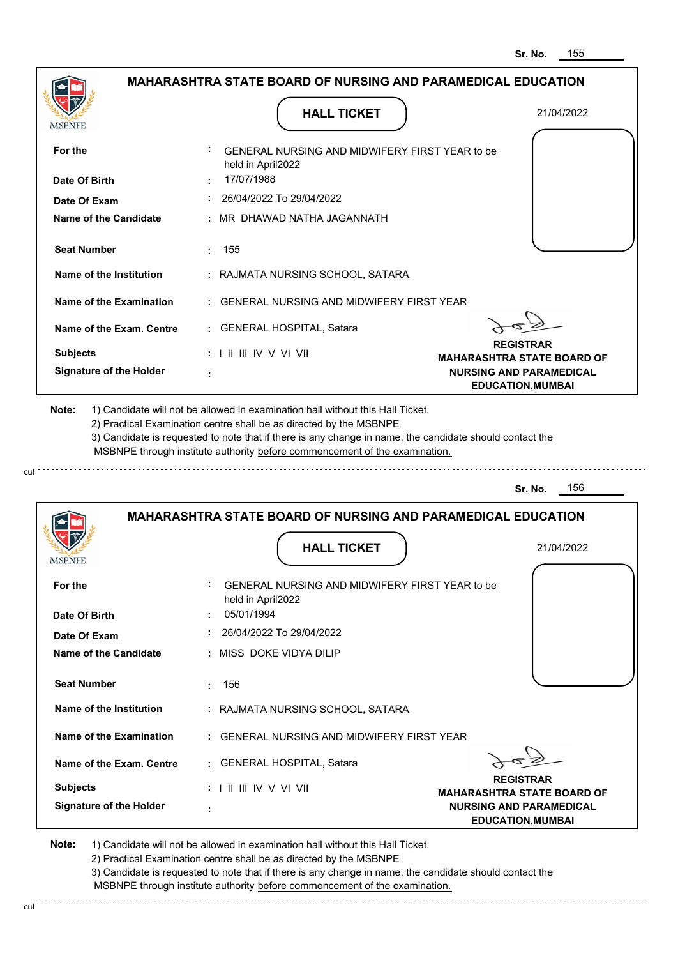|                                                   |                                                                                                                                                                                       | 155<br>Sr. No.                                                                          |
|---------------------------------------------------|---------------------------------------------------------------------------------------------------------------------------------------------------------------------------------------|-----------------------------------------------------------------------------------------|
|                                                   | <b>MAHARASHTRA STATE BOARD OF NURSING AND PARAMEDICAL EDUCATION</b>                                                                                                                   |                                                                                         |
| <b>MSBNPE</b>                                     | <b>HALL TICKET</b>                                                                                                                                                                    | 21/04/2022                                                                              |
| For the                                           | GENERAL NURSING AND MIDWIFERY FIRST YEAR to be<br>held in April2022                                                                                                                   |                                                                                         |
| Date Of Birth                                     | 17/07/1988                                                                                                                                                                            |                                                                                         |
| Date Of Exam                                      | 26/04/2022 To 29/04/2022                                                                                                                                                              |                                                                                         |
| <b>Name of the Candidate</b>                      | MR DHAWAD NATHA JAGANNATH                                                                                                                                                             |                                                                                         |
| <b>Seat Number</b>                                | 155<br>÷                                                                                                                                                                              |                                                                                         |
| Name of the Institution                           | : RAJMATA NURSING SCHOOL, SATARA                                                                                                                                                      |                                                                                         |
| <b>Name of the Examination</b>                    | <b>GENERAL NURSING AND MIDWIFERY FIRST YEAR</b>                                                                                                                                       |                                                                                         |
| Name of the Exam. Centre                          | : GENERAL HOSPITAL, Satara                                                                                                                                                            |                                                                                         |
| <b>Subjects</b><br><b>Signature of the Holder</b> | : I II III IV V VI VII                                                                                                                                                                | <b>REGISTRAR</b><br><b>MAHARASHTRA STATE BOARD OF</b><br><b>NURSING AND PARAMEDICAL</b> |
|                                                   |                                                                                                                                                                                       | <b>EDUCATION, MUMBAI</b>                                                                |
|                                                   | 3) Candidate is requested to note that if there is any change in name, the candidate should contact the<br>MSBNPE through institute authority before commencement of the examination. | 156<br>Sr. No.                                                                          |
|                                                   | <b>MAHARASHTRA STATE BOARD OF NURSING AND PARAMEDICAL EDUCATION</b>                                                                                                                   |                                                                                         |
| <b>IMODIAL L</b>                                  | <b>HALL TICKET</b>                                                                                                                                                                    | 21/04/2022                                                                              |
| For the                                           | GENERAL NURSING AND MIDWIFERY FIRST YEAR to be<br>held in April2022                                                                                                                   |                                                                                         |
| Date Of Birth                                     | 05/01/1994                                                                                                                                                                            |                                                                                         |
| Date Of Exam                                      | 26/04/2022 To 29/04/2022                                                                                                                                                              |                                                                                         |
| <b>Name of the Candidate</b>                      | MISS DOKE VIDYA DILIP                                                                                                                                                                 |                                                                                         |
| <b>Seat Number</b>                                | 156<br>÷                                                                                                                                                                              |                                                                                         |
| <b>Name of the Institution</b>                    | : RAJMATA NURSING SCHOOL, SATARA                                                                                                                                                      |                                                                                         |
| <b>Name of the Examination</b>                    | <b>GENERAL NURSING AND MIDWIFERY FIRST YEAR</b>                                                                                                                                       |                                                                                         |
| Name of the Exam. Centre                          | : GENERAL HOSPITAL, Satara                                                                                                                                                            |                                                                                         |
| <b>Subjects</b>                                   |                                                                                                                                                                                       | <b>REGISTRAR</b><br><b>MAHARASHTRA STATE BOARD OF</b>                                   |
| <b>Signature of the Holder</b>                    |                                                                                                                                                                                       | <b>NURSING AND PARAMEDICAL</b><br><b>EDUCATION, MUMBAI</b>                              |

cut

2) Practical Examination centre shall be as directed by the MSBNPE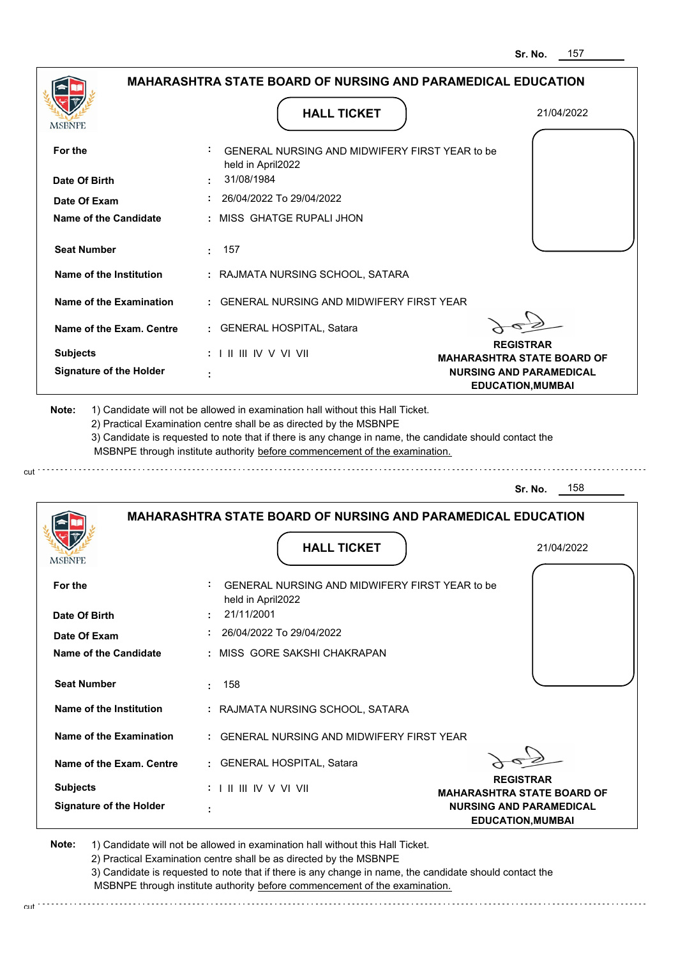|                                               | <b>MAHARASHTRA STATE BOARD OF NURSING AND PARAMEDICAL EDUCATION</b>                                                                                                                                                                                                                                                                           |                                                            |
|-----------------------------------------------|-----------------------------------------------------------------------------------------------------------------------------------------------------------------------------------------------------------------------------------------------------------------------------------------------------------------------------------------------|------------------------------------------------------------|
| MSBNPE                                        | <b>HALL TICKET</b>                                                                                                                                                                                                                                                                                                                            | 21/04/2022                                                 |
| For the                                       | GENERAL NURSING AND MIDWIFERY FIRST YEAR to be<br>held in April2022                                                                                                                                                                                                                                                                           |                                                            |
| Date Of Birth                                 | 31/08/1984                                                                                                                                                                                                                                                                                                                                    |                                                            |
| Date Of Exam                                  | $: 26/04/2022$ To 29/04/2022                                                                                                                                                                                                                                                                                                                  |                                                            |
| Name of the Candidate                         | : MISS GHATGE RUPALI JHON                                                                                                                                                                                                                                                                                                                     |                                                            |
| <b>Seat Number</b>                            | : 157                                                                                                                                                                                                                                                                                                                                         |                                                            |
| Name of the Institution                       | : RAJMATA NURSING SCHOOL, SATARA                                                                                                                                                                                                                                                                                                              |                                                            |
| Name of the Examination                       | : GENERAL NURSING AND MIDWIFERY FIRST YEAR                                                                                                                                                                                                                                                                                                    |                                                            |
| Name of the Exam. Centre                      | : GENERAL HOSPITAL, Satara                                                                                                                                                                                                                                                                                                                    |                                                            |
| <b>Subjects</b>                               | $: 1 \mathbb{I}$ III IIV V VI VII                                                                                                                                                                                                                                                                                                             | <b>REGISTRAR</b><br><b>MAHARASHTRA STATE BOARD OF</b>      |
| <b>Signature of the Holder</b>                |                                                                                                                                                                                                                                                                                                                                               | <b>NURSING AND PARAMEDICAL</b><br><b>EDUCATION, MUMBAI</b> |
|                                               | 1) Candidate will not be allowed in examination hall without this Hall Ticket.<br>2) Practical Examination centre shall be as directed by the MSBNPE<br>3) Candidate is requested to note that if there is any change in name, the candidate should contact the<br>MSBNPE through institute authority before commencement of the examination. |                                                            |
| Note:                                         |                                                                                                                                                                                                                                                                                                                                               | 158<br>Sr. No.                                             |
|                                               | <b>MAHARASHTRA STATE BOARD OF NURSING AND PARAMEDICAL EDUCATION</b><br><b>HALL TICKET</b>                                                                                                                                                                                                                                                     | 21/04/2022                                                 |
|                                               | GENERAL NURSING AND MIDWIFERY FIRST YEAR to be                                                                                                                                                                                                                                                                                                |                                                            |
|                                               | held in April2022                                                                                                                                                                                                                                                                                                                             |                                                            |
| <b>IMPDIAL</b><br>For the<br>Date Of Birth    | 21/11/2001                                                                                                                                                                                                                                                                                                                                    |                                                            |
| Date Of Exam                                  | 26/04/2022 To 29/04/2022                                                                                                                                                                                                                                                                                                                      |                                                            |
| <b>Name of the Candidate</b>                  | : MISS GORE SAKSHI CHAKRAPAN                                                                                                                                                                                                                                                                                                                  |                                                            |
|                                               | 158<br>÷.                                                                                                                                                                                                                                                                                                                                     |                                                            |
| Name of the Institution                       | : RAJMATA NURSING SCHOOL, SATARA                                                                                                                                                                                                                                                                                                              |                                                            |
| <b>Seat Number</b><br>Name of the Examination | : GENERAL NURSING AND MIDWIFERY FIRST YEAR                                                                                                                                                                                                                                                                                                    |                                                            |
|                                               | : GENERAL HOSPITAL, Satara                                                                                                                                                                                                                                                                                                                    |                                                            |
| Name of the Exam. Centre<br><b>Subjects</b>   | $: 1 \mathbb{H} \mathbb{H} \mathbb{N} \vee \mathbb{V} \mathbb{H}$                                                                                                                                                                                                                                                                             | <b>REGISTRAR</b><br><b>MAHARASHTRA STATE BOARD OF</b>      |

2) Practical Examination centre shall be as directed by the MSBNPE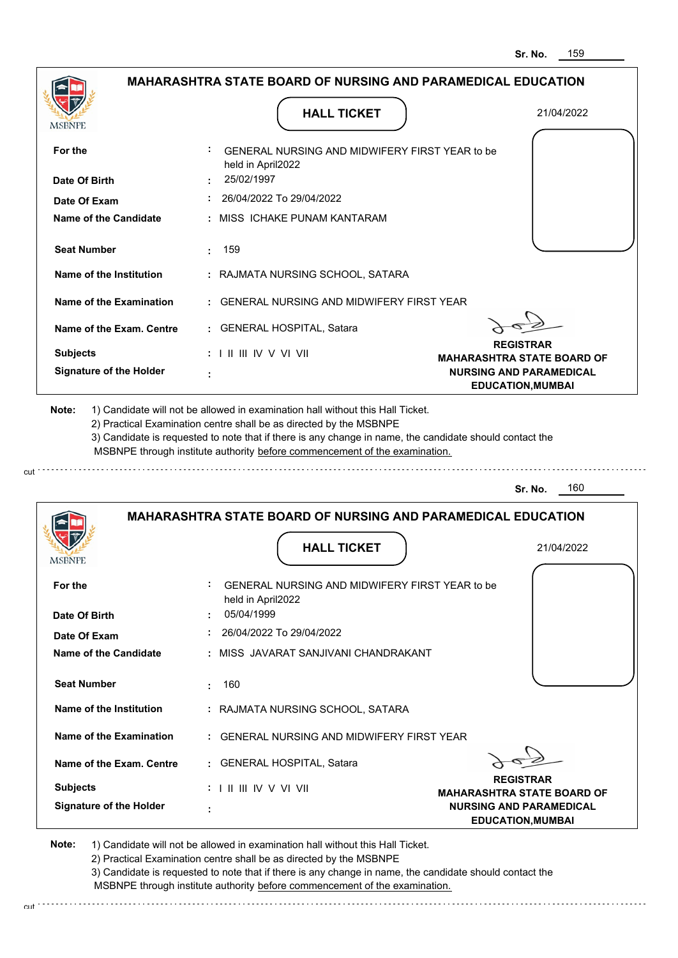|                                |                                                                                   | Sr. No.<br>159                                             |
|--------------------------------|-----------------------------------------------------------------------------------|------------------------------------------------------------|
|                                | <b>MAHARASHTRA STATE BOARD OF NURSING AND PARAMEDICAL EDUCATION</b>               |                                                            |
| <b>MSBNPE</b>                  | <b>HALL TICKET</b>                                                                | 21/04/2022                                                 |
| For the                        | GENERAL NURSING AND MIDWIFERY FIRST YEAR to be<br>held in April2022               |                                                            |
| Date Of Birth                  | 25/02/1997                                                                        |                                                            |
| Date Of Exam                   | 26/04/2022 To 29/04/2022                                                          |                                                            |
| Name of the Candidate          | : MISS ICHAKE PUNAM KANTARAM                                                      |                                                            |
| <b>Seat Number</b>             | 159                                                                               |                                                            |
| Name of the Institution        | : RAJMATA NURSING SCHOOL, SATARA                                                  |                                                            |
| Name of the Examination        | <b>GENERAL NURSING AND MIDWIFERY FIRST YEAR</b>                                   |                                                            |
| Name of the Exam. Centre       | : GENERAL HOSPITAL, Satara                                                        |                                                            |
| <b>Subjects</b>                | : I II III IV V VI VII                                                            | <b>REGISTRAR</b><br><b>MAHARASHTRA STATE BOARD OF</b>      |
| <b>Signature of the Holder</b> |                                                                                   | <b>NURSING AND PARAMEDICAL</b><br><b>EDUCATION, MUMBAI</b> |
|                                |                                                                                   | 160<br>Sr. No.                                             |
|                                | <b>MAHARASHTRA STATE BOARD OF NURSING AND PARAMEDICAL EDUCATION</b>               |                                                            |
|                                | <b>HALL TICKET</b>                                                                | 21/04/2022                                                 |
| For the<br>Date Of Birth       | GENERAL NURSING AND MIDWIFERY FIRST YEAR to be<br>held in April2022<br>05/04/1999 |                                                            |
| Date Of Exam                   | 26/04/2022 To 29/04/2022                                                          |                                                            |
| <b>Name of the Candidate</b>   | : MISS JAVARAT SANJIVANI CHANDRAKANT                                              |                                                            |
| <b>Seat Number</b>             | 160                                                                               |                                                            |
| <b>Name of the Institution</b> | : RAJMATA NURSING SCHOOL, SATARA                                                  |                                                            |
| <b>Name of the Examination</b> | : GENERAL NURSING AND MIDWIFERY FIRST YEAR                                        |                                                            |
| Name of the Exam. Centre       | : GENERAL HOSPITAL, Satara                                                        |                                                            |
| <b>Subjects</b>                |                                                                                   | <b>REGISTRAR</b><br><b>MAHARASHTRA STATE BOARD OF</b>      |
| <b>Signature of the Holder</b> |                                                                                   | <b>NURSING AND PARAMEDICAL</b><br><b>EDUCATION, MUMBAI</b> |
| Note:                          | 1) Candidate will not be allowed in examination hall without this Hall Ticket.    |                                                            |

cut

2) Practical Examination centre shall be as directed by the MSBNPE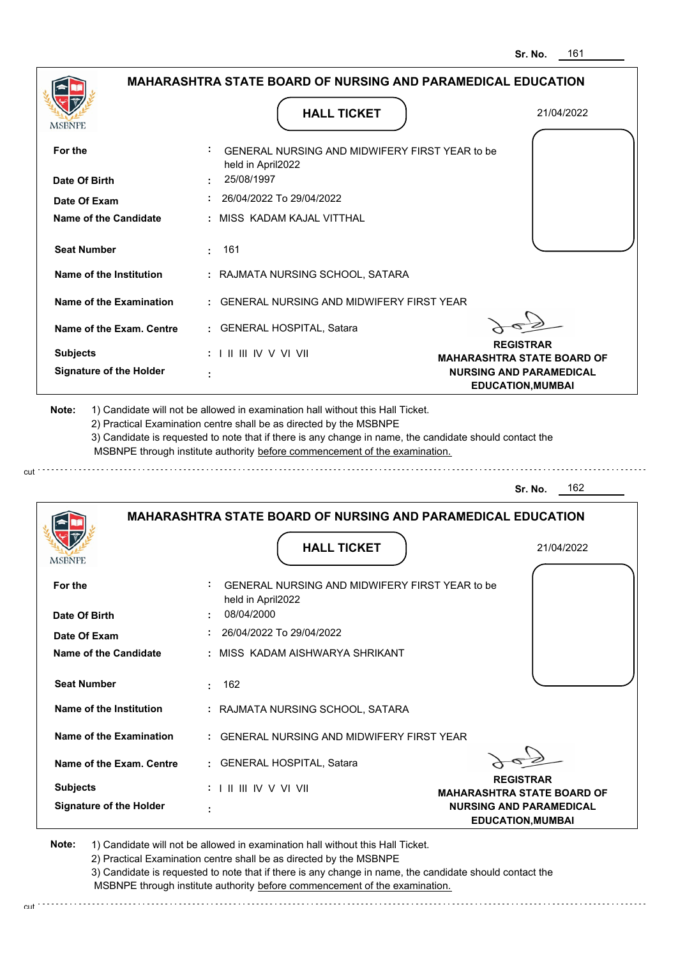|                                                   |                                                                                                                                                                                                                                                             | <b>MAHARASHTRA STATE BOARD OF NURSING AND PARAMEDICAL EDUCATION</b>                     |
|---------------------------------------------------|-------------------------------------------------------------------------------------------------------------------------------------------------------------------------------------------------------------------------------------------------------------|-----------------------------------------------------------------------------------------|
| <b>MSBNPE</b>                                     | <b>HALL TICKET</b>                                                                                                                                                                                                                                          | 21/04/2022                                                                              |
| For the                                           | GENERAL NURSING AND MIDWIFERY FIRST YEAR to be<br>held in April2022                                                                                                                                                                                         |                                                                                         |
| Date Of Birth                                     | : 25/08/1997                                                                                                                                                                                                                                                |                                                                                         |
| Date Of Exam                                      | $: 26/04/2022$ To 29/04/2022                                                                                                                                                                                                                                |                                                                                         |
| Name of the Candidate                             | : MISS KADAM KAJAL VITTHAL                                                                                                                                                                                                                                  |                                                                                         |
| <b>Seat Number</b>                                | : 161                                                                                                                                                                                                                                                       |                                                                                         |
| Name of the Institution                           | : RAJMATA NURSING SCHOOL, SATARA                                                                                                                                                                                                                            |                                                                                         |
| Name of the Examination                           | : GENERAL NURSING AND MIDWIFERY FIRST YEAR                                                                                                                                                                                                                  |                                                                                         |
| Name of the Exam. Centre                          | : GENERAL HOSPITAL, Satara                                                                                                                                                                                                                                  |                                                                                         |
| <b>Subjects</b>                                   | $: 1 \mathbb{H} \mathbb{H} \mathbb{W} \vee \mathbb{V} \mathbb{W}$                                                                                                                                                                                           | <b>REGISTRAR</b><br><b>MAHARASHTRA STATE BOARD OF</b>                                   |
| <b>Signature of the Holder</b>                    |                                                                                                                                                                                                                                                             | <b>NURSING AND PARAMEDICAL</b><br><b>EDUCATION, MUMBAI</b>                              |
|                                                   | 2) Practical Examination centre shall be as directed by the MSBNPE<br>3) Candidate is requested to note that if there is any change in name, the candidate should contact the<br>MSBNPE through institute authority before commencement of the examination. |                                                                                         |
|                                                   |                                                                                                                                                                                                                                                             | 162<br>Sr. No.                                                                          |
|                                                   | <b>MAHARASHTRA STATE BOARD OF NURSING AND PARAMEDICAL EDUCATION</b><br><b>HALL TICKET</b>                                                                                                                                                                   | 21/04/2022                                                                              |
|                                                   | GENERAL NURSING AND MIDWIFERY FIRST YEAR to be                                                                                                                                                                                                              |                                                                                         |
| For the<br>Date Of Birth                          | held in April2022<br>08/04/2000                                                                                                                                                                                                                             |                                                                                         |
| Date Of Exam                                      | 26/04/2022 To 29/04/2022                                                                                                                                                                                                                                    |                                                                                         |
| Name of the Candidate                             | : MISS KADAM AISHWARYA SHRIKANT                                                                                                                                                                                                                             |                                                                                         |
| <b>Seat Number</b>                                | : 162                                                                                                                                                                                                                                                       |                                                                                         |
| Name of the Institution                           | : RAJMATA NURSING SCHOOL, SATARA                                                                                                                                                                                                                            |                                                                                         |
| Name of the Examination                           | : GENERAL NURSING AND MIDWIFERY FIRST YEAR                                                                                                                                                                                                                  |                                                                                         |
| Name of the Exam. Centre                          | : GENERAL HOSPITAL, Satara                                                                                                                                                                                                                                  |                                                                                         |
| <b>Subjects</b><br><b>Signature of the Holder</b> | $: 1 \parallel \parallel \parallel$ IV V VI VII                                                                                                                                                                                                             | <b>REGISTRAR</b><br><b>MAHARASHTRA STATE BOARD OF</b><br><b>NURSING AND PARAMEDICAL</b> |

2) Practical Examination centre shall be as directed by the MSBNPE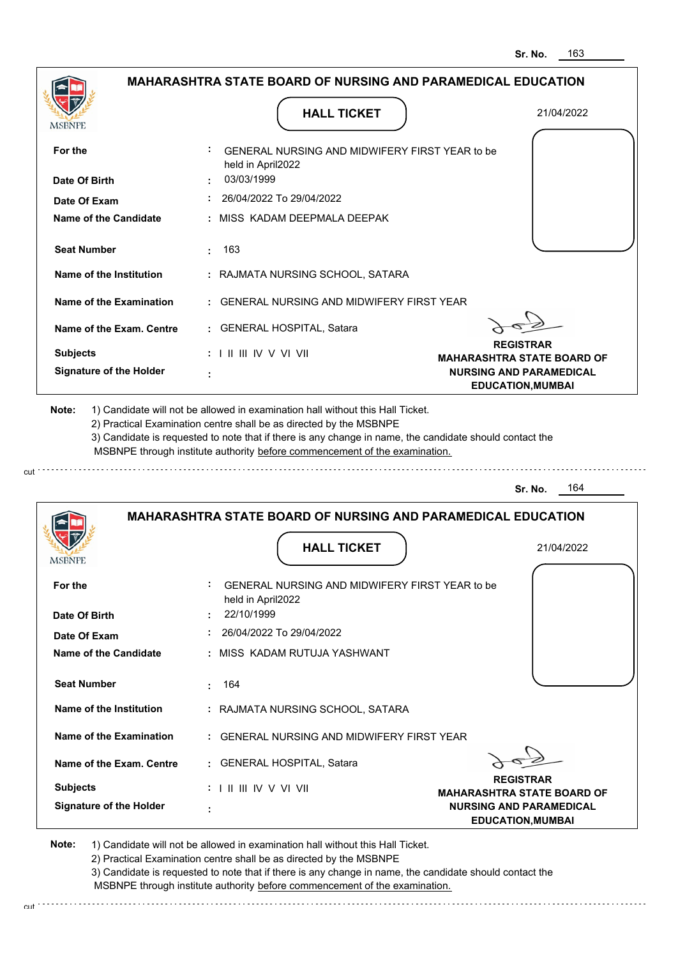|                                |                                                                                                                                                                                       | Sr. No.<br>163                                             |
|--------------------------------|---------------------------------------------------------------------------------------------------------------------------------------------------------------------------------------|------------------------------------------------------------|
|                                | <b>MAHARASHTRA STATE BOARD OF NURSING AND PARAMEDICAL EDUCATION</b>                                                                                                                   |                                                            |
| MSBNPE                         | <b>HALL TICKET</b>                                                                                                                                                                    | 21/04/2022                                                 |
| For the                        | GENERAL NURSING AND MIDWIFERY FIRST YEAR to be<br>held in April2022                                                                                                                   |                                                            |
| Date Of Birth                  | 03/03/1999                                                                                                                                                                            |                                                            |
| Date Of Exam                   | 26/04/2022 To 29/04/2022                                                                                                                                                              |                                                            |
| Name of the Candidate          | : MISS KADAM DEEPMALA DEEPAK                                                                                                                                                          |                                                            |
| <b>Seat Number</b>             | 163<br>÷                                                                                                                                                                              |                                                            |
| Name of the Institution        | : RAJMATA NURSING SCHOOL, SATARA                                                                                                                                                      |                                                            |
| <b>Name of the Examination</b> | <b>GENERAL NURSING AND MIDWIFERY FIRST YEAR</b>                                                                                                                                       |                                                            |
| Name of the Exam. Centre       | : GENERAL HOSPITAL, Satara                                                                                                                                                            |                                                            |
| <b>Subjects</b>                | : I II III IV V VI VII                                                                                                                                                                | <b>REGISTRAR</b><br><b>MAHARASHTRA STATE BOARD OF</b>      |
| <b>Signature of the Holder</b> |                                                                                                                                                                                       | <b>NURSING AND PARAMEDICAL</b><br><b>EDUCATION, MUMBAI</b> |
|                                | 3) Candidate is requested to note that if there is any change in name, the candidate should contact the<br>MSBNPE through institute authority before commencement of the examination. | 164                                                        |
|                                | <b>MAHARASHTRA STATE BOARD OF NURSING AND PARAMEDICAL EDUCATION</b>                                                                                                                   | Sr. No.                                                    |
|                                | <b>HALL TICKET</b>                                                                                                                                                                    | 21/04/2022                                                 |
| For the                        | GENERAL NURSING AND MIDWIFERY FIRST YEAR to be<br>held in April2022                                                                                                                   |                                                            |
| Date Of Birth                  | 22/10/1999                                                                                                                                                                            |                                                            |
| Date Of Exam                   | 26/04/2022 To 29/04/2022                                                                                                                                                              |                                                            |
| <b>Name of the Candidate</b>   | : MISS KADAM RUTUJA YASHWANT                                                                                                                                                          |                                                            |
| <b>Seat Number</b>             | 164                                                                                                                                                                                   |                                                            |
| <b>Name of the Institution</b> | : RAJMATA NURSING SCHOOL, SATARA                                                                                                                                                      |                                                            |
| <b>Name of the Examination</b> | : GENERAL NURSING AND MIDWIFERY FIRST YEAR                                                                                                                                            |                                                            |
| Name of the Exam. Centre       | : GENERAL HOSPITAL, Satara                                                                                                                                                            |                                                            |
| <b>Subjects</b>                |                                                                                                                                                                                       | <b>REGISTRAR</b><br><b>MAHARASHTRA STATE BOARD OF</b>      |
| <b>Signature of the Holder</b> |                                                                                                                                                                                       | <b>NURSING AND PARAMEDICAL</b><br><b>EDUCATION, MUMBAI</b> |
|                                |                                                                                                                                                                                       |                                                            |

cut

2) Practical Examination centre shall be as directed by the MSBNPE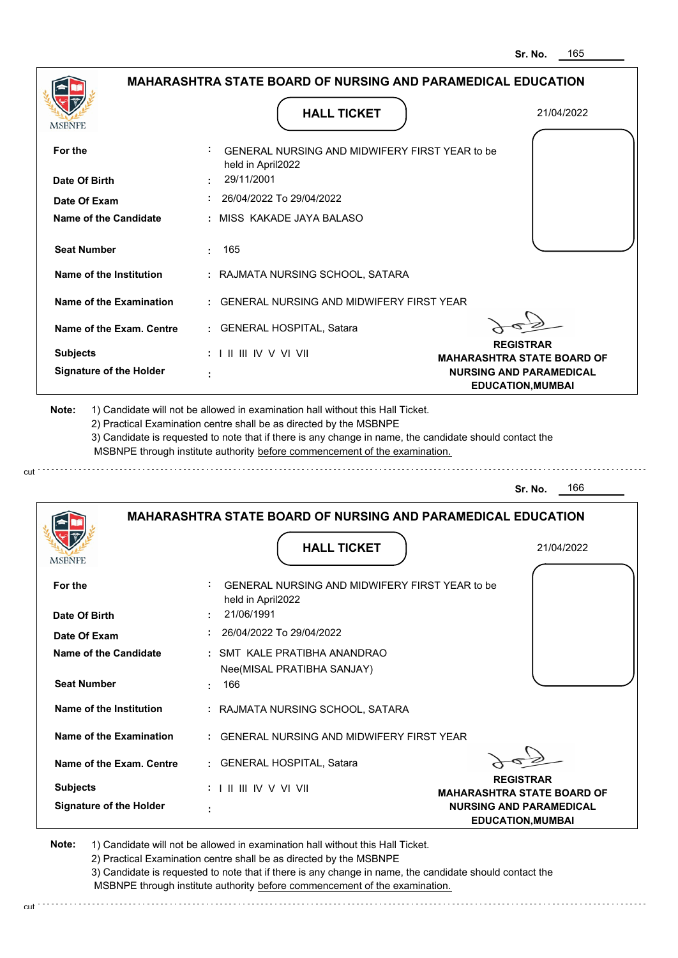|                                | <b>HALL TICKET</b>                                                                                                                                                                                                                                                                                                                            | 21/04/2022                                                 |
|--------------------------------|-----------------------------------------------------------------------------------------------------------------------------------------------------------------------------------------------------------------------------------------------------------------------------------------------------------------------------------------------|------------------------------------------------------------|
| <b>MSBNPE</b>                  |                                                                                                                                                                                                                                                                                                                                               |                                                            |
| For the                        | GENERAL NURSING AND MIDWIFERY FIRST YEAR to be<br>held in April2022                                                                                                                                                                                                                                                                           |                                                            |
| Date Of Birth                  | 29/11/2001                                                                                                                                                                                                                                                                                                                                    |                                                            |
| Date Of Exam                   | 26/04/2022 To 29/04/2022                                                                                                                                                                                                                                                                                                                      |                                                            |
| <b>Name of the Candidate</b>   | : MISS KAKADE JAYA BALASO                                                                                                                                                                                                                                                                                                                     |                                                            |
| <b>Seat Number</b>             | 165                                                                                                                                                                                                                                                                                                                                           |                                                            |
| Name of the Institution        | : RAJMATA NURSING SCHOOL, SATARA                                                                                                                                                                                                                                                                                                              |                                                            |
| Name of the Examination        | : GENERAL NURSING AND MIDWIFERY FIRST YEAR                                                                                                                                                                                                                                                                                                    |                                                            |
| Name of the Exam. Centre       | : GENERAL HOSPITAL, Satara                                                                                                                                                                                                                                                                                                                    |                                                            |
| <b>Subjects</b>                | $: 1 \parallel \parallel \parallel$ IV V VI VII                                                                                                                                                                                                                                                                                               | <b>REGISTRAR</b><br><b>MAHARASHTRA STATE BOARD OF</b>      |
| <b>Signature of the Holder</b> |                                                                                                                                                                                                                                                                                                                                               | <b>NURSING AND PARAMEDICAL</b><br><b>EDUCATION, MUMBAI</b> |
|                                | 1) Candidate will not be allowed in examination hall without this Hall Ticket.<br>2) Practical Examination centre shall be as directed by the MSBNPE<br>3) Candidate is requested to note that if there is any change in name, the candidate should contact the<br>MSBNPE through institute authority before commencement of the examination. | 166                                                        |
| Note:                          |                                                                                                                                                                                                                                                                                                                                               | Sr. No.                                                    |
|                                | <b>MAHARASHTRA STATE BOARD OF NURSING AND PARAMEDICAL EDUCATION</b>                                                                                                                                                                                                                                                                           |                                                            |
| MSBNPI                         | <b>HALL TICKET</b>                                                                                                                                                                                                                                                                                                                            | 21/04/2022                                                 |
| For the                        | GENERAL NURSING AND MIDWIFERY FIRST YEAR to be<br>held in April2022                                                                                                                                                                                                                                                                           |                                                            |
| Date Of Birth                  | 21/06/1991                                                                                                                                                                                                                                                                                                                                    |                                                            |
| Date Of Exam                   | $: 26/04/2022$ To 29/04/2022                                                                                                                                                                                                                                                                                                                  |                                                            |
| Name of the Candidate          | : SMT KALE PRATIBHA ANANDRAO                                                                                                                                                                                                                                                                                                                  |                                                            |
| <b>Seat Number</b>             | Nee(MISAL PRATIBHA SANJAY)<br>: 166                                                                                                                                                                                                                                                                                                           |                                                            |
| Name of the Institution        | : RAJMATA NURSING SCHOOL, SATARA                                                                                                                                                                                                                                                                                                              |                                                            |
| Name of the Examination        | : GENERAL NURSING AND MIDWIFERY FIRST YEAR                                                                                                                                                                                                                                                                                                    |                                                            |
| Name of the Exam. Centre       | : GENERAL HOSPITAL, Satara                                                                                                                                                                                                                                                                                                                    |                                                            |
| <b>Subjects</b>                | $: 1 \mathbb{I}$ III IIV V VI VII                                                                                                                                                                                                                                                                                                             | <b>REGISTRAR</b><br><b>MAHARASHTRA STATE BOARD OF</b>      |

3) Candidate is requested to note that if there is any change in name, the candidate should contact the

 MSBNPE through institute authority before commencement of the examination. cut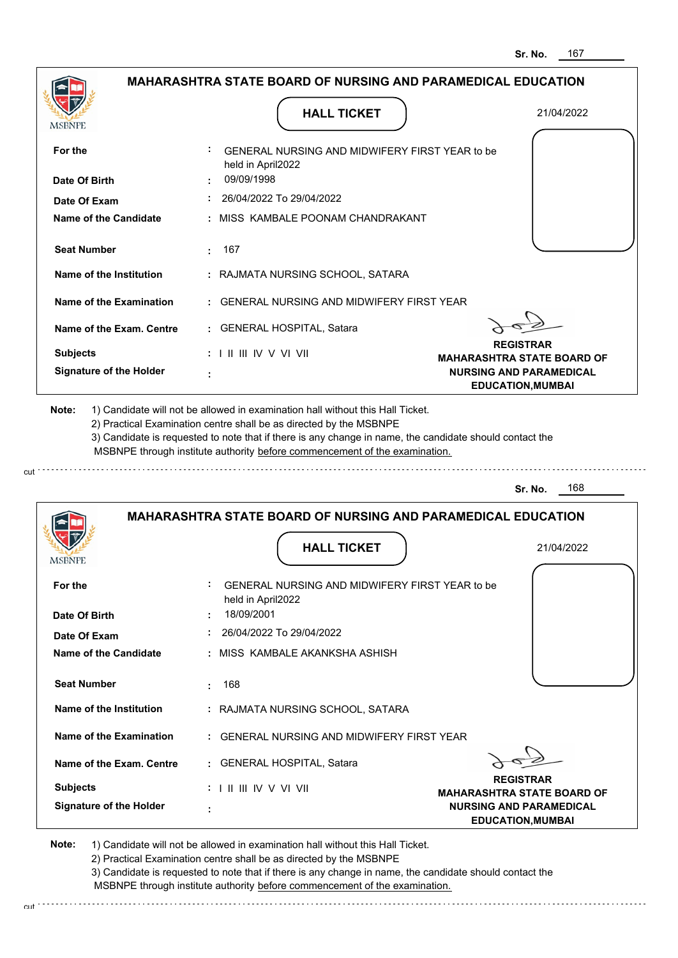|                                                           | <b>MAHARASHTRA STATE BOARD OF NURSING AND PARAMEDICAL EDUCATION</b>                                                                                                                                                                                                                                                                           |                                                            |
|-----------------------------------------------------------|-----------------------------------------------------------------------------------------------------------------------------------------------------------------------------------------------------------------------------------------------------------------------------------------------------------------------------------------------|------------------------------------------------------------|
| MSBNPE                                                    | <b>HALL TICKET</b>                                                                                                                                                                                                                                                                                                                            | 21/04/2022                                                 |
| For the                                                   | GENERAL NURSING AND MIDWIFERY FIRST YEAR to be<br>held in April2022                                                                                                                                                                                                                                                                           |                                                            |
| Date Of Birth                                             | 09/09/1998                                                                                                                                                                                                                                                                                                                                    |                                                            |
| Date Of Exam                                              | 26/04/2022 To 29/04/2022                                                                                                                                                                                                                                                                                                                      |                                                            |
| Name of the Candidate                                     | : MISS KAMBALE POONAM CHANDRAKANT                                                                                                                                                                                                                                                                                                             |                                                            |
| <b>Seat Number</b>                                        | : 167                                                                                                                                                                                                                                                                                                                                         |                                                            |
| Name of the Institution                                   | : RAJMATA NURSING SCHOOL, SATARA                                                                                                                                                                                                                                                                                                              |                                                            |
| Name of the Examination                                   | : GENERAL NURSING AND MIDWIFERY FIRST YEAR                                                                                                                                                                                                                                                                                                    |                                                            |
| Name of the Exam. Centre                                  | : GENERAL HOSPITAL, Satara                                                                                                                                                                                                                                                                                                                    |                                                            |
| <b>Subjects</b>                                           | $: 1 \mathbb{H} \mathbb{H} \mathbb{W} \vee \mathbb{V} \mathbb{V} \mathbb{H}$                                                                                                                                                                                                                                                                  | <b>REGISTRAR</b><br><b>MAHARASHTRA STATE BOARD OF</b>      |
| <b>Signature of the Holder</b>                            |                                                                                                                                                                                                                                                                                                                                               | <b>NURSING AND PARAMEDICAL</b><br><b>EDUCATION, MUMBAI</b> |
|                                                           | 1) Candidate will not be allowed in examination hall without this Hall Ticket.<br>2) Practical Examination centre shall be as directed by the MSBNPE<br>3) Candidate is requested to note that if there is any change in name, the candidate should contact the<br>MSBNPE through institute authority before commencement of the examination. |                                                            |
| Note:                                                     |                                                                                                                                                                                                                                                                                                                                               | 168<br>Sr. No.                                             |
| <b>IMPDIALE</b>                                           | <b>MAHARASHTRA STATE BOARD OF NURSING AND PARAMEDICAL EDUCATION</b><br><b>HALL TICKET</b>                                                                                                                                                                                                                                                     | 21/04/2022                                                 |
| For the                                                   | GENERAL NURSING AND MIDWIFERY FIRST YEAR to be<br>held in April2022                                                                                                                                                                                                                                                                           |                                                            |
|                                                           | 18/09/2001                                                                                                                                                                                                                                                                                                                                    |                                                            |
|                                                           | $: 26/04/2022$ To 29/04/2022<br>: MISS KAMBALE AKANKSHA ASHISH                                                                                                                                                                                                                                                                                |                                                            |
| <b>Seat Number</b>                                        | 168<br>÷.                                                                                                                                                                                                                                                                                                                                     |                                                            |
| Name of the Institution                                   | : RAJMATA NURSING SCHOOL, SATARA                                                                                                                                                                                                                                                                                                              |                                                            |
| Name of the Examination                                   | : GENERAL NURSING AND MIDWIFERY FIRST YEAR                                                                                                                                                                                                                                                                                                    |                                                            |
| Date Of Exam<br>Name of the Exam. Centre                  | : GENERAL HOSPITAL, Satara                                                                                                                                                                                                                                                                                                                    |                                                            |
| Date Of Birth<br>Name of the Candidate<br><b>Subjects</b> | : I II III IV V VI VII                                                                                                                                                                                                                                                                                                                        | <b>REGISTRAR</b><br><b>MAHARASHTRA STATE BOARD OF</b>      |

2) Practical Examination centre shall be as directed by the MSBNPE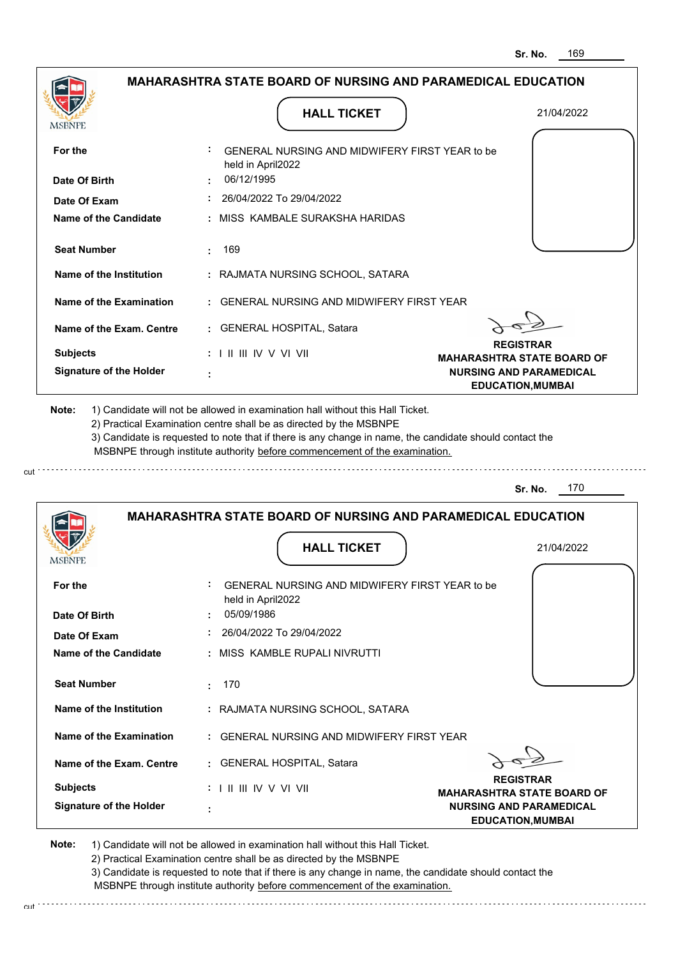| <b>MSBNPE</b>                                               | <b>HALL TICKET</b>                                                                                                                                                                                                                                                                                                                            | 21/04/2022                                                 |
|-------------------------------------------------------------|-----------------------------------------------------------------------------------------------------------------------------------------------------------------------------------------------------------------------------------------------------------------------------------------------------------------------------------------------|------------------------------------------------------------|
| For the                                                     | GENERAL NURSING AND MIDWIFERY FIRST YEAR to be<br>held in April2022                                                                                                                                                                                                                                                                           |                                                            |
| Date Of Birth                                               | 06/12/1995                                                                                                                                                                                                                                                                                                                                    |                                                            |
| Date Of Exam                                                | 26/04/2022 To 29/04/2022                                                                                                                                                                                                                                                                                                                      |                                                            |
| <b>Name of the Candidate</b>                                | : MISS KAMBALE SURAKSHA HARIDAS                                                                                                                                                                                                                                                                                                               |                                                            |
| <b>Seat Number</b>                                          | 169                                                                                                                                                                                                                                                                                                                                           |                                                            |
| Name of the Institution                                     | : RAJMATA NURSING SCHOOL, SATARA                                                                                                                                                                                                                                                                                                              |                                                            |
| Name of the Examination                                     | : GENERAL NURSING AND MIDWIFERY FIRST YEAR                                                                                                                                                                                                                                                                                                    |                                                            |
| Name of the Exam. Centre                                    | : GENERAL HOSPITAL, Satara                                                                                                                                                                                                                                                                                                                    |                                                            |
| <b>Subjects</b>                                             | $: 1 \mathbb{H} \mathbb{H} \mathbb{V} \vee \mathbb{V} \mathbb{H}$                                                                                                                                                                                                                                                                             | <b>REGISTRAR</b><br><b>MAHARASHTRA STATE BOARD OF</b>      |
| <b>Signature of the Holder</b>                              |                                                                                                                                                                                                                                                                                                                                               | <b>NURSING AND PARAMEDICAL</b><br><b>EDUCATION, MUMBAI</b> |
|                                                             | 1) Candidate will not be allowed in examination hall without this Hall Ticket.<br>2) Practical Examination centre shall be as directed by the MSBNPE<br>3) Candidate is requested to note that if there is any change in name, the candidate should contact the<br>MSBNPE through institute authority before commencement of the examination. | 170<br>Sr. No.                                             |
|                                                             | <b>MAHARASHTRA STATE BOARD OF NURSING AND PARAMEDICAL EDUCATION</b>                                                                                                                                                                                                                                                                           |                                                            |
|                                                             |                                                                                                                                                                                                                                                                                                                                               |                                                            |
| MSBNF                                                       | <b>HALL TICKET</b>                                                                                                                                                                                                                                                                                                                            | 21/04/2022                                                 |
|                                                             | GENERAL NURSING AND MIDWIFERY FIRST YEAR to be<br>held in April2022                                                                                                                                                                                                                                                                           |                                                            |
| For the<br>Date Of Birth                                    | 05/09/1986<br>26/04/2022 To 29/04/2022                                                                                                                                                                                                                                                                                                        |                                                            |
|                                                             | : MISS KAMBLE RUPALI NIVRUTTI                                                                                                                                                                                                                                                                                                                 |                                                            |
| Date Of Exam<br>Name of the Candidate<br><b>Seat Number</b> | : 170                                                                                                                                                                                                                                                                                                                                         |                                                            |
| Name of the Institution                                     | : RAJMATA NURSING SCHOOL, SATARA                                                                                                                                                                                                                                                                                                              |                                                            |
| Name of the Examination                                     | : GENERAL NURSING AND MIDWIFERY FIRST YEAR                                                                                                                                                                                                                                                                                                    |                                                            |
| Name of the Exam. Centre                                    | : GENERAL HOSPITAL, Satara                                                                                                                                                                                                                                                                                                                    |                                                            |
| <b>Subjects</b>                                             | $: 1 \parallel \parallel \parallel$ IV V VI VII                                                                                                                                                                                                                                                                                               | <b>REGISTRAR</b><br><b>MAHARASHTRA STATE BOARD OF</b>      |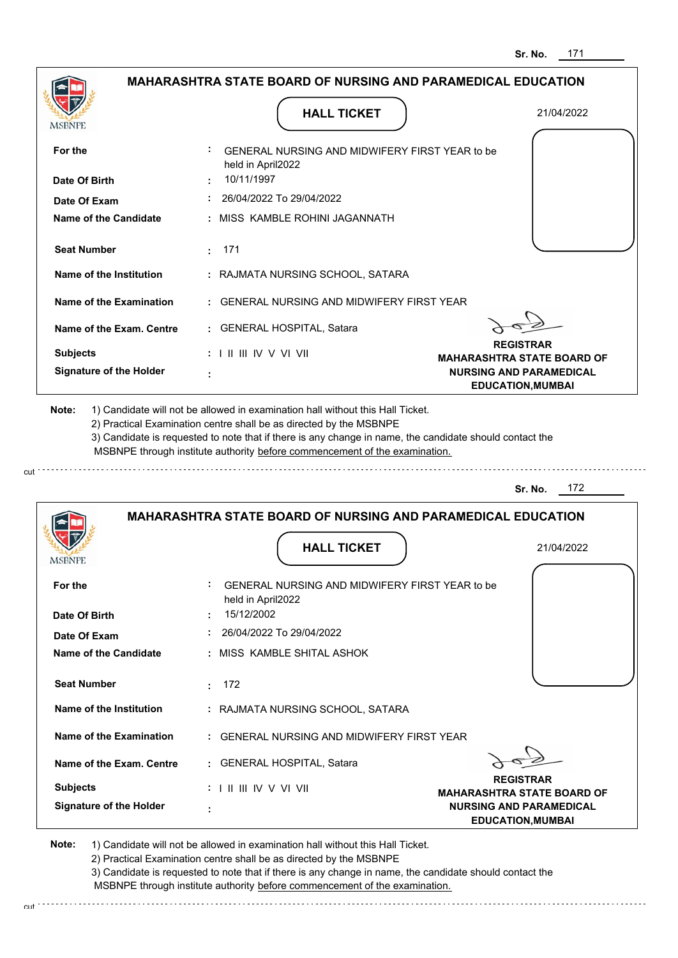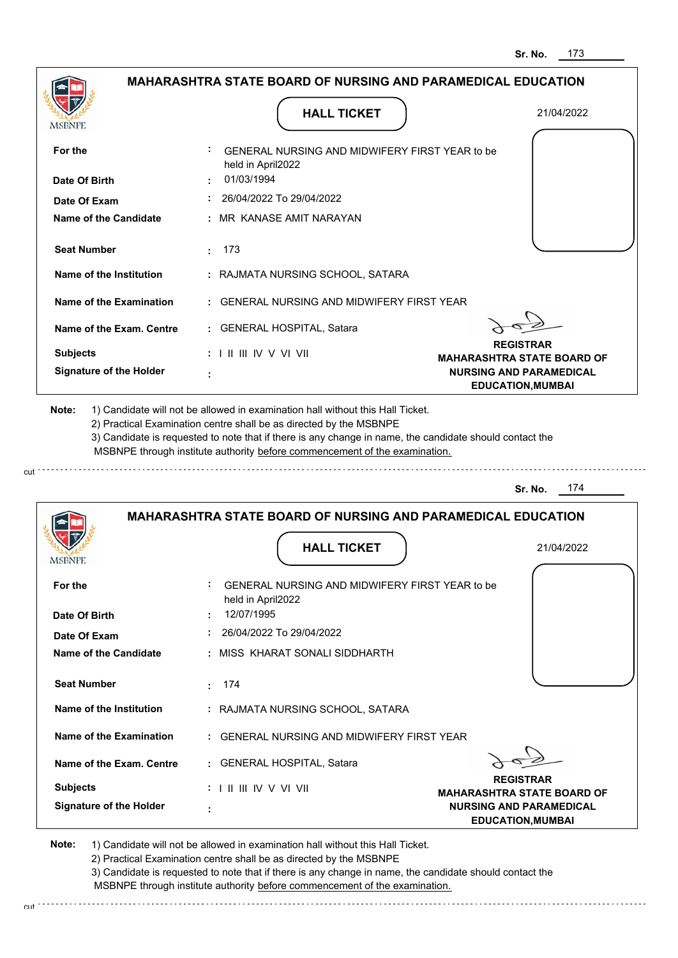| MSBNPE                                                                                                                                                                                                 |          |                                                 | <b>HALL TICKET</b>                                                                                                                                                                                                                                                                                                                            | 21/04/2022                                                          |
|--------------------------------------------------------------------------------------------------------------------------------------------------------------------------------------------------------|----------|-------------------------------------------------|-----------------------------------------------------------------------------------------------------------------------------------------------------------------------------------------------------------------------------------------------------------------------------------------------------------------------------------------------|---------------------------------------------------------------------|
| For the                                                                                                                                                                                                |          | held in April2022                               | GENERAL NURSING AND MIDWIFERY FIRST YEAR to be                                                                                                                                                                                                                                                                                                |                                                                     |
| Date Of Birth                                                                                                                                                                                          |          | 01/03/1994                                      |                                                                                                                                                                                                                                                                                                                                               |                                                                     |
| Date Of Exam                                                                                                                                                                                           |          |                                                 | 26/04/2022 To 29/04/2022                                                                                                                                                                                                                                                                                                                      |                                                                     |
| <b>Name of the Candidate</b>                                                                                                                                                                           |          |                                                 | : MR KANASE AMIT NARAYAN                                                                                                                                                                                                                                                                                                                      |                                                                     |
| <b>Seat Number</b>                                                                                                                                                                                     | 173<br>÷ |                                                 |                                                                                                                                                                                                                                                                                                                                               |                                                                     |
| Name of the Institution                                                                                                                                                                                |          |                                                 | : RAJMATA NURSING SCHOOL, SATARA                                                                                                                                                                                                                                                                                                              |                                                                     |
| <b>Name of the Examination</b>                                                                                                                                                                         |          |                                                 | <b>GENERAL NURSING AND MIDWIFERY FIRST YEAR</b>                                                                                                                                                                                                                                                                                               |                                                                     |
| Name of the Exam. Centre                                                                                                                                                                               |          |                                                 | : GENERAL HOSPITAL, Satara                                                                                                                                                                                                                                                                                                                    |                                                                     |
| <b>Subjects</b>                                                                                                                                                                                        |          | $: 1 \parallel \parallel \parallel$ IV V VI VII |                                                                                                                                                                                                                                                                                                                                               | <b>REGISTRAR</b><br><b>MAHARASHTRA STATE BOARD OF</b>               |
| <b>Signature of the Holder</b>                                                                                                                                                                         |          |                                                 |                                                                                                                                                                                                                                                                                                                                               | <b>NURSING AND PARAMEDICAL</b><br><b>EDUCATION, MUMBAI</b>          |
|                                                                                                                                                                                                        |          |                                                 | 1) Candidate will not be allowed in examination hall without this Hall Ticket.<br>2) Practical Examination centre shall be as directed by the MSBNPE<br>3) Candidate is requested to note that if there is any change in name, the candidate should contact the<br>MSBNPE through institute authority before commencement of the examination. | 174<br>Sr. No.                                                      |
| Note:                                                                                                                                                                                                  |          |                                                 |                                                                                                                                                                                                                                                                                                                                               | <b>MAHARASHTRA STATE BOARD OF NURSING AND PARAMEDICAL EDUCATION</b> |
|                                                                                                                                                                                                        |          |                                                 | <b>HALL TICKET</b>                                                                                                                                                                                                                                                                                                                            | 21/04/2022                                                          |
|                                                                                                                                                                                                        |          |                                                 | GENERAL NURSING AND MIDWIFERY FIRST YEAR to be                                                                                                                                                                                                                                                                                                |                                                                     |
|                                                                                                                                                                                                        |          | held in April2022<br>12/07/1995                 |                                                                                                                                                                                                                                                                                                                                               |                                                                     |
|                                                                                                                                                                                                        |          |                                                 | 26/04/2022 To 29/04/2022                                                                                                                                                                                                                                                                                                                      |                                                                     |
|                                                                                                                                                                                                        |          |                                                 | : MISS KHARAT SONALI SIDDHARTH                                                                                                                                                                                                                                                                                                                |                                                                     |
|                                                                                                                                                                                                        | -174     |                                                 |                                                                                                                                                                                                                                                                                                                                               |                                                                     |
|                                                                                                                                                                                                        |          |                                                 | : RAJMATA NURSING SCHOOL, SATARA                                                                                                                                                                                                                                                                                                              |                                                                     |
|                                                                                                                                                                                                        |          |                                                 | : GENERAL NURSING AND MIDWIFERY FIRST YEAR                                                                                                                                                                                                                                                                                                    |                                                                     |
|                                                                                                                                                                                                        |          |                                                 | : GENERAL HOSPITAL, Satara                                                                                                                                                                                                                                                                                                                    |                                                                     |
| MSBNPE<br>For the<br>Date Of Birth<br>Date Of Exam<br>Name of the Candidate<br><b>Seat Number</b><br>Name of the Institution<br>Name of the Examination<br>Name of the Exam. Centre<br><b>Subjects</b> |          | $: 1 \mathbb{I}$ III IIV V VI VII               |                                                                                                                                                                                                                                                                                                                                               | <b>REGISTRAR</b><br><b>MAHARASHTRA STATE BOARD OF</b>               |

cut

3) Candidate is requested to note that if there is any change in name, the candidate should contact the MSBNPE through institute authority before commencement of the examination. cut de la component de la component de la component de la component de la component de la component de la component de la component de la component de la component de la component de la component de la component de la comp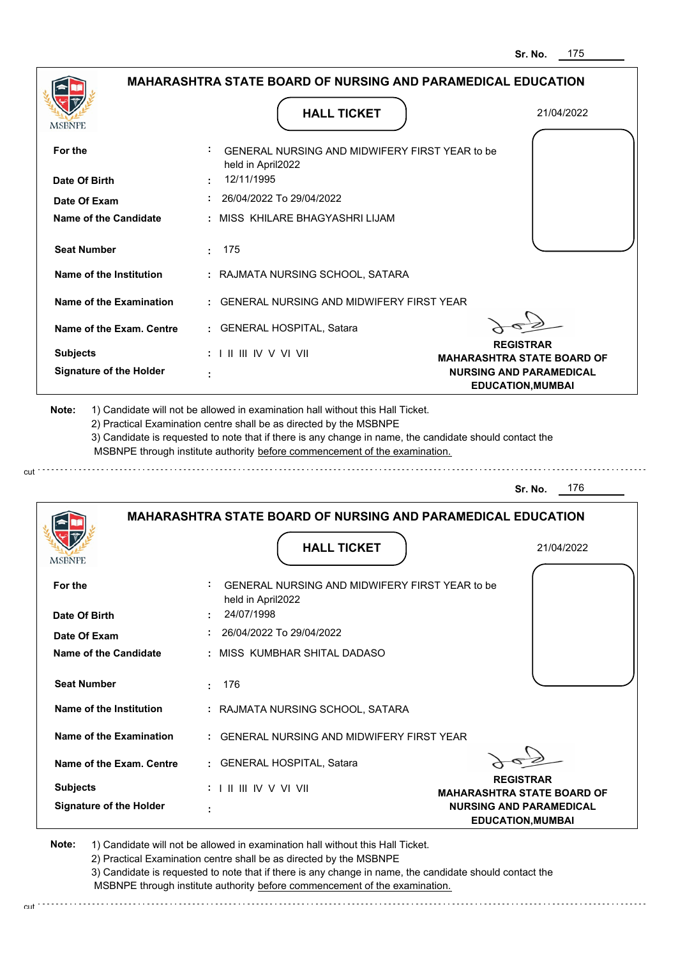|                                                                            | <b>MAHARASHTRA STATE BOARD OF NURSING AND PARAMEDICAL EDUCATION</b>                                                                                                                   |                                                            |
|----------------------------------------------------------------------------|---------------------------------------------------------------------------------------------------------------------------------------------------------------------------------------|------------------------------------------------------------|
| MSBNPE                                                                     | <b>HALL TICKET</b>                                                                                                                                                                    | 21/04/2022                                                 |
| For the                                                                    | GENERAL NURSING AND MIDWIFERY FIRST YEAR to be<br>held in April2022                                                                                                                   |                                                            |
| Date Of Birth                                                              | 12/11/1995                                                                                                                                                                            |                                                            |
| Date Of Exam                                                               | 26/04/2022 To 29/04/2022                                                                                                                                                              |                                                            |
| Name of the Candidate                                                      | : MISS KHILARE BHAGYASHRI LIJAM                                                                                                                                                       |                                                            |
| <b>Seat Number</b>                                                         | 175<br>$\mathcal{L}^{\text{max}}$                                                                                                                                                     |                                                            |
| Name of the Institution                                                    | : RAJMATA NURSING SCHOOL, SATARA                                                                                                                                                      |                                                            |
| Name of the Examination                                                    | : GENERAL NURSING AND MIDWIFERY FIRST YEAR                                                                                                                                            |                                                            |
| Name of the Exam. Centre                                                   | : GENERAL HOSPITAL, Satara                                                                                                                                                            |                                                            |
| <b>Subjects</b>                                                            | $: 1 \parallel \parallel \parallel$ IV V VI VII                                                                                                                                       | <b>REGISTRAR</b><br><b>MAHARASHTRA STATE BOARD OF</b>      |
| <b>Signature of the Holder</b>                                             |                                                                                                                                                                                       | <b>NURSING AND PARAMEDICAL</b><br><b>EDUCATION, MUMBAI</b> |
| 2) Practical Examination centre shall be as directed by the MSBNPE         | 3) Candidate is requested to note that if there is any change in name, the candidate should contact the<br>MSBNPE through institute authority before commencement of the examination. |                                                            |
|                                                                            |                                                                                                                                                                                       | 176<br>Sr. No.                                             |
|                                                                            | <b>MAHARASHTRA STATE BOARD OF NURSING AND PARAMEDICAL EDUCATION</b><br><b>HALL TICKET</b>                                                                                             | 21/04/2022                                                 |
|                                                                            | GENERAL NURSING AND MIDWIFERY FIRST YEAR to be                                                                                                                                        |                                                            |
| For the                                                                    | held in April2022<br>24/07/1998                                                                                                                                                       |                                                            |
| Date Of Exam                                                               | 26/04/2022 To 29/04/2022                                                                                                                                                              |                                                            |
|                                                                            | : MISS KUMBHAR SHITAL DADASO                                                                                                                                                          |                                                            |
| <b>Seat Number</b>                                                         | 176<br>÷.                                                                                                                                                                             |                                                            |
| Name of the Institution                                                    | : RAJMATA NURSING SCHOOL, SATARA                                                                                                                                                      |                                                            |
| Name of the Examination                                                    | : GENERAL NURSING AND MIDWIFERY FIRST YEAR                                                                                                                                            |                                                            |
| Name of the Exam. Centre                                                   | : GENERAL HOSPITAL, Satara                                                                                                                                                            |                                                            |
| <b>MODIAL</b><br>Date Of Birth<br>Name of the Candidate<br><b>Subjects</b> | : I II III IV V VI VII                                                                                                                                                                | <b>REGISTRAR</b><br><b>MAHARASHTRA STATE BOARD OF</b>      |

2) Practical Examination centre shall be as directed by the MSBNPE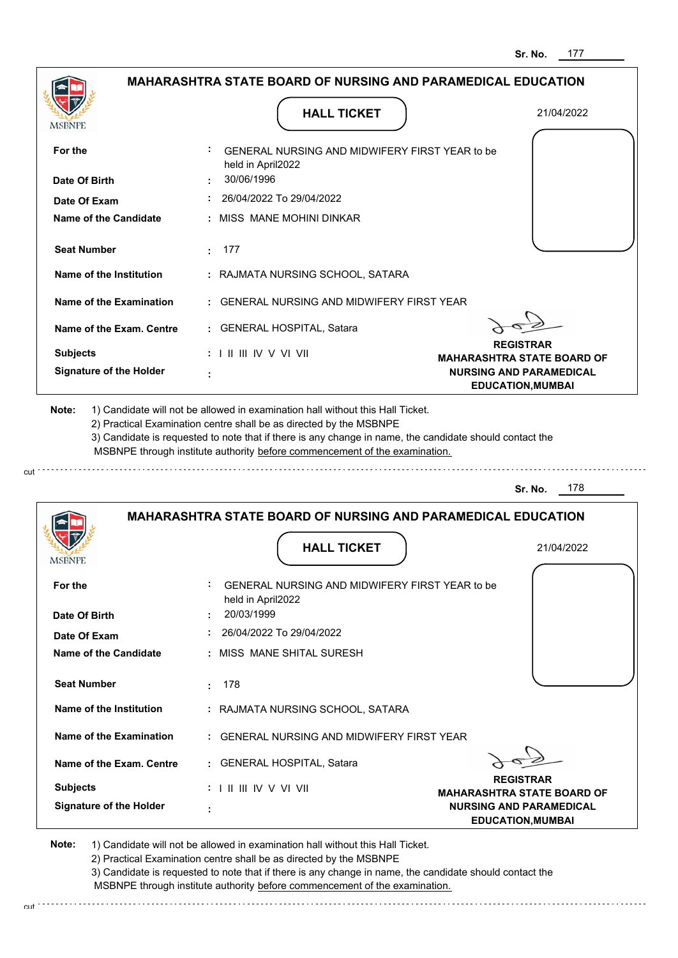| <b>MSBNPE</b>                                               | <b>HALL TICKET</b>                                                                                                                                                                                                                                          | 21/04/2022                                                 |
|-------------------------------------------------------------|-------------------------------------------------------------------------------------------------------------------------------------------------------------------------------------------------------------------------------------------------------------|------------------------------------------------------------|
| For the                                                     | GENERAL NURSING AND MIDWIFERY FIRST YEAR to be<br>held in April2022                                                                                                                                                                                         |                                                            |
| Date Of Birth                                               | 30/06/1996                                                                                                                                                                                                                                                  |                                                            |
| Date Of Exam                                                | 26/04/2022 To 29/04/2022                                                                                                                                                                                                                                    |                                                            |
| Name of the Candidate                                       | : MISS MANE MOHINI DINKAR                                                                                                                                                                                                                                   |                                                            |
| <b>Seat Number</b>                                          | 177                                                                                                                                                                                                                                                         |                                                            |
| Name of the Institution                                     | : RAJMATA NURSING SCHOOL, SATARA                                                                                                                                                                                                                            |                                                            |
| Name of the Examination                                     | : GENERAL NURSING AND MIDWIFERY FIRST YEAR                                                                                                                                                                                                                  |                                                            |
| Name of the Exam. Centre                                    | : GENERAL HOSPITAL, Satara                                                                                                                                                                                                                                  |                                                            |
| <b>Subjects</b>                                             | : I II III IV V VI VII                                                                                                                                                                                                                                      | <b>REGISTRAR</b><br><b>MAHARASHTRA STATE BOARD OF</b>      |
| <b>Signature of the Holder</b>                              |                                                                                                                                                                                                                                                             | <b>NURSING AND PARAMEDICAL</b><br><b>EDUCATION, MUMBAI</b> |
|                                                             | 2) Practical Examination centre shall be as directed by the MSBNPE<br>3) Candidate is requested to note that if there is any change in name, the candidate should contact the<br>MSBNPE through institute authority before commencement of the examination. | 178<br>Sr. No.                                             |
|                                                             |                                                                                                                                                                                                                                                             |                                                            |
|                                                             | <b>MAHARASHTRA STATE BOARD OF NURSING AND PARAMEDICAL EDUCATION</b>                                                                                                                                                                                         |                                                            |
| MSBNPI                                                      | <b>HALL TICKET</b>                                                                                                                                                                                                                                          | 21/04/2022                                                 |
|                                                             | <b>GENERAL NURSING AND MIDWIFERY FIRST YEAR to be</b><br>held in April2022                                                                                                                                                                                  |                                                            |
| For the<br>Date Of Birth                                    | 20/03/1999<br>26/04/2022 To 29/04/2022                                                                                                                                                                                                                      |                                                            |
|                                                             | : MISS MANE SHITAL SURESH                                                                                                                                                                                                                                   |                                                            |
| Date Of Exam<br>Name of the Candidate<br><b>Seat Number</b> | : 178                                                                                                                                                                                                                                                       |                                                            |
| Name of the Institution                                     | : RAJMATA NURSING SCHOOL, SATARA                                                                                                                                                                                                                            |                                                            |
| Name of the Examination                                     | : GENERAL NURSING AND MIDWIFERY FIRST YEAR                                                                                                                                                                                                                  |                                                            |
| Name of the Exam. Centre                                    | : GENERAL HOSPITAL, Satara                                                                                                                                                                                                                                  |                                                            |
| <b>Subjects</b>                                             | : I II III IV V VI VII                                                                                                                                                                                                                                      | <b>REGISTRAR</b><br><b>MAHARASHTRA STATE BOARD OF</b>      |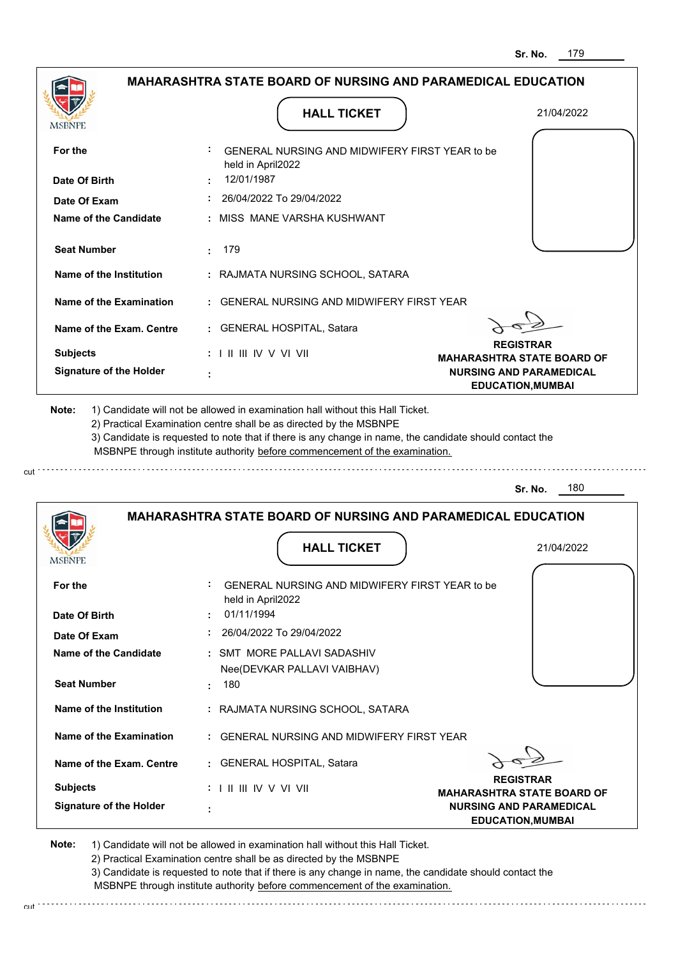|                                                                                                                                                       | <b>MAHARASHTRA STATE BOARD OF NURSING AND PARAMEDICAL EDUCATION</b>                                                                                                                                                                                                                                                                           |                                                            |
|-------------------------------------------------------------------------------------------------------------------------------------------------------|-----------------------------------------------------------------------------------------------------------------------------------------------------------------------------------------------------------------------------------------------------------------------------------------------------------------------------------------------|------------------------------------------------------------|
|                                                                                                                                                       |                                                                                                                                                                                                                                                                                                                                               |                                                            |
| MSBNPE                                                                                                                                                | <b>HALL TICKET</b>                                                                                                                                                                                                                                                                                                                            | 21/04/2022                                                 |
|                                                                                                                                                       |                                                                                                                                                                                                                                                                                                                                               |                                                            |
| For the                                                                                                                                               | GENERAL NURSING AND MIDWIFERY FIRST YEAR to be<br>held in April2022                                                                                                                                                                                                                                                                           |                                                            |
| Date Of Birth                                                                                                                                         | 12/01/1987                                                                                                                                                                                                                                                                                                                                    |                                                            |
| Date Of Exam                                                                                                                                          | 26/04/2022 To 29/04/2022                                                                                                                                                                                                                                                                                                                      |                                                            |
| <b>Name of the Candidate</b>                                                                                                                          | : MISS MANE VARSHA KUSHWANT                                                                                                                                                                                                                                                                                                                   |                                                            |
| <b>Seat Number</b>                                                                                                                                    | 179<br>$\sim$                                                                                                                                                                                                                                                                                                                                 |                                                            |
| Name of the Institution                                                                                                                               | : RAJMATA NURSING SCHOOL, SATARA                                                                                                                                                                                                                                                                                                              |                                                            |
| Name of the Examination                                                                                                                               | : GENERAL NURSING AND MIDWIFERY FIRST YEAR                                                                                                                                                                                                                                                                                                    |                                                            |
| Name of the Exam. Centre                                                                                                                              | : GENERAL HOSPITAL, Satara                                                                                                                                                                                                                                                                                                                    |                                                            |
|                                                                                                                                                       |                                                                                                                                                                                                                                                                                                                                               | <b>REGISTRAR</b>                                           |
| <b>Subjects</b>                                                                                                                                       | : I II III IV V VI VII                                                                                                                                                                                                                                                                                                                        | <b>MAHARASHTRA STATE BOARD OF</b>                          |
| <b>Signature of the Holder</b>                                                                                                                        |                                                                                                                                                                                                                                                                                                                                               | <b>NURSING AND PARAMEDICAL</b><br><b>EDUCATION, MUMBAI</b> |
|                                                                                                                                                       | 1) Candidate will not be allowed in examination hall without this Hall Ticket.<br>2) Practical Examination centre shall be as directed by the MSBNPE<br>3) Candidate is requested to note that if there is any change in name, the candidate should contact the<br>MSBNPE through institute authority before commencement of the examination. |                                                            |
| Note:                                                                                                                                                 |                                                                                                                                                                                                                                                                                                                                               | 180<br>Sr. No.                                             |
|                                                                                                                                                       | <b>MAHARASHTRA STATE BOARD OF NURSING AND PARAMEDICAL EDUCATION</b>                                                                                                                                                                                                                                                                           |                                                            |
| <b>MODIALE</b>                                                                                                                                        | <b>HALL TICKET</b>                                                                                                                                                                                                                                                                                                                            | 21/04/2022                                                 |
|                                                                                                                                                       | GENERAL NURSING AND MIDWIFERY FIRST YEAR to be<br>held in April2022                                                                                                                                                                                                                                                                           |                                                            |
|                                                                                                                                                       | 01/11/1994                                                                                                                                                                                                                                                                                                                                    |                                                            |
|                                                                                                                                                       | : 26/04/2022 To 29/04/2022                                                                                                                                                                                                                                                                                                                    |                                                            |
|                                                                                                                                                       | : SMT MORE PALLAVI SADASHIV                                                                                                                                                                                                                                                                                                                   |                                                            |
|                                                                                                                                                       | Nee(DEVKAR PALLAVI VAIBHAV)<br>180                                                                                                                                                                                                                                                                                                            |                                                            |
| Name of the Institution                                                                                                                               | : RAJMATA NURSING SCHOOL, SATARA                                                                                                                                                                                                                                                                                                              |                                                            |
|                                                                                                                                                       | : GENERAL NURSING AND MIDWIFERY FIRST YEAR                                                                                                                                                                                                                                                                                                    |                                                            |
| For the<br>Date Of Birth<br>Date Of Exam<br><b>Name of the Candidate</b><br><b>Seat Number</b><br>Name of the Examination<br>Name of the Exam. Centre | : GENERAL HOSPITAL, Satara                                                                                                                                                                                                                                                                                                                    |                                                            |

2) Practical Examination centre shall be as directed by the MSBNPE

3) Candidate is requested to note that if there is any change in name, the candidate should contact the MSBNPE through institute authority before commencement of the examination. cut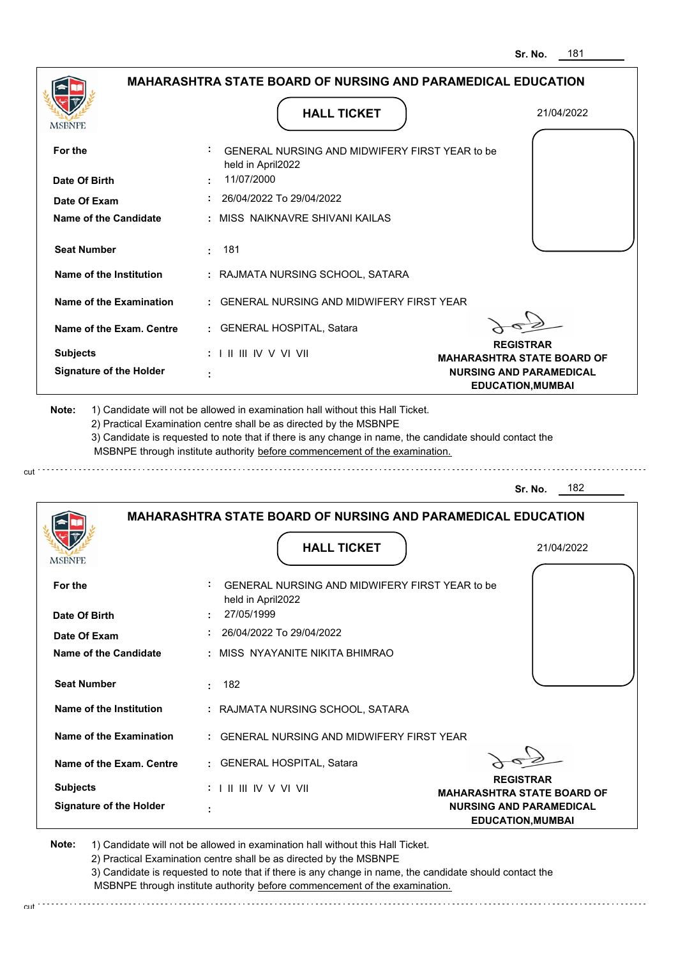|                                |                                                                                           | Sr. No.<br>181                                             |
|--------------------------------|-------------------------------------------------------------------------------------------|------------------------------------------------------------|
|                                | <b>MAHARASHTRA STATE BOARD OF NURSING AND PARAMEDICAL EDUCATION</b>                       |                                                            |
| MSBNPE                         | <b>HALL TICKET</b>                                                                        | 21/04/2022                                                 |
| For the                        | GENERAL NURSING AND MIDWIFERY FIRST YEAR to be<br>held in April2022                       |                                                            |
| Date Of Birth                  | 11/07/2000                                                                                |                                                            |
| Date Of Exam                   | 26/04/2022 To 29/04/2022                                                                  |                                                            |
| Name of the Candidate          | : MISS NAIKNAVRE SHIVANI KAILAS                                                           |                                                            |
| <b>Seat Number</b>             | 181<br>÷                                                                                  |                                                            |
| Name of the Institution        | : RAJMATA NURSING SCHOOL, SATARA                                                          |                                                            |
| <b>Name of the Examination</b> | <b>GENERAL NURSING AND MIDWIFERY FIRST YEAR</b>                                           |                                                            |
| Name of the Exam. Centre       | : GENERAL HOSPITAL, Satara                                                                |                                                            |
| <b>Subjects</b>                | : I II III IV V VI VII                                                                    | <b>REGISTRAR</b><br><b>MAHARASHTRA STATE BOARD OF</b>      |
| <b>Signature of the Holder</b> |                                                                                           | <b>NURSING AND PARAMEDICAL</b><br><b>EDUCATION, MUMBAI</b> |
|                                | MSBNPE through institute authority before commencement of the examination.                | 182<br>Sr. No.                                             |
|                                | <b>MAHARASHTRA STATE BOARD OF NURSING AND PARAMEDICAL EDUCATION</b><br><b>HALL TICKET</b> | 21/04/2022                                                 |
|                                |                                                                                           |                                                            |
| For the                        | GENERAL NURSING AND MIDWIFERY FIRST YEAR to be<br>held in April2022                       |                                                            |
| Date Of Birth                  | 27/05/1999                                                                                |                                                            |
| Date Of Exam                   | 26/04/2022 To 29/04/2022                                                                  |                                                            |
| <b>Name of the Candidate</b>   | : MISS NYAYANITE NIKITA BHIMRAO                                                           |                                                            |
| <b>Seat Number</b>             | 182<br>÷                                                                                  |                                                            |
| <b>Name of the Institution</b> | : RAJMATA NURSING SCHOOL, SATARA                                                          |                                                            |
| <b>Name of the Examination</b> | : GENERAL NURSING AND MIDWIFERY FIRST YEAR                                                |                                                            |
| Name of the Exam. Centre       | : GENERAL HOSPITAL, Satara                                                                | <b>REGISTRAR</b>                                           |
| <b>Subjects</b>                |                                                                                           | <b>MAHARASHTRA STATE BOARD OF</b>                          |
| <b>Signature of the Holder</b> |                                                                                           | <b>NURSING AND PARAMEDICAL</b><br><b>EDUCATION, MUMBAI</b> |
|                                |                                                                                           |                                                            |

cut

2) Practical Examination centre shall be as directed by the MSBNPE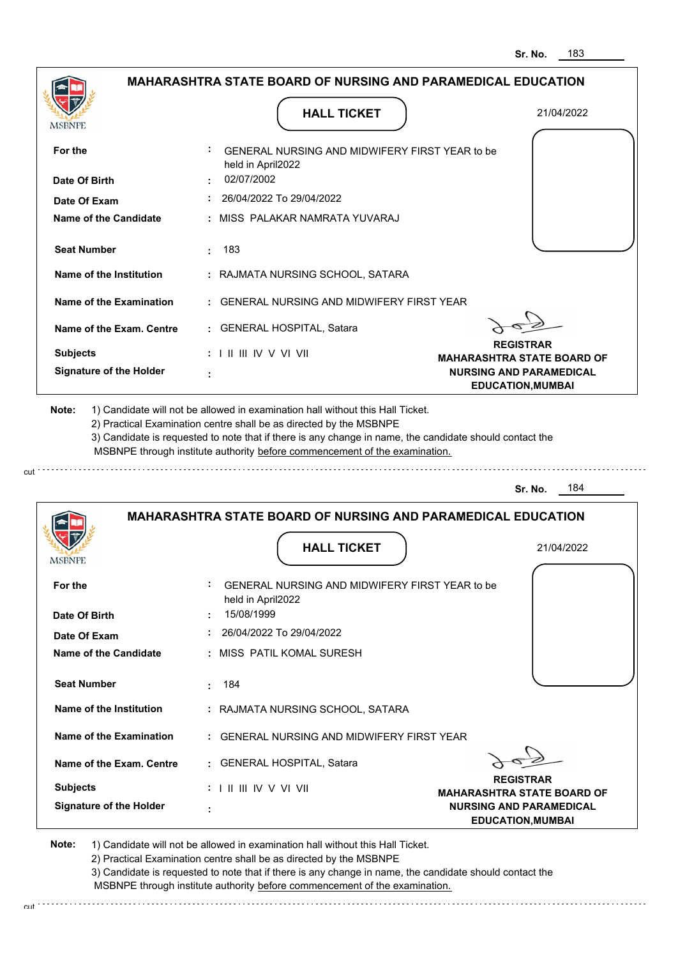| <b>MAHARASHTRA STATE BOARD OF NURSING AND PARAMEDICAL EDUCATION</b><br><b>HALL TICKET</b><br>21/04/2022<br>MSBNPE<br>GENERAL NURSING AND MIDWIFERY FIRST YEAR to be<br>For the<br>held in April2022<br>02/07/2002<br>Date Of Birth<br>26/04/2022 To 29/04/2022<br>Date Of Exam<br><b>Name of the Candidate</b><br>: MISS PALAKAR NAMRATA YUVARAJ<br><b>Seat Number</b><br>183<br>Name of the Institution<br>: RAJMATA NURSING SCHOOL, SATARA<br><b>Name of the Examination</b><br><b>GENERAL NURSING AND MIDWIFERY FIRST YEAR</b><br>GENERAL HOSPITAL, Satara<br>Name of the Exam. Centre<br>÷.<br><b>REGISTRAR</b><br><b>Subjects</b><br>$: 1 \mathbb{I} \mathbb{I} \mathbb{I} \mathbb{I} \mathbb{I} \mathbb{V} \vee \mathbb{V} \mathbb{I} \mathbb{V} \mathbb{I}$<br><b>MAHARASHTRA STATE BOARD OF</b><br><b>Signature of the Holder</b><br><b>NURSING AND PARAMEDICAL</b><br><b>EDUCATION, MUMBAI</b><br>Note:<br>1) Candidate will not be allowed in examination hall without this Hall Ticket.<br>2) Practical Examination centre shall be as directed by the MSBNPE<br>3) Candidate is requested to note that if there is any change in name, the candidate should contact the<br>MSBNPE through institute authority before commencement of the examination.<br>184<br>Sr. No.<br><b>MAHARASHTRA STATE BOARD OF NURSING AND PARAMEDICAL EDUCATION</b><br><b>HALL TICKET</b><br>21/04/2022<br>For the<br>GENERAL NURSING AND MIDWIFERY FIRST YEAR to be<br>held in April2022<br>15/08/1999<br>Date Of Birth<br>26/04/2022 To 29/04/2022<br>Date Of Exam<br><b>Name of the Candidate</b><br>: MISS PATIL KOMAL SURESH<br><b>Seat Number</b><br>184<br>÷<br>Name of the Institution<br>: RAJMATA NURSING SCHOOL, SATARA<br>Name of the Examination<br>: GENERAL NURSING AND MIDWIFERY FIRST YEAR<br>: GENERAL HOSPITAL, Satara<br>Name of the Exam. Centre<br><b>REGISTRAR</b><br><b>Subjects</b><br><b>MAHARASHTRA STATE BOARD OF</b><br><b>Signature of the Holder</b><br><b>NURSING AND PARAMEDICAL</b><br><b>EDUCATION, MUMBAI</b> |  | Sr. No.<br>183 |
|------------------------------------------------------------------------------------------------------------------------------------------------------------------------------------------------------------------------------------------------------------------------------------------------------------------------------------------------------------------------------------------------------------------------------------------------------------------------------------------------------------------------------------------------------------------------------------------------------------------------------------------------------------------------------------------------------------------------------------------------------------------------------------------------------------------------------------------------------------------------------------------------------------------------------------------------------------------------------------------------------------------------------------------------------------------------------------------------------------------------------------------------------------------------------------------------------------------------------------------------------------------------------------------------------------------------------------------------------------------------------------------------------------------------------------------------------------------------------------------------------------------------------------------------------------------------------------------------------------------------------------------------------------------------------------------------------------------------------------------------------------------------------------------------------------------------------------------------------------------------------------------------------------------------------------------------------------------------------------------------------------------------------------------|--|----------------|
|                                                                                                                                                                                                                                                                                                                                                                                                                                                                                                                                                                                                                                                                                                                                                                                                                                                                                                                                                                                                                                                                                                                                                                                                                                                                                                                                                                                                                                                                                                                                                                                                                                                                                                                                                                                                                                                                                                                                                                                                                                          |  |                |
|                                                                                                                                                                                                                                                                                                                                                                                                                                                                                                                                                                                                                                                                                                                                                                                                                                                                                                                                                                                                                                                                                                                                                                                                                                                                                                                                                                                                                                                                                                                                                                                                                                                                                                                                                                                                                                                                                                                                                                                                                                          |  |                |
|                                                                                                                                                                                                                                                                                                                                                                                                                                                                                                                                                                                                                                                                                                                                                                                                                                                                                                                                                                                                                                                                                                                                                                                                                                                                                                                                                                                                                                                                                                                                                                                                                                                                                                                                                                                                                                                                                                                                                                                                                                          |  |                |
|                                                                                                                                                                                                                                                                                                                                                                                                                                                                                                                                                                                                                                                                                                                                                                                                                                                                                                                                                                                                                                                                                                                                                                                                                                                                                                                                                                                                                                                                                                                                                                                                                                                                                                                                                                                                                                                                                                                                                                                                                                          |  |                |
|                                                                                                                                                                                                                                                                                                                                                                                                                                                                                                                                                                                                                                                                                                                                                                                                                                                                                                                                                                                                                                                                                                                                                                                                                                                                                                                                                                                                                                                                                                                                                                                                                                                                                                                                                                                                                                                                                                                                                                                                                                          |  |                |
|                                                                                                                                                                                                                                                                                                                                                                                                                                                                                                                                                                                                                                                                                                                                                                                                                                                                                                                                                                                                                                                                                                                                                                                                                                                                                                                                                                                                                                                                                                                                                                                                                                                                                                                                                                                                                                                                                                                                                                                                                                          |  |                |
|                                                                                                                                                                                                                                                                                                                                                                                                                                                                                                                                                                                                                                                                                                                                                                                                                                                                                                                                                                                                                                                                                                                                                                                                                                                                                                                                                                                                                                                                                                                                                                                                                                                                                                                                                                                                                                                                                                                                                                                                                                          |  |                |
|                                                                                                                                                                                                                                                                                                                                                                                                                                                                                                                                                                                                                                                                                                                                                                                                                                                                                                                                                                                                                                                                                                                                                                                                                                                                                                                                                                                                                                                                                                                                                                                                                                                                                                                                                                                                                                                                                                                                                                                                                                          |  |                |
|                                                                                                                                                                                                                                                                                                                                                                                                                                                                                                                                                                                                                                                                                                                                                                                                                                                                                                                                                                                                                                                                                                                                                                                                                                                                                                                                                                                                                                                                                                                                                                                                                                                                                                                                                                                                                                                                                                                                                                                                                                          |  |                |
|                                                                                                                                                                                                                                                                                                                                                                                                                                                                                                                                                                                                                                                                                                                                                                                                                                                                                                                                                                                                                                                                                                                                                                                                                                                                                                                                                                                                                                                                                                                                                                                                                                                                                                                                                                                                                                                                                                                                                                                                                                          |  |                |
|                                                                                                                                                                                                                                                                                                                                                                                                                                                                                                                                                                                                                                                                                                                                                                                                                                                                                                                                                                                                                                                                                                                                                                                                                                                                                                                                                                                                                                                                                                                                                                                                                                                                                                                                                                                                                                                                                                                                                                                                                                          |  |                |
|                                                                                                                                                                                                                                                                                                                                                                                                                                                                                                                                                                                                                                                                                                                                                                                                                                                                                                                                                                                                                                                                                                                                                                                                                                                                                                                                                                                                                                                                                                                                                                                                                                                                                                                                                                                                                                                                                                                                                                                                                                          |  |                |
|                                                                                                                                                                                                                                                                                                                                                                                                                                                                                                                                                                                                                                                                                                                                                                                                                                                                                                                                                                                                                                                                                                                                                                                                                                                                                                                                                                                                                                                                                                                                                                                                                                                                                                                                                                                                                                                                                                                                                                                                                                          |  |                |
|                                                                                                                                                                                                                                                                                                                                                                                                                                                                                                                                                                                                                                                                                                                                                                                                                                                                                                                                                                                                                                                                                                                                                                                                                                                                                                                                                                                                                                                                                                                                                                                                                                                                                                                                                                                                                                                                                                                                                                                                                                          |  |                |
|                                                                                                                                                                                                                                                                                                                                                                                                                                                                                                                                                                                                                                                                                                                                                                                                                                                                                                                                                                                                                                                                                                                                                                                                                                                                                                                                                                                                                                                                                                                                                                                                                                                                                                                                                                                                                                                                                                                                                                                                                                          |  |                |
|                                                                                                                                                                                                                                                                                                                                                                                                                                                                                                                                                                                                                                                                                                                                                                                                                                                                                                                                                                                                                                                                                                                                                                                                                                                                                                                                                                                                                                                                                                                                                                                                                                                                                                                                                                                                                                                                                                                                                                                                                                          |  |                |
|                                                                                                                                                                                                                                                                                                                                                                                                                                                                                                                                                                                                                                                                                                                                                                                                                                                                                                                                                                                                                                                                                                                                                                                                                                                                                                                                                                                                                                                                                                                                                                                                                                                                                                                                                                                                                                                                                                                                                                                                                                          |  |                |
|                                                                                                                                                                                                                                                                                                                                                                                                                                                                                                                                                                                                                                                                                                                                                                                                                                                                                                                                                                                                                                                                                                                                                                                                                                                                                                                                                                                                                                                                                                                                                                                                                                                                                                                                                                                                                                                                                                                                                                                                                                          |  |                |
|                                                                                                                                                                                                                                                                                                                                                                                                                                                                                                                                                                                                                                                                                                                                                                                                                                                                                                                                                                                                                                                                                                                                                                                                                                                                                                                                                                                                                                                                                                                                                                                                                                                                                                                                                                                                                                                                                                                                                                                                                                          |  |                |
|                                                                                                                                                                                                                                                                                                                                                                                                                                                                                                                                                                                                                                                                                                                                                                                                                                                                                                                                                                                                                                                                                                                                                                                                                                                                                                                                                                                                                                                                                                                                                                                                                                                                                                                                                                                                                                                                                                                                                                                                                                          |  |                |
|                                                                                                                                                                                                                                                                                                                                                                                                                                                                                                                                                                                                                                                                                                                                                                                                                                                                                                                                                                                                                                                                                                                                                                                                                                                                                                                                                                                                                                                                                                                                                                                                                                                                                                                                                                                                                                                                                                                                                                                                                                          |  |                |
|                                                                                                                                                                                                                                                                                                                                                                                                                                                                                                                                                                                                                                                                                                                                                                                                                                                                                                                                                                                                                                                                                                                                                                                                                                                                                                                                                                                                                                                                                                                                                                                                                                                                                                                                                                                                                                                                                                                                                                                                                                          |  |                |
|                                                                                                                                                                                                                                                                                                                                                                                                                                                                                                                                                                                                                                                                                                                                                                                                                                                                                                                                                                                                                                                                                                                                                                                                                                                                                                                                                                                                                                                                                                                                                                                                                                                                                                                                                                                                                                                                                                                                                                                                                                          |  |                |
|                                                                                                                                                                                                                                                                                                                                                                                                                                                                                                                                                                                                                                                                                                                                                                                                                                                                                                                                                                                                                                                                                                                                                                                                                                                                                                                                                                                                                                                                                                                                                                                                                                                                                                                                                                                                                                                                                                                                                                                                                                          |  |                |
|                                                                                                                                                                                                                                                                                                                                                                                                                                                                                                                                                                                                                                                                                                                                                                                                                                                                                                                                                                                                                                                                                                                                                                                                                                                                                                                                                                                                                                                                                                                                                                                                                                                                                                                                                                                                                                                                                                                                                                                                                                          |  |                |

cut

2) Practical Examination centre shall be as directed by the MSBNPE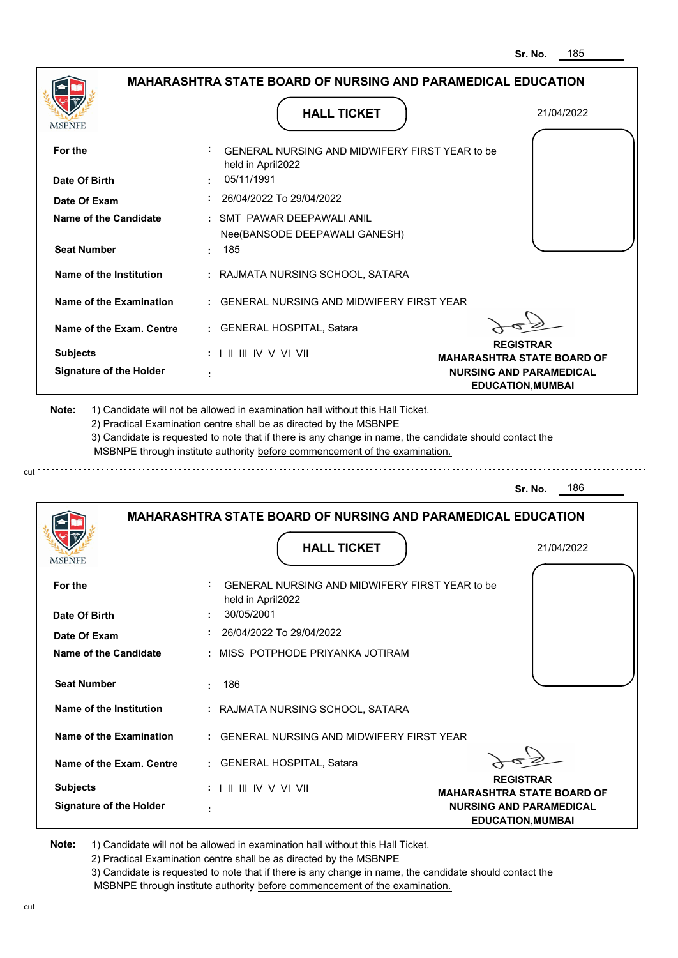| <b>HALL TICKET</b>                                                  | 21/04/2022                                                                                                                                                                                                                                                                                                                                                                                                                       |
|---------------------------------------------------------------------|----------------------------------------------------------------------------------------------------------------------------------------------------------------------------------------------------------------------------------------------------------------------------------------------------------------------------------------------------------------------------------------------------------------------------------|
|                                                                     |                                                                                                                                                                                                                                                                                                                                                                                                                                  |
|                                                                     |                                                                                                                                                                                                                                                                                                                                                                                                                                  |
| GENERAL NURSING AND MIDWIFERY FIRST YEAR to be<br>held in April2022 |                                                                                                                                                                                                                                                                                                                                                                                                                                  |
| 05/11/1991                                                          |                                                                                                                                                                                                                                                                                                                                                                                                                                  |
| $: 26/04/2022$ To 29/04/2022                                        |                                                                                                                                                                                                                                                                                                                                                                                                                                  |
| : SMT PAWAR DEEPAWALI ANIL<br>Nee(BANSODE DEEPAWALI GANESH)         |                                                                                                                                                                                                                                                                                                                                                                                                                                  |
| : 185                                                               |                                                                                                                                                                                                                                                                                                                                                                                                                                  |
| : RAJMATA NURSING SCHOOL, SATARA                                    |                                                                                                                                                                                                                                                                                                                                                                                                                                  |
|                                                                     |                                                                                                                                                                                                                                                                                                                                                                                                                                  |
| : GENERAL HOSPITAL, Satara                                          |                                                                                                                                                                                                                                                                                                                                                                                                                                  |
|                                                                     | <b>REGISTRAR</b>                                                                                                                                                                                                                                                                                                                                                                                                                 |
|                                                                     | <b>MAHARASHTRA STATE BOARD OF</b><br><b>NURSING AND PARAMEDICAL</b>                                                                                                                                                                                                                                                                                                                                                              |
|                                                                     | <b>EDUCATION, MUMBAI</b>                                                                                                                                                                                                                                                                                                                                                                                                         |
|                                                                     | 186<br>Sr. No.                                                                                                                                                                                                                                                                                                                                                                                                                   |
| <b>MAHARASHTRA STATE BOARD OF NURSING AND PARAMEDICAL EDUCATION</b> |                                                                                                                                                                                                                                                                                                                                                                                                                                  |
| <b>HALL TICKET</b>                                                  | 21/04/2022                                                                                                                                                                                                                                                                                                                                                                                                                       |
|                                                                     |                                                                                                                                                                                                                                                                                                                                                                                                                                  |
| GENERAL NURSING AND MIDWIFERY FIRST YEAR to be<br>held in April2022 |                                                                                                                                                                                                                                                                                                                                                                                                                                  |
| 30/05/2001                                                          |                                                                                                                                                                                                                                                                                                                                                                                                                                  |
| 26/04/2022 To 29/04/2022                                            |                                                                                                                                                                                                                                                                                                                                                                                                                                  |
| : MISS POTPHODE PRIYANKA JOTIRAM                                    |                                                                                                                                                                                                                                                                                                                                                                                                                                  |
| 186<br>÷.                                                           |                                                                                                                                                                                                                                                                                                                                                                                                                                  |
| : RAJMATA NURSING SCHOOL, SATARA                                    |                                                                                                                                                                                                                                                                                                                                                                                                                                  |
| : GENERAL NURSING AND MIDWIFERY FIRST YEAR                          |                                                                                                                                                                                                                                                                                                                                                                                                                                  |
| : GENERAL HOSPITAL, Satara                                          |                                                                                                                                                                                                                                                                                                                                                                                                                                  |
| : I II III IV V VI VII                                              | <b>REGISTRAR</b><br><b>MAHARASHTRA STATE BOARD OF</b>                                                                                                                                                                                                                                                                                                                                                                            |
|                                                                     | : GENERAL NURSING AND MIDWIFERY FIRST YEAR<br>$: 1 \mathbb{I}$ III IIV V VI VII<br>1) Candidate will not be allowed in examination hall without this Hall Ticket.<br>2) Practical Examination centre shall be as directed by the MSBNPE<br>3) Candidate is requested to note that if there is any change in name, the candidate should contact the<br>MSBNPE through institute authority before commencement of the examination. |

2) Practical Examination centre shall be as directed by the MSBNPE

3) Candidate is requested to note that if there is any change in name, the candidate should contact the MSBNPE through institute authority before commencement of the examination. cut

**EDUCATION,MUMBAI**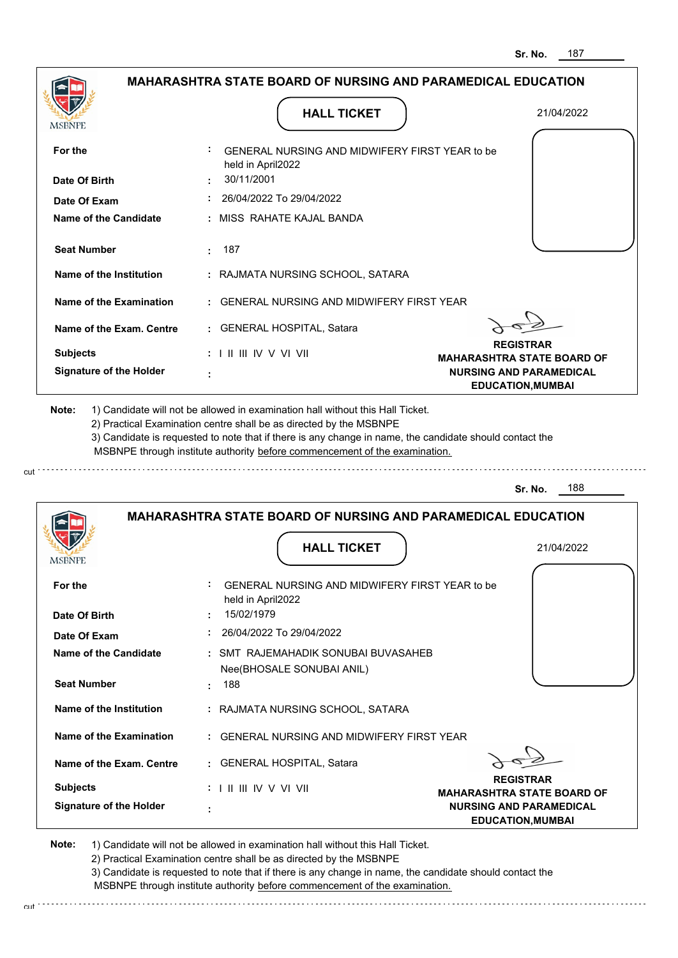|                                |                                                                                                                                                                                                                                                                                                                                               | 187<br>Sr. No.                                        |
|--------------------------------|-----------------------------------------------------------------------------------------------------------------------------------------------------------------------------------------------------------------------------------------------------------------------------------------------------------------------------------------------|-------------------------------------------------------|
|                                | <b>MAHARASHTRA STATE BOARD OF NURSING AND PARAMEDICAL EDUCATION</b>                                                                                                                                                                                                                                                                           |                                                       |
| MSBNPE                         | <b>HALL TICKET</b>                                                                                                                                                                                                                                                                                                                            | 21/04/2022                                            |
| For the                        | : GENERAL NURSING AND MIDWIFERY FIRST YEAR to be<br>held in April2022                                                                                                                                                                                                                                                                         |                                                       |
| Date Of Birth                  | 30/11/2001                                                                                                                                                                                                                                                                                                                                    |                                                       |
| Date Of Exam                   | : 26/04/2022 To 29/04/2022                                                                                                                                                                                                                                                                                                                    |                                                       |
| Name of the Candidate          | : MISS RAHATE KAJAL BANDA                                                                                                                                                                                                                                                                                                                     |                                                       |
| <b>Seat Number</b>             | : 187                                                                                                                                                                                                                                                                                                                                         |                                                       |
| Name of the Institution        | : RAJMATA NURSING SCHOOL, SATARA                                                                                                                                                                                                                                                                                                              |                                                       |
| Name of the Examination        | : GENERAL NURSING AND MIDWIFERY FIRST YEAR                                                                                                                                                                                                                                                                                                    |                                                       |
| Name of the Exam. Centre       | : GENERAL HOSPITAL, Satara                                                                                                                                                                                                                                                                                                                    |                                                       |
| <b>Subjects</b>                | $: 1 \mathbb{H} \mathbb{H} \mathbb{W} \vee \mathbb{V} \mathbb{V} \mathbb{H}$                                                                                                                                                                                                                                                                  | <b>REGISTRAR</b><br><b>MAHARASHTRA STATE BOARD OF</b> |
| <b>Signature of the Holder</b> |                                                                                                                                                                                                                                                                                                                                               | <b>NURSING AND PARAMEDICAL</b>                        |
|                                | 1) Candidate will not be allowed in examination hall without this Hall Ticket.<br>2) Practical Examination centre shall be as directed by the MSBNPE<br>3) Candidate is requested to note that if there is any change in name, the candidate should contact the<br>MSBNPE through institute authority before commencement of the examination. | <b>EDUCATION, MUMBAI</b>                              |
| Note:                          |                                                                                                                                                                                                                                                                                                                                               | 188<br>Sr. No.                                        |
|                                | <b>MAHARASHTRA STATE BOARD OF NURSING AND PARAMEDICAL EDUCATION</b><br><b>HALL TICKET</b>                                                                                                                                                                                                                                                     | 21/04/2022                                            |
| <b>IMPDIALE</b><br>For the     | GENERAL NURSING AND MIDWIFERY FIRST YEAR to be<br>held in April2022                                                                                                                                                                                                                                                                           |                                                       |
| Date Of Birth                  | 15/02/1979                                                                                                                                                                                                                                                                                                                                    |                                                       |
| Date Of Exam                   | 26/04/2022 To 29/04/2022                                                                                                                                                                                                                                                                                                                      |                                                       |
| <b>Name of the Candidate</b>   | : SMT RAJEMAHADIK SONUBAI BUVASAHEB<br>Nee(BHOSALE SONUBAI ANIL)                                                                                                                                                                                                                                                                              |                                                       |
| <b>Seat Number</b>             | 188<br>÷.                                                                                                                                                                                                                                                                                                                                     |                                                       |
| Name of the Institution        | : RAJMATA NURSING SCHOOL, SATARA                                                                                                                                                                                                                                                                                                              |                                                       |
| Name of the Examination        | : GENERAL NURSING AND MIDWIFERY FIRST YEAR                                                                                                                                                                                                                                                                                                    |                                                       |
| Name of the Exam. Centre       | : GENERAL HOSPITAL, Satara                                                                                                                                                                                                                                                                                                                    |                                                       |
| <b>Subjects</b>                | : I II III IV V VI VII                                                                                                                                                                                                                                                                                                                        | <b>REGISTRAR</b><br><b>MAHARASHTRA STATE BOARD OF</b> |

2) Practical Examination centre shall be as directed by the MSBNPE

cut.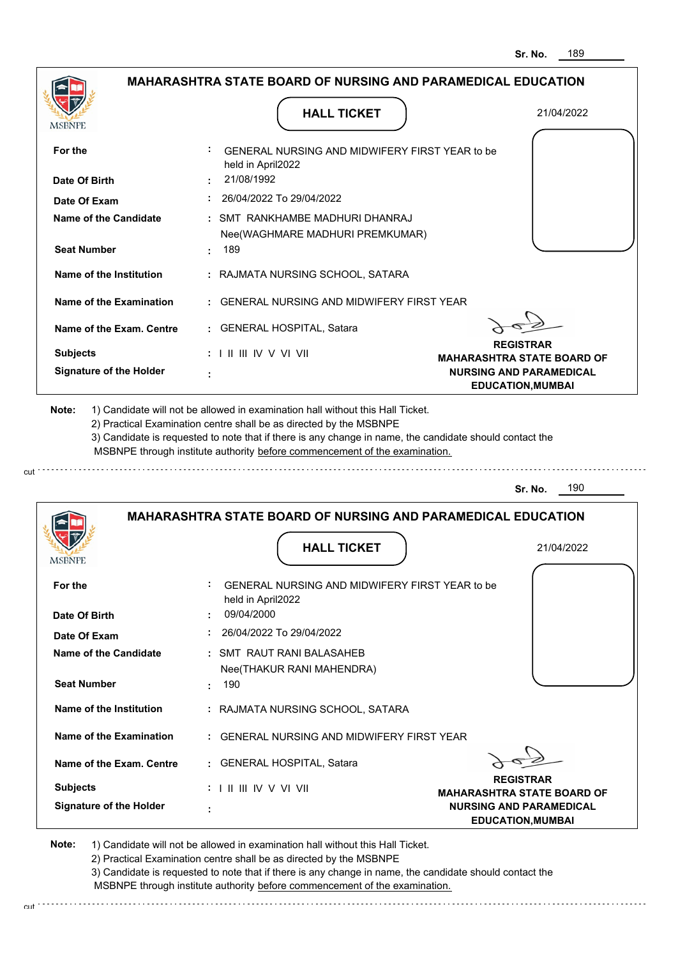|                                         | <b>HALL TICKET</b>                                                                                                                                                                                                                                              | 21/04/2022                                                 |
|-----------------------------------------|-----------------------------------------------------------------------------------------------------------------------------------------------------------------------------------------------------------------------------------------------------------------|------------------------------------------------------------|
| <b>MSBNPE</b>                           |                                                                                                                                                                                                                                                                 |                                                            |
| For the                                 | <b>GENERAL NURSING AND MIDWIFERY FIRST YEAR to be</b><br>held in April2022                                                                                                                                                                                      |                                                            |
| Date Of Birth                           | 21/08/1992                                                                                                                                                                                                                                                      |                                                            |
| Date Of Exam                            | : 26/04/2022 To 29/04/2022                                                                                                                                                                                                                                      |                                                            |
| Name of the Candidate                   | : SMT RANKHAMBE MADHURI DHANRAJ                                                                                                                                                                                                                                 |                                                            |
|                                         | Nee(WAGHMARE MADHURI PREMKUMAR)                                                                                                                                                                                                                                 |                                                            |
| <b>Seat Number</b>                      | . 189                                                                                                                                                                                                                                                           |                                                            |
| Name of the Institution                 | : RAJMATA NURSING SCHOOL, SATARA                                                                                                                                                                                                                                |                                                            |
| Name of the Examination                 | : GENERAL NURSING AND MIDWIFERY FIRST YEAR                                                                                                                                                                                                                      |                                                            |
| Name of the Exam. Centre                | : GENERAL HOSPITAL, Satara                                                                                                                                                                                                                                      |                                                            |
| <b>Subjects</b>                         | $: 1 \mathbb{I}$ III IIV V VI VII                                                                                                                                                                                                                               | <b>REGISTRAR</b><br><b>MAHARASHTRA STATE BOARD OF</b>      |
|                                         |                                                                                                                                                                                                                                                                 |                                                            |
|                                         | 1) Candidate will not be allowed in examination hall without this Hall Ticket.<br>2) Practical Examination centre shall be as directed by the MSBNPE<br>3) Candidate is requested to note that if there is any change in name, the candidate should contact the | <b>NURSING AND PARAMEDICAL</b><br><b>EDUCATION, MUMBAI</b> |
| <b>Signature of the Holder</b><br>Note: | MSBNPE through institute authority before commencement of the examination.                                                                                                                                                                                      |                                                            |
|                                         |                                                                                                                                                                                                                                                                 | 190<br>Sr. No.                                             |
|                                         | <b>MAHARASHTRA STATE BOARD OF NURSING AND PARAMEDICAL EDUCATION</b>                                                                                                                                                                                             |                                                            |
|                                         |                                                                                                                                                                                                                                                                 |                                                            |
|                                         | <b>HALL TICKET</b>                                                                                                                                                                                                                                              | 21/04/2022                                                 |
| <b>IMPDIAL P</b><br>For the             | GENERAL NURSING AND MIDWIFERY FIRST YEAR to be                                                                                                                                                                                                                  |                                                            |
| Date Of Birth                           | held in April2022<br>09/04/2000                                                                                                                                                                                                                                 |                                                            |
|                                         | 26/04/2022 To 29/04/2022                                                                                                                                                                                                                                        |                                                            |
| Date Of Exam<br>Name of the Candidate   | : SMT RAUT RANI BALASAHEB                                                                                                                                                                                                                                       |                                                            |
|                                         |                                                                                                                                                                                                                                                                 |                                                            |
| <b>Seat Number</b>                      | Nee(THAKUR RANI MAHENDRA)<br>: 190                                                                                                                                                                                                                              |                                                            |

**Name of the Exam. Centre :** GENERAL HOSPITAL, Satara

 **:**

**Signature of the Holder Subjects :** I II III IV V VI VII

 $\sigma$ <sub>2</sub>  $\alpha$ **REGISTRAR**

**MAHARASHTRA STATE BOARD OF NURSING AND PARAMEDICAL EDUCATION,MUMBAI**

**Note:**  1) Candidate will not be allowed in examination hall without this Hall Ticket.

2) Practical Examination centre shall be as directed by the MSBNPE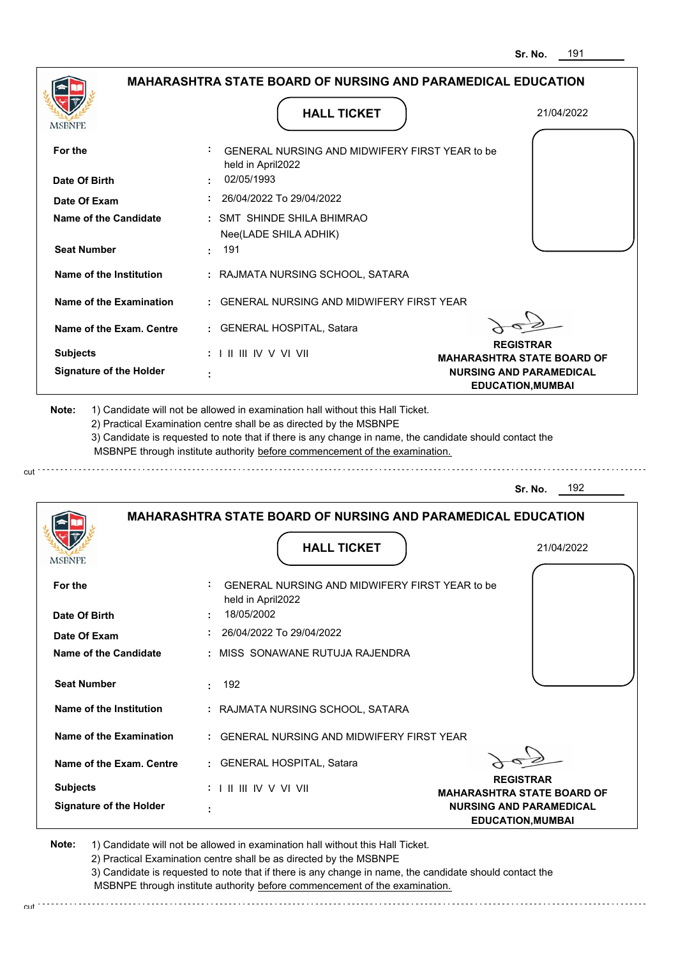|                                           | <b>MAHARASHTRA STATE BOARD OF NURSING AND PARAMEDICAL EDUCATION</b>                                                                                                                                                                                                                                                                           |                                   |
|-------------------------------------------|-----------------------------------------------------------------------------------------------------------------------------------------------------------------------------------------------------------------------------------------------------------------------------------------------------------------------------------------------|-----------------------------------|
| MSBNPE                                    | <b>HALL TICKET</b>                                                                                                                                                                                                                                                                                                                            | 21/04/2022                        |
| For the                                   | GENERAL NURSING AND MIDWIFERY FIRST YEAR to be<br>held in April2022                                                                                                                                                                                                                                                                           |                                   |
| Date Of Birth                             | 02/05/1993                                                                                                                                                                                                                                                                                                                                    |                                   |
| Date Of Exam                              | 26/04/2022 To 29/04/2022                                                                                                                                                                                                                                                                                                                      |                                   |
| Name of the Candidate                     | : SMT SHINDE SHILA BHIMRAO<br>Nee(LADE SHILA ADHIK)                                                                                                                                                                                                                                                                                           |                                   |
| <b>Seat Number</b>                        | . 191                                                                                                                                                                                                                                                                                                                                         |                                   |
| Name of the Institution                   | : RAJMATA NURSING SCHOOL, SATARA                                                                                                                                                                                                                                                                                                              |                                   |
| Name of the Examination                   | : GENERAL NURSING AND MIDWIFERY FIRST YEAR                                                                                                                                                                                                                                                                                                    |                                   |
| Name of the Exam. Centre                  | : GENERAL HOSPITAL, Satara                                                                                                                                                                                                                                                                                                                    | <b>REGISTRAR</b>                  |
| <b>Subjects</b>                           | : I II III IV V VI VII                                                                                                                                                                                                                                                                                                                        | <b>MAHARASHTRA STATE BOARD OF</b> |
| <b>Signature of the Holder</b>            |                                                                                                                                                                                                                                                                                                                                               | <b>NURSING AND PARAMEDICAL</b>    |
| Note:                                     | 1) Candidate will not be allowed in examination hall without this Hall Ticket.<br>2) Practical Examination centre shall be as directed by the MSBNPE<br>3) Candidate is requested to note that if there is any change in name, the candidate should contact the<br>MSBNPE through institute authority before commencement of the examination. | <b>EDUCATION, MUMBAI</b>          |
|                                           |                                                                                                                                                                                                                                                                                                                                               | 192                               |
|                                           | <b>MAHARASHTRA STATE BOARD OF NURSING AND PARAMEDICAL EDUCATION</b>                                                                                                                                                                                                                                                                           | Sr. No.                           |
|                                           | <b>HALL TICKET</b>                                                                                                                                                                                                                                                                                                                            | 21/04/2022                        |
|                                           | GENERAL NURSING AND MIDWIFERY FIRST YEAR to be                                                                                                                                                                                                                                                                                                |                                   |
| <b>MSBNPE</b><br>For the<br>Date Of Birth | held in April2022<br>18/05/2002                                                                                                                                                                                                                                                                                                               |                                   |
| Date Of Exam                              | 26/04/2022 To 29/04/2022                                                                                                                                                                                                                                                                                                                      |                                   |
| <b>Name of the Candidate</b>              | : MISS SONAWANE RUTUJA RAJENDRA                                                                                                                                                                                                                                                                                                               |                                   |
| <b>Seat Number</b>                        | 192<br>t.                                                                                                                                                                                                                                                                                                                                     |                                   |
| Name of the Institution                   | : RAJMATA NURSING SCHOOL, SATARA                                                                                                                                                                                                                                                                                                              |                                   |
| Name of the Examination                   | : GENERAL NURSING AND MIDWIFERY FIRST YEAR                                                                                                                                                                                                                                                                                                    |                                   |
| Name of the Exam. Centre                  | : GENERAL HOSPITAL, Satara                                                                                                                                                                                                                                                                                                                    |                                   |

 **:**

**Signature of the Holder**

2) Practical Examination centre shall be as directed by the MSBNPE

3) Candidate is requested to note that if there is any change in name, the candidate should contact the MSBNPE through institute authority before commencement of the examination. cut

**NURSING AND PARAMEDICAL EDUCATION,MUMBAI**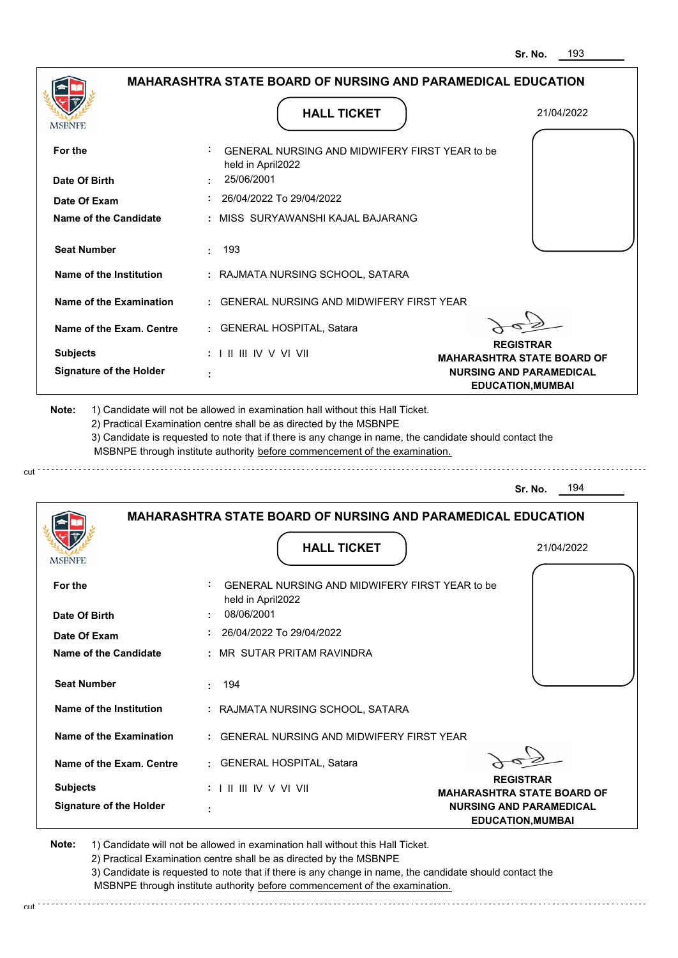| <b>MSBNPE</b>                                                    | <b>HALL TICKET</b>                                                                                                                                                                                                                                          | 21/04/2022                                                 |
|------------------------------------------------------------------|-------------------------------------------------------------------------------------------------------------------------------------------------------------------------------------------------------------------------------------------------------------|------------------------------------------------------------|
| For the                                                          | GENERAL NURSING AND MIDWIFERY FIRST YEAR to be<br>held in April2022                                                                                                                                                                                         |                                                            |
| Date Of Birth                                                    | 25/06/2001                                                                                                                                                                                                                                                  |                                                            |
| Date Of Exam                                                     | 26/04/2022 To 29/04/2022                                                                                                                                                                                                                                    |                                                            |
| <b>Name of the Candidate</b>                                     | : MISS SURYAWANSHI KAJAL BAJARANG                                                                                                                                                                                                                           |                                                            |
| <b>Seat Number</b>                                               | 193<br>t.                                                                                                                                                                                                                                                   |                                                            |
| Name of the Institution                                          | : RAJMATA NURSING SCHOOL, SATARA                                                                                                                                                                                                                            |                                                            |
| Name of the Examination                                          | : GENERAL NURSING AND MIDWIFERY FIRST YEAR                                                                                                                                                                                                                  |                                                            |
| Name of the Exam. Centre                                         | : GENERAL HOSPITAL, Satara                                                                                                                                                                                                                                  |                                                            |
| <b>Subjects</b>                                                  | $: 1 \mathbb{H} \mathbb{H} \mathbb{W} \vee \mathbb{V} \mathbb{H}$                                                                                                                                                                                           | <b>REGISTRAR</b><br><b>MAHARASHTRA STATE BOARD OF</b>      |
| <b>Signature of the Holder</b>                                   |                                                                                                                                                                                                                                                             | <b>NURSING AND PARAMEDICAL</b><br><b>EDUCATION, MUMBAI</b> |
|                                                                  | 2) Practical Examination centre shall be as directed by the MSBNPE<br>3) Candidate is requested to note that if there is any change in name, the candidate should contact the<br>MSBNPE through institute authority before commencement of the examination. |                                                            |
|                                                                  |                                                                                                                                                                                                                                                             | 194<br>Sr. No.                                             |
|                                                                  | <b>MAHARASHTRA STATE BOARD OF NURSING AND PARAMEDICAL EDUCATION</b><br><b>HALL TICKET</b>                                                                                                                                                                   | 21/04/2022                                                 |
|                                                                  |                                                                                                                                                                                                                                                             |                                                            |
|                                                                  | GENERAL NURSING AND MIDWIFERY FIRST YEAR to be<br>held in April2022                                                                                                                                                                                         |                                                            |
| For the                                                          | 08/06/2001                                                                                                                                                                                                                                                  |                                                            |
|                                                                  | 26/04/2022 To 29/04/2022                                                                                                                                                                                                                                    |                                                            |
| Date Of Exam                                                     | : MR SUTAR PRITAM RAVINDRA                                                                                                                                                                                                                                  |                                                            |
| <b>Seat Number</b>                                               | 194                                                                                                                                                                                                                                                         |                                                            |
| Name of the Institution                                          | : RAJMATA NURSING SCHOOL, SATARA                                                                                                                                                                                                                            |                                                            |
| Name of the Examination                                          | : GENERAL NURSING AND MIDWIFERY FIRST YEAR                                                                                                                                                                                                                  |                                                            |
| Name of the Exam. Centre                                         | : GENERAL HOSPITAL, Satara                                                                                                                                                                                                                                  |                                                            |
| Date Of Birth<br><b>Name of the Candidate</b><br><b>Subjects</b> | : I II III IV V VI VII                                                                                                                                                                                                                                      | <b>REGISTRAR</b><br><b>MAHARASHTRA STATE BOARD OF</b>      |

2) Practical Examination centre shall be as directed by the MSBNPE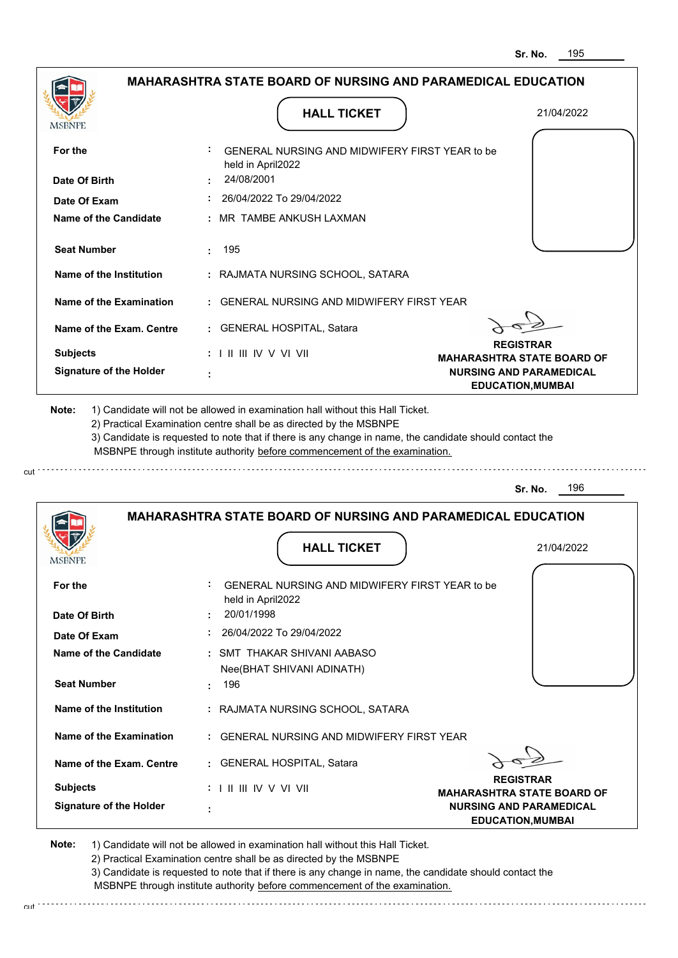|                                | <b>HALL TICKET</b>                                                                                                                                                                                                                                                                                                                            | 21/04/2022                                                 |
|--------------------------------|-----------------------------------------------------------------------------------------------------------------------------------------------------------------------------------------------------------------------------------------------------------------------------------------------------------------------------------------------|------------------------------------------------------------|
| <b>MSBNPE</b>                  |                                                                                                                                                                                                                                                                                                                                               |                                                            |
| For the                        | GENERAL NURSING AND MIDWIFERY FIRST YEAR to be<br>held in April2022                                                                                                                                                                                                                                                                           |                                                            |
| Date Of Birth                  | 24/08/2001                                                                                                                                                                                                                                                                                                                                    |                                                            |
| Date Of Exam                   | 26/04/2022 To 29/04/2022                                                                                                                                                                                                                                                                                                                      |                                                            |
| <b>Name of the Candidate</b>   | : MR TAMBE ANKUSH LAXMAN                                                                                                                                                                                                                                                                                                                      |                                                            |
| <b>Seat Number</b>             | 195                                                                                                                                                                                                                                                                                                                                           |                                                            |
| Name of the Institution        | : RAJMATA NURSING SCHOOL, SATARA                                                                                                                                                                                                                                                                                                              |                                                            |
| Name of the Examination        | : GENERAL NURSING AND MIDWIFERY FIRST YEAR                                                                                                                                                                                                                                                                                                    |                                                            |
| Name of the Exam. Centre       | : GENERAL HOSPITAL, Satara                                                                                                                                                                                                                                                                                                                    |                                                            |
| <b>Subjects</b>                | $: 1 \parallel \parallel \parallel$ IV V VI VII                                                                                                                                                                                                                                                                                               | <b>REGISTRAR</b><br><b>MAHARASHTRA STATE BOARD OF</b>      |
| <b>Signature of the Holder</b> |                                                                                                                                                                                                                                                                                                                                               | <b>NURSING AND PARAMEDICAL</b><br><b>EDUCATION, MUMBAI</b> |
| Note:                          | 1) Candidate will not be allowed in examination hall without this Hall Ticket.<br>2) Practical Examination centre shall be as directed by the MSBNPE<br>3) Candidate is requested to note that if there is any change in name, the candidate should contact the<br>MSBNPE through institute authority before commencement of the examination. | 196<br>Sr. No.                                             |
|                                |                                                                                                                                                                                                                                                                                                                                               |                                                            |
|                                | <b>MAHARASHTRA STATE BOARD OF NURSING AND PARAMEDICAL EDUCATION</b>                                                                                                                                                                                                                                                                           |                                                            |
| MSBNPI                         | <b>HALL TICKET</b>                                                                                                                                                                                                                                                                                                                            | 21/04/2022                                                 |
| For the                        | GENERAL NURSING AND MIDWIFERY FIRST YEAR to be<br>held in April2022                                                                                                                                                                                                                                                                           |                                                            |
| Date Of Birth                  | 20/01/1998                                                                                                                                                                                                                                                                                                                                    |                                                            |
| Date Of Exam                   | $: 26/04/2022$ To 29/04/2022                                                                                                                                                                                                                                                                                                                  |                                                            |
| Name of the Candidate          | : SMT THAKAR SHIVANI AABASO                                                                                                                                                                                                                                                                                                                   |                                                            |
| <b>Seat Number</b>             | Nee(BHAT SHIVANI ADINATH)<br>: 196                                                                                                                                                                                                                                                                                                            |                                                            |
| Name of the Institution        | : RAJMATA NURSING SCHOOL, SATARA                                                                                                                                                                                                                                                                                                              |                                                            |
| Name of the Examination        | : GENERAL NURSING AND MIDWIFERY FIRST YEAR                                                                                                                                                                                                                                                                                                    |                                                            |
| Name of the Exam. Centre       | : GENERAL HOSPITAL, Satara                                                                                                                                                                                                                                                                                                                    |                                                            |
| <b>Subjects</b>                | $: 1 \mathbb{I}$ III IIV V VI VII                                                                                                                                                                                                                                                                                                             | <b>REGISTRAR</b><br><b>MAHARASHTRA STATE BOARD OF</b>      |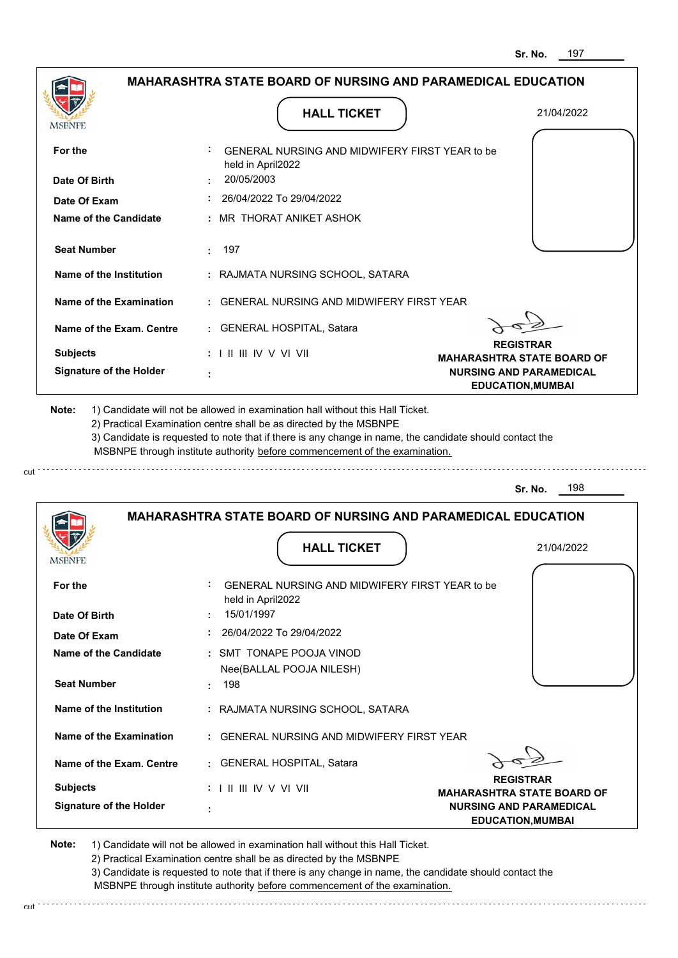|                                | <b>MAHARASHTRA STATE BOARD OF NURSING AND PARAMEDICAL EDUCATION</b>                       |                                                            |
|--------------------------------|-------------------------------------------------------------------------------------------|------------------------------------------------------------|
| <b>MSBNPE</b>                  | <b>HALL TICKET</b>                                                                        | 21/04/2022                                                 |
| For the                        | GENERAL NURSING AND MIDWIFERY FIRST YEAR to be<br>held in April2022                       |                                                            |
| Date Of Birth                  | 20/05/2003                                                                                |                                                            |
| Date Of Exam                   | : 26/04/2022 To 29/04/2022                                                                |                                                            |
| Name of the Candidate          | : MR THORAT ANIKET ASHOK                                                                  |                                                            |
| <b>Seat Number</b>             | : 197                                                                                     |                                                            |
| Name of the Institution        | : RAJMATA NURSING SCHOOL, SATARA                                                          |                                                            |
| Name of the Examination        | : GENERAL NURSING AND MIDWIFERY FIRST YEAR                                                |                                                            |
| Name of the Exam. Centre       | : GENERAL HOSPITAL, Satara                                                                |                                                            |
| <b>Subjects</b>                | $: 1 \mathbb{I}$ III IIV V VI VII                                                         | <b>REGISTRAR</b><br><b>MAHARASHTRA STATE BOARD OF</b>      |
| <b>Signature of the Holder</b> |                                                                                           | <b>NURSING AND PARAMEDICAL</b><br><b>EDUCATION, MUMBAI</b> |
|                                | MSBNPE through institute authority before commencement of the examination.                |                                                            |
|                                |                                                                                           | 198<br>Sr. No.                                             |
| <b>IMPDIAL</b>                 | <b>MAHARASHTRA STATE BOARD OF NURSING AND PARAMEDICAL EDUCATION</b><br><b>HALL TICKET</b> | 21/04/2022                                                 |
| For the                        | GENERAL NURSING AND MIDWIFERY FIRST YEAR to be<br>held in April2022                       |                                                            |
| Date Of Birth                  | 15/01/1997                                                                                |                                                            |
| Date Of Exam                   | 26/04/2022 To 29/04/2022                                                                  |                                                            |
| <b>Name of the Candidate</b>   | : SMT TONAPE POOJA VINOD<br>Nee(BALLAL POOJA NILESH)                                      |                                                            |
| <b>Seat Number</b>             | : 198                                                                                     |                                                            |
| Name of the Institution        | : RAJMATA NURSING SCHOOL, SATARA                                                          |                                                            |
| Name of the Examination        | : GENERAL NURSING AND MIDWIFERY FIRST YEAR                                                |                                                            |
| Name of the Exam. Centre       | : GENERAL HOSPITAL, Satara                                                                |                                                            |
| <b>Subjects</b>                | : I II III IV V VI VII                                                                    | <b>REGISTRAR</b><br><b>MAHARASHTRA STATE BOARD OF</b>      |

2) Practical Examination centre shall be as directed by the MSBNPE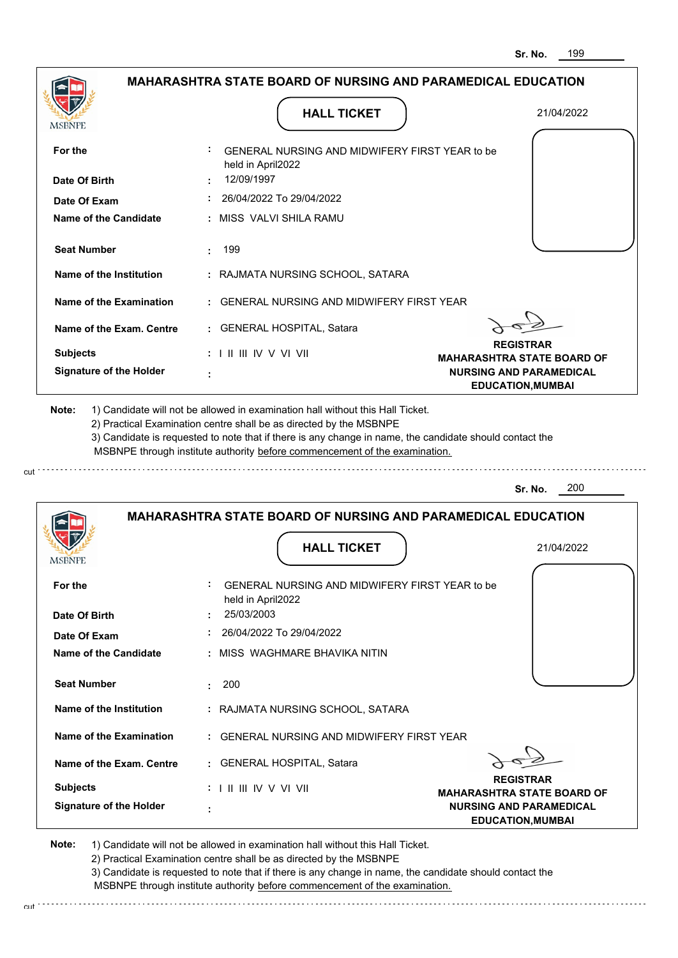| <b>MSBNPE</b>                                             | <b>HALL TICKET</b>                                                                                                                                                                                                                                          | 21/04/2022                                                 |
|-----------------------------------------------------------|-------------------------------------------------------------------------------------------------------------------------------------------------------------------------------------------------------------------------------------------------------------|------------------------------------------------------------|
| For the                                                   | GENERAL NURSING AND MIDWIFERY FIRST YEAR to be<br>held in April2022                                                                                                                                                                                         |                                                            |
| Date Of Birth                                             | 12/09/1997                                                                                                                                                                                                                                                  |                                                            |
| Date Of Exam                                              | 26/04/2022 To 29/04/2022                                                                                                                                                                                                                                    |                                                            |
| <b>Name of the Candidate</b>                              | : MISS_VALVI SHILA RAMU                                                                                                                                                                                                                                     |                                                            |
| <b>Seat Number</b>                                        | 199<br>÷.                                                                                                                                                                                                                                                   |                                                            |
| Name of the Institution                                   | : RAJMATA NURSING SCHOOL, SATARA                                                                                                                                                                                                                            |                                                            |
| Name of the Examination                                   | : GENERAL NURSING AND MIDWIFERY FIRST YEAR                                                                                                                                                                                                                  |                                                            |
| Name of the Exam. Centre                                  | : GENERAL HOSPITAL, Satara                                                                                                                                                                                                                                  |                                                            |
| <b>Subjects</b>                                           | $: 1 \parallel \parallel \parallel$ IV V VI VII                                                                                                                                                                                                             | <b>REGISTRAR</b><br><b>MAHARASHTRA STATE BOARD OF</b>      |
| <b>Signature of the Holder</b>                            |                                                                                                                                                                                                                                                             | <b>NURSING AND PARAMEDICAL</b><br><b>EDUCATION, MUMBAI</b> |
|                                                           | 2) Practical Examination centre shall be as directed by the MSBNPE<br>3) Candidate is requested to note that if there is any change in name, the candidate should contact the<br>MSBNPE through institute authority before commencement of the examination. | 200<br>Sr. No.                                             |
|                                                           |                                                                                                                                                                                                                                                             |                                                            |
|                                                           | <b>MAHARASHTRA STATE BOARD OF NURSING AND PARAMEDICAL EDUCATION</b>                                                                                                                                                                                         |                                                            |
|                                                           | <b>HALL TICKET</b>                                                                                                                                                                                                                                          | 21/04/2022                                                 |
|                                                           | GENERAL NURSING AND MIDWIFERY FIRST YEAR to be<br>held in April2022                                                                                                                                                                                         |                                                            |
|                                                           | 25/03/2003                                                                                                                                                                                                                                                  |                                                            |
| <b>MSBNPE</b><br>For the<br>Date Of Birth<br>Date Of Exam | 26/04/2022 To 29/04/2022                                                                                                                                                                                                                                    |                                                            |
|                                                           | : MISS WAGHMARE BHAVIKA NITIN                                                                                                                                                                                                                               |                                                            |
| <b>Seat Number</b>                                        | 200<br>÷.                                                                                                                                                                                                                                                   |                                                            |
| Name of the Institution                                   | : RAJMATA NURSING SCHOOL, SATARA                                                                                                                                                                                                                            |                                                            |
| Name of the Examination                                   | : GENERAL NURSING AND MIDWIFERY FIRST YEAR                                                                                                                                                                                                                  |                                                            |
| Name of the Exam. Centre                                  | : GENERAL HOSPITAL, Satara                                                                                                                                                                                                                                  |                                                            |
| Name of the Candidate<br><b>Subjects</b>                  | $: 1 \parallel \parallel \parallel$ IV V VI VII                                                                                                                                                                                                             | <b>REGISTRAR</b><br><b>MAHARASHTRA STATE BOARD OF</b>      |

3) Candidate is requested to note that if there is any change in name, the candidate should contact the MSBNPE through institute authority before commencement of the examination.

cut de la component de la component de la component de la component de la component de la component de la component de la component de la component de la component de la component de la component de la component de la comp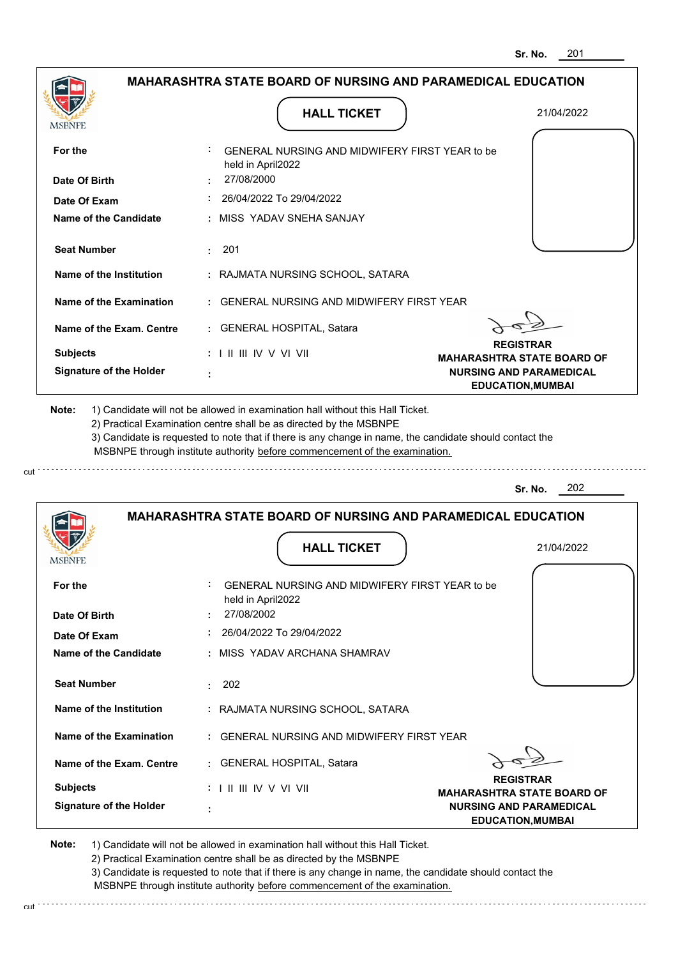| <b>MSBNPE</b>                                      | <b>HALL TICKET</b>                                                                                                                                                                                                                                                                                                                            | 21/04/2022                                                 |
|----------------------------------------------------|-----------------------------------------------------------------------------------------------------------------------------------------------------------------------------------------------------------------------------------------------------------------------------------------------------------------------------------------------|------------------------------------------------------------|
| For the                                            | GENERAL NURSING AND MIDWIFERY FIRST YEAR to be<br>held in April2022                                                                                                                                                                                                                                                                           |                                                            |
| Date Of Birth                                      | 27/08/2000                                                                                                                                                                                                                                                                                                                                    |                                                            |
| Date Of Exam                                       | $: 26/04/2022$ To 29/04/2022                                                                                                                                                                                                                                                                                                                  |                                                            |
| Name of the Candidate                              | : MISS YADAV SNEHA SANJAY                                                                                                                                                                                                                                                                                                                     |                                                            |
| <b>Seat Number</b>                                 | $\cdot$ 201                                                                                                                                                                                                                                                                                                                                   |                                                            |
| Name of the Institution                            | : RAJMATA NURSING SCHOOL, SATARA                                                                                                                                                                                                                                                                                                              |                                                            |
| Name of the Examination                            | : GENERAL NURSING AND MIDWIFERY FIRST YEAR                                                                                                                                                                                                                                                                                                    |                                                            |
| Name of the Exam. Centre                           | : GENERAL HOSPITAL, Satara                                                                                                                                                                                                                                                                                                                    |                                                            |
| <b>Subjects</b>                                    | $: 1 \parallel \parallel \parallel$ IV V VI VII                                                                                                                                                                                                                                                                                               | <b>REGISTRAR</b><br><b>MAHARASHTRA STATE BOARD OF</b>      |
| <b>Signature of the Holder</b>                     |                                                                                                                                                                                                                                                                                                                                               | <b>NURSING AND PARAMEDICAL</b><br><b>EDUCATION, MUMBAI</b> |
|                                                    | 1) Candidate will not be allowed in examination hall without this Hall Ticket.<br>2) Practical Examination centre shall be as directed by the MSBNPE<br>3) Candidate is requested to note that if there is any change in name, the candidate should contact the<br>MSBNPE through institute authority before commencement of the examination. |                                                            |
| Note:                                              |                                                                                                                                                                                                                                                                                                                                               | 202<br>Sr. No.                                             |
|                                                    | <b>MAHARASHTRA STATE BOARD OF NURSING AND PARAMEDICAL EDUCATION</b><br><b>HALL TICKET</b>                                                                                                                                                                                                                                                     | 21/04/2022                                                 |
|                                                    | GENERAL NURSING AND MIDWIFERY FIRST YEAR to be<br>held in April2022                                                                                                                                                                                                                                                                           |                                                            |
| For the<br>Date Of Birth                           | 27/08/2002                                                                                                                                                                                                                                                                                                                                    |                                                            |
| Date Of Exam                                       | : 26/04/2022 To 29/04/2022                                                                                                                                                                                                                                                                                                                    |                                                            |
|                                                    | : MISS YADAV ARCHANA SHAMRAV                                                                                                                                                                                                                                                                                                                  |                                                            |
| <b>Name of the Candidate</b><br><b>Seat Number</b> | : 202                                                                                                                                                                                                                                                                                                                                         |                                                            |
|                                                    | : RAJMATA NURSING SCHOOL, SATARA                                                                                                                                                                                                                                                                                                              |                                                            |
| Name of the Institution<br>Name of the Examination | : GENERAL NURSING AND MIDWIFERY FIRST YEAR                                                                                                                                                                                                                                                                                                    |                                                            |
|                                                    | : GENERAL HOSPITAL, Satara                                                                                                                                                                                                                                                                                                                    |                                                            |
| Name of the Exam. Centre<br><b>Subjects</b>        | : I II III IV V VI VII                                                                                                                                                                                                                                                                                                                        | <b>REGISTRAR</b><br><b>MAHARASHTRA STATE BOARD OF</b>      |

2) Practical Examination centre shall be as directed by the MSBNPE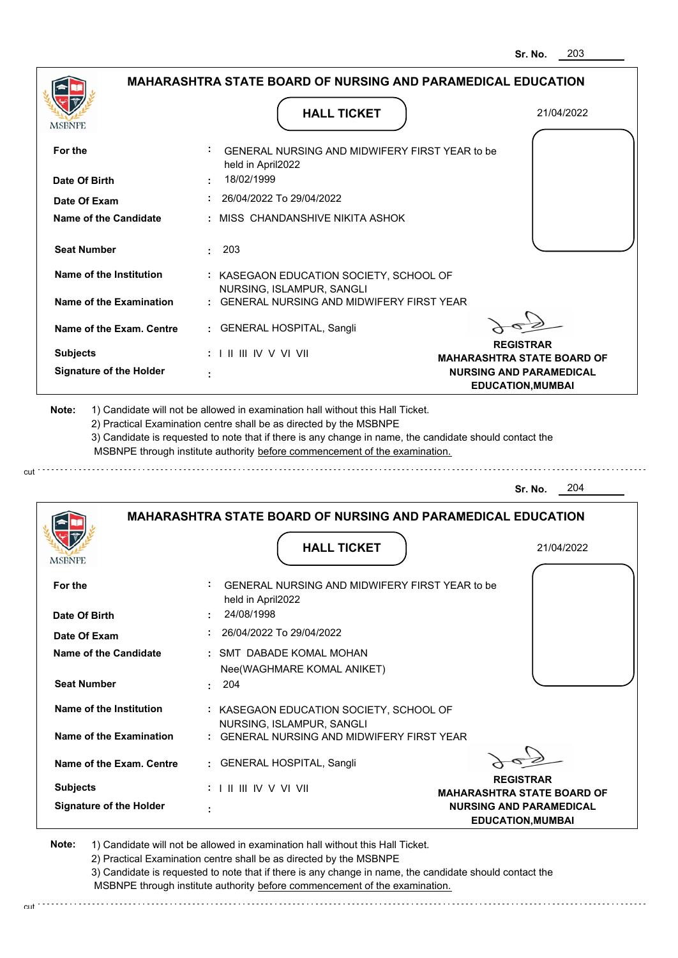|                                                                                                                                                                                                                        | <b>MAHARASHTRA STATE BOARD OF NURSING AND PARAMEDICAL EDUCATION</b>                                                                                                                                                                                                                                                                           |                                                                     |
|------------------------------------------------------------------------------------------------------------------------------------------------------------------------------------------------------------------------|-----------------------------------------------------------------------------------------------------------------------------------------------------------------------------------------------------------------------------------------------------------------------------------------------------------------------------------------------|---------------------------------------------------------------------|
|                                                                                                                                                                                                                        | <b>HALL TICKET</b>                                                                                                                                                                                                                                                                                                                            | 21/04/2022                                                          |
| <b>MSBNPE</b>                                                                                                                                                                                                          |                                                                                                                                                                                                                                                                                                                                               |                                                                     |
| For the                                                                                                                                                                                                                | GENERAL NURSING AND MIDWIFERY FIRST YEAR to be<br>held in April2022                                                                                                                                                                                                                                                                           |                                                                     |
| Date Of Birth                                                                                                                                                                                                          | 18/02/1999                                                                                                                                                                                                                                                                                                                                    |                                                                     |
| Date Of Exam                                                                                                                                                                                                           | 26/04/2022 To 29/04/2022                                                                                                                                                                                                                                                                                                                      |                                                                     |
| <b>Name of the Candidate</b>                                                                                                                                                                                           | : MISS CHANDANSHIVE NIKITA ASHOK                                                                                                                                                                                                                                                                                                              |                                                                     |
| <b>Seat Number</b>                                                                                                                                                                                                     | 203<br>$\sim$                                                                                                                                                                                                                                                                                                                                 |                                                                     |
| Name of the Institution                                                                                                                                                                                                | : KASEGAON EDUCATION SOCIETY, SCHOOL OF<br>NURSING, ISLAMPUR, SANGLI                                                                                                                                                                                                                                                                          |                                                                     |
| Name of the Examination                                                                                                                                                                                                | : GENERAL NURSING AND MIDWIFERY FIRST YEAR                                                                                                                                                                                                                                                                                                    |                                                                     |
| Name of the Exam. Centre                                                                                                                                                                                               | : GENERAL HOSPITAL, Sangli                                                                                                                                                                                                                                                                                                                    |                                                                     |
| <b>Subjects</b>                                                                                                                                                                                                        | $: 1 \parallel \parallel \parallel$ IV V VI VII                                                                                                                                                                                                                                                                                               | <b>REGISTRAR</b>                                                    |
| <b>Signature of the Holder</b>                                                                                                                                                                                         |                                                                                                                                                                                                                                                                                                                                               | <b>MAHARASHTRA STATE BOARD OF</b><br><b>NURSING AND PARAMEDICAL</b> |
|                                                                                                                                                                                                                        |                                                                                                                                                                                                                                                                                                                                               | <b>EDUCATION, MUMBAI</b>                                            |
|                                                                                                                                                                                                                        | 1) Candidate will not be allowed in examination hall without this Hall Ticket.<br>2) Practical Examination centre shall be as directed by the MSBNPE<br>3) Candidate is requested to note that if there is any change in name, the candidate should contact the<br>MSBNPE through institute authority before commencement of the examination. |                                                                     |
|                                                                                                                                                                                                                        |                                                                                                                                                                                                                                                                                                                                               | 204<br>Sr. No.                                                      |
|                                                                                                                                                                                                                        |                                                                                                                                                                                                                                                                                                                                               |                                                                     |
|                                                                                                                                                                                                                        | <b>MAHARASHTRA STATE BOARD OF NURSING AND PARAMEDICAL EDUCATION</b>                                                                                                                                                                                                                                                                           |                                                                     |
|                                                                                                                                                                                                                        | <b>HALL TICKET</b>                                                                                                                                                                                                                                                                                                                            | 21/04/2022                                                          |
|                                                                                                                                                                                                                        |                                                                                                                                                                                                                                                                                                                                               |                                                                     |
|                                                                                                                                                                                                                        | GENERAL NURSING AND MIDWIFERY FIRST YEAR to be                                                                                                                                                                                                                                                                                                |                                                                     |
|                                                                                                                                                                                                                        | held in April2022<br>24/08/1998                                                                                                                                                                                                                                                                                                               |                                                                     |
|                                                                                                                                                                                                                        | 26/04/2022 To 29/04/2022                                                                                                                                                                                                                                                                                                                      |                                                                     |
|                                                                                                                                                                                                                        | : SMT DABADE KOMAL MOHAN                                                                                                                                                                                                                                                                                                                      |                                                                     |
|                                                                                                                                                                                                                        | Nee(WAGHMARE KOMAL ANIKET)                                                                                                                                                                                                                                                                                                                    |                                                                     |
|                                                                                                                                                                                                                        | 204                                                                                                                                                                                                                                                                                                                                           |                                                                     |
|                                                                                                                                                                                                                        | : KASEGAON EDUCATION SOCIETY, SCHOOL OF                                                                                                                                                                                                                                                                                                       |                                                                     |
|                                                                                                                                                                                                                        | NURSING, ISLAMPUR, SANGLI<br>: GENERAL NURSING AND MIDWIFERY FIRST YEAR                                                                                                                                                                                                                                                                       |                                                                     |
|                                                                                                                                                                                                                        | : GENERAL HOSPITAL, Sangli                                                                                                                                                                                                                                                                                                                    |                                                                     |
| Note:<br><b>MSBNPE</b><br>For the<br>Date Of Birth<br>Date Of Exam<br>Name of the Candidate<br><b>Seat Number</b><br>Name of the Institution<br>Name of the Examination<br>Name of the Exam. Centre<br><b>Subjects</b> | $: 1 \mathbb{I}$ III IIV V VI VII                                                                                                                                                                                                                                                                                                             | <b>REGISTRAR</b><br><b>MAHARASHTRA STATE BOARD OF</b>               |

2) Practical Examination centre shall be as directed by the MSBNPE

3) Candidate is requested to note that if there is any change in name, the candidate should contact the MSBNPE through institute authority before commencement of the examination. cut

**EDUCATION,MUMBAI**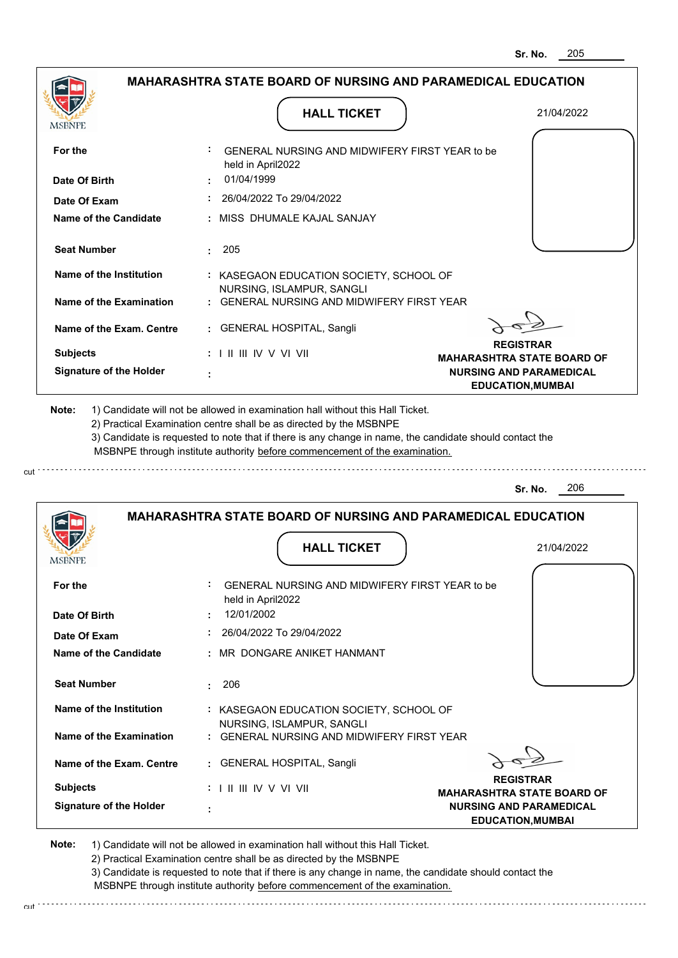|                                |                                                                              | 205<br>Sr. No.                                             |
|--------------------------------|------------------------------------------------------------------------------|------------------------------------------------------------|
|                                | <b>MAHARASHTRA STATE BOARD OF NURSING AND PARAMEDICAL EDUCATION</b>          |                                                            |
| MSBNPF                         | <b>HALL TICKET</b>                                                           | 21/04/2022                                                 |
| For the                        | GENERAL NURSING AND MIDWIFERY FIRST YEAR to be<br>held in April2022          |                                                            |
| Date Of Birth                  | 01/04/1999                                                                   |                                                            |
| Date Of Exam                   | 26/04/2022 To 29/04/2022                                                     |                                                            |
| Name of the Candidate          | : MISS DHUMALE KAJAL SANJAY                                                  |                                                            |
| <b>Seat Number</b>             | 205<br>÷.                                                                    |                                                            |
| <b>Name of the Institution</b> | : KASEGAON EDUCATION SOCIETY, SCHOOL OF                                      |                                                            |
| <b>Name of the Examination</b> | NURSING, ISLAMPUR, SANGLI<br><b>GENERAL NURSING AND MIDWIFERY FIRST YEAR</b> |                                                            |
| Name of the Exam. Centre       | <b>GENERAL HOSPITAL, Sangli</b>                                              |                                                            |
| <b>Subjects</b>                | : I II III IV V VI VII                                                       | <b>REGISTRAR</b><br><b>MAHARASHTRA STATE BOARD OF</b>      |
| <b>Signature of the Holder</b> |                                                                              | <b>NURSING AND PARAMEDICAL</b><br><b>EDUCATION, MUMBAI</b> |
|                                | MSBNPE through institute authority before commencement of the examination.   | 206<br>Sr. No.                                             |
|                                | <b>MAHARASHTRA STATE BOARD OF NURSING AND PARAMEDICAL EDUCATION</b>          |                                                            |
| MSBNFE                         | <b>HALL TICKET</b>                                                           | 21/04/2022                                                 |
| For the                        | ÷<br>GENERAL NURSING AND MIDWIFERY FIRST YEAR to be<br>held in April2022     |                                                            |
| Date Of Birth                  | 12/01/2002                                                                   |                                                            |
| Date Of Exam                   | 26/04/2022 To 29/04/2022                                                     |                                                            |
| <b>Name of the Candidate</b>   | MR DONGARE ANIKET HANMANT                                                    |                                                            |
| <b>Seat Number</b>             | 206<br>÷                                                                     |                                                            |
| <b>Name of the Institution</b> | : KASEGAON EDUCATION SOCIETY, SCHOOL OF<br>NURSING, ISLAMPUR, SANGLI         |                                                            |
| <b>Name of the Examination</b> | : GENERAL NURSING AND MIDWIFERY FIRST YEAR                                   |                                                            |
| Name of the Exam. Centre       | : GENERAL HOSPITAL, Sangli                                                   |                                                            |
| <b>Subjects</b>                | : I II III IV V VI VII                                                       | <b>REGISTRAR</b><br><b>MAHARASHTRA STATE BOARD OF</b>      |
| <b>Signature of the Holder</b> |                                                                              | <b>NURSING AND PARAMEDICAL</b><br><b>EDUCATION, MUMBAI</b> |

cut

2) Practical Examination centre shall be as directed by the MSBNPE

3) Candidate is requested to note that if there is any change in name, the candidate should contact the MSBNPE through institute authority before commencement of the examination. cut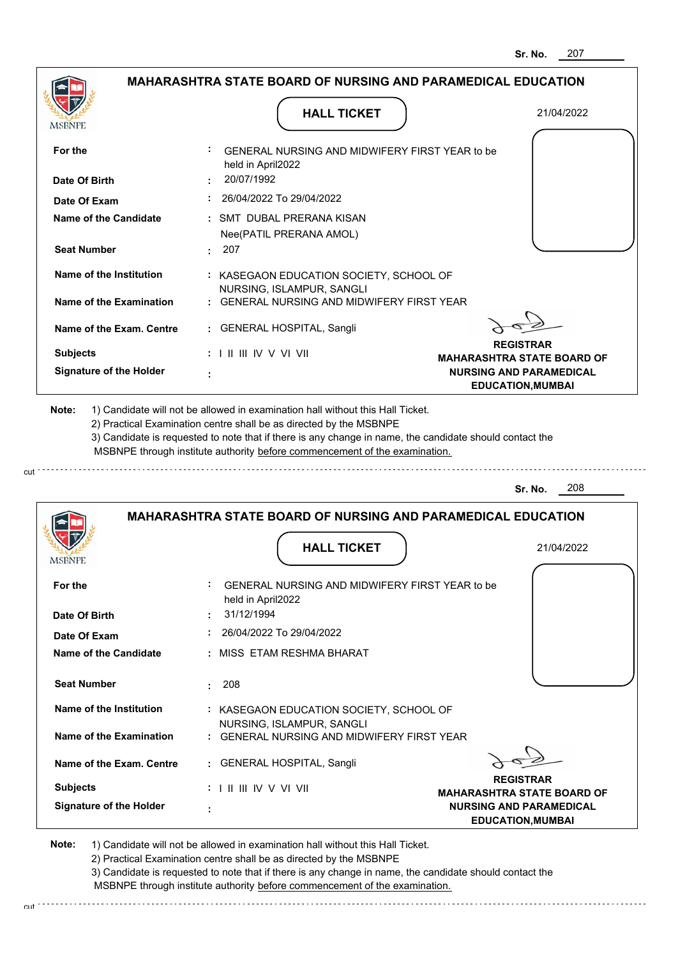|                                                           | <b>MAHARASHTRA STATE BOARD OF NURSING AND PARAMEDICAL EDUCATION</b>                                                                                                                   |                                   |
|-----------------------------------------------------------|---------------------------------------------------------------------------------------------------------------------------------------------------------------------------------------|-----------------------------------|
|                                                           | <b>HALL TICKET</b>                                                                                                                                                                    | 21/04/2022                        |
| MSBNPE                                                    |                                                                                                                                                                                       |                                   |
|                                                           |                                                                                                                                                                                       |                                   |
| For the                                                   | GENERAL NURSING AND MIDWIFERY FIRST YEAR to be<br>held in April2022                                                                                                                   |                                   |
| Date Of Birth                                             | : 20/07/1992                                                                                                                                                                          |                                   |
| Date Of Exam                                              | : 26/04/2022 To 29/04/2022                                                                                                                                                            |                                   |
| Name of the Candidate                                     | : SMT DUBAL PRERANA KISAN                                                                                                                                                             |                                   |
|                                                           | Nee(PATIL PRERANA AMOL)                                                                                                                                                               |                                   |
| <b>Seat Number</b>                                        | $\cdot$ 207                                                                                                                                                                           |                                   |
| Name of the Institution                                   | : KASEGAON EDUCATION SOCIETY, SCHOOL OF                                                                                                                                               |                                   |
|                                                           | NURSING, ISLAMPUR, SANGLI                                                                                                                                                             |                                   |
| Name of the Examination                                   | : GENERAL NURSING AND MIDWIFERY FIRST YEAR                                                                                                                                            |                                   |
|                                                           |                                                                                                                                                                                       |                                   |
| Name of the Exam. Centre                                  | : GENERAL HOSPITAL, Sangli                                                                                                                                                            | <b>REGISTRAR</b>                  |
| <b>Subjects</b>                                           | $: 1 \parallel \parallel \parallel$ IV V VI VII                                                                                                                                       | <b>MAHARASHTRA STATE BOARD OF</b> |
| <b>Signature of the Holder</b>                            |                                                                                                                                                                                       | <b>NURSING AND PARAMEDICAL</b>    |
|                                                           |                                                                                                                                                                                       |                                   |
| Note:                                                     | 1) Candidate will not be allowed in examination hall without this Hall Ticket.<br>2) Practical Examination centre shall be as directed by the MSBNPE                                  | <b>EDUCATION, MUMBAI</b>          |
|                                                           | 3) Candidate is requested to note that if there is any change in name, the candidate should contact the<br>MSBNPE through institute authority before commencement of the examination. |                                   |
|                                                           |                                                                                                                                                                                       | 208<br>Sr. No.                    |
|                                                           | <b>MAHARASHTRA STATE BOARD OF NURSING AND PARAMEDICAL EDUCATION</b>                                                                                                                   |                                   |
|                                                           |                                                                                                                                                                                       |                                   |
|                                                           | <b>HALL TICKET</b>                                                                                                                                                                    | 21/04/2022                        |
|                                                           |                                                                                                                                                                                       |                                   |
|                                                           | GENERAL NURSING AND MIDWIFERY FIRST YEAR to be                                                                                                                                        |                                   |
|                                                           | held in April2022                                                                                                                                                                     |                                   |
|                                                           | 31/12/1994                                                                                                                                                                            |                                   |
| <b>MSBNPE</b><br>For the<br>Date Of Birth<br>Date Of Exam | 26/04/2022 To 29/04/2022                                                                                                                                                              |                                   |
| <b>Name of the Candidate</b>                              | : MISS ETAM RESHMA BHARAT                                                                                                                                                             |                                   |
|                                                           | 208<br>t.                                                                                                                                                                             |                                   |
| <b>Seat Number</b><br>Name of the Institution             | : KASEGAON EDUCATION SOCIETY, SCHOOL OF<br>NURSING, ISLAMPUR, SANGLI                                                                                                                  |                                   |

1) Candidate will not be allowed in examination hall without this Hall Ticket. 2) Practical Examination centre shall be as directed by the MSBNPE 3) Candidate is requested to note that if there is any change in name, the candidate should contact the MSBNPE through institute authority before commencement of the examination.

**REGISTRAR MAHARASHTRA STATE BOARD OF NURSING AND PARAMEDICAL EDUCATION,MUMBAI**

cut de contra a construction de construction de construction de construction de construction de construction de construction de construction de construction de construction de construction de construction de construction d

 **:** GENERAL HOSPITAL, Sangli

I II III IV V VI VII

 **:**

**Signature of the Holder**

**Note:** 

**Subjects :**

**Name of the Exam. Centre**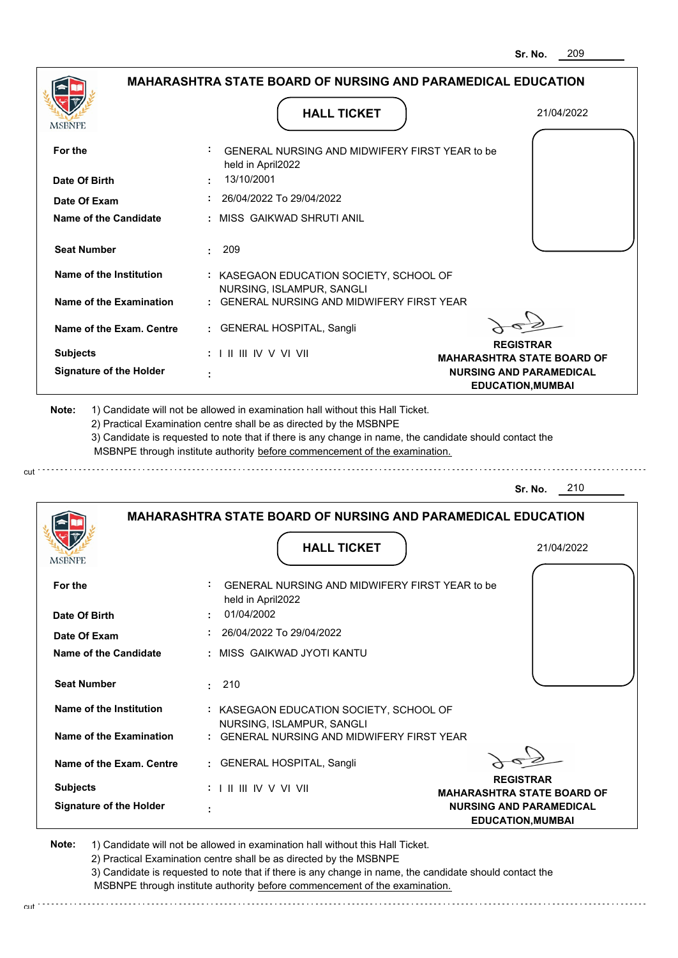| MSBNPE                                                                             | <b>HALL TICKET</b>                                                                                                                                                                                                                                                                                                                            | 21/04/2022                                                          |
|------------------------------------------------------------------------------------|-----------------------------------------------------------------------------------------------------------------------------------------------------------------------------------------------------------------------------------------------------------------------------------------------------------------------------------------------|---------------------------------------------------------------------|
| For the                                                                            | GENERAL NURSING AND MIDWIFERY FIRST YEAR to be<br>held in April2022                                                                                                                                                                                                                                                                           |                                                                     |
| Date Of Birth                                                                      | 13/10/2001                                                                                                                                                                                                                                                                                                                                    |                                                                     |
| Date Of Exam                                                                       | : 26/04/2022 To 29/04/2022                                                                                                                                                                                                                                                                                                                    |                                                                     |
| Name of the Candidate                                                              | : MISS GAIKWAD SHRUTI ANIL                                                                                                                                                                                                                                                                                                                    |                                                                     |
| <b>Seat Number</b>                                                                 | 209                                                                                                                                                                                                                                                                                                                                           |                                                                     |
| Name of the Institution                                                            | : KASEGAON EDUCATION SOCIETY, SCHOOL OF                                                                                                                                                                                                                                                                                                       |                                                                     |
| Name of the Examination                                                            | NURSING, ISLAMPUR, SANGLI<br>: GENERAL NURSING AND MIDWIFERY FIRST YEAR                                                                                                                                                                                                                                                                       |                                                                     |
| Name of the Exam. Centre                                                           | : GENERAL HOSPITAL, Sangli                                                                                                                                                                                                                                                                                                                    |                                                                     |
| <b>Subjects</b>                                                                    | $: 1 \parallel \parallel \parallel$ IV V VI VII                                                                                                                                                                                                                                                                                               | <b>REGISTRAR</b>                                                    |
| <b>Signature of the Holder</b>                                                     |                                                                                                                                                                                                                                                                                                                                               | <b>MAHARASHTRA STATE BOARD OF</b><br><b>NURSING AND PARAMEDICAL</b> |
| Note:                                                                              | 1) Candidate will not be allowed in examination hall without this Hall Ticket.<br>2) Practical Examination centre shall be as directed by the MSBNPE<br>3) Candidate is requested to note that if there is any change in name, the candidate should contact the<br>MSBNPE through institute authority before commencement of the examination. |                                                                     |
|                                                                                    |                                                                                                                                                                                                                                                                                                                                               | 210<br>Sr. No.                                                      |
|                                                                                    | <b>MAHARASHTRA STATE BOARD OF NURSING AND PARAMEDICAL EDUCATION</b>                                                                                                                                                                                                                                                                           |                                                                     |
|                                                                                    | <b>HALL TICKET</b>                                                                                                                                                                                                                                                                                                                            | 21/04/2022                                                          |
|                                                                                    | GENERAL NURSING AND MIDWIFERY FIRST YEAR to be<br>held in April2022                                                                                                                                                                                                                                                                           |                                                                     |
|                                                                                    | 01/04/2002                                                                                                                                                                                                                                                                                                                                    |                                                                     |
|                                                                                    | $: 26/04/2022$ To 29/04/2022                                                                                                                                                                                                                                                                                                                  |                                                                     |
| <b>MSBNPE</b><br>For the<br>Date Of Birth<br>Date Of Exam<br>Name of the Candidate | : MISS GAIKWAD JYOTI KANTU                                                                                                                                                                                                                                                                                                                    |                                                                     |
|                                                                                    | : 210                                                                                                                                                                                                                                                                                                                                         |                                                                     |
| <b>Seat Number</b><br>Name of the Institution                                      | : KASEGAON EDUCATION SOCIETY, SCHOOL OF                                                                                                                                                                                                                                                                                                       |                                                                     |
|                                                                                    | NURSING, ISLAMPUR, SANGLI<br>: GENERAL NURSING AND MIDWIFERY FIRST YEAR                                                                                                                                                                                                                                                                       |                                                                     |
| Name of the Examination<br>Name of the Exam. Centre                                | : GENERAL HOSPITAL, Sangli                                                                                                                                                                                                                                                                                                                    |                                                                     |

2) Practical Examination centre shall be as directed by the MSBNPE

cut.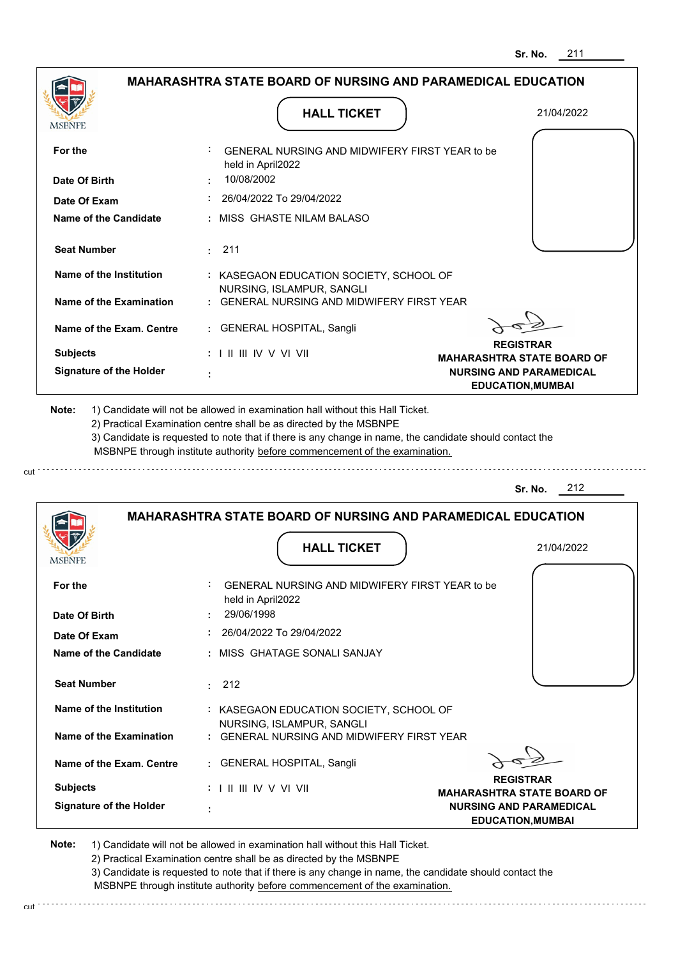|                                       |                                                                                   | Sr. No.<br>211                                             |
|---------------------------------------|-----------------------------------------------------------------------------------|------------------------------------------------------------|
|                                       | <b>MAHARASHTRA STATE BOARD OF NURSING AND PARAMEDICAL EDUCATION</b>               |                                                            |
| <b>MSBNPE</b>                         | <b>HALL TICKET</b>                                                                | 21/04/2022                                                 |
| For the                               | GENERAL NURSING AND MIDWIFERY FIRST YEAR to be<br>held in April2022               |                                                            |
| Date Of Birth                         | 10/08/2002                                                                        |                                                            |
| Date Of Exam                          | 26/04/2022 To 29/04/2022                                                          |                                                            |
| <b>Name of the Candidate</b>          | : MISS_GHASTE NILAM BALASO                                                        |                                                            |
| <b>Seat Number</b>                    | 211                                                                               |                                                            |
| Name of the Institution               | : KASEGAON EDUCATION SOCIETY, SCHOOL OF<br>NURSING, ISLAMPUR, SANGLI              |                                                            |
| Name of the Examination               | GENERAL NURSING AND MIDWIFERY FIRST YEAR                                          |                                                            |
| Name of the Exam. Centre              | <b>GENERAL HOSPITAL, Sangli</b><br>÷.                                             |                                                            |
| <b>Subjects</b>                       | $: 1 \mathbb{H} \mathbb{H} \mathbb{W} \vee \mathbb{V} \mathbb{V} \mathbb{H}$      | <b>REGISTRAR</b><br><b>MAHARASHTRA STATE BOARD OF</b>      |
| <b>Signature of the Holder</b>        |                                                                                   | <b>NURSING AND PARAMEDICAL</b><br><b>EDUCATION, MUMBAI</b> |
|                                       | MSBNPE through institute authority before commencement of the examination.        | 212<br>Sr. No.                                             |
|                                       | <b>MAHARASHTRA STATE BOARD OF NURSING AND PARAMEDICAL EDUCATION</b>               |                                                            |
|                                       | <b>HALL TICKET</b>                                                                | 21/04/2022                                                 |
| For the                               | GENERAL NURSING AND MIDWIFERY FIRST YEAR to be<br>held in April2022<br>29/06/1998 |                                                            |
| Date Of Birth                         | 26/04/2022 To 29/04/2022                                                          |                                                            |
| Date Of Exam<br>Name of the Candidate | : MISS GHATAGE SONALI SANJAY                                                      |                                                            |
| <b>Seat Number</b>                    | : 212                                                                             |                                                            |
| <b>Name of the Institution</b>        | : KASEGAON EDUCATION SOCIETY, SCHOOL OF                                           |                                                            |
| Name of the Examination               | NURSING, ISLAMPUR, SANGLI<br>GENERAL NURSING AND MIDWIFERY FIRST YEAR             |                                                            |
| Name of the Exam. Centre              | : GENERAL HOSPITAL, Sangli                                                        | <b>REGISTRAR</b>                                           |
| <b>Subjects</b>                       |                                                                                   | <b>MAHARASHTRA STATE BOARD OF</b>                          |
| <b>Signature of the Holder</b>        |                                                                                   | <b>NURSING AND PARAMEDICAL</b><br><b>EDUCATION, MUMBAI</b> |
|                                       |                                                                                   |                                                            |

cut

2) Practical Examination centre shall be as directed by the MSBNPE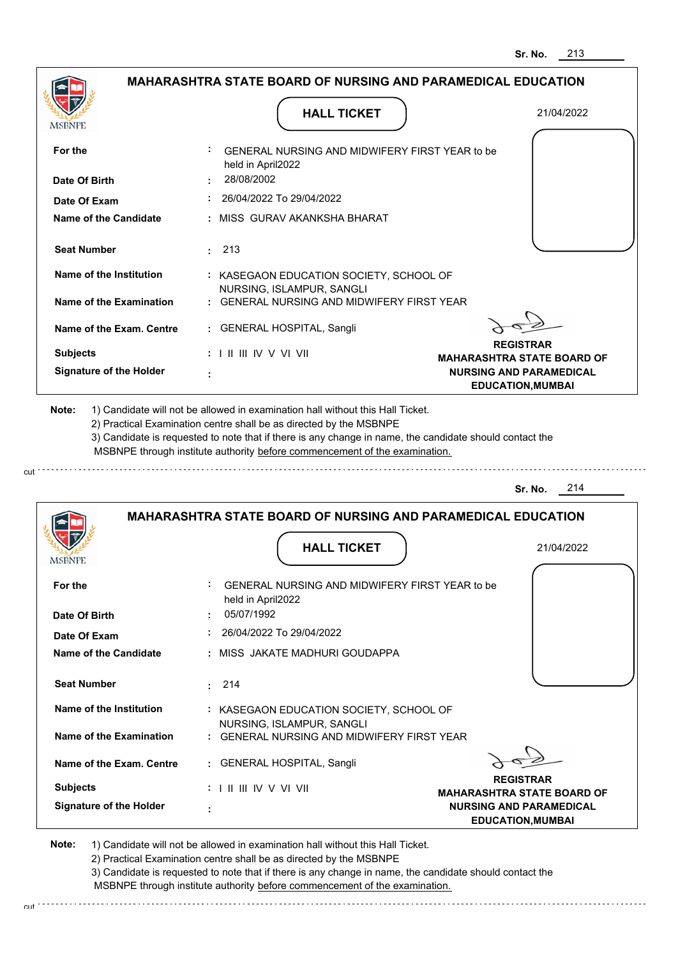|                                                                                                                                                                                                                 | <b>HALL TICKET</b>                                                                                                                                                                                                                                                                                                                            | 21/04/2022                                                 |
|-----------------------------------------------------------------------------------------------------------------------------------------------------------------------------------------------------------------|-----------------------------------------------------------------------------------------------------------------------------------------------------------------------------------------------------------------------------------------------------------------------------------------------------------------------------------------------|------------------------------------------------------------|
| MSBNPE                                                                                                                                                                                                          |                                                                                                                                                                                                                                                                                                                                               |                                                            |
| For the                                                                                                                                                                                                         | GENERAL NURSING AND MIDWIFERY FIRST YEAR to be<br>held in April2022                                                                                                                                                                                                                                                                           |                                                            |
| Date Of Birth                                                                                                                                                                                                   | 28/08/2002                                                                                                                                                                                                                                                                                                                                    |                                                            |
| Date Of Exam                                                                                                                                                                                                    | 26/04/2022 To 29/04/2022                                                                                                                                                                                                                                                                                                                      |                                                            |
| <b>Name of the Candidate</b>                                                                                                                                                                                    | : MISS GURAV AKANKSHA BHARAT                                                                                                                                                                                                                                                                                                                  |                                                            |
| <b>Seat Number</b>                                                                                                                                                                                              | $\pm 213$                                                                                                                                                                                                                                                                                                                                     |                                                            |
| Name of the Institution                                                                                                                                                                                         | : KASEGAON EDUCATION SOCIETY, SCHOOL OF                                                                                                                                                                                                                                                                                                       |                                                            |
| <b>Name of the Examination</b>                                                                                                                                                                                  | NURSING, ISLAMPUR, SANGLI<br>: GENERAL NURSING AND MIDWIFERY FIRST YEAR                                                                                                                                                                                                                                                                       |                                                            |
| Name of the Exam. Centre                                                                                                                                                                                        | : GENERAL HOSPITAL, Sangli                                                                                                                                                                                                                                                                                                                    |                                                            |
| <b>Subjects</b>                                                                                                                                                                                                 |                                                                                                                                                                                                                                                                                                                                               | <b>REGISTRAR</b><br><b>MAHARASHTRA STATE BOARD OF</b>      |
| <b>Signature of the Holder</b>                                                                                                                                                                                  |                                                                                                                                                                                                                                                                                                                                               | <b>NURSING AND PARAMEDICAL</b><br><b>EDUCATION, MUMBAI</b> |
|                                                                                                                                                                                                                 | 1) Candidate will not be allowed in examination hall without this Hall Ticket.<br>2) Practical Examination centre shall be as directed by the MSBNPE<br>3) Candidate is requested to note that if there is any change in name, the candidate should contact the<br>MSBNPE through institute authority before commencement of the examination. | 214<br>Sr. No.                                             |
|                                                                                                                                                                                                                 | <b>MAHARASHTRA STATE BOARD OF NURSING AND PARAMEDICAL EDUCATION</b>                                                                                                                                                                                                                                                                           |                                                            |
|                                                                                                                                                                                                                 | <b>HALL TICKET</b>                                                                                                                                                                                                                                                                                                                            | 21/04/2022                                                 |
|                                                                                                                                                                                                                 | GENERAL NURSING AND MIDWIFERY FIRST YEAR to be                                                                                                                                                                                                                                                                                                |                                                            |
|                                                                                                                                                                                                                 | held in April2022                                                                                                                                                                                                                                                                                                                             |                                                            |
|                                                                                                                                                                                                                 | 05/07/1992                                                                                                                                                                                                                                                                                                                                    |                                                            |
|                                                                                                                                                                                                                 | 26/04/2022 To 29/04/2022<br>: MISS JAKATE MADHURI GOUDAPPA                                                                                                                                                                                                                                                                                    |                                                            |
|                                                                                                                                                                                                                 |                                                                                                                                                                                                                                                                                                                                               |                                                            |
|                                                                                                                                                                                                                 | 214<br>÷.                                                                                                                                                                                                                                                                                                                                     |                                                            |
|                                                                                                                                                                                                                 | : KASEGAON EDUCATION SOCIETY, SCHOOL OF                                                                                                                                                                                                                                                                                                       |                                                            |
|                                                                                                                                                                                                                 | NURSING, ISLAMPUR, SANGLI<br>: GENERAL NURSING AND MIDWIFERY FIRST YEAR                                                                                                                                                                                                                                                                       |                                                            |
|                                                                                                                                                                                                                 | : GENERAL HOSPITAL, Sangli                                                                                                                                                                                                                                                                                                                    |                                                            |
| Note:<br>MSBNPE<br>For the<br>Date Of Birth<br>Date Of Exam<br>Name of the Candidate<br><b>Seat Number</b><br>Name of the Institution<br>Name of the Examination<br>Name of the Exam. Centre<br><b>Subjects</b> |                                                                                                                                                                                                                                                                                                                                               | <b>REGISTRAR</b><br><b>MAHARASHTRA STATE BOARD OF</b>      |

cut

3) Candidate is requested to note that if there is any change in name, the candidate should contact the MSBNPE through institute authority before commencement of the examination.

cut de contra a construction de construction de construction de construction de construction de construction de construction de construction de construction de construction de construction de construction de construction d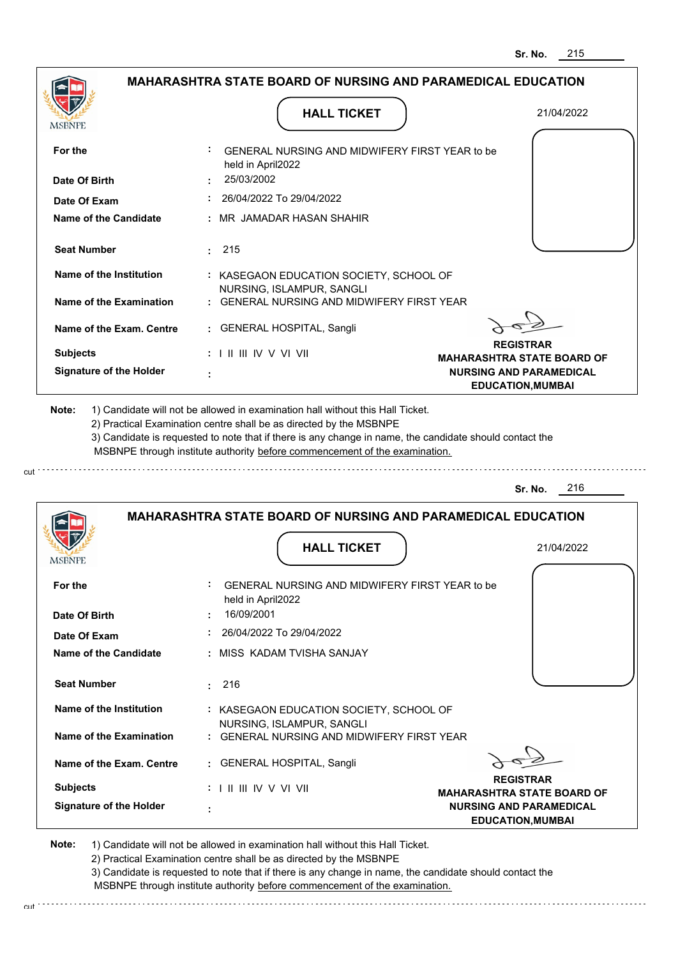|                                                                                       |                                                 | <b>HALL TICKET</b>                                                                                                                                                                                                                                                                                                                            | 21/04/2022                                                 |
|---------------------------------------------------------------------------------------|-------------------------------------------------|-----------------------------------------------------------------------------------------------------------------------------------------------------------------------------------------------------------------------------------------------------------------------------------------------------------------------------------------------|------------------------------------------------------------|
| MSBNPE                                                                                |                                                 |                                                                                                                                                                                                                                                                                                                                               |                                                            |
| For the                                                                               | held in April2022                               | GENERAL NURSING AND MIDWIFERY FIRST YEAR to be                                                                                                                                                                                                                                                                                                |                                                            |
| Date Of Birth                                                                         | 25/03/2002                                      |                                                                                                                                                                                                                                                                                                                                               |                                                            |
| Date Of Exam                                                                          |                                                 | 26/04/2022 To 29/04/2022                                                                                                                                                                                                                                                                                                                      |                                                            |
| <b>Name of the Candidate</b>                                                          |                                                 | : MR JAMADAR HASAN SHAHIR                                                                                                                                                                                                                                                                                                                     |                                                            |
| <b>Seat Number</b>                                                                    | 215<br>÷.                                       |                                                                                                                                                                                                                                                                                                                                               |                                                            |
| Name of the Institution                                                               |                                                 | : KASEGAON EDUCATION SOCIETY, SCHOOL OF                                                                                                                                                                                                                                                                                                       |                                                            |
| <b>Name of the Examination</b>                                                        |                                                 | NURSING, ISLAMPUR, SANGLI<br>GENERAL NURSING AND MIDWIFERY FIRST YEAR                                                                                                                                                                                                                                                                         |                                                            |
| Name of the Exam. Centre                                                              |                                                 | : GENERAL HOSPITAL, Sangli                                                                                                                                                                                                                                                                                                                    |                                                            |
| <b>Subjects</b>                                                                       | $: 1 \parallel \parallel \parallel$ IV V VI VII |                                                                                                                                                                                                                                                                                                                                               | <b>REGISTRAR</b><br><b>MAHARASHTRA STATE BOARD OF</b>      |
| <b>Signature of the Holder</b>                                                        |                                                 |                                                                                                                                                                                                                                                                                                                                               | <b>NURSING AND PARAMEDICAL</b><br><b>EDUCATION, MUMBAI</b> |
|                                                                                       |                                                 | 1) Candidate will not be allowed in examination hall without this Hall Ticket.<br>2) Practical Examination centre shall be as directed by the MSBNPE<br>3) Candidate is requested to note that if there is any change in name, the candidate should contact the<br>MSBNPE through institute authority before commencement of the examination. | 216<br>Sr. No.                                             |
| Note:                                                                                 |                                                 | <b>MAHARASHTRA STATE BOARD OF NURSING AND PARAMEDICAL EDUCATION</b>                                                                                                                                                                                                                                                                           |                                                            |
|                                                                                       |                                                 | <b>HALL TICKET</b>                                                                                                                                                                                                                                                                                                                            | 21/04/2022                                                 |
|                                                                                       |                                                 |                                                                                                                                                                                                                                                                                                                                               |                                                            |
|                                                                                       |                                                 | GENERAL NURSING AND MIDWIFERY FIRST YEAR to be                                                                                                                                                                                                                                                                                                |                                                            |
|                                                                                       | held in April2022<br>16/09/2001                 |                                                                                                                                                                                                                                                                                                                                               |                                                            |
|                                                                                       |                                                 | 26/04/2022 To 29/04/2022                                                                                                                                                                                                                                                                                                                      |                                                            |
| <b>MSBNPE</b><br>For the<br>Date Of Birth<br>Date Of Exam<br>Name of the Candidate    |                                                 | : MISS KADAM TVISHA SANJAY                                                                                                                                                                                                                                                                                                                    |                                                            |
| <b>Seat Number</b>                                                                    | 216                                             |                                                                                                                                                                                                                                                                                                                                               |                                                            |
|                                                                                       |                                                 | : KASEGAON EDUCATION SOCIETY, SCHOOL OF                                                                                                                                                                                                                                                                                                       |                                                            |
|                                                                                       |                                                 | NURSING, ISLAMPUR, SANGLI<br>: GENERAL NURSING AND MIDWIFERY FIRST YEAR                                                                                                                                                                                                                                                                       |                                                            |
| <b>Name of the Institution</b><br>Name of the Examination<br>Name of the Exam. Centre |                                                 | : GENERAL HOSPITAL, Sangli                                                                                                                                                                                                                                                                                                                    |                                                            |
| <b>Subjects</b>                                                                       | : I II III IV V VI VII                          |                                                                                                                                                                                                                                                                                                                                               | <b>REGISTRAR</b><br><b>MAHARASHTRA STATE BOARD OF</b>      |

cut

3) Candidate is requested to note that if there is any change in name, the candidate should contact the MSBNPE through institute authority before commencement of the examination.

cut de la component de la component de la component de la component de la component de la component de la component de la component de la component de la component de la component de la component de la component de la comp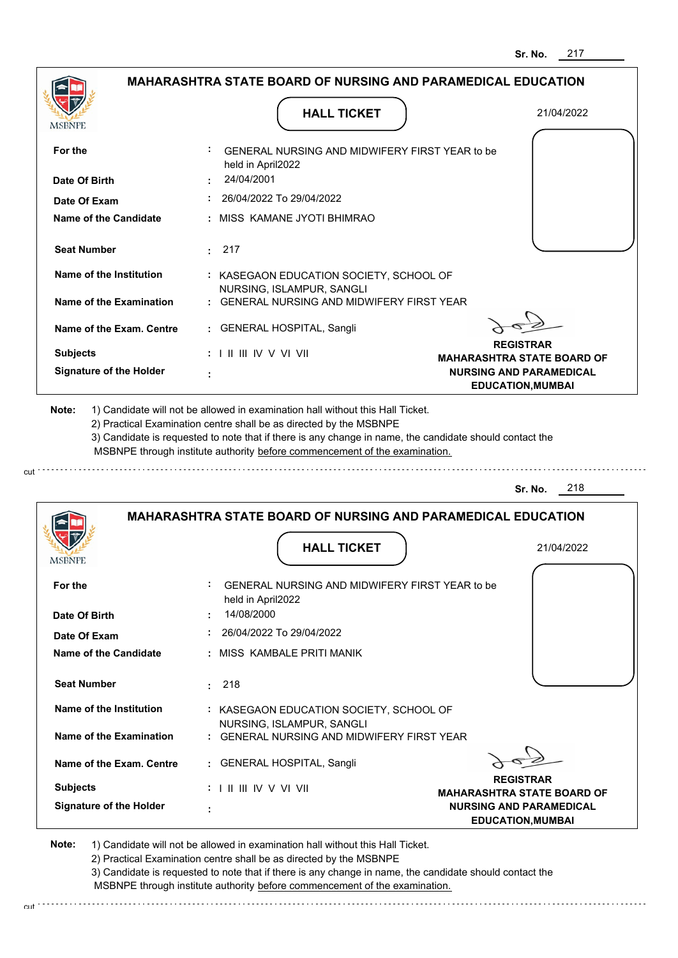|                                    | MAHARASHTRA STATE BOARD OF NURSING AND PARAMEDICAL EDUCATION                                                                                                                                                                                                                                                                                  |                                                                     |
|------------------------------------|-----------------------------------------------------------------------------------------------------------------------------------------------------------------------------------------------------------------------------------------------------------------------------------------------------------------------------------------------|---------------------------------------------------------------------|
|                                    | <b>HALL TICKET</b>                                                                                                                                                                                                                                                                                                                            | 21/04/2022                                                          |
| MSBNPE                             |                                                                                                                                                                                                                                                                                                                                               |                                                                     |
| For the                            | GENERAL NURSING AND MIDWIFERY FIRST YEAR to be<br>held in April2022                                                                                                                                                                                                                                                                           |                                                                     |
| Date Of Birth                      | 24/04/2001                                                                                                                                                                                                                                                                                                                                    |                                                                     |
| Date Of Exam                       | 26/04/2022 To 29/04/2022                                                                                                                                                                                                                                                                                                                      |                                                                     |
| Name of the Candidate              | : MISS KAMANE JYOTI BHIMRAO                                                                                                                                                                                                                                                                                                                   |                                                                     |
| <b>Seat Number</b>                 | 217                                                                                                                                                                                                                                                                                                                                           |                                                                     |
| Name of the Institution            | : KASEGAON EDUCATION SOCIETY, SCHOOL OF                                                                                                                                                                                                                                                                                                       |                                                                     |
| Name of the Examination            | NURSING, ISLAMPUR, SANGLI<br><b>GENERAL NURSING AND MIDWIFERY FIRST YEAR</b>                                                                                                                                                                                                                                                                  |                                                                     |
| Name of the Exam. Centre           | <b>GENERAL HOSPITAL, Sangli</b><br>$\mathbf{L}$                                                                                                                                                                                                                                                                                               |                                                                     |
| <b>Subjects</b>                    | $: 1 \mathbb{I}$ III IIV V VI VII                                                                                                                                                                                                                                                                                                             | <b>REGISTRAR</b>                                                    |
| <b>Signature of the Holder</b>     |                                                                                                                                                                                                                                                                                                                                               | <b>MAHARASHTRA STATE BOARD OF</b><br><b>NURSING AND PARAMEDICAL</b> |
|                                    |                                                                                                                                                                                                                                                                                                                                               | <b>EDUCATION, MUMBAI</b>                                            |
|                                    | 1) Candidate will not be allowed in examination hall without this Hall Ticket.<br>2) Practical Examination centre shall be as directed by the MSBNPE<br>3) Candidate is requested to note that if there is any change in name, the candidate should contact the<br>MSBNPE through institute authority before commencement of the examination. |                                                                     |
|                                    |                                                                                                                                                                                                                                                                                                                                               | 218<br>Sr. No.                                                      |
|                                    | <b>MAHARASHTRA STATE BOARD OF NURSING AND PARAMEDICAL EDUCATION</b>                                                                                                                                                                                                                                                                           |                                                                     |
|                                    | <b>HALL TICKET</b>                                                                                                                                                                                                                                                                                                                            | 21/04/2022                                                          |
| For the                            | GENERAL NURSING AND MIDWIFERY FIRST YEAR to be<br>held in April2022                                                                                                                                                                                                                                                                           |                                                                     |
| Date Of Birth                      | 14/08/2000                                                                                                                                                                                                                                                                                                                                    |                                                                     |
| Date Of Exam                       | 26/04/2022 To 29/04/2022                                                                                                                                                                                                                                                                                                                      |                                                                     |
| <b>Name of the Candidate</b>       | MISS KAMBALE PRITI MANIK                                                                                                                                                                                                                                                                                                                      |                                                                     |
| <b>Seat Number</b>                 | 218<br>t.                                                                                                                                                                                                                                                                                                                                     |                                                                     |
| Name of the Institution            | : KASEGAON EDUCATION SOCIETY, SCHOOL OF                                                                                                                                                                                                                                                                                                       |                                                                     |
| Name of the Examination            | NURSING, ISLAMPUR, SANGLI<br><b>GENERAL NURSING AND MIDWIFERY FIRST YEAR</b>                                                                                                                                                                                                                                                                  |                                                                     |
| Name of the Exam. Centre           | <b>GENERAL HOSPITAL, Sangli</b>                                                                                                                                                                                                                                                                                                               |                                                                     |
| Note:<br>MSBNPE<br><b>Subjects</b> | $: 1 \mathbb{I}$ III IIV V VI VII                                                                                                                                                                                                                                                                                                             | <b>REGISTRAR</b><br><b>MAHARASHTRA STATE BOARD OF</b>               |

cut

2) Practical Examination centre shall be as directed by the MSBNPE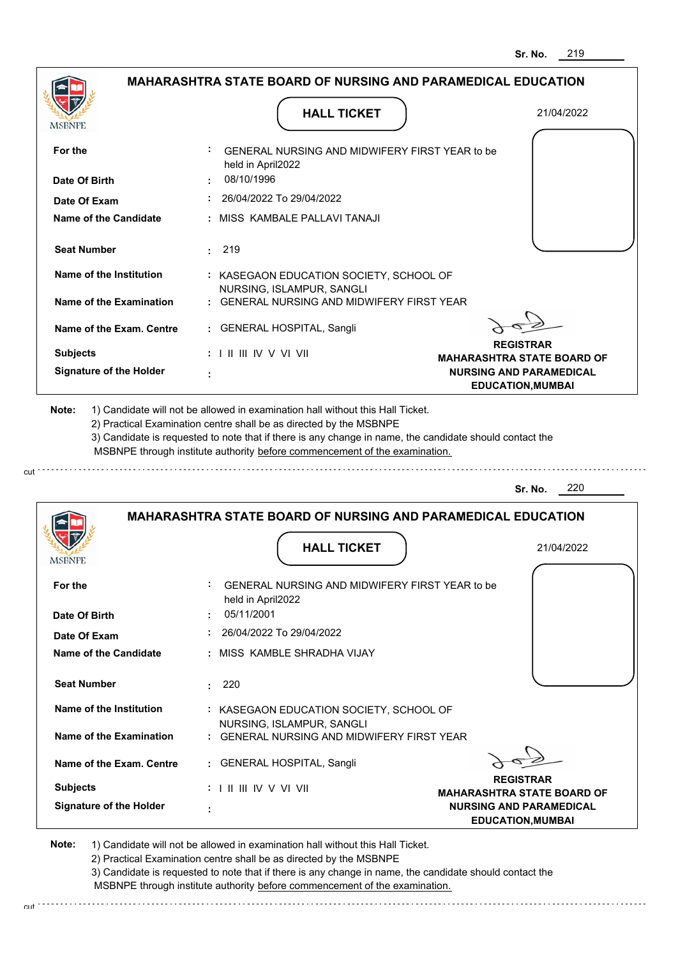| MSBNPE                                                                                                  | <b>HALL TICKET</b>                                                                                                                                                                                                                                                                                                                            | 21/04/2022                                                          |
|---------------------------------------------------------------------------------------------------------|-----------------------------------------------------------------------------------------------------------------------------------------------------------------------------------------------------------------------------------------------------------------------------------------------------------------------------------------------|---------------------------------------------------------------------|
|                                                                                                         |                                                                                                                                                                                                                                                                                                                                               |                                                                     |
| For the                                                                                                 | GENERAL NURSING AND MIDWIFERY FIRST YEAR to be<br>held in April2022                                                                                                                                                                                                                                                                           |                                                                     |
| Date Of Birth                                                                                           | 08/10/1996                                                                                                                                                                                                                                                                                                                                    |                                                                     |
| Date Of Exam                                                                                            | 26/04/2022 To 29/04/2022                                                                                                                                                                                                                                                                                                                      |                                                                     |
| <b>Name of the Candidate</b>                                                                            | MISS KAMBALE PALLAVI TANAJI                                                                                                                                                                                                                                                                                                                   |                                                                     |
| <b>Seat Number</b>                                                                                      | 219<br>÷.                                                                                                                                                                                                                                                                                                                                     |                                                                     |
| Name of the Institution                                                                                 | : KASEGAON EDUCATION SOCIETY, SCHOOL OF                                                                                                                                                                                                                                                                                                       |                                                                     |
| <b>Name of the Examination</b>                                                                          | NURSING, ISLAMPUR, SANGLI<br><b>GENERAL NURSING AND MIDWIFERY FIRST YEAR</b>                                                                                                                                                                                                                                                                  |                                                                     |
| Name of the Exam. Centre                                                                                | : GENERAL HOSPITAL, Sangli                                                                                                                                                                                                                                                                                                                    |                                                                     |
| <b>Subjects</b>                                                                                         | : I II III IV V VI VII                                                                                                                                                                                                                                                                                                                        | <b>REGISTRAR</b>                                                    |
| <b>Signature of the Holder</b>                                                                          |                                                                                                                                                                                                                                                                                                                                               | <b>MAHARASHTRA STATE BOARD OF</b><br><b>NURSING AND PARAMEDICAL</b> |
|                                                                                                         | 1) Candidate will not be allowed in examination hall without this Hall Ticket.<br>2) Practical Examination centre shall be as directed by the MSBNPE<br>3) Candidate is requested to note that if there is any change in name, the candidate should contact the<br>MSBNPE through institute authority before commencement of the examination. |                                                                     |
| Note:                                                                                                   |                                                                                                                                                                                                                                                                                                                                               | 220<br>Sr. No.                                                      |
|                                                                                                         | <b>MAHARASHTRA STATE BOARD OF NURSING AND PARAMEDICAL EDUCATION</b>                                                                                                                                                                                                                                                                           |                                                                     |
|                                                                                                         | <b>HALL TICKET</b>                                                                                                                                                                                                                                                                                                                            | 21/04/2022                                                          |
| MSBNPE<br>For the                                                                                       | GENERAL NURSING AND MIDWIFERY FIRST YEAR to be                                                                                                                                                                                                                                                                                                |                                                                     |
|                                                                                                         | held in April2022                                                                                                                                                                                                                                                                                                                             |                                                                     |
|                                                                                                         | 05/11/2001                                                                                                                                                                                                                                                                                                                                    |                                                                     |
|                                                                                                         | 26/04/2022 To 29/04/2022                                                                                                                                                                                                                                                                                                                      |                                                                     |
|                                                                                                         | MISS KAMBLE SHRADHA VIJAY                                                                                                                                                                                                                                                                                                                     |                                                                     |
|                                                                                                         | 220<br>÷.                                                                                                                                                                                                                                                                                                                                     |                                                                     |
| Date Of Birth<br>Date Of Exam<br>Name of the Candidate<br><b>Seat Number</b><br>Name of the Institution | : KASEGAON EDUCATION SOCIETY, SCHOOL OF                                                                                                                                                                                                                                                                                                       |                                                                     |
| <b>Name of the Examination</b>                                                                          | NURSING, ISLAMPUR, SANGLI<br><b>GENERAL NURSING AND MIDWIFERY FIRST YEAR</b>                                                                                                                                                                                                                                                                  |                                                                     |
|                                                                                                         | : GENERAL HOSPITAL, Sangli                                                                                                                                                                                                                                                                                                                    |                                                                     |
| Name of the Exam. Centre<br><b>Subjects</b>                                                             | : I II III IV V VI VII                                                                                                                                                                                                                                                                                                                        | <b>REGISTRAR</b><br><b>MAHARASHTRA STATE BOARD OF</b>               |

2) Practical Examination centre shall be as directed by the MSBNPE

3) Candidate is requested to note that if there is any change in name, the candidate should contact the MSBNPE through institute authority before commencement of the examination.

cut de contra a construction de construction de construction de construction de construction de construction de construction de construction de construction de construction de construction de construction de construction d

cut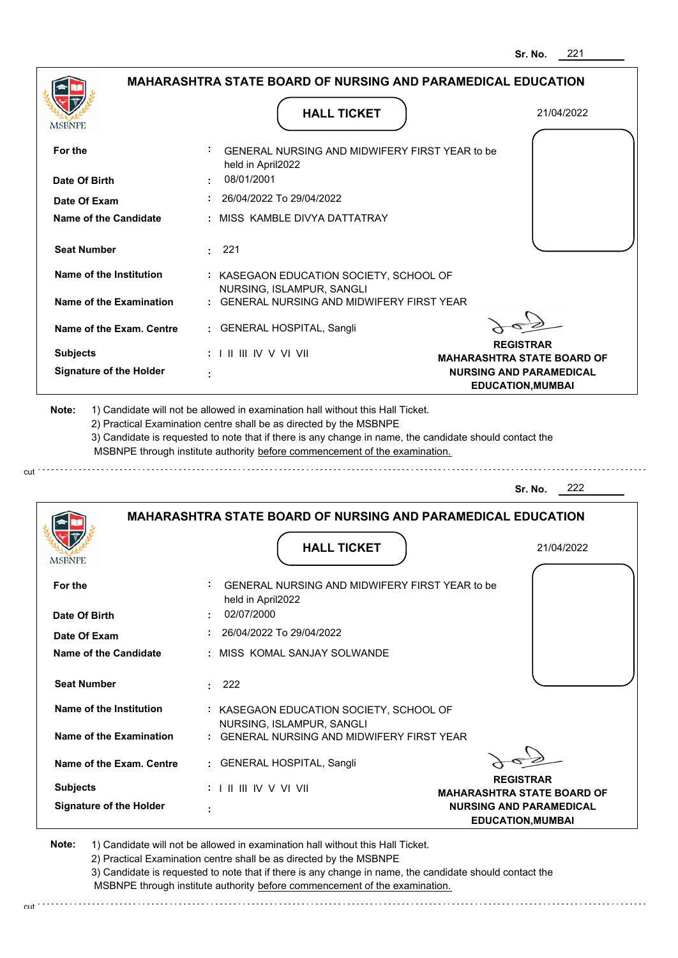|                                |                                                                                   | 221<br>Sr. No.                                                                                  |
|--------------------------------|-----------------------------------------------------------------------------------|-------------------------------------------------------------------------------------------------|
|                                | <b>MAHARASHTRA STATE BOARD OF NURSING AND PARAMEDICAL EDUCATION</b>               |                                                                                                 |
| MSBNPE                         | <b>HALL TICKET</b>                                                                | 21/04/2022                                                                                      |
| For the                        | GENERAL NURSING AND MIDWIFERY FIRST YEAR to be<br>held in April2022               |                                                                                                 |
| Date Of Birth                  | 08/01/2001                                                                        |                                                                                                 |
| Date Of Exam                   | 26/04/2022 To 29/04/2022                                                          |                                                                                                 |
| <b>Name of the Candidate</b>   | : MISS KAMBLE DIVYA DATTATRAY                                                     |                                                                                                 |
| <b>Seat Number</b>             | $\cdot$ 221                                                                       |                                                                                                 |
| Name of the Institution        | : KASEGAON EDUCATION SOCIETY, SCHOOL OF                                           |                                                                                                 |
| Name of the Examination        | NURSING, ISLAMPUR, SANGLI<br><b>GENERAL NURSING AND MIDWIFERY FIRST YEAR</b>      |                                                                                                 |
| Name of the Exam. Centre       | <b>GENERAL HOSPITAL, Sangli</b>                                                   |                                                                                                 |
| <b>Subjects</b>                | : I II III IV V VI VII                                                            | <b>REGISTRAR</b>                                                                                |
| <b>Signature of the Holder</b> |                                                                                   | <b>MAHARASHTRA STATE BOARD OF</b><br><b>NURSING AND PARAMEDICAL</b><br><b>EDUCATION, MUMBAI</b> |
|                                | MSBNPE through institute authority before commencement of the examination.        | 222<br>Sr. No.                                                                                  |
|                                | <b>MAHARASHTRA STATE BOARD OF NURSING AND PARAMEDICAL EDUCATION</b>               |                                                                                                 |
| MSBNFE                         | <b>HALL TICKET</b>                                                                | 21/04/2022                                                                                      |
| For the<br>Date Of Birth       | GENERAL NURSING AND MIDWIFERY FIRST YEAR to be<br>held in April2022<br>02/07/2000 |                                                                                                 |
| Date Of Exam                   | 26/04/2022 To 29/04/2022                                                          |                                                                                                 |
| <b>Name of the Candidate</b>   | : MISS_KOMAL SANJAY SOLWANDE                                                      |                                                                                                 |
| <b>Seat Number</b>             |                                                                                   |                                                                                                 |
|                                | 222<br>$\bullet$                                                                  |                                                                                                 |
| Name of the Institution        | : KASEGAON EDUCATION SOCIETY, SCHOOL OF<br>NURSING, ISLAMPUR, SANGLI              |                                                                                                 |
| <b>Name of the Examination</b> | : GENERAL NURSING AND MIDWIFERY FIRST YEAR                                        |                                                                                                 |
| Name of the Exam. Centre       | : GENERAL HOSPITAL, Sangli                                                        |                                                                                                 |
| <b>Subjects</b>                |                                                                                   | <b>REGISTRAR</b>                                                                                |
| <b>Signature of the Holder</b> |                                                                                   | <b>MAHARASHTRA STATE BOARD OF</b>                                                               |

cut

2) Practical Examination centre shall be as directed by the MSBNPE

3) Candidate is requested to note that if there is any change in name, the candidate should contact the MSBNPE through institute authority before commencement of the examination. cut de la component de la component de la component de la component de la component de la component de la component de la component de la component de la component de la component de la component de la component de la comp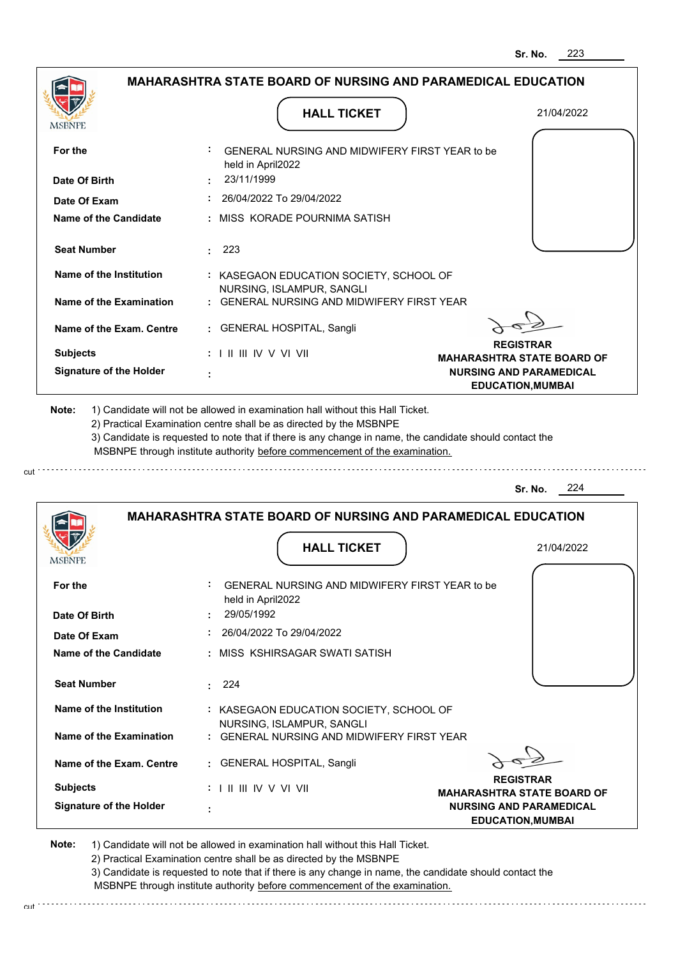| MSBNPE                                                                                                                                      | <b>HALL TICKET</b>                                                                                                                                                                                                                                                                                                                            | 21/04/2022                                                                                      |
|---------------------------------------------------------------------------------------------------------------------------------------------|-----------------------------------------------------------------------------------------------------------------------------------------------------------------------------------------------------------------------------------------------------------------------------------------------------------------------------------------------|-------------------------------------------------------------------------------------------------|
| For the                                                                                                                                     | GENERAL NURSING AND MIDWIFERY FIRST YEAR to be<br>held in April2022                                                                                                                                                                                                                                                                           |                                                                                                 |
| Date Of Birth                                                                                                                               | 23/11/1999                                                                                                                                                                                                                                                                                                                                    |                                                                                                 |
| Date Of Exam                                                                                                                                | 26/04/2022 To 29/04/2022                                                                                                                                                                                                                                                                                                                      |                                                                                                 |
| Name of the Candidate                                                                                                                       | : MISS KORADE POURNIMA SATISH                                                                                                                                                                                                                                                                                                                 |                                                                                                 |
| <b>Seat Number</b>                                                                                                                          | : 223                                                                                                                                                                                                                                                                                                                                         |                                                                                                 |
| Name of the Institution                                                                                                                     | : KASEGAON EDUCATION SOCIETY, SCHOOL OF                                                                                                                                                                                                                                                                                                       |                                                                                                 |
| Name of the Examination                                                                                                                     | NURSING, ISLAMPUR, SANGLI<br>: GENERAL NURSING AND MIDWIFFRY FIRST YFAR                                                                                                                                                                                                                                                                       |                                                                                                 |
| Name of the Exam. Centre                                                                                                                    | : GENERAL HOSPITAL, Sangli                                                                                                                                                                                                                                                                                                                    |                                                                                                 |
| <b>Subjects</b>                                                                                                                             | $: 1 \mathbb{H} \mathbb{H} \mathbb{V} \vee \mathbb{V} \mathbb{V} \mathbb{H}$                                                                                                                                                                                                                                                                  | <b>REGISTRAR</b>                                                                                |
| <b>Signature of the Holder</b>                                                                                                              |                                                                                                                                                                                                                                                                                                                                               | <b>MAHARASHTRA STATE BOARD OF</b><br><b>NURSING AND PARAMEDICAL</b><br><b>EDUCATION, MUMBAI</b> |
|                                                                                                                                             | 1) Candidate will not be allowed in examination hall without this Hall Ticket.<br>2) Practical Examination centre shall be as directed by the MSBNPE<br>3) Candidate is requested to note that if there is any change in name, the candidate should contact the<br>MSBNPE through institute authority before commencement of the examination. |                                                                                                 |
| Note:                                                                                                                                       |                                                                                                                                                                                                                                                                                                                                               | 224<br>Sr. No.                                                                                  |
|                                                                                                                                             | <b>MAHARASHTRA STATE BOARD OF NURSING AND PARAMEDICAL EDUCATION</b>                                                                                                                                                                                                                                                                           |                                                                                                 |
|                                                                                                                                             | <b>HALL TICKET</b>                                                                                                                                                                                                                                                                                                                            | 21/04/2022                                                                                      |
|                                                                                                                                             | GENERAL NURSING AND MIDWIFERY FIRST YEAR to be<br>held in April2022<br>29/05/1992                                                                                                                                                                                                                                                             |                                                                                                 |
|                                                                                                                                             | 26/04/2022 To 29/04/2022                                                                                                                                                                                                                                                                                                                      |                                                                                                 |
|                                                                                                                                             | : MISS KSHIRSAGAR SWATI SATISH                                                                                                                                                                                                                                                                                                                |                                                                                                 |
|                                                                                                                                             | 224<br>t.                                                                                                                                                                                                                                                                                                                                     |                                                                                                 |
| Name of the Institution                                                                                                                     | : KASEGAON EDUCATION SOCIETY, SCHOOL OF                                                                                                                                                                                                                                                                                                       |                                                                                                 |
| Name of the Examination                                                                                                                     | NURSING, ISLAMPUR, SANGLI<br>: GENERAL NURSING AND MIDWIFERY FIRST YEAR                                                                                                                                                                                                                                                                       |                                                                                                 |
| <b>MSBNPE</b><br>For the<br>Date Of Birth<br>Date Of Exam<br><b>Name of the Candidate</b><br><b>Seat Number</b><br>Name of the Exam. Centre | : GENERAL HOSPITAL, Sangli                                                                                                                                                                                                                                                                                                                    |                                                                                                 |

2) Practical Examination centre shall be as directed by the MSBNPE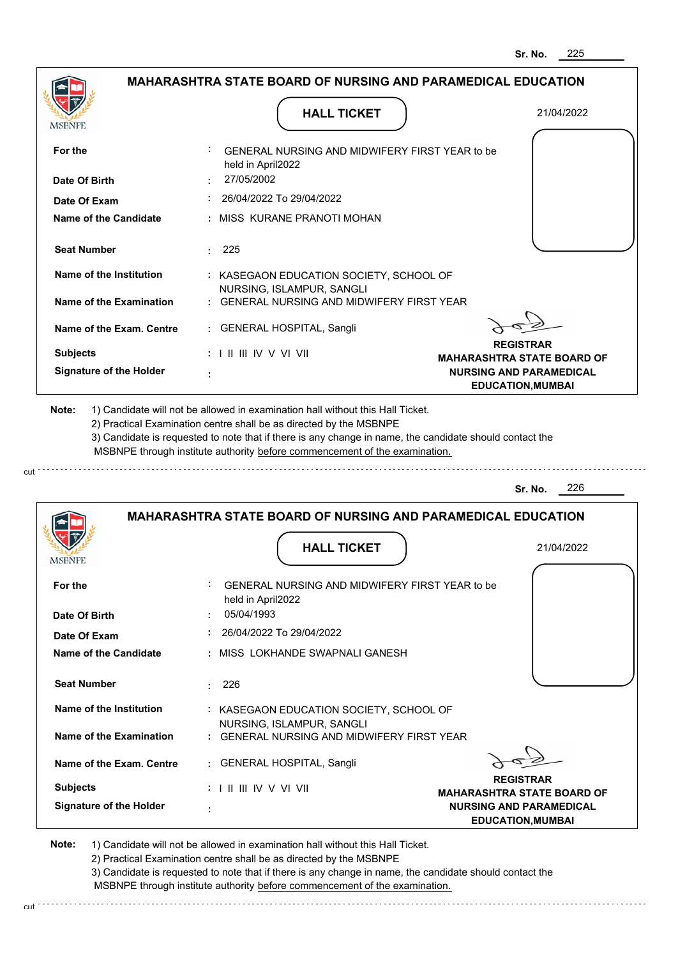|                                               | <b>MAHARASHTRA STATE BOARD OF NURSING AND PARAMEDICAL EDUCATION</b>                                                                                                                                                                                                                                                                           |                                                            |
|-----------------------------------------------|-----------------------------------------------------------------------------------------------------------------------------------------------------------------------------------------------------------------------------------------------------------------------------------------------------------------------------------------------|------------------------------------------------------------|
| <b>MSBNPE</b>                                 | <b>HALL TICKET</b>                                                                                                                                                                                                                                                                                                                            | 21/04/2022                                                 |
| For the                                       | GENERAL NURSING AND MIDWIFERY FIRST YEAR to be<br>held in April2022                                                                                                                                                                                                                                                                           |                                                            |
| Date Of Birth                                 | 27/05/2002                                                                                                                                                                                                                                                                                                                                    |                                                            |
| Date Of Exam                                  | 26/04/2022 To 29/04/2022                                                                                                                                                                                                                                                                                                                      |                                                            |
| Name of the Candidate                         | : MISS KURANE PRANOTI MOHAN                                                                                                                                                                                                                                                                                                                   |                                                            |
| <b>Seat Number</b>                            | 225                                                                                                                                                                                                                                                                                                                                           |                                                            |
| Name of the Institution                       | : KASEGAON EDUCATION SOCIETY, SCHOOL OF                                                                                                                                                                                                                                                                                                       |                                                            |
| Name of the Examination                       | NURSING, ISLAMPUR, SANGLI<br>: GENERAL NURSING AND MIDWIFERY FIRST YEAR                                                                                                                                                                                                                                                                       |                                                            |
| Name of the Exam. Centre                      | : GENERAL HOSPITAL, Sangli                                                                                                                                                                                                                                                                                                                    |                                                            |
| <b>Subjects</b>                               | : I II III IV V VI VII                                                                                                                                                                                                                                                                                                                        | <b>REGISTRAR</b><br><b>MAHARASHTRA STATE BOARD OF</b>      |
| <b>Signature of the Holder</b>                |                                                                                                                                                                                                                                                                                                                                               | <b>NURSING AND PARAMEDICAL</b><br><b>EDUCATION, MUMBAI</b> |
|                                               | 1) Candidate will not be allowed in examination hall without this Hall Ticket.<br>2) Practical Examination centre shall be as directed by the MSBNPE<br>3) Candidate is requested to note that if there is any change in name, the candidate should contact the<br>MSBNPE through institute authority before commencement of the examination. |                                                            |
| Note:                                         |                                                                                                                                                                                                                                                                                                                                               | 226<br>Sr. No.                                             |
|                                               | <b>MAHARASHTRA STATE BOARD OF NURSING AND PARAMEDICAL EDUCATION</b>                                                                                                                                                                                                                                                                           |                                                            |
|                                               | <b>HALL TICKET</b>                                                                                                                                                                                                                                                                                                                            | 21/04/2022                                                 |
|                                               | GENERAL NURSING AND MIDWIFERY FIRST YEAR to be<br>held in April2022                                                                                                                                                                                                                                                                           |                                                            |
| <b>MSBNPE</b><br>For the<br>Date Of Birth     | 05/04/1993                                                                                                                                                                                                                                                                                                                                    |                                                            |
|                                               | 26/04/2022 To 29/04/2022                                                                                                                                                                                                                                                                                                                      |                                                            |
| Date Of Exam<br><b>Name of the Candidate</b>  | : MISS LOKHANDE SWAPNALI GANESH                                                                                                                                                                                                                                                                                                               |                                                            |
|                                               | 226<br>t.                                                                                                                                                                                                                                                                                                                                     |                                                            |
| <b>Seat Number</b><br>Name of the Institution | : KASEGAON EDUCATION SOCIETY, SCHOOL OF                                                                                                                                                                                                                                                                                                       |                                                            |
| Name of the Examination                       | NURSING, ISLAMPUR, SANGLI<br>: GENERAL NURSING AND MIDWIFERY FIRST YEAR                                                                                                                                                                                                                                                                       |                                                            |

**Note:**  1) Candidate will not be allowed in examination hall without this Hall Ticket. 2) Practical Examination centre shall be as directed by the MSBNPE

cut.

3) Candidate is requested to note that if there is any change in name, the candidate should contact the

MSBNPE through institute authority before commencement of the examination.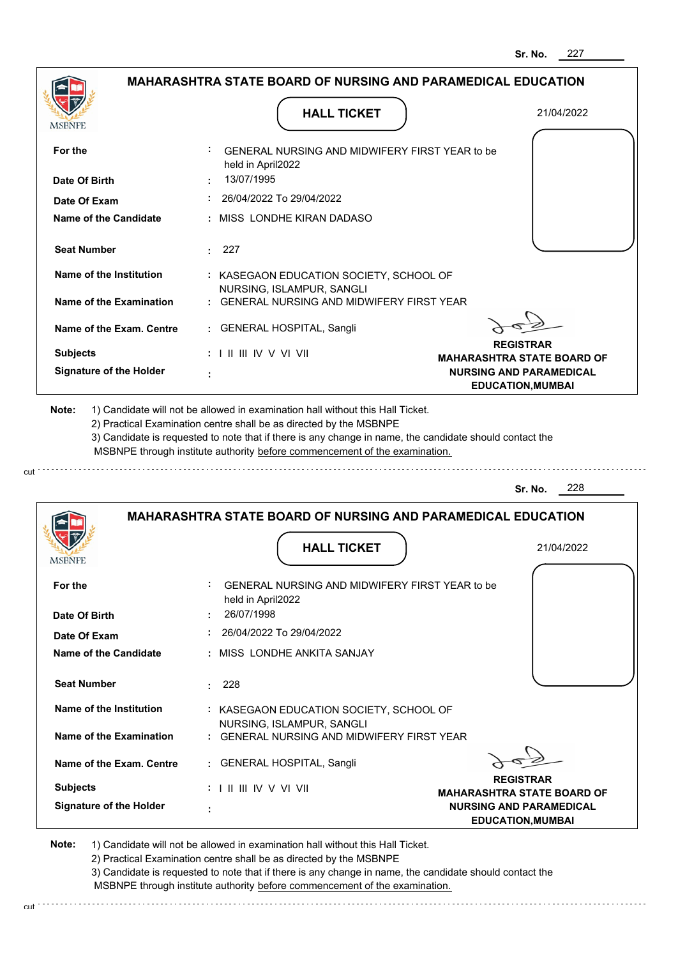| <b>MSBNPE</b>                  | <b>HALL TICKET</b>                                                                                                                                                                                                                                          | 21/04/2022                                                                                      |
|--------------------------------|-------------------------------------------------------------------------------------------------------------------------------------------------------------------------------------------------------------------------------------------------------------|-------------------------------------------------------------------------------------------------|
| For the                        | GENERAL NURSING AND MIDWIFERY FIRST YEAR to be<br>held in April2022                                                                                                                                                                                         |                                                                                                 |
| Date Of Birth                  | 13/07/1995                                                                                                                                                                                                                                                  |                                                                                                 |
| Date Of Exam                   | 26/04/2022 To 29/04/2022                                                                                                                                                                                                                                    |                                                                                                 |
| Name of the Candidate          | : MISS LONDHE KIRAN DADASO                                                                                                                                                                                                                                  |                                                                                                 |
| <b>Seat Number</b>             | 227                                                                                                                                                                                                                                                         |                                                                                                 |
| Name of the Institution        | : KASEGAON EDUCATION SOCIETY, SCHOOL OF<br>NURSING, ISLAMPUR, SANGLI                                                                                                                                                                                        |                                                                                                 |
| Name of the Examination        | : GENERAL NURSING AND MIDWIFERY FIRST YEAR                                                                                                                                                                                                                  |                                                                                                 |
| Name of the Exam. Centre       | : GENERAL HOSPITAL, Sangli                                                                                                                                                                                                                                  |                                                                                                 |
| <b>Subjects</b>                | $: 1 \parallel \parallel \parallel$ IV V VI VII                                                                                                                                                                                                             | <b>REGISTRAR</b>                                                                                |
| <b>Signature of the Holder</b> |                                                                                                                                                                                                                                                             | <b>MAHARASHTRA STATE BOARD OF</b><br><b>NURSING AND PARAMEDICAL</b><br><b>EDUCATION, MUMBAI</b> |
|                                | 2) Practical Examination centre shall be as directed by the MSBNPE<br>3) Candidate is requested to note that if there is any change in name, the candidate should contact the<br>MSBNPE through institute authority before commencement of the examination. | 228<br>Sr. No.                                                                                  |
|                                |                                                                                                                                                                                                                                                             |                                                                                                 |
|                                | <b>MAHARASHTRA STATE BOARD OF NURSING AND PARAMEDICAL EDUCATION</b>                                                                                                                                                                                         |                                                                                                 |
|                                | <b>HALL TICKET</b>                                                                                                                                                                                                                                          | 21/04/2022                                                                                      |
| For the                        | GENERAL NURSING AND MIDWIFERY FIRST YEAR to be<br>held in April2022                                                                                                                                                                                         |                                                                                                 |
| Date Of Birth                  | 26/07/1998                                                                                                                                                                                                                                                  |                                                                                                 |
| Date Of Exam                   | 26/04/2022 To 29/04/2022                                                                                                                                                                                                                                    |                                                                                                 |
| Name of the Candidate          | : MISS LONDHE ANKITA SANJAY                                                                                                                                                                                                                                 |                                                                                                 |
| <b>Seat Number</b>             | 228<br>$\sim$                                                                                                                                                                                                                                               |                                                                                                 |
| Name of the Institution        | : KASEGAON EDUCATION SOCIETY, SCHOOL OF                                                                                                                                                                                                                     |                                                                                                 |
| Name of the Examination        | NURSING, ISLAMPUR, SANGLI<br>: GENERAL NURSING AND MIDWIFERY FIRST YEAR                                                                                                                                                                                     |                                                                                                 |
| Name of the Exam. Centre       | : GENERAL HOSPITAL, Sangli                                                                                                                                                                                                                                  |                                                                                                 |
| <b>Subjects</b>                | : I II III IV V VI VII                                                                                                                                                                                                                                      | <b>REGISTRAR</b><br><b>MAHARASHTRA STATE BOARD OF</b>                                           |

2) Practical Examination centre shall be as directed by the MSBNPE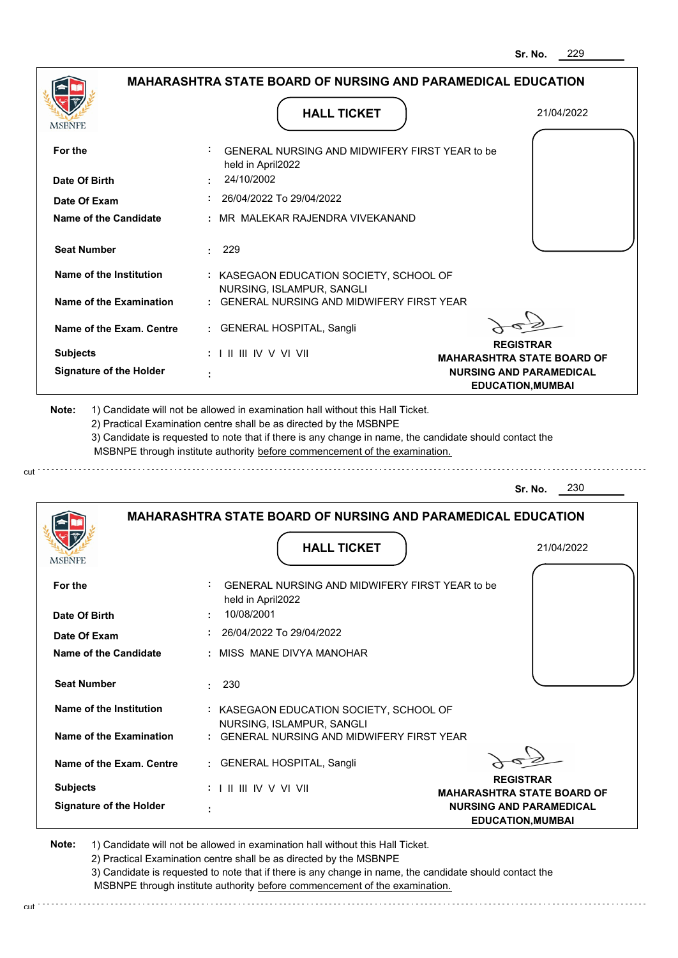|                                |                                                                          | 229<br>Sr. No.                                             |
|--------------------------------|--------------------------------------------------------------------------|------------------------------------------------------------|
|                                | <b>MAHARASHTRA STATE BOARD OF NURSING AND PARAMEDICAL EDUCATION</b>      |                                                            |
| MSBNPE                         | <b>HALL TICKET</b>                                                       | 21/04/2022                                                 |
| For the                        | GENERAL NURSING AND MIDWIFERY FIRST YEAR to be<br>held in April2022      |                                                            |
| Date Of Birth                  | 24/10/2002                                                               |                                                            |
| Date Of Exam                   | 26/04/2022 To 29/04/2022                                                 |                                                            |
| Name of the Candidate          | MR MALEKAR RAJENDRA VIVEKANAND                                           |                                                            |
| <b>Seat Number</b>             | 229                                                                      |                                                            |
| <b>Name of the Institution</b> | : KASEGAON EDUCATION SOCIETY, SCHOOL OF                                  |                                                            |
| <b>Name of the Examination</b> | NURSING, ISLAMPUR, SANGLI<br>: GENERAL NURSING AND MIDWIFERY FIRST YEAR  |                                                            |
| Name of the Exam. Centre       | <b>GENERAL HOSPITAL, Sangli</b>                                          |                                                            |
| <b>Subjects</b>                | : I II III IV V VI VII                                                   | <b>REGISTRAR</b><br><b>MAHARASHTRA STATE BOARD OF</b>      |
| <b>Signature of the Holder</b> |                                                                          | <b>NURSING AND PARAMEDICAL</b><br><b>EDUCATION, MUMBAI</b> |
|                                |                                                                          | 230<br>Sr. No.                                             |
|                                | <b>MAHARASHTRA STATE BOARD OF NURSING AND PARAMEDICAL EDUCATION</b>      |                                                            |
| MSBNPE                         | <b>HALL TICKET</b>                                                       | 21/04/2022                                                 |
| For the                        | ÷<br>GENERAL NURSING AND MIDWIFERY FIRST YEAR to be<br>held in April2022 |                                                            |
| Date Of Birth                  | 10/08/2001                                                               |                                                            |
| Date Of Exam                   | 26/04/2022 To 29/04/2022                                                 |                                                            |
| Name of the Candidate          | MISS MANE DIVYA MANOHAR                                                  |                                                            |
| <b>Seat Number</b>             | 230<br>÷                                                                 |                                                            |
| <b>Name of the Institution</b> | : KASEGAON EDUCATION SOCIETY, SCHOOL OF<br>NURSING, ISLAMPUR, SANGLI     |                                                            |
| <b>Name of the Examination</b> | : GENERAL NURSING AND MIDWIFERY FIRST YEAR                               |                                                            |
| Name of the Exam. Centre       | : GENERAL HOSPITAL, Sangli                                               |                                                            |
| <b>Subjects</b>                | $: 1 \mathbb{I}$ III IIV V VI VII                                        | <b>REGISTRAR</b><br><b>MAHARASHTRA STATE BOARD OF</b>      |
| <b>Signature of the Holder</b> | ÷                                                                        | <b>NURSING AND PARAMEDICAL</b><br><b>EDUCATION, MUMBAI</b> |

cut

2) Practical Examination centre shall be as directed by the MSBNPE

3) Candidate is requested to note that if there is any change in name, the candidate should contact the MSBNPE through institute authority before commencement of the examination. cut de la component de la component de la component de la component de la component de la component de la component de la component de la component de la component de la component de la component de la component de la comp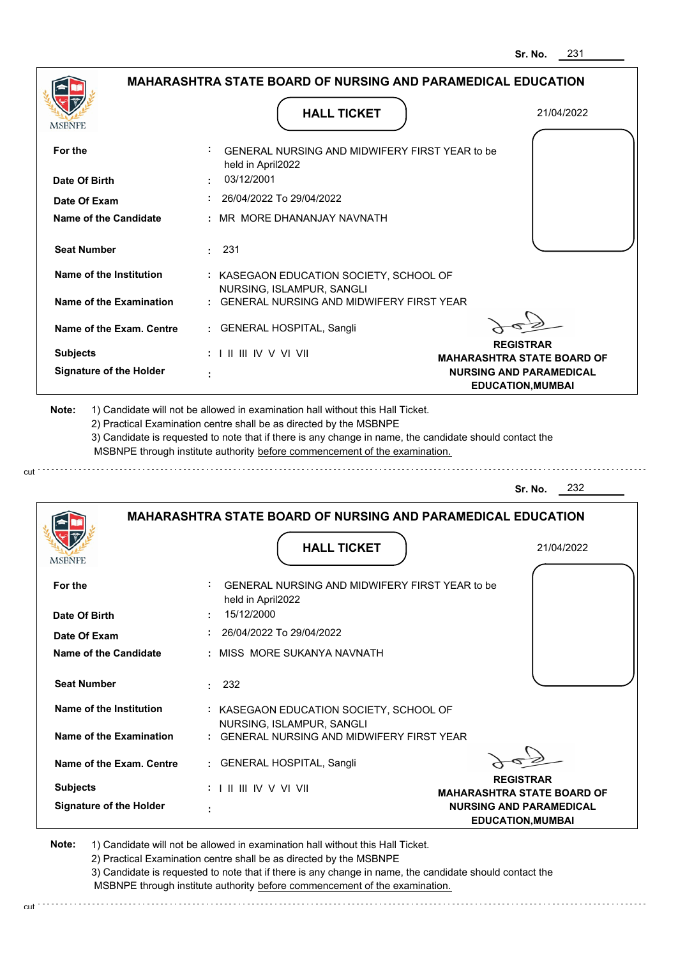|                                |                                                                            | 231<br>Sr. No.                                             |
|--------------------------------|----------------------------------------------------------------------------|------------------------------------------------------------|
|                                | <b>MAHARASHTRA STATE BOARD OF NURSING AND PARAMEDICAL EDUCATION</b>        |                                                            |
| MSBNPE                         | <b>HALL TICKET</b>                                                         | 21/04/2022                                                 |
| For the                        | GENERAL NURSING AND MIDWIFERY FIRST YEAR to be<br>held in April2022        |                                                            |
| Date Of Birth                  | 03/12/2001                                                                 |                                                            |
| Date Of Exam                   | 26/04/2022 To 29/04/2022                                                   |                                                            |
| Name of the Candidate          | MR MORE DHANANJAY NAVNATH                                                  |                                                            |
| <b>Seat Number</b>             | : 231                                                                      |                                                            |
| Name of the Institution        | : KASEGAON EDUCATION SOCIETY, SCHOOL OF<br>NURSING, ISLAMPUR, SANGLI       |                                                            |
| Name of the Examination        | <b>GENERAL NURSING AND MIDWIFERY FIRST YEAR</b>                            |                                                            |
| Name of the Exam. Centre       | : GENERAL HOSPITAL, Sangli                                                 |                                                            |
| <b>Subjects</b>                | $: 1 \parallel \parallel \parallel$ IV V VI VII                            | <b>REGISTRAR</b><br><b>MAHARASHTRA STATE BOARD OF</b>      |
| <b>Signature of the Holder</b> |                                                                            | <b>NURSING AND PARAMEDICAL</b><br><b>EDUCATION, MUMBAI</b> |
|                                | MSBNPE through institute authority before commencement of the examination. | 232<br>Sr. No.                                             |
|                                | <b>MAHARASHTRA STATE BOARD OF NURSING AND PARAMEDICAL EDUCATION</b>        |                                                            |
| IVIƏDINI L                     | <b>HALL TICKET</b>                                                         | 21/04/2022                                                 |
| For the                        | GENERAL NURSING AND MIDWIFERY FIRST YEAR to be<br>held in April2022        |                                                            |
| Date Of Birth                  | 15/12/2000                                                                 |                                                            |
| Date Of Exam                   | 26/04/2022 To 29/04/2022                                                   |                                                            |
| <b>Name of the Candidate</b>   | : MISS MORE SUKANYA NAVNATH                                                |                                                            |
| <b>Seat Number</b>             | 232<br>$\bullet$                                                           |                                                            |
| Name of the Institution        | : KASEGAON EDUCATION SOCIETY, SCHOOL OF<br>NURSING, ISLAMPUR, SANGLI       |                                                            |
| Name of the Examination        | : GENERAL NURSING AND MIDWIFERY FIRST YEAR                                 |                                                            |
| Name of the Exam. Centre       | : GENERAL HOSPITAL, Sangli                                                 | <b>REGISTRAR</b>                                           |
| <b>Subjects</b>                | : I II III IV V VI VII                                                     | <b>MAHARASHTRA STATE BOARD OF</b>                          |
| <b>Signature of the Holder</b> | t                                                                          | <b>NURSING AND PARAMEDICAL</b><br><b>EDUCATION, MUMBAI</b> |

cut

2) Practical Examination centre shall be as directed by the MSBNPE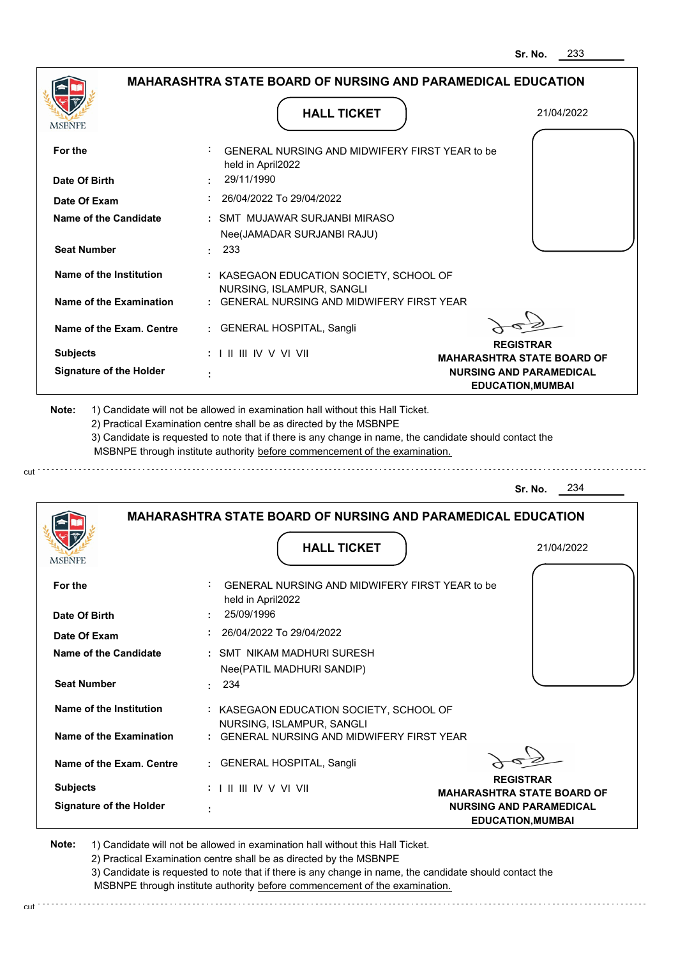| <b>HALL TICKET</b>                                                                | 21/04/2022                                                                                                                                                                                                                                                                                                                                                                                                                                                                                                          |
|-----------------------------------------------------------------------------------|---------------------------------------------------------------------------------------------------------------------------------------------------------------------------------------------------------------------------------------------------------------------------------------------------------------------------------------------------------------------------------------------------------------------------------------------------------------------------------------------------------------------|
|                                                                                   |                                                                                                                                                                                                                                                                                                                                                                                                                                                                                                                     |
| 29/11/1990                                                                        |                                                                                                                                                                                                                                                                                                                                                                                                                                                                                                                     |
| $: 26/04/2022$ To 29/04/2022                                                      |                                                                                                                                                                                                                                                                                                                                                                                                                                                                                                                     |
| : SMT MUJAWAR SURJANBI MIRASO<br>Nee(JAMADAR SURJANBI RAJU)                       |                                                                                                                                                                                                                                                                                                                                                                                                                                                                                                                     |
| : 233                                                                             |                                                                                                                                                                                                                                                                                                                                                                                                                                                                                                                     |
| NURSING, ISLAMPUR, SANGLI                                                         |                                                                                                                                                                                                                                                                                                                                                                                                                                                                                                                     |
|                                                                                   |                                                                                                                                                                                                                                                                                                                                                                                                                                                                                                                     |
| : GENERAL HOSPITAL, Sangli                                                        |                                                                                                                                                                                                                                                                                                                                                                                                                                                                                                                     |
| $: 1 \mathbb{H} \mathbb{H} \mathbb{N} \vee \mathbb{V} \mathbb{H}$                 | <b>REGISTRAR</b><br><b>MAHARASHTRA STATE BOARD OF</b><br><b>NURSING AND PARAMEDICAL</b>                                                                                                                                                                                                                                                                                                                                                                                                                             |
|                                                                                   | <b>EDUCATION, MUMBAI</b>                                                                                                                                                                                                                                                                                                                                                                                                                                                                                            |
| 2) Practical Examination centre shall be as directed by the MSBNPE                |                                                                                                                                                                                                                                                                                                                                                                                                                                                                                                                     |
|                                                                                   | <b>Sr. No.</b> 234                                                                                                                                                                                                                                                                                                                                                                                                                                                                                                  |
| <b>MAHARASHTRA STATE BOARD OF NURSING AND PARAMEDICAL EDUCATION</b>               |                                                                                                                                                                                                                                                                                                                                                                                                                                                                                                                     |
| <b>HALL TICKET</b>                                                                | 21/04/2022                                                                                                                                                                                                                                                                                                                                                                                                                                                                                                          |
| GENERAL NURSING AND MIDWIFERY FIRST YEAR to be<br>held in April2022<br>25/09/1996 |                                                                                                                                                                                                                                                                                                                                                                                                                                                                                                                     |
|                                                                                   | <b>MAHARASHTRA STATE BOARD OF NURSING AND PARAMEDICAL EDUCATION</b><br>GENERAL NURSING AND MIDWIFERY FIRST YEAR to be<br>held in April2022<br>: KASEGAON EDUCATION SOCIETY, SCHOOL OF<br>: GENERAL NURSING AND MIDWIFERY FIRST YEAR<br>÷<br>1) Candidate will not be allowed in examination hall without this Hall Ticket.<br>3) Candidate is requested to note that if there is any change in name, the candidate should contact the<br>MSBNPE through institute authority before commencement of the examination. |

**REGISTRAR MAHARASHTRA STATE BOARD OF NURSING AND PARAMEDICAL EDUCATION,MUMBAI Signature of the Holder Name of the Exam. Centre Name of the Examination Name of the Institution Seat Number Name of the Candidate :** SMT NIKAM MADHURI SURESH  **:** 234  **:** KASEGAON EDUCATION SOCIETY, SCHOOL OF  **:** GENERAL NURSING AND MIDWIFERY FIRST YEAR  **:** GENERAL HOSPITAL, Sangli  **: Subjects :** NURSING, ISLAMPUR, SANGLI I II III IV V VI VII Nee(PATIL MADHURI SANDIP)

**Note:**  1) Candidate will not be allowed in examination hall without this Hall Ticket. 2) Practical Examination centre shall be as directed by the MSBNPE 3) Candidate is requested to note that if there is any change in name, the candidate should contact the MSBNPE through institute authority before commencement of the examination.

cut : . . . . . . . . . . . . . . .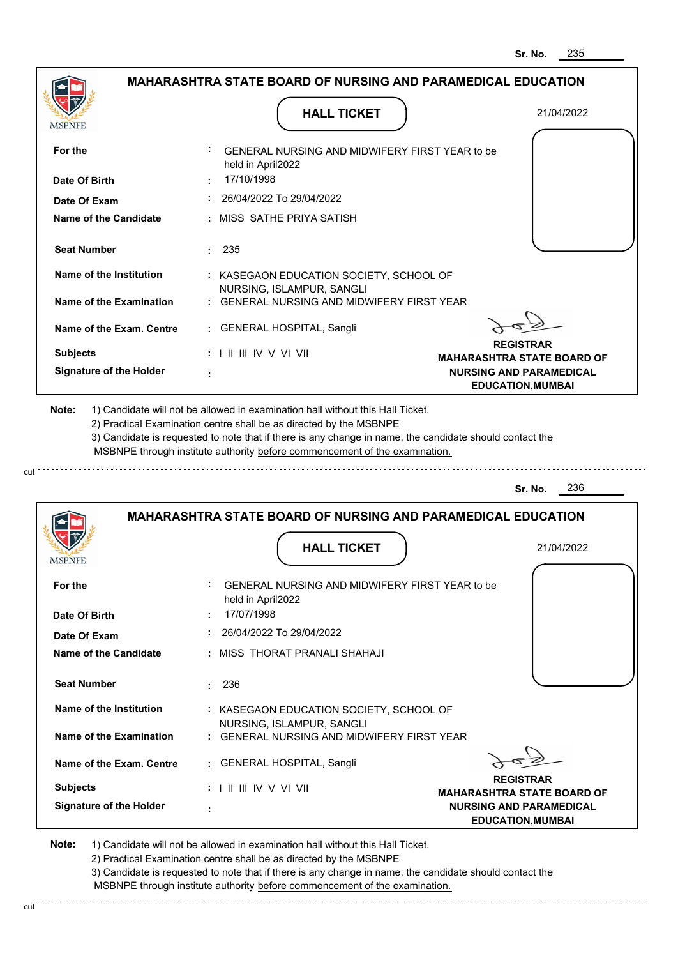|                                                                                               | <b>MAHARASHTRA STATE BOARD OF NURSING AND PARAMEDICAL EDUCATION</b>                                                                                                                                                                                         |                                                            |
|-----------------------------------------------------------------------------------------------|-------------------------------------------------------------------------------------------------------------------------------------------------------------------------------------------------------------------------------------------------------------|------------------------------------------------------------|
| <b>MSBNPE</b>                                                                                 | <b>HALL TICKET</b>                                                                                                                                                                                                                                          | 21/04/2022                                                 |
| For the                                                                                       | GENERAL NURSING AND MIDWIFERY FIRST YEAR to be<br>held in April2022                                                                                                                                                                                         |                                                            |
| Date Of Birth                                                                                 | 17/10/1998                                                                                                                                                                                                                                                  |                                                            |
| Date Of Exam                                                                                  | 26/04/2022 To 29/04/2022                                                                                                                                                                                                                                    |                                                            |
| Name of the Candidate                                                                         | : MISS_SATHE PRIYA SATISH                                                                                                                                                                                                                                   |                                                            |
| <b>Seat Number</b>                                                                            | $\cdot$ 235                                                                                                                                                                                                                                                 |                                                            |
| Name of the Institution                                                                       | : KASEGAON EDUCATION SOCIETY, SCHOOL OF                                                                                                                                                                                                                     |                                                            |
| Name of the Examination                                                                       | NURSING, ISLAMPUR, SANGLI<br>: GENERAL NURSING AND MIDWIFERY FIRST YEAR                                                                                                                                                                                     |                                                            |
| Name of the Exam. Centre                                                                      | : GENERAL HOSPITAL, Sangli                                                                                                                                                                                                                                  |                                                            |
| <b>Subjects</b>                                                                               | $: 1 \parallel \parallel \parallel$ IV V VI VII                                                                                                                                                                                                             | <b>REGISTRAR</b><br><b>MAHARASHTRA STATE BOARD OF</b>      |
| <b>Signature of the Holder</b>                                                                |                                                                                                                                                                                                                                                             | <b>NURSING AND PARAMEDICAL</b><br><b>EDUCATION, MUMBAI</b> |
|                                                                                               | 2) Practical Examination centre shall be as directed by the MSBNPE<br>3) Candidate is requested to note that if there is any change in name, the candidate should contact the<br>MSBNPE through institute authority before commencement of the examination. |                                                            |
|                                                                                               |                                                                                                                                                                                                                                                             | 236<br>Sr. No.                                             |
|                                                                                               | <b>MAHARASHTRA STATE BOARD OF NURSING AND PARAMEDICAL EDUCATION</b>                                                                                                                                                                                         |                                                            |
| <b>MSBNPE</b>                                                                                 | <b>HALL TICKET</b>                                                                                                                                                                                                                                          | 21/04/2022                                                 |
| For the<br>Date Of Birth                                                                      | ÷.<br>GENERAL NURSING AND MIDWIFERY FIRST YEAR to be<br>held in April2022<br>17/07/1998                                                                                                                                                                     |                                                            |
|                                                                                               | 26/04/2022 To 29/04/2022                                                                                                                                                                                                                                    |                                                            |
|                                                                                               | : MISS THORAT PRANALI SHAHAJI                                                                                                                                                                                                                               |                                                            |
|                                                                                               | 236<br>t.                                                                                                                                                                                                                                                   |                                                            |
| Date Of Exam<br><b>Name of the Candidate</b><br><b>Seat Number</b><br>Name of the Institution | : KASEGAON EDUCATION SOCIETY, SCHOOL OF                                                                                                                                                                                                                     |                                                            |
| Name of the Examination                                                                       | NURSING, ISLAMPUR, SANGLI<br>: GENERAL NURSING AND MIDWIFERY FIRST YEAR                                                                                                                                                                                     |                                                            |
| Name of the Exam. Centre                                                                      | : GENERAL HOSPITAL, Sangli                                                                                                                                                                                                                                  |                                                            |
| <b>Subjects</b>                                                                               | $: 1 \mathbb{H} \mathbb{H} \mathbb{V} \vee \mathbb{V} \mathbb{V} \mathbb{H}$                                                                                                                                                                                | <b>REGISTRAR</b><br><b>MAHARASHTRA STATE BOARD OF</b>      |

2) Practical Examination centre shall be as directed by the MSBNPE

cut.

3) Candidate is requested to note that if there is any change in name, the candidate should contact the MSBNPE through institute authority before commencement of the examination.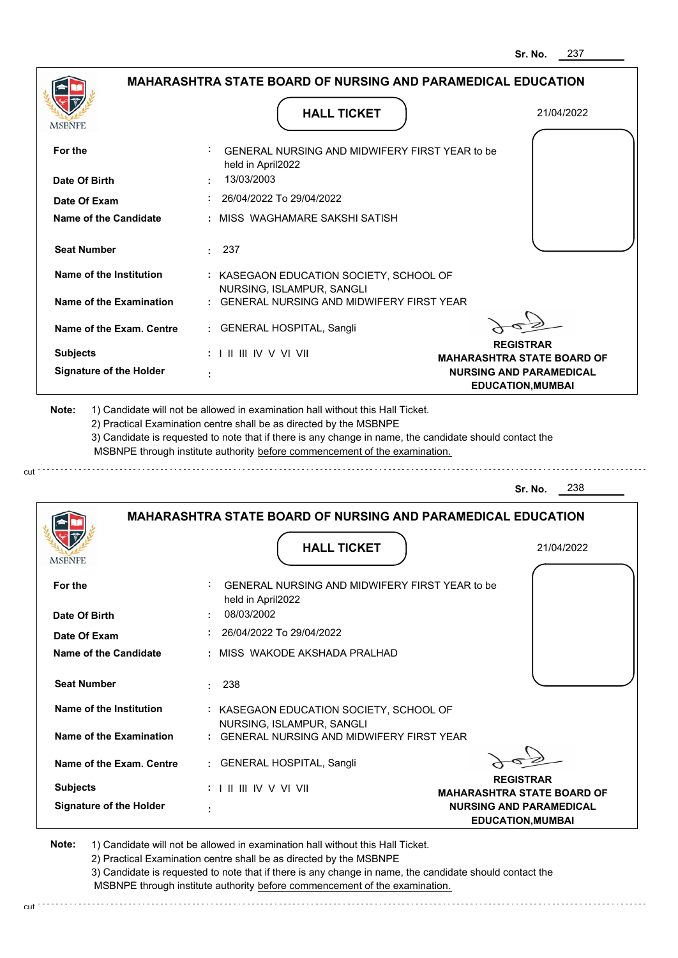|                                |                                                                                                                                                                                       | 237<br>Sr. No.                                                      |
|--------------------------------|---------------------------------------------------------------------------------------------------------------------------------------------------------------------------------------|---------------------------------------------------------------------|
|                                | <b>MAHARASHTRA STATE BOARD OF NURSING AND PARAMEDICAL EDUCATION</b>                                                                                                                   |                                                                     |
| MSBNPE                         | <b>HALL TICKET</b>                                                                                                                                                                    | 21/04/2022                                                          |
| For the                        | GENERAL NURSING AND MIDWIFERY FIRST YEAR to be<br>held in April2022                                                                                                                   |                                                                     |
| Date Of Birth                  | 13/03/2003                                                                                                                                                                            |                                                                     |
| Date Of Exam                   | 26/04/2022 To 29/04/2022                                                                                                                                                              |                                                                     |
| Name of the Candidate          | MISS WAGHAMARE SAKSHI SATISH                                                                                                                                                          |                                                                     |
| <b>Seat Number</b>             | 237<br>$\sim$                                                                                                                                                                         |                                                                     |
| <b>Name of the Institution</b> | : KASEGAON EDUCATION SOCIETY, SCHOOL OF                                                                                                                                               |                                                                     |
| Name of the Examination        | NURSING, ISLAMPUR, SANGLI<br>: GENERAL NURSING AND MIDWIFERY FIRST YEAR                                                                                                               |                                                                     |
| Name of the Exam. Centre       | <b>GENERAL HOSPITAL, Sangli</b>                                                                                                                                                       |                                                                     |
| <b>Subjects</b>                | : I II III IV V VI VII                                                                                                                                                                | <b>REGISTRAR</b>                                                    |
| <b>Signature of the Holder</b> |                                                                                                                                                                                       | <b>MAHARASHTRA STATE BOARD OF</b><br><b>NURSING AND PARAMEDICAL</b> |
|                                |                                                                                                                                                                                       | <b>EDUCATION, MUMBAI</b>                                            |
|                                | 3) Candidate is requested to note that if there is any change in name, the candidate should contact the<br>MSBNPE through institute authority before commencement of the examination. | 238<br>Sr. No.                                                      |
|                                | <b>MAHARASHTRA STATE BOARD OF NURSING AND PARAMEDICAL EDUCATION</b>                                                                                                                   |                                                                     |
| MSBNPE                         | <b>HALL TICKET</b>                                                                                                                                                                    | 21/04/2022                                                          |
| For the                        | ÷<br>GENERAL NURSING AND MIDWIFERY FIRST YEAR to be<br>held in April2022                                                                                                              |                                                                     |
| Date Of Birth                  | 08/03/2002                                                                                                                                                                            |                                                                     |
| Date Of Exam                   | 26/04/2022 To 29/04/2022                                                                                                                                                              |                                                                     |
| Name of the Candidate          | MISS WAKODE AKSHADA PRALHAD                                                                                                                                                           |                                                                     |
| <b>Seat Number</b>             | 238<br>÷                                                                                                                                                                              |                                                                     |
| <b>Name of the Institution</b> | : KASEGAON EDUCATION SOCIETY, SCHOOL OF<br>NURSING, ISLAMPUR, SANGLI                                                                                                                  |                                                                     |
| <b>Name of the Examination</b> | : GENERAL NURSING AND MIDWIFERY FIRST YEAR                                                                                                                                            |                                                                     |
| Name of the Exam. Centre       | : GENERAL HOSPITAL, Sangli                                                                                                                                                            | <b>REGISTRAR</b>                                                    |
| <b>Subjects</b>                | $: 1 \mathbb{I}$ III IIV V VI VII                                                                                                                                                     | <b>MAHARASHTRA STATE BOARD OF</b>                                   |
|                                |                                                                                                                                                                                       |                                                                     |

cut

2) Practical Examination centre shall be as directed by the MSBNPE

3) Candidate is requested to note that if there is any change in name, the candidate should contact the MSBNPE through institute authority before commencement of the examination. cut de la component de la component de la component de la component de la component de la component de la component de la component de la component de la component de la component de la component de la component de la comp

**EDUCATION,MUMBAI**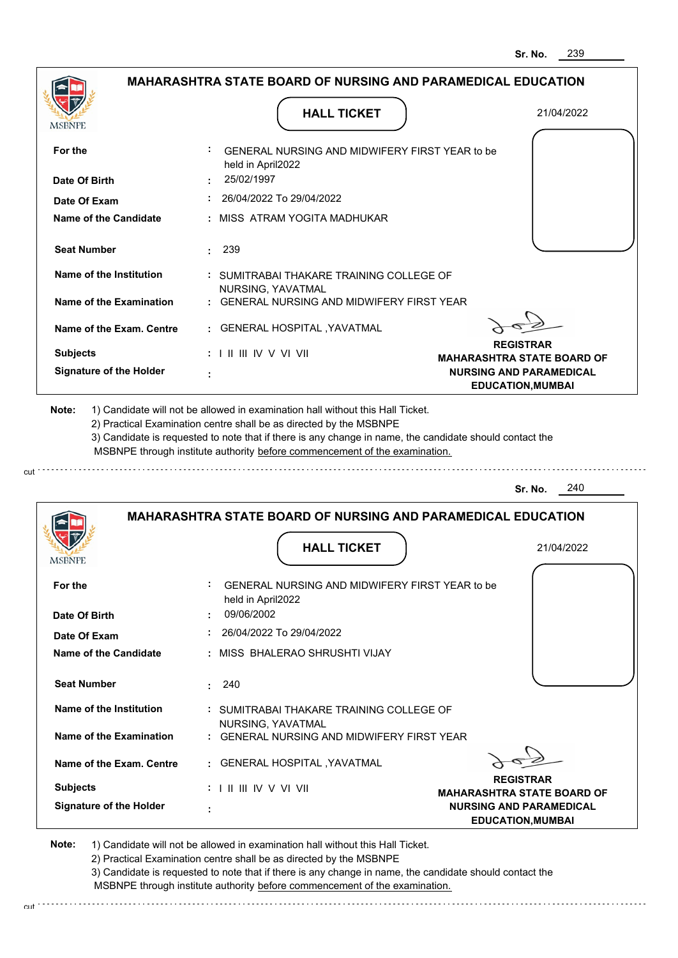|                                |                                                                                           | 239<br>Sr. No.                                                                                  |
|--------------------------------|-------------------------------------------------------------------------------------------|-------------------------------------------------------------------------------------------------|
|                                | <b>MAHARASHTRA STATE BOARD OF NURSING AND PARAMEDICAL EDUCATION</b>                       |                                                                                                 |
|                                | <b>HALL TICKET</b>                                                                        | 21/04/2022                                                                                      |
| For the                        | GENERAL NURSING AND MIDWIFERY FIRST YEAR to be<br>held in April2022                       |                                                                                                 |
| Date Of Birth                  | 25/02/1997                                                                                |                                                                                                 |
| Date Of Exam                   | 26/04/2022 To 29/04/2022                                                                  |                                                                                                 |
| <b>Name of the Candidate</b>   | : MISS ATRAM YOGITA MADHUKAR                                                              |                                                                                                 |
| <b>Seat Number</b>             | 239<br>÷.                                                                                 |                                                                                                 |
| <b>Name of the Institution</b> | : SUMITRABAI THAKARE TRAINING COLLEGE OF<br>NURSING, YAVATMAL                             |                                                                                                 |
| <b>Name of the Examination</b> | <b>GENERAL NURSING AND MIDWIFERY FIRST YEAR</b>                                           |                                                                                                 |
| Name of the Exam. Centre       | <b>GENERAL HOSPITAL , YAVATMAL</b>                                                        |                                                                                                 |
| <b>Subjects</b>                | : I II III IV V VI VII                                                                    | <b>REGISTRAR</b>                                                                                |
| <b>Signature of the Holder</b> |                                                                                           | <b>MAHARASHTRA STATE BOARD OF</b><br><b>NURSING AND PARAMEDICAL</b><br><b>EDUCATION, MUMBAI</b> |
|                                | MSBNPE through institute authority before commencement of the examination.                | 240<br>Sr. No.                                                                                  |
| MSBNFE                         | <b>MAHARASHTRA STATE BOARD OF NURSING AND PARAMEDICAL EDUCATION</b><br><b>HALL TICKET</b> | 21/04/2022                                                                                      |
| For the                        | GENERAL NURSING AND MIDWIFERY FIRST YEAR to be<br>held in April2022                       |                                                                                                 |
| Date Of Birth                  | 09/06/2002                                                                                |                                                                                                 |
| Date Of Exam                   | 26/04/2022 To 29/04/2022                                                                  |                                                                                                 |
| <b>Name of the Candidate</b>   | MISS BHALERAO SHRUSHTI VIJAY                                                              |                                                                                                 |
| <b>Seat Number</b>             | 240                                                                                       |                                                                                                 |
| Name of the Institution        | : SUMITRABAI THAKARE TRAINING COLLEGE OF                                                  |                                                                                                 |
| <b>Name of the Examination</b> | NURSING, YAVATMAL<br>: GENERAL NURSING AND MIDWIFERY FIRST YEAR                           |                                                                                                 |
| Name of the Exam. Centre       | : GENERAL HOSPITAL , YAVATMAL                                                             |                                                                                                 |

**REGISTRAR MAHARASHTRA STATE BOARD OF NURSING AND PARAMEDICAL EDUCATION,MUMBAI**

**Note:**  1) Candidate will not be allowed in examination hall without this Hall Ticket.

I II III IV V VI VII

2) Practical Examination centre shall be as directed by the MSBNPE

 **:**

**Signature of the Holder**

**Subjects :**

cut

3) Candidate is requested to note that if there is any change in name, the candidate should contact the MSBNPE through institute authority before commencement of the examination. cut de la component de la component de la component de la component de la component de la component de la component de la component de la component de la component de la component de la component de la component de la comp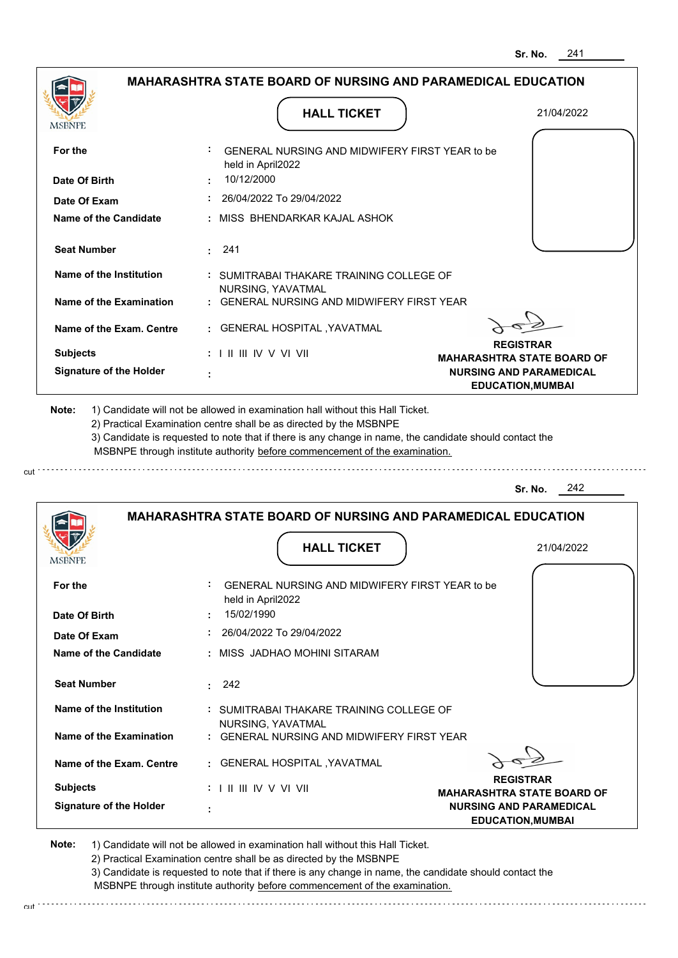| MSBNPE                                                                                                          | <b>HALL TICKET</b>                                                                                                                                                                                                                                                                                                                            | 21/04/2022                                                 |
|-----------------------------------------------------------------------------------------------------------------|-----------------------------------------------------------------------------------------------------------------------------------------------------------------------------------------------------------------------------------------------------------------------------------------------------------------------------------------------|------------------------------------------------------------|
| For the                                                                                                         | GENERAL NURSING AND MIDWIFERY FIRST YEAR to be<br>held in April2022                                                                                                                                                                                                                                                                           |                                                            |
| Date Of Birth                                                                                                   | 10/12/2000                                                                                                                                                                                                                                                                                                                                    |                                                            |
| Date Of Exam                                                                                                    | 26/04/2022 To 29/04/2022                                                                                                                                                                                                                                                                                                                      |                                                            |
| Name of the Candidate                                                                                           | : MISS BHENDARKAR KAJAL ASHOK                                                                                                                                                                                                                                                                                                                 |                                                            |
| <b>Seat Number</b>                                                                                              | $\cdot$ 241                                                                                                                                                                                                                                                                                                                                   |                                                            |
| Name of the Institution                                                                                         | : SUMITRABAI THAKARE TRAINING COLLEGE OF<br>NURSING, YAVATMAL                                                                                                                                                                                                                                                                                 |                                                            |
| Name of the Examination                                                                                         | : GENERAL NURSING AND MIDWIFERY FIRST YEAR                                                                                                                                                                                                                                                                                                    |                                                            |
| Name of the Exam. Centre                                                                                        | : GENERAL HOSPITAL , YAVATMAL                                                                                                                                                                                                                                                                                                                 |                                                            |
|                                                                                                                 |                                                                                                                                                                                                                                                                                                                                               | <b>REGISTRAR</b>                                           |
|                                                                                                                 | $: 1 \mathbb{H} \mathbb{H} \mathbb{W} \vee \mathbb{V} \mathbb{W}$                                                                                                                                                                                                                                                                             |                                                            |
|                                                                                                                 | 1) Candidate will not be allowed in examination hall without this Hall Ticket.<br>2) Practical Examination centre shall be as directed by the MSBNPE<br>3) Candidate is requested to note that if there is any change in name, the candidate should contact the<br>MSBNPE through institute authority before commencement of the examination. | <b>NURSING AND PARAMEDICAL</b><br><b>EDUCATION, MUMBAI</b> |
| <b>Subjects</b><br><b>Signature of the Holder</b><br>Note:                                                      |                                                                                                                                                                                                                                                                                                                                               |                                                            |
|                                                                                                                 |                                                                                                                                                                                                                                                                                                                                               | 242<br>Sr. No.                                             |
|                                                                                                                 | <b>MAHARASHTRA STATE BOARD OF NURSING AND PARAMEDICAL EDUCATION</b>                                                                                                                                                                                                                                                                           | <b>MAHARASHTRA STATE BOARD OF</b>                          |
|                                                                                                                 | <b>HALL TICKET</b>                                                                                                                                                                                                                                                                                                                            | 21/04/2022                                                 |
|                                                                                                                 | GENERAL NURSING AND MIDWIFERY FIRST YEAR to be                                                                                                                                                                                                                                                                                                |                                                            |
|                                                                                                                 | held in April2022<br>15/02/1990                                                                                                                                                                                                                                                                                                               |                                                            |
|                                                                                                                 | 26/04/2022 To 29/04/2022                                                                                                                                                                                                                                                                                                                      |                                                            |
|                                                                                                                 | : MISS JADHAO MOHINI SITARAM                                                                                                                                                                                                                                                                                                                  |                                                            |
| <b>MSBNFE</b><br>For the<br>Date Of Birth<br>Date Of Exam<br><b>Name of the Candidate</b><br><b>Seat Number</b> | 242<br>t.                                                                                                                                                                                                                                                                                                                                     |                                                            |

**REGISTRAR MAHARASHTRA STATE BOARD OF NURSING AND PARAMEDICAL EDUCATION,MUMBAI**

**Note:**  1) Candidate will not be allowed in examination hall without this Hall Ticket. 2) Practical Examination centre shall be as directed by the MSBNPE

I II III IV V VI VII

 **:**

**Signature of the Holder**

**Subjects :**

3) Candidate is requested to note that if there is any change in name, the candidate should contact the MSBNPE through institute authority before commencement of the examination. cut de la component de la component de la component de la component de la component de la component de la component de la component de la component de la component de la component de la component de la component de la comp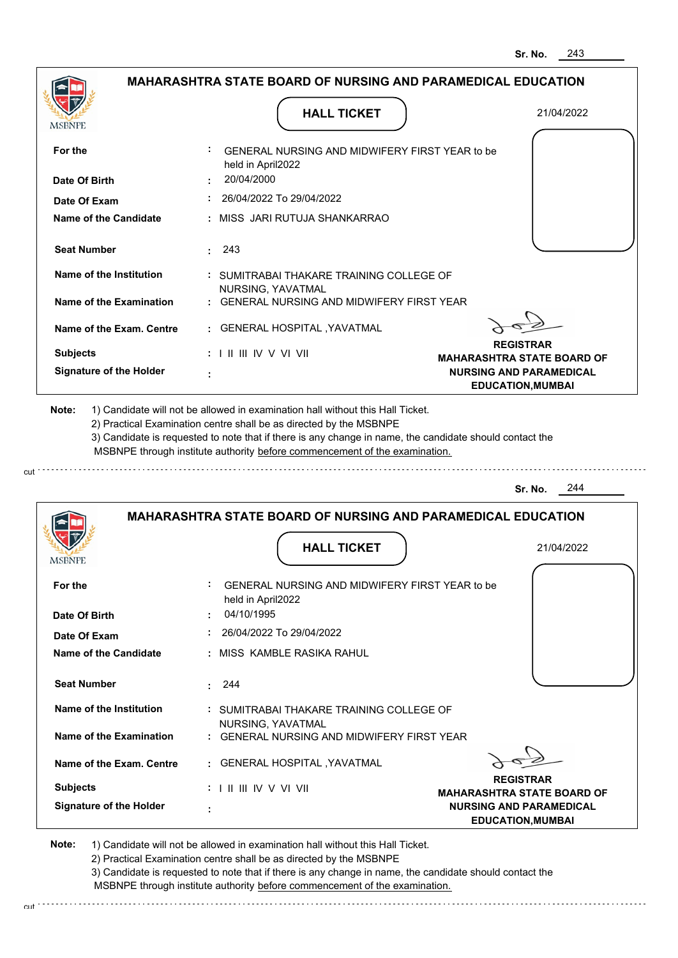|                                                           |                                                                                           | Sr. No.                                                    |
|-----------------------------------------------------------|-------------------------------------------------------------------------------------------|------------------------------------------------------------|
|                                                           | <b>MAHARASHTRA STATE BOARD OF NURSING AND PARAMEDICAL EDUCATION</b>                       |                                                            |
| <b>MSBNPE</b>                                             | <b>HALL TICKET</b>                                                                        | 21/04/2022                                                 |
| For the                                                   | GENERAL NURSING AND MIDWIFERY FIRST YEAR to be<br>held in April2022                       |                                                            |
| Date Of Birth                                             | 20/04/2000                                                                                |                                                            |
| Date Of Exam                                              | : 26/04/2022 To 29/04/2022                                                                |                                                            |
| Name of the Candidate                                     | : MISS JARI RUTUJA SHANKARRAO                                                             |                                                            |
| <b>Seat Number</b>                                        | $\cdot$ 243                                                                               |                                                            |
| Name of the Institution                                   | : SUMITRABAI THAKARE TRAINING COLLEGE OF<br>NURSING, YAVATMAL                             |                                                            |
| Name of the Examination                                   | : GENERAL NURSING AND MIDWIFERY FIRST YEAR                                                |                                                            |
| Name of the Exam. Centre                                  | : GENERAL HOSPITAL , YAVATMAL                                                             |                                                            |
| <b>Subjects</b>                                           | $: 1 \mathbb{H} \mathbb{H} \mathbb{N} \vee \mathbb{V} \mathbb{V} \mathbb{H}$              | <b>REGISTRAR</b><br><b>MAHARASHTRA STATE BOARD OF</b>      |
| <b>Signature of the Holder</b>                            |                                                                                           | <b>NURSING AND PARAMEDICAL</b><br><b>EDUCATION, MUMBAI</b> |
|                                                           |                                                                                           | 244<br>Sr. No.                                             |
|                                                           |                                                                                           |                                                            |
|                                                           | <b>MAHARASHTRA STATE BOARD OF NURSING AND PARAMEDICAL EDUCATION</b><br><b>HALL TICKET</b> | 21/04/2022                                                 |
|                                                           | GENERAL NURSING AND MIDWIFERY FIRST YEAR to be<br>held in April2022                       |                                                            |
|                                                           | 04/10/1995                                                                                |                                                            |
| <b>MSBNPE</b><br>For the<br>Date Of Birth<br>Date Of Exam | 26/04/2022 To 29/04/2022                                                                  |                                                            |
|                                                           | : MISS KAMBLE RASIKA RAHUL                                                                |                                                            |
| <b>Seat Number</b>                                        | 244                                                                                       |                                                            |
| Name of the Institution                                   | : SUMITRABAI THAKARE TRAINING COLLEGE OF                                                  |                                                            |
| Name of the Examination                                   | NURSING, YAVATMAL<br>: GENERAL NURSING AND MIDWIFERY FIRST YEAR                           |                                                            |
| Name of the Candidate<br>Name of the Exam. Centre         | : GENERAL HOSPITAL , YAVATMAL                                                             |                                                            |

**MAHARASHTRA STATE BOARD OF NURSING AND PARAMEDICAL EDUCATION,MUMBAI**

**Note:**  1) Candidate will not be allowed in examination hall without this Hall Ticket.

 **:**

**Signature of the Holder**

2) Practical Examination centre shall be as directed by the MSBNPE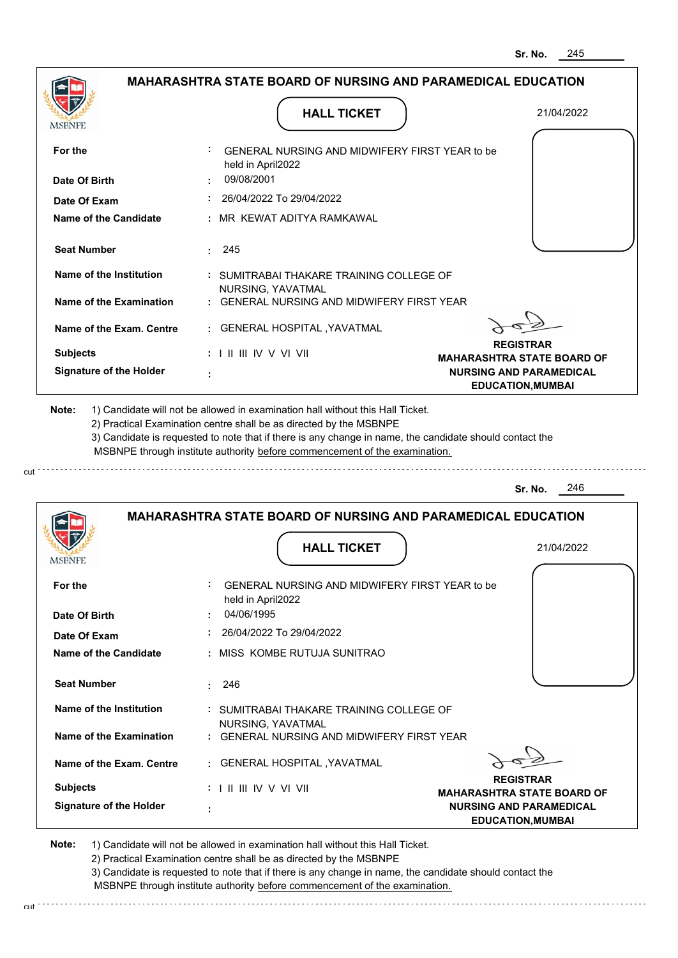|                                                                                                               |                                                                     | 245<br>Sr. No.                                                                                  |
|---------------------------------------------------------------------------------------------------------------|---------------------------------------------------------------------|-------------------------------------------------------------------------------------------------|
|                                                                                                               | <b>MAHARASHTRA STATE BOARD OF NURSING AND PARAMEDICAL EDUCATION</b> |                                                                                                 |
| MSBNPE                                                                                                        | <b>HALL TICKET</b>                                                  | 21/04/2022                                                                                      |
| For the                                                                                                       | GENERAL NURSING AND MIDWIFERY FIRST YEAR to be<br>held in April2022 |                                                                                                 |
| Date Of Birth                                                                                                 | 09/08/2001                                                          |                                                                                                 |
| Date Of Exam                                                                                                  | 26/04/2022 To 29/04/2022                                            |                                                                                                 |
| Name of the Candidate                                                                                         | : MR KEWAT ADITYA RAMKAWAL                                          |                                                                                                 |
| <b>Seat Number</b>                                                                                            | $\cdot$ 245                                                         |                                                                                                 |
| Name of the Institution                                                                                       | : SUMITRABAI THAKARE TRAINING COLLEGE OF<br>NURSING, YAVATMAL       |                                                                                                 |
| Name of the Examination                                                                                       | : GENERAL NURSING AND MIDWIFERY FIRST YEAR                          |                                                                                                 |
| Name of the Exam. Centre                                                                                      | : GENERAL HOSPITAL , YAVATMAL                                       |                                                                                                 |
| <b>Subjects</b>                                                                                               | $: 1 \parallel \parallel \parallel$ IV V VI VII                     | <b>REGISTRAR</b>                                                                                |
| <b>Signature of the Holder</b>                                                                                |                                                                     | <b>MAHARASHTRA STATE BOARD OF</b><br><b>NURSING AND PARAMEDICAL</b><br><b>EDUCATION, MUMBAI</b> |
|                                                                                                               |                                                                     |                                                                                                 |
|                                                                                                               | <b>MAHARASHTRA STATE BOARD OF NURSING AND PARAMEDICAL EDUCATION</b> | 246<br>Sr. No.                                                                                  |
|                                                                                                               |                                                                     |                                                                                                 |
|                                                                                                               | <b>HALL TICKET</b>                                                  | 21/04/2022                                                                                      |
|                                                                                                               | GENERAL NURSING AND MIDWIFERY FIRST YEAR to be<br>held in April2022 |                                                                                                 |
|                                                                                                               | 04/06/1995                                                          |                                                                                                 |
|                                                                                                               | 26/04/2022 To 29/04/2022                                            |                                                                                                 |
|                                                                                                               | : MISS KOMBE RUTUJA SUNITRAO                                        |                                                                                                 |
| <b>Seat Number</b>                                                                                            | 246<br>t.                                                           |                                                                                                 |
| Name of the Institution                                                                                       | : SUMITRABAI THAKARE TRAINING COLLEGE OF                            |                                                                                                 |
| <b>MSBNPE</b><br>For the<br>Date Of Birth<br>Date Of Exam<br>Name of the Candidate<br>Name of the Examination | NURSING, YAVATMAL<br>: GENERAL NURSING AND MIDWIFERY FIRST YEAR     |                                                                                                 |
| Name of the Exam. Centre                                                                                      | : GENERAL HOSPITAL , YAVATMAL                                       |                                                                                                 |

**MAHARASHTRA STATE BOARD OF NURSING AND PARAMEDICAL EDUCATION,MUMBAI**

**Note:**  1) Candidate will not be allowed in examination hall without this Hall Ticket.

 **:**

**Signature of the Holder**

2) Practical Examination centre shall be as directed by the MSBNPE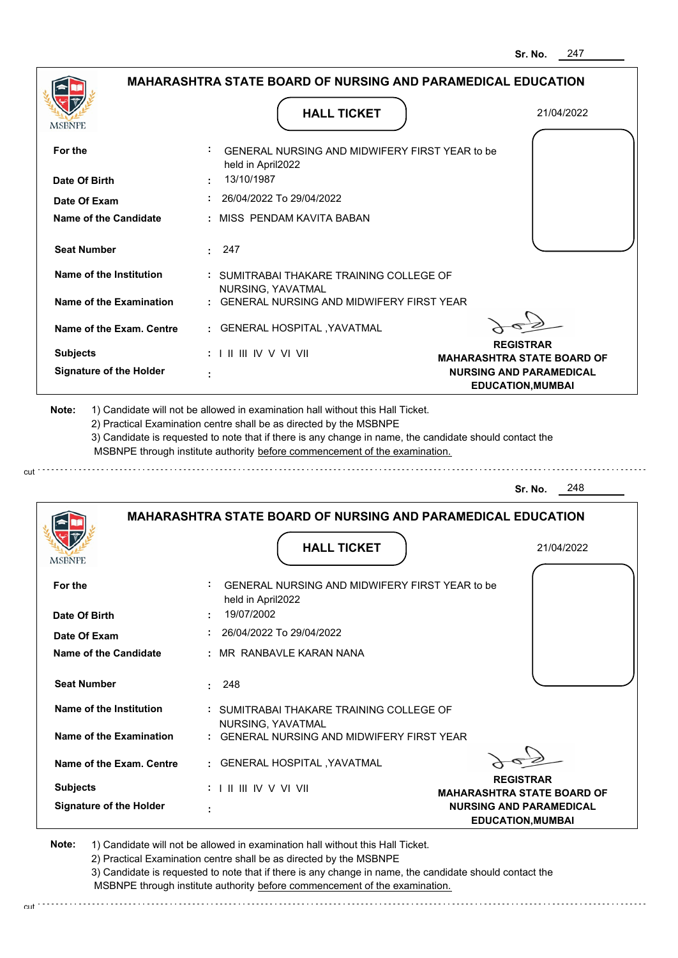|                                                                    |                                                                                                                                                                                       | <b>MAHARASHTRA STATE BOARD OF NURSING AND PARAMEDICAL EDUCATION</b> |
|--------------------------------------------------------------------|---------------------------------------------------------------------------------------------------------------------------------------------------------------------------------------|---------------------------------------------------------------------|
| <b>MSBNPE</b>                                                      | <b>HALL TICKET</b>                                                                                                                                                                    | 21/04/2022                                                          |
| For the                                                            | : GENERAL NURSING AND MIDWIFERY FIRST YEAR to be<br>held in April2022                                                                                                                 |                                                                     |
| Date Of Birth                                                      | 13/10/1987                                                                                                                                                                            |                                                                     |
| Date Of Exam                                                       | $: 26/04/2022$ To 29/04/2022                                                                                                                                                          |                                                                     |
| Name of the Candidate                                              | : MISS PENDAM KAVITA BABAN                                                                                                                                                            |                                                                     |
| <b>Seat Number</b>                                                 | : 247                                                                                                                                                                                 |                                                                     |
| Name of the Institution                                            | : SUMITRABAI THAKARE TRAINING COLLEGE OF<br>NURSING, YAVATMAL                                                                                                                         |                                                                     |
| Name of the Examination                                            | : GENERAL NURSING AND MIDWIFERY FIRST YEAR                                                                                                                                            |                                                                     |
| Name of the Exam. Centre                                           | : GENERAL HOSPITAL , YAVATMAL                                                                                                                                                         | <b>REGISTRAR</b>                                                    |
| <b>Subjects</b>                                                    | : I II III IV V VI VII                                                                                                                                                                | <b>MAHARASHTRA STATE BOARD OF</b>                                   |
| <b>Signature of the Holder</b>                                     |                                                                                                                                                                                       | <b>NURSING AND PARAMEDICAL</b><br><b>EDUCATION, MUMBAI</b>          |
| 2) Practical Examination centre shall be as directed by the MSBNPE | 3) Candidate is requested to note that if there is any change in name, the candidate should contact the<br>MSBNPE through institute authority before commencement of the examination. |                                                                     |
|                                                                    |                                                                                                                                                                                       | 248<br>Sr. No.                                                      |
|                                                                    | <b>MAHARASHTRA STATE BOARD OF NURSING AND PARAMEDICAL EDUCATION</b><br><b>HALL TICKET</b>                                                                                             | 21/04/2022                                                          |
| For the                                                            | GENERAL NURSING AND MIDWIFERY FIRST YEAR to be<br>held in April2022                                                                                                                   |                                                                     |
|                                                                    | 19/07/2002                                                                                                                                                                            |                                                                     |
| Date Of Birth<br>Date Of Exam                                      | 26/04/2022 To 29/04/2022                                                                                                                                                              |                                                                     |
| <b>Name of the Candidate</b>                                       | : MR RANBAVLE KARAN NANA                                                                                                                                                              |                                                                     |
| <b>Seat Number</b>                                                 | 248<br>÷.                                                                                                                                                                             |                                                                     |
| Name of the Institution                                            | : SUMITRABAI THAKARE TRAINING COLLEGE OF                                                                                                                                              |                                                                     |
| Name of the Examination                                            | NURSING, YAVATMAL<br>: GENERAL NURSING AND MIDWIFERY FIRST YEAR                                                                                                                       |                                                                     |
| Name of the Exam. Centre                                           | : GENERAL HOSPITAL , YAVATMAL                                                                                                                                                         |                                                                     |
| <b>IVISDINE L</b><br><b>Subjects</b>                               | $: 1 \mathbb{H} \mathbb{H} \mathbb{N} \vee \mathbb{V} \mathbb{N}$                                                                                                                     | <b>REGISTRAR</b><br><b>MAHARASHTRA STATE BOARD OF</b>               |

2) Practical Examination centre shall be as directed by the MSBNPE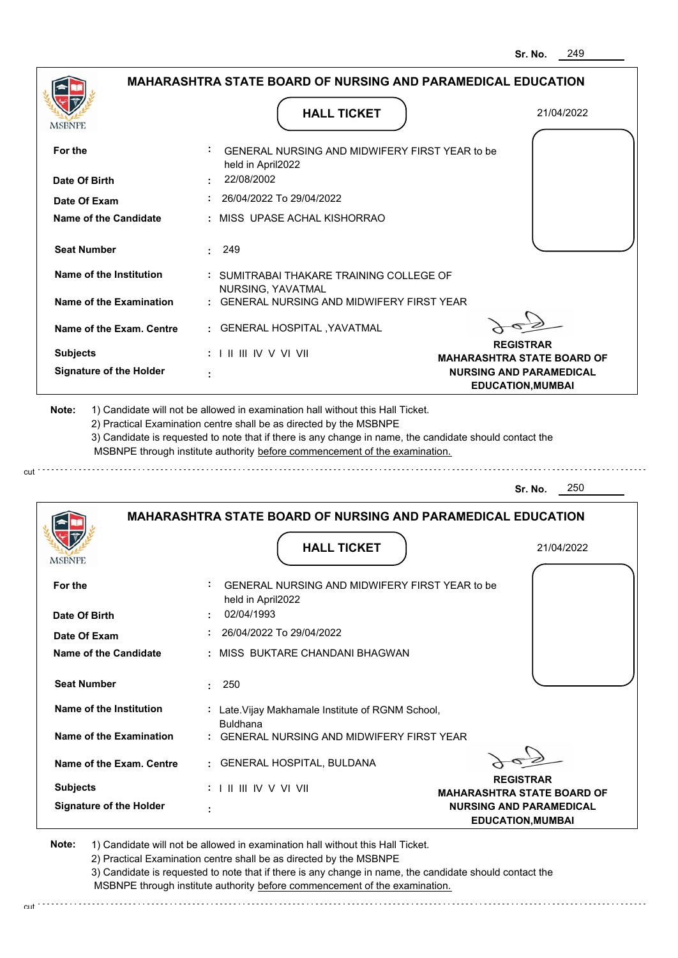|                                | <b>MAHARASHTRA STATE BOARD OF NURSING AND PARAMEDICAL EDUCATION</b>                                                                                                                                                                                                                                                                           |                                                            |
|--------------------------------|-----------------------------------------------------------------------------------------------------------------------------------------------------------------------------------------------------------------------------------------------------------------------------------------------------------------------------------------------|------------------------------------------------------------|
| MSBNPE                         | <b>HALL TICKET</b>                                                                                                                                                                                                                                                                                                                            | 21/04/2022                                                 |
| For the                        | GENERAL NURSING AND MIDWIFERY FIRST YEAR to be<br>held in April2022                                                                                                                                                                                                                                                                           |                                                            |
| Date Of Birth                  | 22/08/2002                                                                                                                                                                                                                                                                                                                                    |                                                            |
| Date Of Exam                   | : 26/04/2022 To 29/04/2022                                                                                                                                                                                                                                                                                                                    |                                                            |
| Name of the Candidate          | : MISS UPASE ACHAL KISHORRAO                                                                                                                                                                                                                                                                                                                  |                                                            |
| <b>Seat Number</b>             | 249                                                                                                                                                                                                                                                                                                                                           |                                                            |
| Name of the Institution        | : SUMITRABAI THAKARE TRAINING COLLEGE OF<br>NURSING, YAVATMAL                                                                                                                                                                                                                                                                                 |                                                            |
| Name of the Examination        | : GENERAL NURSING AND MIDWIFERY FIRST YEAR                                                                                                                                                                                                                                                                                                    |                                                            |
| Name of the Exam. Centre       | : GENERAL HOSPITAL , YAVATMAL                                                                                                                                                                                                                                                                                                                 |                                                            |
| <b>Subjects</b>                | $: 1 \parallel \parallel \parallel$ IV V VI VII                                                                                                                                                                                                                                                                                               | <b>REGISTRAR</b><br><b>MAHARASHTRA STATE BOARD OF</b>      |
| <b>Signature of the Holder</b> |                                                                                                                                                                                                                                                                                                                                               | <b>NURSING AND PARAMEDICAL</b><br><b>EDUCATION, MUMBAI</b> |
| Note:                          | 1) Candidate will not be allowed in examination hall without this Hall Ticket.<br>2) Practical Examination centre shall be as directed by the MSBNPE<br>3) Candidate is requested to note that if there is any change in name, the candidate should contact the<br>MSBNPE through institute authority before commencement of the examination. |                                                            |
|                                |                                                                                                                                                                                                                                                                                                                                               |                                                            |
|                                |                                                                                                                                                                                                                                                                                                                                               | 250<br>Sr. No.                                             |
|                                | <b>MAHARASHTRA STATE BOARD OF NURSING AND PARAMEDICAL EDUCATION</b>                                                                                                                                                                                                                                                                           |                                                            |
| <b>MSBNPE</b>                  | <b>HALL TICKET</b>                                                                                                                                                                                                                                                                                                                            | 21/04/2022                                                 |
|                                | GENERAL NURSING AND MIDWIFERY FIRST YEAR to be                                                                                                                                                                                                                                                                                                |                                                            |
| For the<br>Date Of Birth       | held in April2022<br>02/04/1993                                                                                                                                                                                                                                                                                                               |                                                            |
| Date Of Exam                   | 26/04/2022 To 29/04/2022                                                                                                                                                                                                                                                                                                                      |                                                            |
| Name of the Candidate          | : MISS BUKTARE CHANDANI BHAGWAN                                                                                                                                                                                                                                                                                                               |                                                            |
| <b>Seat Number</b>             | 250<br>t.                                                                                                                                                                                                                                                                                                                                     |                                                            |
| Name of the Institution        | : Late. Vijay Makhamale Institute of RGNM School,                                                                                                                                                                                                                                                                                             |                                                            |
| Name of the Examination        | <b>Buldhana</b><br>: GENERAL NURSING AND MIDWIFERY FIRST YEAR                                                                                                                                                                                                                                                                                 |                                                            |
| Name of the Exam. Centre       | : GENERAL HOSPITAL, BULDANA                                                                                                                                                                                                                                                                                                                   |                                                            |

 **:**

**Signature of the Holder**

2) Practical Examination centre shall be as directed by the MSBNPE

3) Candidate is requested to note that if there is any change in name, the candidate should contact the MSBNPE through institute authority before commencement of the examination. cut

**NURSING AND PARAMEDICAL EDUCATION,MUMBAI**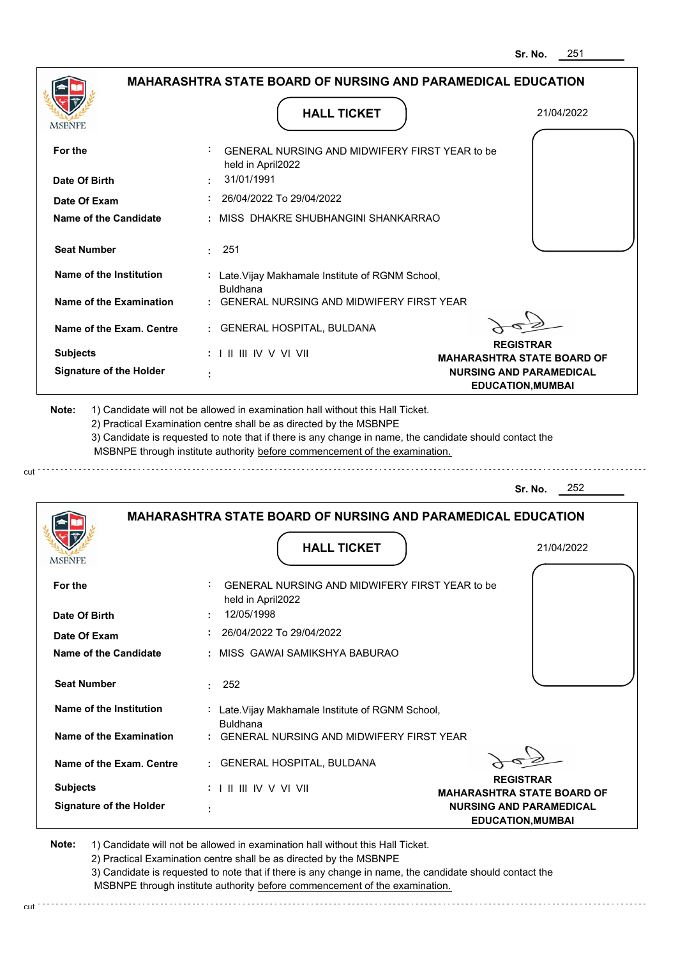|                                |                                                                            | Sr. No.<br>25 I                                            |
|--------------------------------|----------------------------------------------------------------------------|------------------------------------------------------------|
|                                | <b>MAHARASHTRA STATE BOARD OF NURSING AND PARAMEDICAL EDUCATION</b>        |                                                            |
| MSBNPE                         | <b>HALL TICKET</b>                                                         | 21/04/2022                                                 |
| For the                        | GENERAL NURSING AND MIDWIFERY FIRST YEAR to be<br>held in April2022        |                                                            |
| Date Of Birth                  | 31/01/1991                                                                 |                                                            |
| Date Of Exam                   | 26/04/2022 To 29/04/2022                                                   |                                                            |
| <b>Name of the Candidate</b>   | MISS DHAKRE SHUBHANGINI SHANKARRAO                                         |                                                            |
| <b>Seat Number</b>             | 251<br>÷.                                                                  |                                                            |
| Name of the Institution        | : Late. Vijay Makhamale Institute of RGNM School,<br><b>Buldhana</b>       |                                                            |
| <b>Name of the Examination</b> | <b>GENERAL NURSING AND MIDWIFERY FIRST YEAR</b>                            |                                                            |
| Name of the Exam. Centre       | : GENERAL HOSPITAL, BULDANA                                                | <b>REGISTRAR</b>                                           |
| <b>Subjects</b>                | $: 1$ II III IV V VI VII                                                   | <b>MAHARASHTRA STATE BOARD OF</b>                          |
| <b>Signature of the Holder</b> |                                                                            | <b>NURSING AND PARAMEDICAL</b><br><b>EDUCATION, MUMBAI</b> |
|                                | MSBNPE through institute authority before commencement of the examination. | 252<br>Sr. No.                                             |
|                                | <b>MAHARASHTRA STATE BOARD OF NURSING AND PARAMEDICAL EDUCATION</b>        |                                                            |
| MSBNPE                         | <b>HALL TICKET</b>                                                         | 21/04/2022                                                 |
| For the                        | GENERAL NURSING AND MIDWIFERY FIRST YEAR to be<br>held in April2022        |                                                            |
| Date Of Birth                  | 12/05/1998                                                                 |                                                            |
| Date Of Exam                   | 26/04/2022 To 29/04/2022                                                   |                                                            |
| Name of the Candidate          | MISS GAWAI SAMIKSHYA BABURAO                                               |                                                            |
| <b>Seat Number</b>             | : 252                                                                      |                                                            |
| Name of the Institution        | : Late. Vijay Makhamale Institute of RGNM School,<br><b>Buldhana</b>       |                                                            |
| Name of the Examination        | : GENERAL NURSING AND MIDWIFERY FIRST YEAR                                 |                                                            |
| Name of the Exam. Centre       | : GENERAL HOSPITAL, BULDANA                                                |                                                            |
| <b>Subjects</b>                | : I II III IV V VI VII                                                     | <b>REGISTRAR</b><br><b>MAHARASHTRA STATE BOARD OF</b>      |
| <b>Signature of the Holder</b> |                                                                            | <b>NURSING AND PARAMEDICAL</b><br><b>EDUCATION, MUMBAI</b> |

cut

2) Practical Examination centre shall be as directed by the MSBNPE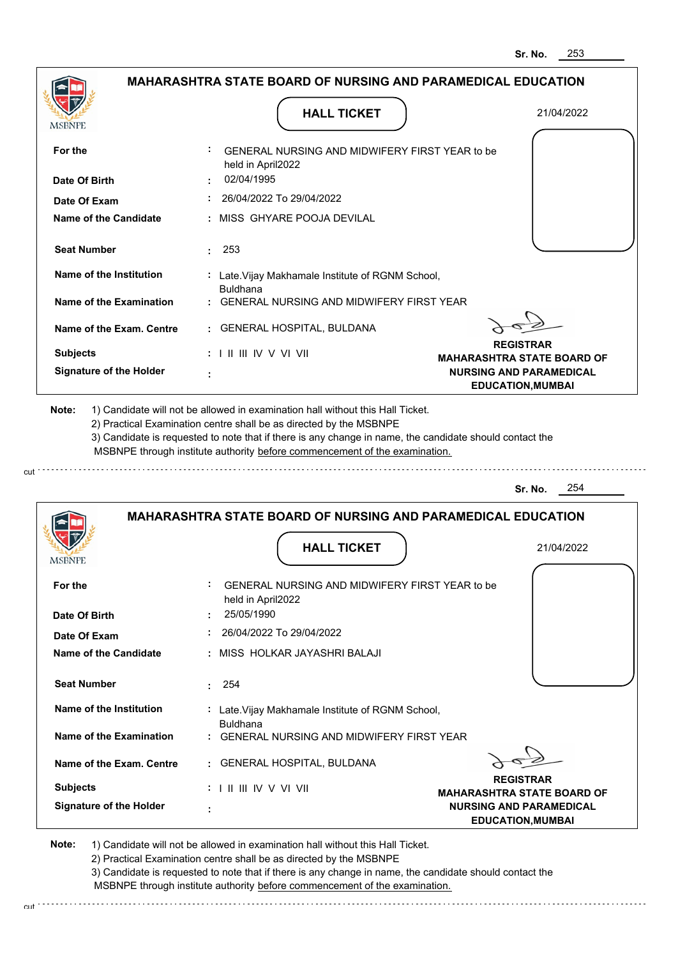|                                |                                                                               | Sr. No.<br>∠ວວ                                             |
|--------------------------------|-------------------------------------------------------------------------------|------------------------------------------------------------|
|                                | <b>MAHARASHTRA STATE BOARD OF NURSING AND PARAMEDICAL EDUCATION</b>           |                                                            |
| <b>MSBNPE</b>                  | <b>HALL TICKET</b>                                                            | 21/04/2022                                                 |
| For the                        | GENERAL NURSING AND MIDWIFERY FIRST YEAR to be                                |                                                            |
| Date Of Birth                  | held in April2022<br>02/04/1995                                               |                                                            |
| Date Of Exam                   | 26/04/2022 To 29/04/2022                                                      |                                                            |
| Name of the Candidate          | MISS GHYARE POOJA DEVILAL                                                     |                                                            |
| <b>Seat Number</b>             | 253                                                                           |                                                            |
| Name of the Institution        | : Late. Vijay Makhamale Institute of RGNM School,<br><b>Buldhana</b>          |                                                            |
| <b>Name of the Examination</b> | <b>GENERAL NURSING AND MIDWIFERY FIRST YEAR</b>                               |                                                            |
| Name of the Exam. Centre       | : GENERAL HOSPITAL, BULDANA                                                   |                                                            |
| <b>Subjects</b>                | $: 1 \mathbb{I}$ III IIV V VI VII                                             | <b>REGISTRAR</b><br><b>MAHARASHTRA STATE BOARD OF</b>      |
| <b>Signature of the Holder</b> |                                                                               | <b>NURSING AND PARAMEDICAL</b><br><b>EDUCATION, MUMBAI</b> |
|                                |                                                                               | 254<br>Sr. No.                                             |
|                                | <b>MAHARASHTRA STATE BOARD OF NURSING AND PARAMEDICAL EDUCATION</b>           |                                                            |
| MSBNPE                         | <b>HALL TICKET</b>                                                            | 21/04/2022                                                 |
|                                |                                                                               |                                                            |
| For the                        | GENERAL NURSING AND MIDWIFERY FIRST YEAR to be<br>held in April2022           |                                                            |
| Date Of Birth                  | 25/05/1990                                                                    |                                                            |
| Date Of Exam                   | 26/04/2022 To 29/04/2022                                                      |                                                            |
| Name of the Candidate          | : MISS HOLKAR JAYASHRI BALAJI                                                 |                                                            |
| <b>Seat Number</b>             | : 254                                                                         |                                                            |
| Name of the Institution        | : Late. Vijay Makhamale Institute of RGNM School,<br><b>Buldhana</b>          |                                                            |
| <b>Name of the Examination</b> | GENERAL NURSING AND MIDWIFERY FIRST YEAR                                      |                                                            |
| Name of the Exam. Centre       | : GENERAL HOSPITAL, BULDANA                                                   |                                                            |
| <b>Subjects</b>                | : I II III IV V VI VII                                                        | <b>REGISTRAR</b><br><b>MAHARASHTRA STATE BOARD OF</b>      |
| <b>Signature of the Holder</b> |                                                                               | <b>NURSING AND PARAMEDICAL</b><br><b>EDUCATION, MUMBAI</b> |
| Noto:                          | 1) Condidate will not be allowed in examination boll without this Hall Tiplet |                                                            |

cut

2) Practical Examination centre shall be as directed by the MSBNPE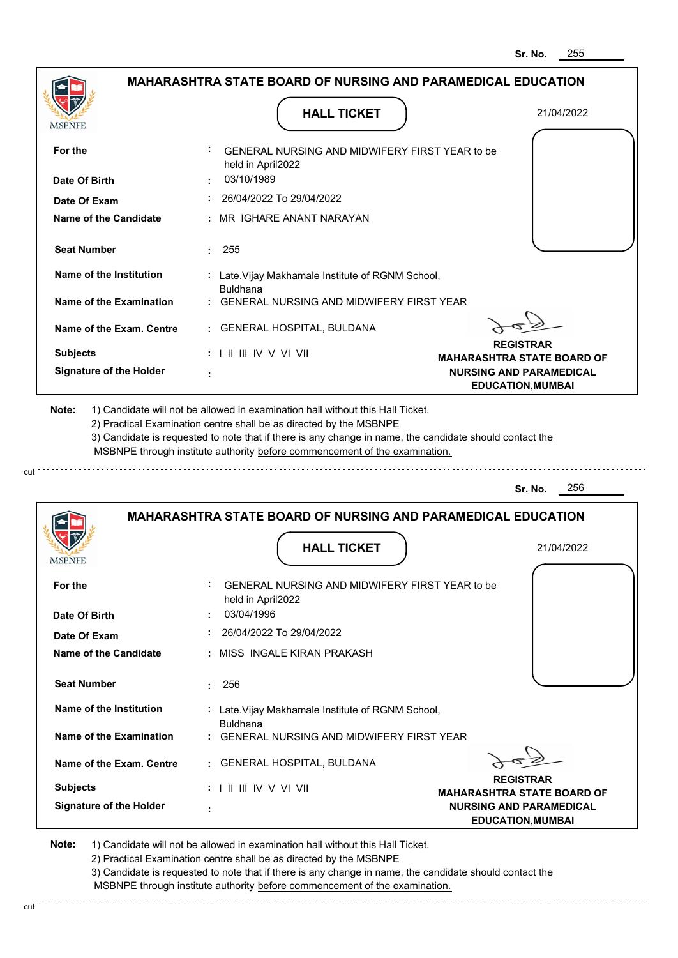| <b>MAHARASHTRA STATE BOARD OF NURSING AND PARAMEDICAL EDUCATION</b>                                                                                                                   |                                                                                                                                                                         |
|---------------------------------------------------------------------------------------------------------------------------------------------------------------------------------------|-------------------------------------------------------------------------------------------------------------------------------------------------------------------------|
| <b>HALL TICKET</b>                                                                                                                                                                    | 21/04/2022                                                                                                                                                              |
| GENERAL NURSING AND MIDWIFERY FIRST YEAR to be<br>held in April2022                                                                                                                   |                                                                                                                                                                         |
| 03/10/1989                                                                                                                                                                            |                                                                                                                                                                         |
| 26/04/2022 To 29/04/2022                                                                                                                                                              |                                                                                                                                                                         |
| : MR IGHARE ANANT NARAYAN                                                                                                                                                             |                                                                                                                                                                         |
| 255<br>÷.                                                                                                                                                                             |                                                                                                                                                                         |
| : Late. Vijay Makhamale Institute of RGNM School,                                                                                                                                     |                                                                                                                                                                         |
| GENERAL NURSING AND MIDWIFERY FIRST YEAR                                                                                                                                              |                                                                                                                                                                         |
| <b>GENERAL HOSPITAL, BULDANA</b><br>÷.                                                                                                                                                |                                                                                                                                                                         |
| $: 1 \parallel \parallel \parallel$ IV V VI VII                                                                                                                                       | <b>REGISTRAR</b><br><b>MAHARASHTRA STATE BOARD OF</b>                                                                                                                   |
|                                                                                                                                                                                       | <b>NURSING AND PARAMEDICAL</b><br><b>EDUCATION, MUMBAI</b>                                                                                                              |
| 3) Candidate is requested to note that if there is any change in name, the candidate should contact the<br>MSBNPE through institute authority before commencement of the examination. |                                                                                                                                                                         |
|                                                                                                                                                                                       | 256<br>Sr. No.                                                                                                                                                          |
| <b>MAHARASHTRA STATE BOARD OF NURSING AND PARAMEDICAL EDUCATION</b>                                                                                                                   |                                                                                                                                                                         |
| <b>HALL TICKET</b>                                                                                                                                                                    | 21/04/2022                                                                                                                                                              |
| GENERAL NURSING AND MIDWIFERY FIRST YEAR to be<br>held in April2022                                                                                                                   |                                                                                                                                                                         |
| 03/04/1996                                                                                                                                                                            |                                                                                                                                                                         |
| 26/04/2022 To 29/04/2022                                                                                                                                                              |                                                                                                                                                                         |
| : MISS INGALE KIRAN PRAKASH                                                                                                                                                           |                                                                                                                                                                         |
| 256<br>÷.                                                                                                                                                                             |                                                                                                                                                                         |
| : Late. Vijay Makhamale Institute of RGNM School,<br><b>Buldhana</b>                                                                                                                  |                                                                                                                                                                         |
| GENERAL NURSING AND MIDWIFERY FIRST YEAR                                                                                                                                              |                                                                                                                                                                         |
| GENERAL HOSPITAL, BULDANA                                                                                                                                                             |                                                                                                                                                                         |
| : I II III IV V VI VII                                                                                                                                                                | <b>REGISTRAR</b><br><b>MAHARASHTRA STATE BOARD OF</b>                                                                                                                   |
|                                                                                                                                                                                       | <b>Buldhana</b><br>1) Candidate will not be allowed in examination hall without this Hall Ticket.<br>2) Practical Examination centre shall be as directed by the MSBNPE |

cut

2) Practical Examination centre shall be as directed by the MSBNPE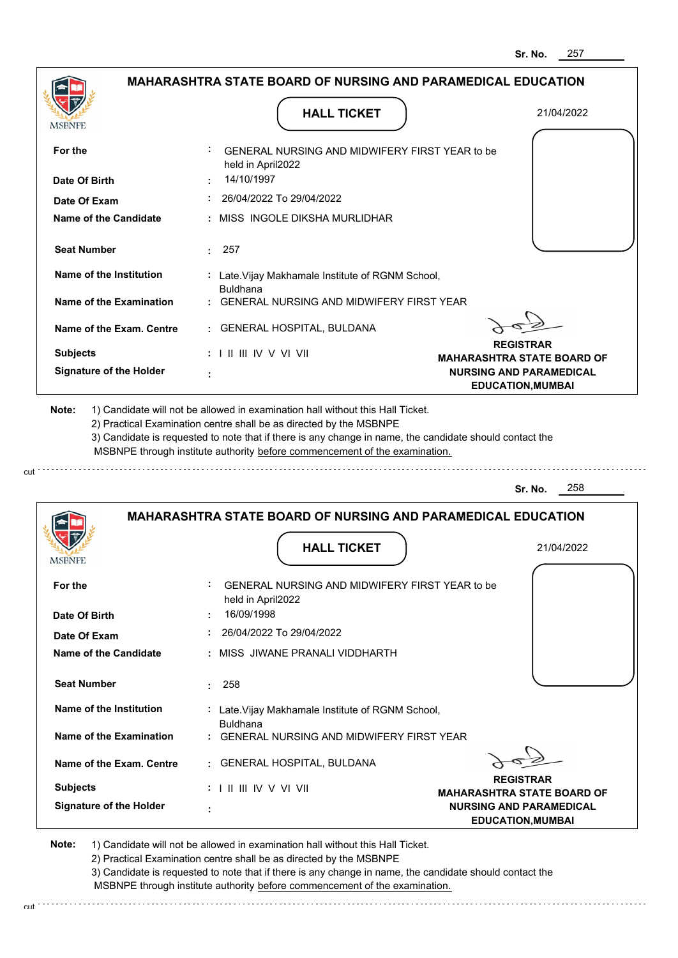|                                |                                                                                           | 257<br>Sr. No.                                             |
|--------------------------------|-------------------------------------------------------------------------------------------|------------------------------------------------------------|
|                                | <b>MAHARASHTRA STATE BOARD OF NURSING AND PARAMEDICAL EDUCATION</b>                       |                                                            |
| <b>MSBNPE</b>                  | <b>HALL TICKET</b>                                                                        | 21/04/2022                                                 |
| For the                        | GENERAL NURSING AND MIDWIFERY FIRST YEAR to be<br>held in April2022                       |                                                            |
| Date Of Birth                  | 14/10/1997                                                                                |                                                            |
| Date Of Exam                   | 26/04/2022 To 29/04/2022                                                                  |                                                            |
| Name of the Candidate          | : MISS INGOLE DIKSHA MURLIDHAR                                                            |                                                            |
| <b>Seat Number</b>             | 257                                                                                       |                                                            |
| Name of the Institution        | : Late. Vijay Makhamale Institute of RGNM School,<br><b>Buldhana</b>                      |                                                            |
| Name of the Examination        | <b>GENERAL NURSING AND MIDWIFERY FIRST YEAR</b>                                           |                                                            |
| Name of the Exam. Centre       | GENERAL HOSPITAL, BULDANA                                                                 |                                                            |
| <b>Subjects</b>                | $: 1 \mathbb{H} \mathbb{H} \mathbb{N} \vee \mathbb{V} \mathbb{N}$                         | <b>REGISTRAR</b><br><b>MAHARASHTRA STATE BOARD OF</b>      |
| <b>Signature of the Holder</b> |                                                                                           | <b>NURSING AND PARAMEDICAL</b><br><b>EDUCATION, MUMBAI</b> |
|                                |                                                                                           | 258<br>Sr. No.                                             |
|                                | <b>MAHARASHTRA STATE BOARD OF NURSING AND PARAMEDICAL EDUCATION</b><br><b>HALL TICKET</b> | 21/04/2022                                                 |
|                                |                                                                                           |                                                            |
| For the                        | ÷<br>GENERAL NURSING AND MIDWIFERY FIRST YEAR to be<br>held in April2022                  |                                                            |
| Date Of Birth                  | 16/09/1998                                                                                |                                                            |
| Date Of Exam                   | 26/04/2022 To 29/04/2022                                                                  |                                                            |
| <b>Name of the Candidate</b>   | : MISS JIWANE PRANALI VIDDHARTH                                                           |                                                            |
| <b>Seat Number</b>             | 258                                                                                       |                                                            |
| Name of the Institution        | : Late. Vijay Makhamale Institute of RGNM School,<br><b>Buldhana</b>                      |                                                            |
| <b>Name of the Examination</b> | GENERAL NURSING AND MIDWIFERY FIRST YEAR                                                  |                                                            |
| Name of the Exam. Centre       | : GENERAL HOSPITAL, BULDANA                                                               | <b>REGISTRAR</b>                                           |
| <b>Subjects</b>                |                                                                                           | <b>MAHARASHTRA STATE BOARD OF</b>                          |
| <b>Signature of the Holder</b> |                                                                                           | <b>NURSING AND PARAMEDICAL</b><br><b>EDUCATION, MUMBAI</b> |
|                                |                                                                                           |                                                            |

cut

2) Practical Examination centre shall be as directed by the MSBNPE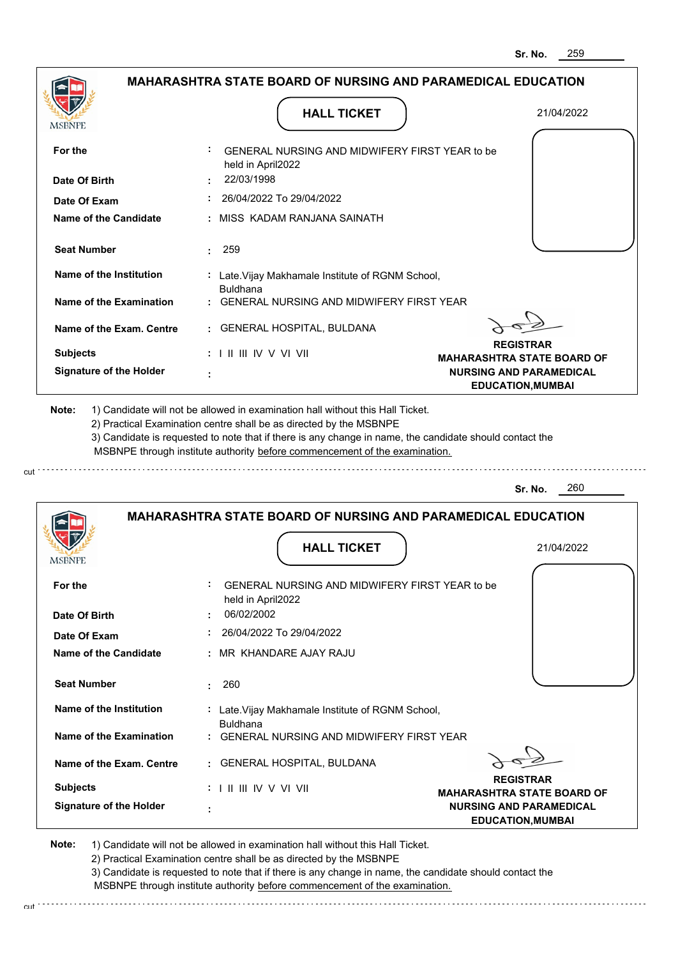|                                |                                                                            | ວr. No.<br>∠ບອ                                             |
|--------------------------------|----------------------------------------------------------------------------|------------------------------------------------------------|
|                                | <b>MAHARASHTRA STATE BOARD OF NURSING AND PARAMEDICAL EDUCATION</b>        |                                                            |
| <b>MSBNPE</b>                  | <b>HALL TICKET</b>                                                         | 21/04/2022                                                 |
| For the                        | GENERAL NURSING AND MIDWIFERY FIRST YEAR to be<br>held in April2022        |                                                            |
| Date Of Birth                  | 22/03/1998                                                                 |                                                            |
| Date Of Exam                   | 26/04/2022 To 29/04/2022                                                   |                                                            |
| <b>Name of the Candidate</b>   | : MISS KADAM RANJANA SAINATH                                               |                                                            |
| <b>Seat Number</b>             | 259<br>٠                                                                   |                                                            |
| Name of the Institution        | : Late. Vijay Makhamale Institute of RGNM School,<br><b>Buldhana</b>       |                                                            |
| <b>Name of the Examination</b> | <b>GENERAL NURSING AND MIDWIFERY FIRST YEAR</b>                            |                                                            |
| Name of the Exam. Centre       | <b>GENERAL HOSPITAL, BULDANA</b><br>÷.                                     |                                                            |
| <b>Subjects</b>                | $: 1 \parallel \parallel \parallel$ IV V VI VII                            | <b>REGISTRAR</b><br><b>MAHARASHTRA STATE BOARD OF</b>      |
| <b>Signature of the Holder</b> |                                                                            | <b>NURSING AND PARAMEDICAL</b><br><b>EDUCATION, MUMBAI</b> |
|                                | MSBNPE through institute authority before commencement of the examination. | 260<br>Sr. No.                                             |
|                                | <b>MAHARASHTRA STATE BOARD OF NURSING AND PARAMEDICAL EDUCATION</b>        |                                                            |
| MSBNPE                         | <b>HALL TICKET</b>                                                         | 21/04/2022                                                 |
| For the                        | GENERAL NURSING AND MIDWIFERY FIRST YEAR to be<br>held in April2022        |                                                            |
| Date Of Birth                  | 06/02/2002                                                                 |                                                            |
| Date Of Exam                   | 26/04/2022 To 29/04/2022                                                   |                                                            |
| <b>Name of the Candidate</b>   | MR KHANDARE AJAY RAJU                                                      |                                                            |
| <b>Seat Number</b>             | 260<br>÷.                                                                  |                                                            |
| Name of the Institution        | : Late. Vijay Makhamale Institute of RGNM School,<br><b>Buldhana</b>       |                                                            |
| <b>Name of the Examination</b> | <b>GENERAL NURSING AND MIDWIFERY FIRST YEAR</b>                            |                                                            |
| Name of the Exam. Centre       | : GENERAL HOSPITAL, BULDANA                                                |                                                            |
| <b>Subjects</b>                | : I II III IV V VI VII                                                     | <b>REGISTRAR</b><br><b>MAHARASHTRA STATE BOARD OF</b>      |
| <b>Signature of the Holder</b> | ÷                                                                          | <b>NURSING AND PARAMEDICAL</b><br><b>EDUCATION, MUMBAI</b> |
|                                |                                                                            |                                                            |

cut

2) Practical Examination centre shall be as directed by the MSBNPE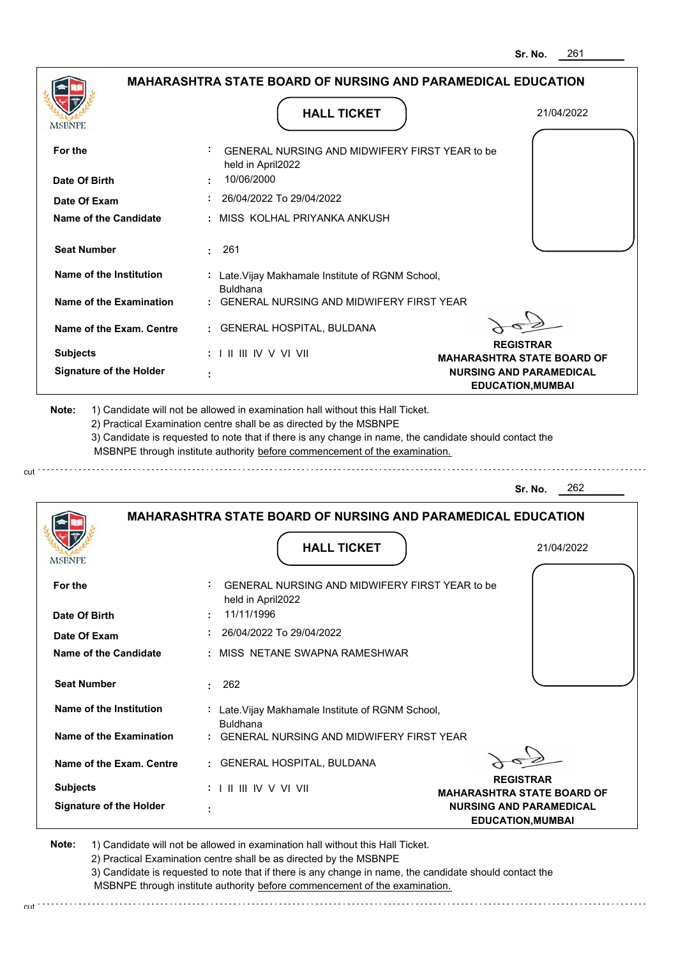|                                       |                                                                            | Sr. NO.<br>∠o i                                            |
|---------------------------------------|----------------------------------------------------------------------------|------------------------------------------------------------|
|                                       | MAHARASHTRA STATE BOARD OF NURSING AND PARAMEDICAL EDUCATION               |                                                            |
| MSBNPE                                | <b>HALL TICKET</b>                                                         | 21/04/2022                                                 |
| For the                               | GENERAL NURSING AND MIDWIFERY FIRST YEAR to be<br>held in April2022        |                                                            |
| Date Of Birth                         | 10/06/2000                                                                 |                                                            |
| Date Of Exam                          | 26/04/2022 To 29/04/2022                                                   |                                                            |
| <b>Name of the Candidate</b>          | MISS KOLHAL PRIYANKA ANKUSH                                                |                                                            |
| <b>Seat Number</b>                    | 261                                                                        |                                                            |
| Name of the Institution               | : Late. Vijay Makhamale Institute of RGNM School,<br><b>Buldhana</b>       |                                                            |
| <b>Name of the Examination</b>        | <b>GENERAL NURSING AND MIDWIFERY FIRST YEAR</b>                            |                                                            |
| Name of the Exam. Centre              | <b>GENERAL HOSPITAL, BULDANA</b><br>÷.                                     |                                                            |
| <b>Subjects</b>                       | $: 1 \parallel \parallel \parallel$ IV V VI VII                            | <b>REGISTRAR</b><br><b>MAHARASHTRA STATE BOARD OF</b>      |
| <b>Signature of the Holder</b>        |                                                                            | <b>NURSING AND PARAMEDICAL</b><br><b>EDUCATION, MUMBAI</b> |
|                                       | MSBNPE through institute authority before commencement of the examination. | 262<br>Sr. No.                                             |
|                                       | <b>MAHARASHTRA STATE BOARD OF NURSING AND PARAMEDICAL EDUCATION</b>        |                                                            |
| MSBNPE                                | <b>HALL TICKET</b>                                                         | 21/04/2022                                                 |
| For the                               | GENERAL NURSING AND MIDWIFERY FIRST YEAR to be<br>held in April2022        |                                                            |
| Date Of Birth                         | 11/11/1996                                                                 |                                                            |
| Date Of Exam<br>Name of the Candidate | 26/04/2022 To 29/04/2022<br>MISS NETANE SWAPNA RAMESHWAR                   |                                                            |
|                                       |                                                                            |                                                            |
| <b>Seat Number</b>                    | 262<br>÷.                                                                  |                                                            |
| Name of the Institution               | : Late. Vijay Makhamale Institute of RGNM School,<br><b>Buldhana</b>       |                                                            |
| <b>Name of the Examination</b>        | <b>GENERAL NURSING AND MIDWIFERY FIRST YEAR</b>                            |                                                            |
| Name of the Exam. Centre              | : GENERAL HOSPITAL, BULDANA                                                |                                                            |
| <b>Subjects</b>                       | : I II III IV V VI VII                                                     | <b>REGISTRAR</b><br><b>MAHARASHTRA STATE BOARD OF</b>      |
| <b>Signature of the Holder</b>        | ÷                                                                          | <b>NURSING AND PARAMEDICAL</b><br><b>EDUCATION, MUMBAI</b> |
|                                       |                                                                            |                                                            |

cut

2) Practical Examination centre shall be as directed by the MSBNPE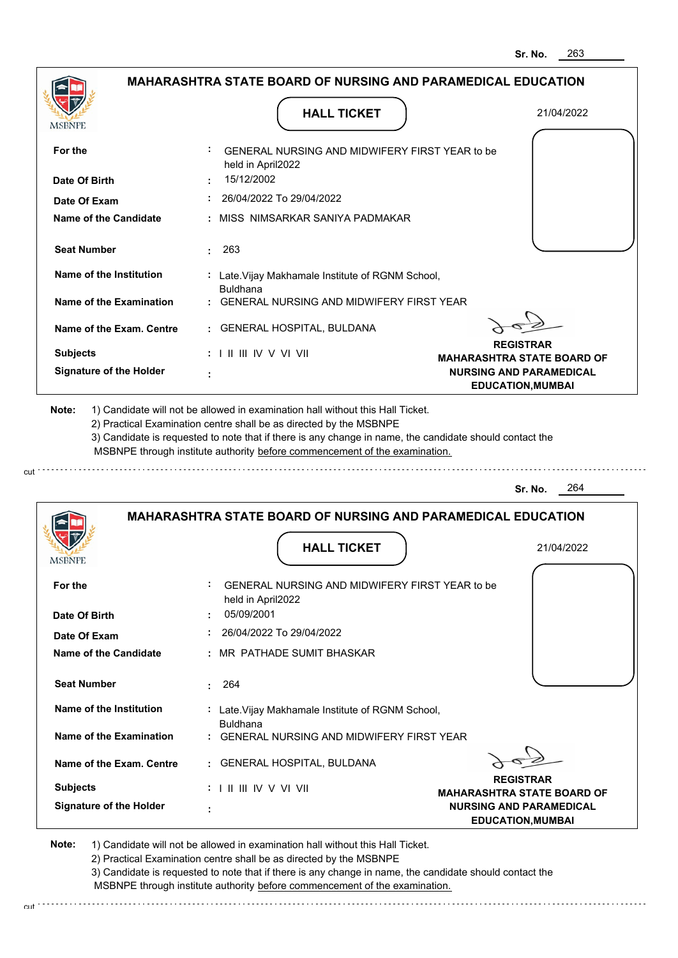|                                | <b>MAHARASHTRA STATE BOARD OF NURSING AND PARAMEDICAL EDUCATION</b>                                                                                                                                                                                                                                                                           |                                                       |
|--------------------------------|-----------------------------------------------------------------------------------------------------------------------------------------------------------------------------------------------------------------------------------------------------------------------------------------------------------------------------------------------|-------------------------------------------------------|
| MSBNPE                         | <b>HALL TICKET</b>                                                                                                                                                                                                                                                                                                                            | 21/04/2022                                            |
| For the                        | GENERAL NURSING AND MIDWIFERY FIRST YEAR to be<br>held in April2022                                                                                                                                                                                                                                                                           |                                                       |
| Date Of Birth                  | 15/12/2002                                                                                                                                                                                                                                                                                                                                    |                                                       |
| Date Of Exam                   | 26/04/2022 To 29/04/2022                                                                                                                                                                                                                                                                                                                      |                                                       |
| <b>Name of the Candidate</b>   | : MISS NIMSARKAR SANIYA PADMAKAR                                                                                                                                                                                                                                                                                                              |                                                       |
| <b>Seat Number</b>             | 263<br>÷.                                                                                                                                                                                                                                                                                                                                     |                                                       |
| Name of the Institution        | : Late. Vijay Makhamale Institute of RGNM School,<br><b>Buldhana</b>                                                                                                                                                                                                                                                                          |                                                       |
| <b>Name of the Examination</b> | GENERAL NURSING AND MIDWIFERY FIRST YEAR                                                                                                                                                                                                                                                                                                      |                                                       |
| Name of the Exam. Centre       | <b>GENERAL HOSPITAL, BULDANA</b><br>÷.                                                                                                                                                                                                                                                                                                        |                                                       |
| <b>Subjects</b>                | $: 1 \parallel \parallel \parallel$ IV V VI VII                                                                                                                                                                                                                                                                                               | <b>REGISTRAR</b><br><b>MAHARASHTRA STATE BOARD OF</b> |
| <b>Signature of the Holder</b> |                                                                                                                                                                                                                                                                                                                                               | <b>NURSING AND PARAMEDICAL</b>                        |
| Note:                          | 1) Candidate will not be allowed in examination hall without this Hall Ticket.<br>2) Practical Examination centre shall be as directed by the MSBNPE<br>3) Candidate is requested to note that if there is any change in name, the candidate should contact the<br>MSBNPE through institute authority before commencement of the examination. | <b>EDUCATION, MUMBAI</b>                              |
|                                |                                                                                                                                                                                                                                                                                                                                               | 264<br>Sr. No.                                        |
|                                | <b>MAHARASHTRA STATE BOARD OF NURSING AND PARAMEDICAL EDUCATION</b>                                                                                                                                                                                                                                                                           |                                                       |
|                                | <b>HALL TICKET</b>                                                                                                                                                                                                                                                                                                                            | 21/04/2022                                            |
| MSBNPE                         |                                                                                                                                                                                                                                                                                                                                               |                                                       |
| For the                        | GENERAL NURSING AND MIDWIFERY FIRST YEAR to be<br>held in April2022                                                                                                                                                                                                                                                                           |                                                       |
| Date Of Birth                  | 05/09/2001                                                                                                                                                                                                                                                                                                                                    |                                                       |
| Date Of Exam                   | 26/04/2022 To 29/04/2022                                                                                                                                                                                                                                                                                                                      |                                                       |
| Name of the Candidate          | : MR PATHADE SUMIT BHASKAR                                                                                                                                                                                                                                                                                                                    |                                                       |
| <b>Seat Number</b>             | 264<br>÷                                                                                                                                                                                                                                                                                                                                      |                                                       |
| Name of the Institution        | : Late. Vijay Makhamale Institute of RGNM School,<br><b>Buldhana</b>                                                                                                                                                                                                                                                                          |                                                       |
| Name of the Examination        | GENERAL NURSING AND MIDWIFERY FIRST YEAR                                                                                                                                                                                                                                                                                                      |                                                       |
| Name of the Exam. Centre       | GENERAL HOSPITAL, BULDANA                                                                                                                                                                                                                                                                                                                     |                                                       |
| <b>Subjects</b>                | : I II III IV V VI VII                                                                                                                                                                                                                                                                                                                        | <b>REGISTRAR</b><br><b>MAHARASHTRA STATE BOARD OF</b> |

cut

2) Practical Examination centre shall be as directed by the MSBNPE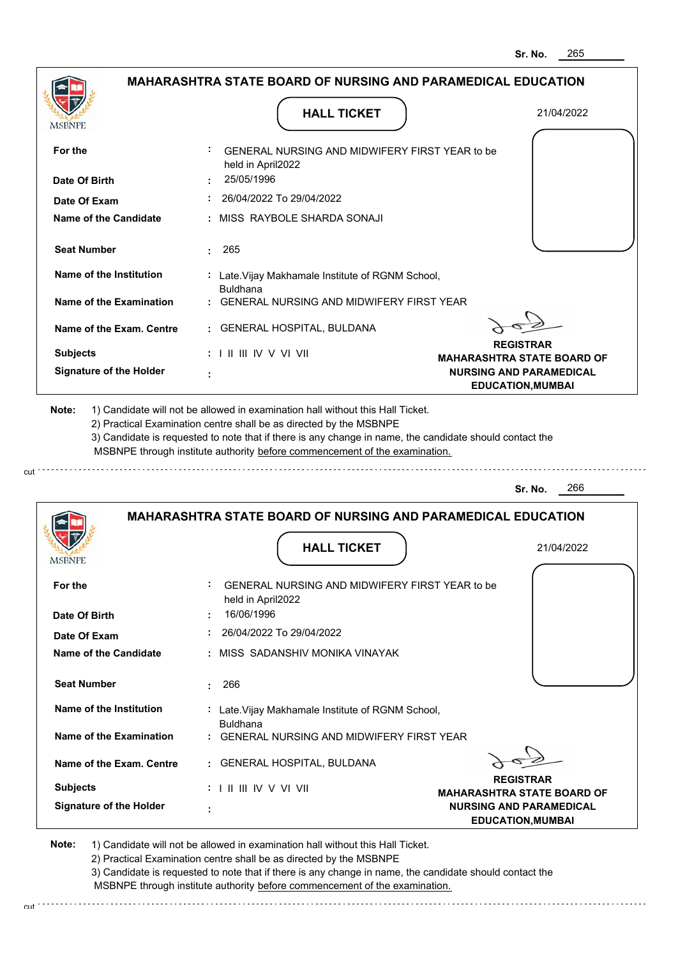|                                |                                                                            | Sr. No.<br>∠໐ວ                                             |
|--------------------------------|----------------------------------------------------------------------------|------------------------------------------------------------|
|                                | MAHARASHTRA STATE BOARD OF NURSING AND PARAMEDICAL EDUCATION               |                                                            |
| <b>MSBNPE</b>                  | <b>HALL TICKET</b>                                                         | 21/04/2022                                                 |
| For the                        | GENERAL NURSING AND MIDWIFERY FIRST YEAR to be<br>held in April2022        |                                                            |
| Date Of Birth                  | 25/05/1996                                                                 |                                                            |
| Date Of Exam                   | 26/04/2022 To 29/04/2022                                                   |                                                            |
| <b>Name of the Candidate</b>   | MISS RAYBOLE SHARDA SONAJI                                                 |                                                            |
| <b>Seat Number</b>             | 265                                                                        |                                                            |
| Name of the Institution        | : Late. Vijay Makhamale Institute of RGNM School,<br><b>Buldhana</b>       |                                                            |
| Name of the Examination        | GENERAL NURSING AND MIDWIFERY FIRST YEAR                                   |                                                            |
| Name of the Exam. Centre       | <b>GENERAL HOSPITAL, BULDANA</b><br>÷.                                     |                                                            |
| <b>Subjects</b>                | : I II III IV V VI VII                                                     | <b>REGISTRAR</b><br><b>MAHARASHTRA STATE BOARD OF</b>      |
| <b>Signature of the Holder</b> |                                                                            | <b>NURSING AND PARAMEDICAL</b><br><b>EDUCATION, MUMBAI</b> |
|                                | MSBNPE through institute authority before commencement of the examination. | 266<br>Sr. No.                                             |
|                                | <b>MAHARASHTRA STATE BOARD OF NURSING AND PARAMEDICAL EDUCATION</b>        |                                                            |
| MSBNPE                         | <b>HALL TICKET</b>                                                         | 21/04/2022                                                 |
| For the                        | GENERAL NURSING AND MIDWIFERY FIRST YEAR to be                             |                                                            |
| Date Of Birth                  | held in April2022<br>16/06/1996                                            |                                                            |
| Date Of Exam                   | 26/04/2022 To 29/04/2022                                                   |                                                            |
| <b>Name of the Candidate</b>   | MISS SADANSHIV MONIKA VINAYAK                                              |                                                            |
| <b>Seat Number</b>             | 266<br>÷.                                                                  |                                                            |
| Name of the Institution        | : Late. Vijay Makhamale Institute of RGNM School,<br><b>Buldhana</b>       |                                                            |
| Name of the Examination        | <b>GENERAL NURSING AND MIDWIFERY FIRST YEAR</b>                            |                                                            |
| Name of the Exam. Centre       | <b>GENERAL HOSPITAL, BULDANA</b>                                           |                                                            |
| <b>Subjects</b>                |                                                                            | <b>REGISTRAR</b><br><b>MAHARASHTRA STATE BOARD OF</b>      |
| <b>Signature of the Holder</b> |                                                                            | <b>NURSING AND PARAMEDICAL</b><br><b>EDUCATION, MUMBAI</b> |
|                                |                                                                            |                                                            |

cut

2) Practical Examination centre shall be as directed by the MSBNPE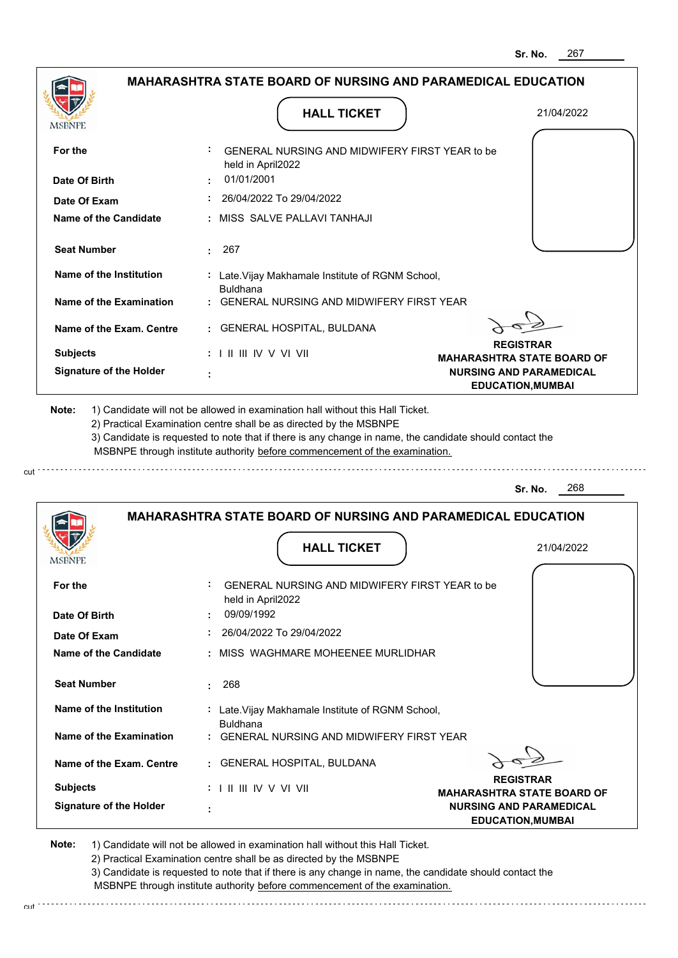|                                       |                                                                      | Sr. No.<br>267                                                                                  |
|---------------------------------------|----------------------------------------------------------------------|-------------------------------------------------------------------------------------------------|
|                                       | <b>MAHARASHTRA STATE BOARD OF NURSING AND PARAMEDICAL EDUCATION</b>  |                                                                                                 |
| <b>MSBNPE</b>                         | <b>HALL TICKET</b>                                                   | 21/04/2022                                                                                      |
| For the                               | GENERAL NURSING AND MIDWIFERY FIRST YEAR to be<br>held in April2022  |                                                                                                 |
| Date Of Birth                         | 01/01/2001                                                           |                                                                                                 |
| Date Of Exam                          | 26/04/2022 To 29/04/2022                                             |                                                                                                 |
| <b>Name of the Candidate</b>          | MISS SALVE PALLAVI TANHAJI                                           |                                                                                                 |
| <b>Seat Number</b>                    | 267<br>÷.                                                            |                                                                                                 |
| Name of the Institution               | : Late. Vijay Makhamale Institute of RGNM School,<br><b>Buldhana</b> |                                                                                                 |
| Name of the Examination               | <b>GENERAL NURSING AND MIDWIFERY FIRST YEAR</b>                      |                                                                                                 |
| Name of the Exam. Centre              | <b>GENERAL HOSPITAL, BULDANA</b><br>÷.                               |                                                                                                 |
| <b>Subjects</b>                       | $: 1 \mathbb{I}$ III IIV V VI VII                                    | <b>REGISTRAR</b>                                                                                |
| <b>Signature of the Holder</b>        |                                                                      | <b>MAHARASHTRA STATE BOARD OF</b><br><b>NURSING AND PARAMEDICAL</b><br><b>EDUCATION, MUMBAI</b> |
|                                       |                                                                      | 268<br>Sr. No.                                                                                  |
|                                       | <b>MAHARASHTRA STATE BOARD OF NURSING AND PARAMEDICAL EDUCATION</b>  |                                                                                                 |
| MSBNPI                                | <b>HALL TICKET</b>                                                   | 21/04/2022                                                                                      |
| For the                               | GENERAL NURSING AND MIDWIFERY FIRST YEAR to be<br>held in April2022  |                                                                                                 |
| Date Of Birth                         | 09/09/1992                                                           |                                                                                                 |
| Date Of Exam<br>Name of the Candidate | 26/04/2022 To 29/04/2022<br>MISS WAGHMARE MOHEENEE MURLIDHAR         |                                                                                                 |
|                                       |                                                                      |                                                                                                 |
| <b>Seat Number</b>                    |                                                                      |                                                                                                 |
|                                       | 268<br>÷.                                                            |                                                                                                 |
| Name of the Institution               | : Late. Vijay Makhamale Institute of RGNM School,                    |                                                                                                 |
| <b>Name of the Examination</b>        | <b>Buldhana</b><br><b>GENERAL NURSING AND MIDWIFERY FIRST YEAR</b>   |                                                                                                 |
| Name of the Exam. Centre              | GENERAL HOSPITAL, BULDANA                                            |                                                                                                 |
| <b>Subjects</b>                       | $: 1 \mathbb{I}$ III IIV V VI VII                                    | <b>REGISTRAR</b>                                                                                |
| <b>Signature of the Holder</b>        |                                                                      | <b>MAHARASHTRA STATE BOARD OF</b><br><b>NURSING AND PARAMEDICAL</b><br><b>EDUCATION, MUMBAI</b> |

cut

2) Practical Examination centre shall be as directed by the MSBNPE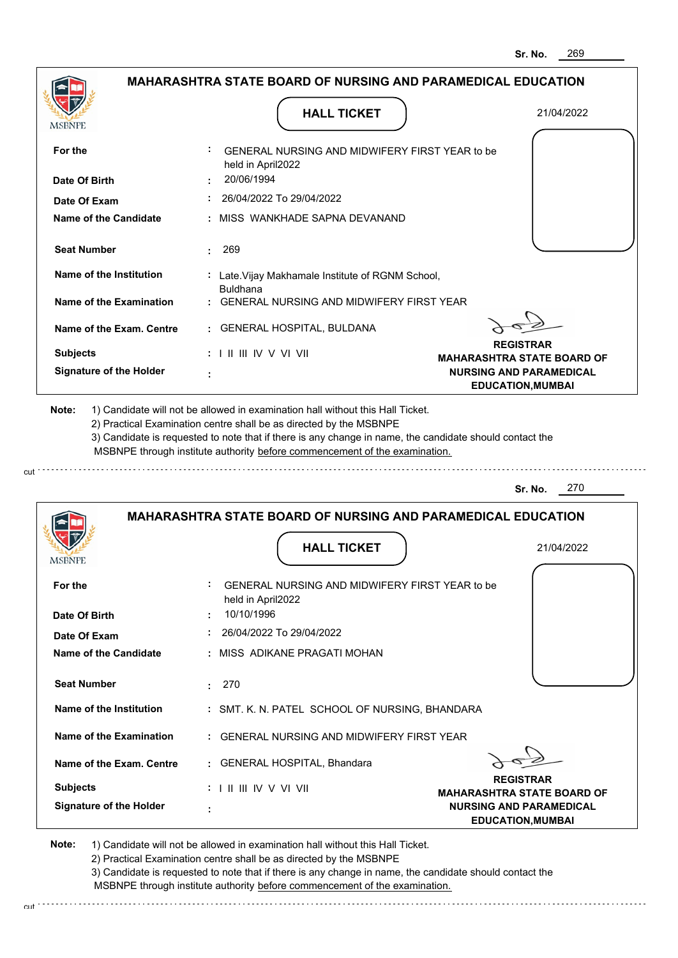|                                |                                                                                                                                                                                       | Sr. No.<br>269                                             |
|--------------------------------|---------------------------------------------------------------------------------------------------------------------------------------------------------------------------------------|------------------------------------------------------------|
|                                | <b>MAHARASHTRA STATE BOARD OF NURSING AND PARAMEDICAL EDUCATION</b>                                                                                                                   |                                                            |
| MSBNPE                         | <b>HALL TICKET</b>                                                                                                                                                                    | 21/04/2022                                                 |
| For the                        | GENERAL NURSING AND MIDWIFERY FIRST YEAR to be<br>held in April2022                                                                                                                   |                                                            |
| Date Of Birth                  | 20/06/1994                                                                                                                                                                            |                                                            |
| Date Of Exam                   | 26/04/2022 To 29/04/2022                                                                                                                                                              |                                                            |
| <b>Name of the Candidate</b>   | MISS WANKHADE SAPNA DEVANAND                                                                                                                                                          |                                                            |
| <b>Seat Number</b>             | 269<br>÷.                                                                                                                                                                             |                                                            |
| Name of the Institution        | : Late. Vijay Makhamale Institute of RGNM School,<br><b>Buldhana</b>                                                                                                                  |                                                            |
| Name of the Examination        | <b>GENERAL NURSING AND MIDWIFERY FIRST YEAR</b>                                                                                                                                       |                                                            |
| Name of the Exam. Centre       | <b>GENERAL HOSPITAL, BULDANA</b><br>÷.                                                                                                                                                |                                                            |
| <b>Subjects</b>                | $: 1 \parallel \parallel \parallel$ IV V VI VII                                                                                                                                       | <b>REGISTRAR</b><br><b>MAHARASHTRA STATE BOARD OF</b>      |
| <b>Signature of the Holder</b> |                                                                                                                                                                                       | <b>NURSING AND PARAMEDICAL</b><br><b>EDUCATION, MUMBAI</b> |
|                                | 3) Candidate is requested to note that if there is any change in name, the candidate should contact the<br>MSBNPE through institute authority before commencement of the examination. | 270<br>Sr. No.                                             |
|                                | <b>MAHARASHTRA STATE BOARD OF NURSING AND PARAMEDICAL EDUCATION</b>                                                                                                                   |                                                            |
| MSBNPI                         | <b>HALL TICKET</b>                                                                                                                                                                    | 21/04/2022                                                 |
| For the                        | GENERAL NURSING AND MIDWIFERY FIRST YEAR to be<br>held in April2022                                                                                                                   |                                                            |
| Date Of Birth                  | 10/10/1996                                                                                                                                                                            |                                                            |
| Date Of Exam                   | 26/04/2022 To 29/04/2022                                                                                                                                                              |                                                            |
| Name of the Candidate          | : MISS ADIKANE PRAGATI MOHAN                                                                                                                                                          |                                                            |
| <b>Seat Number</b>             | 270<br>$\bullet$                                                                                                                                                                      |                                                            |
| Name of the Institution        | : SMT. K. N. PATEL SCHOOL OF NURSING, BHANDARA                                                                                                                                        |                                                            |
| Name of the Examination        | GENERAL NURSING AND MIDWIFERY FIRST YEAR                                                                                                                                              |                                                            |
| Name of the Exam. Centre       | <b>GENERAL HOSPITAL, Bhandara</b>                                                                                                                                                     |                                                            |
| <b>Subjects</b>                | : I II III IV V VI VII                                                                                                                                                                | <b>REGISTRAR</b>                                           |
| <b>Signature of the Holder</b> |                                                                                                                                                                                       | <b>MAHARASHTRA STATE BOARD OF</b>                          |

cut

2) Practical Examination centre shall be as directed by the MSBNPE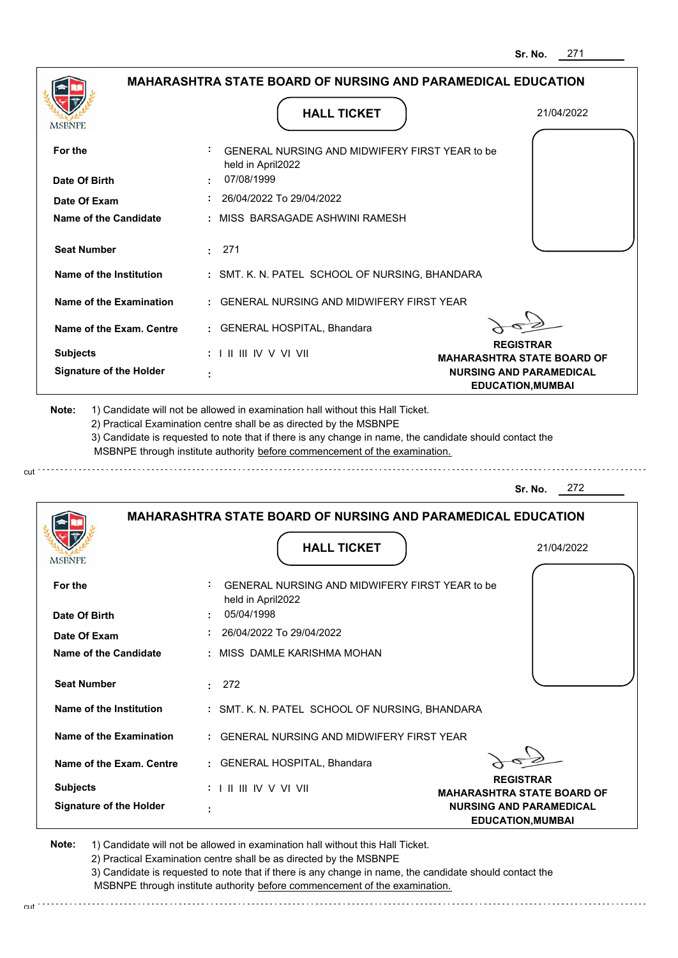|                                | <b>MAHARASHTRA STATE BOARD OF NURSING AND PARAMEDICAL EDUCATION</b>                                                                                                                                                                                                                                                                           |                                                            |
|--------------------------------|-----------------------------------------------------------------------------------------------------------------------------------------------------------------------------------------------------------------------------------------------------------------------------------------------------------------------------------------------|------------------------------------------------------------|
| <b>MSBNPE</b>                  | <b>HALL TICKET</b>                                                                                                                                                                                                                                                                                                                            | 21/04/2022                                                 |
| For the                        | GENERAL NURSING AND MIDWIFERY FIRST YEAR to be<br>held in April2022                                                                                                                                                                                                                                                                           |                                                            |
| Date Of Birth                  | 07/08/1999                                                                                                                                                                                                                                                                                                                                    |                                                            |
| Date Of Exam                   | 26/04/2022 To 29/04/2022                                                                                                                                                                                                                                                                                                                      |                                                            |
| Name of the Candidate          | : MISS_BARSAGADE ASHWINI RAMESH                                                                                                                                                                                                                                                                                                               |                                                            |
| <b>Seat Number</b>             | : 271                                                                                                                                                                                                                                                                                                                                         |                                                            |
| Name of the Institution        | : SMT. K. N. PATEL SCHOOL OF NURSING, BHANDARA                                                                                                                                                                                                                                                                                                |                                                            |
| Name of the Examination        | : GENERAL NURSING AND MIDWIFERY FIRST YEAR                                                                                                                                                                                                                                                                                                    |                                                            |
| Name of the Exam. Centre       | : GENERAL HOSPITAL, Bhandara                                                                                                                                                                                                                                                                                                                  |                                                            |
| <b>Subjects</b>                | $: 1 \parallel \parallel \parallel$ IV V VI VII                                                                                                                                                                                                                                                                                               | <b>REGISTRAR</b><br><b>MAHARASHTRA STATE BOARD OF</b>      |
| <b>Signature of the Holder</b> |                                                                                                                                                                                                                                                                                                                                               | <b>NURSING AND PARAMEDICAL</b><br><b>EDUCATION, MUMBAI</b> |
| Note:                          | 1) Candidate will not be allowed in examination hall without this Hall Ticket.<br>2) Practical Examination centre shall be as directed by the MSBNPE<br>3) Candidate is requested to note that if there is any change in name, the candidate should contact the<br>MSBNPE through institute authority before commencement of the examination. |                                                            |
|                                |                                                                                                                                                                                                                                                                                                                                               | 272<br>Sr. No.                                             |
|                                | <b>MAHARASHTRA STATE BOARD OF NURSING AND PARAMEDICAL EDUCATION</b>                                                                                                                                                                                                                                                                           |                                                            |
|                                | <b>HALL TICKET</b>                                                                                                                                                                                                                                                                                                                            | 21/04/2022                                                 |
| For the                        | GENERAL NURSING AND MIDWIFERY FIRST YEAR to be<br>held in April2022                                                                                                                                                                                                                                                                           |                                                            |
| Date Of Birth                  | 05/04/1998                                                                                                                                                                                                                                                                                                                                    |                                                            |
| Date Of Exam                   | $: 26/04/2022$ To 29/04/2022                                                                                                                                                                                                                                                                                                                  |                                                            |
| Name of the Candidate          | : MISS DAMLE KARISHMA MOHAN                                                                                                                                                                                                                                                                                                                   |                                                            |
| <b>Seat Number</b>             | : 272                                                                                                                                                                                                                                                                                                                                         |                                                            |
| Name of the Institution        | : SMT. K. N. PATEL SCHOOL OF NURSING, BHANDARA                                                                                                                                                                                                                                                                                                |                                                            |
| Name of the Examination        | : GENERAL NURSING AND MIDWIFERY FIRST YEAR                                                                                                                                                                                                                                                                                                    |                                                            |
| Name of the Exam. Centre       | : GENERAL HOSPITAL, Bhandara                                                                                                                                                                                                                                                                                                                  |                                                            |
| <b>Subjects</b>                | $: 1 \mathbb{H} \mathbb{H} \mathbb{V} \vee \mathbb{V} \mathbb{V} \mathbb{H}$                                                                                                                                                                                                                                                                  | <b>REGISTRAR</b><br><b>MAHARASHTRA STATE BOARD OF</b>      |

2) Practical Examination centre shall be as directed by the MSBNPE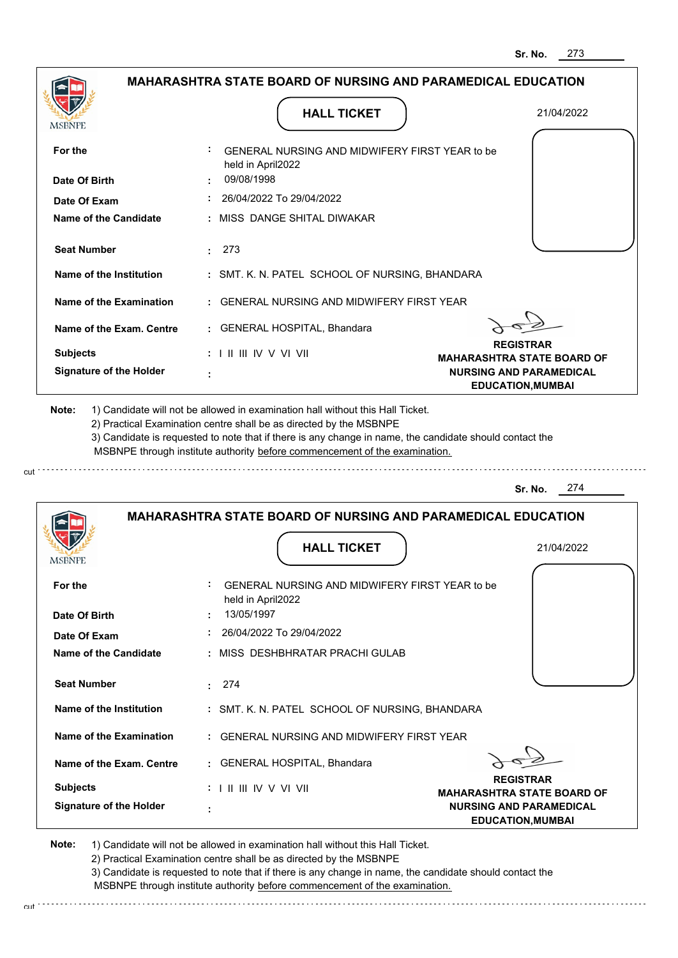|                                | <b>MAHARASHTRA STATE BOARD OF NURSING AND PARAMEDICAL EDUCATION</b>                                                                                                                                                                                         |                                                            |
|--------------------------------|-------------------------------------------------------------------------------------------------------------------------------------------------------------------------------------------------------------------------------------------------------------|------------------------------------------------------------|
| <b>MSBNPE</b>                  | <b>HALL TICKET</b>                                                                                                                                                                                                                                          | 21/04/2022                                                 |
| For the                        | GENERAL NURSING AND MIDWIFERY FIRST YEAR to be<br>held in April2022                                                                                                                                                                                         |                                                            |
| Date Of Birth                  | 09/08/1998                                                                                                                                                                                                                                                  |                                                            |
| Date Of Exam                   | 26/04/2022 To 29/04/2022                                                                                                                                                                                                                                    |                                                            |
| Name of the Candidate          | : MISS DANGE SHITAL DIWAKAR                                                                                                                                                                                                                                 |                                                            |
| <b>Seat Number</b>             | : 273                                                                                                                                                                                                                                                       |                                                            |
| Name of the Institution        | : SMT. K. N. PATEL SCHOOL OF NURSING, BHANDARA                                                                                                                                                                                                              |                                                            |
| Name of the Examination        | : GENERAL NURSING AND MIDWIFERY FIRST YEAR                                                                                                                                                                                                                  |                                                            |
| Name of the Exam. Centre       | : GENERAL HOSPITAL, Bhandara                                                                                                                                                                                                                                |                                                            |
| <b>Subjects</b>                | : I II III IV V VI VII                                                                                                                                                                                                                                      | <b>REGISTRAR</b><br><b>MAHARASHTRA STATE BOARD OF</b>      |
| <b>Signature of the Holder</b> |                                                                                                                                                                                                                                                             | <b>NURSING AND PARAMEDICAL</b><br><b>EDUCATION, MUMBAI</b> |
|                                | 2) Practical Examination centre shall be as directed by the MSBNPE<br>3) Candidate is requested to note that if there is any change in name, the candidate should contact the<br>MSBNPE through institute authority before commencement of the examination. |                                                            |
|                                |                                                                                                                                                                                                                                                             | 274<br>Sr. No.                                             |
|                                | <b>MAHARASHTRA STATE BOARD OF NURSING AND PARAMEDICAL EDUCATION</b>                                                                                                                                                                                         |                                                            |
|                                | <b>HALL TICKET</b>                                                                                                                                                                                                                                          | 21/04/2022                                                 |
| For the                        | GENERAL NURSING AND MIDWIFERY FIRST YEAR to be<br>held in April2022                                                                                                                                                                                         |                                                            |
| Date Of Birth                  | 13/05/1997                                                                                                                                                                                                                                                  |                                                            |
| Date Of Exam                   | 26/04/2022 To 29/04/2022                                                                                                                                                                                                                                    |                                                            |
| <b>Name of the Candidate</b>   | : MISS DESHBHRATAR PRACHI GULAB                                                                                                                                                                                                                             |                                                            |
| <b>Seat Number</b>             | : 274                                                                                                                                                                                                                                                       |                                                            |
| Name of the Institution        | : SMT. K. N. PATEL SCHOOL OF NURSING, BHANDARA                                                                                                                                                                                                              |                                                            |
| Name of the Examination        | : GENERAL NURSING AND MIDWIFERY FIRST YEAR                                                                                                                                                                                                                  |                                                            |
| Name of the Exam. Centre       | : GENERAL HOSPITAL, Bhandara                                                                                                                                                                                                                                |                                                            |
| <b>Subjects</b>                | $: 1 \mathbb{H} \mathbb{H} \mathbb{N} \vee \mathbb{V} \mathbb{N}$                                                                                                                                                                                           | <b>REGISTRAR</b><br><b>MAHARASHTRA STATE BOARD OF</b>      |

2) Practical Examination centre shall be as directed by the MSBNPE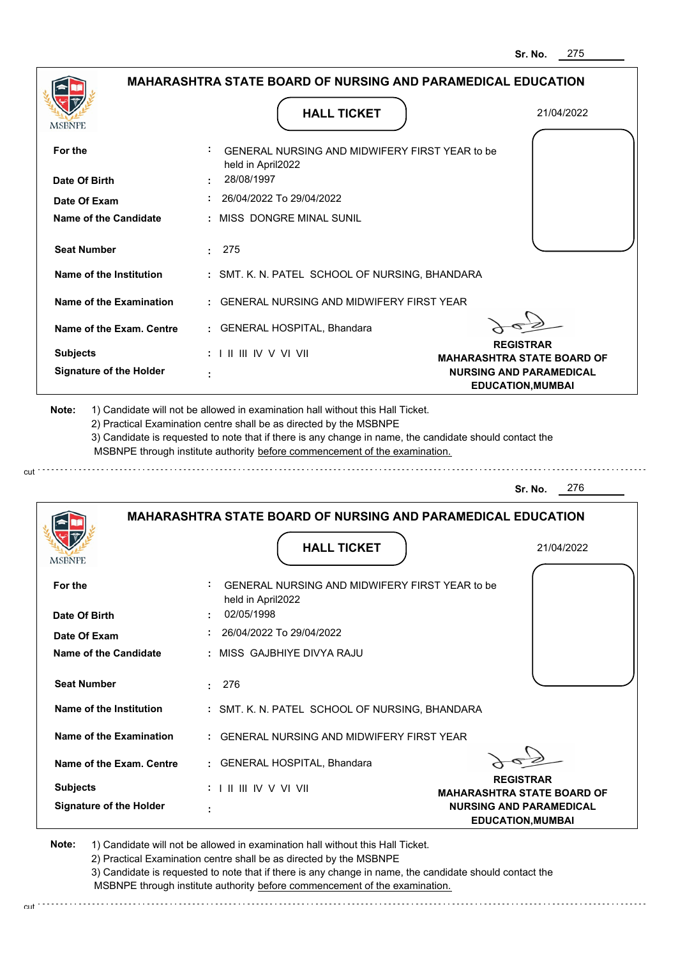| <b>MSBNPE</b>                                                                                                                                                                                                | <b>HALL TICKET</b>                                                                                                                                                                                                                                          | 21/04/2022                                                 |
|--------------------------------------------------------------------------------------------------------------------------------------------------------------------------------------------------------------|-------------------------------------------------------------------------------------------------------------------------------------------------------------------------------------------------------------------------------------------------------------|------------------------------------------------------------|
| For the                                                                                                                                                                                                      | GENERAL NURSING AND MIDWIFERY FIRST YEAR to be<br>held in April2022                                                                                                                                                                                         |                                                            |
| Date Of Birth                                                                                                                                                                                                | 28/08/1997                                                                                                                                                                                                                                                  |                                                            |
| Date Of Exam                                                                                                                                                                                                 | 26/04/2022 To 29/04/2022                                                                                                                                                                                                                                    |                                                            |
| Name of the Candidate                                                                                                                                                                                        | : MISS DONGRE MINAL SUNIL                                                                                                                                                                                                                                   |                                                            |
| <b>Seat Number</b>                                                                                                                                                                                           | 275<br>2.11                                                                                                                                                                                                                                                 |                                                            |
| Name of the Institution                                                                                                                                                                                      | : SMT. K. N. PATEL SCHOOL OF NURSING, BHANDARA                                                                                                                                                                                                              |                                                            |
| Name of the Examination                                                                                                                                                                                      | : GENERAL NURSING AND MIDWIFERY FIRST YEAR                                                                                                                                                                                                                  |                                                            |
| Name of the Exam. Centre                                                                                                                                                                                     | : GENERAL HOSPITAL, Bhandara                                                                                                                                                                                                                                |                                                            |
| <b>Subjects</b>                                                                                                                                                                                              | $: 1 \parallel \parallel \parallel$ IV V VI VII                                                                                                                                                                                                             | <b>REGISTRAR</b><br><b>MAHARASHTRA STATE BOARD OF</b>      |
| <b>Signature of the Holder</b>                                                                                                                                                                               |                                                                                                                                                                                                                                                             | <b>NURSING AND PARAMEDICAL</b><br><b>EDUCATION, MUMBAI</b> |
|                                                                                                                                                                                                              | 2) Practical Examination centre shall be as directed by the MSBNPE<br>3) Candidate is requested to note that if there is any change in name, the candidate should contact the<br>MSBNPE through institute authority before commencement of the examination. | 276<br>Sr. No.                                             |
|                                                                                                                                                                                                              |                                                                                                                                                                                                                                                             |                                                            |
|                                                                                                                                                                                                              | <b>MAHARASHTRA STATE BOARD OF NURSING AND PARAMEDICAL EDUCATION</b>                                                                                                                                                                                         |                                                            |
|                                                                                                                                                                                                              | <b>HALL TICKET</b>                                                                                                                                                                                                                                          | 21/04/2022                                                 |
|                                                                                                                                                                                                              | GENERAL NURSING AND MIDWIFERY FIRST YEAR to be<br>held in April2022                                                                                                                                                                                         |                                                            |
|                                                                                                                                                                                                              | 02/05/1998                                                                                                                                                                                                                                                  |                                                            |
|                                                                                                                                                                                                              | : 26/04/2022 To 29/04/2022                                                                                                                                                                                                                                  |                                                            |
|                                                                                                                                                                                                              | : MISS GAJBHIYE DIVYA RAJU                                                                                                                                                                                                                                  |                                                            |
|                                                                                                                                                                                                              | : 276                                                                                                                                                                                                                                                       |                                                            |
|                                                                                                                                                                                                              | : SMT. K. N. PATEL SCHOOL OF NURSING, BHANDARA                                                                                                                                                                                                              |                                                            |
|                                                                                                                                                                                                              | : GENERAL NURSING AND MIDWIFERY FIRST YEAR                                                                                                                                                                                                                  |                                                            |
|                                                                                                                                                                                                              | : GENERAL HOSPITAL, Bhandara                                                                                                                                                                                                                                |                                                            |
| MSBNF<br>For the<br>Date Of Birth<br>Date Of Exam<br><b>Name of the Candidate</b><br><b>Seat Number</b><br>Name of the Institution<br>Name of the Examination<br>Name of the Exam. Centre<br><b>Subjects</b> | : I II III IV V VI VII                                                                                                                                                                                                                                      | <b>REGISTRAR</b><br><b>MAHARASHTRA STATE BOARD OF</b>      |

2) Practical Examination centre shall be as directed by the MSBNPE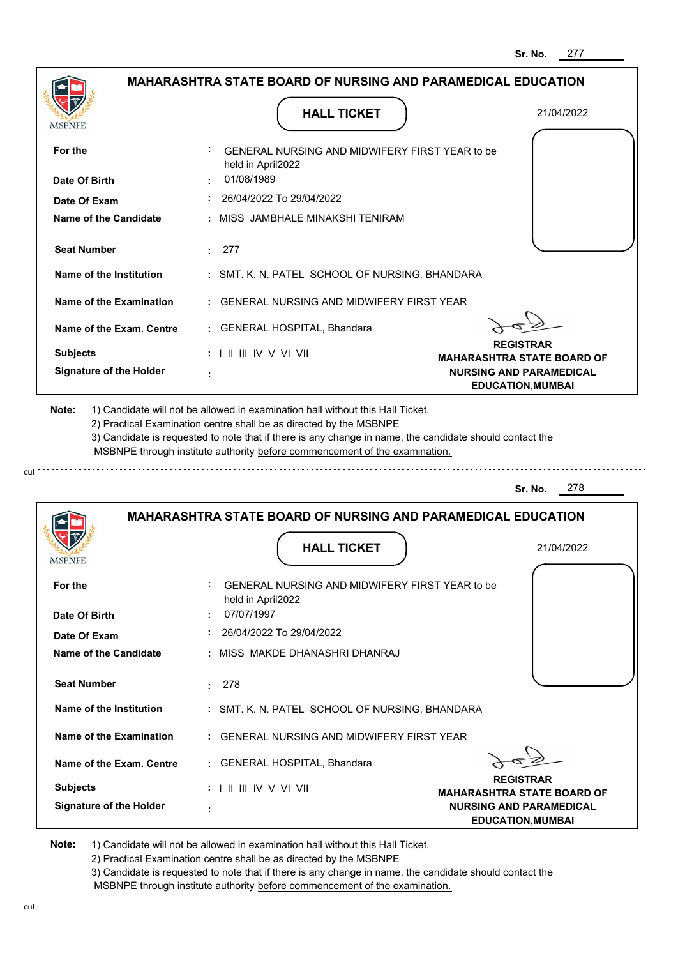|                                                                                                                                                                                                                               |                                 | <b>HALL TICKET</b>                                                                                                                                                                                                                                          | 21/04/2022                                                                                      |
|-------------------------------------------------------------------------------------------------------------------------------------------------------------------------------------------------------------------------------|---------------------------------|-------------------------------------------------------------------------------------------------------------------------------------------------------------------------------------------------------------------------------------------------------------|-------------------------------------------------------------------------------------------------|
| For the                                                                                                                                                                                                                       | held in April2022               | GENERAL NURSING AND MIDWIFERY FIRST YEAR to be                                                                                                                                                                                                              |                                                                                                 |
| Date Of Birth                                                                                                                                                                                                                 | 01/08/1989                      |                                                                                                                                                                                                                                                             |                                                                                                 |
| Date Of Exam                                                                                                                                                                                                                  |                                 | 26/04/2022 To 29/04/2022                                                                                                                                                                                                                                    |                                                                                                 |
| Name of the Candidate                                                                                                                                                                                                         |                                 | MISS JAMBHALE MINAKSHI TENIRAM                                                                                                                                                                                                                              |                                                                                                 |
| <b>Seat Number</b>                                                                                                                                                                                                            | 277<br>$\bullet$                |                                                                                                                                                                                                                                                             |                                                                                                 |
| Name of the Institution                                                                                                                                                                                                       |                                 | : SMT. K. N. PATEL SCHOOL OF NURSING, BHANDARA                                                                                                                                                                                                              |                                                                                                 |
| Name of the Examination                                                                                                                                                                                                       | ÷.                              | <b>GENERAL NURSING AND MIDWIFERY FIRST YEAR</b>                                                                                                                                                                                                             |                                                                                                 |
| Name of the Exam. Centre                                                                                                                                                                                                      |                                 | <b>GENERAL HOSPITAL, Bhandara</b>                                                                                                                                                                                                                           |                                                                                                 |
| <b>Subjects</b>                                                                                                                                                                                                               | : I II III IV V VI VII          |                                                                                                                                                                                                                                                             | <b>REGISTRAR</b>                                                                                |
| <b>Signature of the Holder</b>                                                                                                                                                                                                |                                 |                                                                                                                                                                                                                                                             | <b>MAHARASHTRA STATE BOARD OF</b><br><b>NURSING AND PARAMEDICAL</b><br><b>EDUCATION, MUMBAI</b> |
| 1) Candidate will not be allowed in examination hall without this Hall Ticket.                                                                                                                                                |                                 | 2) Practical Examination centre shall be as directed by the MSBNPE<br>3) Candidate is requested to note that if there is any change in name, the candidate should contact the<br>MSBNPE through institute authority before commencement of the examination. | 278<br>Sr. No.                                                                                  |
|                                                                                                                                                                                                                               |                                 | <b>MAHARASHTRA STATE BOARD OF NURSING AND PARAMEDICAL EDUCATION</b>                                                                                                                                                                                         |                                                                                                 |
|                                                                                                                                                                                                                               |                                 | <b>HALL TICKET</b>                                                                                                                                                                                                                                          | 21/04/2022                                                                                      |
|                                                                                                                                                                                                                               |                                 | GENERAL NURSING AND MIDWIFERY FIRST YEAR to be                                                                                                                                                                                                              |                                                                                                 |
|                                                                                                                                                                                                                               | held in April2022<br>07/07/1997 |                                                                                                                                                                                                                                                             |                                                                                                 |
|                                                                                                                                                                                                                               |                                 | 26/04/2022 To 29/04/2022                                                                                                                                                                                                                                    |                                                                                                 |
|                                                                                                                                                                                                                               |                                 | MISS MAKDE DHANASHRI DHANRAJ                                                                                                                                                                                                                                |                                                                                                 |
|                                                                                                                                                                                                                               | 278<br>÷.                       |                                                                                                                                                                                                                                                             |                                                                                                 |
|                                                                                                                                                                                                                               |                                 | : SMT. K. N. PATEL SCHOOL OF NURSING, BHANDARA                                                                                                                                                                                                              |                                                                                                 |
|                                                                                                                                                                                                                               |                                 | : GENERAL NURSING AND MIDWIFERY FIRST YEAR                                                                                                                                                                                                                  |                                                                                                 |
|                                                                                                                                                                                                                               |                                 | : GENERAL HOSPITAL, Bhandara                                                                                                                                                                                                                                |                                                                                                 |
| Note:<br>MSBNPE<br>For the<br>Date Of Birth<br>Date Of Exam<br><b>Name of the Candidate</b><br><b>Seat Number</b><br>Name of the Institution<br><b>Name of the Examination</b><br>Name of the Exam. Centre<br><b>Subjects</b> |                                 |                                                                                                                                                                                                                                                             | <b>REGISTRAR</b><br><b>MAHARASHTRA STATE BOARD OF</b>                                           |

2) Practical Examination centre shall be as directed by the MSBNPE

cut

3) Candidate is requested to note that if there is any change in name, the candidate should contact the MSBNPE through institute authority before commencement of the examination.

cut de la component de la component de la component de la component de la component de la component de la component de la component de la component de la component de la component de la component de la component de la comp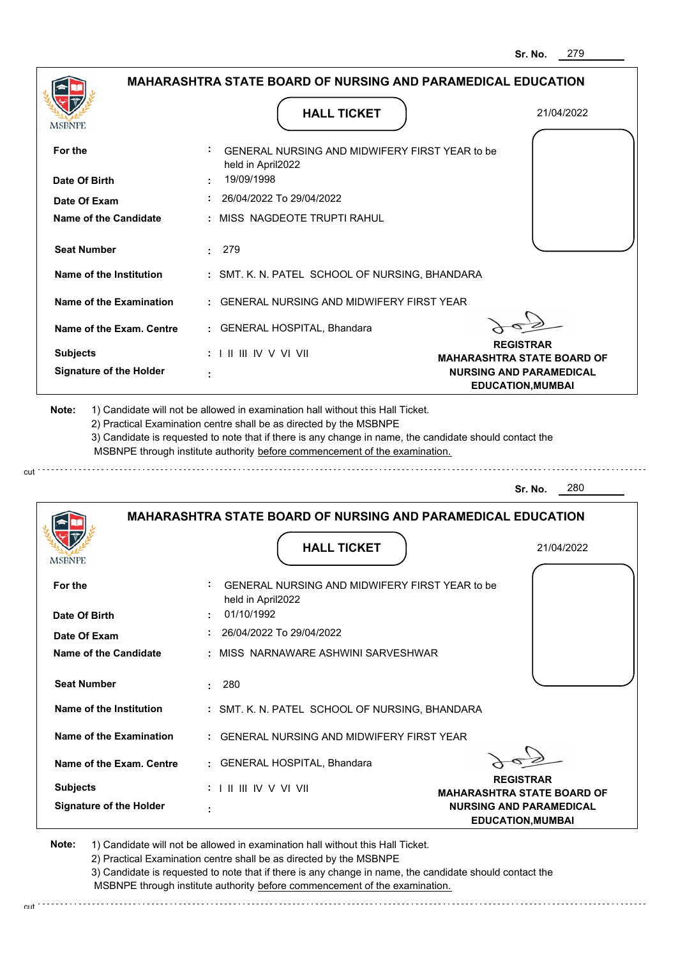| <b>MSBNPE</b>                                                                                                                                                                                         | <b>HALL TICKET</b>                                                                                                                                                                                                                                                                                                                            | 21/04/2022                                                 |
|-------------------------------------------------------------------------------------------------------------------------------------------------------------------------------------------------------|-----------------------------------------------------------------------------------------------------------------------------------------------------------------------------------------------------------------------------------------------------------------------------------------------------------------------------------------------|------------------------------------------------------------|
| For the                                                                                                                                                                                               | GENERAL NURSING AND MIDWIFERY FIRST YEAR to be<br>held in April2022                                                                                                                                                                                                                                                                           |                                                            |
| Date Of Birth                                                                                                                                                                                         | 19/09/1998                                                                                                                                                                                                                                                                                                                                    |                                                            |
| Date Of Exam                                                                                                                                                                                          | 26/04/2022 To 29/04/2022                                                                                                                                                                                                                                                                                                                      |                                                            |
| Name of the Candidate                                                                                                                                                                                 | : MISS NAGDEOTE TRUPTI RAHUL                                                                                                                                                                                                                                                                                                                  |                                                            |
| <b>Seat Number</b>                                                                                                                                                                                    | 279<br>2.11                                                                                                                                                                                                                                                                                                                                   |                                                            |
| Name of the Institution                                                                                                                                                                               | : SMT. K. N. PATEL SCHOOL OF NURSING, BHANDARA                                                                                                                                                                                                                                                                                                |                                                            |
| Name of the Examination                                                                                                                                                                               | : GENERAL NURSING AND MIDWIFERY FIRST YEAR                                                                                                                                                                                                                                                                                                    |                                                            |
| Name of the Exam. Centre                                                                                                                                                                              | : GENERAL HOSPITAL, Bhandara                                                                                                                                                                                                                                                                                                                  |                                                            |
| <b>Subjects</b>                                                                                                                                                                                       | $: 1 \parallel \parallel \parallel$ IV V VI VII                                                                                                                                                                                                                                                                                               | <b>REGISTRAR</b><br><b>MAHARASHTRA STATE BOARD OF</b>      |
| <b>Signature of the Holder</b>                                                                                                                                                                        |                                                                                                                                                                                                                                                                                                                                               | <b>NURSING AND PARAMEDICAL</b><br><b>EDUCATION, MUMBAI</b> |
|                                                                                                                                                                                                       | 1) Candidate will not be allowed in examination hall without this Hall Ticket.<br>2) Practical Examination centre shall be as directed by the MSBNPE<br>3) Candidate is requested to note that if there is any change in name, the candidate should contact the<br>MSBNPE through institute authority before commencement of the examination. |                                                            |
| Note:                                                                                                                                                                                                 |                                                                                                                                                                                                                                                                                                                                               | 280<br>Sr. No.                                             |
|                                                                                                                                                                                                       | <b>MAHARASHTRA STATE BOARD OF NURSING AND PARAMEDICAL EDUCATION</b><br><b>HALL TICKET</b>                                                                                                                                                                                                                                                     | 21/04/2022                                                 |
|                                                                                                                                                                                                       | GENERAL NURSING AND MIDWIFERY FIRST YEAR to be<br>held in April2022                                                                                                                                                                                                                                                                           |                                                            |
|                                                                                                                                                                                                       | 01/10/1992                                                                                                                                                                                                                                                                                                                                    |                                                            |
|                                                                                                                                                                                                       | $: 26/04/2022$ To 29/04/2022                                                                                                                                                                                                                                                                                                                  |                                                            |
|                                                                                                                                                                                                       | : MISS NARNAWARE ASHWINI SARVESHWAR                                                                                                                                                                                                                                                                                                           |                                                            |
|                                                                                                                                                                                                       | : 280                                                                                                                                                                                                                                                                                                                                         |                                                            |
|                                                                                                                                                                                                       | : SMT. K. N. PATEL SCHOOL OF NURSING, BHANDARA                                                                                                                                                                                                                                                                                                |                                                            |
|                                                                                                                                                                                                       | : GENERAL NURSING AND MIDWIFERY FIRST YEAR                                                                                                                                                                                                                                                                                                    |                                                            |
|                                                                                                                                                                                                       | : GENERAL HOSPITAL, Bhandara                                                                                                                                                                                                                                                                                                                  |                                                            |
| MSBNF<br>For the<br>Date Of Birth<br>Date Of Exam<br>Name of the Candidate<br><b>Seat Number</b><br>Name of the Institution<br>Name of the Examination<br>Name of the Exam. Centre<br><b>Subjects</b> | : I II III IV V VI VII                                                                                                                                                                                                                                                                                                                        | <b>REGISTRAR</b><br><b>MAHARASHTRA STATE BOARD OF</b>      |

2) Practical Examination centre shall be as directed by the MSBNPE

3) Candidate is requested to note that if there is any change in name, the candidate should contact the MSBNPE through institute authority before commencement of the examination. cut de la component de la component de la component de la component de la component de la component de la component de la component de la component de la component de la component de la component de la component de la comp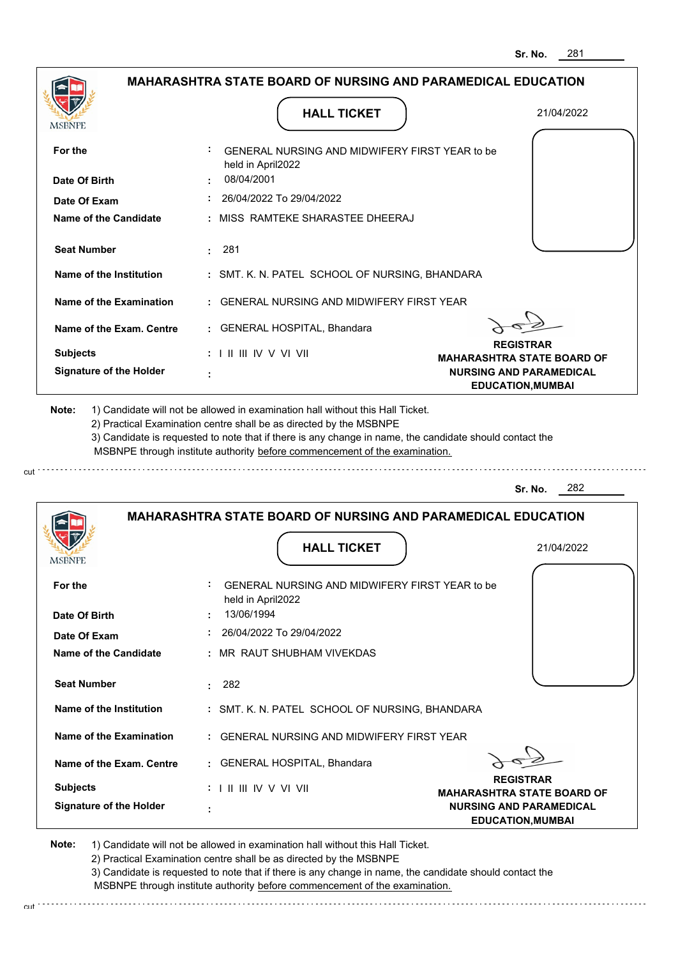|                                                                                                                 | <b>MAHARASHTRA STATE BOARD OF NURSING AND PARAMEDICAL EDUCATION</b>                                                                                                                                                                                                                                                                           |                                                       |
|-----------------------------------------------------------------------------------------------------------------|-----------------------------------------------------------------------------------------------------------------------------------------------------------------------------------------------------------------------------------------------------------------------------------------------------------------------------------------------|-------------------------------------------------------|
| MSBNPE                                                                                                          | <b>HALL TICKET</b>                                                                                                                                                                                                                                                                                                                            | 21/04/2022                                            |
| For the                                                                                                         | GENERAL NURSING AND MIDWIFERY FIRST YEAR to be<br>held in April2022                                                                                                                                                                                                                                                                           |                                                       |
| Date Of Birth                                                                                                   | 08/04/2001                                                                                                                                                                                                                                                                                                                                    |                                                       |
| Date Of Exam                                                                                                    | : 26/04/2022 To 29/04/2022                                                                                                                                                                                                                                                                                                                    |                                                       |
| Name of the Candidate                                                                                           | : MISS RAMTEKE SHARASTEE DHEERAJ                                                                                                                                                                                                                                                                                                              |                                                       |
| <b>Seat Number</b>                                                                                              | : 281                                                                                                                                                                                                                                                                                                                                         |                                                       |
| Name of the Institution                                                                                         | : SMT. K. N. PATEL SCHOOL OF NURSING, BHANDARA                                                                                                                                                                                                                                                                                                |                                                       |
| Name of the Examination                                                                                         | : GENERAL NURSING AND MIDWIFERY FIRST YEAR                                                                                                                                                                                                                                                                                                    |                                                       |
| Name of the Exam. Centre                                                                                        | : GENERAL HOSPITAL, Bhandara                                                                                                                                                                                                                                                                                                                  |                                                       |
| <b>Subjects</b>                                                                                                 | $: 1 \mathbb{H} \mathbb{H} \mathbb{W} \vee \mathbb{V} \mathbb{V} \mathbb{H}$                                                                                                                                                                                                                                                                  | <b>REGISTRAR</b><br><b>MAHARASHTRA STATE BOARD OF</b> |
| <b>Signature of the Holder</b>                                                                                  |                                                                                                                                                                                                                                                                                                                                               | <b>NURSING AND PARAMEDICAL</b>                        |
|                                                                                                                 | 1) Candidate will not be allowed in examination hall without this Hall Ticket.<br>2) Practical Examination centre shall be as directed by the MSBNPE<br>3) Candidate is requested to note that if there is any change in name, the candidate should contact the<br>MSBNPE through institute authority before commencement of the examination. | <b>EDUCATION, MUMBAI</b>                              |
|                                                                                                                 |                                                                                                                                                                                                                                                                                                                                               | 282<br>Sr. No.                                        |
|                                                                                                                 | <b>MAHARASHTRA STATE BOARD OF NURSING AND PARAMEDICAL EDUCATION</b><br><b>HALL TICKET</b>                                                                                                                                                                                                                                                     | 21/04/2022                                            |
|                                                                                                                 |                                                                                                                                                                                                                                                                                                                                               |                                                       |
|                                                                                                                 | GENERAL NURSING AND MIDWIFERY FIRST YEAR to be<br>held in April2022                                                                                                                                                                                                                                                                           |                                                       |
|                                                                                                                 | 13/06/1994                                                                                                                                                                                                                                                                                                                                    |                                                       |
| Date Of Exam                                                                                                    | 26/04/2022 To 29/04/2022                                                                                                                                                                                                                                                                                                                      |                                                       |
|                                                                                                                 | : MR RAUT SHUBHAM VIVEKDAS                                                                                                                                                                                                                                                                                                                    |                                                       |
| <b>Seat Number</b>                                                                                              | : 282                                                                                                                                                                                                                                                                                                                                         |                                                       |
| Name of the Institution                                                                                         | : SMT. K. N. PATEL SCHOOL OF NURSING, BHANDARA                                                                                                                                                                                                                                                                                                |                                                       |
| Name of the Examination                                                                                         | : GENERAL NURSING AND MIDWIFERY FIRST YEAR                                                                                                                                                                                                                                                                                                    |                                                       |
| Note:<br><b>IMPDIAL</b><br>For the<br>Date Of Birth<br><b>Name of the Candidate</b><br>Name of the Exam. Centre | : GENERAL HOSPITAL, Bhandara                                                                                                                                                                                                                                                                                                                  |                                                       |

 **:**

**Signature of the Holder**

2) Practical Examination centre shall be as directed by the MSBNPE

3) Candidate is requested to note that if there is any change in name, the candidate should contact the MSBNPE through institute authority before commencement of the examination. cut

**NURSING AND PARAMEDICAL EDUCATION,MUMBAI**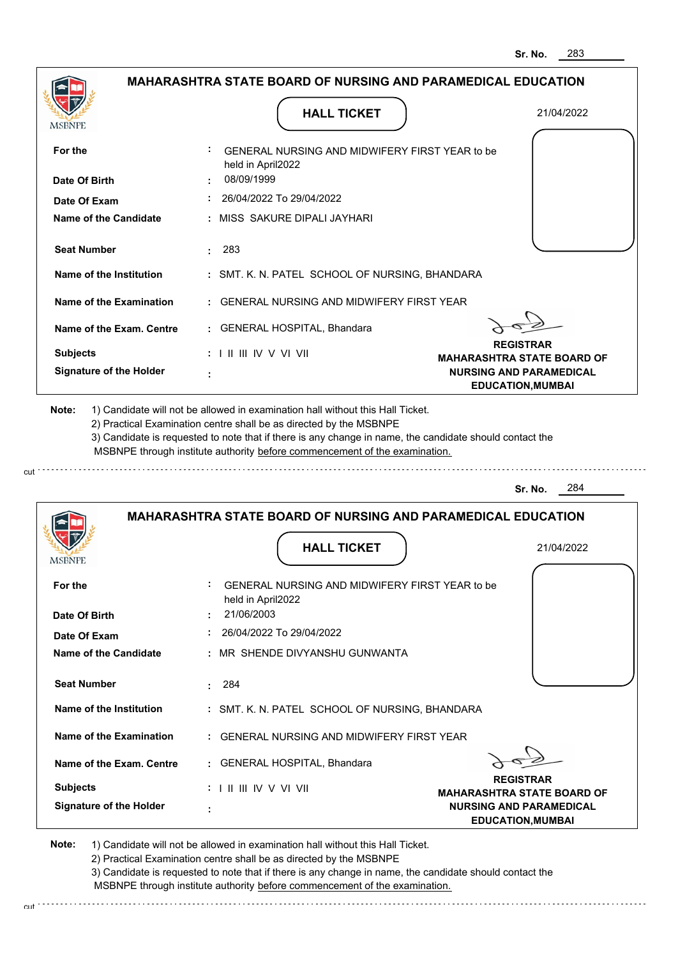**NURSING AND PARAMEDICAL EDUCATION,MUMBAI**

|                                                                                                                  | <b>MAHARASHTRA STATE BOARD OF NURSING AND PARAMEDICAL EDUCATION</b>                                                                                                                                                                                                                                                                           |                                                            |
|------------------------------------------------------------------------------------------------------------------|-----------------------------------------------------------------------------------------------------------------------------------------------------------------------------------------------------------------------------------------------------------------------------------------------------------------------------------------------|------------------------------------------------------------|
| MSBNPE                                                                                                           | <b>HALL TICKET</b>                                                                                                                                                                                                                                                                                                                            | 21/04/2022                                                 |
| For the                                                                                                          | GENERAL NURSING AND MIDWIFERY FIRST YEAR to be                                                                                                                                                                                                                                                                                                |                                                            |
| Date Of Birth                                                                                                    | held in April2022<br>08/09/1999                                                                                                                                                                                                                                                                                                               |                                                            |
| Date Of Exam                                                                                                     | : 26/04/2022 To 29/04/2022                                                                                                                                                                                                                                                                                                                    |                                                            |
| Name of the Candidate                                                                                            | : MISS SAKURE DIPALI JAYHARI                                                                                                                                                                                                                                                                                                                  |                                                            |
| <b>Seat Number</b>                                                                                               | $\cdot$ 283                                                                                                                                                                                                                                                                                                                                   |                                                            |
| Name of the Institution                                                                                          | : SMT. K. N. PATEL SCHOOL OF NURSING, BHANDARA                                                                                                                                                                                                                                                                                                |                                                            |
| Name of the Examination                                                                                          | : GENERAL NURSING AND MIDWIFERY FIRST YEAR                                                                                                                                                                                                                                                                                                    |                                                            |
| Name of the Exam. Centre                                                                                         | : GENERAL HOSPITAL, Bhandara                                                                                                                                                                                                                                                                                                                  |                                                            |
| <b>Subjects</b>                                                                                                  | $: 1 \mathbb{H} \mathbb{H} \mathbb{W} \vee \mathbb{V} \mathbb{V} \mathbb{H}$                                                                                                                                                                                                                                                                  | <b>REGISTRAR</b><br><b>MAHARASHTRA STATE BOARD OF</b>      |
| <b>Signature of the Holder</b>                                                                                   |                                                                                                                                                                                                                                                                                                                                               | <b>NURSING AND PARAMEDICAL</b><br><b>EDUCATION, MUMBAI</b> |
|                                                                                                                  | 1) Candidate will not be allowed in examination hall without this Hall Ticket.<br>2) Practical Examination centre shall be as directed by the MSBNPE<br>3) Candidate is requested to note that if there is any change in name, the candidate should contact the<br>MSBNPE through institute authority before commencement of the examination. |                                                            |
|                                                                                                                  |                                                                                                                                                                                                                                                                                                                                               |                                                            |
|                                                                                                                  |                                                                                                                                                                                                                                                                                                                                               | 284<br>Sr. No.                                             |
|                                                                                                                  | <b>MAHARASHTRA STATE BOARD OF NURSING AND PARAMEDICAL EDUCATION</b>                                                                                                                                                                                                                                                                           |                                                            |
|                                                                                                                  | <b>HALL TICKET</b>                                                                                                                                                                                                                                                                                                                            | 21/04/2022                                                 |
|                                                                                                                  | GENERAL NURSING AND MIDWIFERY FIRST YEAR to be                                                                                                                                                                                                                                                                                                |                                                            |
|                                                                                                                  | held in April2022<br>21/06/2003                                                                                                                                                                                                                                                                                                               |                                                            |
|                                                                                                                  | 26/04/2022 To 29/04/2022                                                                                                                                                                                                                                                                                                                      |                                                            |
|                                                                                                                  | : MR SHENDE DIVYANSHU GUNWANTA                                                                                                                                                                                                                                                                                                                |                                                            |
| <b>IMPDIAL</b><br>For the<br>Date Of Birth<br>Date Of Exam<br><b>Name of the Candidate</b><br><b>Seat Number</b> | : 284                                                                                                                                                                                                                                                                                                                                         |                                                            |
|                                                                                                                  | : SMT. K. N. PATEL SCHOOL OF NURSING, BHANDARA                                                                                                                                                                                                                                                                                                |                                                            |
|                                                                                                                  | : GENERAL NURSING AND MIDWIFERY FIRST YEAR                                                                                                                                                                                                                                                                                                    |                                                            |
| Name of the Institution<br>Name of the Examination<br>Name of the Exam. Centre                                   | : GENERAL HOSPITAL, Bhandara                                                                                                                                                                                                                                                                                                                  |                                                            |

**Note:**  1) Candidate will not be allowed in examination hall without this Hall Ticket.

 **:**

**Signature of the Holder**

cut.

2) Practical Examination centre shall be as directed by the MSBNPE

3) Candidate is requested to note that if there is any change in name, the candidate should contact the MSBNPE through institute authority before commencement of the examination.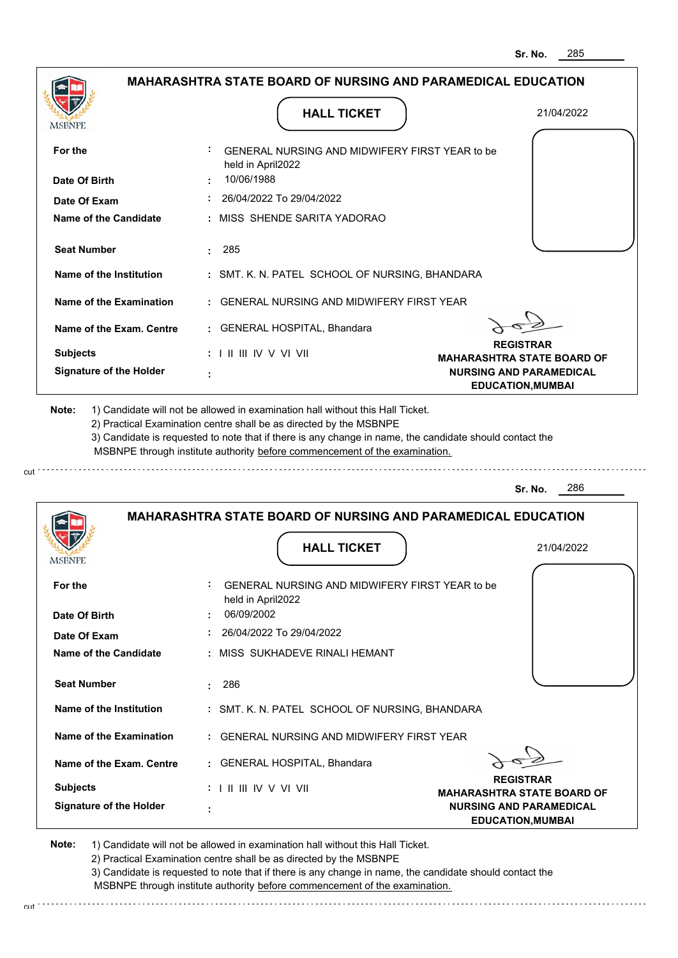|                                                                                      | <b>MAHARASHTRA STATE BOARD OF NURSING AND PARAMEDICAL EDUCATION</b>                                                                                                                                                                                                                                                                           |                                                            |
|--------------------------------------------------------------------------------------|-----------------------------------------------------------------------------------------------------------------------------------------------------------------------------------------------------------------------------------------------------------------------------------------------------------------------------------------------|------------------------------------------------------------|
| <b>MSBNPE</b>                                                                        | <b>HALL TICKET</b>                                                                                                                                                                                                                                                                                                                            | 21/04/2022                                                 |
| For the                                                                              | GENERAL NURSING AND MIDWIFERY FIRST YEAR to be<br>held in April2022                                                                                                                                                                                                                                                                           |                                                            |
| Date Of Birth                                                                        | 10/06/1988                                                                                                                                                                                                                                                                                                                                    |                                                            |
| Date Of Exam                                                                         | 26/04/2022 To 29/04/2022                                                                                                                                                                                                                                                                                                                      |                                                            |
| Name of the Candidate                                                                | : MISS SHENDE SARITA YADORAO                                                                                                                                                                                                                                                                                                                  |                                                            |
| <b>Seat Number</b>                                                                   | 285<br>t.                                                                                                                                                                                                                                                                                                                                     |                                                            |
| Name of the Institution                                                              | : SMT. K. N. PATEL SCHOOL OF NURSING, BHANDARA                                                                                                                                                                                                                                                                                                |                                                            |
| Name of the Examination                                                              | : GENERAL NURSING AND MIDWIFERY FIRST YEAR                                                                                                                                                                                                                                                                                                    |                                                            |
| Name of the Exam. Centre                                                             | : GENERAL HOSPITAL, Bhandara                                                                                                                                                                                                                                                                                                                  |                                                            |
| <b>Subjects</b>                                                                      | $: 1 \parallel \parallel \parallel$ IV V VI VII                                                                                                                                                                                                                                                                                               | <b>REGISTRAR</b><br><b>MAHARASHTRA STATE BOARD OF</b>      |
| <b>Signature of the Holder</b>                                                       |                                                                                                                                                                                                                                                                                                                                               | <b>NURSING AND PARAMEDICAL</b><br><b>EDUCATION, MUMBAI</b> |
| Note:                                                                                | 1) Candidate will not be allowed in examination hall without this Hall Ticket.<br>2) Practical Examination centre shall be as directed by the MSBNPE<br>3) Candidate is requested to note that if there is any change in name, the candidate should contact the<br>MSBNPE through institute authority before commencement of the examination. |                                                            |
|                                                                                      |                                                                                                                                                                                                                                                                                                                                               | 286<br>Sr. No.                                             |
| MSBNF                                                                                | <b>MAHARASHTRA STATE BOARD OF NURSING AND PARAMEDICAL EDUCATION</b><br><b>HALL TICKET</b>                                                                                                                                                                                                                                                     | 21/04/2022                                                 |
|                                                                                      | GENERAL NURSING AND MIDWIFERY FIRST YEAR to be<br>held in April2022                                                                                                                                                                                                                                                                           |                                                            |
|                                                                                      | 06/09/2002                                                                                                                                                                                                                                                                                                                                    |                                                            |
| Date Of Exam                                                                         | $: 26/04/2022$ To 29/04/2022                                                                                                                                                                                                                                                                                                                  |                                                            |
|                                                                                      | : MISS SUKHADEVE RINALI HEMANT                                                                                                                                                                                                                                                                                                                |                                                            |
| <b>Seat Number</b>                                                                   | : 286                                                                                                                                                                                                                                                                                                                                         |                                                            |
| Name of the Institution                                                              | : SMT. K. N. PATEL SCHOOL OF NURSING, BHANDARA                                                                                                                                                                                                                                                                                                |                                                            |
| Name of the Examination                                                              | : GENERAL NURSING AND MIDWIFERY FIRST YEAR                                                                                                                                                                                                                                                                                                    |                                                            |
| For the<br>Date Of Birth<br><b>Name of the Candidate</b><br>Name of the Exam. Centre | : GENERAL HOSPITAL, Bhandara                                                                                                                                                                                                                                                                                                                  |                                                            |
| <b>Subjects</b>                                                                      | : I II III IV V VI VII                                                                                                                                                                                                                                                                                                                        | <b>REGISTRAR</b><br><b>MAHARASHTRA STATE BOARD OF</b>      |

2) Practical Examination centre shall be as directed by the MSBNPE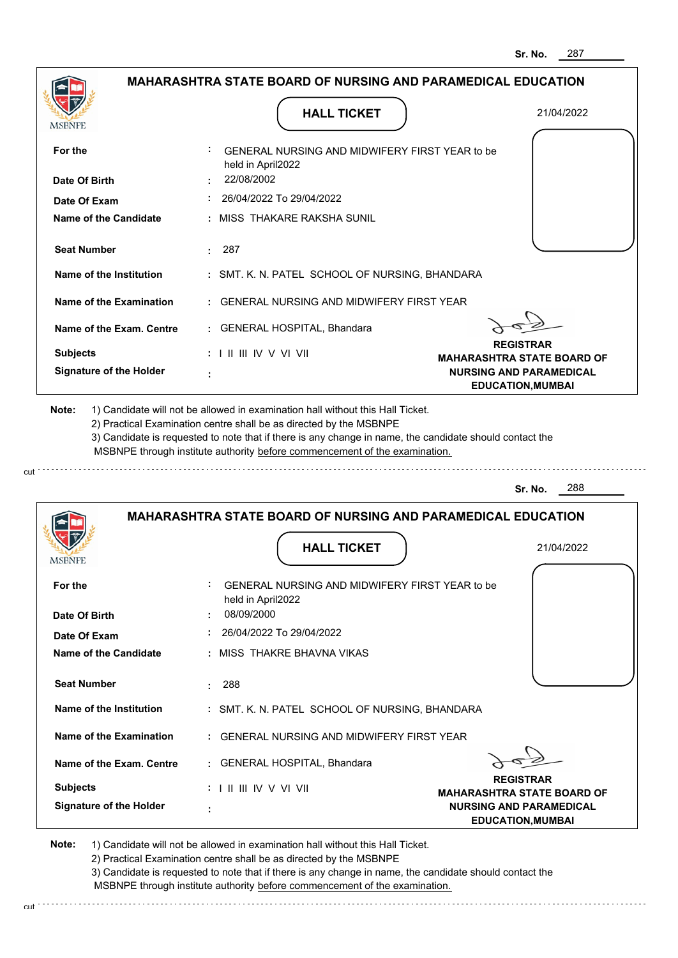|                                |                                                                              | 287<br>Sr. No.                                             |
|--------------------------------|------------------------------------------------------------------------------|------------------------------------------------------------|
|                                | <b>MAHARASHTRA STATE BOARD OF NURSING AND PARAMEDICAL EDUCATION</b>          |                                                            |
| MSBNPE                         | <b>HALL TICKET</b>                                                           | 21/04/2022                                                 |
| For the                        | GENERAL NURSING AND MIDWIFERY FIRST YEAR to be<br>held in April2022          |                                                            |
| Date Of Birth                  | 22/08/2002                                                                   |                                                            |
| Date Of Exam                   | : 26/04/2022 To 29/04/2022                                                   |                                                            |
| Name of the Candidate          | : MISS THAKARE RAKSHA SUNIL                                                  |                                                            |
| <b>Seat Number</b>             | : 287                                                                        |                                                            |
| Name of the Institution        | : SMT. K. N. PATEL SCHOOL OF NURSING, BHANDARA                               |                                                            |
| Name of the Examination        | : GENERAL NURSING AND MIDWIFERY FIRST YEAR                                   |                                                            |
| Name of the Exam. Centre       | : GENERAL HOSPITAL, Bhandara                                                 |                                                            |
| <b>Subjects</b>                | $: 1 \mathbb{H} \mathbb{H} \mathbb{W} \vee \mathbb{V} \mathbb{V} \mathbb{H}$ | <b>REGISTRAR</b><br><b>MAHARASHTRA STATE BOARD OF</b>      |
| <b>Signature of the Holder</b> |                                                                              | <b>NURSING AND PARAMEDICAL</b><br><b>EDUCATION, MUMBAI</b> |
|                                |                                                                              | 288                                                        |
|                                | <b>MAHARASHTRA STATE BOARD OF NURSING AND PARAMEDICAL EDUCATION</b>          | Sr. No.                                                    |
| <b>IMPDIAL</b>                 | <b>HALL TICKET</b>                                                           | 21/04/2022                                                 |
| For the                        | GENERAL NURSING AND MIDWIFERY FIRST YEAR to be<br>held in April2022          |                                                            |
| Date Of Birth                  | 08/09/2000                                                                   |                                                            |
| Date Of Exam                   | 26/04/2022 To 29/04/2022                                                     |                                                            |
| <b>Name of the Candidate</b>   | : MISS THAKRE BHAVNA VIKAS                                                   |                                                            |
| <b>Seat Number</b>             | 288<br>t.                                                                    |                                                            |
|                                |                                                                              |                                                            |
| Name of the Institution        | : SMT. K. N. PATEL SCHOOL OF NURSING, BHANDARA                               |                                                            |
| Name of the Examination        | : GENERAL NURSING AND MIDWIFERY FIRST YEAR                                   |                                                            |
| Name of the Exam. Centre       | : GENERAL HOSPITAL, Bhandara                                                 | <b>REGISTRAR</b>                                           |

**MAHARASHTRA STATE BOARD OF NURSING AND PARAMEDICAL EDUCATION,MUMBAI**

**Note:**  1) Candidate will not be allowed in examination hall without this Hall Ticket.

 **:**

**Signature of the Holder**

2) Practical Examination centre shall be as directed by the MSBNPE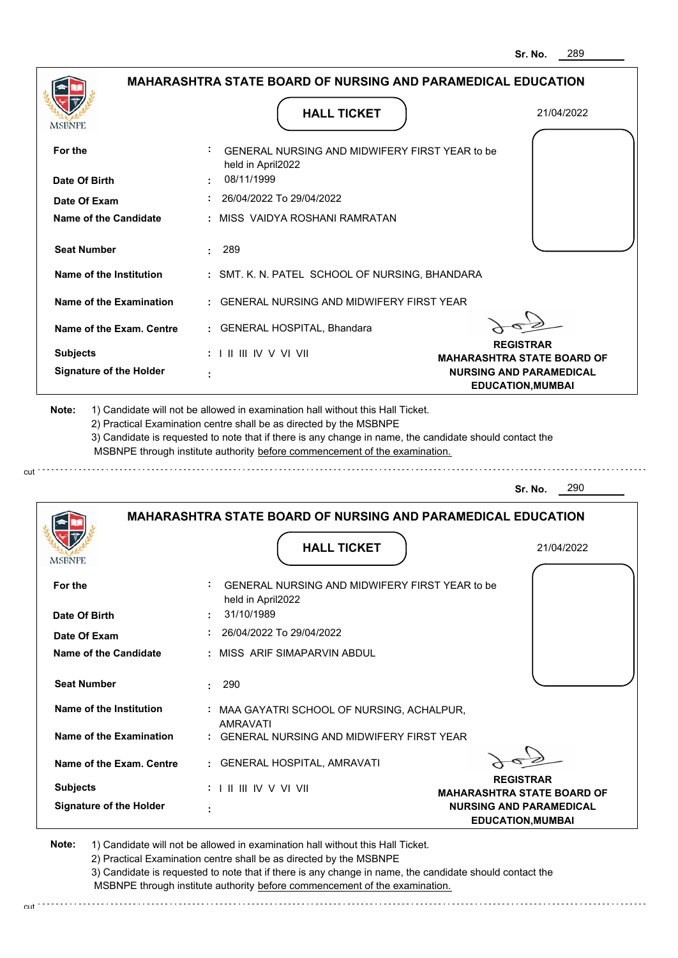| MSBNPE                                                                        | <b>HALL TICKET</b>                                                                                                                                                                                                                                                                                                                            | 21/04/2022                                                 |
|-------------------------------------------------------------------------------|-----------------------------------------------------------------------------------------------------------------------------------------------------------------------------------------------------------------------------------------------------------------------------------------------------------------------------------------------|------------------------------------------------------------|
| For the                                                                       | GENERAL NURSING AND MIDWIFERY FIRST YEAR to be<br>held in April2022                                                                                                                                                                                                                                                                           |                                                            |
| Date Of Birth                                                                 | 08/11/1999                                                                                                                                                                                                                                                                                                                                    |                                                            |
| Date Of Exam                                                                  | : 26/04/2022 To 29/04/2022                                                                                                                                                                                                                                                                                                                    |                                                            |
| Name of the Candidate                                                         | : MISS VAIDYA ROSHANI RAMRATAN                                                                                                                                                                                                                                                                                                                |                                                            |
| <b>Seat Number</b>                                                            | .289                                                                                                                                                                                                                                                                                                                                          |                                                            |
| Name of the Institution                                                       | : SMT. K. N. PATEL SCHOOL OF NURSING, BHANDARA                                                                                                                                                                                                                                                                                                |                                                            |
| Name of the Examination                                                       | : GENERAL NURSING AND MIDWIFERY FIRST YEAR                                                                                                                                                                                                                                                                                                    |                                                            |
| Name of the Exam. Centre                                                      | : GENERAL HOSPITAL, Bhandara                                                                                                                                                                                                                                                                                                                  |                                                            |
| <b>Subjects</b>                                                               | $: 1 \mathbb{H} \mathbb{H} \mathbb{W} \vee \mathbb{V} \mathbb{V} \mathbb{H}$                                                                                                                                                                                                                                                                  | <b>REGISTRAR</b><br><b>MAHARASHTRA STATE BOARD OF</b>      |
| <b>Signature of the Holder</b>                                                |                                                                                                                                                                                                                                                                                                                                               |                                                            |
| Note:                                                                         | 1) Candidate will not be allowed in examination hall without this Hall Ticket.<br>2) Practical Examination centre shall be as directed by the MSBNPE<br>3) Candidate is requested to note that if there is any change in name, the candidate should contact the<br>MSBNPE through institute authority before commencement of the examination. | <b>NURSING AND PARAMEDICAL</b><br><b>EDUCATION, MUMBAI</b> |
|                                                                               |                                                                                                                                                                                                                                                                                                                                               |                                                            |
|                                                                               |                                                                                                                                                                                                                                                                                                                                               | 290<br>Sr. No.                                             |
|                                                                               | <b>MAHARASHTRA STATE BOARD OF NURSING AND PARAMEDICAL EDUCATION</b>                                                                                                                                                                                                                                                                           |                                                            |
|                                                                               | <b>HALL TICKET</b>                                                                                                                                                                                                                                                                                                                            | 21/04/2022                                                 |
|                                                                               | GENERAL NURSING AND MIDWIFERY FIRST YEAR to be                                                                                                                                                                                                                                                                                                |                                                            |
|                                                                               | held in April2022<br>31/10/1989                                                                                                                                                                                                                                                                                                               |                                                            |
| <b>IMPDIAL</b><br>For the<br>Date Of Birth<br>Date Of Exam                    | 26/04/2022 To 29/04/2022                                                                                                                                                                                                                                                                                                                      |                                                            |
|                                                                               | : MISS ARIF SIMAPARVIN ABDUL                                                                                                                                                                                                                                                                                                                  |                                                            |
|                                                                               | 290<br>t.                                                                                                                                                                                                                                                                                                                                     |                                                            |
| <b>Name of the Candidate</b><br><b>Seat Number</b><br>Name of the Institution | : MAA GAYATRI SCHOOL OF NURSING, ACHALPUR,<br>AMRAVATI                                                                                                                                                                                                                                                                                        |                                                            |

**REGISTRAR MAHARASHTRA STATE BOARD OF NURSING AND PARAMEDICAL EDUCATION,MUMBAI**

**Note:**  1) Candidate will not be allowed in examination hall without this Hall Ticket.

I II III IV V VI VII

2) Practical Examination centre shall be as directed by the MSBNPE

 **:**

**Signature of the Holder**

**Subjects :**

3) Candidate is requested to note that if there is any change in name, the candidate should contact the MSBNPE through institute authority before commencement of the examination.

cut de la component de la component de la component de la component de la component de la component de la component de la component de la component de la component de la component de la component de la component de la comp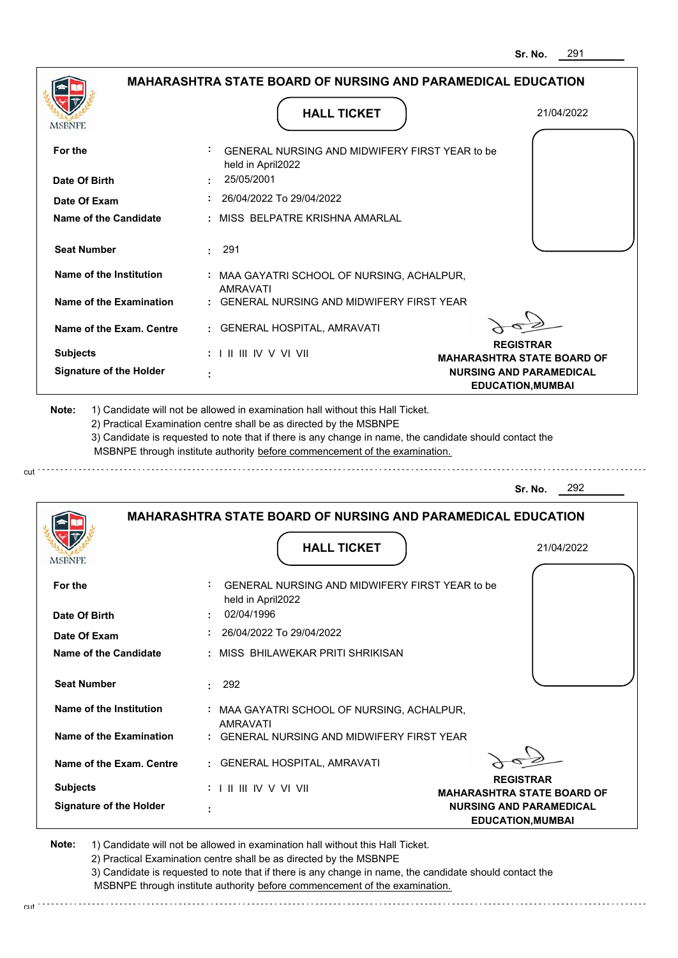|                                |                                                                                                                                                                                                                                                             | 291<br>Sr. No.                                                      |
|--------------------------------|-------------------------------------------------------------------------------------------------------------------------------------------------------------------------------------------------------------------------------------------------------------|---------------------------------------------------------------------|
|                                | <b>MAHARASHTRA STATE BOARD OF NURSING AND PARAMEDICAL EDUCATION</b>                                                                                                                                                                                         |                                                                     |
| MSBNPE                         | <b>HALL TICKET</b>                                                                                                                                                                                                                                          | 21/04/2022                                                          |
| For the                        | : GENERAL NURSING AND MIDWIFERY FIRST YEAR to be<br>held in April2022                                                                                                                                                                                       |                                                                     |
| Date Of Birth                  | 25/05/2001                                                                                                                                                                                                                                                  |                                                                     |
| Date Of Exam                   | 26/04/2022 To 29/04/2022                                                                                                                                                                                                                                    |                                                                     |
| Name of the Candidate          | : MISS BELPATRE KRISHNA AMARLAL                                                                                                                                                                                                                             |                                                                     |
| <b>Seat Number</b>             | 291                                                                                                                                                                                                                                                         |                                                                     |
| Name of the Institution        | : MAA GAYATRI SCHOOL OF NURSING, ACHALPUR,<br><b>AMRAVATI</b>                                                                                                                                                                                               |                                                                     |
| Name of the Examination        | <b>GENERAL NURSING AND MIDWIFERY FIRST YEAR</b>                                                                                                                                                                                                             |                                                                     |
| Name of the Exam. Centre       | : GENERAL HOSPITAL, AMRAVATI                                                                                                                                                                                                                                |                                                                     |
| <b>Subjects</b>                | : I II III IV V VI VII                                                                                                                                                                                                                                      | <b>REGISTRAR</b>                                                    |
| <b>Signature of the Holder</b> |                                                                                                                                                                                                                                                             | <b>MAHARASHTRA STATE BOARD OF</b><br><b>NURSING AND PARAMEDICAL</b> |
|                                |                                                                                                                                                                                                                                                             | <b>EDUCATION, MUMBAI</b>                                            |
|                                | 2) Practical Examination centre shall be as directed by the MSBNPE<br>3) Candidate is requested to note that if there is any change in name, the candidate should contact the<br>MSBNPE through institute authority before commencement of the examination. |                                                                     |
|                                |                                                                                                                                                                                                                                                             | 292<br>Sr. No.                                                      |
| <b>IMPDIAL L</b>               | <b>MAHARASHTRA STATE BOARD OF NURSING AND PARAMEDICAL EDUCATION</b><br><b>HALL TICKET</b>                                                                                                                                                                   | 21/04/2022                                                          |
| For the                        | GENERAL NURSING AND MIDWIFERY FIRST YEAR to be<br>held in April2022                                                                                                                                                                                         |                                                                     |
| Date Of Birth                  | 02/04/1996                                                                                                                                                                                                                                                  |                                                                     |
| Date Of Exam                   | 26/04/2022 To 29/04/2022                                                                                                                                                                                                                                    |                                                                     |
| <b>Name of the Candidate</b>   | MISS BHILAWEKAR PRITI SHRIKISAN                                                                                                                                                                                                                             |                                                                     |
| <b>Seat Number</b>             | 292<br>÷                                                                                                                                                                                                                                                    |                                                                     |
| Name of the Institution        |                                                                                                                                                                                                                                                             |                                                                     |
|                                | : MAA GAYATRI SCHOOL OF NURSING, ACHALPUR,<br><b>AMRAVATI</b>                                                                                                                                                                                               |                                                                     |
| Name of the Examination        | <b>GENERAL NURSING AND MIDWIFERY FIRST YEAR</b>                                                                                                                                                                                                             |                                                                     |

**REGISTRAR MAHARASHTRA STATE BOARD OF NURSING AND PARAMEDICAL EDUCATION,MUMBAI**

**Note:**  1) Candidate will not be allowed in examination hall without this Hall Ticket.

I II III IV V VI VII

2) Practical Examination centre shall be as directed by the MSBNPE

 **:**

**Signature of the Holder**

**Subjects :**

cut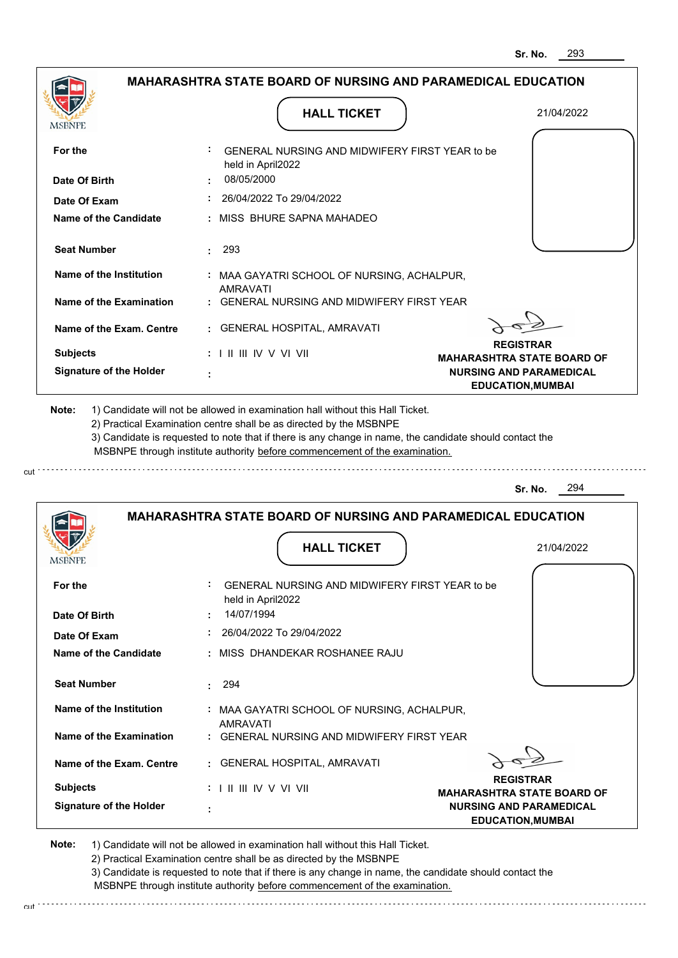**NURSING AND PARAMEDICAL EDUCATION,MUMBAI**

|                                                                   | <b>MAHARASHTRA STATE BOARD OF NURSING AND PARAMEDICAL EDUCATION</b>                                                                                                                                                                                                                                                                           |                                   |
|-------------------------------------------------------------------|-----------------------------------------------------------------------------------------------------------------------------------------------------------------------------------------------------------------------------------------------------------------------------------------------------------------------------------------------|-----------------------------------|
|                                                                   | <b>HALL TICKET</b>                                                                                                                                                                                                                                                                                                                            | 21/04/2022                        |
| <b>MSBNPE</b>                                                     |                                                                                                                                                                                                                                                                                                                                               |                                   |
|                                                                   |                                                                                                                                                                                                                                                                                                                                               |                                   |
| For the                                                           | : GENERAL NURSING AND MIDWIFERY FIRST YEAR to be                                                                                                                                                                                                                                                                                              |                                   |
|                                                                   | held in April2022<br>08/05/2000                                                                                                                                                                                                                                                                                                               |                                   |
| Date Of Birth                                                     |                                                                                                                                                                                                                                                                                                                                               |                                   |
| Date Of Exam                                                      | $: 26/04/2022$ To 29/04/2022                                                                                                                                                                                                                                                                                                                  |                                   |
| Name of the Candidate                                             | : MISS BHURE SAPNA MAHADEO                                                                                                                                                                                                                                                                                                                    |                                   |
| <b>Seat Number</b>                                                | $\cdot$ 293                                                                                                                                                                                                                                                                                                                                   |                                   |
|                                                                   |                                                                                                                                                                                                                                                                                                                                               |                                   |
| Name of the Institution                                           | : MAA GAYATRI SCHOOL OF NURSING, ACHALPUR,                                                                                                                                                                                                                                                                                                    |                                   |
|                                                                   | <b>AMRAVATI</b>                                                                                                                                                                                                                                                                                                                               |                                   |
| Name of the Examination                                           | : GENERAL NURSING AND MIDWIFERY FIRST YEAR                                                                                                                                                                                                                                                                                                    |                                   |
| Name of the Exam. Centre                                          | : GENERAL HOSPITAL, AMRAVATI                                                                                                                                                                                                                                                                                                                  |                                   |
|                                                                   |                                                                                                                                                                                                                                                                                                                                               | <b>REGISTRAR</b>                  |
| <b>Subjects</b>                                                   | $: 1 \mathbb{I} \mathbb{I} \mathbb{I} \mathbb{I} \mathbb{I} \mathbb{V} \vee \mathbb{V} \mathbb{I} \mathbb{V} \mathbb{I}$                                                                                                                                                                                                                      | <b>MAHARASHTRA STATE BOARD OF</b> |
| <b>Signature of the Holder</b>                                    |                                                                                                                                                                                                                                                                                                                                               | <b>NURSING AND PARAMEDICAL</b>    |
|                                                                   | 1) Candidate will not be allowed in examination hall without this Hall Ticket.<br>2) Practical Examination centre shall be as directed by the MSBNPE<br>3) Candidate is requested to note that if there is any change in name, the candidate should contact the<br>MSBNPE through institute authority before commencement of the examination. | <b>EDUCATION, MUMBAI</b>          |
| Note:                                                             |                                                                                                                                                                                                                                                                                                                                               |                                   |
|                                                                   |                                                                                                                                                                                                                                                                                                                                               | 294<br>Sr. No.                    |
|                                                                   |                                                                                                                                                                                                                                                                                                                                               |                                   |
|                                                                   | <b>MAHARASHTRA STATE BOARD OF NURSING AND PARAMEDICAL EDUCATION</b>                                                                                                                                                                                                                                                                           |                                   |
|                                                                   | <b>HALL TICKET</b>                                                                                                                                                                                                                                                                                                                            | 21/04/2022                        |
| <b>IMPDIAL</b>                                                    |                                                                                                                                                                                                                                                                                                                                               |                                   |
|                                                                   | GENERAL NURSING AND MIDWIFERY FIRST YEAR to be                                                                                                                                                                                                                                                                                                |                                   |
|                                                                   | held in April2022                                                                                                                                                                                                                                                                                                                             |                                   |
|                                                                   | 14/07/1994                                                                                                                                                                                                                                                                                                                                    |                                   |
|                                                                   | 26/04/2022 To 29/04/2022                                                                                                                                                                                                                                                                                                                      |                                   |
| For the<br>Date Of Birth<br>Date Of Exam<br>Name of the Candidate | : MISS DHANDEKAR ROSHANEE RAJU                                                                                                                                                                                                                                                                                                                |                                   |
|                                                                   |                                                                                                                                                                                                                                                                                                                                               |                                   |
| <b>Seat Number</b>                                                | : 294                                                                                                                                                                                                                                                                                                                                         |                                   |
|                                                                   |                                                                                                                                                                                                                                                                                                                                               |                                   |
| Name of the Institution                                           | : MAA GAYATRI SCHOOL OF NURSING, ACHALPUR,<br>AMRAVATI                                                                                                                                                                                                                                                                                        |                                   |
| Name of the Examination                                           | : GENERAL NURSING AND MIDWIFERY FIRST YEAR                                                                                                                                                                                                                                                                                                    |                                   |
| Name of the Exam. Centre                                          | : GENERAL HOSPITAL, AMRAVATI                                                                                                                                                                                                                                                                                                                  |                                   |

**Note:**  1) Candidate will not be allowed in examination hall without this Hall Ticket.

 **:**

**Signature of the Holder**

cut.

2) Practical Examination centre shall be as directed by the MSBNPE

3) Candidate is requested to note that if there is any change in name, the candidate should contact the MSBNPE through institute authority before commencement of the examination.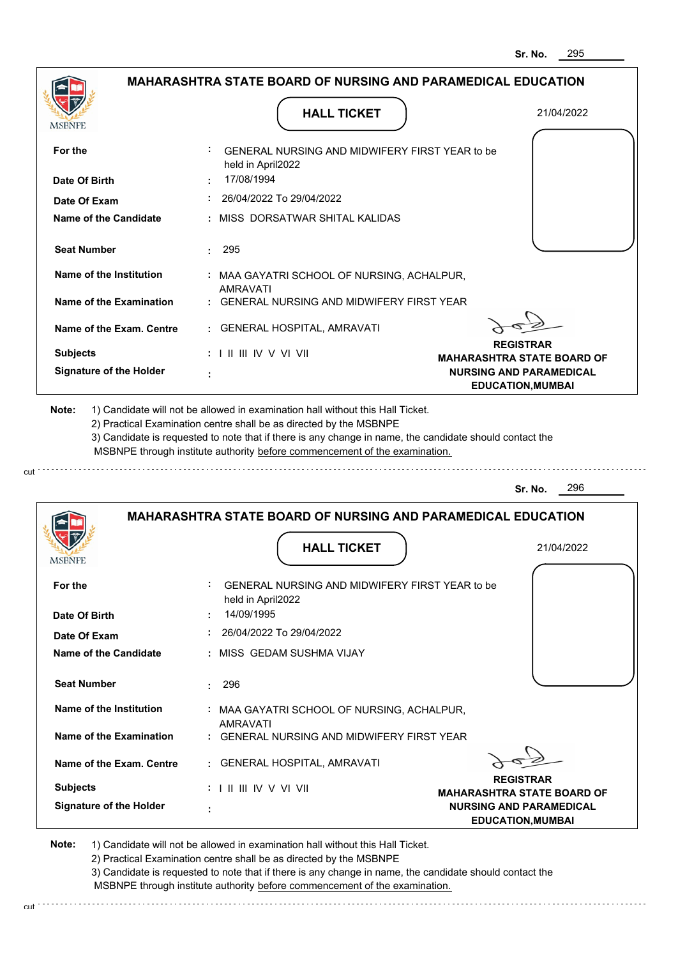|                                |                                                                                                                                                                                       | 295<br>Sr. No.                                             |
|--------------------------------|---------------------------------------------------------------------------------------------------------------------------------------------------------------------------------------|------------------------------------------------------------|
|                                | <b>MAHARASHTRA STATE BOARD OF NURSING AND PARAMEDICAL EDUCATION</b>                                                                                                                   |                                                            |
| MSBNPF                         | <b>HALL TICKET</b>                                                                                                                                                                    | 21/04/2022                                                 |
| For the                        | GENERAL NURSING AND MIDWIFERY FIRST YEAR to be<br>held in April2022                                                                                                                   |                                                            |
| Date Of Birth                  | 17/08/1994                                                                                                                                                                            |                                                            |
| Date Of Exam                   | 26/04/2022 To 29/04/2022                                                                                                                                                              |                                                            |
| Name of the Candidate          | : MISS DORSATWAR SHITAL KALIDAS                                                                                                                                                       |                                                            |
| <b>Seat Number</b>             | - 295<br>÷.                                                                                                                                                                           |                                                            |
| <b>Name of the Institution</b> | : MAA GAYATRI SCHOOL OF NURSING, ACHALPUR,<br><b>AMRAVATI</b>                                                                                                                         |                                                            |
| Name of the Examination        | <b>GENERAL NURSING AND MIDWIFERY FIRST YEAR</b>                                                                                                                                       |                                                            |
| Name of the Exam. Centre       | <b>GENERAL HOSPITAL, AMRAVATI</b>                                                                                                                                                     |                                                            |
| <b>Subjects</b>                | $: 1 \mathbb{I}$ III IIV V VI VII                                                                                                                                                     | <b>REGISTRAR</b><br><b>MAHARASHTRA STATE BOARD OF</b>      |
| <b>Signature of the Holder</b> |                                                                                                                                                                                       | <b>NURSING AND PARAMEDICAL</b><br><b>EDUCATION, MUMBAI</b> |
|                                | 3) Candidate is requested to note that if there is any change in name, the candidate should contact the<br>MSBNPE through institute authority before commencement of the examination. | 296<br>Sr. No.                                             |
|                                | <b>MAHARASHTRA STATE BOARD OF NURSING AND PARAMEDICAL EDUCATION</b>                                                                                                                   |                                                            |
| MƏBNFE                         | <b>HALL TICKET</b>                                                                                                                                                                    | 21/04/2022                                                 |
| For the                        | GENERAL NURSING AND MIDWIFERY FIRST YEAR to be<br>held in April2022                                                                                                                   |                                                            |
| Date Of Birth                  | 14/09/1995                                                                                                                                                                            |                                                            |
| Date Of Exam                   | 26/04/2022 To 29/04/2022                                                                                                                                                              |                                                            |
| Name of the Candidate          | : MISS GEDAM SUSHMA VIJAY                                                                                                                                                             |                                                            |
| <b>Seat Number</b>             | 296                                                                                                                                                                                   |                                                            |
| <b>Name of the Institution</b> | : MAA GAYATRI SCHOOL OF NURSING, ACHALPUR,<br>AMRAVATI                                                                                                                                |                                                            |
| Name of the Examination        | : GENERAL NURSING AND MIDWIFERY FIRST YEAR                                                                                                                                            |                                                            |
| Name of the Exam. Centre       | <b>GENERAL HOSPITAL, AMRAVATI</b>                                                                                                                                                     |                                                            |
| <b>Subjects</b>                | :            / V V  V                                                                                                                                                                 | <b>REGISTRAR</b><br><b>MAHARASHTRA STATE BOARD OF</b>      |

 **:**

**Signature of the Holder**

cut

2) Practical Examination centre shall be as directed by the MSBNPE

3) Candidate is requested to note that if there is any change in name, the candidate should contact the MSBNPE through institute authority before commencement of the examination. cut

**NURSING AND PARAMEDICAL EDUCATION,MUMBAI**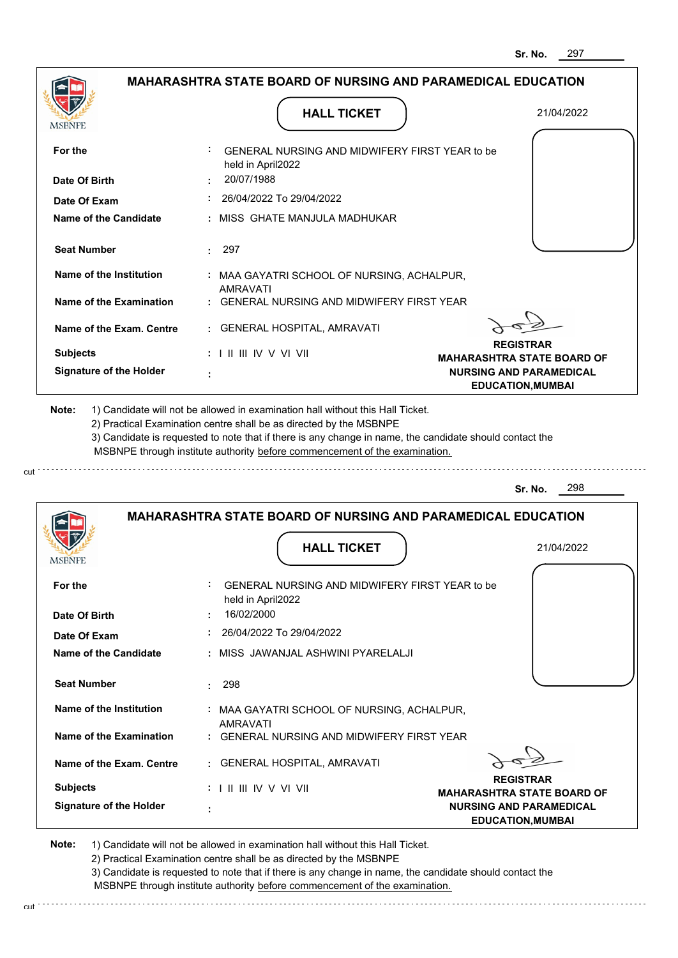|                                             | <b>MAHARASHTRA STATE BOARD OF NURSING AND PARAMEDICAL EDUCATION</b>                                                                                                                                                                                                                                                                           |                                                            |
|---------------------------------------------|-----------------------------------------------------------------------------------------------------------------------------------------------------------------------------------------------------------------------------------------------------------------------------------------------------------------------------------------------|------------------------------------------------------------|
| MSBNPE                                      | <b>HALL TICKET</b>                                                                                                                                                                                                                                                                                                                            | 21/04/2022                                                 |
| For the                                     | : GENERAL NURSING AND MIDWIFERY FIRST YEAR to be<br>held in April2022                                                                                                                                                                                                                                                                         |                                                            |
| Date Of Birth                               | 20/07/1988                                                                                                                                                                                                                                                                                                                                    |                                                            |
| Date Of Exam                                | 26/04/2022 To 29/04/2022                                                                                                                                                                                                                                                                                                                      |                                                            |
| <b>Name of the Candidate</b>                | : MISS GHATE MANJULA MADHUKAR                                                                                                                                                                                                                                                                                                                 |                                                            |
| <b>Seat Number</b>                          | $\cdot$ 297                                                                                                                                                                                                                                                                                                                                   |                                                            |
| Name of the Institution                     | : MAA GAYATRI SCHOOL OF NURSING, ACHALPUR,<br><b>AMRAVATI</b>                                                                                                                                                                                                                                                                                 |                                                            |
| <b>Name of the Examination</b>              | : GENERAL NURSING AND MIDWIFERY FIRST YEAR                                                                                                                                                                                                                                                                                                    |                                                            |
| Name of the Exam. Centre                    | : GENERAL HOSPITAL, AMRAVATI                                                                                                                                                                                                                                                                                                                  |                                                            |
| <b>Subjects</b>                             | $: 1 \parallel \parallel \parallel$ IV V VI VII                                                                                                                                                                                                                                                                                               | <b>REGISTRAR</b><br><b>MAHARASHTRA STATE BOARD OF</b>      |
| <b>Signature of the Holder</b>              |                                                                                                                                                                                                                                                                                                                                               | <b>NURSING AND PARAMEDICAL</b><br><b>EDUCATION, MUMBAI</b> |
|                                             | 1) Candidate will not be allowed in examination hall without this Hall Ticket.<br>2) Practical Examination centre shall be as directed by the MSBNPE<br>3) Candidate is requested to note that if there is any change in name, the candidate should contact the<br>MSBNPE through institute authority before commencement of the examination. |                                                            |
| Note:                                       |                                                                                                                                                                                                                                                                                                                                               | 298<br>Sr. No.                                             |
| <b>MODIALE</b>                              | <b>MAHARASHTRA STATE BOARD OF NURSING AND PARAMEDICAL EDUCATION</b><br><b>HALL TICKET</b>                                                                                                                                                                                                                                                     | 21/04/2022                                                 |
|                                             | GENERAL NURSING AND MIDWIFERY FIRST YEAR to be<br>held in April2022                                                                                                                                                                                                                                                                           |                                                            |
|                                             | 16/02/2000                                                                                                                                                                                                                                                                                                                                    |                                                            |
| For the<br>Date Of Birth<br>Date Of Exam    | 26/04/2022 To 29/04/2022                                                                                                                                                                                                                                                                                                                      |                                                            |
|                                             | : MISS JAWANJAL ASHWINI PYARELALJI                                                                                                                                                                                                                                                                                                            |                                                            |
| Name of the Candidate<br><b>Seat Number</b> | 298                                                                                                                                                                                                                                                                                                                                           |                                                            |
| Name of the Institution                     | : MAA GAYATRI SCHOOL OF NURSING, ACHALPUR,                                                                                                                                                                                                                                                                                                    |                                                            |
| Name of the Examination                     | <b>AMRAVATI</b><br>: GENERAL NURSING AND MIDWIFERY FIRST YEAR                                                                                                                                                                                                                                                                                 |                                                            |
| Name of the Exam. Centre                    | : GENERAL HOSPITAL, AMRAVATI                                                                                                                                                                                                                                                                                                                  | <b>REGISTRAR</b>                                           |

 **:**

**Signature of the Holder**

2) Practical Examination centre shall be as directed by the MSBNPE

3) Candidate is requested to note that if there is any change in name, the candidate should contact the MSBNPE through institute authority before commencement of the examination. cut

**NURSING AND PARAMEDICAL EDUCATION,MUMBAI**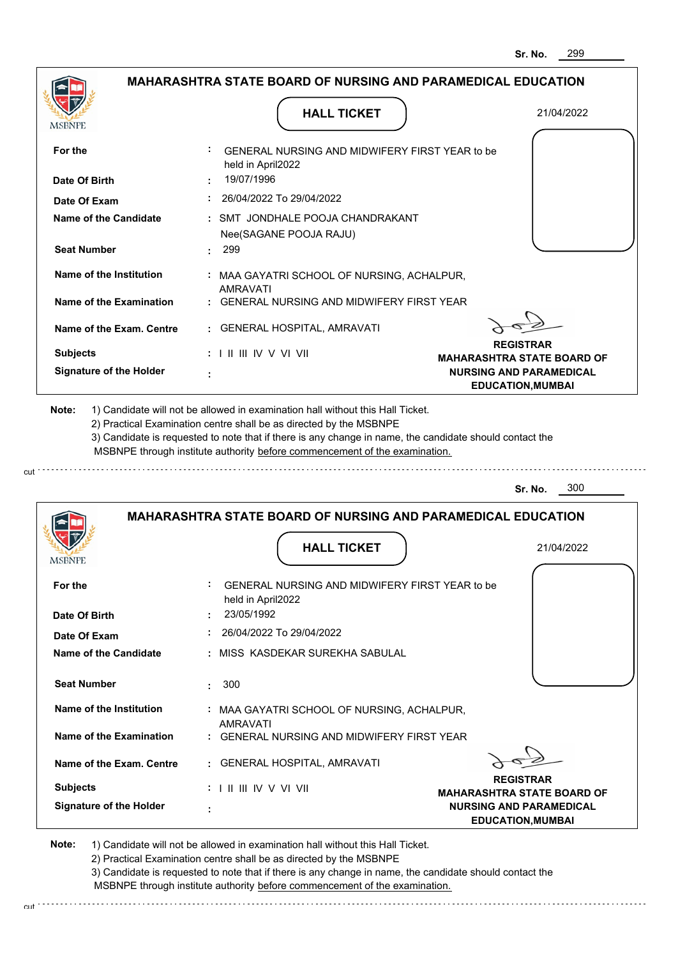|                                | <b>MAHARASHTRA STATE BOARD OF NURSING AND PARAMEDICAL EDUCATION</b>                                                                                                                                                                                                                                                                           |                                                            |
|--------------------------------|-----------------------------------------------------------------------------------------------------------------------------------------------------------------------------------------------------------------------------------------------------------------------------------------------------------------------------------------------|------------------------------------------------------------|
| MSBNPE                         | <b>HALL TICKET</b>                                                                                                                                                                                                                                                                                                                            | 21/04/2022                                                 |
|                                |                                                                                                                                                                                                                                                                                                                                               |                                                            |
| For the                        | : GENERAL NURSING AND MIDWIFERY FIRST YEAR to be<br>held in April2022                                                                                                                                                                                                                                                                         |                                                            |
| Date Of Birth                  | 19/07/1996                                                                                                                                                                                                                                                                                                                                    |                                                            |
| Date Of Exam                   | $: 26/04/2022$ To 29/04/2022                                                                                                                                                                                                                                                                                                                  |                                                            |
| Name of the Candidate          | : SMT JONDHALE POOJA CHANDRAKANT<br>Nee(SAGANE POOJA RAJU)                                                                                                                                                                                                                                                                                    |                                                            |
| <b>Seat Number</b>             | .299                                                                                                                                                                                                                                                                                                                                          |                                                            |
| Name of the Institution        | : MAA GAYATRI SCHOOL OF NURSING, ACHALPUR,<br><b>AMRAVATI</b>                                                                                                                                                                                                                                                                                 |                                                            |
| Name of the Examination        | : GENERAL NURSING AND MIDWIFERY FIRST YEAR                                                                                                                                                                                                                                                                                                    |                                                            |
| Name of the Exam. Centre       | : GENERAL HOSPITAL, AMRAVATI                                                                                                                                                                                                                                                                                                                  |                                                            |
| <b>Subjects</b>                | $: 1 \mathbb{I} \mathbb{I} \mathbb{I} \mathbb{I} \mathbb{I} \mathbb{V} \vee \mathbb{V} \mathbb{I} \mathbb{V} \mathbb{I}$                                                                                                                                                                                                                      | <b>REGISTRAR</b><br><b>MAHARASHTRA STATE BOARD OF</b>      |
| <b>Signature of the Holder</b> |                                                                                                                                                                                                                                                                                                                                               | <b>NURSING AND PARAMEDICAL</b><br><b>EDUCATION, MUMBAI</b> |
| Note:                          | 1) Candidate will not be allowed in examination hall without this Hall Ticket.<br>2) Practical Examination centre shall be as directed by the MSBNPE<br>3) Candidate is requested to note that if there is any change in name, the candidate should contact the<br>MSBNPE through institute authority before commencement of the examination. |                                                            |
|                                |                                                                                                                                                                                                                                                                                                                                               | 300<br>Sr. No.                                             |
|                                | <b>MAHARASHTRA STATE BOARD OF NURSING AND PARAMEDICAL EDUCATION</b>                                                                                                                                                                                                                                                                           |                                                            |
| <b>MSBNPE</b>                  | <b>HALL TICKET</b>                                                                                                                                                                                                                                                                                                                            | 21/04/2022                                                 |
| For the                        | GENERAL NURSING AND MIDWIFERY FIRST YEAR to be                                                                                                                                                                                                                                                                                                |                                                            |

| <b>Seat Number</b><br>Name of the Institution<br>Name of the Examination<br>Name of the Exam. Centre<br><b>Subjects</b> | : MAA GAYATRI SCHOOL OF NURSING, ACHALPUR,<br>: GENERAL NURSING AND MIDWIFERY FIRST YEAR<br>: GENERAL HOSPITAL, AMRAVATI<br><b>REGISTRAR</b><br>$: 1 \mathbb{H} \mathbb{H} \mathbb{W} \vee \mathbb{V} \mathbb{H}$<br><b>MAHARASHTRA STATE BOARD OF</b> |  |
|-------------------------------------------------------------------------------------------------------------------------|--------------------------------------------------------------------------------------------------------------------------------------------------------------------------------------------------------------------------------------------------------|--|
|                                                                                                                         |                                                                                                                                                                                                                                                        |  |
|                                                                                                                         |                                                                                                                                                                                                                                                        |  |
|                                                                                                                         |                                                                                                                                                                                                                                                        |  |
|                                                                                                                         |                                                                                                                                                                                                                                                        |  |
|                                                                                                                         |                                                                                                                                                                                                                                                        |  |
|                                                                                                                         |                                                                                                                                                                                                                                                        |  |
| Name of the Candidate                                                                                                   | : MISS KASDEKAR SUREKHA SABULAL                                                                                                                                                                                                                        |  |
| Date Of Exam                                                                                                            | 26/04/2022 To 29/04/2022                                                                                                                                                                                                                               |  |
| Date Of Birth                                                                                                           | held in April2022                                                                                                                                                                                                                                      |  |
| For the                                                                                                                 | GENERAL NURSING AND MIDWIFERY FIRST YEAR to be                                                                                                                                                                                                         |  |

**Note:**  1) Candidate will not be allowed in examination hall without this Hall Ticket. 2) Practical Examination centre shall be as directed by the MSBNPE

> 3) Candidate is requested to note that if there is any change in name, the candidate should contact the MSBNPE through institute authority before commencement of the examination.

cut.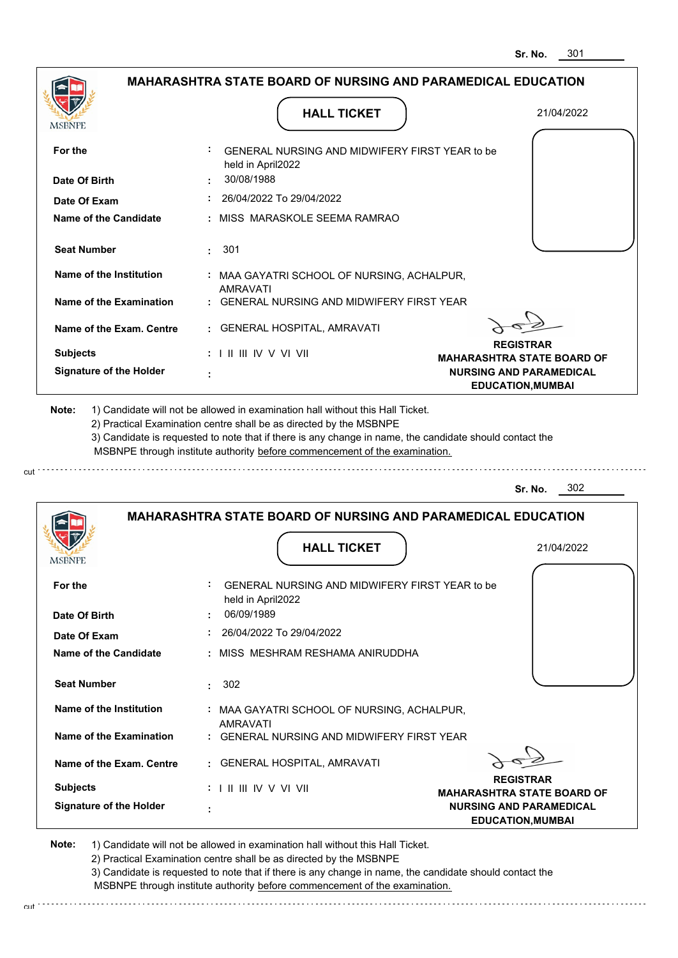|                                |                                                                                                                                                                                       | 301<br>Sr. No.                                             |
|--------------------------------|---------------------------------------------------------------------------------------------------------------------------------------------------------------------------------------|------------------------------------------------------------|
|                                | <b>MAHARASHTRA STATE BOARD OF NURSING AND PARAMEDICAL EDUCATION</b>                                                                                                                   |                                                            |
| <b>MSBNPE</b>                  | <b>HALL TICKET</b>                                                                                                                                                                    | 21/04/2022                                                 |
| For the                        | GENERAL NURSING AND MIDWIFERY FIRST YEAR to be<br>held in April2022                                                                                                                   |                                                            |
| Date Of Birth                  | 30/08/1988                                                                                                                                                                            |                                                            |
| Date Of Exam                   | 26/04/2022 To 29/04/2022                                                                                                                                                              |                                                            |
| Name of the Candidate          | : MISS MARASKOLE SEEMA RAMRAO                                                                                                                                                         |                                                            |
| <b>Seat Number</b>             | : 301                                                                                                                                                                                 |                                                            |
| Name of the Institution        | : MAA GAYATRI SCHOOL OF NURSING, ACHALPUR,<br><b>AMRAVATI</b>                                                                                                                         |                                                            |
| <b>Name of the Examination</b> | : GENERAL NURSING AND MIDWIFERY FIRST YEAR                                                                                                                                            |                                                            |
| Name of the Exam. Centre       | : GENERAL HOSPITAL, AMRAVATI                                                                                                                                                          |                                                            |
| <b>Subjects</b>                | : I II III IV V VI VII                                                                                                                                                                | <b>REGISTRAR</b><br><b>MAHARASHTRA STATE BOARD OF</b>      |
| <b>Signature of the Holder</b> |                                                                                                                                                                                       | <b>NURSING AND PARAMEDICAL</b><br><b>EDUCATION, MUMBAI</b> |
|                                | 3) Candidate is requested to note that if there is any change in name, the candidate should contact the<br>MSBNPE through institute authority before commencement of the examination. | 302<br>Sr. No.                                             |
|                                | <b>MAHARASHTRA STATE BOARD OF NURSING AND PARAMEDICAL EDUCATION</b>                                                                                                                   |                                                            |
| <b>IMPDIAL</b>                 | <b>HALL TICKET</b>                                                                                                                                                                    | 21/04/2022                                                 |
| For the                        | GENERAL NURSING AND MIDWIFERY FIRST YEAR to be<br>held in April2022                                                                                                                   |                                                            |
| Date Of Birth                  | 06/09/1989                                                                                                                                                                            |                                                            |
| Date Of Exam                   | 26/04/2022 To 29/04/2022                                                                                                                                                              |                                                            |
| <b>Name of the Candidate</b>   | : MISS MESHRAM RESHAMA ANIRUDDHA                                                                                                                                                      |                                                            |
| <b>Seat Number</b>             | 302<br>$\bullet$                                                                                                                                                                      |                                                            |
| <b>Name of the Institution</b> | : MAA GAYATRI SCHOOL OF NURSING, ACHALPUR,                                                                                                                                            |                                                            |
| Name of the Examination        | AMRAVATI<br>: GENERAL NURSING AND MIDWIFERY FIRST YEAR                                                                                                                                |                                                            |
| Name of the Exam. Centre       | : GENERAL HOSPITAL, AMRAVATI                                                                                                                                                          |                                                            |
| <b>Subjects</b>                | :              V V V  V                                                                                                                                                               | <b>REGISTRAR</b>                                           |

 **:**

**Signature of the Holder**

cut

2) Practical Examination centre shall be as directed by the MSBNPE

3) Candidate is requested to note that if there is any change in name, the candidate should contact the MSBNPE through institute authority before commencement of the examination. cut

**NURSING AND PARAMEDICAL EDUCATION,MUMBAI**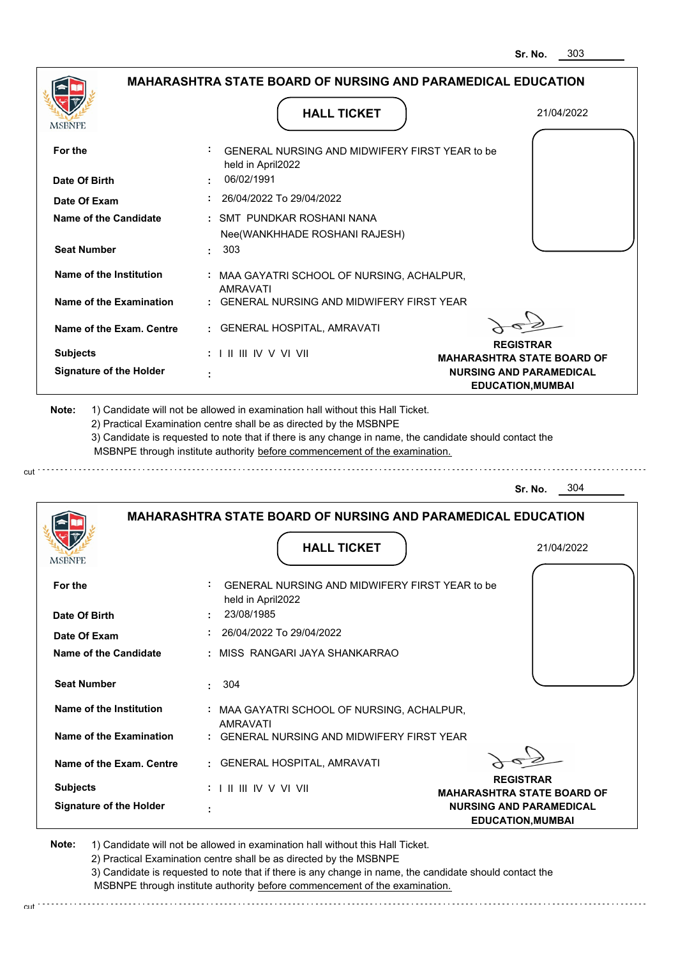| MSBNPE                                            | <b>HALL TICKET</b>                                                                                                                                                                                                                                                                                                                            | 21/04/2022                                                                                                          |
|---------------------------------------------------|-----------------------------------------------------------------------------------------------------------------------------------------------------------------------------------------------------------------------------------------------------------------------------------------------------------------------------------------------|---------------------------------------------------------------------------------------------------------------------|
| For the                                           | GENERAL NURSING AND MIDWIFERY FIRST YEAR to be<br>held in April2022                                                                                                                                                                                                                                                                           |                                                                                                                     |
| Date Of Birth                                     | 06/02/1991<br>$: 26/04/2022$ To 29/04/2022                                                                                                                                                                                                                                                                                                    |                                                                                                                     |
| Date Of Exam<br>Name of the Candidate             | : SMT PUNDKAR ROSHANI NANA<br>Nee(WANKHHADE ROSHANI RAJESH)                                                                                                                                                                                                                                                                                   |                                                                                                                     |
| <b>Seat Number</b><br>Name of the Institution     | . 303<br>: MAA GAYATRI SCHOOL OF NURSING, ACHALPUR,<br><b>AMRAVATI</b>                                                                                                                                                                                                                                                                        |                                                                                                                     |
| Name of the Examination                           | : GENERAL NURSING AND MIDWIFERY FIRST YEAR                                                                                                                                                                                                                                                                                                    |                                                                                                                     |
| Name of the Exam. Centre                          | : GENERAL HOSPITAL, AMRAVATI                                                                                                                                                                                                                                                                                                                  |                                                                                                                     |
| <b>Subjects</b><br><b>Signature of the Holder</b> | $: 1 \mathbb{H} \mathbb{H} \mathbb{W} \vee \mathbb{V} \mathbb{V} \mathbb{H}$                                                                                                                                                                                                                                                                  | <b>REGISTRAR</b><br><b>MAHARASHTRA STATE BOARD OF</b><br><b>NURSING AND PARAMEDICAL</b><br><b>EDUCATION, MUMBAI</b> |
| Note:                                             | 1) Candidate will not be allowed in examination hall without this Hall Ticket.<br>2) Practical Examination centre shall be as directed by the MSBNPE<br>3) Candidate is requested to note that if there is any change in name, the candidate should contact the<br>MSBNPE through institute authority before commencement of the examination. |                                                                                                                     |
|                                                   |                                                                                                                                                                                                                                                                                                                                               | 304<br>Sr. No.                                                                                                      |
|                                                   | <b>MAHARASHTRA STATE BOARD OF NURSING AND PARAMEDICAL EDUCATION</b>                                                                                                                                                                                                                                                                           |                                                                                                                     |
|                                                   |                                                                                                                                                                                                                                                                                                                                               |                                                                                                                     |

| For the                        | GENERAL NURSING AND MIDWIFERY FIRST YEAR to be<br>held in April2022 |                                                            |
|--------------------------------|---------------------------------------------------------------------|------------------------------------------------------------|
| Date Of Birth                  | 23/08/1985                                                          |                                                            |
| Date Of Exam                   | 26/04/2022 To 29/04/2022                                            |                                                            |
| Name of the Candidate          | : MISS RANGARI JAYA SHANKARRAO                                      |                                                            |
| <b>Seat Number</b>             | 304                                                                 |                                                            |
| Name of the Institution        | : MAA GAYATRI SCHOOL OF NURSING, ACHALPUR,<br><b>AMRAVATI</b>       |                                                            |
| Name of the Examination        | : GENERAL NURSING AND MIDWIFERY FIRST YEAR                          |                                                            |
| Name of the Exam. Centre       | : GENERAL HOSPITAL, AMRAVATI                                        |                                                            |
| <b>Subjects</b>                | : I II III IV V VI VII                                              | <b>REGISTRAR</b><br><b>MAHARASHTRA STATE BOARD OF</b>      |
| <b>Signature of the Holder</b> | ٠                                                                   | <b>NURSING AND PARAMEDICAL</b><br><b>EDUCATION, MUMBAI</b> |

**Note:**  1) Candidate will not be allowed in examination hall without this Hall Ticket. 2) Practical Examination centre shall be as directed by the MSBNPE

cut.

3) Candidate is requested to note that if there is any change in name, the candidate should contact the MSBNPE through institute authority before commencement of the examination.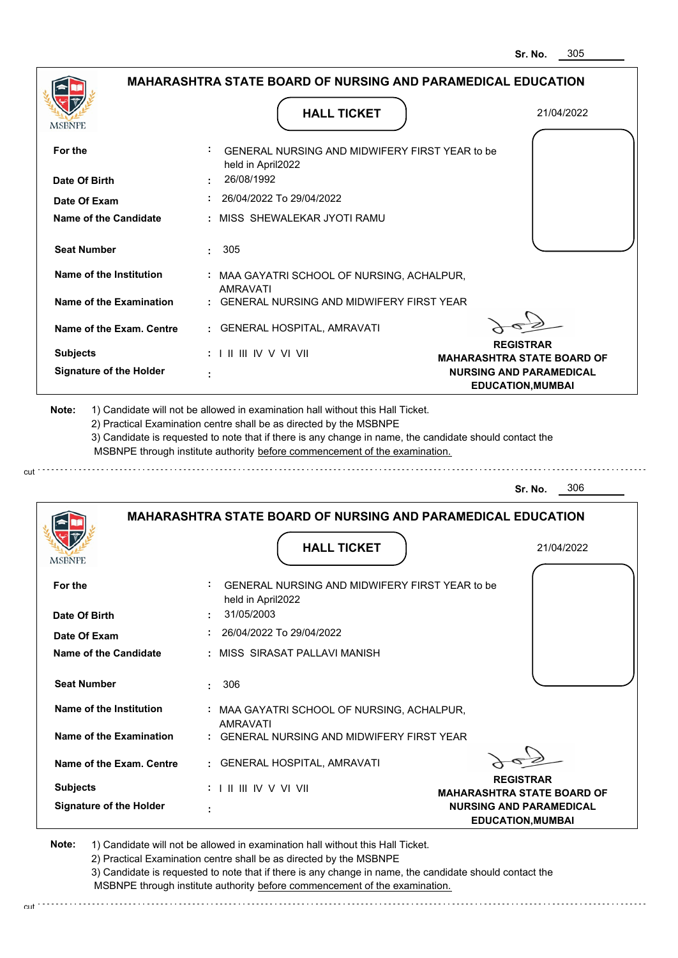|                                                   |                                                                                                                                                                                       | 305<br>Sr. No.                                             |
|---------------------------------------------------|---------------------------------------------------------------------------------------------------------------------------------------------------------------------------------------|------------------------------------------------------------|
|                                                   | <b>MAHARASHTRA STATE BOARD OF NURSING AND PARAMEDICAL EDUCATION</b>                                                                                                                   |                                                            |
| <b>MSBNPE</b>                                     | <b>HALL TICKET</b>                                                                                                                                                                    | 21/04/2022                                                 |
| For the                                           | GENERAL NURSING AND MIDWIFERY FIRST YEAR to be<br>held in April2022                                                                                                                   |                                                            |
| Date Of Birth                                     | 26/08/1992                                                                                                                                                                            |                                                            |
| Date Of Exam                                      | 26/04/2022 To 29/04/2022                                                                                                                                                              |                                                            |
| Name of the Candidate                             | : MISS SHEWALEKAR JYOTI RAMU                                                                                                                                                          |                                                            |
| <b>Seat Number</b>                                | : 305                                                                                                                                                                                 |                                                            |
| Name of the Institution                           | : MAA GAYATRI SCHOOL OF NURSING, ACHALPUR,<br><b>AMRAVATI</b>                                                                                                                         |                                                            |
| <b>Name of the Examination</b>                    | : GENERAL NURSING AND MIDWIFERY FIRST YEAR                                                                                                                                            |                                                            |
| Name of the Exam. Centre                          | : GENERAL HOSPITAL, AMRAVATI                                                                                                                                                          |                                                            |
| <b>Subjects</b>                                   | : I II III IV V VI VII                                                                                                                                                                | <b>REGISTRAR</b><br><b>MAHARASHTRA STATE BOARD OF</b>      |
| <b>Signature of the Holder</b>                    |                                                                                                                                                                                       | <b>NURSING AND PARAMEDICAL</b><br><b>EDUCATION, MUMBAI</b> |
|                                                   | 3) Candidate is requested to note that if there is any change in name, the candidate should contact the<br>MSBNPE through institute authority before commencement of the examination. | 306<br>Sr. No.                                             |
|                                                   | <b>MAHARASHTRA STATE BOARD OF NURSING AND PARAMEDICAL EDUCATION</b>                                                                                                                   |                                                            |
| <b>IMPDIAL</b>                                    | <b>HALL TICKET</b>                                                                                                                                                                    | 21/04/2022                                                 |
| For the                                           | GENERAL NURSING AND MIDWIFERY FIRST YEAR to be<br>held in April2022                                                                                                                   |                                                            |
| Date Of Birth                                     | 31/05/2003                                                                                                                                                                            |                                                            |
| Date Of Exam<br>Name of the Candidate             | 26/04/2022 To 29/04/2022<br>: MISS SIRASAT PALLAVI MANISH                                                                                                                             |                                                            |
|                                                   |                                                                                                                                                                                       |                                                            |
| <b>Seat Number</b>                                | 306<br>٠                                                                                                                                                                              |                                                            |
| <b>Name of the Institution</b>                    | : MAA GAYATRI SCHOOL OF NURSING, ACHALPUR,                                                                                                                                            |                                                            |
| Name of the Examination                           |                                                                                                                                                                                       |                                                            |
|                                                   | AMRAVATI<br>: GENERAL NURSING AND MIDWIFERY FIRST YEAR                                                                                                                                |                                                            |
| Name of the Exam. Centre                          | : GENERAL HOSPITAL, AMRAVATI                                                                                                                                                          |                                                            |
| <b>Subjects</b><br><b>Signature of the Holder</b> | : I II III IV V VI VII                                                                                                                                                                | <b>REGISTRAR</b><br><b>MAHARASHTRA STATE BOARD OF</b>      |

**Note:**  1) Candidate will not be allowed in examination hall without this Hall Ticket. 2) Practical Examination centre shall be as directed by the MSBNPE

cut

cut.

3) Candidate is requested to note that if there is any change in name, the candidate should contact the MSBNPE through institute authority before commencement of the examination. 

. . . . . . . . . . . . . .

. . . . . . . . . . . . . . . . . .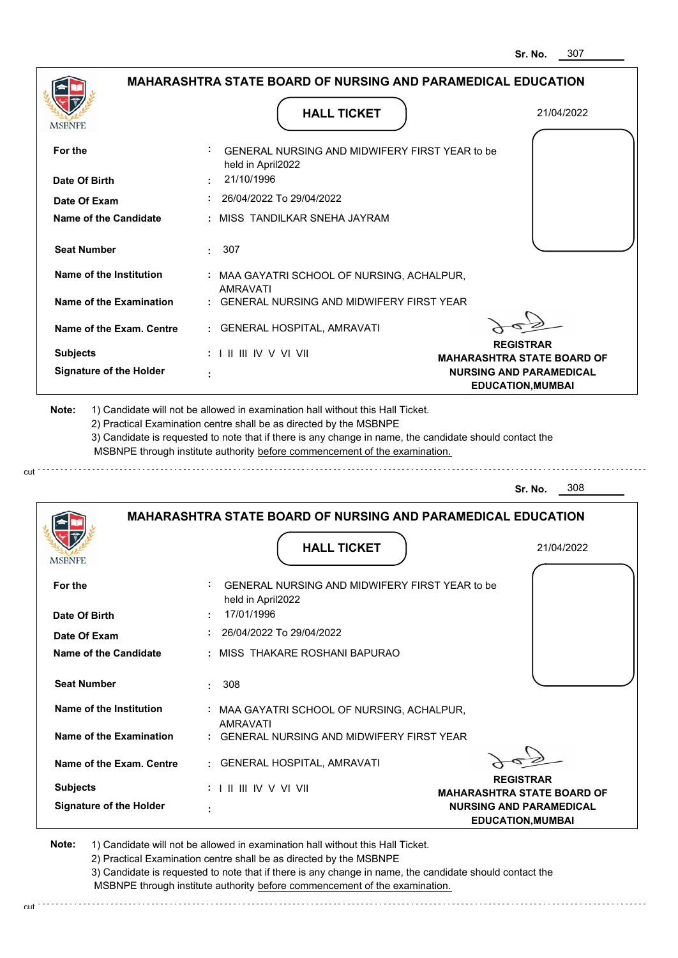|                                              |                                                                                   | 307<br>Sr. No.                                             |
|----------------------------------------------|-----------------------------------------------------------------------------------|------------------------------------------------------------|
|                                              | <b>MAHARASHTRA STATE BOARD OF NURSING AND PARAMEDICAL EDUCATION</b>               |                                                            |
| <b>MSBNPE</b>                                | <b>HALL TICKET</b>                                                                | 21/04/2022                                                 |
| For the                                      | GENERAL NURSING AND MIDWIFERY FIRST YEAR to be<br>held in April2022               |                                                            |
| Date Of Birth                                | 21/10/1996                                                                        |                                                            |
| Date Of Exam                                 | 26/04/2022 To 29/04/2022                                                          |                                                            |
| Name of the Candidate                        | : MISS TANDILKAR SNEHA JAYRAM                                                     |                                                            |
| <b>Seat Number</b>                           | : 307                                                                             |                                                            |
| Name of the Institution                      | : MAA GAYATRI SCHOOL OF NURSING, ACHALPUR,<br><b>AMRAVATI</b>                     |                                                            |
| <b>Name of the Examination</b>               | : GENERAL NURSING AND MIDWIFERY FIRST YEAR                                        |                                                            |
| Name of the Exam. Centre                     | : GENERAL HOSPITAL, AMRAVATI                                                      |                                                            |
| <b>Subjects</b>                              | $: 1 \mathbb{H} \mathbb{H} \mathbb{W} \vee \mathbb{V} \mathbb{W}$                 | <b>REGISTRAR</b><br><b>MAHARASHTRA STATE BOARD OF</b>      |
| <b>Signature of the Holder</b>               |                                                                                   | <b>NURSING AND PARAMEDICAL</b><br><b>EDUCATION, MUMBAI</b> |
|                                              | MSBNPE through institute authority before commencement of the examination.        |                                                            |
|                                              |                                                                                   | 308<br>Sr. No.                                             |
|                                              | <b>MAHARASHTRA STATE BOARD OF NURSING AND PARAMEDICAL EDUCATION</b>               |                                                            |
| MSDNFL                                       | <b>HALL TICKET</b>                                                                | 21/04/2022                                                 |
| For the<br>Date Of Birth                     | GENERAL NURSING AND MIDWIFERY FIRST YEAR to be<br>held in April2022<br>17/01/1996 |                                                            |
|                                              | 26/04/2022 To 29/04/2022                                                          |                                                            |
| Date Of Exam<br><b>Name of the Candidate</b> | : MISS THAKARE ROSHANI BAPURAO                                                    |                                                            |
| <b>Seat Number</b>                           | 308<br>٠                                                                          |                                                            |
| <b>Name of the Institution</b>               | : MAA GAYATRI SCHOOL OF NURSING, ACHALPUR,                                        |                                                            |
| Name of the Examination                      | AMRAVATI<br>: GENERAL NURSING AND MIDWIFERY FIRST YEAR                            |                                                            |
| Name of the Exam. Centre                     | : GENERAL HOSPITAL, AMRAVATI                                                      | <b>REGISTRAR</b>                                           |

**MAHARASHTRA STATE BOARD OF NURSING AND PARAMEDICAL EDUCATION,MUMBAI**

**Note:**  1) Candidate will not be allowed in examination hall without this Hall Ticket.

I II III IV V VI VII

2) Practical Examination centre shall be as directed by the MSBNPE

 **:**

**Signature of the Holder**

**Subjects :**

cut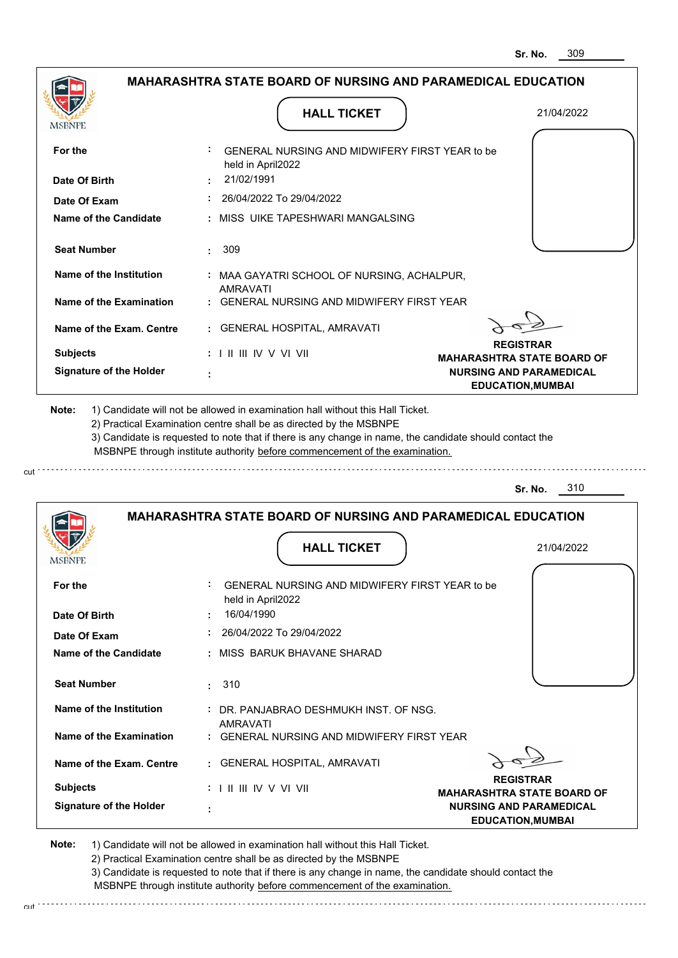|                                |                                                                                                                                                                                       | 309<br>Sr. No.                                             |
|--------------------------------|---------------------------------------------------------------------------------------------------------------------------------------------------------------------------------------|------------------------------------------------------------|
|                                | <b>MAHARASHTRA STATE BOARD OF NURSING AND PARAMEDICAL EDUCATION</b>                                                                                                                   |                                                            |
| MSBNPE                         | <b>HALL TICKET</b>                                                                                                                                                                    | 21/04/2022                                                 |
| For the                        | GENERAL NURSING AND MIDWIFERY FIRST YEAR to be                                                                                                                                        |                                                            |
| Date Of Birth                  | held in April2022<br>21/02/1991                                                                                                                                                       |                                                            |
| Date Of Exam                   | 26/04/2022 To 29/04/2022                                                                                                                                                              |                                                            |
| Name of the Candidate          | : MISS UIKE TAPESHWARI MANGALSING                                                                                                                                                     |                                                            |
| <b>Seat Number</b>             | $\cdot$ 309                                                                                                                                                                           |                                                            |
| Name of the Institution        | : MAA GAYATRI SCHOOL OF NURSING, ACHALPUR,<br><b>AMRAVATI</b>                                                                                                                         |                                                            |
| Name of the Examination        | <b>GENERAL NURSING AND MIDWIFERY FIRST YEAR</b>                                                                                                                                       |                                                            |
| Name of the Exam. Centre       | <b>GENERAL HOSPITAL, AMRAVATI</b>                                                                                                                                                     |                                                            |
| <b>Subjects</b>                | $: 1 \mathbb{I}$ III IIV V VI VII                                                                                                                                                     | <b>REGISTRAR</b><br><b>MAHARASHTRA STATE BOARD OF</b>      |
| <b>Signature of the Holder</b> |                                                                                                                                                                                       | <b>NURSING AND PARAMEDICAL</b><br><b>EDUCATION, MUMBAI</b> |
|                                | 3) Candidate is requested to note that if there is any change in name, the candidate should contact the<br>MSBNPE through institute authority before commencement of the examination. | 310<br>Sr. No.                                             |
|                                |                                                                                                                                                                                       |                                                            |
|                                | <b>MAHARASHTRA STATE BOARD OF NURSING AND PARAMEDICAL EDUCATION</b>                                                                                                                   |                                                            |
| <b>IMPDIALE</b>                | <b>HALL TICKET</b>                                                                                                                                                                    | 21/04/2022                                                 |
| For the                        | GENERAL NURSING AND MIDWIFERY FIRST YEAR to be<br>held in April2022                                                                                                                   |                                                            |
| Date Of Birth                  | 16/04/1990                                                                                                                                                                            |                                                            |
| Date Of Exam                   | 26/04/2022 To 29/04/2022                                                                                                                                                              |                                                            |
| Name of the Candidate          | MISS BARUK BHAVANE SHARAD                                                                                                                                                             |                                                            |
| <b>Seat Number</b>             | 310<br>÷                                                                                                                                                                              |                                                            |
| Name of the Institution        | DR. PANJABRAO DESHMUKH INST. OF NSG.                                                                                                                                                  |                                                            |
| Name of the Examination        | AMRAVATI<br>: GENERAL NURSING AND MIDWIFERY FIRST YEAR                                                                                                                                |                                                            |
| Name of the Exam. Centre       | <b>GENERAL HOSPITAL, AMRAVATI</b>                                                                                                                                                     |                                                            |
| <b>Subjects</b>                | :             V V    V                                                                                                                                                                | <b>REGISTRAR</b><br><b>MAHARASHTRA STATE BOARD OF</b>      |

2) Practical Examination centre shall be as directed by the MSBNPE

 **:**

**Signature of the Holder**

cut

3) Candidate is requested to note that if there is any change in name, the candidate should contact the MSBNPE through institute authority before commencement of the examination. cut

**NURSING AND PARAMEDICAL EDUCATION,MUMBAI**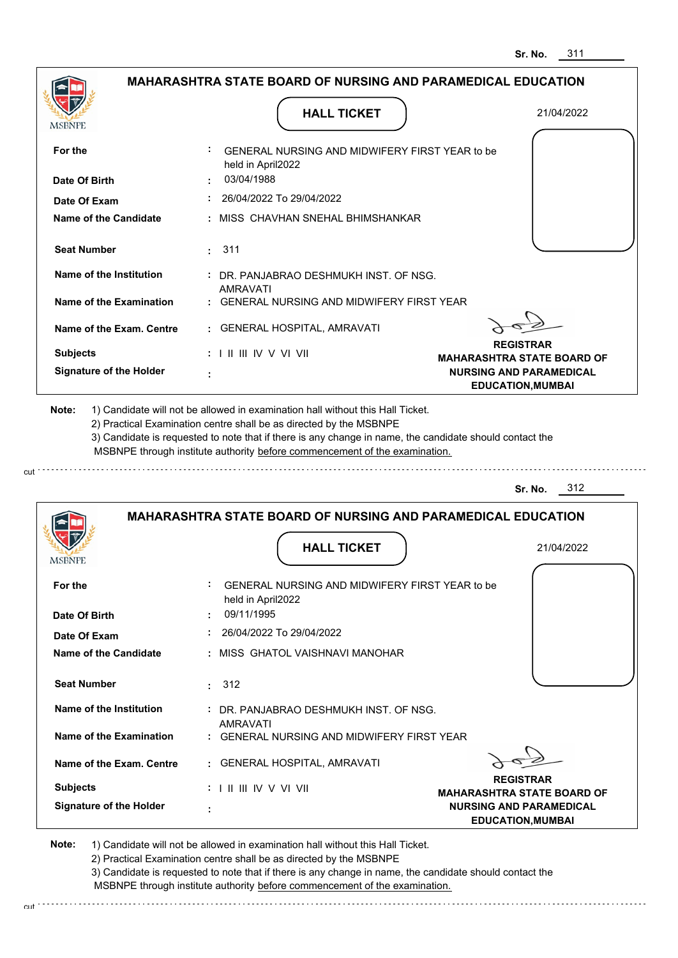|                                | <b>MAHARASHTRA STATE BOARD OF NURSING AND PARAMEDICAL EDUCATION</b>                                                                                                                                                                                                                                                                           |                                                            |
|--------------------------------|-----------------------------------------------------------------------------------------------------------------------------------------------------------------------------------------------------------------------------------------------------------------------------------------------------------------------------------------------|------------------------------------------------------------|
| MSBNPE                         | <b>HALL TICKET</b>                                                                                                                                                                                                                                                                                                                            | 21/04/2022                                                 |
| For the                        | GENERAL NURSING AND MIDWIFERY FIRST YEAR to be<br>held in April2022                                                                                                                                                                                                                                                                           |                                                            |
| Date Of Birth                  | 03/04/1988                                                                                                                                                                                                                                                                                                                                    |                                                            |
| Date Of Exam                   | 26/04/2022 To 29/04/2022                                                                                                                                                                                                                                                                                                                      |                                                            |
| <b>Name of the Candidate</b>   | MISS CHAVHAN SNEHAL BHIMSHANKAR                                                                                                                                                                                                                                                                                                               |                                                            |
| <b>Seat Number</b>             | 311<br>÷.                                                                                                                                                                                                                                                                                                                                     |                                                            |
| Name of the Institution        | : DR. PANJABRAO DESHMUKH INST. OF NSG.<br>AMRAVATI                                                                                                                                                                                                                                                                                            |                                                            |
| <b>Name of the Examination</b> | <b>GENERAL NURSING AND MIDWIFERY FIRST YEAR</b>                                                                                                                                                                                                                                                                                               |                                                            |
| Name of the Exam. Centre       | : GENERAL HOSPITAL, AMRAVATI                                                                                                                                                                                                                                                                                                                  |                                                            |
| <b>Subjects</b>                | $: 1 \mathbb{I}$ III IIV V VI VII                                                                                                                                                                                                                                                                                                             | <b>REGISTRAR</b><br><b>MAHARASHTRA STATE BOARD OF</b>      |
| <b>Signature of the Holder</b> |                                                                                                                                                                                                                                                                                                                                               | <b>NURSING AND PARAMEDICAL</b><br><b>EDUCATION, MUMBAI</b> |
| Note:                          | 1) Candidate will not be allowed in examination hall without this Hall Ticket.<br>2) Practical Examination centre shall be as directed by the MSBNPE<br>3) Candidate is requested to note that if there is any change in name, the candidate should contact the<br>MSBNPE through institute authority before commencement of the examination. |                                                            |
|                                |                                                                                                                                                                                                                                                                                                                                               | 312<br>Sr. No.                                             |
|                                | <b>MAHARASHTRA STATE BOARD OF NURSING AND PARAMEDICAL EDUCATION</b>                                                                                                                                                                                                                                                                           |                                                            |
|                                | <b>HALL TICKET</b>                                                                                                                                                                                                                                                                                                                            | 21/04/2022                                                 |
| <b>MSBNPE</b>                  |                                                                                                                                                                                                                                                                                                                                               |                                                            |
| For the                        | <b>GENERAL NURSING AND MIDWIFERY FIRST YEAR to be</b><br>held in April2022                                                                                                                                                                                                                                                                    |                                                            |
| Date Of Birth                  | 09/11/1995<br>÷.                                                                                                                                                                                                                                                                                                                              |                                                            |
| Date Of Exam                   | 26/04/2022 To 29/04/2022<br>÷.                                                                                                                                                                                                                                                                                                                |                                                            |
| Name of the Candidate          | : MISS GHATOL VAISHNAVI MANOHAR                                                                                                                                                                                                                                                                                                               |                                                            |
| <b>Seat Number</b>             | . 312                                                                                                                                                                                                                                                                                                                                         |                                                            |
| Name of the Institution        | : DR. PANJABRAO DESHMUKH INST. OF NSG.                                                                                                                                                                                                                                                                                                        |                                                            |
| Name of the Examination        | <b>AMRAVATI</b><br>: GENERAL NURSING AND MIDWIFERY FIRST YEAR                                                                                                                                                                                                                                                                                 |                                                            |
| Name of the Exam. Centre       | : GENERAL HOSPITAL, AMRAVATI                                                                                                                                                                                                                                                                                                                  |                                                            |
| <b>Subjects</b>                | : I II III IV V VI VII                                                                                                                                                                                                                                                                                                                        | <b>REGISTRAR</b><br><b>MAHARASHTRA STATE BOARD OF</b>      |

cut

2) Practical Examination centre shall be as directed by the MSBNPE

3) Candidate is requested to note that if there is any change in name, the candidate should contact the MSBNPE through institute authority before commencement of the examination. cut de contra a construction de construction de construction de construction de construction de construction de construction de construction de construction de construction de construction de construction de construction d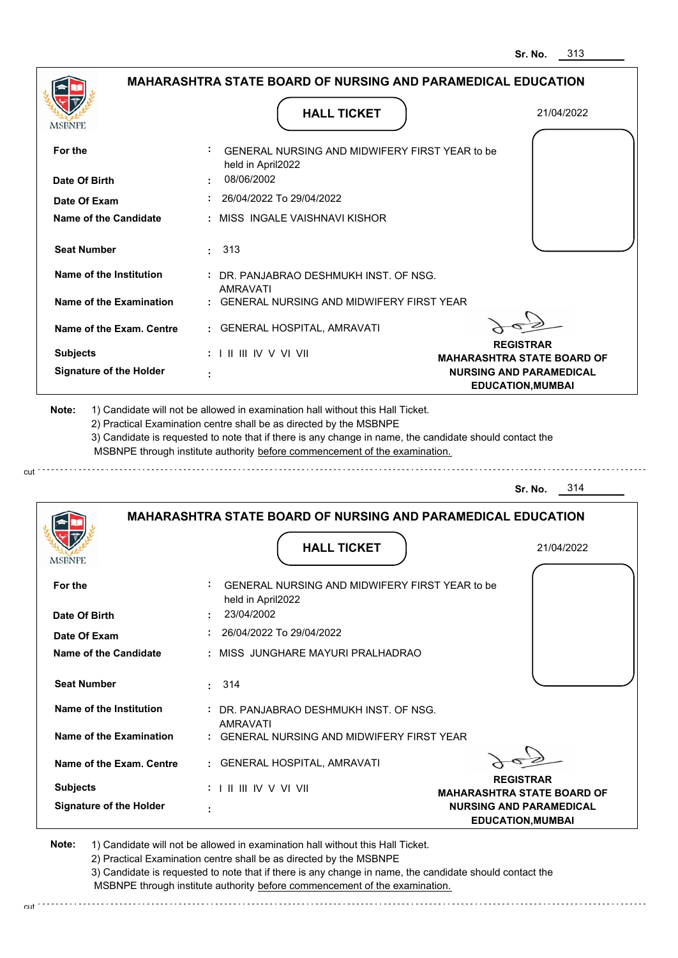|                                                                                                                                                                                                                        | <b>HALL TICKET</b>                                                                                                                                                                                                                                          | 21/04/2022                                                 |
|------------------------------------------------------------------------------------------------------------------------------------------------------------------------------------------------------------------------|-------------------------------------------------------------------------------------------------------------------------------------------------------------------------------------------------------------------------------------------------------------|------------------------------------------------------------|
| MSBNPE                                                                                                                                                                                                                 |                                                                                                                                                                                                                                                             |                                                            |
| For the                                                                                                                                                                                                                | GENERAL NURSING AND MIDWIFERY FIRST YEAR to be<br>held in April2022                                                                                                                                                                                         |                                                            |
| Date Of Birth                                                                                                                                                                                                          | 08/06/2002                                                                                                                                                                                                                                                  |                                                            |
| Date Of Exam                                                                                                                                                                                                           | 26/04/2022 To 29/04/2022                                                                                                                                                                                                                                    |                                                            |
| <b>Name of the Candidate</b>                                                                                                                                                                                           | : MISS INGALE VAISHNAVI KISHOR                                                                                                                                                                                                                              |                                                            |
| <b>Seat Number</b>                                                                                                                                                                                                     | : 313                                                                                                                                                                                                                                                       |                                                            |
| Name of the Institution                                                                                                                                                                                                | : DR. PANJABRAO DESHMUKH INST. OF NSG.<br>AMRAVATI                                                                                                                                                                                                          |                                                            |
| Name of the Examination                                                                                                                                                                                                | : GENERAL NURSING AND MIDWIFERY FIRST YEAR                                                                                                                                                                                                                  |                                                            |
| Name of the Exam. Centre                                                                                                                                                                                               | : GENERAL HOSPITAL, AMRAVATI                                                                                                                                                                                                                                |                                                            |
| <b>Subjects</b>                                                                                                                                                                                                        | $: 1 \parallel \parallel \parallel$ IV V VI VII                                                                                                                                                                                                             | <b>REGISTRAR</b><br><b>MAHARASHTRA STATE BOARD OF</b>      |
| <b>Signature of the Holder</b>                                                                                                                                                                                         |                                                                                                                                                                                                                                                             | <b>NURSING AND PARAMEDICAL</b><br><b>EDUCATION, MUMBAI</b> |
| 1) Candidate will not be allowed in examination hall without this Hall Ticket.                                                                                                                                         | 2) Practical Examination centre shall be as directed by the MSBNPE<br>3) Candidate is requested to note that if there is any change in name, the candidate should contact the<br>MSBNPE through institute authority before commencement of the examination. | 314<br>Sr. No.                                             |
|                                                                                                                                                                                                                        | <b>MAHARASHTRA STATE BOARD OF NURSING AND PARAMEDICAL EDUCATION</b>                                                                                                                                                                                         |                                                            |
|                                                                                                                                                                                                                        |                                                                                                                                                                                                                                                             |                                                            |
|                                                                                                                                                                                                                        | <b>HALL TICKET</b>                                                                                                                                                                                                                                          | 21/04/2022                                                 |
|                                                                                                                                                                                                                        | GENERAL NURSING AND MIDWIFERY FIRST YEAR to be<br>held in April2022                                                                                                                                                                                         |                                                            |
|                                                                                                                                                                                                                        | 23/04/2002                                                                                                                                                                                                                                                  |                                                            |
|                                                                                                                                                                                                                        | : 26/04/2022 To 29/04/2022<br>: MISS JUNGHARE MAYURI PRALHADRAO                                                                                                                                                                                             |                                                            |
|                                                                                                                                                                                                                        |                                                                                                                                                                                                                                                             |                                                            |
|                                                                                                                                                                                                                        | : 314                                                                                                                                                                                                                                                       |                                                            |
|                                                                                                                                                                                                                        | DR. PANJABRAO DESHMUKH INST. OF NSG.<br><b>AMRAVATI</b>                                                                                                                                                                                                     |                                                            |
|                                                                                                                                                                                                                        | : GENERAL NURSING AND MIDWIFERY FIRST YEAR                                                                                                                                                                                                                  |                                                            |
|                                                                                                                                                                                                                        | : GENERAL HOSPITAL, AMRAVATI                                                                                                                                                                                                                                |                                                            |
| Note:<br><b>MSBNPE</b><br>For the<br>Date Of Birth<br>Date Of Exam<br>Name of the Candidate<br><b>Seat Number</b><br>Name of the Institution<br>Name of the Examination<br>Name of the Exam. Centre<br><b>Subjects</b> | : I II III IV V VI VII                                                                                                                                                                                                                                      | <b>REGISTRAR</b><br><b>MAHARASHTRA STATE BOARD OF</b>      |

2) Practical Examination centre shall be as directed by the MSBNPE

3) Candidate is requested to note that if there is any change in name, the candidate should contact the MSBNPE through institute authority before commencement of the examination. cut de contra a construction de construction de construction de construction de construction de construction de construction de construction de construction de construction de construction de construction de construction d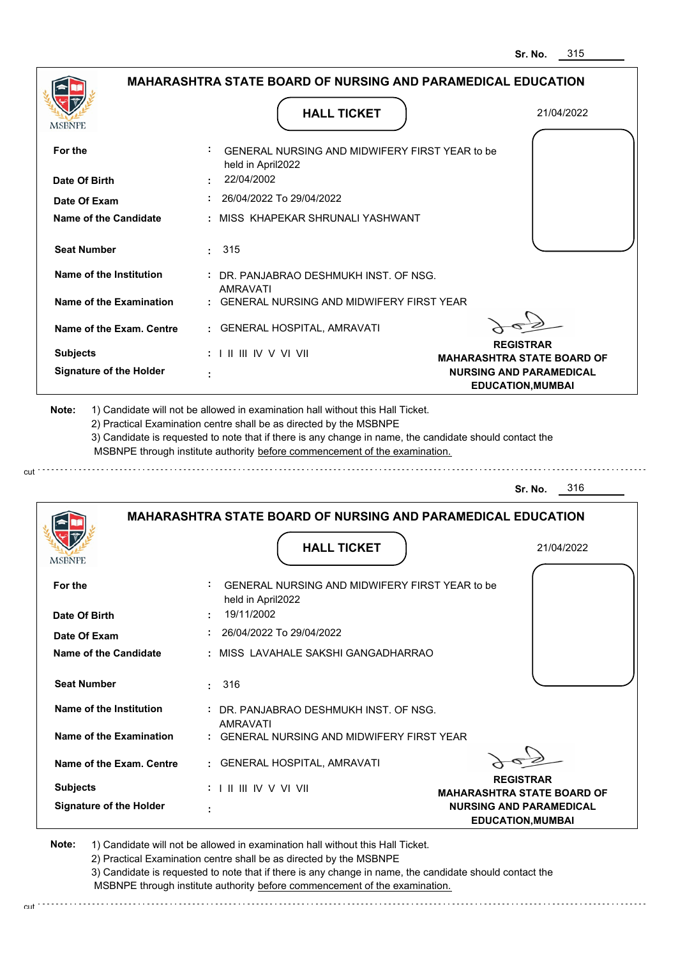| MSBNPE                                                                                                                           | <b>HALL TICKET</b>                                                                                                                                                                                                                                          | 21/04/2022                                                 |
|----------------------------------------------------------------------------------------------------------------------------------|-------------------------------------------------------------------------------------------------------------------------------------------------------------------------------------------------------------------------------------------------------------|------------------------------------------------------------|
| For the                                                                                                                          | GENERAL NURSING AND MIDWIFERY FIRST YEAR to be<br>held in April2022                                                                                                                                                                                         |                                                            |
| Date Of Birth                                                                                                                    | 22/04/2002                                                                                                                                                                                                                                                  |                                                            |
| Date Of Exam                                                                                                                     | 26/04/2022 To 29/04/2022                                                                                                                                                                                                                                    |                                                            |
| <b>Name of the Candidate</b>                                                                                                     | : MISS KHAPEKAR SHRUNALI YASHWANT                                                                                                                                                                                                                           |                                                            |
| <b>Seat Number</b>                                                                                                               | $\cdot$ 315                                                                                                                                                                                                                                                 |                                                            |
| Name of the Institution                                                                                                          | DR. PANJABRAO DESHMUKH INST. OF NSG.<br><b>AMRAVATI</b>                                                                                                                                                                                                     |                                                            |
| Name of the Examination                                                                                                          | : GENERAL NURSING AND MIDWIFERY FIRST YEAR                                                                                                                                                                                                                  |                                                            |
| Name of the Exam. Centre                                                                                                         | : GENERAL HOSPITAL, AMRAVATI                                                                                                                                                                                                                                |                                                            |
| <b>Subjects</b>                                                                                                                  | : I II III IV V VI VII                                                                                                                                                                                                                                      | <b>REGISTRAR</b><br><b>MAHARASHTRA STATE BOARD OF</b>      |
| <b>Signature of the Holder</b>                                                                                                   |                                                                                                                                                                                                                                                             | <b>NURSING AND PARAMEDICAL</b><br><b>EDUCATION, MUMBAI</b> |
|                                                                                                                                  | 2) Practical Examination centre shall be as directed by the MSBNPE<br>3) Candidate is requested to note that if there is any change in name, the candidate should contact the<br>MSBNPE through institute authority before commencement of the examination. | 316<br>Sr. No.                                             |
|                                                                                                                                  | <b>MAHARASHTRA STATE BOARD OF NURSING AND PARAMEDICAL EDUCATION</b>                                                                                                                                                                                         |                                                            |
|                                                                                                                                  | <b>HALL TICKET</b>                                                                                                                                                                                                                                          | 21/04/2022                                                 |
|                                                                                                                                  | GENERAL NURSING AND MIDWIFERY FIRST YEAR to be<br>held in April2022                                                                                                                                                                                         |                                                            |
|                                                                                                                                  | 19/11/2002                                                                                                                                                                                                                                                  |                                                            |
|                                                                                                                                  | 26/04/2022 To 29/04/2022                                                                                                                                                                                                                                    |                                                            |
|                                                                                                                                  | : MISS LAVAHALE SAKSHI GANGADHARRAO                                                                                                                                                                                                                         |                                                            |
|                                                                                                                                  | 316<br>t.                                                                                                                                                                                                                                                   |                                                            |
| <b>Seat Number</b><br>Name of the Institution                                                                                    | : DR. PANJABRAO DESHMUKH INST. OF NSG.                                                                                                                                                                                                                      |                                                            |
|                                                                                                                                  | AMRAVATI<br>: GENERAL NURSING AND MIDWIFERY FIRST YEAR                                                                                                                                                                                                      |                                                            |
| Name of the Exam. Centre                                                                                                         | : GENERAL HOSPITAL, AMRAVATI                                                                                                                                                                                                                                |                                                            |
| MSBNPE<br>For the<br>Date Of Birth<br>Date Of Exam<br><b>Name of the Candidate</b><br>Name of the Examination<br><b>Subjects</b> | : I II III IV V VI VII                                                                                                                                                                                                                                      | <b>REGISTRAR</b><br><b>MAHARASHTRA STATE BOARD OF</b>      |

2) Practical Examination centre shall be as directed by the MSBNPE

3) Candidate is requested to note that if there is any change in name, the candidate should contact the MSBNPE through institute authority before commencement of the examination. cut de la component de la component de la component de la component de la component de la component de la component de la component de la component de la component de la component de la component de la component de la comp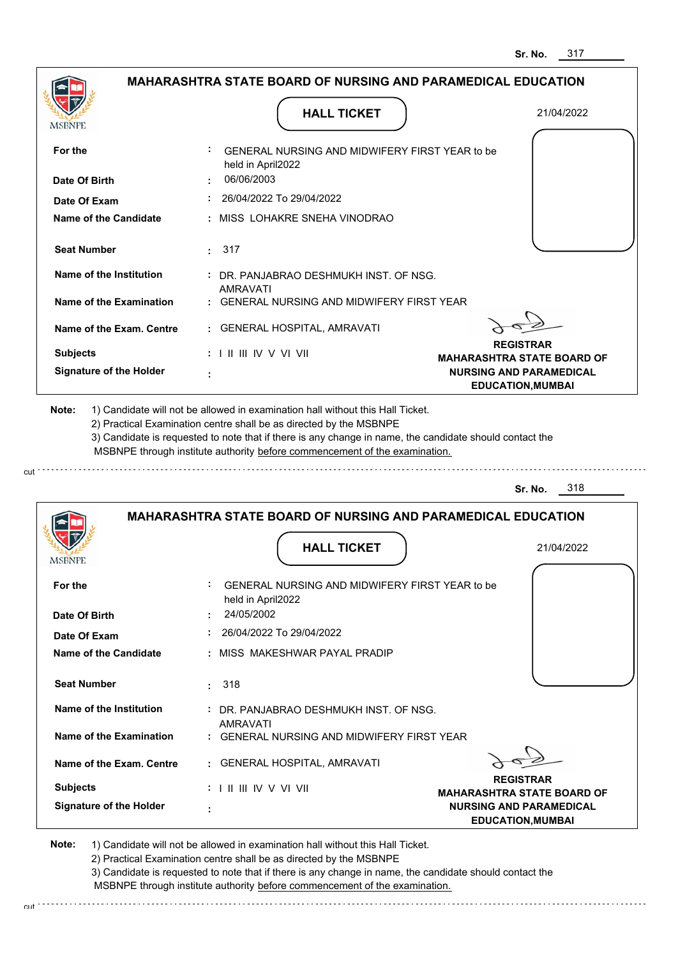|                                | <b>MAHARASHTRA STATE BOARD OF NURSING AND PARAMEDICAL EDUCATION</b>                                                                                                                                                                                                                                                                           |                                                       |
|--------------------------------|-----------------------------------------------------------------------------------------------------------------------------------------------------------------------------------------------------------------------------------------------------------------------------------------------------------------------------------------------|-------------------------------------------------------|
|                                | <b>HALL TICKET</b>                                                                                                                                                                                                                                                                                                                            | 21/04/2022                                            |
| MSBNPE                         |                                                                                                                                                                                                                                                                                                                                               |                                                       |
| For the                        | GENERAL NURSING AND MIDWIFERY FIRST YEAR to be<br>held in April2022                                                                                                                                                                                                                                                                           |                                                       |
| Date Of Birth                  | 06/06/2003                                                                                                                                                                                                                                                                                                                                    |                                                       |
| Date Of Exam                   | 26/04/2022 To 29/04/2022                                                                                                                                                                                                                                                                                                                      |                                                       |
| <b>Name of the Candidate</b>   | : MISS LOHAKRE SNEHA VINODRAO                                                                                                                                                                                                                                                                                                                 |                                                       |
| <b>Seat Number</b>             | : 317                                                                                                                                                                                                                                                                                                                                         |                                                       |
| Name of the Institution        | : DR. PANJABRAO DESHMUKH INST. OF NSG.<br>AMRAVATI                                                                                                                                                                                                                                                                                            |                                                       |
| Name of the Examination        | : GENERAL NURSING AND MIDWIFERY FIRST YEAR                                                                                                                                                                                                                                                                                                    |                                                       |
| Name of the Exam. Centre       | : GENERAL HOSPITAL, AMRAVATI                                                                                                                                                                                                                                                                                                                  |                                                       |
| <b>Subjects</b>                | $: 1 \mathbb{I}$ III IIV V VI VII                                                                                                                                                                                                                                                                                                             | <b>REGISTRAR</b><br><b>MAHARASHTRA STATE BOARD OF</b> |
| <b>Signature of the Holder</b> |                                                                                                                                                                                                                                                                                                                                               | <b>NURSING AND PARAMEDICAL</b>                        |
| Note:                          | 1) Candidate will not be allowed in examination hall without this Hall Ticket.<br>2) Practical Examination centre shall be as directed by the MSBNPE<br>3) Candidate is requested to note that if there is any change in name, the candidate should contact the<br>MSBNPE through institute authority before commencement of the examination. | <b>EDUCATION, MUMBAI</b>                              |
|                                |                                                                                                                                                                                                                                                                                                                                               | 318<br>Sr. No.                                        |
|                                | <b>MAHARASHTRA STATE BOARD OF NURSING AND PARAMEDICAL EDUCATION</b>                                                                                                                                                                                                                                                                           |                                                       |
|                                | <b>HALL TICKET</b>                                                                                                                                                                                                                                                                                                                            | 21/04/2022                                            |
| MSBNPE                         |                                                                                                                                                                                                                                                                                                                                               |                                                       |
| For the                        | GENERAL NURSING AND MIDWIFERY FIRST YEAR to be<br>held in April2022                                                                                                                                                                                                                                                                           |                                                       |
| Date Of Birth                  | 24/05/2002                                                                                                                                                                                                                                                                                                                                    |                                                       |
| Date Of Exam                   | 26/04/2022 To 29/04/2022                                                                                                                                                                                                                                                                                                                      |                                                       |
| Name of the Candidate          | : MISS MAKESHWAR PAYAL PRADIP                                                                                                                                                                                                                                                                                                                 |                                                       |
| <b>Seat Number</b>             | 318<br>÷.                                                                                                                                                                                                                                                                                                                                     |                                                       |
| Name of the Institution        | : DR. PANJABRAO DESHMUKH INST. OF NSG.                                                                                                                                                                                                                                                                                                        |                                                       |
| Name of the Examination        | <b>AMRAVATI</b><br>: GENERAL NURSING AND MIDWIFERY FIRST YEAR                                                                                                                                                                                                                                                                                 |                                                       |
| Name of the Exam. Centre       | : GENERAL HOSPITAL, AMRAVATI                                                                                                                                                                                                                                                                                                                  |                                                       |
| <b>Subjects</b>                | : I II III IV V VI VII                                                                                                                                                                                                                                                                                                                        | <b>REGISTRAR</b><br>MAHARASHTRA STATE BOARD OF        |

cut

2) Practical Examination centre shall be as directed by the MSBNPE

3) Candidate is requested to note that if there is any change in name, the candidate should contact the MSBNPE through institute authority before commencement of the examination. cut de contra a construction de construction de construction de construction de construction de construction de construction de construction de construction de construction de construction de construction de construction d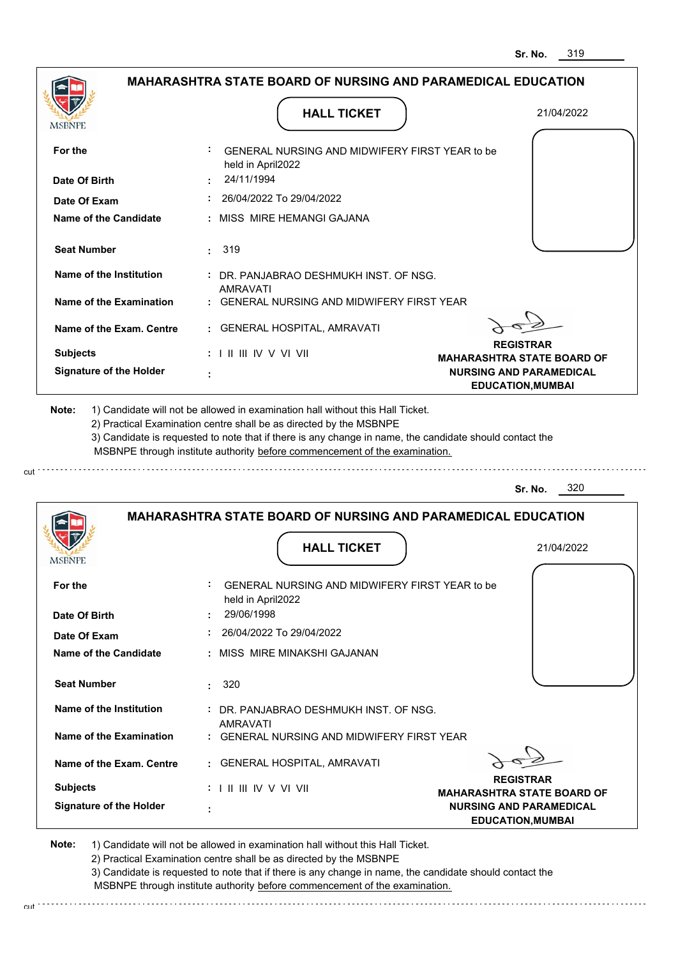| <b>MSBNPE</b>                      | <b>HALL TICKET</b>                                                                                                                                                                                                                                          | 21/04/2022                                                 |
|------------------------------------|-------------------------------------------------------------------------------------------------------------------------------------------------------------------------------------------------------------------------------------------------------------|------------------------------------------------------------|
| For the                            | GENERAL NURSING AND MIDWIFERY FIRST YEAR to be<br>held in April2022                                                                                                                                                                                         |                                                            |
| Date Of Birth                      | 24/11/1994                                                                                                                                                                                                                                                  |                                                            |
| Date Of Exam                       | 26/04/2022 To 29/04/2022                                                                                                                                                                                                                                    |                                                            |
| Name of the Candidate              | : MISS MIRE HEMANGI GAJANA                                                                                                                                                                                                                                  |                                                            |
| <b>Seat Number</b>                 | $\cdot$ 319                                                                                                                                                                                                                                                 |                                                            |
| Name of the Institution            | : DR. PANJABRAO DESHMUKH INST. OF NSG.                                                                                                                                                                                                                      |                                                            |
| Name of the Examination            | AMRAVATI<br>: GENERAL NURSING AND MIDWIFERY FIRST YEAR                                                                                                                                                                                                      |                                                            |
| Name of the Exam. Centre           | : GENERAL HOSPITAL, AMRAVATI                                                                                                                                                                                                                                |                                                            |
| <b>Subjects</b>                    | $: 1 \mathbb{H} \mathbb{H} \mathbb{W} \vee \mathbb{V} \mathbb{V} \mathbb{H}$                                                                                                                                                                                | <b>REGISTRAR</b><br><b>MAHARASHTRA STATE BOARD OF</b>      |
| <b>Signature of the Holder</b>     |                                                                                                                                                                                                                                                             | <b>NURSING AND PARAMEDICAL</b><br><b>EDUCATION, MUMBAI</b> |
|                                    | 2) Practical Examination centre shall be as directed by the MSBNPE<br>3) Candidate is requested to note that if there is any change in name, the candidate should contact the<br>MSBNPE through institute authority before commencement of the examination. | 320<br>Sr. No.                                             |
|                                    | <b>MAHARASHTRA STATE BOARD OF NURSING AND PARAMEDICAL EDUCATION</b>                                                                                                                                                                                         |                                                            |
|                                    | <b>HALL TICKET</b>                                                                                                                                                                                                                                          | 21/04/2022                                                 |
|                                    | GENERAL NURSING AND MIDWIFERY FIRST YEAR to be                                                                                                                                                                                                              |                                                            |
| MSBNPE<br>For the<br>Date Of Birth | held in April2022<br>29/06/1998                                                                                                                                                                                                                             |                                                            |
| Date Of Exam                       | 26/04/2022 To 29/04/2022                                                                                                                                                                                                                                    |                                                            |
| Name of the Candidate              | : MISS MIRE MINAKSHI GAJANAN                                                                                                                                                                                                                                |                                                            |
| <b>Seat Number</b>                 | 320<br>t.                                                                                                                                                                                                                                                   |                                                            |
| Name of the Institution            | : DR. PANJABRAO DESHMUKH INST. OF NSG.                                                                                                                                                                                                                      |                                                            |
| Name of the Examination            | AMRAVATI<br>: GENERAL NURSING AND MIDWIFERY FIRST YEAR                                                                                                                                                                                                      |                                                            |
| Name of the Exam. Centre           | : GENERAL HOSPITAL, AMRAVATI                                                                                                                                                                                                                                |                                                            |
| <b>Subjects</b>                    | $: 1 \mathbb{H} \mathbb{H} \mathbb{N} \vee \mathbb{V} \mathbb{N}$                                                                                                                                                                                           | <b>REGISTRAR</b><br><b>MAHARASHTRA STATE BOARD OF</b>      |

2) Practical Examination centre shall be as directed by the MSBNPE

3) Candidate is requested to note that if there is any change in name, the candidate should contact the MSBNPE through institute authority before commencement of the examination. cut de la component de la component de la component de la component de la component de la component de la component de la component de la component de la component de la component de la component de la component de la comp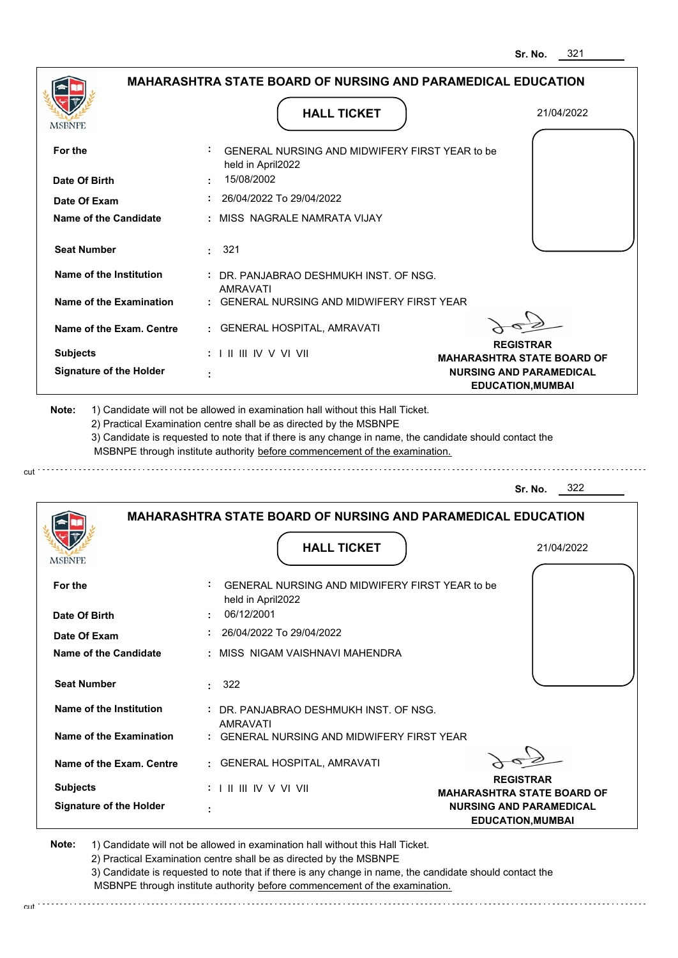. . . . . . . . . . . . . . . . . . .

|                                |                                                                                                                                                                                       | 321<br>Sr. No.                                             |
|--------------------------------|---------------------------------------------------------------------------------------------------------------------------------------------------------------------------------------|------------------------------------------------------------|
|                                | <b>MAHARASHTRA STATE BOARD OF NURSING AND PARAMEDICAL EDUCATION</b>                                                                                                                   |                                                            |
| MSBNPE                         | <b>HALL TICKET</b>                                                                                                                                                                    | 21/04/2022                                                 |
| For the                        | GENERAL NURSING AND MIDWIFERY FIRST YEAR to be<br>held in April2022                                                                                                                   |                                                            |
| Date Of Birth                  | 15/08/2002                                                                                                                                                                            |                                                            |
| Date Of Exam                   | 26/04/2022 To 29/04/2022                                                                                                                                                              |                                                            |
| <b>Name of the Candidate</b>   | MISS NAGRALE NAMRATA VIJAY                                                                                                                                                            |                                                            |
| <b>Seat Number</b>             | : 321                                                                                                                                                                                 |                                                            |
| Name of the Institution        | : DR. PANJABRAO DESHMUKH INST. OF NSG.                                                                                                                                                |                                                            |
| <b>Name of the Examination</b> | <b>AMRAVATI</b><br>GENERAL NURSING AND MIDWIFERY FIRST YEAR                                                                                                                           |                                                            |
| Name of the Exam. Centre       | GENERAL HOSPITAL, AMRAVATI                                                                                                                                                            |                                                            |
| <b>Subjects</b>                | : I II III IV V VI VII                                                                                                                                                                | <b>REGISTRAR</b><br><b>MAHARASHTRA STATE BOARD OF</b>      |
| <b>Signature of the Holder</b> |                                                                                                                                                                                       | <b>NURSING AND PARAMEDICAL</b><br><b>EDUCATION, MUMBAI</b> |
|                                | 3) Candidate is requested to note that if there is any change in name, the candidate should contact the<br>MSBNPE through institute authority before commencement of the examination. | 322<br>Sr. No.                                             |
|                                | <b>MAHARASHTRA STATE BOARD OF NURSING AND PARAMEDICAL EDUCATION</b>                                                                                                                   |                                                            |
| IVIODI VI L                    | <b>HALL TICKET</b>                                                                                                                                                                    | 21/04/2022                                                 |
| For the<br>Date Of Birth       | GENERAL NURSING AND MIDWIFERY FIRST YEAR to be<br>held in April2022<br>06/12/2001                                                                                                     |                                                            |
| Date Of Exam                   | 26/04/2022 To 29/04/2022                                                                                                                                                              |                                                            |
| Name of the Candidate          | : MISS NIGAM VAISHNAVI MAHENDRA                                                                                                                                                       |                                                            |
| <b>Seat Number</b>             | 322<br>÷.                                                                                                                                                                             |                                                            |
| Name of the Institution        | : DR. PANJABRAO DESHMUKH INST. OF NSG.<br><b>AMRAVATI</b>                                                                                                                             |                                                            |
| Name of the Examination        | : GENERAL NURSING AND MIDWIFERY FIRST YEAR                                                                                                                                            |                                                            |
|                                |                                                                                                                                                                                       |                                                            |
| Name of the Exam. Centre       | : GENERAL HOSPITAL, AMRAVATI                                                                                                                                                          |                                                            |
| <b>Subjects</b>                |                                                                                                                                                                                       | <b>REGISTRAR</b><br><b>MAHARASHTRA STATE BOARD OF</b>      |

**Note:**  1) Candidate will not be allowed in examination hall without this Hall Ticket. 2) Practical Examination centre shall be as directed by the MSBNPE

3) Candidate is requested to note that if there is any change in name, the candidate should contact the MSBNPE through institute authority before commencement of the examination.

cut

cut.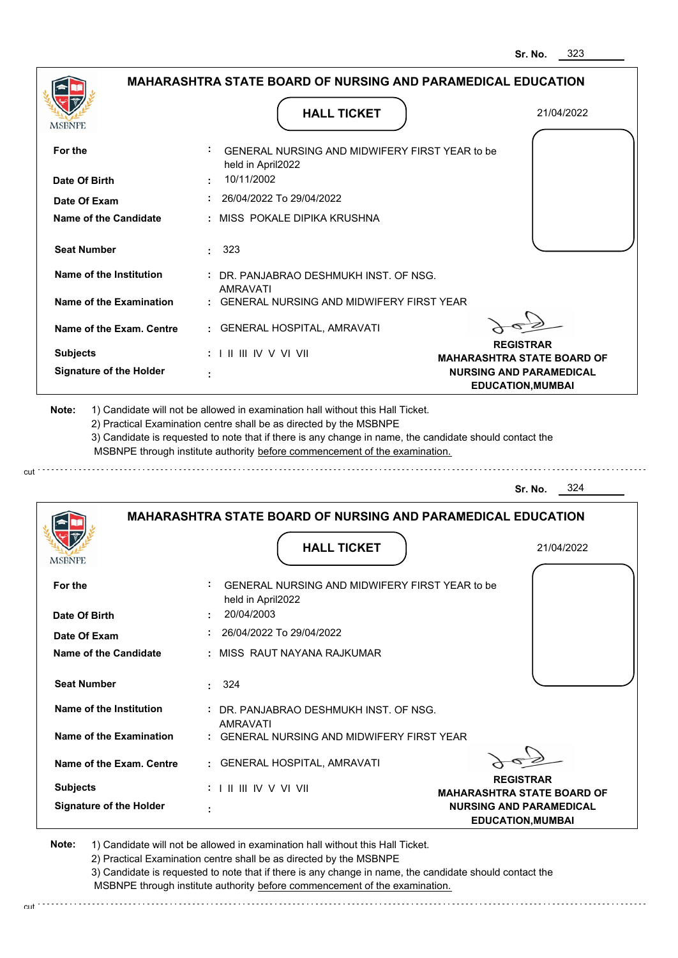|                                              |                                                                                                                                                                                       | 323<br>Sr. No.                                             |
|----------------------------------------------|---------------------------------------------------------------------------------------------------------------------------------------------------------------------------------------|------------------------------------------------------------|
|                                              | <b>MAHARASHTRA STATE BOARD OF NURSING AND PARAMEDICAL EDUCATION</b>                                                                                                                   |                                                            |
| <b>MSBNPE</b>                                | <b>HALL TICKET</b>                                                                                                                                                                    | 21/04/2022                                                 |
| For the                                      | GENERAL NURSING AND MIDWIFERY FIRST YEAR to be<br>held in April2022                                                                                                                   |                                                            |
| Date Of Birth                                | 10/11/2002                                                                                                                                                                            |                                                            |
| Date Of Exam                                 | 26/04/2022 To 29/04/2022                                                                                                                                                              |                                                            |
| <b>Name of the Candidate</b>                 | MISS POKALE DIPIKA KRUSHNA                                                                                                                                                            |                                                            |
| <b>Seat Number</b>                           | : 323                                                                                                                                                                                 |                                                            |
| Name of the Institution                      | : DR. PANJABRAO DESHMUKH INST. OF NSG.<br><b>AMRAVATI</b>                                                                                                                             |                                                            |
| <b>Name of the Examination</b>               | <b>GENERAL NURSING AND MIDWIFERY FIRST YEAR</b>                                                                                                                                       |                                                            |
| Name of the Exam. Centre                     | : GENERAL HOSPITAL, AMRAVATI                                                                                                                                                          |                                                            |
| <b>Subjects</b>                              | $: 1 \mathbb{H} \mathbb{H} \mathbb{W} \vee \mathbb{V} \mathbb{W}$                                                                                                                     | <b>REGISTRAR</b><br><b>MAHARASHTRA STATE BOARD OF</b>      |
| <b>Signature of the Holder</b>               |                                                                                                                                                                                       | <b>NURSING AND PARAMEDICAL</b><br><b>EDUCATION, MUMBAI</b> |
|                                              | 3) Candidate is requested to note that if there is any change in name, the candidate should contact the<br>MSBNPE through institute authority before commencement of the examination. | 324<br>Sr. No.                                             |
|                                              | <b>MAHARASHTRA STATE BOARD OF NURSING AND PARAMEDICAL EDUCATION</b>                                                                                                                   |                                                            |
| <b>IMODIAL D</b>                             | <b>HALL TICKET</b>                                                                                                                                                                    | 21/04/2022                                                 |
| For the                                      | GENERAL NURSING AND MIDWIFERY FIRST YEAR to be<br>held in April2022                                                                                                                   |                                                            |
| Date Of Birth                                | 20/04/2003<br>26/04/2022 To 29/04/2022                                                                                                                                                |                                                            |
| Date Of Exam<br><b>Name of the Candidate</b> | MISS RAUT NAYANA RAJKUMAR                                                                                                                                                             |                                                            |
| <b>Seat Number</b>                           | 324                                                                                                                                                                                   |                                                            |
|                                              | ÷.                                                                                                                                                                                    |                                                            |
| <b>Name of the Institution</b>               | : DR. PANJABRAO DESHMUKH INST. OF NSG.<br>AMRAVATI                                                                                                                                    |                                                            |
| <b>Name of the Examination</b>               | : GENERAL NURSING AND MIDWIFERY FIRST YEAR                                                                                                                                            |                                                            |
| Name of the Exam. Centre                     | : GENERAL HOSPITAL, AMRAVATI                                                                                                                                                          |                                                            |
| <b>Subjects</b>                              |                                                                                                                                                                                       | <b>REGISTRAR</b><br><b>MAHARASHTRA STATE BOARD OF</b>      |
| <b>Signature of the Holder</b>               |                                                                                                                                                                                       | <b>NURSING AND PARAMEDICAL</b><br><b>EDUCATION, MUMBAI</b> |

cut

2) Practical Examination centre shall be as directed by the MSBNPE

3) Candidate is requested to note that if there is any change in name, the candidate should contact the MSBNPE through institute authority before commencement of the examination. cut de la component de la component de la component de la component de la component de la component de la component de la component de la component de la component de la component de la component de la component de la comp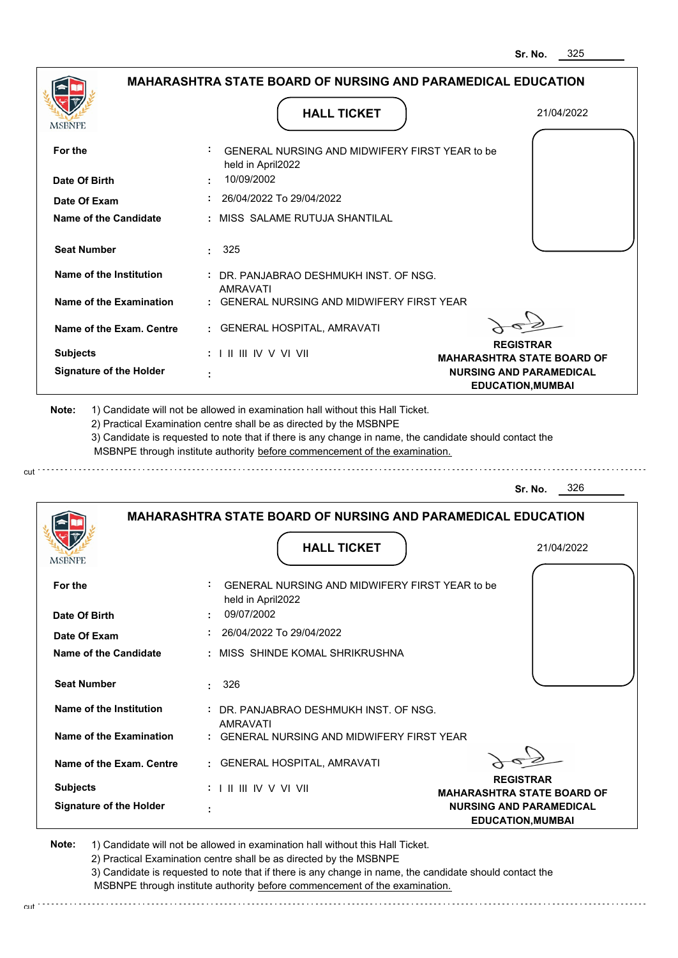**EDUCATION,MUMBAI**

|                                |                                                                            | 325<br>Sr. No.                                             |
|--------------------------------|----------------------------------------------------------------------------|------------------------------------------------------------|
|                                | <b>MAHARASHTRA STATE BOARD OF NURSING AND PARAMEDICAL EDUCATION</b>        |                                                            |
| MSBNPE                         | <b>HALL TICKET</b>                                                         | 21/04/2022                                                 |
| For the                        | GENERAL NURSING AND MIDWIFERY FIRST YEAR to be<br>held in April2022        |                                                            |
| Date Of Birth                  | 10/09/2002                                                                 |                                                            |
| Date Of Exam                   | 26/04/2022 To 29/04/2022                                                   |                                                            |
| <b>Name of the Candidate</b>   | MISS SALAME RUTUJA SHANTILAL                                               |                                                            |
| <b>Seat Number</b>             | 325                                                                        |                                                            |
| Name of the Institution        | : DR. PANJABRAO DESHMUKH INST. OF NSG.                                     |                                                            |
| <b>Name of the Examination</b> | <b>AMRAVATI</b><br><b>GENERAL NURSING AND MIDWIFERY FIRST YEAR</b>         |                                                            |
| Name of the Exam. Centre       | <b>GENERAL HOSPITAL, AMRAVATI</b>                                          |                                                            |
| <b>Subjects</b>                | : I II III IV V VI VII                                                     | <b>REGISTRAR</b><br><b>MAHARASHTRA STATE BOARD OF</b>      |
| <b>Signature of the Holder</b> |                                                                            | <b>NURSING AND PARAMEDICAL</b><br><b>EDUCATION, MUMBAI</b> |
|                                | MSBNPE through institute authority before commencement of the examination. | 326<br>Sr. No.                                             |
|                                | <b>MAHARASHTRA STATE BOARD OF NURSING AND PARAMEDICAL EDUCATION</b>        |                                                            |
| IVIODI VI L                    | <b>HALL TICKET</b>                                                         | 21/04/2022                                                 |
| For the                        | GENERAL NURSING AND MIDWIFERY FIRST YEAR to be<br>held in April2022        |                                                            |
| Date Of Birth                  | 09/07/2002                                                                 |                                                            |
| Date Of Exam                   | 26/04/2022 To 29/04/2022                                                   |                                                            |
| <b>Name of the Candidate</b>   | MISS SHINDE KOMAL SHRIKRUSHNA                                              |                                                            |
| <b>Seat Number</b>             | 326<br>÷                                                                   |                                                            |
| Name of the Institution        | : DR. PANJABRAO DESHMUKH INST. OF NSG.<br><b>AMRAVATI</b>                  |                                                            |
| Name of the Examination        | GENERAL NURSING AND MIDWIFERY FIRST YEAR                                   |                                                            |
| Name of the Exam. Centre       | <b>GENERAL HOSPITAL, AMRAVATI</b>                                          |                                                            |
| <b>Subjects</b>                |                                                                            | <b>REGISTRAR</b><br><b>MAHARASHTRA STATE BOARD OF</b>      |
| <b>Signature of the Holder</b> |                                                                            | <b>NURSING AND PARAMEDICAL</b>                             |

**Note:**  1) Candidate will not be allowed in examination hall without this Hall Ticket. 2) Practical Examination centre shall be as directed by the MSBNPE

cut

3) Candidate is requested to note that if there is any change in name, the candidate should contact the MSBNPE through institute authority before commencement of the examination. cut de la component de la component de la component de la component de la component de la component de la component de la component de la component de la component de la component de la component de la component de la comp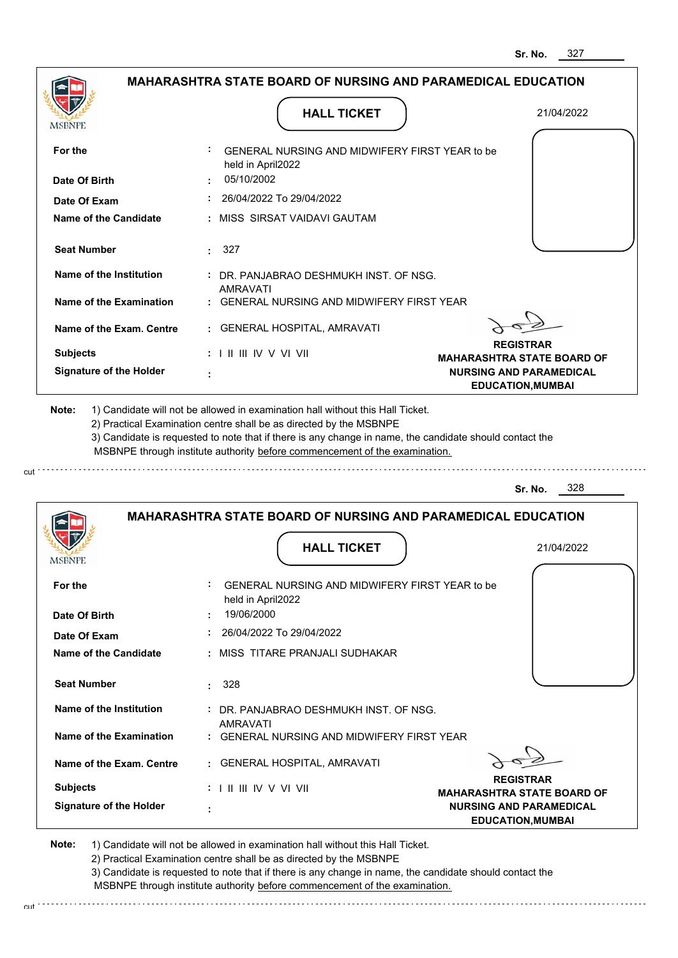**EDUCATION,MUMBAI**

|                                |                                                                                                                                                                                       | 327<br>Sr. No.                                                      |
|--------------------------------|---------------------------------------------------------------------------------------------------------------------------------------------------------------------------------------|---------------------------------------------------------------------|
|                                | <b>MAHARASHTRA STATE BOARD OF NURSING AND PARAMEDICAL EDUCATION</b>                                                                                                                   |                                                                     |
| MSBNPE                         | <b>HALL TICKET</b>                                                                                                                                                                    | 21/04/2022                                                          |
| For the                        | GENERAL NURSING AND MIDWIFERY FIRST YEAR to be                                                                                                                                        |                                                                     |
|                                | held in April2022                                                                                                                                                                     |                                                                     |
| Date Of Birth                  | 05/10/2002                                                                                                                                                                            |                                                                     |
| Date Of Exam                   | 26/04/2022 To 29/04/2022                                                                                                                                                              |                                                                     |
| Name of the Candidate          | MISS SIRSAT VAIDAVI GAUTAM                                                                                                                                                            |                                                                     |
| <b>Seat Number</b>             | $\cdot$ 327                                                                                                                                                                           |                                                                     |
| <b>Name of the Institution</b> | : DR. PANJABRAO DESHMUKH INST. OF NSG.                                                                                                                                                |                                                                     |
| <b>Name of the Examination</b> | <b>AMRAVATI</b><br>GENERAL NURSING AND MIDWIFERY FIRST YEAR                                                                                                                           |                                                                     |
| Name of the Exam. Centre       | GENERAL HOSPITAL, AMRAVATI                                                                                                                                                            |                                                                     |
| <b>Subjects</b>                | $: 1 \mathbb{I}$ III IIV V VI VII                                                                                                                                                     | <b>REGISTRAR</b>                                                    |
| <b>Signature of the Holder</b> |                                                                                                                                                                                       | <b>MAHARASHTRA STATE BOARD OF</b><br><b>NURSING AND PARAMEDICAL</b> |
|                                |                                                                                                                                                                                       | <b>EDUCATION, MUMBAI</b>                                            |
| Note:                          | 1) Candidate will not be allowed in examination hall without this Hall Ticket.<br>2) Practical Examination centre shall be as directed by the MSBNPE                                  |                                                                     |
|                                | 3) Candidate is requested to note that if there is any change in name, the candidate should contact the<br>MSBNPE through institute authority before commencement of the examination. |                                                                     |
|                                |                                                                                                                                                                                       | 328<br>Sr. No.                                                      |
|                                | <b>MAHARASHTRA STATE BOARD OF NURSING AND PARAMEDICAL EDUCATION</b>                                                                                                                   |                                                                     |
| <b>IMODIAL L</b>               | <b>HALL TICKET</b>                                                                                                                                                                    | 21/04/2022                                                          |
| For the                        | GENERAL NURSING AND MIDWIFERY FIRST YEAR to be                                                                                                                                        |                                                                     |
| Date Of Birth                  | held in April2022<br>19/06/2000                                                                                                                                                       |                                                                     |
| Date Of Exam                   | 26/04/2022 To 29/04/2022                                                                                                                                                              |                                                                     |
| <b>Name of the Candidate</b>   | : MISS TITARE PRANJALI SUDHAKAR                                                                                                                                                       |                                                                     |
| <b>Seat Number</b>             | 328<br>÷.                                                                                                                                                                             |                                                                     |
| <b>Name of the Institution</b> | : DR. PANJABRAO DESHMUKH INST. OF NSG.                                                                                                                                                |                                                                     |
| <b>Name of the Examination</b> | <b>AMRAVATI</b><br>: GENERAL NURSING AND MIDWIFERY FIRST YEAR                                                                                                                         |                                                                     |
| Name of the Exam. Centre       | : GENERAL HOSPITAL, AMRAVATI                                                                                                                                                          |                                                                     |
| <b>Subjects</b>                | : I II III IV V VI VII                                                                                                                                                                | <b>REGISTRAR</b><br><b>MAHARASHTRA STATE BOARD OF</b>               |

**Note:**  1) Candidate will not be allowed in examination hall without this Hall Ticket. 2) Practical Examination centre shall be as directed by the MSBNPE

cut

cut

3) Candidate is requested to note that if there is any change in name, the candidate should contact the MSBNPE through institute authority before commencement of the examination.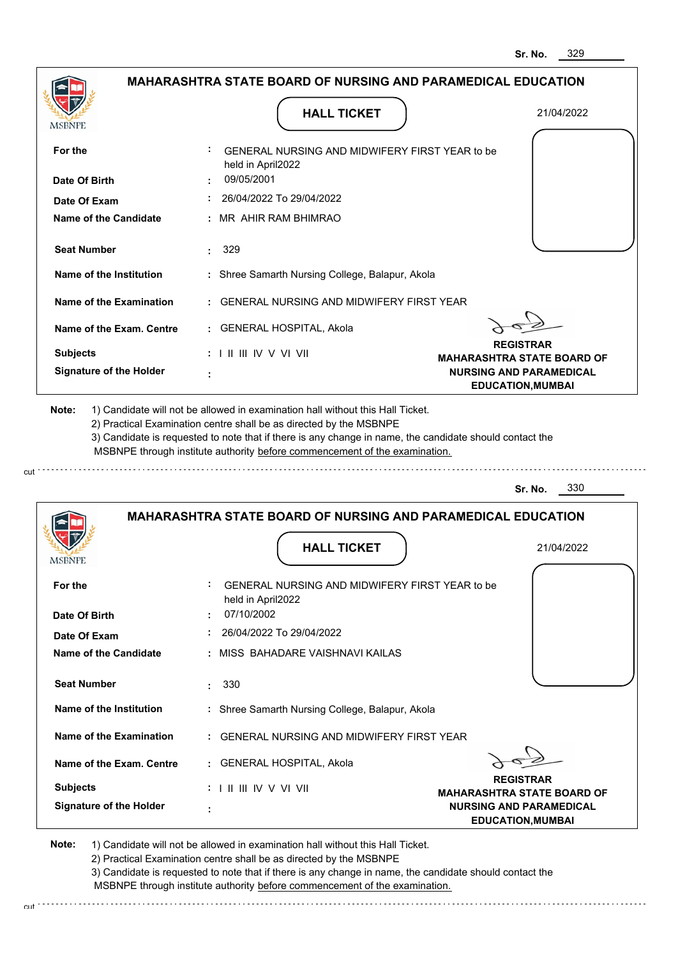|                                                   | <b>MAHARASHTRA STATE BOARD OF NURSING AND PARAMEDICAL EDUCATION</b>                                                                                                                   |                                                            |
|---------------------------------------------------|---------------------------------------------------------------------------------------------------------------------------------------------------------------------------------------|------------------------------------------------------------|
| <b>MSBNPE</b>                                     | <b>HALL TICKET</b>                                                                                                                                                                    | 21/04/2022                                                 |
| For the                                           | GENERAL NURSING AND MIDWIFERY FIRST YEAR to be<br>held in April2022                                                                                                                   |                                                            |
| Date Of Birth                                     | 09/05/2001                                                                                                                                                                            |                                                            |
| Date Of Exam                                      | 26/04/2022 To 29/04/2022                                                                                                                                                              |                                                            |
| Name of the Candidate                             | : MR AHIR RAM BHIMRAO                                                                                                                                                                 |                                                            |
| <b>Seat Number</b>                                | 329                                                                                                                                                                                   |                                                            |
| Name of the Institution                           | : Shree Samarth Nursing College, Balapur, Akola                                                                                                                                       |                                                            |
| Name of the Examination                           | : GENERAL NURSING AND MIDWIFERY FIRST YEAR                                                                                                                                            |                                                            |
| Name of the Exam. Centre                          | : GENERAL HOSPITAL, Akola                                                                                                                                                             |                                                            |
| <b>Subjects</b>                                   | $: 1 \mathbb{H} \mathbb{H} \mathbb{W} \vee \mathbb{V} \mathbb{V} \mathbb{H}$                                                                                                          | <b>REGISTRAR</b><br><b>MAHARASHTRA STATE BOARD OF</b>      |
| <b>Signature of the Holder</b>                    |                                                                                                                                                                                       | <b>NURSING AND PARAMEDICAL</b><br><b>EDUCATION, MUMBAI</b> |
|                                                   | 3) Candidate is requested to note that if there is any change in name, the candidate should contact the<br>MSBNPE through institute authority before commencement of the examination. |                                                            |
|                                                   |                                                                                                                                                                                       | 330<br>Sr. No.                                             |
|                                                   | <b>MAHARASHTRA STATE BOARD OF NURSING AND PARAMEDICAL EDUCATION</b>                                                                                                                   |                                                            |
|                                                   | <b>HALL TICKET</b>                                                                                                                                                                    | 21/04/2022                                                 |
| For the<br>Date Of Birth                          | GENERAL NURSING AND MIDWIFERY FIRST YEAR to be<br>held in April2022<br>07/10/2002                                                                                                     |                                                            |
| Date Of Exam                                      | 26/04/2022 To 29/04/2022                                                                                                                                                              |                                                            |
|                                                   | : MISS BAHADARE VAISHNAVI KAILAS                                                                                                                                                      |                                                            |
| <b>Seat Number</b>                                | 330<br>к.                                                                                                                                                                             |                                                            |
| Name of the Institution                           | : Shree Samarth Nursing College, Balapur, Akola                                                                                                                                       |                                                            |
| Name of the Examination                           | : GENERAL NURSING AND MIDWIFERY FIRST YEAR                                                                                                                                            |                                                            |
| Name of the Candidate<br>Name of the Exam. Centre | : GENERAL HOSPITAL, Akola                                                                                                                                                             | <b>REGISTRAR</b>                                           |

2) Practical Examination centre shall be as directed by the MSBNPE

3) Candidate is requested to note that if there is any change in name, the candidate should contact the MSBNPE through institute authority before commencement of the examination.

cut de la component de la component de la component de la component de la component de la component de la component de la component de la component de la component de la component de la component de la component de la comp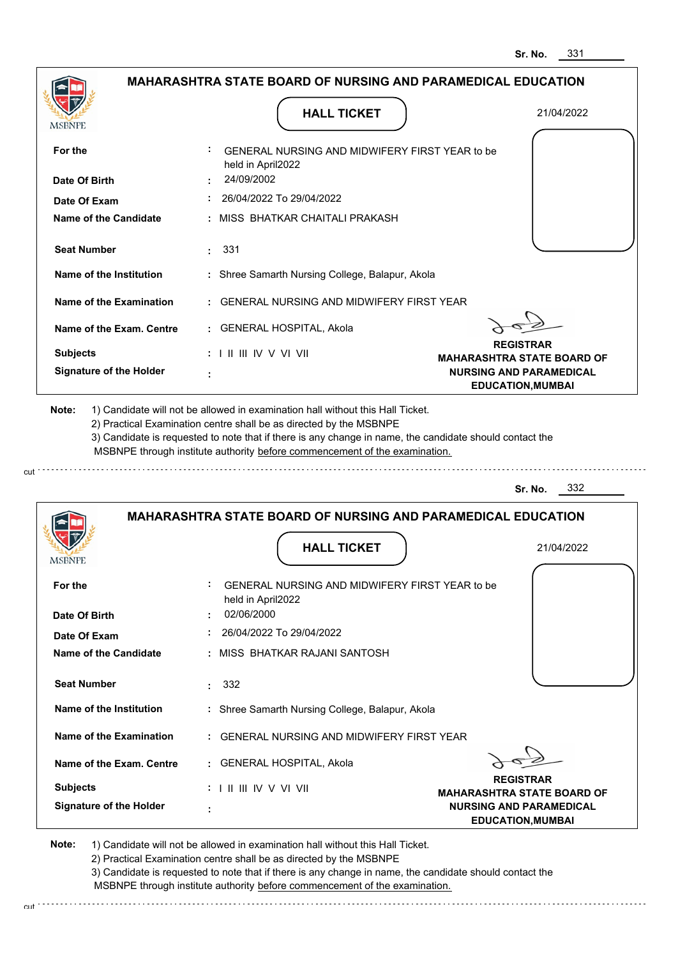|                                |                                                                                                                                                                                       | 331<br>Sr. No.                                             |
|--------------------------------|---------------------------------------------------------------------------------------------------------------------------------------------------------------------------------------|------------------------------------------------------------|
|                                | <b>MAHARASHTRA STATE BOARD OF NURSING AND PARAMEDICAL EDUCATION</b>                                                                                                                   |                                                            |
| <b>MSBNPE</b>                  | <b>HALL TICKET</b>                                                                                                                                                                    | 21/04/2022                                                 |
| For the                        | GENERAL NURSING AND MIDWIFERY FIRST YEAR to be<br>held in April2022                                                                                                                   |                                                            |
| Date Of Birth                  | 24/09/2002                                                                                                                                                                            |                                                            |
| Date Of Exam                   | 26/04/2022 To 29/04/2022                                                                                                                                                              |                                                            |
| <b>Name of the Candidate</b>   | MISS BHATKAR CHAITALI PRAKASH                                                                                                                                                         |                                                            |
| <b>Seat Number</b>             | : 331                                                                                                                                                                                 |                                                            |
| <b>Name of the Institution</b> | : Shree Samarth Nursing College, Balapur, Akola                                                                                                                                       |                                                            |
| <b>Name of the Examination</b> | <b>GENERAL NURSING AND MIDWIFERY FIRST YEAR</b>                                                                                                                                       |                                                            |
| Name of the Exam. Centre       | : GENERAL HOSPITAL, Akola                                                                                                                                                             |                                                            |
| <b>Subjects</b>                | : I II III IV V VI VII                                                                                                                                                                | <b>REGISTRAR</b><br><b>MAHARASHTRA STATE BOARD OF</b>      |
| <b>Signature of the Holder</b> |                                                                                                                                                                                       | <b>NURSING AND PARAMEDICAL</b><br><b>EDUCATION, MUMBAI</b> |
|                                | 3) Candidate is requested to note that if there is any change in name, the candidate should contact the<br>MSBNPE through institute authority before commencement of the examination. | 332<br>Sr. No.                                             |
|                                | <b>MAHARASHTRA STATE BOARD OF NURSING AND PARAMEDICAL EDUCATION</b>                                                                                                                   |                                                            |
| <b>IMODIAL L</b>               | <b>HALL TICKET</b>                                                                                                                                                                    | 21/04/2022                                                 |
| For the                        | GENERAL NURSING AND MIDWIFERY FIRST YEAR to be<br>held in April2022                                                                                                                   |                                                            |
| Date Of Birth                  | 02/06/2000                                                                                                                                                                            |                                                            |
| Date Of Exam                   | 26/04/2022 To 29/04/2022                                                                                                                                                              |                                                            |
| <b>Name of the Candidate</b>   | MISS BHATKAR RAJANI SANTOSH                                                                                                                                                           |                                                            |
| <b>Seat Number</b>             | 332<br>÷.                                                                                                                                                                             |                                                            |
| <b>Name of the Institution</b> | : Shree Samarth Nursing College, Balapur, Akola                                                                                                                                       |                                                            |
| <b>Name of the Examination</b> | <b>GENERAL NURSING AND MIDWIFERY FIRST YEAR</b>                                                                                                                                       |                                                            |
| Name of the Exam. Centre       | : GENERAL HOSPITAL, Akola                                                                                                                                                             |                                                            |
| <b>Subjects</b>                |                                                                                                                                                                                       | <b>REGISTRAR</b><br><b>MAHARASHTRA STATE BOARD OF</b>      |
| <b>Signature of the Holder</b> |                                                                                                                                                                                       | <b>NURSING AND PARAMEDICAL</b><br><b>EDUCATION, MUMBAI</b> |

cut

2) Practical Examination centre shall be as directed by the MSBNPE

3) Candidate is requested to note that if there is any change in name, the candidate should contact the MSBNPE through institute authority before commencement of the examination. cut de contra a construction de construction de construction de construction de construction de construction de construction de construction de construction de construction de construction de construction de construction d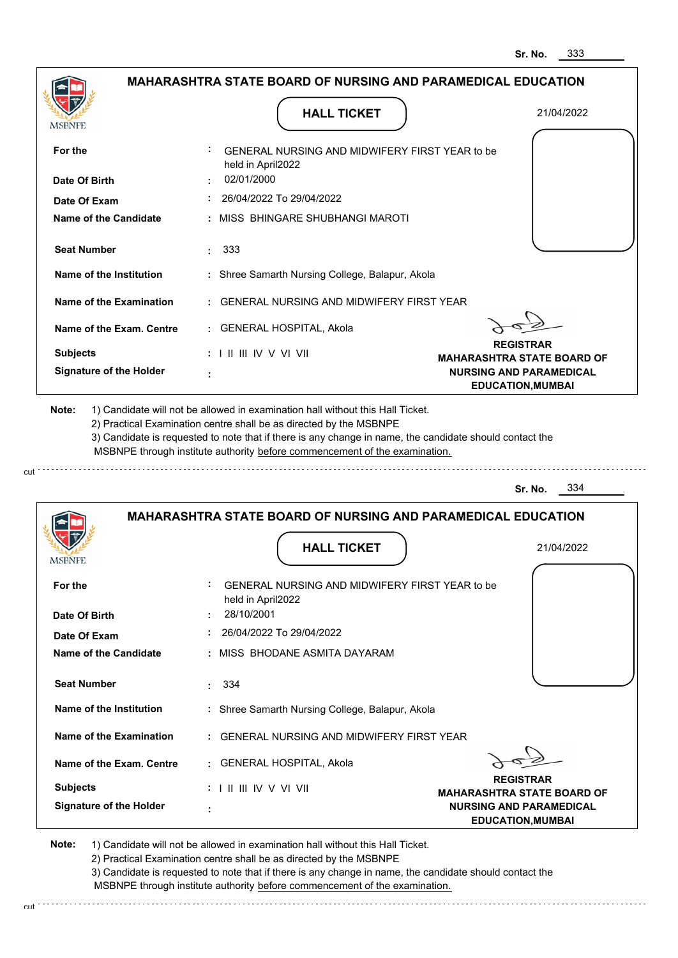|                                       |                                                                                                                                                                                       | 333<br>Sr. No.                                             |
|---------------------------------------|---------------------------------------------------------------------------------------------------------------------------------------------------------------------------------------|------------------------------------------------------------|
|                                       | <b>MAHARASHTRA STATE BOARD OF NURSING AND PARAMEDICAL EDUCATION</b>                                                                                                                   |                                                            |
| <b>MSBNPE</b>                         | <b>HALL TICKET</b>                                                                                                                                                                    | 21/04/2022                                                 |
| For the                               | GENERAL NURSING AND MIDWIFERY FIRST YEAR to be<br>held in April2022<br>02/01/2000                                                                                                     |                                                            |
| Date Of Birth                         | 26/04/2022 To 29/04/2022                                                                                                                                                              |                                                            |
| Date Of Exam<br>Name of the Candidate | MISS BHINGARE SHUBHANGI MAROTI                                                                                                                                                        |                                                            |
|                                       |                                                                                                                                                                                       |                                                            |
| <b>Seat Number</b>                    | 333                                                                                                                                                                                   |                                                            |
| Name of the Institution               | : Shree Samarth Nursing College, Balapur, Akola                                                                                                                                       |                                                            |
| <b>Name of the Examination</b>        | <b>GENERAL NURSING AND MIDWIFERY FIRST YEAR</b>                                                                                                                                       |                                                            |
| Name of the Exam. Centre              | : GENERAL HOSPITAL, Akola                                                                                                                                                             |                                                            |
| <b>Subjects</b>                       | $: 1 \mathbb{I}$ III IIV V VI VII                                                                                                                                                     | <b>REGISTRAR</b><br><b>MAHARASHTRA STATE BOARD OF</b>      |
| <b>Signature of the Holder</b>        |                                                                                                                                                                                       | <b>NURSING AND PARAMEDICAL</b><br><b>EDUCATION, MUMBAI</b> |
|                                       | 3) Candidate is requested to note that if there is any change in name, the candidate should contact the<br>MSBNPE through institute authority before commencement of the examination. | 334<br>Sr. No.                                             |
|                                       | <b>MAHARASHTRA STATE BOARD OF NURSING AND PARAMEDICAL EDUCATION</b><br><b>HALL TICKET</b>                                                                                             | 21/04/2022                                                 |
|                                       |                                                                                                                                                                                       |                                                            |
| For the                               | ÷<br>GENERAL NURSING AND MIDWIFERY FIRST YEAR to be<br>held in April2022                                                                                                              |                                                            |
| Date Of Birth                         | 28/10/2001                                                                                                                                                                            |                                                            |
| Date Of Exam                          | 26/04/2022 To 29/04/2022                                                                                                                                                              |                                                            |
| Name of the Candidate                 | MISS BHODANE ASMITA DAYARAM                                                                                                                                                           |                                                            |
| <b>Seat Number</b>                    | 334<br>÷                                                                                                                                                                              |                                                            |
| Name of the Institution               | : Shree Samarth Nursing College, Balapur, Akola                                                                                                                                       |                                                            |
| Name of the Examination               | : GENERAL NURSING AND MIDWIFERY FIRST YEAR                                                                                                                                            |                                                            |
| Name of the Exam. Centre              | : GENERAL HOSPITAL, Akola                                                                                                                                                             |                                                            |
| <b>Subjects</b>                       | $: 1 \mathbb{I}$ III IIV V VI VII                                                                                                                                                     | <b>REGISTRAR</b><br><b>MAHARASHTRA STATE BOARD OF</b>      |
| <b>Signature of the Holder</b>        | t                                                                                                                                                                                     | <b>NURSING AND PARAMEDICAL</b><br><b>EDUCATION, MUMBAI</b> |

cut

2) Practical Examination centre shall be as directed by the MSBNPE

3) Candidate is requested to note that if there is any change in name, the candidate should contact the MSBNPE through institute authority before commencement of the examination. cut de contra a construction de construction de construction de construction de construction de construction de construction de construction de construction de construction de construction de construction de construction d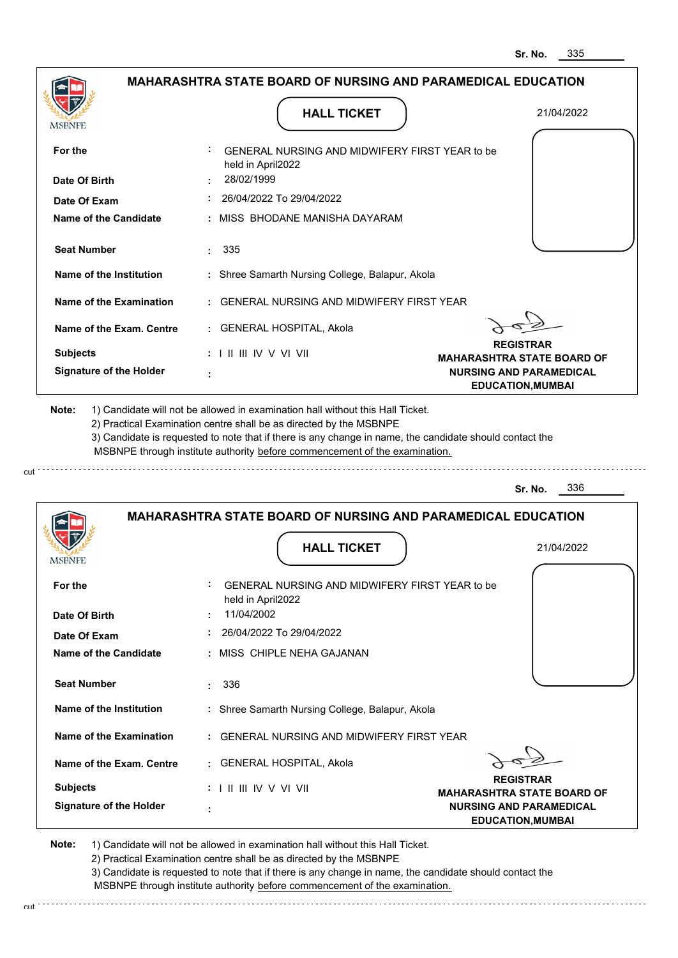|                                                                                                               |                                                                                                                                                                                                                                                             | <b>MAHARASHTRA STATE BOARD OF NURSING AND PARAMEDICAL EDUCATION</b> |
|---------------------------------------------------------------------------------------------------------------|-------------------------------------------------------------------------------------------------------------------------------------------------------------------------------------------------------------------------------------------------------------|---------------------------------------------------------------------|
|                                                                                                               |                                                                                                                                                                                                                                                             |                                                                     |
| MSBNPE                                                                                                        | <b>HALL TICKET</b>                                                                                                                                                                                                                                          | 21/04/2022                                                          |
|                                                                                                               |                                                                                                                                                                                                                                                             |                                                                     |
| For the                                                                                                       | GENERAL NURSING AND MIDWIFERY FIRST YEAR to be                                                                                                                                                                                                              |                                                                     |
| Date Of Birth                                                                                                 | held in April2022<br>28/02/1999                                                                                                                                                                                                                             |                                                                     |
| Date Of Exam                                                                                                  | 26/04/2022 To 29/04/2022                                                                                                                                                                                                                                    |                                                                     |
| Name of the Candidate                                                                                         | : MISS BHODANE MANISHA DAYARAM                                                                                                                                                                                                                              |                                                                     |
|                                                                                                               |                                                                                                                                                                                                                                                             |                                                                     |
| <b>Seat Number</b>                                                                                            | : 335                                                                                                                                                                                                                                                       |                                                                     |
| Name of the Institution                                                                                       | : Shree Samarth Nursing College, Balapur, Akola                                                                                                                                                                                                             |                                                                     |
| Name of the Examination                                                                                       | : GENERAL NURSING AND MIDWIFERY FIRST YEAR                                                                                                                                                                                                                  |                                                                     |
| Name of the Exam. Centre                                                                                      | : GENERAL HOSPITAL, Akola                                                                                                                                                                                                                                   |                                                                     |
| <b>Subjects</b>                                                                                               | : I II III IV V VI VII                                                                                                                                                                                                                                      | <b>REGISTRAR</b>                                                    |
| <b>Signature of the Holder</b>                                                                                |                                                                                                                                                                                                                                                             | <b>MAHARASHTRA STATE BOARD OF</b><br><b>NURSING AND PARAMEDICAL</b> |
|                                                                                                               |                                                                                                                                                                                                                                                             | <b>EDUCATION, MUMBAI</b>                                            |
| 1) Candidate will not be allowed in examination hall without this Hall Ticket.                                | 2) Practical Examination centre shall be as directed by the MSBNPE<br>3) Candidate is requested to note that if there is any change in name, the candidate should contact the<br>MSBNPE through institute authority before commencement of the examination. |                                                                     |
|                                                                                                               |                                                                                                                                                                                                                                                             | 336<br>Sr. No.                                                      |
|                                                                                                               |                                                                                                                                                                                                                                                             |                                                                     |
|                                                                                                               | <b>MAHARASHTRA STATE BOARD OF NURSING AND PARAMEDICAL EDUCATION</b>                                                                                                                                                                                         |                                                                     |
|                                                                                                               | <b>HALL TICKET</b>                                                                                                                                                                                                                                          | 21/04/2022                                                          |
|                                                                                                               |                                                                                                                                                                                                                                                             |                                                                     |
|                                                                                                               | GENERAL NURSING AND MIDWIFERY FIRST YEAR to be                                                                                                                                                                                                              |                                                                     |
|                                                                                                               | held in April2022                                                                                                                                                                                                                                           |                                                                     |
|                                                                                                               | 11/04/2002                                                                                                                                                                                                                                                  |                                                                     |
|                                                                                                               | 26/04/2022 To 29/04/2022                                                                                                                                                                                                                                    |                                                                     |
|                                                                                                               | : MISS CHIPLE NEHA GAJANAN                                                                                                                                                                                                                                  |                                                                     |
| <b>Seat Number</b>                                                                                            | 336<br>÷.                                                                                                                                                                                                                                                   |                                                                     |
| Name of the Institution                                                                                       | : Shree Samarth Nursing College, Balapur, Akola                                                                                                                                                                                                             |                                                                     |
| Name of the Examination                                                                                       | : GENERAL NURSING AND MIDWIFERY FIRST YEAR                                                                                                                                                                                                                  |                                                                     |
| Name of the Exam. Centre                                                                                      | : GENERAL HOSPITAL, Akola                                                                                                                                                                                                                                   |                                                                     |
| <b>IMPDIAL</b><br>For the<br>Date Of Birth<br>Date Of Exam<br><b>Name of the Candidate</b><br><b>Subjects</b> | $: 1 \mathbb{H} \mathbb{H} \mathbb{N} \vee \mathbb{V} \mathbb{N}$                                                                                                                                                                                           | <b>REGISTRAR</b><br><b>MAHARASHTRA STATE BOARD OF</b>               |

2) Practical Examination centre shall be as directed by the MSBNPE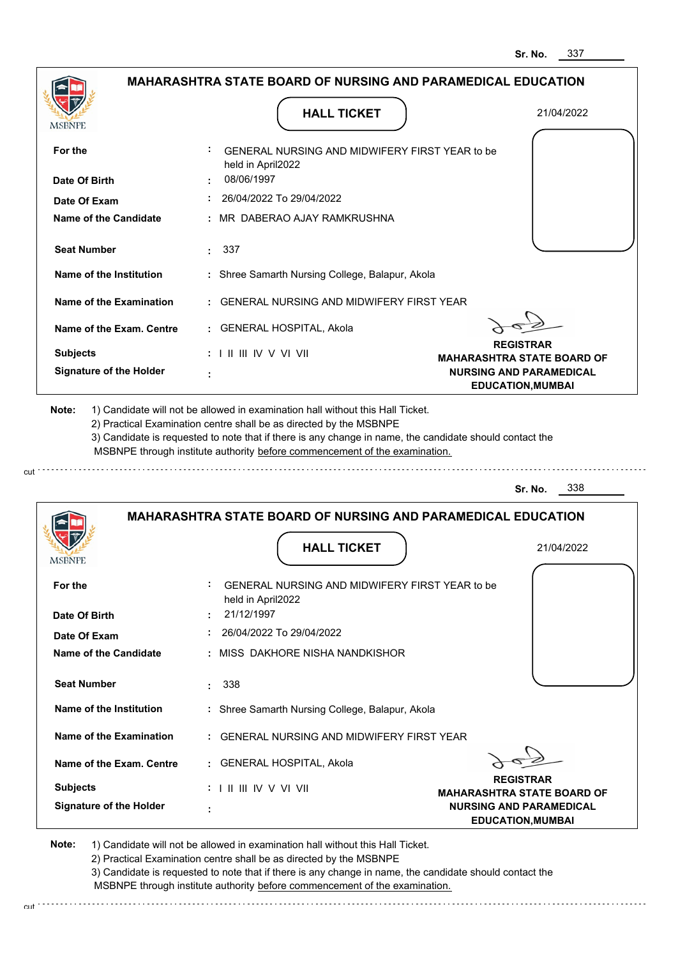|                                |                                                                                                                                                                                       | 337<br>Sr. No.                                             |
|--------------------------------|---------------------------------------------------------------------------------------------------------------------------------------------------------------------------------------|------------------------------------------------------------|
|                                | <b>MAHARASHTRA STATE BOARD OF NURSING AND PARAMEDICAL EDUCATION</b>                                                                                                                   |                                                            |
| <b>MSBNPE</b>                  | <b>HALL TICKET</b>                                                                                                                                                                    | 21/04/2022                                                 |
| For the                        | GENERAL NURSING AND MIDWIFERY FIRST YEAR to be<br>held in April2022                                                                                                                   |                                                            |
| Date Of Birth                  | 08/06/1997                                                                                                                                                                            |                                                            |
| Date Of Exam                   | 26/04/2022 To 29/04/2022                                                                                                                                                              |                                                            |
| Name of the Candidate          | MR DABERAO AJAY RAMKRUSHNA                                                                                                                                                            |                                                            |
| <b>Seat Number</b>             | : 337                                                                                                                                                                                 |                                                            |
| <b>Name of the Institution</b> | : Shree Samarth Nursing College, Balapur, Akola                                                                                                                                       |                                                            |
| Name of the Examination        | <b>GENERAL NURSING AND MIDWIFERY FIRST YEAR</b>                                                                                                                                       |                                                            |
| Name of the Exam. Centre       | : GENERAL HOSPITAL, Akola                                                                                                                                                             |                                                            |
| <b>Subjects</b>                | $: 1$ II III IV V VI VII                                                                                                                                                              | <b>REGISTRAR</b><br><b>MAHARASHTRA STATE BOARD OF</b>      |
| <b>Signature of the Holder</b> |                                                                                                                                                                                       | <b>NURSING AND PARAMEDICAL</b><br><b>EDUCATION, MUMBAI</b> |
|                                | 3) Candidate is requested to note that if there is any change in name, the candidate should contact the<br>MSBNPE through institute authority before commencement of the examination. | 338<br>Sr. No.                                             |
|                                | <b>MAHARASHTRA STATE BOARD OF NURSING AND PARAMEDICAL EDUCATION</b>                                                                                                                   |                                                            |
| <b>IMPDIALE</b>                | <b>HALL TICKET</b>                                                                                                                                                                    | 21/04/2022                                                 |
| For the                        | GENERAL NURSING AND MIDWIFERY FIRST YEAR to be<br>held in April2022                                                                                                                   |                                                            |
| Date Of Birth                  | 21/12/1997                                                                                                                                                                            |                                                            |
| Date Of Exam                   | 26/04/2022 To 29/04/2022                                                                                                                                                              |                                                            |
| <b>Name of the Candidate</b>   | MISS DAKHORE NISHA NANDKISHOR                                                                                                                                                         |                                                            |
| <b>Seat Number</b>             | 338<br>÷                                                                                                                                                                              |                                                            |
| Name of the Institution        | : Shree Samarth Nursing College, Balapur, Akola                                                                                                                                       |                                                            |
| <b>Name of the Examination</b> | <b>GENERAL NURSING AND MIDWIFERY FIRST YEAR</b>                                                                                                                                       |                                                            |
| Name of the Exam. Centre       | : GENERAL HOSPITAL, Akola                                                                                                                                                             |                                                            |
| <b>Subjects</b>                | : I II III IV V VI VII                                                                                                                                                                | <b>REGISTRAR</b><br><b>MAHARASHTRA STATE BOARD OF</b>      |
| <b>Signature of the Holder</b> |                                                                                                                                                                                       | <b>NURSING AND PARAMEDICAL</b><br><b>EDUCATION, MUMBAI</b> |

cut

2) Practical Examination centre shall be as directed by the MSBNPE

3) Candidate is requested to note that if there is any change in name, the candidate should contact the MSBNPE through institute authority before commencement of the examination. cut de la component de la component de la component de la component de la component de la component de la component de la component de la component de la component de la component de la component de la component de la comp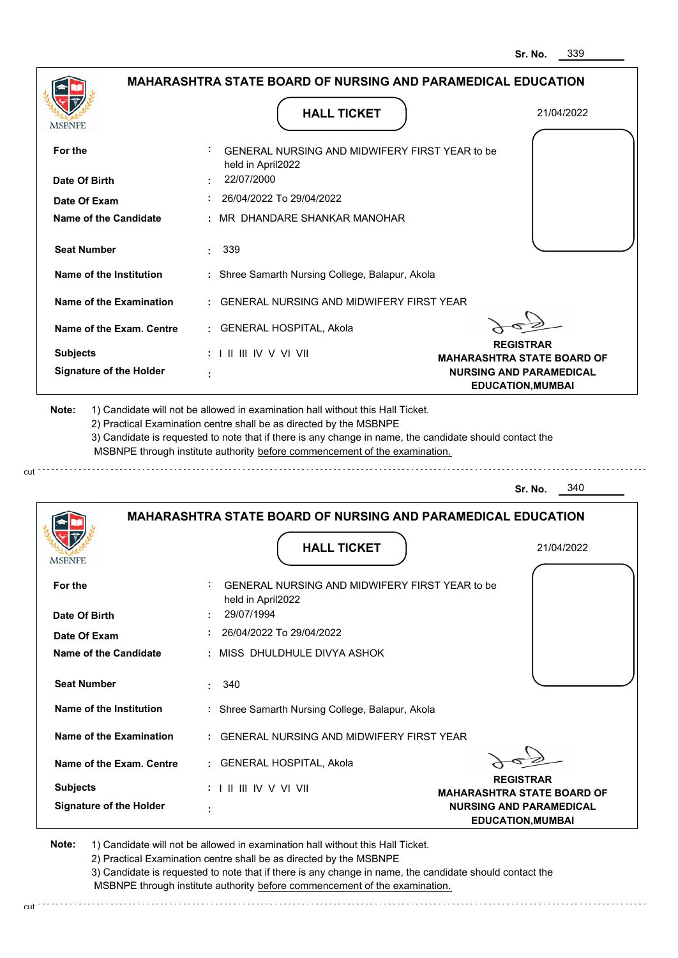|                                       | <b>MAHARASHTRA STATE BOARD OF NURSING AND PARAMEDICAL EDUCATION</b>                                                                                                                                                                                                                                                                           |                                                            |
|---------------------------------------|-----------------------------------------------------------------------------------------------------------------------------------------------------------------------------------------------------------------------------------------------------------------------------------------------------------------------------------------------|------------------------------------------------------------|
|                                       | <b>HALL TICKET</b>                                                                                                                                                                                                                                                                                                                            | 21/04/2022                                                 |
| MSBNPE                                |                                                                                                                                                                                                                                                                                                                                               |                                                            |
| For the                               | GENERAL NURSING AND MIDWIFERY FIRST YEAR to be<br>held in April2022                                                                                                                                                                                                                                                                           |                                                            |
| Date Of Birth                         | 22/07/2000                                                                                                                                                                                                                                                                                                                                    |                                                            |
| Date Of Exam                          | 26/04/2022 To 29/04/2022                                                                                                                                                                                                                                                                                                                      |                                                            |
| Name of the Candidate                 | MR DHANDARE SHANKAR MANOHAR                                                                                                                                                                                                                                                                                                                   |                                                            |
| <b>Seat Number</b>                    | 339<br>t in                                                                                                                                                                                                                                                                                                                                   |                                                            |
| Name of the Institution               | : Shree Samarth Nursing College, Balapur, Akola                                                                                                                                                                                                                                                                                               |                                                            |
| Name of the Examination               | : GENERAL NURSING AND MIDWIFERY FIRST YEAR                                                                                                                                                                                                                                                                                                    |                                                            |
| Name of the Exam. Centre              | : GENERAL HOSPITAL, Akola                                                                                                                                                                                                                                                                                                                     |                                                            |
| <b>Subjects</b>                       | $: 1 \mathbb{I}$ III IIV V VI VII                                                                                                                                                                                                                                                                                                             | <b>REGISTRAR</b><br><b>MAHARASHTRA STATE BOARD OF</b>      |
| <b>Signature of the Holder</b>        |                                                                                                                                                                                                                                                                                                                                               | <b>NURSING AND PARAMEDICAL</b><br><b>EDUCATION, MUMBAI</b> |
| Note:                                 | 1) Candidate will not be allowed in examination hall without this Hall Ticket.<br>2) Practical Examination centre shall be as directed by the MSBNPE<br>3) Candidate is requested to note that if there is any change in name, the candidate should contact the<br>MSBNPE through institute authority before commencement of the examination. |                                                            |
|                                       |                                                                                                                                                                                                                                                                                                                                               | 340<br>Sr. No.                                             |
|                                       | <b>MAHARASHTRA STATE BOARD OF NURSING AND PARAMEDICAL EDUCATION</b>                                                                                                                                                                                                                                                                           |                                                            |
| <b>IMPDIAL</b> P                      | <b>HALL TICKET</b>                                                                                                                                                                                                                                                                                                                            | 21/04/2022                                                 |
| For the                               | GENERAL NURSING AND MIDWIFERY FIRST YEAR to be<br>held in April2022                                                                                                                                                                                                                                                                           |                                                            |
| Date Of Birth                         | 29/07/1994<br>26/04/2022 To 29/04/2022                                                                                                                                                                                                                                                                                                        |                                                            |
| Date Of Exam<br>Name of the Candidate | : MISS DHULDHULE DIVYA ASHOK                                                                                                                                                                                                                                                                                                                  |                                                            |
| <b>Seat Number</b>                    | 340                                                                                                                                                                                                                                                                                                                                           |                                                            |
| Name of the Institution               | : Shree Samarth Nursing College, Balapur, Akola                                                                                                                                                                                                                                                                                               |                                                            |
| Name of the Examination               | : GENERAL NURSING AND MIDWIFERY FIRST YEAR                                                                                                                                                                                                                                                                                                    |                                                            |
| Name of the Exam. Centre              | : GENERAL HOSPITAL, Akola                                                                                                                                                                                                                                                                                                                     |                                                            |

**Note:**  1) Candidate will not be allowed in examination hall without this Hall Ticket.

2) Practical Examination centre shall be as directed by the MSBNPE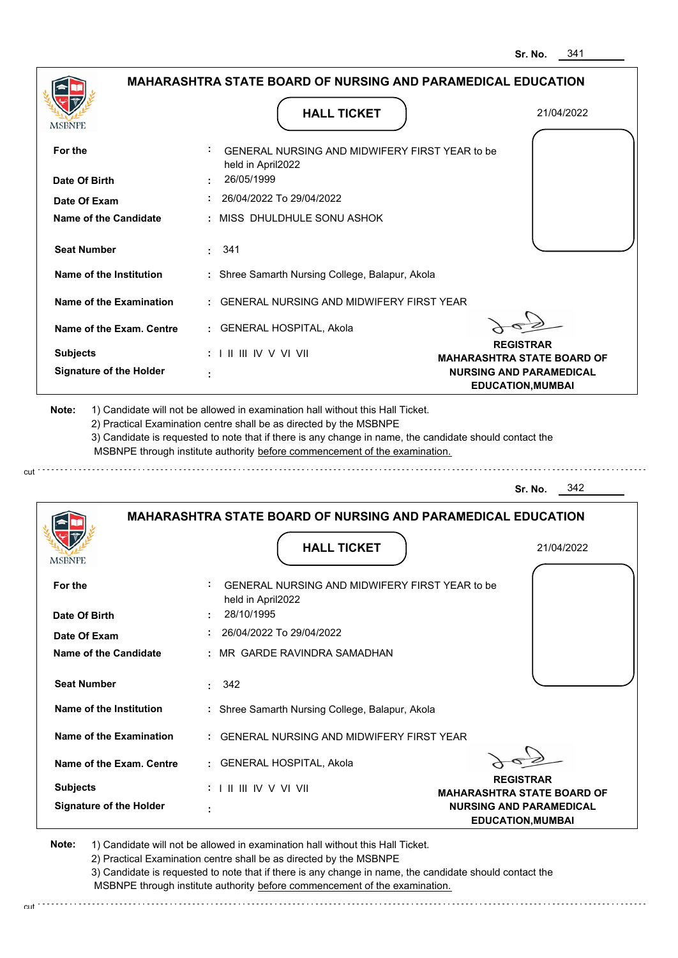|                                                         | <b>MAHARASHTRA STATE BOARD OF NURSING AND PARAMEDICAL EDUCATION</b>                                                                                                                                                                                                                                                                           |                                                            |
|---------------------------------------------------------|-----------------------------------------------------------------------------------------------------------------------------------------------------------------------------------------------------------------------------------------------------------------------------------------------------------------------------------------------|------------------------------------------------------------|
|                                                         |                                                                                                                                                                                                                                                                                                                                               |                                                            |
| MSBNPE                                                  | <b>HALL TICKET</b>                                                                                                                                                                                                                                                                                                                            | 21/04/2022                                                 |
| For the                                                 | GENERAL NURSING AND MIDWIFERY FIRST YEAR to be<br>held in April2022                                                                                                                                                                                                                                                                           |                                                            |
| Date Of Birth                                           | 26/05/1999                                                                                                                                                                                                                                                                                                                                    |                                                            |
| Date Of Exam                                            | 26/04/2022 To 29/04/2022                                                                                                                                                                                                                                                                                                                      |                                                            |
| Name of the Candidate                                   | : MISS DHULDHULE SONU ASHOK                                                                                                                                                                                                                                                                                                                   |                                                            |
| <b>Seat Number</b>                                      | $\cdot$ 341                                                                                                                                                                                                                                                                                                                                   |                                                            |
| Name of the Institution                                 | : Shree Samarth Nursing College, Balapur, Akola                                                                                                                                                                                                                                                                                               |                                                            |
| Name of the Examination                                 | : GENERAL NURSING AND MIDWIFERY FIRST YEAR                                                                                                                                                                                                                                                                                                    |                                                            |
| Name of the Exam. Centre                                | : GENERAL HOSPITAL, Akola                                                                                                                                                                                                                                                                                                                     |                                                            |
| <b>Subjects</b>                                         | $: 1 \mathbb{H} \mathbb{H} \mathbb{W} \vee \mathbb{V} \mathbb{V} \mathbb{H}$                                                                                                                                                                                                                                                                  | <b>REGISTRAR</b><br><b>MAHARASHTRA STATE BOARD OF</b>      |
| <b>Signature of the Holder</b>                          |                                                                                                                                                                                                                                                                                                                                               | <b>NURSING AND PARAMEDICAL</b><br><b>EDUCATION, MUMBAI</b> |
|                                                         | 1) Candidate will not be allowed in examination hall without this Hall Ticket.<br>2) Practical Examination centre shall be as directed by the MSBNPE<br>3) Candidate is requested to note that if there is any change in name, the candidate should contact the<br>MSBNPE through institute authority before commencement of the examination. |                                                            |
|                                                         |                                                                                                                                                                                                                                                                                                                                               | 342<br>Sr. No.                                             |
|                                                         | <b>MAHARASHTRA STATE BOARD OF NURSING AND PARAMEDICAL EDUCATION</b>                                                                                                                                                                                                                                                                           |                                                            |
| Note:<br><b>IMPDIALE</b>                                | <b>HALL TICKET</b>                                                                                                                                                                                                                                                                                                                            | 21/04/2022                                                 |
| For the                                                 | GENERAL NURSING AND MIDWIFERY FIRST YEAR to be<br>held in April2022                                                                                                                                                                                                                                                                           |                                                            |
|                                                         | 28/10/1995                                                                                                                                                                                                                                                                                                                                    |                                                            |
| Date Of Birth<br>Date Of Exam                           | 26/04/2022 To 29/04/2022                                                                                                                                                                                                                                                                                                                      |                                                            |
|                                                         | : MR GARDE RAVINDRA SAMADHAN                                                                                                                                                                                                                                                                                                                  |                                                            |
| <b>Seat Number</b>                                      | 342<br>t.                                                                                                                                                                                                                                                                                                                                     |                                                            |
| Name of the Institution                                 | : Shree Samarth Nursing College, Balapur, Akola                                                                                                                                                                                                                                                                                               |                                                            |
| <b>Name of the Candidate</b><br>Name of the Examination | : GENERAL NURSING AND MIDWIFERY FIRST YEAR                                                                                                                                                                                                                                                                                                    |                                                            |
| Name of the Exam. Centre                                | : GENERAL HOSPITAL, Akola                                                                                                                                                                                                                                                                                                                     |                                                            |
| <b>Subjects</b>                                         | : I II III IV V VI VII                                                                                                                                                                                                                                                                                                                        | <b>REGISTRAR</b><br><b>MAHARASHTRA STATE BOARD OF</b>      |

2) Practical Examination centre shall be as directed by the MSBNPE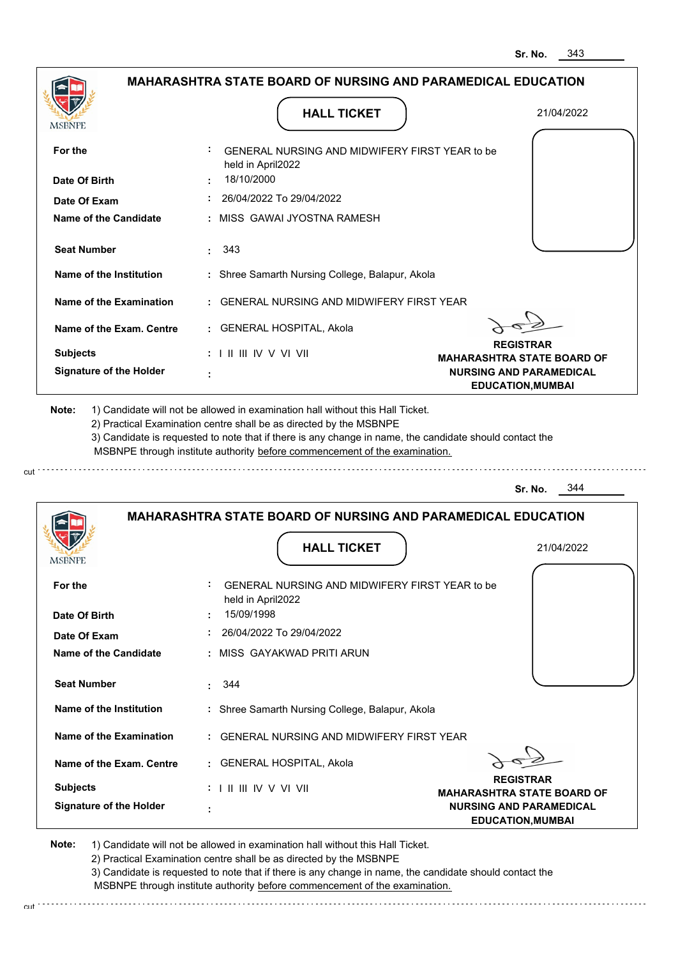|                                                             | <b>MAHARASHTRA STATE BOARD OF NURSING AND PARAMEDICAL EDUCATION</b>                                                                                                                                                                                                                                                                           |                                                            |
|-------------------------------------------------------------|-----------------------------------------------------------------------------------------------------------------------------------------------------------------------------------------------------------------------------------------------------------------------------------------------------------------------------------------------|------------------------------------------------------------|
| MSBNPE                                                      | <b>HALL TICKET</b>                                                                                                                                                                                                                                                                                                                            | 21/04/2022                                                 |
|                                                             |                                                                                                                                                                                                                                                                                                                                               |                                                            |
| For the                                                     | GENERAL NURSING AND MIDWIFERY FIRST YEAR to be<br>held in April2022                                                                                                                                                                                                                                                                           |                                                            |
| Date Of Birth                                               | 18/10/2000                                                                                                                                                                                                                                                                                                                                    |                                                            |
| Date Of Exam                                                | 26/04/2022 To 29/04/2022                                                                                                                                                                                                                                                                                                                      |                                                            |
| Name of the Candidate                                       | : MISS GAWAI JYOSTNA RAMESH                                                                                                                                                                                                                                                                                                                   |                                                            |
| <b>Seat Number</b>                                          | . 343                                                                                                                                                                                                                                                                                                                                         |                                                            |
| Name of the Institution                                     | : Shree Samarth Nursing College, Balapur, Akola                                                                                                                                                                                                                                                                                               |                                                            |
| Name of the Examination                                     | : GENERAL NURSING AND MIDWIFERY FIRST YEAR                                                                                                                                                                                                                                                                                                    |                                                            |
| Name of the Exam. Centre                                    | : GENERAL HOSPITAL, Akola                                                                                                                                                                                                                                                                                                                     |                                                            |
| <b>Subjects</b>                                             | : I II III IV V VI VII                                                                                                                                                                                                                                                                                                                        | <b>REGISTRAR</b><br><b>MAHARASHTRA STATE BOARD OF</b>      |
| <b>Signature of the Holder</b>                              |                                                                                                                                                                                                                                                                                                                                               | <b>NURSING AND PARAMEDICAL</b><br><b>EDUCATION, MUMBAI</b> |
|                                                             | 1) Candidate will not be allowed in examination hall without this Hall Ticket.<br>2) Practical Examination centre shall be as directed by the MSBNPE<br>3) Candidate is requested to note that if there is any change in name, the candidate should contact the<br>MSBNPE through institute authority before commencement of the examination. |                                                            |
|                                                             |                                                                                                                                                                                                                                                                                                                                               | - 344<br>Sr. No.                                           |
|                                                             | <b>MAHARASHTRA STATE BOARD OF NURSING AND PARAMEDICAL EDUCATION</b>                                                                                                                                                                                                                                                                           |                                                            |
|                                                             |                                                                                                                                                                                                                                                                                                                                               |                                                            |
|                                                             | <b>HALL TICKET</b>                                                                                                                                                                                                                                                                                                                            | 21/04/2022                                                 |
| For the                                                     | GENERAL NURSING AND MIDWIFERY FIRST YEAR to be                                                                                                                                                                                                                                                                                                |                                                            |
|                                                             | held in April2022                                                                                                                                                                                                                                                                                                                             |                                                            |
|                                                             | 15/09/1998                                                                                                                                                                                                                                                                                                                                    |                                                            |
| Date Of Exam                                                | 26/04/2022 To 29/04/2022                                                                                                                                                                                                                                                                                                                      |                                                            |
| Name of the Candidate                                       | : MISS GAYAKWAD PRITI ARUN                                                                                                                                                                                                                                                                                                                    |                                                            |
| <b>Seat Number</b>                                          | 344                                                                                                                                                                                                                                                                                                                                           |                                                            |
| Name of the Institution                                     | : Shree Samarth Nursing College, Balapur, Akola                                                                                                                                                                                                                                                                                               |                                                            |
| Name of the Examination                                     | : GENERAL NURSING AND MIDWIFERY FIRST YEAR                                                                                                                                                                                                                                                                                                    |                                                            |
| Name of the Exam. Centre                                    | : GENERAL HOSPITAL, Akola                                                                                                                                                                                                                                                                                                                     |                                                            |
| Note:<br><b>IMPDIAL</b><br>Date Of Birth<br><b>Subjects</b> | $: 1 \mathbb{H} \mathbb{H} \mathbb{N} \vee \mathbb{V} \mathbb{N}$                                                                                                                                                                                                                                                                             | <b>REGISTRAR</b><br><b>MAHARASHTRA STATE BOARD OF</b>      |

2) Practical Examination centre shall be as directed by the MSBNPE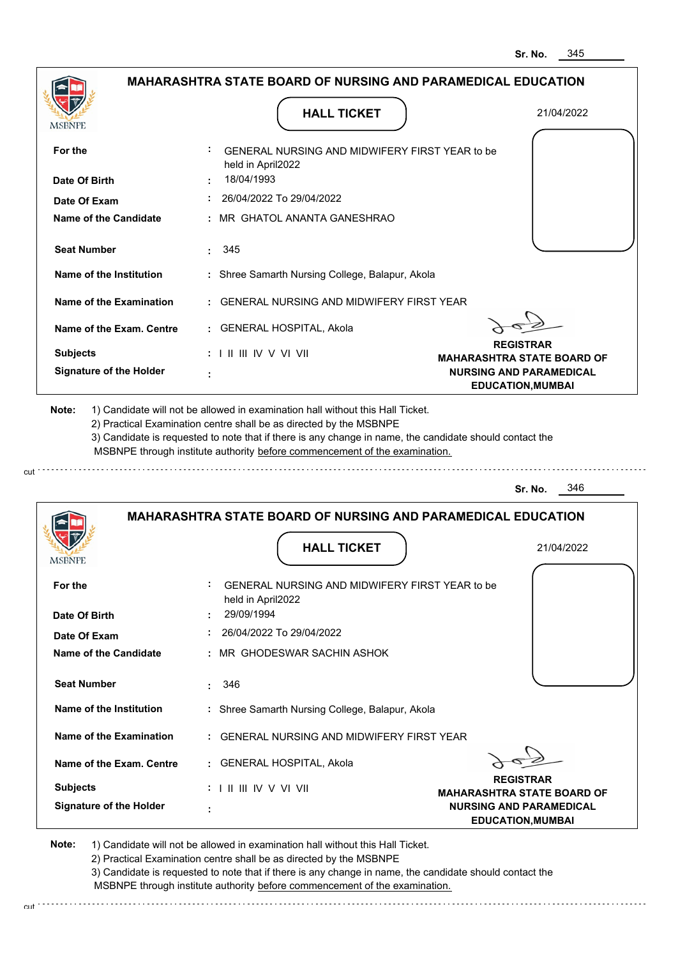|                                |                                                                                   | 345<br>Sr. No.                                             |
|--------------------------------|-----------------------------------------------------------------------------------|------------------------------------------------------------|
|                                | <b>MAHARASHTRA STATE BOARD OF NURSING AND PARAMEDICAL EDUCATION</b>               |                                                            |
| <b>MSBNPE</b>                  | <b>HALL TICKET</b>                                                                | 21/04/2022                                                 |
| For the                        | GENERAL NURSING AND MIDWIFERY FIRST YEAR to be<br>held in April2022               |                                                            |
| Date Of Birth                  | 18/04/1993                                                                        |                                                            |
| Date Of Exam                   | 26/04/2022 To 29/04/2022                                                          |                                                            |
| <b>Name of the Candidate</b>   | MR GHATOL ANANTA GANESHRAO                                                        |                                                            |
| <b>Seat Number</b>             | 345                                                                               |                                                            |
| <b>Name of the Institution</b> | : Shree Samarth Nursing College, Balapur, Akola                                   |                                                            |
| <b>Name of the Examination</b> | <b>GENERAL NURSING AND MIDWIFERY FIRST YEAR</b>                                   |                                                            |
| Name of the Exam. Centre       | : GENERAL HOSPITAL, Akola                                                         |                                                            |
| <b>Subjects</b>                | $: 1 \mathbb{H} \mathbb{H} \mathbb{W} \vee \mathbb{V} \mathbb{W}$                 | <b>REGISTRAR</b><br><b>MAHARASHTRA STATE BOARD OF</b>      |
| <b>Signature of the Holder</b> |                                                                                   | <b>NURSING AND PARAMEDICAL</b><br><b>EDUCATION, MUMBAI</b> |
|                                | MSBNPE through institute authority before commencement of the examination.        | 346<br>Sr. No.                                             |
|                                | <b>MAHARASHTRA STATE BOARD OF NURSING AND PARAMEDICAL EDUCATION</b>               |                                                            |
| <b>IMODIAL L</b>               | <b>HALL TICKET</b>                                                                | 21/04/2022                                                 |
| For the<br>Date Of Birth       | GENERAL NURSING AND MIDWIFERY FIRST YEAR to be<br>held in April2022<br>29/09/1994 |                                                            |
| Date Of Exam                   | 26/04/2022 To 29/04/2022                                                          |                                                            |
| <b>Name of the Candidate</b>   | MR GHODESWAR SACHIN ASHOK                                                         |                                                            |
| <b>Seat Number</b>             | 346<br>÷                                                                          |                                                            |
| <b>Name of the Institution</b> | : Shree Samarth Nursing College, Balapur, Akola                                   |                                                            |
| <b>Name of the Examination</b> | <b>GENERAL NURSING AND MIDWIFERY FIRST YEAR</b>                                   |                                                            |
| Name of the Exam. Centre       | : GENERAL HOSPITAL, Akola                                                         |                                                            |
| <b>Subjects</b>                |                                                                                   | <b>REGISTRAR</b><br><b>MAHARASHTRA STATE BOARD OF</b>      |
| <b>Signature of the Holder</b> |                                                                                   | <b>NURSING AND PARAMEDICAL</b><br><b>EDUCATION, MUMBAI</b> |

cut

2) Practical Examination centre shall be as directed by the MSBNPE

3) Candidate is requested to note that if there is any change in name, the candidate should contact the MSBNPE through institute authority before commencement of the examination.

cut de la component de la component de la component de la component de la component de la component de la component de la component de la component de la component de la component de la component de la component de la comp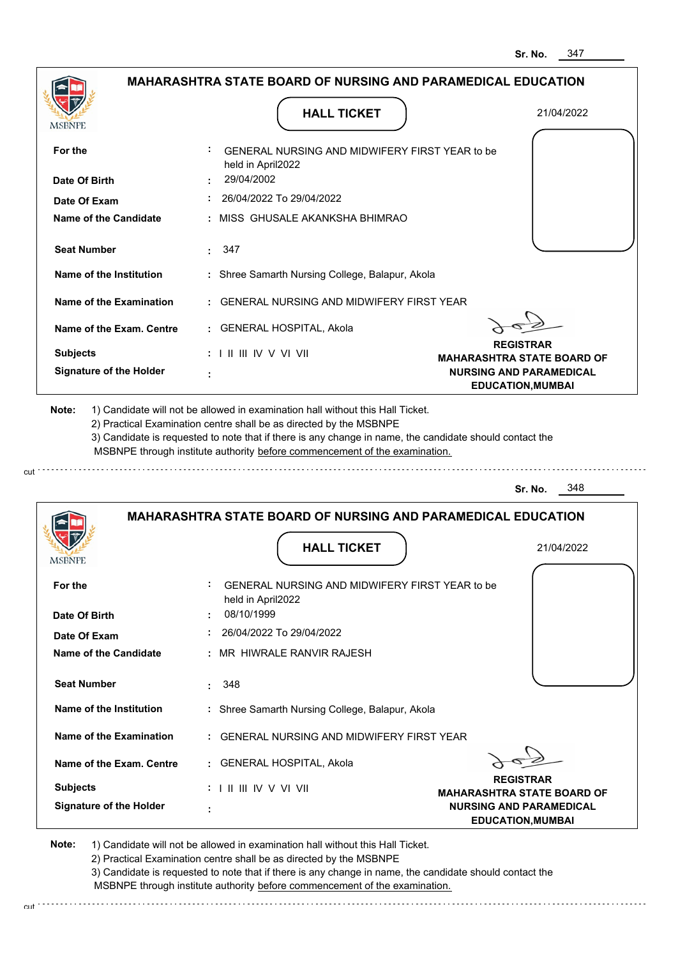|                                                      |                                                                                                                                                                                                                                                             | MAHARASHTRA STATE BOARD OF NURSING AND PARAMEDICAL EDUCATION |
|------------------------------------------------------|-------------------------------------------------------------------------------------------------------------------------------------------------------------------------------------------------------------------------------------------------------------|--------------------------------------------------------------|
|                                                      | <b>HALL TICKET</b>                                                                                                                                                                                                                                          | 21/04/2022                                                   |
| MSBNPE                                               |                                                                                                                                                                                                                                                             |                                                              |
| For the                                              | GENERAL NURSING AND MIDWIFERY FIRST YEAR to be<br>held in April2022                                                                                                                                                                                         |                                                              |
| Date Of Birth                                        | 29/04/2002                                                                                                                                                                                                                                                  |                                                              |
| Date Of Exam                                         | 26/04/2022 To 29/04/2022                                                                                                                                                                                                                                    |                                                              |
| Name of the Candidate                                | : MISS GHUSALE AKANKSHA BHIMRAO                                                                                                                                                                                                                             |                                                              |
| <b>Seat Number</b>                                   | $\cdot$ 347                                                                                                                                                                                                                                                 |                                                              |
| Name of the Institution                              | : Shree Samarth Nursing College, Balapur, Akola                                                                                                                                                                                                             |                                                              |
| Name of the Examination                              | : GENERAL NURSING AND MIDWIFERY FIRST YEAR                                                                                                                                                                                                                  |                                                              |
| Name of the Exam. Centre                             | : GENERAL HOSPITAL, Akola                                                                                                                                                                                                                                   |                                                              |
| <b>Subjects</b>                                      | : I II III IV V VI VII                                                                                                                                                                                                                                      | <b>REGISTRAR</b><br><b>MAHARASHTRA STATE BOARD OF</b>        |
| <b>Signature of the Holder</b>                       |                                                                                                                                                                                                                                                             | <b>NURSING AND PARAMEDICAL</b><br><b>EDUCATION, MUMBAI</b>   |
|                                                      | 2) Practical Examination centre shall be as directed by the MSBNPE<br>3) Candidate is requested to note that if there is any change in name, the candidate should contact the<br>MSBNPE through institute authority before commencement of the examination. |                                                              |
|                                                      |                                                                                                                                                                                                                                                             | 348<br>Sr. No.                                               |
|                                                      | <b>MAHARASHTRA STATE BOARD OF NURSING AND PARAMEDICAL EDUCATION</b><br><b>HALL TICKET</b>                                                                                                                                                                   | 21/04/2022                                                   |
|                                                      |                                                                                                                                                                                                                                                             |                                                              |
|                                                      | GENERAL NURSING AND MIDWIFERY FIRST YEAR to be<br>held in April2022                                                                                                                                                                                         |                                                              |
| For the                                              | 08/10/1999                                                                                                                                                                                                                                                  |                                                              |
| Date Of Exam                                         | 26/04/2022 To 29/04/2022                                                                                                                                                                                                                                    |                                                              |
| <b>Name of the Candidate</b>                         | : MR HIWRALE RANVIR RAJESH                                                                                                                                                                                                                                  |                                                              |
| <b>Seat Number</b>                                   | 348<br>÷.                                                                                                                                                                                                                                                   |                                                              |
| Name of the Institution                              | : Shree Samarth Nursing College, Balapur, Akola                                                                                                                                                                                                             |                                                              |
| Name of the Examination                              | : GENERAL NURSING AND MIDWIFERY FIRST YEAR                                                                                                                                                                                                                  |                                                              |
| Name of the Exam. Centre                             | : GENERAL HOSPITAL, Akola                                                                                                                                                                                                                                   |                                                              |
| <b>IMPDIAL L</b><br>Date Of Birth<br><b>Subjects</b> | $: 1 \mathbb{H} \mathbb{H} \mathbb{N} \vee \mathbb{V} \mathbb{N}$                                                                                                                                                                                           | <b>REGISTRAR</b><br><b>MAHARASHTRA STATE BOARD OF</b>        |

2) Practical Examination centre shall be as directed by the MSBNPE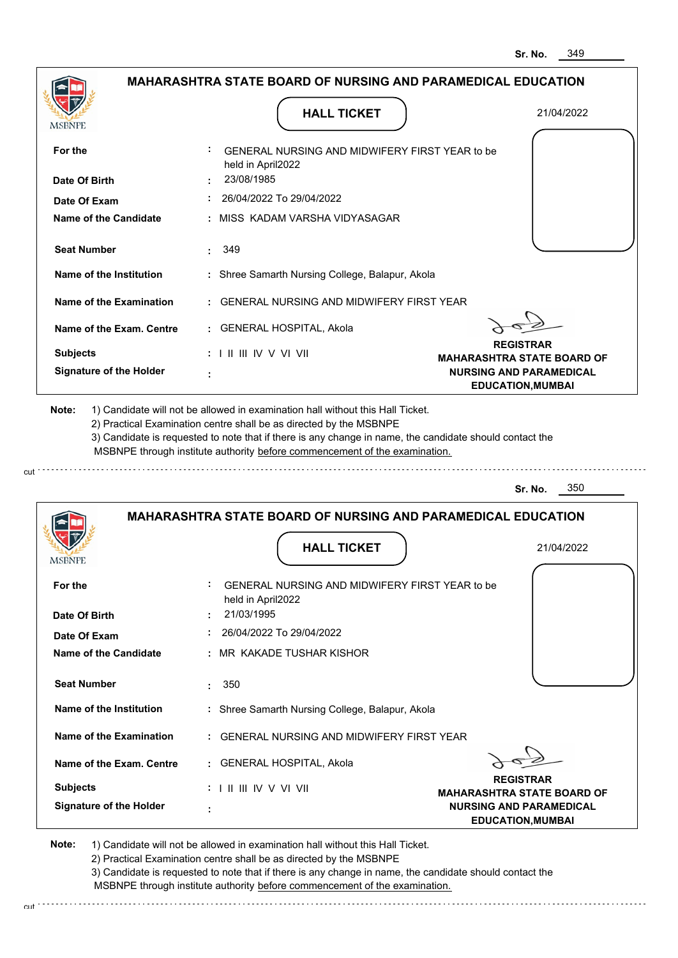|                                |                                                                                                                                                                                       | 349<br>Sr. No.                                             |
|--------------------------------|---------------------------------------------------------------------------------------------------------------------------------------------------------------------------------------|------------------------------------------------------------|
|                                | <b>MAHARASHTRA STATE BOARD OF NURSING AND PARAMEDICAL EDUCATION</b>                                                                                                                   |                                                            |
| <b>MSBNPE</b>                  | <b>HALL TICKET</b>                                                                                                                                                                    | 21/04/2022                                                 |
| For the                        | GENERAL NURSING AND MIDWIFERY FIRST YEAR to be<br>held in April2022                                                                                                                   |                                                            |
| Date Of Birth                  | 23/08/1985                                                                                                                                                                            |                                                            |
| Date Of Exam                   | 26/04/2022 To 29/04/2022                                                                                                                                                              |                                                            |
| <b>Name of the Candidate</b>   | MISS KADAM VARSHA VIDYASAGAR                                                                                                                                                          |                                                            |
| <b>Seat Number</b>             | 349                                                                                                                                                                                   |                                                            |
| <b>Name of the Institution</b> | : Shree Samarth Nursing College, Balapur, Akola                                                                                                                                       |                                                            |
| <b>Name of the Examination</b> | <b>GENERAL NURSING AND MIDWIFERY FIRST YEAR</b>                                                                                                                                       |                                                            |
| Name of the Exam. Centre       | : GENERAL HOSPITAL, Akola                                                                                                                                                             |                                                            |
| <b>Subjects</b>                | $: 1 \mathbb{H} \mathbb{H} \mathbb{W} \vee \mathbb{V} \mathbb{W}$                                                                                                                     | <b>REGISTRAR</b><br><b>MAHARASHTRA STATE BOARD OF</b>      |
| <b>Signature of the Holder</b> |                                                                                                                                                                                       | <b>NURSING AND PARAMEDICAL</b><br><b>EDUCATION, MUMBAI</b> |
|                                | 3) Candidate is requested to note that if there is any change in name, the candidate should contact the<br>MSBNPE through institute authority before commencement of the examination. | 350<br>Sr. No.                                             |
|                                | <b>MAHARASHTRA STATE BOARD OF NURSING AND PARAMEDICAL EDUCATION</b><br><b>HALL TICKET</b>                                                                                             | 21/04/2022                                                 |
| <b>IMODIAL L</b>               |                                                                                                                                                                                       |                                                            |
| For the                        | GENERAL NURSING AND MIDWIFERY FIRST YEAR to be<br>held in April2022                                                                                                                   |                                                            |
| Date Of Birth                  | 21/03/1995                                                                                                                                                                            |                                                            |
| Date Of Exam                   | 26/04/2022 To 29/04/2022                                                                                                                                                              |                                                            |
| <b>Name of the Candidate</b>   | MR KAKADE TUSHAR KISHOR                                                                                                                                                               |                                                            |
| <b>Seat Number</b>             | 350<br>÷                                                                                                                                                                              |                                                            |
| <b>Name of the Institution</b> | : Shree Samarth Nursing College, Balapur, Akola                                                                                                                                       |                                                            |
| <b>Name of the Examination</b> | <b>GENERAL NURSING AND MIDWIFERY FIRST YEAR</b>                                                                                                                                       |                                                            |
| Name of the Exam. Centre       | : GENERAL HOSPITAL, Akola                                                                                                                                                             |                                                            |
| <b>Subjects</b>                |                                                                                                                                                                                       | <b>REGISTRAR</b><br><b>MAHARASHTRA STATE BOARD OF</b>      |
| <b>Signature of the Holder</b> |                                                                                                                                                                                       | <b>NURSING AND PARAMEDICAL</b><br><b>EDUCATION, MUMBAI</b> |

cut

2) Practical Examination centre shall be as directed by the MSBNPE

3) Candidate is requested to note that if there is any change in name, the candidate should contact the MSBNPE through institute authority before commencement of the examination. cut de contra a construction de construction de construction de construction de construction de construction de construction de construction de construction de construction de construction de construction de construction d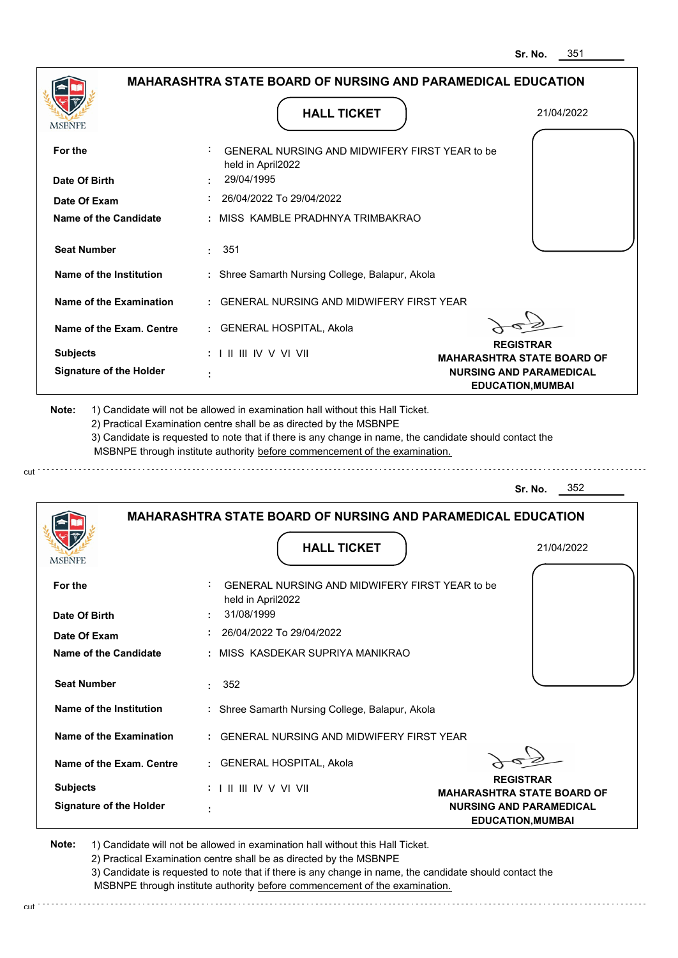|                                                                                                                                                      | <b>MAHARASHTRA STATE BOARD OF NURSING AND PARAMEDICAL EDUCATION</b>                                                                                                                                                                                                                                                                           |                                                            |
|------------------------------------------------------------------------------------------------------------------------------------------------------|-----------------------------------------------------------------------------------------------------------------------------------------------------------------------------------------------------------------------------------------------------------------------------------------------------------------------------------------------|------------------------------------------------------------|
|                                                                                                                                                      |                                                                                                                                                                                                                                                                                                                                               |                                                            |
| MSBNPE                                                                                                                                               | <b>HALL TICKET</b>                                                                                                                                                                                                                                                                                                                            | 21/04/2022                                                 |
| For the                                                                                                                                              | GENERAL NURSING AND MIDWIFERY FIRST YEAR to be<br>held in April2022                                                                                                                                                                                                                                                                           |                                                            |
| Date Of Birth                                                                                                                                        | 29/04/1995                                                                                                                                                                                                                                                                                                                                    |                                                            |
| Date Of Exam                                                                                                                                         | : 26/04/2022 To 29/04/2022                                                                                                                                                                                                                                                                                                                    |                                                            |
| Name of the Candidate                                                                                                                                | : MISS KAMBLE PRADHNYA TRIMBAKRAO                                                                                                                                                                                                                                                                                                             |                                                            |
| <b>Seat Number</b>                                                                                                                                   | : 351                                                                                                                                                                                                                                                                                                                                         |                                                            |
| Name of the Institution                                                                                                                              | : Shree Samarth Nursing College, Balapur, Akola                                                                                                                                                                                                                                                                                               |                                                            |
| Name of the Examination                                                                                                                              | : GENERAL NURSING AND MIDWIFERY FIRST YEAR                                                                                                                                                                                                                                                                                                    |                                                            |
| Name of the Exam. Centre                                                                                                                             | : GENERAL HOSPITAL, Akola                                                                                                                                                                                                                                                                                                                     |                                                            |
| <b>Subjects</b>                                                                                                                                      | : I II III IV V VI VII                                                                                                                                                                                                                                                                                                                        | <b>REGISTRAR</b><br><b>MAHARASHTRA STATE BOARD OF</b>      |
| <b>Signature of the Holder</b>                                                                                                                       |                                                                                                                                                                                                                                                                                                                                               | <b>NURSING AND PARAMEDICAL</b><br><b>EDUCATION, MUMBAI</b> |
|                                                                                                                                                      | 1) Candidate will not be allowed in examination hall without this Hall Ticket.<br>2) Practical Examination centre shall be as directed by the MSBNPE<br>3) Candidate is requested to note that if there is any change in name, the candidate should contact the<br>MSBNPE through institute authority before commencement of the examination. |                                                            |
| Note:                                                                                                                                                |                                                                                                                                                                                                                                                                                                                                               | 352<br>Sr. No.                                             |
|                                                                                                                                                      | <b>MAHARASHTRA STATE BOARD OF NURSING AND PARAMEDICAL EDUCATION</b><br><b>HALL TICKET</b>                                                                                                                                                                                                                                                     | 21/04/2022                                                 |
| <b>IMPDIAL</b><br>For the                                                                                                                            | GENERAL NURSING AND MIDWIFERY FIRST YEAR to be<br>held in April2022                                                                                                                                                                                                                                                                           |                                                            |
| Date Of Birth                                                                                                                                        | 31/08/1999                                                                                                                                                                                                                                                                                                                                    |                                                            |
|                                                                                                                                                      | 26/04/2022 To 29/04/2022<br>: MISS KASDEKAR SUPRIYA MANIKRAO                                                                                                                                                                                                                                                                                  |                                                            |
|                                                                                                                                                      | 352<br>÷.                                                                                                                                                                                                                                                                                                                                     |                                                            |
|                                                                                                                                                      | : Shree Samarth Nursing College, Balapur, Akola                                                                                                                                                                                                                                                                                               |                                                            |
|                                                                                                                                                      | : GENERAL NURSING AND MIDWIFERY FIRST YEAR                                                                                                                                                                                                                                                                                                    |                                                            |
| Date Of Exam<br><b>Name of the Candidate</b><br><b>Seat Number</b><br>Name of the Institution<br>Name of the Examination<br>Name of the Exam. Centre | : GENERAL HOSPITAL, Akola                                                                                                                                                                                                                                                                                                                     |                                                            |

2) Practical Examination centre shall be as directed by the MSBNPE

3) Candidate is requested to note that if there is any change in name, the candidate should contact the MSBNPE through institute authority before commencement of the examination. cut de la component de la component de la component de la component de la component de la component de la component de la component de la component de la component de la component de la component de la component de la comp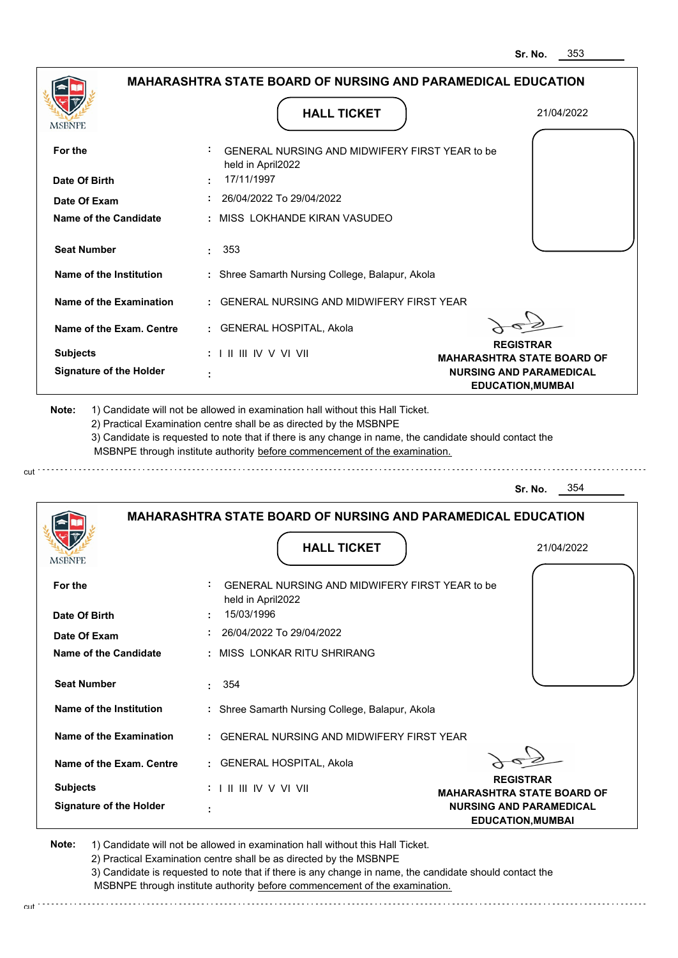|                                                                                                                                      | <b>MAHARASHTRA STATE BOARD OF NURSING AND PARAMEDICAL EDUCATION</b>                                                                                                                                                                                                                                                                           |                                                            |
|--------------------------------------------------------------------------------------------------------------------------------------|-----------------------------------------------------------------------------------------------------------------------------------------------------------------------------------------------------------------------------------------------------------------------------------------------------------------------------------------------|------------------------------------------------------------|
|                                                                                                                                      |                                                                                                                                                                                                                                                                                                                                               |                                                            |
| MSBNPE                                                                                                                               | <b>HALL TICKET</b>                                                                                                                                                                                                                                                                                                                            | 21/04/2022                                                 |
| For the                                                                                                                              | GENERAL NURSING AND MIDWIFERY FIRST YEAR to be<br>held in April2022                                                                                                                                                                                                                                                                           |                                                            |
| Date Of Birth                                                                                                                        | 17/11/1997                                                                                                                                                                                                                                                                                                                                    |                                                            |
| Date Of Exam                                                                                                                         | 26/04/2022 To 29/04/2022                                                                                                                                                                                                                                                                                                                      |                                                            |
| Name of the Candidate                                                                                                                | : MISS LOKHANDE KIRAN VASUDEO                                                                                                                                                                                                                                                                                                                 |                                                            |
| <b>Seat Number</b>                                                                                                                   | $\cdot$ 353                                                                                                                                                                                                                                                                                                                                   |                                                            |
| Name of the Institution                                                                                                              | : Shree Samarth Nursing College, Balapur, Akola                                                                                                                                                                                                                                                                                               |                                                            |
| Name of the Examination                                                                                                              | : GENERAL NURSING AND MIDWIFERY FIRST YEAR                                                                                                                                                                                                                                                                                                    |                                                            |
| Name of the Exam. Centre                                                                                                             | : GENERAL HOSPITAL, Akola                                                                                                                                                                                                                                                                                                                     |                                                            |
| <b>Subjects</b>                                                                                                                      | $: 1 \mathbb{H} \mathbb{H} \mathbb{W} \vee \mathbb{V} \mathbb{V} \mathbb{H}$                                                                                                                                                                                                                                                                  | <b>REGISTRAR</b><br><b>MAHARASHTRA STATE BOARD OF</b>      |
| <b>Signature of the Holder</b>                                                                                                       |                                                                                                                                                                                                                                                                                                                                               | <b>NURSING AND PARAMEDICAL</b><br><b>EDUCATION, MUMBAI</b> |
|                                                                                                                                      | 1) Candidate will not be allowed in examination hall without this Hall Ticket.<br>2) Practical Examination centre shall be as directed by the MSBNPE<br>3) Candidate is requested to note that if there is any change in name, the candidate should contact the<br>MSBNPE through institute authority before commencement of the examination. |                                                            |
| Note:                                                                                                                                |                                                                                                                                                                                                                                                                                                                                               | 354<br>Sr. No.                                             |
|                                                                                                                                      | <b>MAHARASHTRA STATE BOARD OF NURSING AND PARAMEDICAL EDUCATION</b>                                                                                                                                                                                                                                                                           |                                                            |
| MSBNFE                                                                                                                               | <b>HALL TICKET</b>                                                                                                                                                                                                                                                                                                                            | 21/04/2022                                                 |
|                                                                                                                                      | GENERAL NURSING AND MIDWIFERY FIRST YEAR to be<br>held in April2022<br>15/03/1996                                                                                                                                                                                                                                                             |                                                            |
| For the<br>Date Of Birth<br>Date Of Exam                                                                                             | 26/04/2022 To 29/04/2022                                                                                                                                                                                                                                                                                                                      |                                                            |
|                                                                                                                                      | : MISS LONKAR RITU SHRIRANG                                                                                                                                                                                                                                                                                                                   |                                                            |
|                                                                                                                                      | 354                                                                                                                                                                                                                                                                                                                                           |                                                            |
|                                                                                                                                      | : Shree Samarth Nursing College, Balapur, Akola                                                                                                                                                                                                                                                                                               |                                                            |
|                                                                                                                                      | : GENERAL NURSING AND MIDWIFERY FIRST YEAR                                                                                                                                                                                                                                                                                                    |                                                            |
| <b>Name of the Candidate</b><br><b>Seat Number</b><br>Name of the Institution<br>Name of the Examination<br>Name of the Exam. Centre | : GENERAL HOSPITAL, Akola                                                                                                                                                                                                                                                                                                                     | <b>REGISTRAR</b>                                           |

2) Practical Examination centre shall be as directed by the MSBNPE

cut.

3) Candidate is requested to note that if there is any change in name, the candidate should contact the MSBNPE through institute authority before commencement of the examination.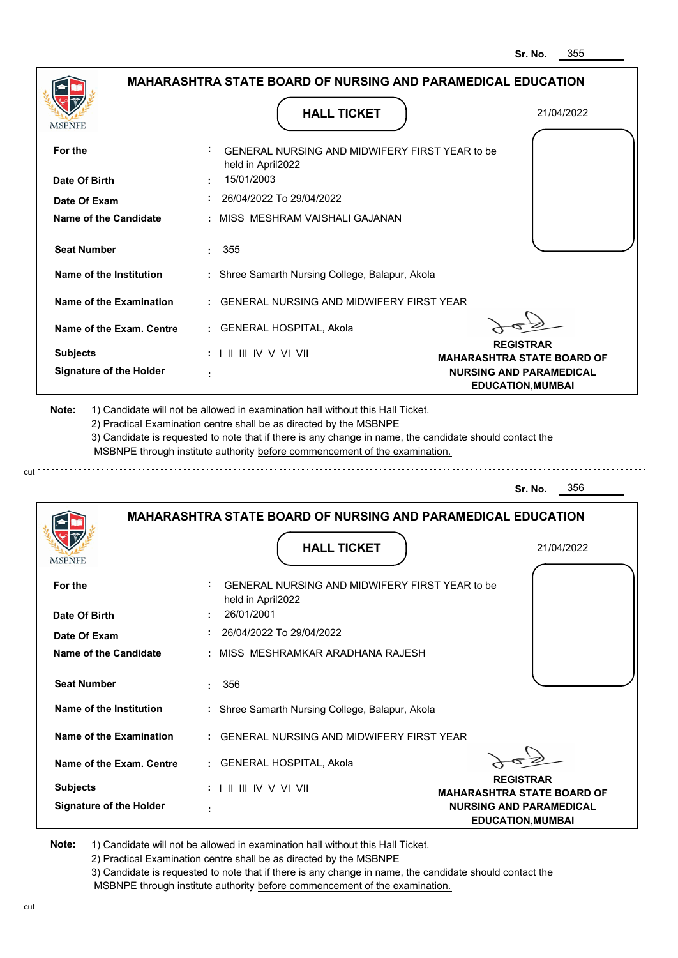|                                                                                    |                                                                                                                                                                                                                                                             | <b>MAHARASHTRA STATE BOARD OF NURSING AND PARAMEDICAL EDUCATION</b> |
|------------------------------------------------------------------------------------|-------------------------------------------------------------------------------------------------------------------------------------------------------------------------------------------------------------------------------------------------------------|---------------------------------------------------------------------|
| MSBNPE                                                                             | <b>HALL TICKET</b>                                                                                                                                                                                                                                          | 21/04/2022                                                          |
| For the                                                                            | GENERAL NURSING AND MIDWIFERY FIRST YEAR to be<br>held in April2022                                                                                                                                                                                         |                                                                     |
| Date Of Birth                                                                      | 15/01/2003                                                                                                                                                                                                                                                  |                                                                     |
| Date Of Exam                                                                       | 26/04/2022 To 29/04/2022                                                                                                                                                                                                                                    |                                                                     |
| Name of the Candidate                                                              | : MISS MESHRAM VAISHALI GAJANAN                                                                                                                                                                                                                             |                                                                     |
| <b>Seat Number</b>                                                                 | $\cdot$ 355                                                                                                                                                                                                                                                 |                                                                     |
| Name of the Institution                                                            | : Shree Samarth Nursing College, Balapur, Akola                                                                                                                                                                                                             |                                                                     |
| Name of the Examination                                                            | : GENERAL NURSING AND MIDWIFERY FIRST YEAR                                                                                                                                                                                                                  |                                                                     |
| Name of the Exam. Centre                                                           | : GENERAL HOSPITAL, Akola                                                                                                                                                                                                                                   |                                                                     |
| <b>Subjects</b>                                                                    | : I II III IV V VI VII                                                                                                                                                                                                                                      | <b>REGISTRAR</b><br><b>MAHARASHTRA STATE BOARD OF</b>               |
| <b>Signature of the Holder</b>                                                     |                                                                                                                                                                                                                                                             | <b>NURSING AND PARAMEDICAL</b><br><b>EDUCATION, MUMBAI</b>          |
|                                                                                    | 2) Practical Examination centre shall be as directed by the MSBNPE<br>3) Candidate is requested to note that if there is any change in name, the candidate should contact the<br>MSBNPE through institute authority before commencement of the examination. |                                                                     |
|                                                                                    |                                                                                                                                                                                                                                                             | 356<br>Sr. No.                                                      |
|                                                                                    | <b>MAHARASHTRA STATE BOARD OF NURSING AND PARAMEDICAL EDUCATION</b><br><b>HALL TICKET</b>                                                                                                                                                                   | 21/04/2022                                                          |
| For the                                                                            | GENERAL NURSING AND MIDWIFERY FIRST YEAR to be                                                                                                                                                                                                              |                                                                     |
|                                                                                    | held in April2022<br>26/01/2001                                                                                                                                                                                                                             |                                                                     |
| Date Of Exam                                                                       | 26/04/2022 To 29/04/2022                                                                                                                                                                                                                                    |                                                                     |
|                                                                                    | : MISS MESHRAMKAR ARADHANA RAJESH                                                                                                                                                                                                                           |                                                                     |
| <b>Seat Number</b>                                                                 | 356<br>÷.                                                                                                                                                                                                                                                   |                                                                     |
| Name of the Institution                                                            | : Shree Samarth Nursing College, Balapur, Akola                                                                                                                                                                                                             |                                                                     |
| Name of the Examination                                                            | : GENERAL NURSING AND MIDWIFERY FIRST YEAR                                                                                                                                                                                                                  |                                                                     |
| Name of the Exam. Centre                                                           | : GENERAL HOSPITAL, Akola                                                                                                                                                                                                                                   |                                                                     |
| <b>IMPDIAL</b><br>Date Of Birth<br><b>Name of the Candidate</b><br><b>Subjects</b> | $: 1 \mathbb{H} \mathbb{H} \mathbb{N} \vee \mathbb{V} \mathbb{N}$                                                                                                                                                                                           | <b>REGISTRAR</b><br><b>MAHARASHTRA STATE BOARD OF</b>               |

2) Practical Examination centre shall be as directed by the MSBNPE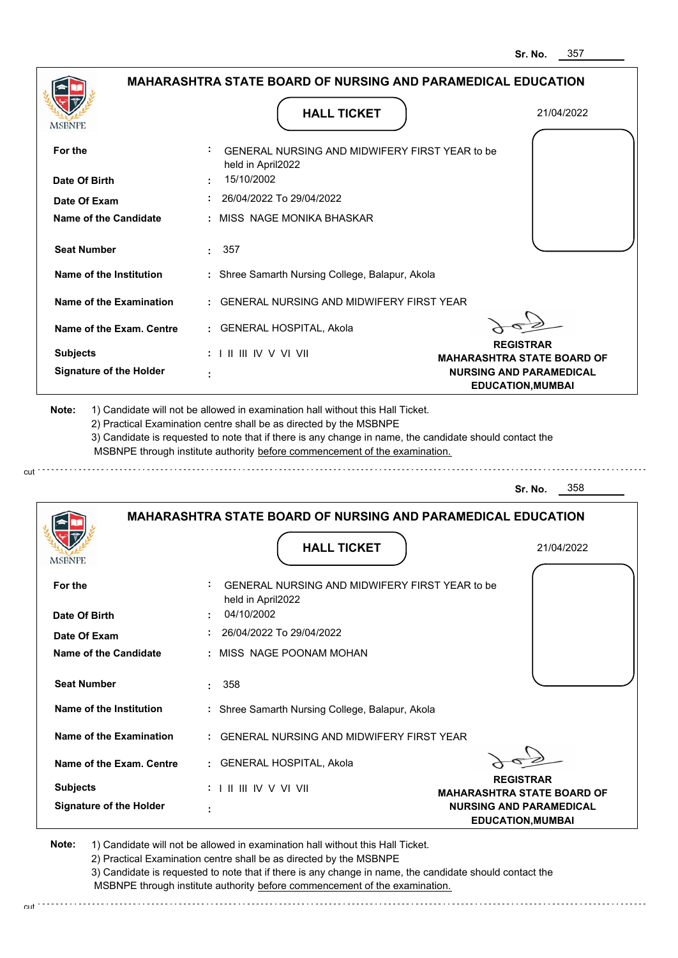|                                                                                            | <b>MAHARASHTRA STATE BOARD OF NURSING AND PARAMEDICAL EDUCATION</b>                                                                                                                                                                                                                                                                           |                                                            |
|--------------------------------------------------------------------------------------------|-----------------------------------------------------------------------------------------------------------------------------------------------------------------------------------------------------------------------------------------------------------------------------------------------------------------------------------------------|------------------------------------------------------------|
|                                                                                            |                                                                                                                                                                                                                                                                                                                                               |                                                            |
| MSBNPE                                                                                     | <b>HALL TICKET</b>                                                                                                                                                                                                                                                                                                                            | 21/04/2022                                                 |
|                                                                                            |                                                                                                                                                                                                                                                                                                                                               |                                                            |
| For the                                                                                    | GENERAL NURSING AND MIDWIFERY FIRST YEAR to be<br>held in April2022                                                                                                                                                                                                                                                                           |                                                            |
| Date Of Birth                                                                              | 15/10/2002                                                                                                                                                                                                                                                                                                                                    |                                                            |
| Date Of Exam                                                                               | 26/04/2022 To 29/04/2022                                                                                                                                                                                                                                                                                                                      |                                                            |
| Name of the Candidate                                                                      | : MISS NAGE MONIKA BHASKAR                                                                                                                                                                                                                                                                                                                    |                                                            |
| <b>Seat Number</b>                                                                         | : 357                                                                                                                                                                                                                                                                                                                                         |                                                            |
| Name of the Institution                                                                    | : Shree Samarth Nursing College, Balapur, Akola                                                                                                                                                                                                                                                                                               |                                                            |
| Name of the Examination                                                                    | : GENERAL NURSING AND MIDWIFERY FIRST YEAR                                                                                                                                                                                                                                                                                                    |                                                            |
| Name of the Exam. Centre                                                                   | : GENERAL HOSPITAL, Akola                                                                                                                                                                                                                                                                                                                     |                                                            |
| <b>Subjects</b>                                                                            | $: 1 \mathbb{I}$ III IIV V VI VII                                                                                                                                                                                                                                                                                                             | <b>REGISTRAR</b><br><b>MAHARASHTRA STATE BOARD OF</b>      |
| <b>Signature of the Holder</b>                                                             |                                                                                                                                                                                                                                                                                                                                               | <b>NURSING AND PARAMEDICAL</b><br><b>EDUCATION, MUMBAI</b> |
| Note:                                                                                      | 1) Candidate will not be allowed in examination hall without this Hall Ticket.<br>2) Practical Examination centre shall be as directed by the MSBNPE<br>3) Candidate is requested to note that if there is any change in name, the candidate should contact the<br>MSBNPE through institute authority before commencement of the examination. |                                                            |
|                                                                                            |                                                                                                                                                                                                                                                                                                                                               | 358<br>Sr. No.                                             |
|                                                                                            |                                                                                                                                                                                                                                                                                                                                               |                                                            |
|                                                                                            | <b>MAHARASHTRA STATE BOARD OF NURSING AND PARAMEDICAL EDUCATION</b>                                                                                                                                                                                                                                                                           |                                                            |
|                                                                                            | <b>HALL TICKET</b>                                                                                                                                                                                                                                                                                                                            | 21/04/2022                                                 |
|                                                                                            | GENERAL NURSING AND MIDWIFERY FIRST YEAR to be                                                                                                                                                                                                                                                                                                |                                                            |
|                                                                                            | held in April2022<br>04/10/2002                                                                                                                                                                                                                                                                                                               |                                                            |
|                                                                                            | 26/04/2022 To 29/04/2022                                                                                                                                                                                                                                                                                                                      |                                                            |
| <b>IMPDIAL</b><br>For the<br>Date Of Birth<br>Date Of Exam<br><b>Name of the Candidate</b> | : MISS NAGE POONAM MOHAN                                                                                                                                                                                                                                                                                                                      |                                                            |
| <b>Seat Number</b>                                                                         | 358<br>÷.                                                                                                                                                                                                                                                                                                                                     |                                                            |
| Name of the Institution                                                                    | : Shree Samarth Nursing College, Balapur, Akola                                                                                                                                                                                                                                                                                               |                                                            |
| Name of the Examination                                                                    | : GENERAL NURSING AND MIDWIFERY FIRST YEAR                                                                                                                                                                                                                                                                                                    |                                                            |
| Name of the Exam. Centre                                                                   | : GENERAL HOSPITAL, Akola                                                                                                                                                                                                                                                                                                                     |                                                            |
| <b>Subjects</b>                                                                            | $: 1 \mathbb{H} \mathbb{H} \mathbb{N} \vee \mathbb{V} \mathbb{N}$                                                                                                                                                                                                                                                                             | <b>REGISTRAR</b><br><b>MAHARASHTRA STATE BOARD OF</b>      |

2) Practical Examination centre shall be as directed by the MSBNPE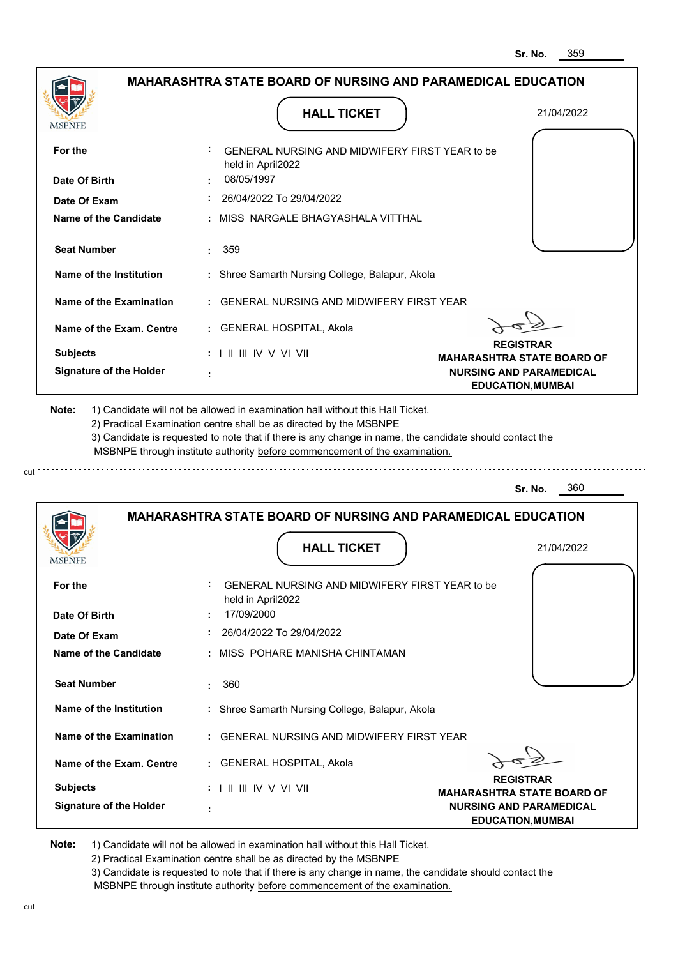|                                                                     |                                                                                                                                                                                       | 359<br>Sr. No.                                             |  |
|---------------------------------------------------------------------|---------------------------------------------------------------------------------------------------------------------------------------------------------------------------------------|------------------------------------------------------------|--|
| <b>MAHARASHTRA STATE BOARD OF NURSING AND PARAMEDICAL EDUCATION</b> |                                                                                                                                                                                       |                                                            |  |
| <b>MSBNPE</b>                                                       | <b>HALL TICKET</b>                                                                                                                                                                    | 21/04/2022                                                 |  |
| For the                                                             | GENERAL NURSING AND MIDWIFERY FIRST YEAR to be<br>held in April2022                                                                                                                   |                                                            |  |
| Date Of Birth                                                       | 08/05/1997                                                                                                                                                                            |                                                            |  |
| Date Of Exam                                                        | 26/04/2022 To 29/04/2022                                                                                                                                                              |                                                            |  |
| <b>Name of the Candidate</b>                                        | MISS NARGALE BHAGYASHALA VITTHAL                                                                                                                                                      |                                                            |  |
| <b>Seat Number</b>                                                  | 359                                                                                                                                                                                   |                                                            |  |
| <b>Name of the Institution</b>                                      | : Shree Samarth Nursing College, Balapur, Akola                                                                                                                                       |                                                            |  |
| <b>Name of the Examination</b>                                      | <b>GENERAL NURSING AND MIDWIFERY FIRST YEAR</b>                                                                                                                                       |                                                            |  |
| Name of the Exam. Centre                                            | : GENERAL HOSPITAL, Akola                                                                                                                                                             |                                                            |  |
| <b>Subjects</b>                                                     | : I II III IV V VI VII                                                                                                                                                                | <b>REGISTRAR</b><br><b>MAHARASHTRA STATE BOARD OF</b>      |  |
| <b>Signature of the Holder</b>                                      |                                                                                                                                                                                       | <b>NURSING AND PARAMEDICAL</b><br><b>EDUCATION, MUMBAI</b> |  |
|                                                                     | 3) Candidate is requested to note that if there is any change in name, the candidate should contact the<br>MSBNPE through institute authority before commencement of the examination. | 360<br>Sr. No.                                             |  |
|                                                                     | <b>MAHARASHTRA STATE BOARD OF NURSING AND PARAMEDICAL EDUCATION</b><br><b>HALL TICKET</b>                                                                                             | 21/04/2022                                                 |  |
| <b>IMODIAL L</b>                                                    |                                                                                                                                                                                       |                                                            |  |
| For the                                                             | GENERAL NURSING AND MIDWIFERY FIRST YEAR to be<br>held in April2022                                                                                                                   |                                                            |  |
| Date Of Birth                                                       | 17/09/2000                                                                                                                                                                            |                                                            |  |
| Date Of Exam                                                        | 26/04/2022 To 29/04/2022                                                                                                                                                              |                                                            |  |
| <b>Name of the Candidate</b>                                        | MISS POHARE MANISHA CHINTAMAN                                                                                                                                                         |                                                            |  |
| <b>Seat Number</b>                                                  | 360<br>÷                                                                                                                                                                              |                                                            |  |
| <b>Name of the Institution</b>                                      | : Shree Samarth Nursing College, Balapur, Akola                                                                                                                                       |                                                            |  |
| <b>Name of the Examination</b>                                      | <b>GENERAL NURSING AND MIDWIFERY FIRST YEAR</b>                                                                                                                                       |                                                            |  |
| Name of the Exam. Centre                                            | : GENERAL HOSPITAL, Akola                                                                                                                                                             |                                                            |  |
| <b>Subjects</b>                                                     |                                                                                                                                                                                       | <b>REGISTRAR</b><br><b>MAHARASHTRA STATE BOARD OF</b>      |  |
| <b>Signature of the Holder</b>                                      |                                                                                                                                                                                       | <b>NURSING AND PARAMEDICAL</b><br><b>EDUCATION, MUMBAI</b> |  |

cut

2) Practical Examination centre shall be as directed by the MSBNPE

3) Candidate is requested to note that if there is any change in name, the candidate should contact the MSBNPE through institute authority before commencement of the examination. cut de contra a construction de construction de construction de construction de construction de construction de construction de construction de construction de construction de construction de construction de construction d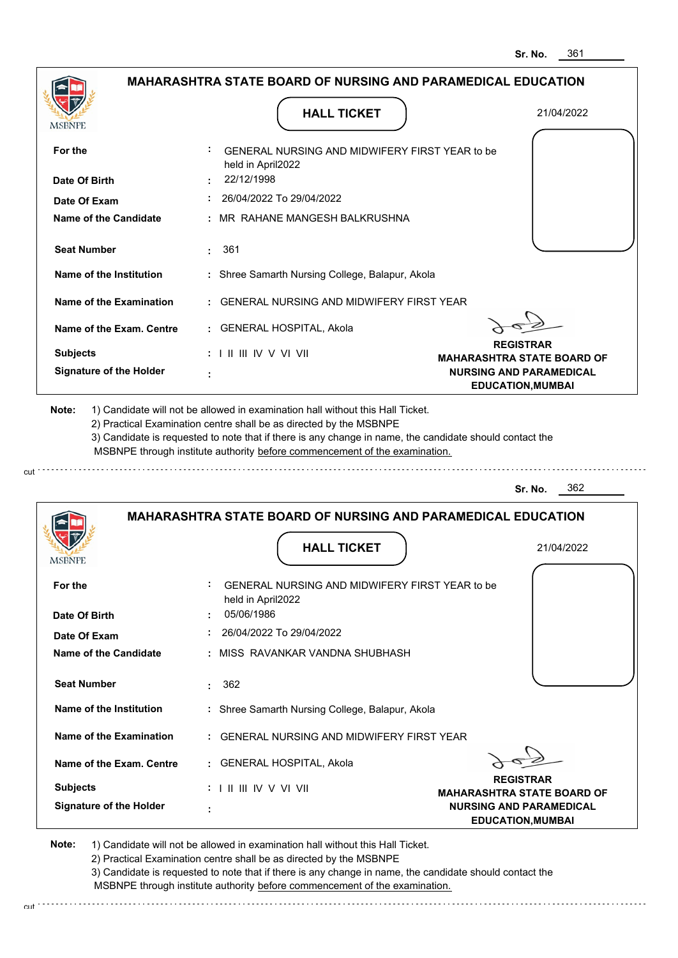|                                                                                            | <b>MAHARASHTRA STATE BOARD OF NURSING AND PARAMEDICAL EDUCATION</b>                                                                                                                                                                                                                                                                           |                                                            |
|--------------------------------------------------------------------------------------------|-----------------------------------------------------------------------------------------------------------------------------------------------------------------------------------------------------------------------------------------------------------------------------------------------------------------------------------------------|------------------------------------------------------------|
| <b>MSBNPE</b>                                                                              | <b>HALL TICKET</b>                                                                                                                                                                                                                                                                                                                            | 21/04/2022                                                 |
| For the                                                                                    | GENERAL NURSING AND MIDWIFERY FIRST YEAR to be<br>held in April2022                                                                                                                                                                                                                                                                           |                                                            |
| Date Of Birth                                                                              | 22/12/1998                                                                                                                                                                                                                                                                                                                                    |                                                            |
| Date Of Exam                                                                               | 26/04/2022 To 29/04/2022                                                                                                                                                                                                                                                                                                                      |                                                            |
| Name of the Candidate                                                                      | MR RAHANE MANGESH BALKRUSHNA                                                                                                                                                                                                                                                                                                                  |                                                            |
| <b>Seat Number</b>                                                                         | 361                                                                                                                                                                                                                                                                                                                                           |                                                            |
| Name of the Institution                                                                    | : Shree Samarth Nursing College, Balapur, Akola                                                                                                                                                                                                                                                                                               |                                                            |
| <b>Name of the Examination</b>                                                             | <b>GENERAL NURSING AND MIDWIFERY FIRST YEAR</b>                                                                                                                                                                                                                                                                                               |                                                            |
| Name of the Exam. Centre                                                                   | : GENERAL HOSPITAL, Akola                                                                                                                                                                                                                                                                                                                     |                                                            |
| <b>Subjects</b>                                                                            | $: 1 \parallel \parallel \parallel$ IV V VI VII                                                                                                                                                                                                                                                                                               | <b>REGISTRAR</b><br><b>MAHARASHTRA STATE BOARD OF</b>      |
| <b>Signature of the Holder</b>                                                             |                                                                                                                                                                                                                                                                                                                                               |                                                            |
|                                                                                            | 1) Candidate will not be allowed in examination hall without this Hall Ticket.<br>2) Practical Examination centre shall be as directed by the MSBNPE<br>3) Candidate is requested to note that if there is any change in name, the candidate should contact the<br>MSBNPE through institute authority before commencement of the examination. | <b>NURSING AND PARAMEDICAL</b><br><b>EDUCATION, MUMBAI</b> |
|                                                                                            |                                                                                                                                                                                                                                                                                                                                               | 362<br>Sr. No.                                             |
|                                                                                            | <b>MAHARASHTRA STATE BOARD OF NURSING AND PARAMEDICAL EDUCATION</b>                                                                                                                                                                                                                                                                           |                                                            |
|                                                                                            | <b>HALL TICKET</b>                                                                                                                                                                                                                                                                                                                            | 21/04/2022                                                 |
|                                                                                            | GENERAL NURSING AND MIDWIFERY FIRST YEAR to be<br>held in April2022                                                                                                                                                                                                                                                                           |                                                            |
|                                                                                            | 05/06/1986                                                                                                                                                                                                                                                                                                                                    |                                                            |
|                                                                                            | 26/04/2022 To 29/04/2022                                                                                                                                                                                                                                                                                                                      |                                                            |
|                                                                                            | MISS RAVANKAR VANDNA SHUBHASH                                                                                                                                                                                                                                                                                                                 |                                                            |
| <b>Seat Number</b>                                                                         | 362<br>÷.                                                                                                                                                                                                                                                                                                                                     |                                                            |
| Name of the Institution                                                                    | : Shree Samarth Nursing College, Balapur, Akola                                                                                                                                                                                                                                                                                               |                                                            |
| For the<br>Date Of Birth<br><b>Name of the Candidate</b><br><b>Name of the Examination</b> | <b>GENERAL NURSING AND MIDWIFERY FIRST YEAR</b>                                                                                                                                                                                                                                                                                               |                                                            |
| Date Of Exam<br>Name of the Exam. Centre                                                   | : GENERAL HOSPITAL, Akola                                                                                                                                                                                                                                                                                                                     |                                                            |
| Note:<br>MSBNPE<br><b>Subjects</b>                                                         | $: 1 \mathbb{I}$ III IIV V VI VII                                                                                                                                                                                                                                                                                                             | <b>REGISTRAR</b><br><b>MAHARASHTRA STATE BOARD OF</b>      |

cut

3) Candidate is requested to note that if there is any change in name, the candidate should contact the MSBNPE through institute authority before commencement of the examination.

cut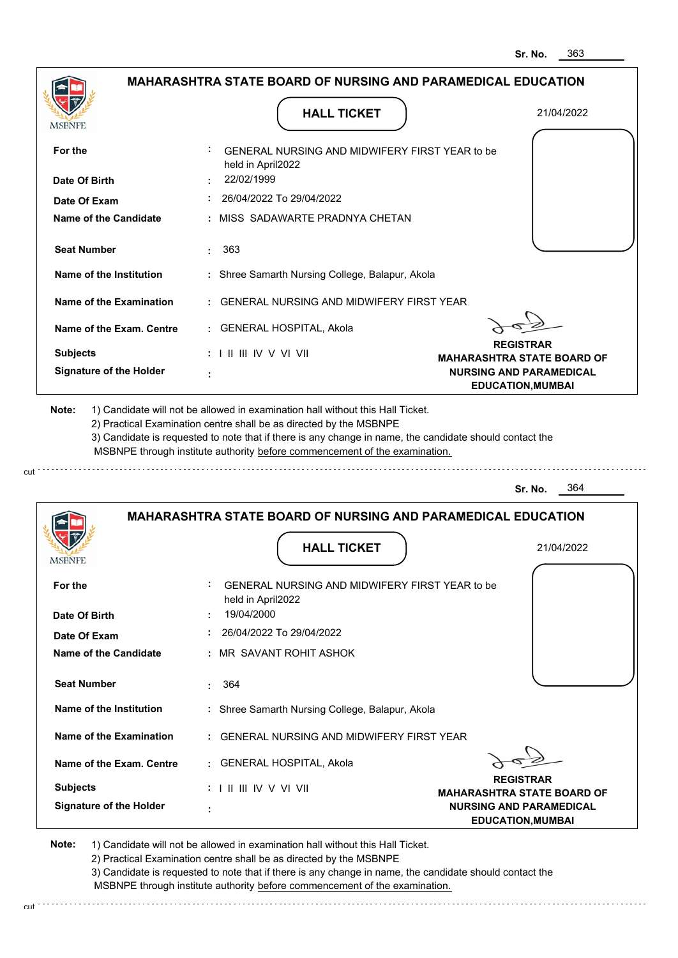|                                                          | <b>MAHARASHTRA STATE BOARD OF NURSING AND PARAMEDICAL EDUCATION</b>                                                                                                                                                                                                                                                                           |                                                            |
|----------------------------------------------------------|-----------------------------------------------------------------------------------------------------------------------------------------------------------------------------------------------------------------------------------------------------------------------------------------------------------------------------------------------|------------------------------------------------------------|
|                                                          | <b>HALL TICKET</b>                                                                                                                                                                                                                                                                                                                            | 21/04/2022                                                 |
| MSBNPE                                                   |                                                                                                                                                                                                                                                                                                                                               |                                                            |
| For the                                                  | GENERAL NURSING AND MIDWIFERY FIRST YEAR to be<br>held in April2022                                                                                                                                                                                                                                                                           |                                                            |
| Date Of Birth                                            | 22/02/1999                                                                                                                                                                                                                                                                                                                                    |                                                            |
| Date Of Exam                                             | 26/04/2022 To 29/04/2022                                                                                                                                                                                                                                                                                                                      |                                                            |
| Name of the Candidate                                    | : MISS SADAWARTE PRADNYA CHETAN                                                                                                                                                                                                                                                                                                               |                                                            |
| <b>Seat Number</b>                                       | 363<br>t in                                                                                                                                                                                                                                                                                                                                   |                                                            |
| Name of the Institution                                  | : Shree Samarth Nursing College, Balapur, Akola                                                                                                                                                                                                                                                                                               |                                                            |
| Name of the Examination                                  | : GENERAL NURSING AND MIDWIFERY FIRST YEAR                                                                                                                                                                                                                                                                                                    |                                                            |
| Name of the Exam. Centre                                 | : GENERAL HOSPITAL, Akola                                                                                                                                                                                                                                                                                                                     |                                                            |
| <b>Subjects</b>                                          | : I II III IV V VI VII                                                                                                                                                                                                                                                                                                                        | <b>REGISTRAR</b><br><b>MAHARASHTRA STATE BOARD OF</b>      |
| <b>Signature of the Holder</b>                           |                                                                                                                                                                                                                                                                                                                                               | <b>NURSING AND PARAMEDICAL</b><br><b>EDUCATION, MUMBAI</b> |
| Note:                                                    | 1) Candidate will not be allowed in examination hall without this Hall Ticket.<br>2) Practical Examination centre shall be as directed by the MSBNPE<br>3) Candidate is requested to note that if there is any change in name, the candidate should contact the<br>MSBNPE through institute authority before commencement of the examination. |                                                            |
|                                                          |                                                                                                                                                                                                                                                                                                                                               | 364<br>Sr. No.                                             |
|                                                          |                                                                                                                                                                                                                                                                                                                                               |                                                            |
|                                                          | <b>MAHARASHTRA STATE BOARD OF NURSING AND PARAMEDICAL EDUCATION</b>                                                                                                                                                                                                                                                                           |                                                            |
|                                                          | <b>HALL TICKET</b>                                                                                                                                                                                                                                                                                                                            | 21/04/2022                                                 |
|                                                          |                                                                                                                                                                                                                                                                                                                                               |                                                            |
| For the                                                  | GENERAL NURSING AND MIDWIFERY FIRST YEAR to be<br>held in April2022                                                                                                                                                                                                                                                                           |                                                            |
| <b>IVISDINE L</b><br>Date Of Birth                       | 19/04/2000                                                                                                                                                                                                                                                                                                                                    |                                                            |
| Date Of Exam                                             | 26/04/2022 To 29/04/2022                                                                                                                                                                                                                                                                                                                      |                                                            |
|                                                          | : MR SAVANT ROHIT ASHOK                                                                                                                                                                                                                                                                                                                       |                                                            |
| <b>Seat Number</b>                                       | 364                                                                                                                                                                                                                                                                                                                                           |                                                            |
| Name of the Institution                                  | : Shree Samarth Nursing College, Balapur, Akola                                                                                                                                                                                                                                                                                               |                                                            |
| Name of the Examination                                  | : GENERAL NURSING AND MIDWIFERY FIRST YEAR                                                                                                                                                                                                                                                                                                    |                                                            |
| <b>Name of the Candidate</b><br>Name of the Exam. Centre | : GENERAL HOSPITAL, Akola                                                                                                                                                                                                                                                                                                                     |                                                            |
| <b>Subjects</b>                                          | $: 1 \mathbb{H} \mathbb{H} \mathbb{N} \vee \mathbb{V} \mathbb{N}$                                                                                                                                                                                                                                                                             | <b>REGISTRAR</b><br><b>MAHARASHTRA STATE BOARD OF</b>      |

2) Practical Examination centre shall be as directed by the MSBNPE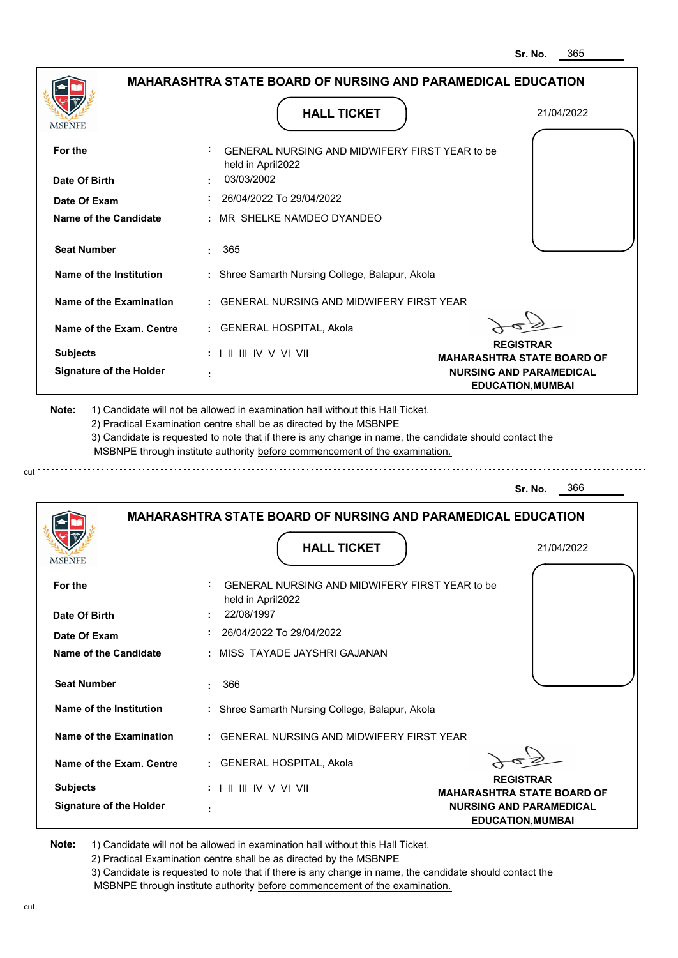|                                       | <b>HALL TICKET</b>                                                                                                                                                                                                                                                                                                                            | 21/04/2022                                                 |
|---------------------------------------|-----------------------------------------------------------------------------------------------------------------------------------------------------------------------------------------------------------------------------------------------------------------------------------------------------------------------------------------------|------------------------------------------------------------|
| <b>MSBNPE</b>                         |                                                                                                                                                                                                                                                                                                                                               |                                                            |
| For the                               | GENERAL NURSING AND MIDWIFERY FIRST YEAR to be<br>held in April2022                                                                                                                                                                                                                                                                           |                                                            |
| Date Of Birth                         | 03/03/2002                                                                                                                                                                                                                                                                                                                                    |                                                            |
| Date Of Exam                          | 26/04/2022 To 29/04/2022                                                                                                                                                                                                                                                                                                                      |                                                            |
| <b>Name of the Candidate</b>          | : MR SHELKE NAMDEO DYANDEO                                                                                                                                                                                                                                                                                                                    |                                                            |
| <b>Seat Number</b>                    | 365                                                                                                                                                                                                                                                                                                                                           |                                                            |
| Name of the Institution               | : Shree Samarth Nursing College, Balapur, Akola                                                                                                                                                                                                                                                                                               |                                                            |
| Name of the Examination               | : GENERAL NURSING AND MIDWIFERY FIRST YEAR                                                                                                                                                                                                                                                                                                    |                                                            |
| Name of the Exam. Centre              | : GENERAL HOSPITAL, Akola                                                                                                                                                                                                                                                                                                                     |                                                            |
| <b>Subjects</b>                       | $: 1 \parallel \parallel \parallel$ IV V VI VII                                                                                                                                                                                                                                                                                               | <b>REGISTRAR</b><br><b>MAHARASHTRA STATE BOARD OF</b>      |
| <b>Signature of the Holder</b>        |                                                                                                                                                                                                                                                                                                                                               | <b>NURSING AND PARAMEDICAL</b><br><b>EDUCATION, MUMBAI</b> |
|                                       | 1) Candidate will not be allowed in examination hall without this Hall Ticket.<br>2) Practical Examination centre shall be as directed by the MSBNPE<br>3) Candidate is requested to note that if there is any change in name, the candidate should contact the<br>MSBNPE through institute authority before commencement of the examination. | 366<br>Sr. No.                                             |
| Note:                                 |                                                                                                                                                                                                                                                                                                                                               |                                                            |
|                                       | <b>MAHARASHTRA STATE BOARD OF NURSING AND PARAMEDICAL EDUCATION</b>                                                                                                                                                                                                                                                                           |                                                            |
| MSBNPI                                | <b>HALL TICKET</b>                                                                                                                                                                                                                                                                                                                            | 21/04/2022                                                 |
| For the                               | GENERAL NURSING AND MIDWIFERY FIRST YEAR to be<br>held in April2022                                                                                                                                                                                                                                                                           |                                                            |
| Date Of Birth                         | 22/08/1997                                                                                                                                                                                                                                                                                                                                    |                                                            |
| Date Of Exam<br>Name of the Candidate | : 26/04/2022 To 29/04/2022<br>: MISS TAYADE JAYSHRI GAJANAN                                                                                                                                                                                                                                                                                   |                                                            |
| <b>Seat Number</b>                    | 366<br>t.                                                                                                                                                                                                                                                                                                                                     |                                                            |
| Name of the Institution               | : Shree Samarth Nursing College, Balapur, Akola                                                                                                                                                                                                                                                                                               |                                                            |
| Name of the Examination               | : GENERAL NURSING AND MIDWIFERY FIRST YEAR                                                                                                                                                                                                                                                                                                    |                                                            |
| Name of the Exam. Centre              | : GENERAL HOSPITAL, Akola                                                                                                                                                                                                                                                                                                                     |                                                            |
| <b>Subjects</b>                       | $: 1 \mathbb{I}$ III IIV V VI VII                                                                                                                                                                                                                                                                                                             | <b>REGISTRAR</b><br><b>MAHARASHTRA STATE BOARD OF</b>      |

3) Candidate is requested to note that if there is any change in name, the candidate should contact the MSBNPE through institute authority before commencement of the examination. cut de contra a construction de construction de construction de construction de construction de construction de construction de construction de construction de construction de construction de construction de construction d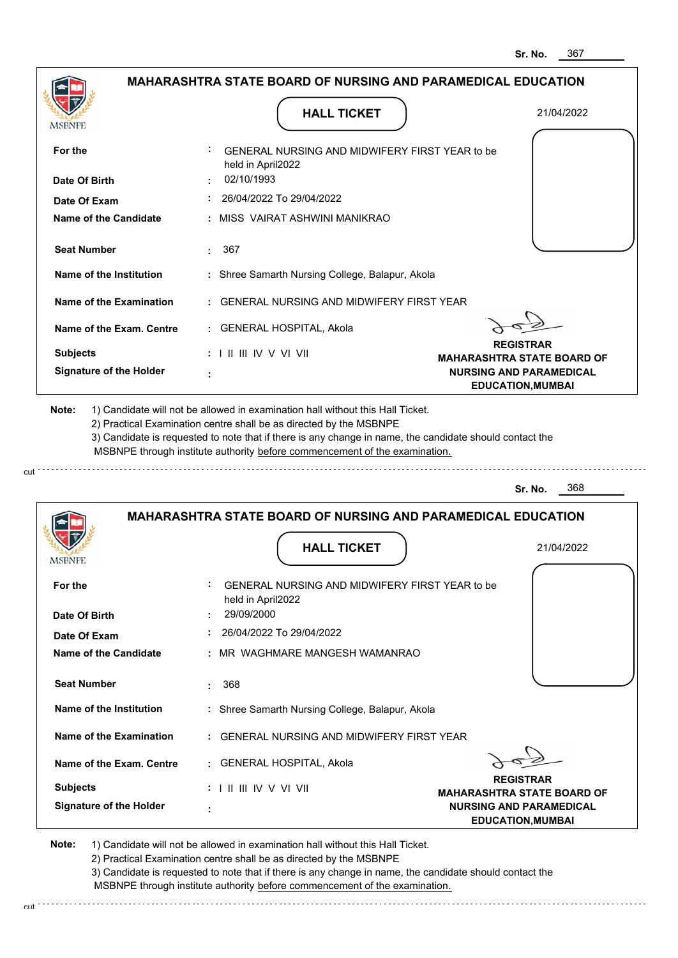|                                                                                                                                                            | <b>MAHARASHTRA STATE BOARD OF NURSING AND PARAMEDICAL EDUCATION</b>                                                                                                                                                                                                                                                                           |                                                            |
|------------------------------------------------------------------------------------------------------------------------------------------------------------|-----------------------------------------------------------------------------------------------------------------------------------------------------------------------------------------------------------------------------------------------------------------------------------------------------------------------------------------------|------------------------------------------------------------|
| MSBNPE                                                                                                                                                     | <b>HALL TICKET</b>                                                                                                                                                                                                                                                                                                                            | 21/04/2022                                                 |
| For the                                                                                                                                                    | GENERAL NURSING AND MIDWIFERY FIRST YEAR to be<br>held in April2022                                                                                                                                                                                                                                                                           |                                                            |
| Date Of Birth                                                                                                                                              | 02/10/1993                                                                                                                                                                                                                                                                                                                                    |                                                            |
| Date Of Exam                                                                                                                                               | 26/04/2022 To 29/04/2022                                                                                                                                                                                                                                                                                                                      |                                                            |
| Name of the Candidate                                                                                                                                      | : MISS VAIRAT ASHWINI MANIKRAO                                                                                                                                                                                                                                                                                                                |                                                            |
| <b>Seat Number</b>                                                                                                                                         | 367<br>t in                                                                                                                                                                                                                                                                                                                                   |                                                            |
| Name of the Institution                                                                                                                                    | : Shree Samarth Nursing College, Balapur, Akola                                                                                                                                                                                                                                                                                               |                                                            |
| Name of the Examination                                                                                                                                    | : GENERAL NURSING AND MIDWIFERY FIRST YEAR                                                                                                                                                                                                                                                                                                    |                                                            |
| Name of the Exam. Centre                                                                                                                                   | : GENERAL HOSPITAL, Akola                                                                                                                                                                                                                                                                                                                     |                                                            |
| <b>Subjects</b>                                                                                                                                            | $: 1 \mathbb{I}$ III IIV V VI VII                                                                                                                                                                                                                                                                                                             | <b>REGISTRAR</b><br><b>MAHARASHTRA STATE BOARD OF</b>      |
| <b>Signature of the Holder</b>                                                                                                                             |                                                                                                                                                                                                                                                                                                                                               | <b>NURSING AND PARAMEDICAL</b><br><b>EDUCATION, MUMBAI</b> |
|                                                                                                                                                            | 1) Candidate will not be allowed in examination hall without this Hall Ticket.<br>2) Practical Examination centre shall be as directed by the MSBNPE<br>3) Candidate is requested to note that if there is any change in name, the candidate should contact the<br>MSBNPE through institute authority before commencement of the examination. |                                                            |
|                                                                                                                                                            |                                                                                                                                                                                                                                                                                                                                               | 368<br>Sr. No.                                             |
| Note:                                                                                                                                                      | <b>MAHARASHTRA STATE BOARD OF NURSING AND PARAMEDICAL EDUCATION</b>                                                                                                                                                                                                                                                                           |                                                            |
| <b>IMPDIAL</b> P                                                                                                                                           | <b>HALL TICKET</b>                                                                                                                                                                                                                                                                                                                            | 21/04/2022                                                 |
|                                                                                                                                                            | GENERAL NURSING AND MIDWIFERY FIRST YEAR to be<br>held in April2022                                                                                                                                                                                                                                                                           |                                                            |
|                                                                                                                                                            | 29/09/2000                                                                                                                                                                                                                                                                                                                                    |                                                            |
|                                                                                                                                                            | 26/04/2022 To 29/04/2022<br>: MR WAGHMARE MANGESH WAMANRAO                                                                                                                                                                                                                                                                                    |                                                            |
| <b>Seat Number</b>                                                                                                                                         | 368                                                                                                                                                                                                                                                                                                                                           |                                                            |
|                                                                                                                                                            | : Shree Samarth Nursing College, Balapur, Akola                                                                                                                                                                                                                                                                                               |                                                            |
|                                                                                                                                                            | : GENERAL NURSING AND MIDWIFERY FIRST YEAR                                                                                                                                                                                                                                                                                                    |                                                            |
| For the<br>Date Of Birth<br>Date Of Exam<br><b>Name of the Candidate</b><br>Name of the Institution<br>Name of the Examination<br>Name of the Exam. Centre | : GENERAL HOSPITAL, Akola                                                                                                                                                                                                                                                                                                                     |                                                            |
| <b>Subjects</b>                                                                                                                                            | : I II III IV V VI VII                                                                                                                                                                                                                                                                                                                        | <b>REGISTRAR</b><br><b>MAHARASHTRA STATE BOARD OF</b>      |

2) Practical Examination centre shall be as directed by the MSBNPE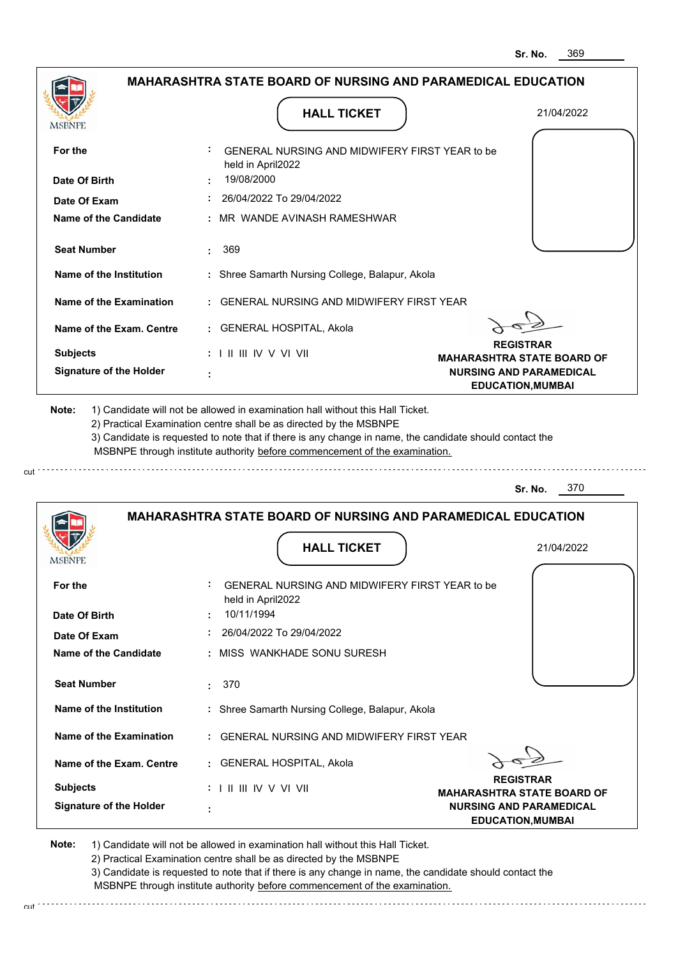|                                | <b>HALL TICKET</b>                                                                                                                                                                                                                                                                                                                            | 21/04/2022                                                 |
|--------------------------------|-----------------------------------------------------------------------------------------------------------------------------------------------------------------------------------------------------------------------------------------------------------------------------------------------------------------------------------------------|------------------------------------------------------------|
| <b>MSBNPE</b>                  |                                                                                                                                                                                                                                                                                                                                               |                                                            |
| For the                        | GENERAL NURSING AND MIDWIFERY FIRST YEAR to be<br>held in April2022                                                                                                                                                                                                                                                                           |                                                            |
| Date Of Birth                  | 19/08/2000                                                                                                                                                                                                                                                                                                                                    |                                                            |
| Date Of Exam                   | 26/04/2022 To 29/04/2022                                                                                                                                                                                                                                                                                                                      |                                                            |
| <b>Name of the Candidate</b>   | : MR WANDE AVINASH RAMESHWAR                                                                                                                                                                                                                                                                                                                  |                                                            |
| <b>Seat Number</b>             | 369                                                                                                                                                                                                                                                                                                                                           |                                                            |
| Name of the Institution        | : Shree Samarth Nursing College, Balapur, Akola                                                                                                                                                                                                                                                                                               |                                                            |
| Name of the Examination        | : GENERAL NURSING AND MIDWIFERY FIRST YEAR                                                                                                                                                                                                                                                                                                    |                                                            |
| Name of the Exam. Centre       | : GENERAL HOSPITAL, Akola                                                                                                                                                                                                                                                                                                                     |                                                            |
| <b>Subjects</b>                | $: 1 \parallel \parallel \parallel$ IV V VI VII                                                                                                                                                                                                                                                                                               | <b>REGISTRAR</b><br><b>MAHARASHTRA STATE BOARD OF</b>      |
| <b>Signature of the Holder</b> |                                                                                                                                                                                                                                                                                                                                               | <b>NURSING AND PARAMEDICAL</b><br><b>EDUCATION, MUMBAI</b> |
|                                | 1) Candidate will not be allowed in examination hall without this Hall Ticket.<br>2) Practical Examination centre shall be as directed by the MSBNPE<br>3) Candidate is requested to note that if there is any change in name, the candidate should contact the<br>MSBNPE through institute authority before commencement of the examination. | 370<br>Sr. No.                                             |
| Note:                          |                                                                                                                                                                                                                                                                                                                                               |                                                            |
|                                | <b>MAHARASHTRA STATE BOARD OF NURSING AND PARAMEDICAL EDUCATION</b>                                                                                                                                                                                                                                                                           |                                                            |
| MSBNPI                         | <b>HALL TICKET</b>                                                                                                                                                                                                                                                                                                                            | 21/04/2022                                                 |
| For the                        | GENERAL NURSING AND MIDWIFERY FIRST YEAR to be<br>held in April2022                                                                                                                                                                                                                                                                           |                                                            |
| Date Of Birth                  | 10/11/1994                                                                                                                                                                                                                                                                                                                                    |                                                            |
| Date Of Exam                   | 26/04/2022 To 29/04/2022                                                                                                                                                                                                                                                                                                                      |                                                            |
| Name of the Candidate          | : MISS WANKHADE SONU SURESH                                                                                                                                                                                                                                                                                                                   |                                                            |
| <b>Seat Number</b>             | : 370                                                                                                                                                                                                                                                                                                                                         |                                                            |
| Name of the Institution        | : Shree Samarth Nursing College, Balapur, Akola                                                                                                                                                                                                                                                                                               |                                                            |
| Name of the Examination        | : GENERAL NURSING AND MIDWIFERY FIRST YEAR                                                                                                                                                                                                                                                                                                    |                                                            |
| Name of the Exam. Centre       | : GENERAL HOSPITAL, Akola                                                                                                                                                                                                                                                                                                                     |                                                            |
| <b>Subjects</b>                | $: 1 \mathbb{I}$ III IIV V VI VII                                                                                                                                                                                                                                                                                                             | <b>REGISTRAR</b><br><b>MAHARASHTRA STATE BOARD OF</b>      |

3) Candidate is requested to note that if there is any change in name, the candidate should contact the MSBNPE through institute authority before commencement of the examination. cut de contra a construction de construction de construction de construction de construction de construction de construction de construction de construction de construction de construction de construction de construction d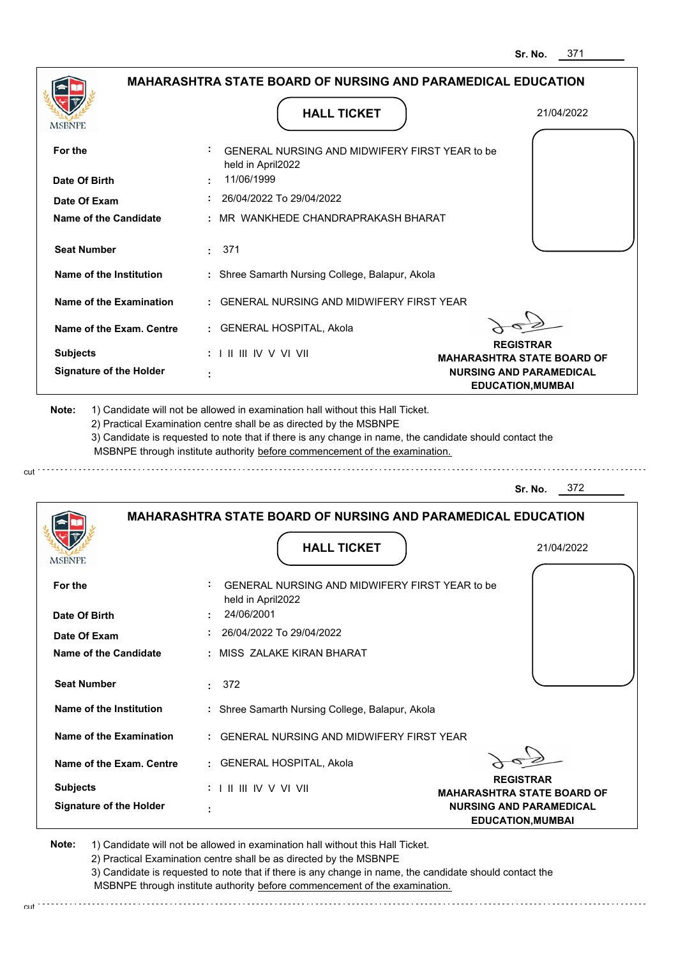| <b>MSBNPE</b>                         | <b>HALL TICKET</b>                                                                                                                                                                                                                                                                                                                            | 21/04/2022                                                 |
|---------------------------------------|-----------------------------------------------------------------------------------------------------------------------------------------------------------------------------------------------------------------------------------------------------------------------------------------------------------------------------------------------|------------------------------------------------------------|
| For the                               | GENERAL NURSING AND MIDWIFERY FIRST YEAR to be<br>held in April2022                                                                                                                                                                                                                                                                           |                                                            |
| Date Of Birth                         | 11/06/1999                                                                                                                                                                                                                                                                                                                                    |                                                            |
| Date Of Exam                          | 26/04/2022 To 29/04/2022                                                                                                                                                                                                                                                                                                                      |                                                            |
| Name of the Candidate                 | : MR WANKHEDE CHANDRAPRAKASH BHARAT                                                                                                                                                                                                                                                                                                           |                                                            |
| <b>Seat Number</b>                    | 371<br>t.                                                                                                                                                                                                                                                                                                                                     |                                                            |
| Name of the Institution               | : Shree Samarth Nursing College, Balapur, Akola                                                                                                                                                                                                                                                                                               |                                                            |
| Name of the Examination               | : GENERAL NURSING AND MIDWIFERY FIRST YEAR                                                                                                                                                                                                                                                                                                    |                                                            |
| Name of the Exam. Centre              | : GENERAL HOSPITAL, Akola                                                                                                                                                                                                                                                                                                                     |                                                            |
| <b>Subjects</b>                       | $: 1 \parallel \parallel \parallel$ IV V VI VII                                                                                                                                                                                                                                                                                               | <b>REGISTRAR</b><br><b>MAHARASHTRA STATE BOARD OF</b>      |
| <b>Signature of the Holder</b>        |                                                                                                                                                                                                                                                                                                                                               | <b>NURSING AND PARAMEDICAL</b><br><b>EDUCATION, MUMBAI</b> |
|                                       | 1) Candidate will not be allowed in examination hall without this Hall Ticket.<br>2) Practical Examination centre shall be as directed by the MSBNPE<br>3) Candidate is requested to note that if there is any change in name, the candidate should contact the<br>MSBNPE through institute authority before commencement of the examination. | 372<br>Sr. No.                                             |
| Note:                                 |                                                                                                                                                                                                                                                                                                                                               |                                                            |
|                                       | <b>MAHARASHTRA STATE BOARD OF NURSING AND PARAMEDICAL EDUCATION</b>                                                                                                                                                                                                                                                                           |                                                            |
| MSBNF                                 | <b>HALL TICKET</b>                                                                                                                                                                                                                                                                                                                            | 21/04/2022                                                 |
| For the                               | <b>GENERAL NURSING AND MIDWIFERY FIRST YEAR to be</b><br>held in April2022                                                                                                                                                                                                                                                                    |                                                            |
| Date Of Birth                         | 24/06/2001                                                                                                                                                                                                                                                                                                                                    |                                                            |
|                                       | 26/04/2022 To 29/04/2022<br>: MISS ZALAKE KIRAN BHARAT                                                                                                                                                                                                                                                                                        |                                                            |
| Date Of Exam<br>Name of the Candidate |                                                                                                                                                                                                                                                                                                                                               |                                                            |
| <b>Seat Number</b>                    | : 372                                                                                                                                                                                                                                                                                                                                         |                                                            |
| Name of the Institution               | : Shree Samarth Nursing College, Balapur, Akola                                                                                                                                                                                                                                                                                               |                                                            |
| Name of the Examination               | : GENERAL NURSING AND MIDWIFERY FIRST YEAR                                                                                                                                                                                                                                                                                                    |                                                            |
| Name of the Exam. Centre              | : GENERAL HOSPITAL, Akola                                                                                                                                                                                                                                                                                                                     |                                                            |
| <b>Subjects</b>                       | : I II III IV V VI VII                                                                                                                                                                                                                                                                                                                        | <b>REGISTRAR</b><br><b>MAHARASHTRA STATE BOARD OF</b>      |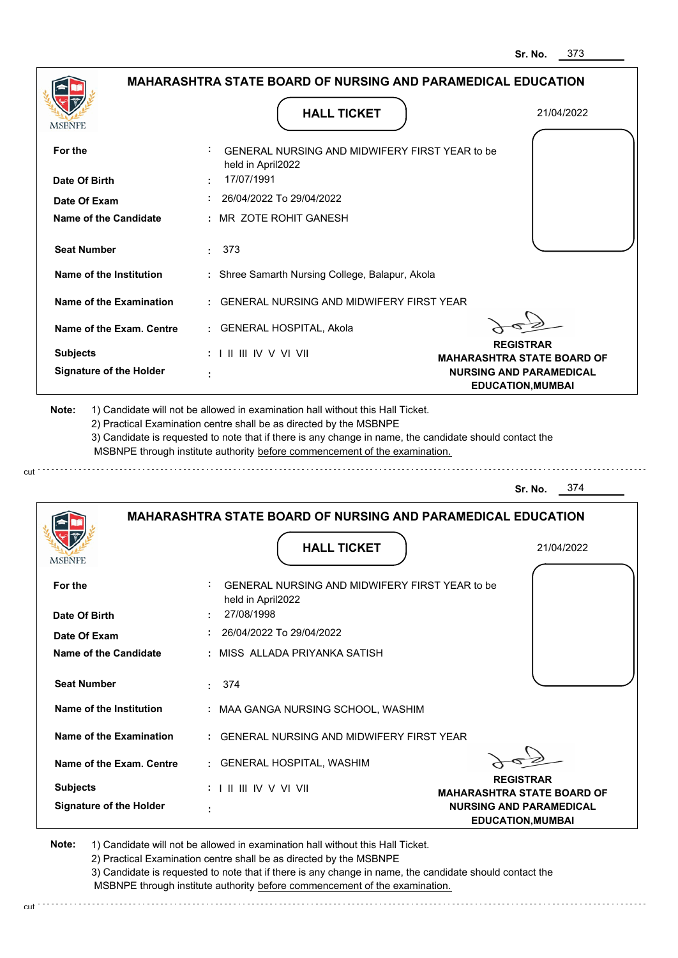

3) Candidate is requested to note that if there is any change in name, the candidate should contact the MSBNPE through institute authority before commencement of the examination.

cut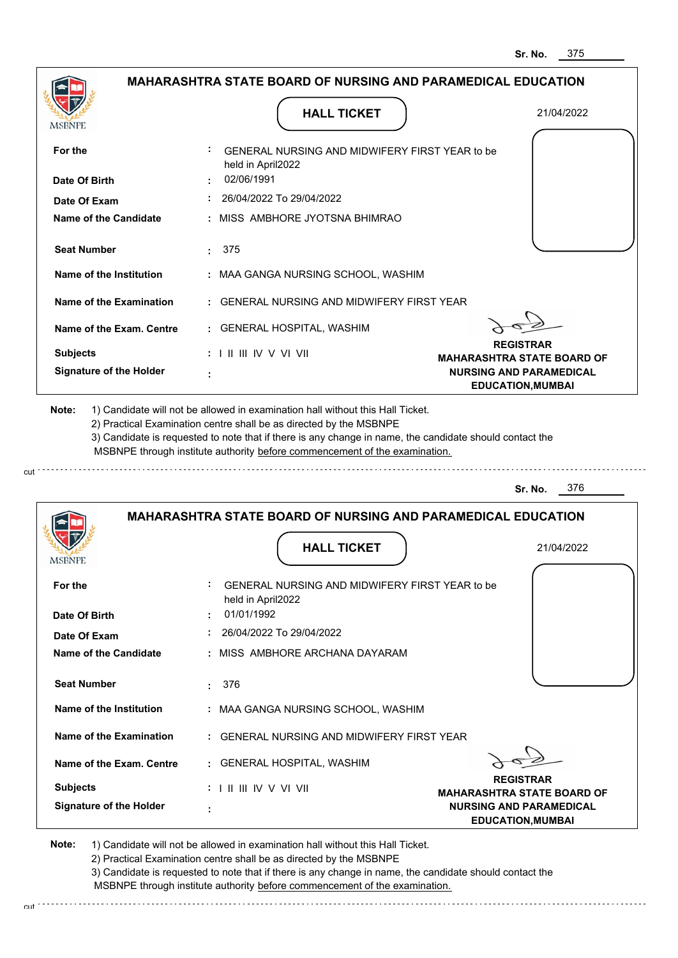|                                                   |                                                                                                                                                                                                                                                             | <b>MAHARASHTRA STATE BOARD OF NURSING AND PARAMEDICAL EDUCATION</b> |
|---------------------------------------------------|-------------------------------------------------------------------------------------------------------------------------------------------------------------------------------------------------------------------------------------------------------------|---------------------------------------------------------------------|
| <b>MSBNPE</b>                                     | <b>HALL TICKET</b>                                                                                                                                                                                                                                          | 21/04/2022                                                          |
| For the                                           | GENERAL NURSING AND MIDWIFERY FIRST YEAR to be<br>held in April2022                                                                                                                                                                                         |                                                                     |
| Date Of Birth                                     | 02/06/1991                                                                                                                                                                                                                                                  |                                                                     |
| Date Of Exam                                      | : 26/04/2022 To 29/04/2022                                                                                                                                                                                                                                  |                                                                     |
| Name of the Candidate                             | : MISS AMBHORE JYOTSNA BHIMRAO                                                                                                                                                                                                                              |                                                                     |
| <b>Seat Number</b>                                | : 375                                                                                                                                                                                                                                                       |                                                                     |
| Name of the Institution                           | : MAA GANGA NURSING SCHOOL, WASHIM                                                                                                                                                                                                                          |                                                                     |
| Name of the Examination                           | : GENERAL NURSING AND MIDWIFERY FIRST YEAR                                                                                                                                                                                                                  |                                                                     |
| Name of the Exam. Centre                          | : GENERAL HOSPITAL, WASHIM                                                                                                                                                                                                                                  |                                                                     |
| <b>Subjects</b>                                   | $: 1 \parallel \parallel \parallel$ IV V VI VII                                                                                                                                                                                                             | <b>REGISTRAR</b><br><b>MAHARASHTRA STATE BOARD OF</b>               |
| <b>Signature of the Holder</b>                    |                                                                                                                                                                                                                                                             | <b>NURSING AND PARAMEDICAL</b><br><b>EDUCATION, MUMBAI</b>          |
|                                                   | 2) Practical Examination centre shall be as directed by the MSBNPE<br>3) Candidate is requested to note that if there is any change in name, the candidate should contact the<br>MSBNPE through institute authority before commencement of the examination. |                                                                     |
|                                                   |                                                                                                                                                                                                                                                             | 376<br>Sr. No.                                                      |
|                                                   | <b>MAHARASHTRA STATE BOARD OF NURSING AND PARAMEDICAL EDUCATION</b><br><b>HALL TICKET</b>                                                                                                                                                                   | 21/04/2022                                                          |
| For the                                           | GENERAL NURSING AND MIDWIFERY FIRST YEAR to be<br>held in April2022                                                                                                                                                                                         |                                                                     |
| Date Of Birth                                     | 01/01/1992                                                                                                                                                                                                                                                  |                                                                     |
| Date Of Exam                                      | 26/04/2022 To 29/04/2022                                                                                                                                                                                                                                    |                                                                     |
| Name of the Candidate                             | : MISS AMBHORE ARCHANA DAYARAM                                                                                                                                                                                                                              |                                                                     |
| <b>Seat Number</b>                                | 376                                                                                                                                                                                                                                                         |                                                                     |
| Name of the Institution                           | : MAA GANGA NURSING SCHOOL, WASHIM                                                                                                                                                                                                                          |                                                                     |
| Name of the Examination                           | : GENERAL NURSING AND MIDWIFERY FIRST YEAR                                                                                                                                                                                                                  |                                                                     |
| Name of the Exam. Centre                          | : GENERAL HOSPITAL, WASHIM                                                                                                                                                                                                                                  |                                                                     |
| <b>Subjects</b><br><b>Signature of the Holder</b> | $: 1 \mathbb{H} \mathbb{H} \mathbb{N} \vee \mathbb{V} \mathbb{H}$                                                                                                                                                                                           | <b>REGISTRAR</b><br><b>MAHARASHTRA STATE BOARD OF</b>               |

2) Practical Examination centre shall be as directed by the MSBNPE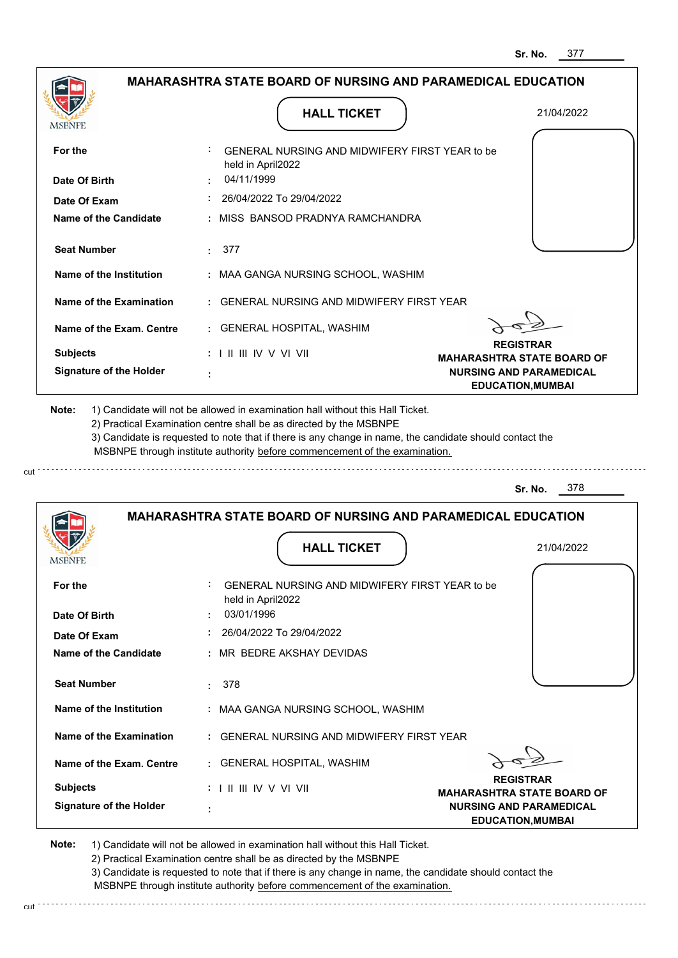|                                | <b>HALL TICKET</b>                                                                                                                                                                                                                                          | 21/04/2022                                                 |
|--------------------------------|-------------------------------------------------------------------------------------------------------------------------------------------------------------------------------------------------------------------------------------------------------------|------------------------------------------------------------|
| <b>MSBNPE</b>                  |                                                                                                                                                                                                                                                             |                                                            |
| For the                        | GENERAL NURSING AND MIDWIFERY FIRST YEAR to be<br>held in April2022                                                                                                                                                                                         |                                                            |
| Date Of Birth                  | 04/11/1999                                                                                                                                                                                                                                                  |                                                            |
| Date Of Exam                   | 26/04/2022 To 29/04/2022                                                                                                                                                                                                                                    |                                                            |
| Name of the Candidate          | : MISS BANSOD PRADNYA RAMCHANDRA                                                                                                                                                                                                                            |                                                            |
| <b>Seat Number</b>             | 377<br>2.11                                                                                                                                                                                                                                                 |                                                            |
| Name of the Institution        | : MAA GANGA NURSING SCHOOL, WASHIM                                                                                                                                                                                                                          |                                                            |
| Name of the Examination        | : GENERAL NURSING AND MIDWIFERY FIRST YEAR                                                                                                                                                                                                                  |                                                            |
| Name of the Exam. Centre       | : GENERAL HOSPITAL, WASHIM                                                                                                                                                                                                                                  |                                                            |
| <b>Subjects</b>                | $: 1 \parallel \parallel \parallel$ IV V VI VII                                                                                                                                                                                                             | <b>REGISTRAR</b><br><b>MAHARASHTRA STATE BOARD OF</b>      |
| <b>Signature of the Holder</b> |                                                                                                                                                                                                                                                             | <b>NURSING AND PARAMEDICAL</b><br><b>EDUCATION, MUMBAI</b> |
|                                | 2) Practical Examination centre shall be as directed by the MSBNPE<br>3) Candidate is requested to note that if there is any change in name, the candidate should contact the<br>MSBNPE through institute authority before commencement of the examination. | 378<br>Sr. No.                                             |
|                                |                                                                                                                                                                                                                                                             |                                                            |
|                                | <b>MAHARASHTRA STATE BOARD OF NURSING AND PARAMEDICAL EDUCATION</b>                                                                                                                                                                                         |                                                            |
| MSBNF                          | <b>HALL TICKET</b>                                                                                                                                                                                                                                          | 21/04/2022                                                 |
|                                | GENERAL NURSING AND MIDWIFERY FIRST YEAR to be<br>held in April2022                                                                                                                                                                                         |                                                            |
| For the<br>Date Of Birth       | 03/01/1996                                                                                                                                                                                                                                                  |                                                            |
| Date Of Exam                   | 26/04/2022 To 29/04/2022                                                                                                                                                                                                                                    |                                                            |
| <b>Name of the Candidate</b>   | : MR BEDRE AKSHAY DEVIDAS                                                                                                                                                                                                                                   |                                                            |
| <b>Seat Number</b>             | : 378                                                                                                                                                                                                                                                       |                                                            |
| Name of the Institution        | : MAA GANGA NURSING SCHOOL, WASHIM                                                                                                                                                                                                                          |                                                            |
| Name of the Examination        | : GENERAL NURSING AND MIDWIFERY FIRST YEAR                                                                                                                                                                                                                  |                                                            |
| Name of the Exam. Centre       | : GENERAL HOSPITAL, WASHIM                                                                                                                                                                                                                                  |                                                            |
| <b>Subjects</b>                | : I II III IV V VI VII                                                                                                                                                                                                                                      | <b>REGISTRAR</b><br><b>MAHARASHTRA STATE BOARD OF</b>      |

3) Candidate is requested to note that if there is any change in name, the candidate should contact the

 MSBNPE through institute authority before commencement of the examination. cut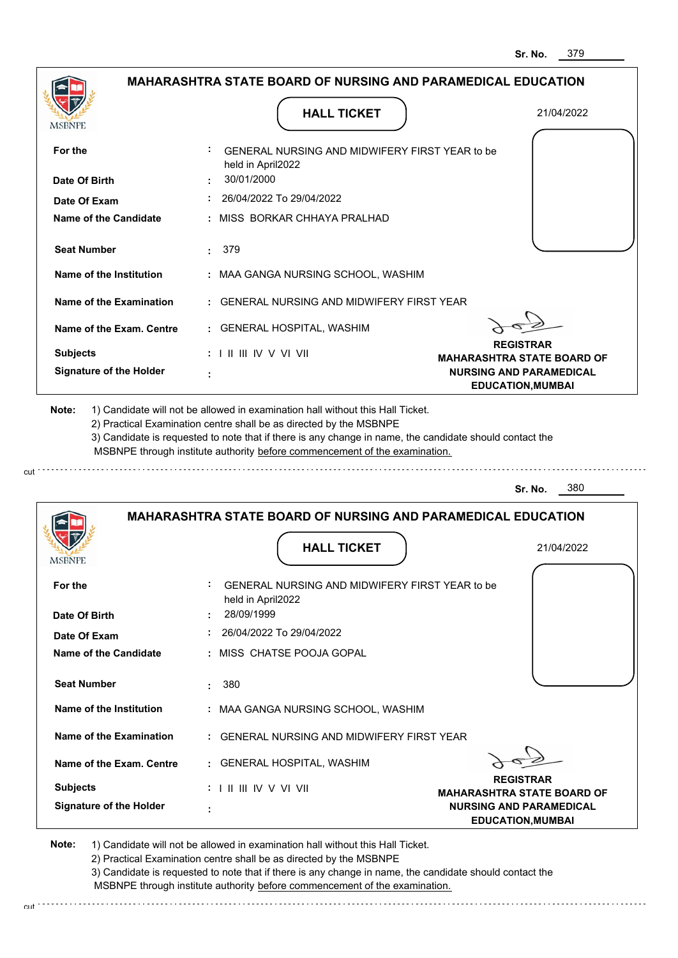| <b>MSBNPE</b>                       | <b>HALL TICKET</b>                                                                                                                                                                                                                                                                                                                            | 21/04/2022                                                          |
|-------------------------------------|-----------------------------------------------------------------------------------------------------------------------------------------------------------------------------------------------------------------------------------------------------------------------------------------------------------------------------------------------|---------------------------------------------------------------------|
| For the                             | GENERAL NURSING AND MIDWIFERY FIRST YEAR to be<br>held in April2022                                                                                                                                                                                                                                                                           |                                                                     |
| Date Of Birth                       | 30/01/2000                                                                                                                                                                                                                                                                                                                                    |                                                                     |
| Date Of Exam                        | 26/04/2022 To 29/04/2022                                                                                                                                                                                                                                                                                                                      |                                                                     |
| <b>Name of the Candidate</b>        | : MISS BORKAR CHHAYA PRALHAD                                                                                                                                                                                                                                                                                                                  |                                                                     |
| <b>Seat Number</b>                  | 379<br>÷.                                                                                                                                                                                                                                                                                                                                     |                                                                     |
| Name of the Institution             | : MAA GANGA NURSING SCHOOL, WASHIM                                                                                                                                                                                                                                                                                                            |                                                                     |
| Name of the Examination             | : GENERAL NURSING AND MIDWIFERY FIRST YEAR                                                                                                                                                                                                                                                                                                    |                                                                     |
| Name of the Exam. Centre            | : GENERAL HOSPITAL, WASHIM                                                                                                                                                                                                                                                                                                                    |                                                                     |
| <b>Subjects</b>                     | $: 1 \parallel \parallel \parallel$ IV V VI VII                                                                                                                                                                                                                                                                                               | <b>REGISTRAR</b>                                                    |
| <b>Signature of the Holder</b>      |                                                                                                                                                                                                                                                                                                                                               | <b>MAHARASHTRA STATE BOARD OF</b><br><b>NURSING AND PARAMEDICAL</b> |
|                                     | 1) Candidate will not be allowed in examination hall without this Hall Ticket.<br>2) Practical Examination centre shall be as directed by the MSBNPE<br>3) Candidate is requested to note that if there is any change in name, the candidate should contact the<br>MSBNPE through institute authority before commencement of the examination. |                                                                     |
|                                     |                                                                                                                                                                                                                                                                                                                                               | 380<br>Sr. No.                                                      |
|                                     | <b>MAHARASHTRA STATE BOARD OF NURSING AND PARAMEDICAL EDUCATION</b>                                                                                                                                                                                                                                                                           |                                                                     |
| MSBNF                               | <b>HALL TICKET</b>                                                                                                                                                                                                                                                                                                                            | 21/04/2022                                                          |
| For the                             | <b>GENERAL NURSING AND MIDWIFERY FIRST YEAR to be</b><br>held in April2022                                                                                                                                                                                                                                                                    |                                                                     |
|                                     | 28/09/1999                                                                                                                                                                                                                                                                                                                                    |                                                                     |
| Date Of Exam                        | $: 26/04/2022$ To 29/04/2022                                                                                                                                                                                                                                                                                                                  |                                                                     |
| Name of the Candidate               | : MISS CHATSE POOJA GOPAL                                                                                                                                                                                                                                                                                                                     |                                                                     |
| Date Of Birth<br><b>Seat Number</b> | 380                                                                                                                                                                                                                                                                                                                                           |                                                                     |
| Name of the Institution             | : MAA GANGA NURSING SCHOOL, WASHIM                                                                                                                                                                                                                                                                                                            |                                                                     |
| Name of the Examination             | : GENERAL NURSING AND MIDWIFERY FIRST YEAR                                                                                                                                                                                                                                                                                                    |                                                                     |
| Name of the Exam. Centre            | : GENERAL HOSPITAL, WASHIM                                                                                                                                                                                                                                                                                                                    |                                                                     |
| <b>Subjects</b>                     |                                                                                                                                                                                                                                                                                                                                               | <b>REGISTRAR</b><br><b>MAHARASHTRA STATE BOARD OF</b>               |

2) Practical Examination centre shall be as directed by the MSBNPE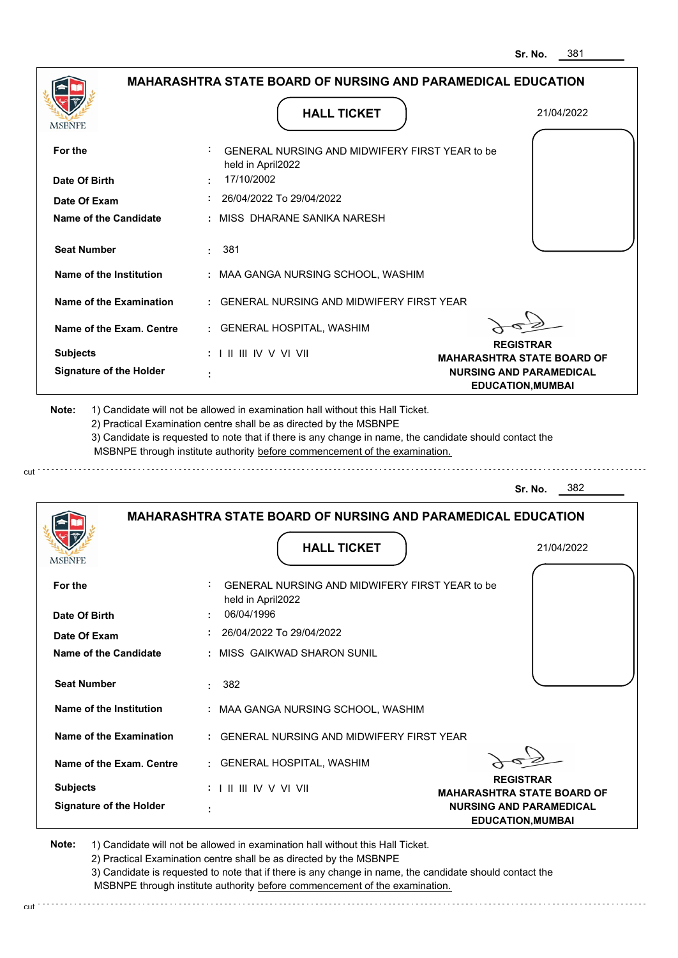|                                | <b>HALL TICKET</b>                                                                                                                                                                                                                                          | 21/04/2022                                                 |
|--------------------------------|-------------------------------------------------------------------------------------------------------------------------------------------------------------------------------------------------------------------------------------------------------------|------------------------------------------------------------|
| MSBNPE                         |                                                                                                                                                                                                                                                             |                                                            |
| For the                        | GENERAL NURSING AND MIDWIFERY FIRST YEAR to be<br>held in April2022                                                                                                                                                                                         |                                                            |
| Date Of Birth                  | 17/10/2002                                                                                                                                                                                                                                                  |                                                            |
| Date Of Exam                   | 26/04/2022 To 29/04/2022                                                                                                                                                                                                                                    |                                                            |
| <b>Name of the Candidate</b>   | : MISS DHARANE SANIKA NARESH                                                                                                                                                                                                                                |                                                            |
| <b>Seat Number</b>             | 381<br>÷.                                                                                                                                                                                                                                                   |                                                            |
| Name of the Institution        | : MAA GANGA NURSING SCHOOL, WASHIM                                                                                                                                                                                                                          |                                                            |
| Name of the Examination        | : GENERAL NURSING AND MIDWIFERY FIRST YEAR                                                                                                                                                                                                                  |                                                            |
| Name of the Exam. Centre       | : GENERAL HOSPITAL, WASHIM                                                                                                                                                                                                                                  |                                                            |
| <b>Subjects</b>                | $: 1 \parallel \parallel \parallel$ IV V VI VII                                                                                                                                                                                                             | <b>REGISTRAR</b><br><b>MAHARASHTRA STATE BOARD OF</b>      |
| <b>Signature of the Holder</b> |                                                                                                                                                                                                                                                             | <b>NURSING AND PARAMEDICAL</b><br><b>EDUCATION, MUMBAI</b> |
|                                | 2) Practical Examination centre shall be as directed by the MSBNPE<br>3) Candidate is requested to note that if there is any change in name, the candidate should contact the<br>MSBNPE through institute authority before commencement of the examination. | 382<br>Sr. No.                                             |
|                                | <b>MAHARASHTRA STATE BOARD OF NURSING AND PARAMEDICAL EDUCATION</b>                                                                                                                                                                                         |                                                            |
|                                |                                                                                                                                                                                                                                                             |                                                            |
| <b>MSBNPE</b>                  | <b>HALL TICKET</b>                                                                                                                                                                                                                                          | 21/04/2022                                                 |
| For the                        | GENERAL NURSING AND MIDWIFERY FIRST YEAR to be<br>held in April2022                                                                                                                                                                                         |                                                            |
| Date Of Birth                  | 06/04/1996                                                                                                                                                                                                                                                  |                                                            |
| Date Of Exam                   | 26/04/2022 To 29/04/2022                                                                                                                                                                                                                                    |                                                            |
| Name of the Candidate          | : MISS GAIKWAD SHARON SUNIL                                                                                                                                                                                                                                 |                                                            |
| <b>Seat Number</b>             | 382<br>t.                                                                                                                                                                                                                                                   |                                                            |
| Name of the Institution        | : MAA GANGA NURSING SCHOOL, WASHIM                                                                                                                                                                                                                          |                                                            |
| Name of the Examination        | : GENERAL NURSING AND MIDWIFERY FIRST YEAR                                                                                                                                                                                                                  |                                                            |
| Name of the Exam. Centre       | : GENERAL HOSPITAL, WASHIM                                                                                                                                                                                                                                  |                                                            |
| <b>Subjects</b>                | $: 1 \parallel \parallel \parallel$ IV V VI VII                                                                                                                                                                                                             | <b>REGISTRAR</b><br><b>MAHARASHTRA STATE BOARD OF</b>      |

3) Candidate is requested to note that if there is any change in name, the candidate should contact the MSBNPE through institute authority before commencement of the examination. cut de la component de la component de la component de la component de la component de la component de la component de la component de la component de la component de la component de la component de la component de la comp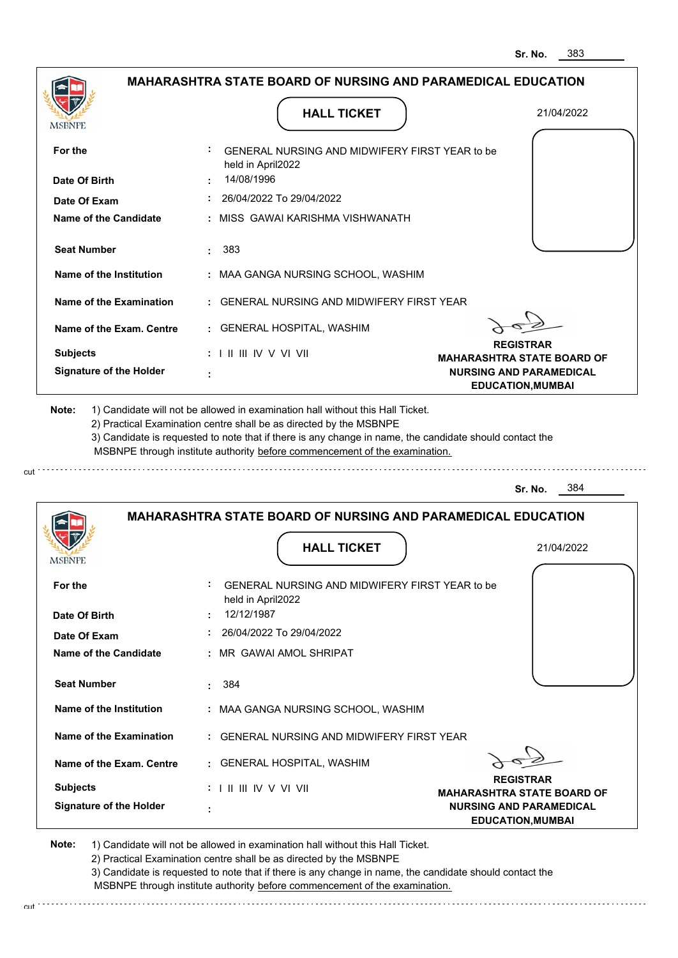| <b>MSBNPE</b>                                                               | <b>HALL TICKET</b>                                                                                                                                                                                                                                          | 21/04/2022                                                                     |
|-----------------------------------------------------------------------------|-------------------------------------------------------------------------------------------------------------------------------------------------------------------------------------------------------------------------------------------------------------|--------------------------------------------------------------------------------|
| For the                                                                     | GENERAL NURSING AND MIDWIFERY FIRST YEAR to be<br>held in April2022                                                                                                                                                                                         |                                                                                |
| Date Of Birth                                                               | 14/08/1996                                                                                                                                                                                                                                                  |                                                                                |
| Date Of Exam                                                                | 26/04/2022 To 29/04/2022                                                                                                                                                                                                                                    |                                                                                |
| <b>Name of the Candidate</b>                                                | : MISS GAWAI KARISHMA VISHWANATH                                                                                                                                                                                                                            |                                                                                |
| <b>Seat Number</b>                                                          | 383<br>÷.                                                                                                                                                                                                                                                   |                                                                                |
| Name of the Institution                                                     | : MAA GANGA NURSING SCHOOL, WASHIM                                                                                                                                                                                                                          |                                                                                |
| Name of the Examination                                                     | : GENERAL NURSING AND MIDWIFERY FIRST YEAR                                                                                                                                                                                                                  |                                                                                |
| Name of the Exam. Centre                                                    | : GENERAL HOSPITAL, WASHIM                                                                                                                                                                                                                                  |                                                                                |
| <b>Subjects</b>                                                             | $: 1 \parallel \parallel \parallel$ IV V VI VII                                                                                                                                                                                                             | <b>REGISTRAR</b><br><b>MAHARASHTRA STATE BOARD OF</b>                          |
| <b>Signature of the Holder</b>                                              |                                                                                                                                                                                                                                                             | <b>NURSING AND PARAMEDICAL</b><br><b>EDUCATION, MUMBAI</b>                     |
|                                                                             | 2) Practical Examination centre shall be as directed by the MSBNPE<br>3) Candidate is requested to note that if there is any change in name, the candidate should contact the<br>MSBNPE through institute authority before commencement of the examination. | 1) Candidate will not be allowed in examination hall without this Hall Ticket. |
|                                                                             |                                                                                                                                                                                                                                                             | 384<br>Sr. No.                                                                 |
|                                                                             | <b>MAHARASHTRA STATE BOARD OF NURSING AND PARAMEDICAL EDUCATION</b><br><b>HALL TICKET</b>                                                                                                                                                                   | 21/04/2022                                                                     |
|                                                                             | GENERAL NURSING AND MIDWIFERY FIRST YEAR to be                                                                                                                                                                                                              |                                                                                |
| For the                                                                     | held in April2022<br>12/12/1987                                                                                                                                                                                                                             |                                                                                |
| Date Of Exam                                                                | : 26/04/2022 To 29/04/2022                                                                                                                                                                                                                                  |                                                                                |
|                                                                             | : MR GAWAI AMOL SHRIPAT                                                                                                                                                                                                                                     |                                                                                |
| Name of the Candidate<br><b>Seat Number</b>                                 | : 384                                                                                                                                                                                                                                                       |                                                                                |
| Name of the Institution                                                     | : MAA GANGA NURSING SCHOOL, WASHIM                                                                                                                                                                                                                          |                                                                                |
| Name of the Examination                                                     | : GENERAL NURSING AND MIDWIFERY FIRST YEAR                                                                                                                                                                                                                  |                                                                                |
| Name of the Exam. Centre                                                    | : GENERAL HOSPITAL, WASHIM                                                                                                                                                                                                                                  |                                                                                |
| MSBNP<br>Date Of Birth<br><b>Subjects</b><br><b>Signature of the Holder</b> | $: 1 \parallel \parallel \parallel$ IV V VI VII                                                                                                                                                                                                             | <b>REGISTRAR</b><br><b>MAHARASHTRA STATE BOARD OF</b>                          |

2) Practical Examination centre shall be as directed by the MSBNPE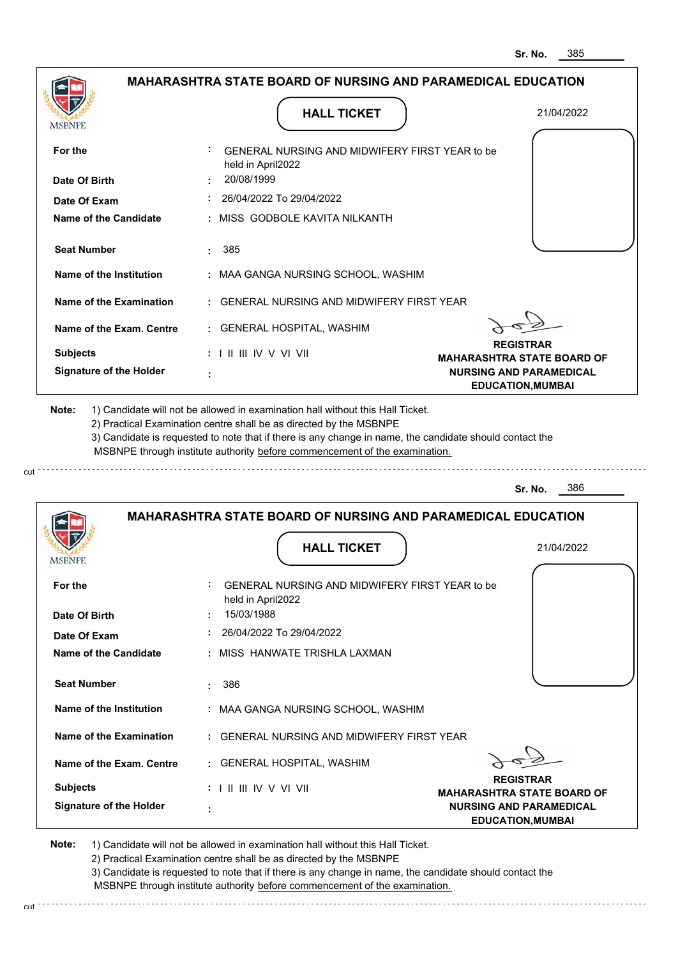| MSBNPE                                                                                                                                                                                                 |                                                 | <b>HALL TICKET</b>                                                                                                                                                                                                                                                                                                                            | 21/04/2022                                                                                      |
|--------------------------------------------------------------------------------------------------------------------------------------------------------------------------------------------------------|-------------------------------------------------|-----------------------------------------------------------------------------------------------------------------------------------------------------------------------------------------------------------------------------------------------------------------------------------------------------------------------------------------------|-------------------------------------------------------------------------------------------------|
| For the                                                                                                                                                                                                | held in April2022                               | GENERAL NURSING AND MIDWIFERY FIRST YEAR to be                                                                                                                                                                                                                                                                                                |                                                                                                 |
| Date Of Birth                                                                                                                                                                                          | 20/08/1999                                      |                                                                                                                                                                                                                                                                                                                                               |                                                                                                 |
| Date Of Exam                                                                                                                                                                                           |                                                 | 26/04/2022 To 29/04/2022                                                                                                                                                                                                                                                                                                                      |                                                                                                 |
| Name of the Candidate                                                                                                                                                                                  |                                                 | : MISS GODBOLE KAVITA NILKANTH                                                                                                                                                                                                                                                                                                                |                                                                                                 |
| <b>Seat Number</b>                                                                                                                                                                                     | 385<br>÷                                        |                                                                                                                                                                                                                                                                                                                                               |                                                                                                 |
| Name of the Institution                                                                                                                                                                                |                                                 | : MAA GANGA NURSING SCHOOL, WASHIM                                                                                                                                                                                                                                                                                                            |                                                                                                 |
| Name of the Examination                                                                                                                                                                                |                                                 | <b>GENERAL NURSING AND MIDWIFERY FIRST YEAR</b>                                                                                                                                                                                                                                                                                               |                                                                                                 |
| Name of the Exam. Centre                                                                                                                                                                               |                                                 | : GENERAL HOSPITAL, WASHIM                                                                                                                                                                                                                                                                                                                    |                                                                                                 |
| <b>Subjects</b>                                                                                                                                                                                        | $: 1 \parallel \parallel \parallel$ IV V VI VII |                                                                                                                                                                                                                                                                                                                                               | <b>REGISTRAR</b>                                                                                |
| <b>Signature of the Holder</b>                                                                                                                                                                         |                                                 |                                                                                                                                                                                                                                                                                                                                               | <b>MAHARASHTRA STATE BOARD OF</b><br><b>NURSING AND PARAMEDICAL</b><br><b>EDUCATION, MUMBAI</b> |
|                                                                                                                                                                                                        |                                                 | 1) Candidate will not be allowed in examination hall without this Hall Ticket.<br>2) Practical Examination centre shall be as directed by the MSBNPE<br>3) Candidate is requested to note that if there is any change in name, the candidate should contact the<br>MSBNPE through institute authority before commencement of the examination. | 386<br>Sr. No.                                                                                  |
| Note:                                                                                                                                                                                                  |                                                 | <b>MAHARASHTRA STATE BOARD OF NURSING AND PARAMEDICAL EDUCATION</b>                                                                                                                                                                                                                                                                           |                                                                                                 |
|                                                                                                                                                                                                        |                                                 | <b>HALL TICKET</b>                                                                                                                                                                                                                                                                                                                            | 21/04/2022                                                                                      |
|                                                                                                                                                                                                        |                                                 |                                                                                                                                                                                                                                                                                                                                               |                                                                                                 |
|                                                                                                                                                                                                        | held in April2022                               | GENERAL NURSING AND MIDWIFERY FIRST YEAR to be                                                                                                                                                                                                                                                                                                |                                                                                                 |
|                                                                                                                                                                                                        | 15/03/1988                                      |                                                                                                                                                                                                                                                                                                                                               |                                                                                                 |
|                                                                                                                                                                                                        |                                                 | 26/04/2022 To 29/04/2022                                                                                                                                                                                                                                                                                                                      |                                                                                                 |
|                                                                                                                                                                                                        |                                                 | : MISS HANWATE TRISHLA LAXMAN                                                                                                                                                                                                                                                                                                                 |                                                                                                 |
|                                                                                                                                                                                                        | 386                                             |                                                                                                                                                                                                                                                                                                                                               |                                                                                                 |
|                                                                                                                                                                                                        |                                                 | : MAA GANGA NURSING SCHOOL, WASHIM                                                                                                                                                                                                                                                                                                            |                                                                                                 |
|                                                                                                                                                                                                        |                                                 | : GENERAL NURSING AND MIDWIFERY FIRST YEAR                                                                                                                                                                                                                                                                                                    |                                                                                                 |
|                                                                                                                                                                                                        |                                                 | : GENERAL HOSPITAL, WASHIM                                                                                                                                                                                                                                                                                                                    |                                                                                                 |
| MSBNPE<br>For the<br>Date Of Birth<br>Date Of Exam<br>Name of the Candidate<br><b>Seat Number</b><br>Name of the Institution<br>Name of the Examination<br>Name of the Exam. Centre<br><b>Subjects</b> | : I II III IV V VI VII                          |                                                                                                                                                                                                                                                                                                                                               | <b>REGISTRAR</b><br><b>MAHARASHTRA STATE BOARD OF</b>                                           |

cut

3) Candidate is requested to note that if there is any change in name, the candidate should contact the MSBNPE through institute authority before commencement of the examination.

cut de contra a construction de construction de construction de construction de construction de construction de construction de construction de construction de construction de construction de construction de construction d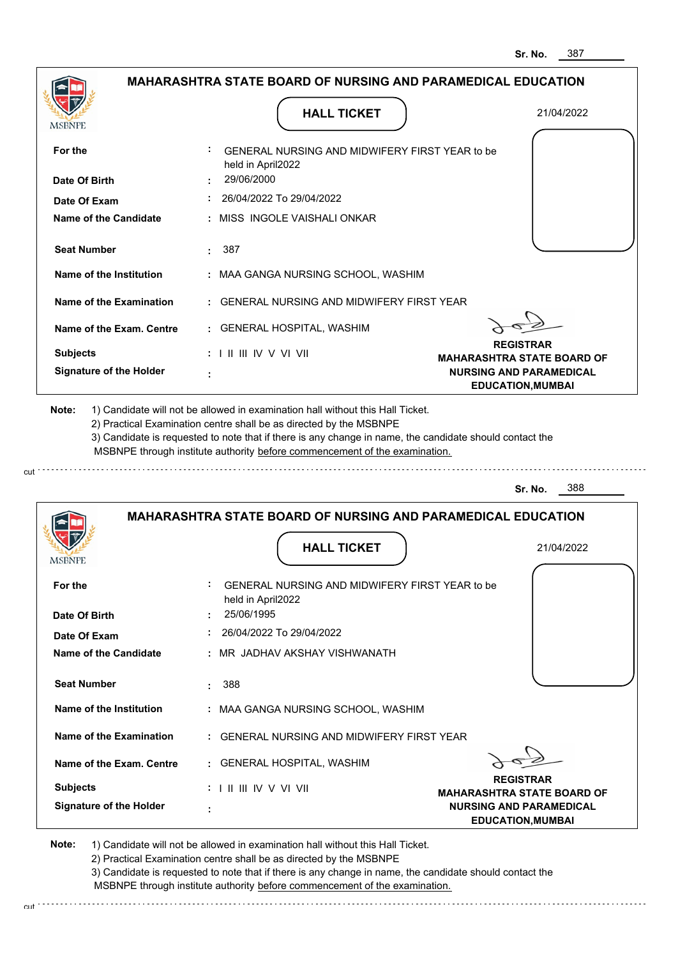| <b>MSBNPE</b>                                      | <b>HALL TICKET</b>                                                                                                                                                                                                                                          | 21/04/2022                                                 |
|----------------------------------------------------|-------------------------------------------------------------------------------------------------------------------------------------------------------------------------------------------------------------------------------------------------------------|------------------------------------------------------------|
| For the                                            | GENERAL NURSING AND MIDWIFERY FIRST YEAR to be<br>held in April2022                                                                                                                                                                                         |                                                            |
| Date Of Birth                                      | 29/06/2000                                                                                                                                                                                                                                                  |                                                            |
| Date Of Exam                                       | $: 26/04/2022$ To 29/04/2022                                                                                                                                                                                                                                |                                                            |
| Name of the Candidate                              | : MISS_INGOLE VAISHALI ONKAR                                                                                                                                                                                                                                |                                                            |
| <b>Seat Number</b>                                 | : 387                                                                                                                                                                                                                                                       |                                                            |
| Name of the Institution                            | : MAA GANGA NURSING SCHOOL, WASHIM                                                                                                                                                                                                                          |                                                            |
| Name of the Examination                            | : GENERAL NURSING AND MIDWIFERY FIRST YEAR                                                                                                                                                                                                                  |                                                            |
| Name of the Exam. Centre                           | : GENERAL HOSPITAL, WASHIM                                                                                                                                                                                                                                  |                                                            |
| <b>Subjects</b>                                    | $: 1 \mathbb{H} \mathbb{H} \mathbb{N} \vee \mathbb{V} \mathbb{V} \mathbb{H}$                                                                                                                                                                                | <b>REGISTRAR</b><br><b>MAHARASHTRA STATE BOARD OF</b>      |
| <b>Signature of the Holder</b>                     |                                                                                                                                                                                                                                                             | <b>NURSING AND PARAMEDICAL</b><br><b>EDUCATION, MUMBAI</b> |
|                                                    | 2) Practical Examination centre shall be as directed by the MSBNPE<br>3) Candidate is requested to note that if there is any change in name, the candidate should contact the<br>MSBNPE through institute authority before commencement of the examination. |                                                            |
|                                                    |                                                                                                                                                                                                                                                             | 388<br>Sr. No.                                             |
|                                                    | <b>MAHARASHTRA STATE BOARD OF NURSING AND PARAMEDICAL EDUCATION</b><br><b>HALL TICKET</b>                                                                                                                                                                   | 21/04/2022                                                 |
|                                                    | GENERAL NURSING AND MIDWIFERY FIRST YEAR to be<br>held in April2022                                                                                                                                                                                         |                                                            |
| For the<br>Date Of Birth                           | 25/06/1995                                                                                                                                                                                                                                                  |                                                            |
| Date Of Exam                                       | $: 26/04/2022$ To 29/04/2022                                                                                                                                                                                                                                |                                                            |
|                                                    | : MR JADHAV AKSHAY VISHWANATH                                                                                                                                                                                                                               |                                                            |
| Name of the Candidate<br><b>Seat Number</b>        | 388                                                                                                                                                                                                                                                         |                                                            |
|                                                    | : MAA GANGA NURSING SCHOOL, WASHIM                                                                                                                                                                                                                          |                                                            |
| Name of the Institution<br>Name of the Examination | : GENERAL NURSING AND MIDWIFERY FIRST YEAR                                                                                                                                                                                                                  |                                                            |
| Name of the Exam. Centre                           | : GENERAL HOSPITAL, WASHIM                                                                                                                                                                                                                                  |                                                            |
| <b>Subjects</b>                                    | : I II III IV V VI VII                                                                                                                                                                                                                                      | <b>REGISTRAR</b><br><b>MAHARASHTRA STATE BOARD OF</b>      |

2) Practical Examination centre shall be as directed by the MSBNPE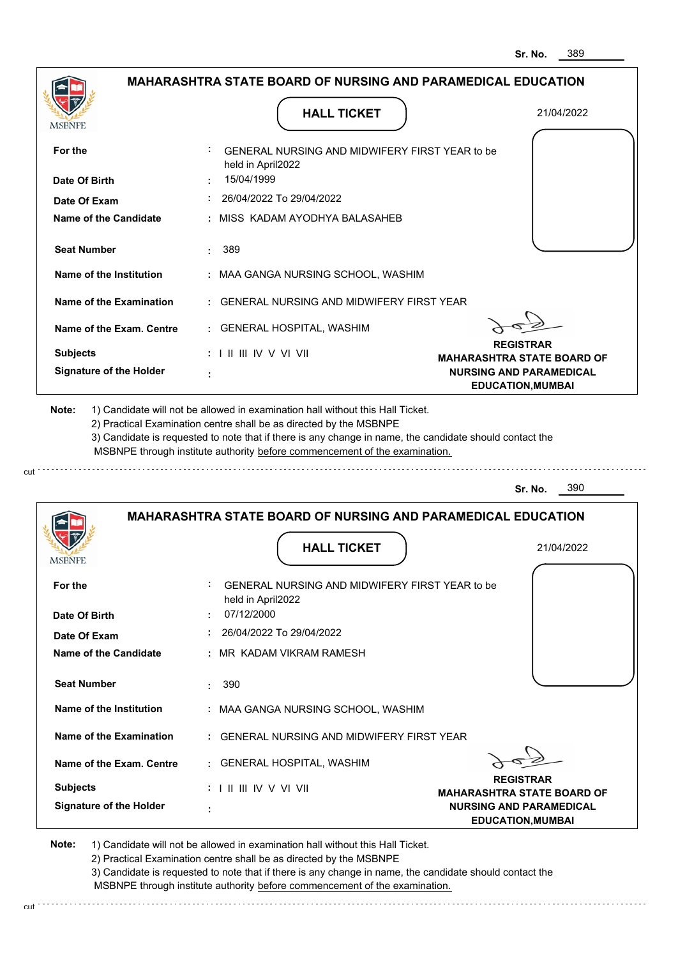| <b>MSBNPE</b>                                                                               | <b>HALL TICKET</b>                                                                                                                                                                                                                                          | 21/04/2022                                                 |
|---------------------------------------------------------------------------------------------|-------------------------------------------------------------------------------------------------------------------------------------------------------------------------------------------------------------------------------------------------------------|------------------------------------------------------------|
| For the                                                                                     | GENERAL NURSING AND MIDWIFERY FIRST YEAR to be<br>held in April2022                                                                                                                                                                                         |                                                            |
| Date Of Birth                                                                               | 15/04/1999                                                                                                                                                                                                                                                  |                                                            |
| Date Of Exam                                                                                | 26/04/2022 To 29/04/2022                                                                                                                                                                                                                                    |                                                            |
| <b>Name of the Candidate</b>                                                                | : MISS KADAM AYODHYA BALASAHEB                                                                                                                                                                                                                              |                                                            |
| <b>Seat Number</b>                                                                          | 389                                                                                                                                                                                                                                                         |                                                            |
| Name of the Institution                                                                     | : MAA GANGA NURSING SCHOOL, WASHIM                                                                                                                                                                                                                          |                                                            |
| Name of the Examination                                                                     | : GENERAL NURSING AND MIDWIFERY FIRST YEAR                                                                                                                                                                                                                  |                                                            |
| Name of the Exam. Centre                                                                    | : GENERAL HOSPITAL, WASHIM                                                                                                                                                                                                                                  |                                                            |
| <b>Subjects</b>                                                                             | $: 1 \mathbb{H} \mathbb{H} \mathbb{W} \vee \mathbb{V} \mathbb{H}$                                                                                                                                                                                           | <b>REGISTRAR</b><br><b>MAHARASHTRA STATE BOARD OF</b>      |
| <b>Signature of the Holder</b>                                                              |                                                                                                                                                                                                                                                             | <b>NURSING AND PARAMEDICAL</b><br><b>EDUCATION, MUMBAI</b> |
|                                                                                             | 2) Practical Examination centre shall be as directed by the MSBNPE<br>3) Candidate is requested to note that if there is any change in name, the candidate should contact the<br>MSBNPE through institute authority before commencement of the examination. |                                                            |
|                                                                                             |                                                                                                                                                                                                                                                             | 390<br>Sr. No.                                             |
|                                                                                             | <b>MAHARASHTRA STATE BOARD OF NURSING AND PARAMEDICAL EDUCATION</b><br><b>HALL TICKET</b>                                                                                                                                                                   | 21/04/2022                                                 |
|                                                                                             | GENERAL NURSING AND MIDWIFERY FIRST YEAR to be                                                                                                                                                                                                              |                                                            |
|                                                                                             | held in April2022                                                                                                                                                                                                                                           |                                                            |
|                                                                                             | 07/12/2000                                                                                                                                                                                                                                                  |                                                            |
|                                                                                             | 26/04/2022 To 29/04/2022<br>: MR KADAM VIKRAM RAMESH                                                                                                                                                                                                        |                                                            |
| <b>Seat Number</b>                                                                          | 390                                                                                                                                                                                                                                                         |                                                            |
| Name of the Institution                                                                     | : MAA GANGA NURSING SCHOOL, WASHIM                                                                                                                                                                                                                          |                                                            |
| Name of the Examination                                                                     | : GENERAL NURSING AND MIDWIFERY FIRST YEAR                                                                                                                                                                                                                  |                                                            |
| Name of the Exam. Centre                                                                    | : GENERAL HOSPITAL, WASHIM                                                                                                                                                                                                                                  |                                                            |
| For the<br>Date Of Birth<br>Date Of Exam<br><b>Name of the Candidate</b><br><b>Subjects</b> | : I II III IV V VI VII                                                                                                                                                                                                                                      | <b>REGISTRAR</b><br><b>MAHARASHTRA STATE BOARD OF</b>      |

2) Practical Examination centre shall be as directed by the MSBNPE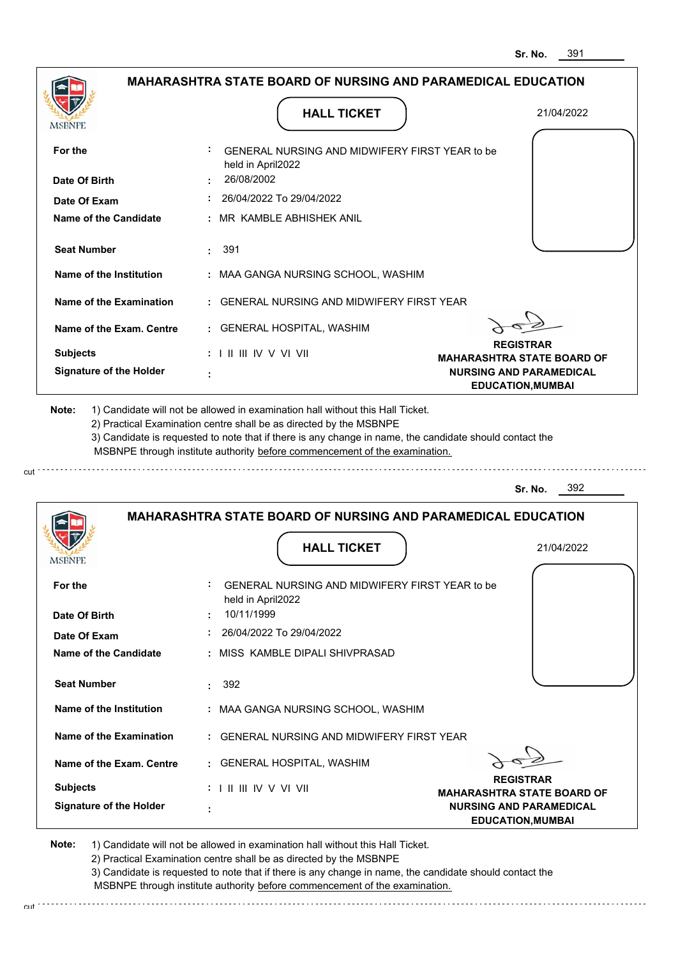| <b>MSBNPE</b>                                                                                                                                                                                         | <b>HALL TICKET</b>                                                                                                                                                                                                                                          | 21/04/2022                                                 |
|-------------------------------------------------------------------------------------------------------------------------------------------------------------------------------------------------------|-------------------------------------------------------------------------------------------------------------------------------------------------------------------------------------------------------------------------------------------------------------|------------------------------------------------------------|
| For the                                                                                                                                                                                               | GENERAL NURSING AND MIDWIFERY FIRST YEAR to be<br>held in April2022                                                                                                                                                                                         |                                                            |
| Date Of Birth                                                                                                                                                                                         | 26/08/2002                                                                                                                                                                                                                                                  |                                                            |
| Date Of Exam                                                                                                                                                                                          | 26/04/2022 To 29/04/2022                                                                                                                                                                                                                                    |                                                            |
| Name of the Candidate                                                                                                                                                                                 | : MR KAMBLE ABHISHEK ANIL                                                                                                                                                                                                                                   |                                                            |
| <b>Seat Number</b>                                                                                                                                                                                    | : 391                                                                                                                                                                                                                                                       |                                                            |
| Name of the Institution                                                                                                                                                                               | : MAA GANGA NURSING SCHOOL, WASHIM                                                                                                                                                                                                                          |                                                            |
| Name of the Examination                                                                                                                                                                               | : GENERAL NURSING AND MIDWIFERY FIRST YEAR                                                                                                                                                                                                                  |                                                            |
| Name of the Exam. Centre                                                                                                                                                                              | : GENERAL HOSPITAL, WASHIM                                                                                                                                                                                                                                  |                                                            |
| <b>Subjects</b>                                                                                                                                                                                       | $: 1 \parallel \parallel \parallel$ IV V VI VII                                                                                                                                                                                                             | <b>REGISTRAR</b><br><b>MAHARASHTRA STATE BOARD OF</b>      |
| <b>Signature of the Holder</b>                                                                                                                                                                        |                                                                                                                                                                                                                                                             | <b>NURSING AND PARAMEDICAL</b><br><b>EDUCATION, MUMBAI</b> |
|                                                                                                                                                                                                       | 2) Practical Examination centre shall be as directed by the MSBNPE<br>3) Candidate is requested to note that if there is any change in name, the candidate should contact the<br>MSBNPE through institute authority before commencement of the examination. | 392                                                        |
|                                                                                                                                                                                                       |                                                                                                                                                                                                                                                             | Sr. No.                                                    |
|                                                                                                                                                                                                       | <b>MAHARASHTRA STATE BOARD OF NURSING AND PARAMEDICAL EDUCATION</b>                                                                                                                                                                                         |                                                            |
|                                                                                                                                                                                                       | <b>HALL TICKET</b>                                                                                                                                                                                                                                          | 21/04/2022                                                 |
|                                                                                                                                                                                                       | GENERAL NURSING AND MIDWIFERY FIRST YEAR to be<br>held in April2022                                                                                                                                                                                         |                                                            |
|                                                                                                                                                                                                       | 10/11/1999                                                                                                                                                                                                                                                  |                                                            |
|                                                                                                                                                                                                       | $: 26/04/2022$ To 29/04/2022                                                                                                                                                                                                                                |                                                            |
|                                                                                                                                                                                                       | : MISS KAMBLE DIPALI SHIVPRASAD                                                                                                                                                                                                                             |                                                            |
|                                                                                                                                                                                                       | $\cdot$ 392                                                                                                                                                                                                                                                 |                                                            |
|                                                                                                                                                                                                       | : MAA GANGA NURSING SCHOOL, WASHIM                                                                                                                                                                                                                          |                                                            |
|                                                                                                                                                                                                       | : GENERAL NURSING AND MIDWIFERY FIRST YEAR                                                                                                                                                                                                                  |                                                            |
|                                                                                                                                                                                                       | : GENERAL HOSPITAL, WASHIM                                                                                                                                                                                                                                  |                                                            |
| MSBNI<br>For the<br>Date Of Birth<br>Date Of Exam<br>Name of the Candidate<br><b>Seat Number</b><br>Name of the Institution<br>Name of the Examination<br>Name of the Exam. Centre<br><b>Subjects</b> |                                                                                                                                                                                                                                                             | <b>REGISTRAR</b><br><b>MAHARASHTRA STATE BOARD OF</b>      |

2) Practical Examination centre shall be as directed by the MSBNPE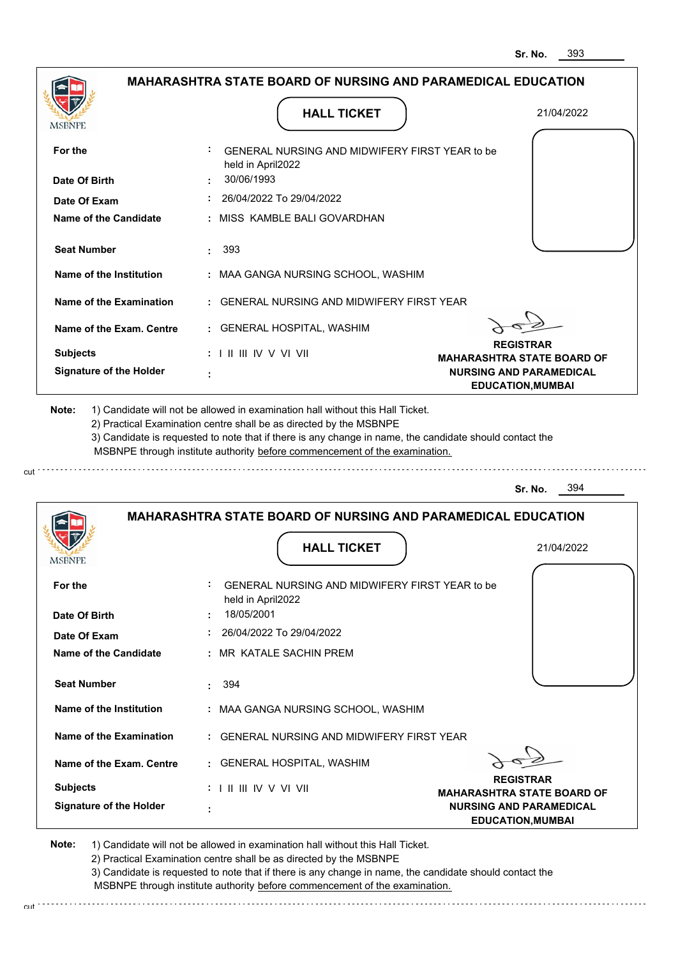| <b>MSBNPE</b>                                      | <b>HALL TICKET</b>                                                                                                                                                                                                                                                                                                                            | 21/04/2022                                                 |
|----------------------------------------------------|-----------------------------------------------------------------------------------------------------------------------------------------------------------------------------------------------------------------------------------------------------------------------------------------------------------------------------------------------|------------------------------------------------------------|
| For the                                            | GENERAL NURSING AND MIDWIFERY FIRST YEAR to be<br>held in April2022                                                                                                                                                                                                                                                                           |                                                            |
| Date Of Birth                                      | 30/06/1993                                                                                                                                                                                                                                                                                                                                    |                                                            |
| Date Of Exam                                       | 26/04/2022 To 29/04/2022                                                                                                                                                                                                                                                                                                                      |                                                            |
| Name of the Candidate                              | : MISS KAMBLE BALI GOVARDHAN                                                                                                                                                                                                                                                                                                                  |                                                            |
| <b>Seat Number</b>                                 | 393<br>÷.                                                                                                                                                                                                                                                                                                                                     |                                                            |
| Name of the Institution                            | : MAA GANGA NURSING SCHOOL, WASHIM                                                                                                                                                                                                                                                                                                            |                                                            |
| Name of the Examination                            | : GENERAL NURSING AND MIDWIFERY FIRST YEAR                                                                                                                                                                                                                                                                                                    |                                                            |
| Name of the Exam. Centre                           | : GENERAL HOSPITAL, WASHIM                                                                                                                                                                                                                                                                                                                    |                                                            |
| <b>Subjects</b>                                    | $: 1 \parallel \parallel \parallel$ IV V VI VII                                                                                                                                                                                                                                                                                               | <b>REGISTRAR</b><br><b>MAHARASHTRA STATE BOARD OF</b>      |
| <b>Signature of the Holder</b>                     |                                                                                                                                                                                                                                                                                                                                               | <b>NURSING AND PARAMEDICAL</b><br><b>EDUCATION, MUMBAI</b> |
|                                                    | 1) Candidate will not be allowed in examination hall without this Hall Ticket.<br>2) Practical Examination centre shall be as directed by the MSBNPE<br>3) Candidate is requested to note that if there is any change in name, the candidate should contact the<br>MSBNPE through institute authority before commencement of the examination. | 394<br>Sr. No.                                             |
| Note:                                              |                                                                                                                                                                                                                                                                                                                                               |                                                            |
|                                                    | <b>MAHARASHTRA STATE BOARD OF NURSING AND PARAMEDICAL EDUCATION</b>                                                                                                                                                                                                                                                                           |                                                            |
| MSBNP                                              | <b>HALL TICKET</b>                                                                                                                                                                                                                                                                                                                            | 21/04/2022                                                 |
| For the                                            | GENERAL NURSING AND MIDWIFERY FIRST YEAR to be<br>held in April2022                                                                                                                                                                                                                                                                           |                                                            |
| Date Of Birth                                      | 18/05/2001                                                                                                                                                                                                                                                                                                                                    |                                                            |
| Date Of Exam                                       | 26/04/2022 To 29/04/2022                                                                                                                                                                                                                                                                                                                      |                                                            |
|                                                    | : MR KATALE SACHIN PREM                                                                                                                                                                                                                                                                                                                       |                                                            |
| <b>Name of the Candidate</b><br><b>Seat Number</b> | : 394                                                                                                                                                                                                                                                                                                                                         |                                                            |
|                                                    | : MAA GANGA NURSING SCHOOL, WASHIM                                                                                                                                                                                                                                                                                                            |                                                            |
| Name of the Institution<br>Name of the Examination | : GENERAL NURSING AND MIDWIFERY FIRST YEAR                                                                                                                                                                                                                                                                                                    |                                                            |
| Name of the Exam. Centre                           | : GENERAL HOSPITAL, WASHIM                                                                                                                                                                                                                                                                                                                    | <b>REGISTRAR</b>                                           |

2) Practical Examination centre shall be as directed by the MSBNPE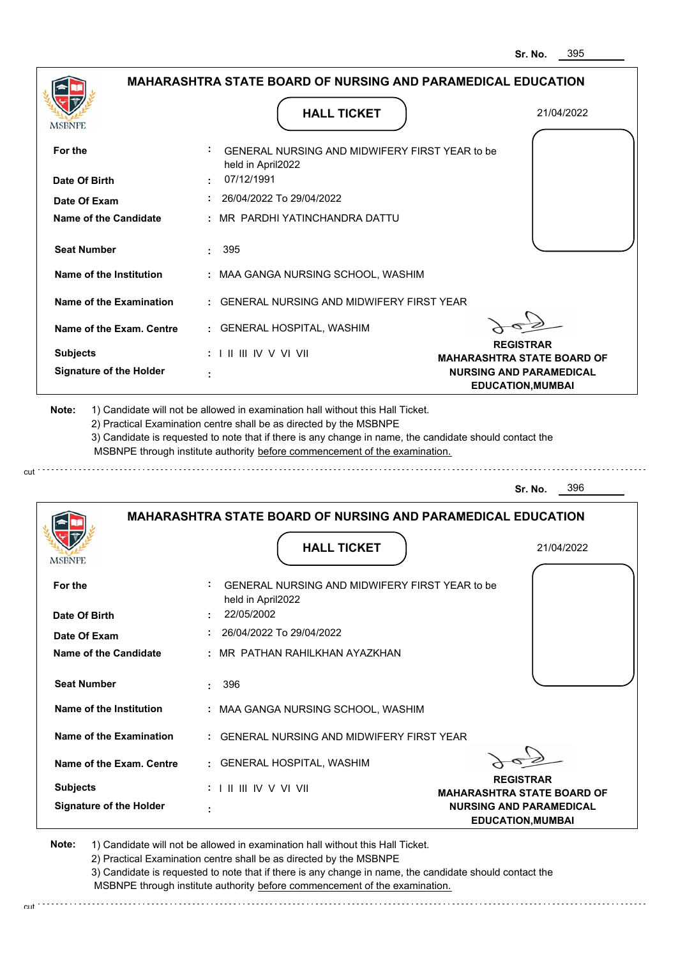|                                                                                                                 |                                                                                                                                                                                                                                                             | <b>MAHARASHTRA STATE BOARD OF NURSING AND PARAMEDICAL EDUCATION</b> |
|-----------------------------------------------------------------------------------------------------------------|-------------------------------------------------------------------------------------------------------------------------------------------------------------------------------------------------------------------------------------------------------------|---------------------------------------------------------------------|
|                                                                                                                 |                                                                                                                                                                                                                                                             |                                                                     |
| <b>MSBNPE</b>                                                                                                   | <b>HALL TICKET</b>                                                                                                                                                                                                                                          | 21/04/2022                                                          |
| For the                                                                                                         | GENERAL NURSING AND MIDWIFERY FIRST YEAR to be<br>held in April2022                                                                                                                                                                                         |                                                                     |
| Date Of Birth                                                                                                   | 07/12/1991                                                                                                                                                                                                                                                  |                                                                     |
| Date Of Exam                                                                                                    | 26/04/2022 To 29/04/2022                                                                                                                                                                                                                                    |                                                                     |
| Name of the Candidate                                                                                           | : MR PARDHI YATINCHANDRA DATTU                                                                                                                                                                                                                              |                                                                     |
| <b>Seat Number</b>                                                                                              | 395                                                                                                                                                                                                                                                         |                                                                     |
| Name of the Institution                                                                                         | : MAA GANGA NURSING SCHOOL, WASHIM                                                                                                                                                                                                                          |                                                                     |
| Name of the Examination                                                                                         | : GENERAL NURSING AND MIDWIFERY FIRST YEAR                                                                                                                                                                                                                  |                                                                     |
| Name of the Exam. Centre                                                                                        | : GENERAL HOSPITAL, WASHIM                                                                                                                                                                                                                                  |                                                                     |
| <b>Subjects</b>                                                                                                 | : I II III IV V VI VII                                                                                                                                                                                                                                      | <b>REGISTRAR</b><br><b>MAHARASHTRA STATE BOARD OF</b>               |
| <b>Signature of the Holder</b>                                                                                  |                                                                                                                                                                                                                                                             | <b>NURSING AND PARAMEDICAL</b><br><b>EDUCATION, MUMBAI</b>          |
|                                                                                                                 | 2) Practical Examination centre shall be as directed by the MSBNPE<br>3) Candidate is requested to note that if there is any change in name, the candidate should contact the<br>MSBNPE through institute authority before commencement of the examination. |                                                                     |
|                                                                                                                 |                                                                                                                                                                                                                                                             | 396<br>Sr. No.                                                      |
|                                                                                                                 | <b>MAHARASHTRA STATE BOARD OF NURSING AND PARAMEDICAL EDUCATION</b>                                                                                                                                                                                         |                                                                     |
| <b>IMPDIAL</b>                                                                                                  | <b>HALL TICKET</b>                                                                                                                                                                                                                                          | 21/04/2022                                                          |
|                                                                                                                 | GENERAL NURSING AND MIDWIFERY FIRST YEAR to be                                                                                                                                                                                                              |                                                                     |
|                                                                                                                 | held in April2022<br>22/05/2002                                                                                                                                                                                                                             |                                                                     |
|                                                                                                                 | 26/04/2022 To 29/04/2022                                                                                                                                                                                                                                    |                                                                     |
|                                                                                                                 | : MR PATHAN RAHILKHAN AYAZKHAN                                                                                                                                                                                                                              |                                                                     |
| <b>Seat Number</b>                                                                                              | 396<br>÷.                                                                                                                                                                                                                                                   |                                                                     |
| Name of the Institution                                                                                         | : MAA GANGA NURSING SCHOOL, WASHIM                                                                                                                                                                                                                          |                                                                     |
|                                                                                                                 | : GENERAL NURSING AND MIDWIFERY FIRST YEAR                                                                                                                                                                                                                  |                                                                     |
| Name of the Exam. Centre                                                                                        | : GENERAL HOSPITAL, WASHIM                                                                                                                                                                                                                                  |                                                                     |
| For the<br>Date Of Birth<br>Date Of Exam<br>Name of the Candidate<br>Name of the Examination<br><b>Subjects</b> | $: 1 \mathbb{H} \mathbb{H} \mathbb{N} \vee \mathbb{V} \mathbb{N}$                                                                                                                                                                                           | <b>REGISTRAR</b><br><b>MAHARASHTRA STATE BOARD OF</b>               |

2) Practical Examination centre shall be as directed by the MSBNPE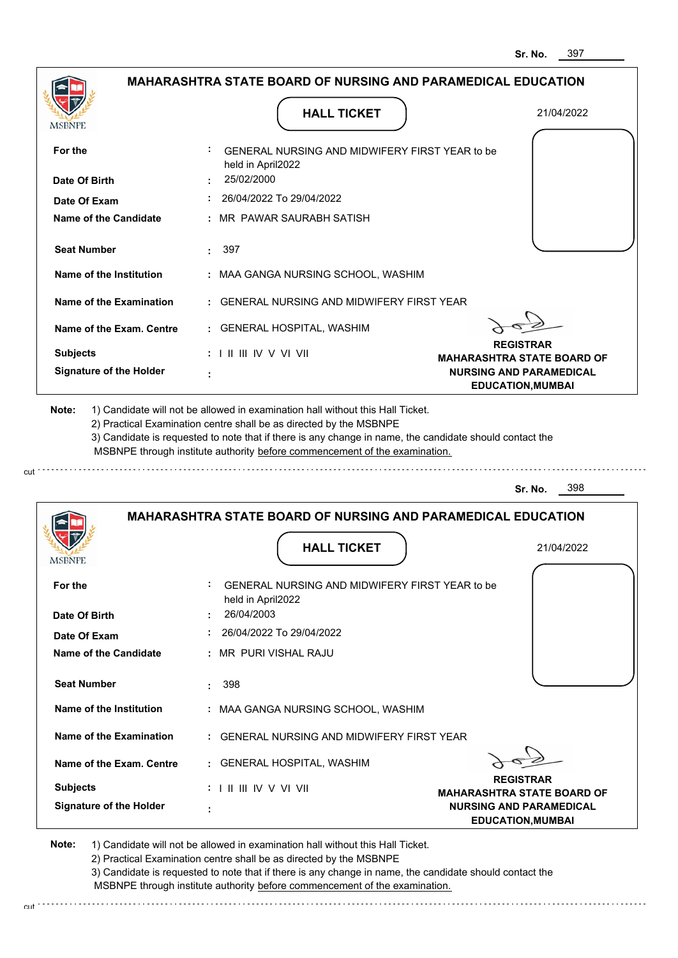| <b>MSBNPE</b>                                      | <b>HALL TICKET</b>                                                                                                                                                                                                                                                                                                                            | 21/04/2022                                                 |
|----------------------------------------------------|-----------------------------------------------------------------------------------------------------------------------------------------------------------------------------------------------------------------------------------------------------------------------------------------------------------------------------------------------|------------------------------------------------------------|
| For the                                            | GENERAL NURSING AND MIDWIFERY FIRST YEAR to be<br>held in April2022                                                                                                                                                                                                                                                                           |                                                            |
| Date Of Birth                                      | 25/02/2000                                                                                                                                                                                                                                                                                                                                    |                                                            |
| Date Of Exam                                       | 26/04/2022 To 29/04/2022                                                                                                                                                                                                                                                                                                                      |                                                            |
| <b>Name of the Candidate</b>                       | : MR_PAWAR SAURABH SATISH                                                                                                                                                                                                                                                                                                                     |                                                            |
| <b>Seat Number</b>                                 | 397<br>÷.                                                                                                                                                                                                                                                                                                                                     |                                                            |
| Name of the Institution                            | : MAA GANGA NURSING SCHOOL, WASHIM                                                                                                                                                                                                                                                                                                            |                                                            |
| Name of the Examination                            | : GENERAL NURSING AND MIDWIFERY FIRST YEAR                                                                                                                                                                                                                                                                                                    |                                                            |
| Name of the Exam. Centre                           | : GENERAL HOSPITAL, WASHIM                                                                                                                                                                                                                                                                                                                    |                                                            |
| <b>Subjects</b>                                    | : I II III IV V VI VII                                                                                                                                                                                                                                                                                                                        | <b>REGISTRAR</b><br><b>MAHARASHTRA STATE BOARD OF</b>      |
| <b>Signature of the Holder</b>                     |                                                                                                                                                                                                                                                                                                                                               | <b>NURSING AND PARAMEDICAL</b><br><b>EDUCATION, MUMBAI</b> |
|                                                    | 1) Candidate will not be allowed in examination hall without this Hall Ticket.<br>2) Practical Examination centre shall be as directed by the MSBNPE<br>3) Candidate is requested to note that if there is any change in name, the candidate should contact the<br>MSBNPE through institute authority before commencement of the examination. |                                                            |
| Note:                                              |                                                                                                                                                                                                                                                                                                                                               | 398<br>Sr. No.                                             |
|                                                    | <b>MAHARASHTRA STATE BOARD OF NURSING AND PARAMEDICAL EDUCATION</b><br><b>HALL TICKET</b>                                                                                                                                                                                                                                                     | 21/04/2022                                                 |
|                                                    | GENERAL NURSING AND MIDWIFERY FIRST YEAR to be<br>held in April2022                                                                                                                                                                                                                                                                           |                                                            |
| For the<br>Date Of Birth                           | 26/04/2003                                                                                                                                                                                                                                                                                                                                    |                                                            |
| Date Of Exam                                       | 26/04/2022 To 29/04/2022                                                                                                                                                                                                                                                                                                                      |                                                            |
|                                                    | : MR PURI VISHAL RAJU                                                                                                                                                                                                                                                                                                                         |                                                            |
| <b>Name of the Candidate</b><br><b>Seat Number</b> | 398                                                                                                                                                                                                                                                                                                                                           |                                                            |
| Name of the Institution                            | : MAA GANGA NURSING SCHOOL, WASHIM                                                                                                                                                                                                                                                                                                            |                                                            |
| Name of the Examination                            | : GENERAL NURSING AND MIDWIFERY FIRST YEAR                                                                                                                                                                                                                                                                                                    |                                                            |
| Name of the Exam. Centre                           | : GENERAL HOSPITAL, WASHIM                                                                                                                                                                                                                                                                                                                    |                                                            |
| <b>Subjects</b>                                    | $: 1 \mathbb{H} \mathbb{H} \mathbb{N} \vee \mathbb{V} \mathbb{N}$                                                                                                                                                                                                                                                                             | <b>REGISTRAR</b><br><b>MAHARASHTRA STATE BOARD OF</b>      |

2) Practical Examination centre shall be as directed by the MSBNPE

3) Candidate is requested to note that if there is any change in name, the candidate should contact the MSBNPE through institute authority before commencement of the examination. cut de contra a construction de construction de construction de construction de construction de construction de construction de construction de construction de construction de construction de construction de construction d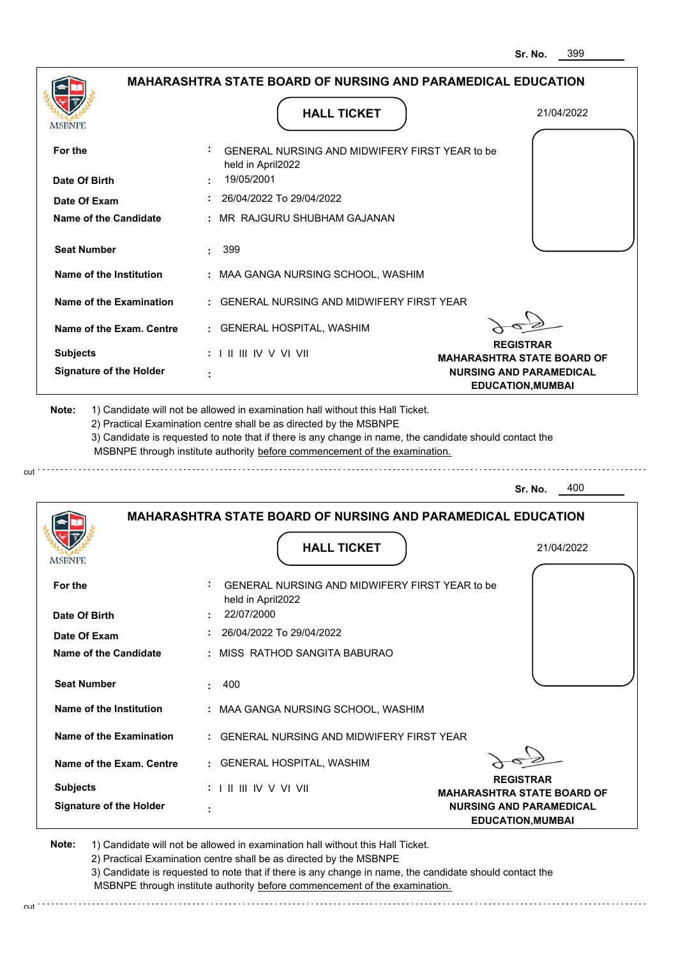|                                                                                                                |                                   | <b>MAHARASHTRA STATE BOARD OF NURSING AND PARAMEDICAL EDUCATION</b>                                                                                                                                                                                                                                                                           |                                                       |
|----------------------------------------------------------------------------------------------------------------|-----------------------------------|-----------------------------------------------------------------------------------------------------------------------------------------------------------------------------------------------------------------------------------------------------------------------------------------------------------------------------------------------|-------------------------------------------------------|
|                                                                                                                |                                   |                                                                                                                                                                                                                                                                                                                                               |                                                       |
| MSBNPE                                                                                                         |                                   | <b>HALL TICKET</b>                                                                                                                                                                                                                                                                                                                            | 21/04/2022                                            |
| For the                                                                                                        | held in April2022                 | GENERAL NURSING AND MIDWIFERY FIRST YEAR to be                                                                                                                                                                                                                                                                                                |                                                       |
| Date Of Birth                                                                                                  | 19/05/2001                        |                                                                                                                                                                                                                                                                                                                                               |                                                       |
| Date Of Exam                                                                                                   |                                   | 26/04/2022 To 29/04/2022                                                                                                                                                                                                                                                                                                                      |                                                       |
| Name of the Candidate                                                                                          | ÷.                                | MR RAJGURU SHUBHAM GAJANAN                                                                                                                                                                                                                                                                                                                    |                                                       |
| <b>Seat Number</b>                                                                                             | 399                               |                                                                                                                                                                                                                                                                                                                                               |                                                       |
| Name of the Institution                                                                                        |                                   | : MAA GANGA NURSING SCHOOL, WASHIM                                                                                                                                                                                                                                                                                                            |                                                       |
| <b>Name of the Examination</b>                                                                                 |                                   | <b>GENERAL NURSING AND MIDWIFERY FIRST YEAR</b>                                                                                                                                                                                                                                                                                               |                                                       |
| Name of the Exam. Centre                                                                                       |                                   | : GENERAL HOSPITAL, WASHIM                                                                                                                                                                                                                                                                                                                    |                                                       |
| <b>Subjects</b>                                                                                                | $: 1 \mathbb{I}$ III IIV V VI VII |                                                                                                                                                                                                                                                                                                                                               | <b>REGISTRAR</b><br><b>MAHARASHTRA STATE BOARD OF</b> |
| <b>Signature of the Holder</b>                                                                                 |                                   |                                                                                                                                                                                                                                                                                                                                               | <b>NURSING AND PARAMEDICAL</b>                        |
|                                                                                                                |                                   | 1) Candidate will not be allowed in examination hall without this Hall Ticket.<br>2) Practical Examination centre shall be as directed by the MSBNPE<br>3) Candidate is requested to note that if there is any change in name, the candidate should contact the<br>MSBNPE through institute authority before commencement of the examination. | <b>EDUCATION, MUMBAI</b><br>400<br>Sr. No.            |
|                                                                                                                |                                   | <b>MAHARASHTRA STATE BOARD OF NURSING AND PARAMEDICAL EDUCATION</b>                                                                                                                                                                                                                                                                           |                                                       |
|                                                                                                                |                                   | <b>HALL TICKET</b>                                                                                                                                                                                                                                                                                                                            | 21/04/2022                                            |
|                                                                                                                |                                   |                                                                                                                                                                                                                                                                                                                                               |                                                       |
|                                                                                                                | held in April2022                 | GENERAL NURSING AND MIDWIFERY FIRST YEAR to be                                                                                                                                                                                                                                                                                                |                                                       |
|                                                                                                                | 22/07/2000                        |                                                                                                                                                                                                                                                                                                                                               |                                                       |
|                                                                                                                |                                   | 26/04/2022 To 29/04/2022                                                                                                                                                                                                                                                                                                                      |                                                       |
|                                                                                                                |                                   | MISS RATHOD SANGITA BABURAO                                                                                                                                                                                                                                                                                                                   |                                                       |
| <b>Seat Number</b>                                                                                             | 400<br>÷                          |                                                                                                                                                                                                                                                                                                                                               |                                                       |
|                                                                                                                |                                   | : MAA GANGA NURSING SCHOOL, WASHIM                                                                                                                                                                                                                                                                                                            |                                                       |
| <b>Name of the Institution</b><br>Name of the Examination                                                      |                                   | <b>GENERAL NURSING AND MIDWIFERY FIRST YEAR</b>                                                                                                                                                                                                                                                                                               |                                                       |
| Name of the Exam. Centre                                                                                       |                                   | : GENERAL HOSPITAL, WASHIM                                                                                                                                                                                                                                                                                                                    |                                                       |
| Note:<br><b>MSBNPE</b><br>For the<br>Date Of Birth<br>Date Of Exam<br>Name of the Candidate<br><b>Subjects</b> | $: 1 \mathbb{I}$ III IIV V VI VII |                                                                                                                                                                                                                                                                                                                                               | <b>REGISTRAR</b><br><b>MAHARASHTRA STATE BOARD OF</b> |

cut

3) Candidate is requested to note that if there is any change in name, the candidate should contact the MSBNPE through institute authority before commencement of the examination. cut de contra a construction de construction de construction de construction de construction de construction de construction de construction de construction de construction de construction de construction de construction d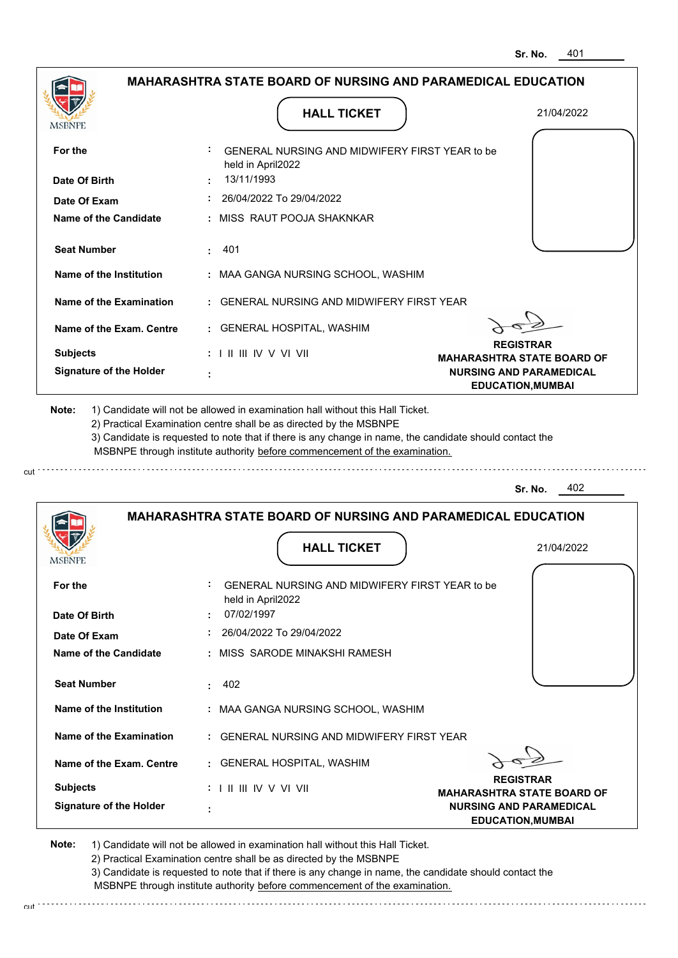| MSBNPE                                                                                | <b>HALL TICKET</b>                                                                                                                                                                                                                                          | 21/04/2022                                                 |
|---------------------------------------------------------------------------------------|-------------------------------------------------------------------------------------------------------------------------------------------------------------------------------------------------------------------------------------------------------------|------------------------------------------------------------|
| For the                                                                               | GENERAL NURSING AND MIDWIFERY FIRST YEAR to be                                                                                                                                                                                                              |                                                            |
| Date Of Birth                                                                         | held in April2022<br>13/11/1993                                                                                                                                                                                                                             |                                                            |
| Date Of Exam                                                                          | 26/04/2022 To 29/04/2022                                                                                                                                                                                                                                    |                                                            |
| <b>Name of the Candidate</b>                                                          | : MISS RAUT POOJA SHAKNKAR                                                                                                                                                                                                                                  |                                                            |
| <b>Seat Number</b>                                                                    | 401<br>÷.                                                                                                                                                                                                                                                   |                                                            |
| Name of the Institution                                                               | : MAA GANGA NURSING SCHOOL, WASHIM                                                                                                                                                                                                                          |                                                            |
| Name of the Examination                                                               | : GENERAL NURSING AND MIDWIFERY FIRST YEAR                                                                                                                                                                                                                  |                                                            |
| Name of the Exam. Centre                                                              | : GENERAL HOSPITAL, WASHIM                                                                                                                                                                                                                                  |                                                            |
| <b>Subjects</b>                                                                       | $: 1 \parallel \parallel \parallel$ IV V VI VII                                                                                                                                                                                                             | <b>REGISTRAR</b><br><b>MAHARASHTRA STATE BOARD OF</b>      |
| <b>Signature of the Holder</b>                                                        |                                                                                                                                                                                                                                                             | <b>NURSING AND PARAMEDICAL</b><br><b>EDUCATION, MUMBAI</b> |
|                                                                                       | 2) Practical Examination centre shall be as directed by the MSBNPE<br>3) Candidate is requested to note that if there is any change in name, the candidate should contact the<br>MSBNPE through institute authority before commencement of the examination. | 402<br>Sr. No.                                             |
|                                                                                       | <b>MAHARASHTRA STATE BOARD OF NURSING AND PARAMEDICAL EDUCATION</b>                                                                                                                                                                                         |                                                            |
|                                                                                       | <b>HALL TICKET</b>                                                                                                                                                                                                                                          | 21/04/2022                                                 |
|                                                                                       | GENERAL NURSING AND MIDWIFERY FIRST YEAR to be<br>held in April2022                                                                                                                                                                                         |                                                            |
|                                                                                       | 07/02/1997                                                                                                                                                                                                                                                  |                                                            |
| Date Of Exam                                                                          | 26/04/2022 To 29/04/2022                                                                                                                                                                                                                                    |                                                            |
|                                                                                       | : MISS SARODE MINAKSHI RAMESH                                                                                                                                                                                                                               |                                                            |
| <b>Seat Number</b>                                                                    | 402<br>t.                                                                                                                                                                                                                                                   |                                                            |
| Name of the Institution                                                               | : MAA GANGA NURSING SCHOOL, WASHIM                                                                                                                                                                                                                          |                                                            |
| Name of the Examination                                                               | : GENERAL NURSING AND MIDWIFERY FIRST YEAR                                                                                                                                                                                                                  |                                                            |
| Name of the Exam. Centre                                                              | : GENERAL HOSPITAL, WASHIM                                                                                                                                                                                                                                  |                                                            |
| <b>MSBNPE</b><br>For the<br>Date Of Birth<br>Name of the Candidate<br><b>Subjects</b> | $: 1 \parallel \parallel \parallel$ IV V VI VII                                                                                                                                                                                                             | <b>REGISTRAR</b><br><b>MAHARASHTRA STATE BOARD OF</b>      |

3) Candidate is requested to note that if there is any change in name, the candidate should contact the MSBNPE through institute authority before commencement of the examination.

cut de la component de la component de la component de la component de la component de la component de la component de la component de la component de la component de la component de la component de la component de la comp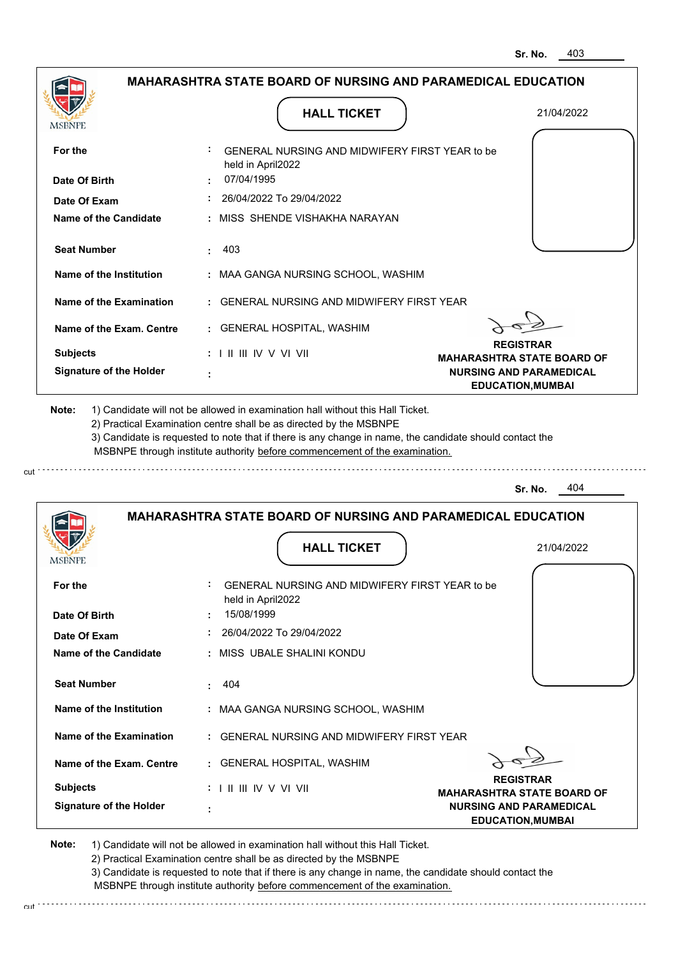| <b>MSBNPE</b>                                                                                                                                                                                | <b>HALL TICKET</b>                                                                                                                                                                    | 21/04/2022                                                 |
|----------------------------------------------------------------------------------------------------------------------------------------------------------------------------------------------|---------------------------------------------------------------------------------------------------------------------------------------------------------------------------------------|------------------------------------------------------------|
| For the                                                                                                                                                                                      | GENERAL NURSING AND MIDWIFERY FIRST YEAR to be<br>held in April2022                                                                                                                   |                                                            |
| Date Of Birth                                                                                                                                                                                | 07/04/1995                                                                                                                                                                            |                                                            |
| Date Of Exam                                                                                                                                                                                 | 26/04/2022 To 29/04/2022                                                                                                                                                              |                                                            |
| <b>Name of the Candidate</b>                                                                                                                                                                 | : MISS SHENDE VISHAKHA NARAYAN                                                                                                                                                        |                                                            |
| <b>Seat Number</b>                                                                                                                                                                           | 403<br>÷.                                                                                                                                                                             |                                                            |
| Name of the Institution                                                                                                                                                                      | : MAA GANGA NURSING SCHOOL, WASHIM                                                                                                                                                    |                                                            |
| Name of the Examination                                                                                                                                                                      | : GENERAL NURSING AND MIDWIFERY FIRST YEAR                                                                                                                                            |                                                            |
| Name of the Exam. Centre                                                                                                                                                                     | : GENERAL HOSPITAL, WASHIM                                                                                                                                                            |                                                            |
| <b>Subjects</b>                                                                                                                                                                              | $: 1 \parallel \parallel \parallel$ IV V VI VII                                                                                                                                       | <b>REGISTRAR</b><br><b>MAHARASHTRA STATE BOARD OF</b>      |
| <b>Signature of the Holder</b>                                                                                                                                                               |                                                                                                                                                                                       | <b>NURSING AND PARAMEDICAL</b><br><b>EDUCATION, MUMBAI</b> |
| 2) Practical Examination centre shall be as directed by the MSBNPE                                                                                                                           | 3) Candidate is requested to note that if there is any change in name, the candidate should contact the<br>MSBNPE through institute authority before commencement of the examination. |                                                            |
|                                                                                                                                                                                              |                                                                                                                                                                                       | 404<br>Sr. No.                                             |
|                                                                                                                                                                                              | <b>MAHARASHTRA STATE BOARD OF NURSING AND PARAMEDICAL EDUCATION</b>                                                                                                                   |                                                            |
| MSBNF                                                                                                                                                                                        | <b>HALL TICKET</b>                                                                                                                                                                    | 21/04/2022                                                 |
|                                                                                                                                                                                              | <b>GENERAL NURSING AND MIDWIFERY FIRST YEAR to be</b><br>held in April2022                                                                                                            |                                                            |
|                                                                                                                                                                                              | 15/08/1999                                                                                                                                                                            |                                                            |
|                                                                                                                                                                                              | 26/04/2022 To 29/04/2022                                                                                                                                                              |                                                            |
|                                                                                                                                                                                              | : MISS UBALE SHALINI KONDU                                                                                                                                                            |                                                            |
|                                                                                                                                                                                              | 404                                                                                                                                                                                   |                                                            |
|                                                                                                                                                                                              | : MAA GANGA NURSING SCHOOL, WASHIM                                                                                                                                                    |                                                            |
|                                                                                                                                                                                              | : GENERAL NURSING AND MIDWIFERY FIRST YEAR                                                                                                                                            |                                                            |
|                                                                                                                                                                                              | : GENERAL HOSPITAL, WASHIM                                                                                                                                                            |                                                            |
| For the<br>Date Of Birth<br>Date Of Exam<br>Name of the Candidate<br><b>Seat Number</b><br>Name of the Institution<br>Name of the Examination<br>Name of the Exam. Centre<br><b>Subjects</b> | $: 1 \parallel \parallel \parallel$ IV V VI VII                                                                                                                                       | <b>REGISTRAR</b><br><b>MAHARASHTRA STATE BOARD OF</b>      |

2) Practical Examination centre shall be as directed by the MSBNPE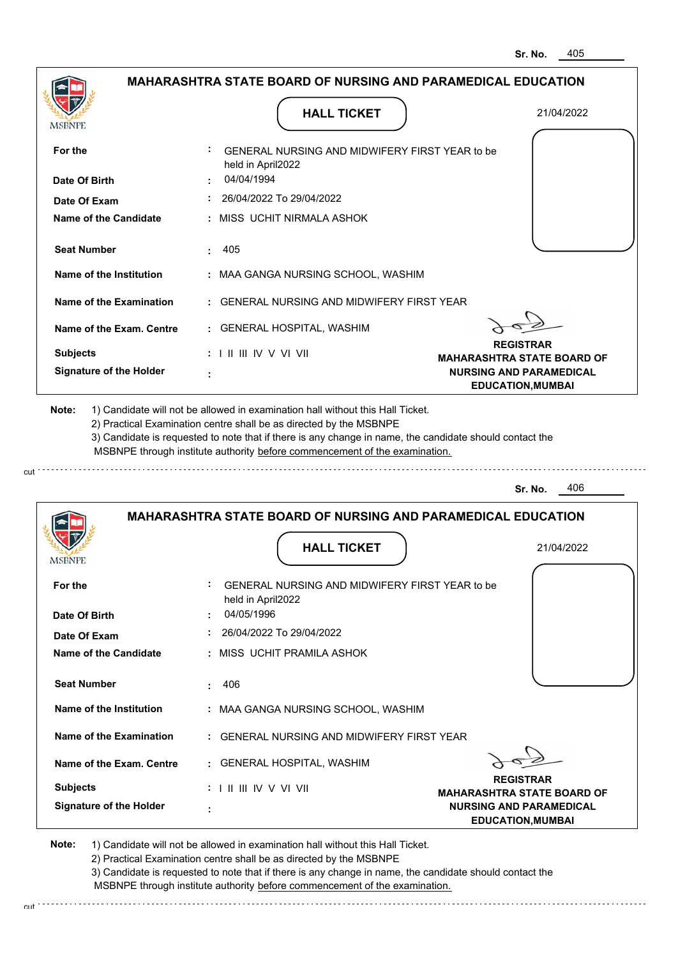| MSBNPE                                                                                                                 | <b>HALL TICKET</b>                                                                                                                                                                                                                                                                                                                            | 21/04/2022                                                 |
|------------------------------------------------------------------------------------------------------------------------|-----------------------------------------------------------------------------------------------------------------------------------------------------------------------------------------------------------------------------------------------------------------------------------------------------------------------------------------------|------------------------------------------------------------|
| For the                                                                                                                | GENERAL NURSING AND MIDWIFERY FIRST YEAR to be<br>held in April2022                                                                                                                                                                                                                                                                           |                                                            |
| Date Of Birth                                                                                                          | 04/04/1994                                                                                                                                                                                                                                                                                                                                    |                                                            |
| Date Of Exam                                                                                                           | 26/04/2022 To 29/04/2022                                                                                                                                                                                                                                                                                                                      |                                                            |
| <b>Name of the Candidate</b>                                                                                           | : MISS UCHIT NIRMALA ASHOK                                                                                                                                                                                                                                                                                                                    |                                                            |
| <b>Seat Number</b>                                                                                                     | 405<br>÷.                                                                                                                                                                                                                                                                                                                                     |                                                            |
| Name of the Institution                                                                                                | : MAA GANGA NURSING SCHOOL, WASHIM                                                                                                                                                                                                                                                                                                            |                                                            |
| Name of the Examination                                                                                                | : GENERAL NURSING AND MIDWIFERY FIRST YEAR                                                                                                                                                                                                                                                                                                    |                                                            |
| Name of the Exam. Centre                                                                                               | : GENERAL HOSPITAL, WASHIM                                                                                                                                                                                                                                                                                                                    |                                                            |
| <b>Subjects</b>                                                                                                        | $: 1 \parallel \parallel \parallel$ IV V VI VII                                                                                                                                                                                                                                                                                               | <b>REGISTRAR</b><br><b>MAHARASHTRA STATE BOARD OF</b>      |
| <b>Signature of the Holder</b>                                                                                         |                                                                                                                                                                                                                                                                                                                                               | <b>NURSING AND PARAMEDICAL</b><br><b>EDUCATION, MUMBAI</b> |
|                                                                                                                        | 1) Candidate will not be allowed in examination hall without this Hall Ticket.<br>2) Practical Examination centre shall be as directed by the MSBNPE<br>3) Candidate is requested to note that if there is any change in name, the candidate should contact the<br>MSBNPE through institute authority before commencement of the examination. | 406<br>Sr. No.                                             |
|                                                                                                                        | <b>MAHARASHTRA STATE BOARD OF NURSING AND PARAMEDICAL EDUCATION</b>                                                                                                                                                                                                                                                                           |                                                            |
|                                                                                                                        | <b>HALL TICKET</b>                                                                                                                                                                                                                                                                                                                            | 21/04/2022                                                 |
|                                                                                                                        | GENERAL NURSING AND MIDWIFERY FIRST YEAR to be<br>held in April2022                                                                                                                                                                                                                                                                           |                                                            |
|                                                                                                                        | 04/05/1996                                                                                                                                                                                                                                                                                                                                    |                                                            |
|                                                                                                                        | 26/04/2022 To 29/04/2022<br>: MISS_UCHIT PRAMILA ASHOK                                                                                                                                                                                                                                                                                        |                                                            |
|                                                                                                                        |                                                                                                                                                                                                                                                                                                                                               |                                                            |
| <b>Seat Number</b>                                                                                                     | 406                                                                                                                                                                                                                                                                                                                                           |                                                            |
| Name of the Institution                                                                                                | : MAA GANGA NURSING SCHOOL, WASHIM                                                                                                                                                                                                                                                                                                            |                                                            |
| Note:<br><b>MSBNPE</b><br>For the<br>Date Of Birth<br>Date Of Exam<br>Name of the Candidate<br>Name of the Examination | : GENERAL NURSING AND MIDWIFERY FIRST YEAR                                                                                                                                                                                                                                                                                                    |                                                            |
| Name of the Exam. Centre                                                                                               | : GENERAL HOSPITAL, WASHIM                                                                                                                                                                                                                                                                                                                    | <b>REGISTRAR</b>                                           |

3) Candidate is requested to note that if there is any change in name, the candidate should contact the MSBNPE through institute authority before commencement of the examination. cut de contra a construction de construction de construction de construction de construction de construction de construction de construction de construction de construction de construction de construction de construction d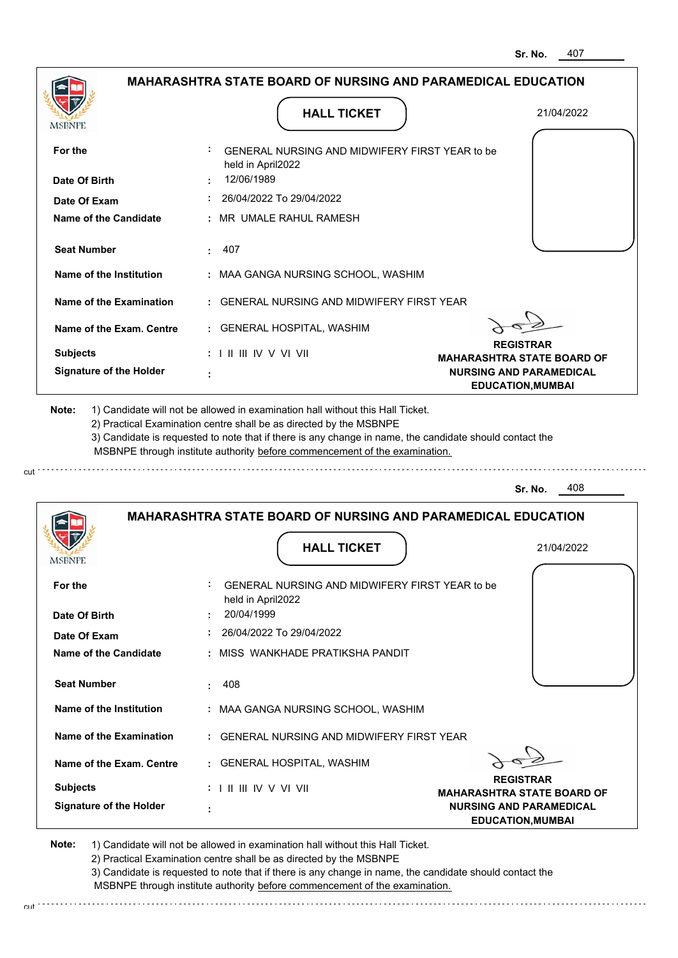|                                              | <b>MAHARASHTRA STATE BOARD OF NURSING AND PARAMEDICAL EDUCATION</b>                                                                                                                                                                                                                                                                           |                                                            |
|----------------------------------------------|-----------------------------------------------------------------------------------------------------------------------------------------------------------------------------------------------------------------------------------------------------------------------------------------------------------------------------------------------|------------------------------------------------------------|
| <b>MSBNPE</b>                                | <b>HALL TICKET</b>                                                                                                                                                                                                                                                                                                                            | 21/04/2022                                                 |
| For the                                      | <b>GENERAL NURSING AND MIDWIFERY FIRST YEAR to be</b><br>held in April2022                                                                                                                                                                                                                                                                    |                                                            |
| Date Of Birth                                | 12/06/1989                                                                                                                                                                                                                                                                                                                                    |                                                            |
| Date Of Exam                                 | : 26/04/2022 To 29/04/2022                                                                                                                                                                                                                                                                                                                    |                                                            |
| Name of the Candidate                        | : MR UMALE RAHUL RAMESH                                                                                                                                                                                                                                                                                                                       |                                                            |
| <b>Seat Number</b>                           | : 407                                                                                                                                                                                                                                                                                                                                         |                                                            |
| Name of the Institution                      | : MAA GANGA NURSING SCHOOL, WASHIM                                                                                                                                                                                                                                                                                                            |                                                            |
| Name of the Examination                      | : GENERAL NURSING AND MIDWIFERY FIRST YEAR                                                                                                                                                                                                                                                                                                    |                                                            |
| Name of the Exam. Centre                     | : GENERAL HOSPITAL, WASHIM                                                                                                                                                                                                                                                                                                                    |                                                            |
| <b>Subjects</b>                              | $: 1 \mathbb{I}$ III IIV V VI VII                                                                                                                                                                                                                                                                                                             | <b>REGISTRAR</b><br><b>MAHARASHTRA STATE BOARD OF</b>      |
| <b>Signature of the Holder</b>               |                                                                                                                                                                                                                                                                                                                                               | <b>NURSING AND PARAMEDICAL</b><br><b>EDUCATION, MUMBAI</b> |
|                                              | 1) Candidate will not be allowed in examination hall without this Hall Ticket.<br>2) Practical Examination centre shall be as directed by the MSBNPE<br>3) Candidate is requested to note that if there is any change in name, the candidate should contact the<br>MSBNPE through institute authority before commencement of the examination. |                                                            |
| Note:                                        |                                                                                                                                                                                                                                                                                                                                               | 408<br>Sr. No.                                             |
|                                              | <b>MAHARASHTRA STATE BOARD OF NURSING AND PARAMEDICAL EDUCATION</b>                                                                                                                                                                                                                                                                           |                                                            |
|                                              | <b>HALL TICKET</b>                                                                                                                                                                                                                                                                                                                            | 21/04/2022                                                 |
| For the<br>Date Of Birth                     | GENERAL NURSING AND MIDWIFERY FIRST YEAR to be<br>held in April2022<br>20/04/1999                                                                                                                                                                                                                                                             |                                                            |
|                                              | : 26/04/2022 To 29/04/2022                                                                                                                                                                                                                                                                                                                    |                                                            |
| Date Of Exam<br><b>Name of the Candidate</b> | : MISS WANKHADE PRATIKSHA PANDIT                                                                                                                                                                                                                                                                                                              |                                                            |
| <b>Seat Number</b>                           | 408<br>÷.                                                                                                                                                                                                                                                                                                                                     |                                                            |
| Name of the Institution                      | : MAA GANGA NURSING SCHOOL, WASHIM                                                                                                                                                                                                                                                                                                            |                                                            |
| Name of the Examination                      | : GENERAL NURSING AND MIDWIFERY FIRST YEAR                                                                                                                                                                                                                                                                                                    |                                                            |
| <b>IMPDIAL</b><br>Name of the Exam. Centre   | : GENERAL HOSPITAL, WASHIM                                                                                                                                                                                                                                                                                                                    |                                                            |
| <b>Subjects</b>                              | :             V V    V                                                                                                                                                                                                                                                                                                                        | <b>REGISTRAR</b><br><b>MAHARASHTRA STATE BOARD OF</b>      |

2) Practical Examination centre shall be as directed by the MSBNPE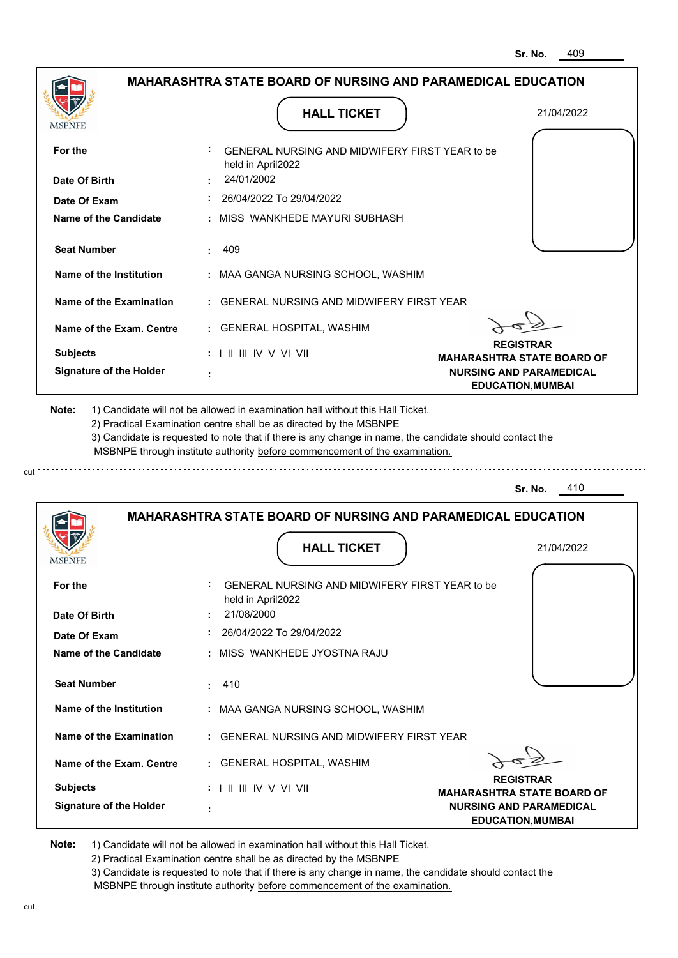| MSBNPE                                                                                            |            | <b>HALL TICKET</b>                                                                                                                                                                                                                                                                                                                            | 21/04/2022                                                 |
|---------------------------------------------------------------------------------------------------|------------|-----------------------------------------------------------------------------------------------------------------------------------------------------------------------------------------------------------------------------------------------------------------------------------------------------------------------------------------------|------------------------------------------------------------|
| For the                                                                                           |            | GENERAL NURSING AND MIDWIFERY FIRST YEAR to be<br>held in April2022                                                                                                                                                                                                                                                                           |                                                            |
| Date Of Birth                                                                                     | 24/01/2002 |                                                                                                                                                                                                                                                                                                                                               |                                                            |
| Date Of Exam                                                                                      |            | 26/04/2022 To 29/04/2022                                                                                                                                                                                                                                                                                                                      |                                                            |
| <b>Name of the Candidate</b>                                                                      |            | : MISS WANKHEDE MAYURI SUBHASH                                                                                                                                                                                                                                                                                                                |                                                            |
| <b>Seat Number</b>                                                                                | 409<br>÷   |                                                                                                                                                                                                                                                                                                                                               |                                                            |
| Name of the Institution                                                                           |            | : MAA GANGA NURSING SCHOOL, WASHIM                                                                                                                                                                                                                                                                                                            |                                                            |
| <b>Name of the Examination</b>                                                                    |            | <b>GENERAL NURSING AND MIDWIFERY FIRST YEAR</b>                                                                                                                                                                                                                                                                                               |                                                            |
| Name of the Exam. Centre                                                                          |            | : GENERAL HOSPITAL, WASHIM                                                                                                                                                                                                                                                                                                                    |                                                            |
| <b>Subjects</b>                                                                                   |            | $: 1 \parallel \parallel \parallel$ IV V VI VII                                                                                                                                                                                                                                                                                               | <b>REGISTRAR</b><br><b>MAHARASHTRA STATE BOARD OF</b>      |
| <b>Signature of the Holder</b>                                                                    |            |                                                                                                                                                                                                                                                                                                                                               | <b>NURSING AND PARAMEDICAL</b><br><b>EDUCATION, MUMBAI</b> |
|                                                                                                   |            | 1) Candidate will not be allowed in examination hall without this Hall Ticket.<br>2) Practical Examination centre shall be as directed by the MSBNPE<br>3) Candidate is requested to note that if there is any change in name, the candidate should contact the<br>MSBNPE through institute authority before commencement of the examination. | 410<br>Sr. No.                                             |
| Note:                                                                                             |            | <b>MAHARASHTRA STATE BOARD OF NURSING AND PARAMEDICAL EDUCATION</b>                                                                                                                                                                                                                                                                           |                                                            |
|                                                                                                   |            | <b>HALL TICKET</b>                                                                                                                                                                                                                                                                                                                            | 21/04/2022                                                 |
| MSBNPE<br>For the                                                                                 |            | GENERAL NURSING AND MIDWIFERY FIRST YEAR to be                                                                                                                                                                                                                                                                                                |                                                            |
|                                                                                                   | 21/08/2000 | held in April2022                                                                                                                                                                                                                                                                                                                             |                                                            |
|                                                                                                   |            | 26/04/2022 To 29/04/2022                                                                                                                                                                                                                                                                                                                      |                                                            |
| Date Of Birth<br>Date Of Exam<br>Name of the Candidate                                            |            | : MISS WANKHEDE JYOSTNA RAJU                                                                                                                                                                                                                                                                                                                  |                                                            |
| <b>Seat Number</b>                                                                                | 410        |                                                                                                                                                                                                                                                                                                                                               |                                                            |
|                                                                                                   |            | : MAA GANGA NURSING SCHOOL, WASHIM                                                                                                                                                                                                                                                                                                            |                                                            |
|                                                                                                   |            | : GENERAL NURSING AND MIDWIFERY FIRST YEAR                                                                                                                                                                                                                                                                                                    |                                                            |
|                                                                                                   |            | : GENERAL HOSPITAL, WASHIM                                                                                                                                                                                                                                                                                                                    |                                                            |
| Name of the Institution<br>Name of the Examination<br>Name of the Exam. Centre<br><b>Subjects</b> |            | : I II III IV V VI VII                                                                                                                                                                                                                                                                                                                        | <b>REGISTRAR</b><br><b>MAHARASHTRA STATE BOARD OF</b>      |

cut

3) Candidate is requested to note that if there is any change in name, the candidate should contact the MSBNPE through institute authority before commencement of the examination. cut de contra a construction de construction de construction de construction de construction de construction de construction de construction de construction de construction de construction de construction de construction d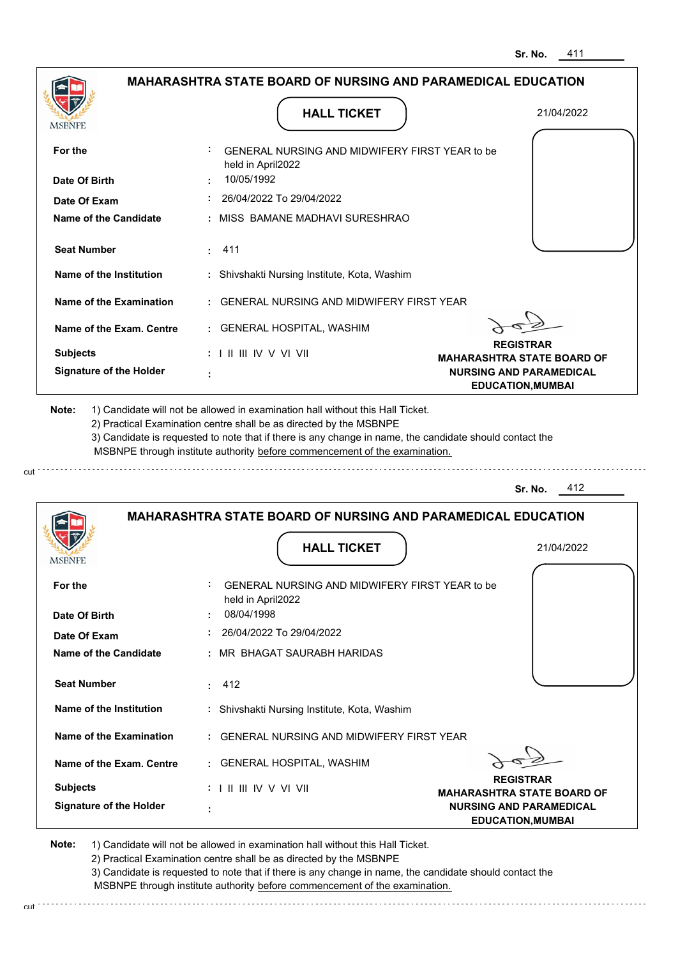|                                                                                                                                                  | <b>HALL TICKET</b>                                                                                                                                                                                                                                                                                                                            | 21/04/2022                                                 |
|--------------------------------------------------------------------------------------------------------------------------------------------------|-----------------------------------------------------------------------------------------------------------------------------------------------------------------------------------------------------------------------------------------------------------------------------------------------------------------------------------------------|------------------------------------------------------------|
| For the                                                                                                                                          | GENERAL NURSING AND MIDWIFERY FIRST YEAR to be<br>held in April2022                                                                                                                                                                                                                                                                           |                                                            |
| Date Of Birth                                                                                                                                    | 10/05/1992                                                                                                                                                                                                                                                                                                                                    |                                                            |
| Date Of Exam                                                                                                                                     | 26/04/2022 To 29/04/2022                                                                                                                                                                                                                                                                                                                      |                                                            |
| <b>Name of the Candidate</b>                                                                                                                     | MISS BAMANE MADHAVI SURESHRAO                                                                                                                                                                                                                                                                                                                 |                                                            |
| <b>Seat Number</b>                                                                                                                               | 411<br>÷.                                                                                                                                                                                                                                                                                                                                     |                                                            |
| Name of the Institution                                                                                                                          | Shivshakti Nursing Institute, Kota, Washim                                                                                                                                                                                                                                                                                                    |                                                            |
| <b>Name of the Examination</b>                                                                                                                   | <b>GENERAL NURSING AND MIDWIFERY FIRST YEAR</b>                                                                                                                                                                                                                                                                                               |                                                            |
| Name of the Exam. Centre                                                                                                                         | <b>GENERAL HOSPITAL, WASHIM</b><br>÷.                                                                                                                                                                                                                                                                                                         |                                                            |
| <b>Subjects</b>                                                                                                                                  | : I II III IV V VI VII                                                                                                                                                                                                                                                                                                                        | <b>REGISTRAR</b><br><b>MAHARASHTRA STATE BOARD OF</b>      |
| <b>Signature of the Holder</b>                                                                                                                   |                                                                                                                                                                                                                                                                                                                                               | <b>NURSING AND PARAMEDICAL</b><br><b>EDUCATION, MUMBAI</b> |
|                                                                                                                                                  | 1) Candidate will not be allowed in examination hall without this Hall Ticket.<br>2) Practical Examination centre shall be as directed by the MSBNPE<br>3) Candidate is requested to note that if there is any change in name, the candidate should contact the<br>MSBNPE through institute authority before commencement of the examination. | 412<br>Sr. No.                                             |
| Note:                                                                                                                                            | <b>MAHARASHTRA STATE BOARD OF NURSING AND PARAMEDICAL EDUCATION</b>                                                                                                                                                                                                                                                                           |                                                            |
|                                                                                                                                                  | <b>HALL TICKET</b>                                                                                                                                                                                                                                                                                                                            | 21/04/2022                                                 |
| MSBNPE<br>For the                                                                                                                                | GENERAL NURSING AND MIDWIFERY FIRST YEAR to be                                                                                                                                                                                                                                                                                                |                                                            |
|                                                                                                                                                  | held in April2022<br>08/04/1998                                                                                                                                                                                                                                                                                                               |                                                            |
|                                                                                                                                                  | 26/04/2022 To 29/04/2022                                                                                                                                                                                                                                                                                                                      |                                                            |
|                                                                                                                                                  | MR BHAGAT SAURABH HARIDAS                                                                                                                                                                                                                                                                                                                     |                                                            |
|                                                                                                                                                  | 412<br>÷.                                                                                                                                                                                                                                                                                                                                     |                                                            |
|                                                                                                                                                  | Shivshakti Nursing Institute, Kota, Washim<br>÷.                                                                                                                                                                                                                                                                                              |                                                            |
| Date Of Birth<br>Date Of Exam<br><b>Name of the Candidate</b><br><b>Seat Number</b><br>Name of the Institution<br><b>Name of the Examination</b> | GENERAL NURSING AND MIDWIFERY FIRST YEAR                                                                                                                                                                                                                                                                                                      |                                                            |
|                                                                                                                                                  | : GENERAL HOSPITAL, WASHIM                                                                                                                                                                                                                                                                                                                    |                                                            |
| Name of the Exam. Centre<br><b>Subjects</b>                                                                                                      | $: 1 \mathbb{I} \mathbb{I} \mathbb{I} \mathbb{I} \mathbb{I} \mathbb{V} \vee \mathbb{V} \mathbb{I} \mathbb{V} \mathbb{I}$                                                                                                                                                                                                                      | <b>REGISTRAR</b><br><b>MAHARASHTRA STATE BOARD OF</b>      |

3) Candidate is requested to note that if there is any change in name, the candidate should contact the MSBNPE through institute authority before commencement of the examination.

cut de la component de la component de la component de la component de la component de la component de la component de la component de la component de la component de la component de la component de la component de la comp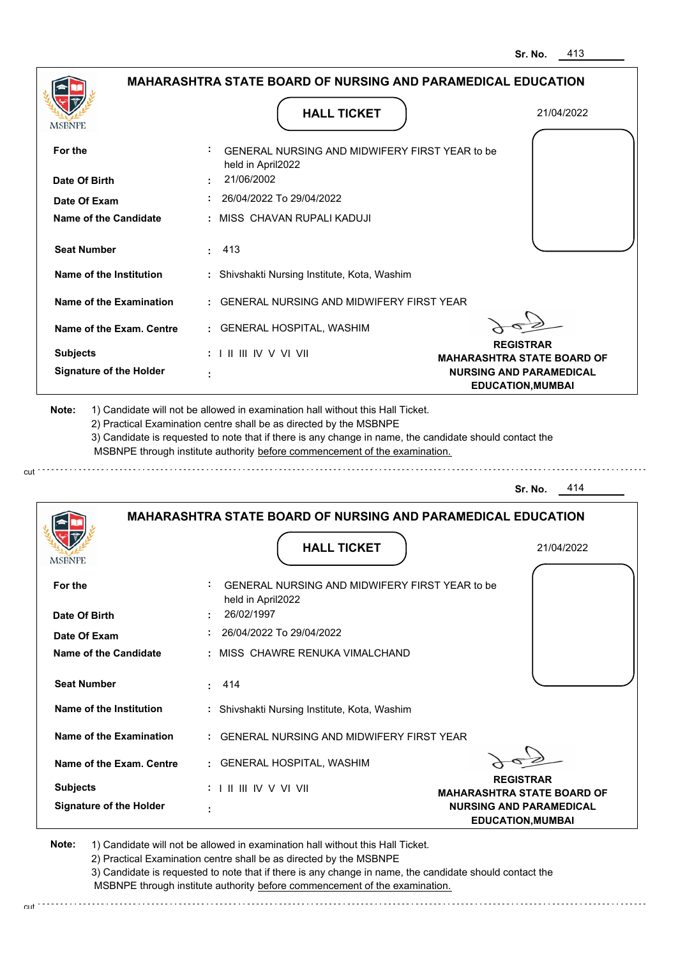|                                                                                                                                                                       | <b>HALL TICKET</b>                                                                                                                                                                                                                                                                                                                            | 21/04/2022                                            |
|-----------------------------------------------------------------------------------------------------------------------------------------------------------------------|-----------------------------------------------------------------------------------------------------------------------------------------------------------------------------------------------------------------------------------------------------------------------------------------------------------------------------------------------|-------------------------------------------------------|
| For the                                                                                                                                                               | GENERAL NURSING AND MIDWIFERY FIRST YEAR to be<br>held in April2022                                                                                                                                                                                                                                                                           |                                                       |
| Date Of Birth                                                                                                                                                         | 21/06/2002                                                                                                                                                                                                                                                                                                                                    |                                                       |
| Date Of Exam                                                                                                                                                          | 26/04/2022 To 29/04/2022                                                                                                                                                                                                                                                                                                                      |                                                       |
| <b>Name of the Candidate</b>                                                                                                                                          | MISS CHAVAN RUPALI KADUJI                                                                                                                                                                                                                                                                                                                     |                                                       |
| <b>Seat Number</b>                                                                                                                                                    | 413                                                                                                                                                                                                                                                                                                                                           |                                                       |
| Name of the Institution                                                                                                                                               | : Shivshakti Nursing Institute, Kota, Washim                                                                                                                                                                                                                                                                                                  |                                                       |
| Name of the Examination                                                                                                                                               | <b>GENERAL NURSING AND MIDWIFERY FIRST YEAR</b>                                                                                                                                                                                                                                                                                               |                                                       |
| Name of the Exam. Centre                                                                                                                                              | <b>GENERAL HOSPITAL, WASHIM</b>                                                                                                                                                                                                                                                                                                               |                                                       |
| <b>Subjects</b>                                                                                                                                                       | $: 1$ II III IV V VI VII                                                                                                                                                                                                                                                                                                                      | <b>REGISTRAR</b><br><b>MAHARASHTRA STATE BOARD OF</b> |
| <b>Signature of the Holder</b>                                                                                                                                        |                                                                                                                                                                                                                                                                                                                                               | <b>NURSING AND PARAMEDICAL</b>                        |
|                                                                                                                                                                       | 1) Candidate will not be allowed in examination hall without this Hall Ticket.<br>2) Practical Examination centre shall be as directed by the MSBNPE<br>3) Candidate is requested to note that if there is any change in name, the candidate should contact the<br>MSBNPE through institute authority before commencement of the examination. | <b>EDUCATION, MUMBAI</b><br>414<br>Sr. No.            |
| Note:                                                                                                                                                                 | <b>MAHARASHTRA STATE BOARD OF NURSING AND PARAMEDICAL EDUCATION</b>                                                                                                                                                                                                                                                                           |                                                       |
|                                                                                                                                                                       | <b>HALL TICKET</b>                                                                                                                                                                                                                                                                                                                            | 21/04/2022                                            |
|                                                                                                                                                                       | GENERAL NURSING AND MIDWIFERY FIRST YEAR to be                                                                                                                                                                                                                                                                                                |                                                       |
|                                                                                                                                                                       | held in April2022<br>26/02/1997                                                                                                                                                                                                                                                                                                               |                                                       |
|                                                                                                                                                                       | 26/04/2022 To 29/04/2022                                                                                                                                                                                                                                                                                                                      |                                                       |
|                                                                                                                                                                       | MISS CHAWRE RENUKA VIMALCHAND                                                                                                                                                                                                                                                                                                                 |                                                       |
|                                                                                                                                                                       | 414<br>÷.                                                                                                                                                                                                                                                                                                                                     |                                                       |
|                                                                                                                                                                       | : Shivshakti Nursing Institute, Kota, Washim                                                                                                                                                                                                                                                                                                  |                                                       |
| MSBNPE<br>For the<br>Date Of Birth<br>Date Of Exam<br><b>Name of the Candidate</b><br><b>Seat Number</b><br>Name of the Institution<br><b>Name of the Examination</b> | GENERAL NURSING AND MIDWIFERY FIRST YEAR                                                                                                                                                                                                                                                                                                      |                                                       |
| Name of the Exam. Centre                                                                                                                                              | : GENERAL HOSPITAL, WASHIM                                                                                                                                                                                                                                                                                                                    |                                                       |
| <b>Subjects</b>                                                                                                                                                       | $: 1 \mathbb{I}$ III IIV V VI VII                                                                                                                                                                                                                                                                                                             | <b>REGISTRAR</b><br><b>MAHARASHTRA STATE BOARD OF</b> |

3) Candidate is requested to note that if there is any change in name, the candidate should contact the MSBNPE through institute authority before commencement of the examination.

cut de la component de la component de la component de la component de la component de la component de la component de la component de la component de la component de la component de la component de la component de la comp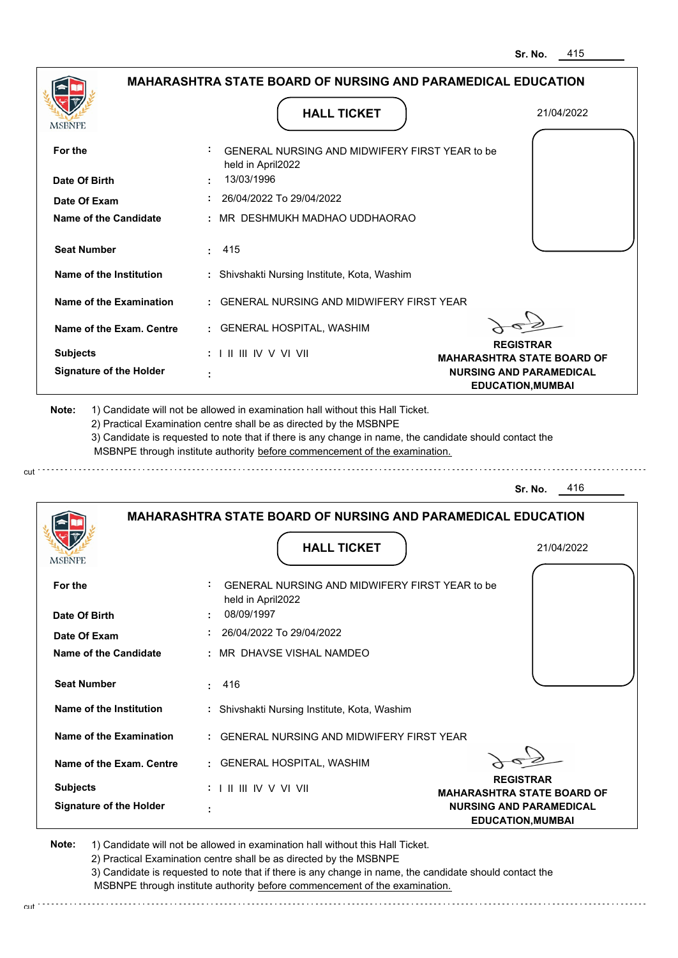| MSBNPF                                                                                                                                                                                                                        |                                 | <b>HALL TICKET</b>                                                                                                                                                                                                                                                                                                                            | 21/04/2022                                                          |
|-------------------------------------------------------------------------------------------------------------------------------------------------------------------------------------------------------------------------------|---------------------------------|-----------------------------------------------------------------------------------------------------------------------------------------------------------------------------------------------------------------------------------------------------------------------------------------------------------------------------------------------|---------------------------------------------------------------------|
| For the                                                                                                                                                                                                                       | held in April2022               | GENERAL NURSING AND MIDWIFERY FIRST YEAR to be                                                                                                                                                                                                                                                                                                |                                                                     |
| Date Of Birth                                                                                                                                                                                                                 | 13/03/1996                      |                                                                                                                                                                                                                                                                                                                                               |                                                                     |
| Date Of Exam                                                                                                                                                                                                                  |                                 | 26/04/2022 To 29/04/2022                                                                                                                                                                                                                                                                                                                      |                                                                     |
| <b>Name of the Candidate</b>                                                                                                                                                                                                  |                                 | MR DESHMUKH MADHAO UDDHAORAO                                                                                                                                                                                                                                                                                                                  |                                                                     |
| <b>Seat Number</b>                                                                                                                                                                                                            | 415                             |                                                                                                                                                                                                                                                                                                                                               |                                                                     |
| Name of the Institution                                                                                                                                                                                                       |                                 | Shivshakti Nursing Institute, Kota, Washim                                                                                                                                                                                                                                                                                                    |                                                                     |
| Name of the Examination                                                                                                                                                                                                       |                                 | <b>GENERAL NURSING AND MIDWIFERY FIRST YEAR</b>                                                                                                                                                                                                                                                                                               |                                                                     |
| Name of the Exam. Centre                                                                                                                                                                                                      |                                 | <b>GENERAL HOSPITAL, WASHIM</b>                                                                                                                                                                                                                                                                                                               |                                                                     |
| <b>Subjects</b>                                                                                                                                                                                                               | : I II III IV V VI VII          |                                                                                                                                                                                                                                                                                                                                               | <b>REGISTRAR</b><br><b>MAHARASHTRA STATE BOARD OF</b>               |
| <b>Signature of the Holder</b>                                                                                                                                                                                                |                                 |                                                                                                                                                                                                                                                                                                                                               | <b>NURSING AND PARAMEDICAL</b><br><b>EDUCATION, MUMBAI</b>          |
|                                                                                                                                                                                                                               |                                 | 1) Candidate will not be allowed in examination hall without this Hall Ticket.<br>2) Practical Examination centre shall be as directed by the MSBNPE<br>3) Candidate is requested to note that if there is any change in name, the candidate should contact the<br>MSBNPE through institute authority before commencement of the examination. | 416<br>Sr. No.                                                      |
|                                                                                                                                                                                                                               |                                 |                                                                                                                                                                                                                                                                                                                                               | <b>MAHARASHTRA STATE BOARD OF NURSING AND PARAMEDICAL EDUCATION</b> |
|                                                                                                                                                                                                                               |                                 | <b>HALL TICKET</b>                                                                                                                                                                                                                                                                                                                            | 21/04/2022                                                          |
|                                                                                                                                                                                                                               |                                 | GENERAL NURSING AND MIDWIFERY FIRST YEAR to be                                                                                                                                                                                                                                                                                                |                                                                     |
|                                                                                                                                                                                                                               | held in April2022<br>08/09/1997 |                                                                                                                                                                                                                                                                                                                                               |                                                                     |
|                                                                                                                                                                                                                               |                                 | 26/04/2022 To 29/04/2022                                                                                                                                                                                                                                                                                                                      |                                                                     |
|                                                                                                                                                                                                                               |                                 | MR DHAVSE VISHAL NAMDEO                                                                                                                                                                                                                                                                                                                       |                                                                     |
|                                                                                                                                                                                                                               | 416<br>÷                        |                                                                                                                                                                                                                                                                                                                                               |                                                                     |
|                                                                                                                                                                                                                               |                                 | : Shivshakti Nursing Institute, Kota, Washim                                                                                                                                                                                                                                                                                                  |                                                                     |
|                                                                                                                                                                                                                               |                                 | GENERAL NURSING AND MIDWIFERY FIRST YEAR                                                                                                                                                                                                                                                                                                      |                                                                     |
|                                                                                                                                                                                                                               |                                 | : GENERAL HOSPITAL, WASHIM                                                                                                                                                                                                                                                                                                                    |                                                                     |
| Note:<br>MSBNPE<br>For the<br>Date Of Birth<br>Date Of Exam<br><b>Name of the Candidate</b><br><b>Seat Number</b><br>Name of the Institution<br><b>Name of the Examination</b><br>Name of the Exam. Centre<br><b>Subjects</b> | : I II III IV V VI VII          |                                                                                                                                                                                                                                                                                                                                               | <b>REGISTRAR</b><br><b>MAHARASHTRA STATE BOARD OF</b>               |

2) Practical Examination centre shall be as directed by the MSBNPE 3) Candidate is requested to note that if there is any change in name, the candidate should contact the

 MSBNPE through institute authority before commencement of the examination. cut de la component de la component de la component de la component de la component de la component de la component de la component de la component de la component de la component de la component de la component de la comp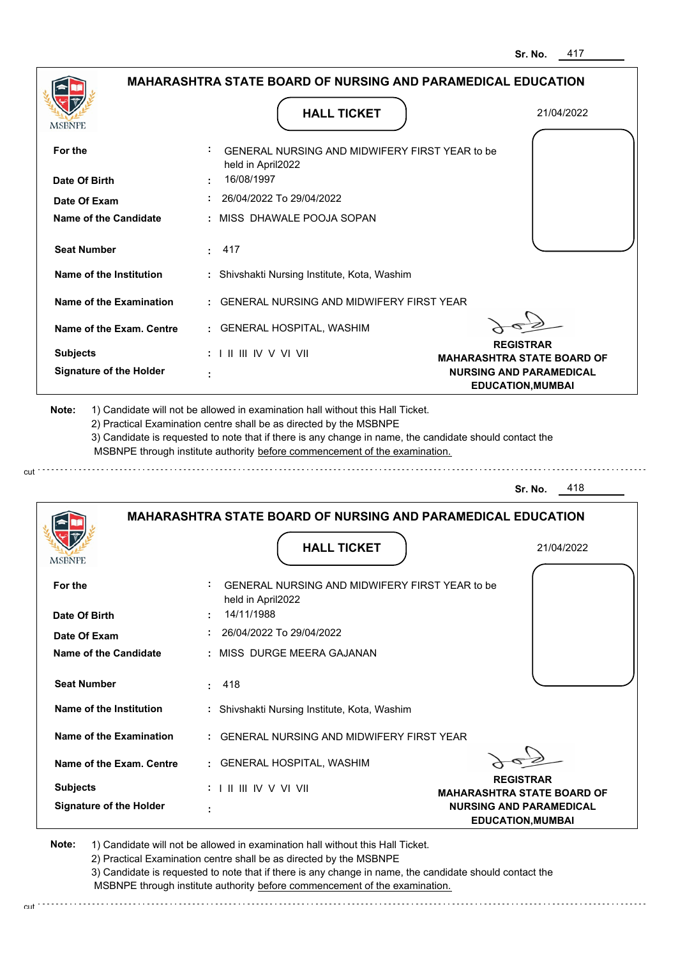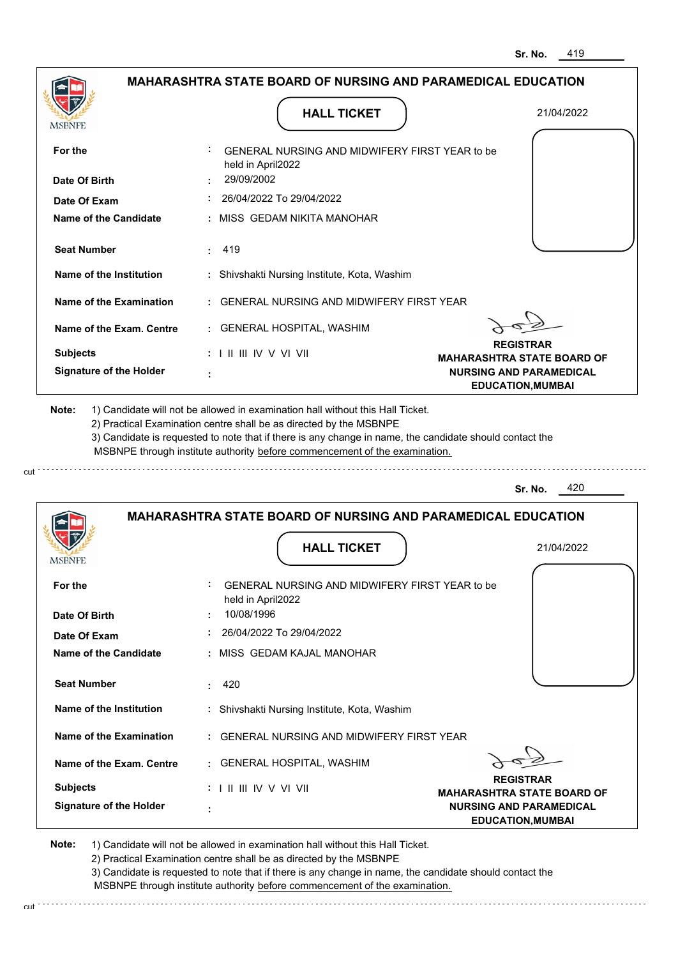|                                                                                                   | <b>HALL TICKET</b>                                                                                                                                                                                                                                                                                                                            | 21/04/2022                                                 |
|---------------------------------------------------------------------------------------------------|-----------------------------------------------------------------------------------------------------------------------------------------------------------------------------------------------------------------------------------------------------------------------------------------------------------------------------------------------|------------------------------------------------------------|
| For the                                                                                           | GENERAL NURSING AND MIDWIFERY FIRST YEAR to be<br>held in April2022                                                                                                                                                                                                                                                                           |                                                            |
| Date Of Birth                                                                                     | 29/09/2002                                                                                                                                                                                                                                                                                                                                    |                                                            |
| Date Of Exam                                                                                      | 26/04/2022 To 29/04/2022                                                                                                                                                                                                                                                                                                                      |                                                            |
| <b>Name of the Candidate</b>                                                                      | MISS GEDAM NIKITA MANOHAR                                                                                                                                                                                                                                                                                                                     |                                                            |
| <b>Seat Number</b>                                                                                | 419                                                                                                                                                                                                                                                                                                                                           |                                                            |
| Name of the Institution                                                                           | : Shivshakti Nursing Institute, Kota, Washim                                                                                                                                                                                                                                                                                                  |                                                            |
| Name of the Examination                                                                           | <b>GENERAL NURSING AND MIDWIFERY FIRST YEAR</b>                                                                                                                                                                                                                                                                                               |                                                            |
| Name of the Exam. Centre                                                                          | <b>GENERAL HOSPITAL, WASHIM</b>                                                                                                                                                                                                                                                                                                               |                                                            |
| <b>Subjects</b>                                                                                   | : I II III IV V VI VII                                                                                                                                                                                                                                                                                                                        | <b>REGISTRAR</b><br><b>MAHARASHTRA STATE BOARD OF</b>      |
| <b>Signature of the Holder</b>                                                                    |                                                                                                                                                                                                                                                                                                                                               | <b>NURSING AND PARAMEDICAL</b><br><b>EDUCATION, MUMBAI</b> |
|                                                                                                   | 1) Candidate will not be allowed in examination hall without this Hall Ticket.<br>2) Practical Examination centre shall be as directed by the MSBNPE<br>3) Candidate is requested to note that if there is any change in name, the candidate should contact the<br>MSBNPE through institute authority before commencement of the examination. | 420<br>Sr. No.                                             |
| Note:                                                                                             | <b>MAHARASHTRA STATE BOARD OF NURSING AND PARAMEDICAL EDUCATION</b>                                                                                                                                                                                                                                                                           |                                                            |
|                                                                                                   | <b>HALL TICKET</b>                                                                                                                                                                                                                                                                                                                            | 21/04/2022                                                 |
| MSBNPE<br>For the                                                                                 | GENERAL NURSING AND MIDWIFERY FIRST YEAR to be                                                                                                                                                                                                                                                                                                |                                                            |
|                                                                                                   | held in April2022<br>10/08/1996                                                                                                                                                                                                                                                                                                               |                                                            |
|                                                                                                   | 26/04/2022 To 29/04/2022                                                                                                                                                                                                                                                                                                                      |                                                            |
|                                                                                                   | MISS GEDAM KAJAL MANOHAR                                                                                                                                                                                                                                                                                                                      |                                                            |
| Date Of Birth<br>Date Of Exam<br><b>Name of the Candidate</b><br><b>Seat Number</b>               | 420<br>÷                                                                                                                                                                                                                                                                                                                                      |                                                            |
|                                                                                                   | : Shivshakti Nursing Institute, Kota, Washim                                                                                                                                                                                                                                                                                                  |                                                            |
|                                                                                                   | GENERAL NURSING AND MIDWIFERY FIRST YEAR                                                                                                                                                                                                                                                                                                      |                                                            |
|                                                                                                   | GENERAL HOSPITAL, WASHIM                                                                                                                                                                                                                                                                                                                      |                                                            |
| Name of the Institution<br>Name of the Examination<br>Name of the Exam. Centre<br><b>Subjects</b> | :             V V    V                                                                                                                                                                                                                                                                                                                        | <b>REGISTRAR</b><br><b>MAHARASHTRA STATE BOARD OF</b>      |

2) Practical Examination centre snall be as directed by the Mobivicum (2) Practical Examination contact the 2)<br>3) Candidate is requested to note that if there is any change in name, the candidate should contact the MSBNPE through institute authority before commencement of the examination.

cut de la component de la component de la component de la component de la component de la component de la component de la component de la component de la component de la component de la component de la component de la comp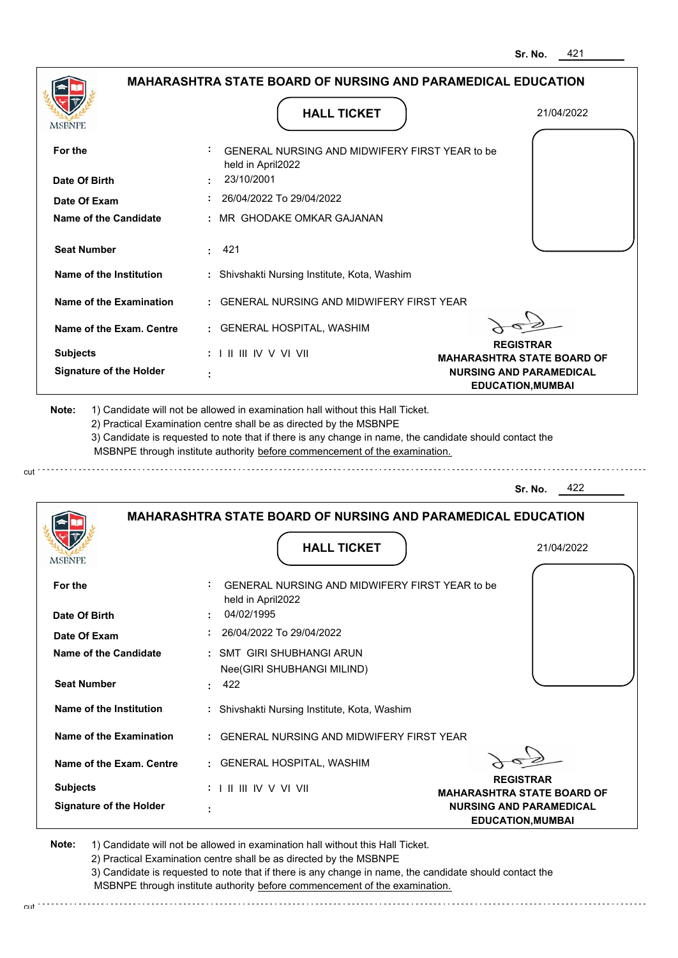|                                                                          | <b>MAHARASHTRA STATE BOARD OF NURSING AND PARAMEDICAL EDUCATION</b>                                                                                                                                                                                                                                                                           |                                                       |
|--------------------------------------------------------------------------|-----------------------------------------------------------------------------------------------------------------------------------------------------------------------------------------------------------------------------------------------------------------------------------------------------------------------------------------------|-------------------------------------------------------|
| <b>MSBNPE</b>                                                            | <b>HALL TICKET</b>                                                                                                                                                                                                                                                                                                                            | 21/04/2022                                            |
| For the                                                                  | GENERAL NURSING AND MIDWIFERY FIRST YEAR to be<br>held in April2022                                                                                                                                                                                                                                                                           |                                                       |
| Date Of Birth                                                            | 23/10/2001                                                                                                                                                                                                                                                                                                                                    |                                                       |
| Date Of Exam                                                             | 26/04/2022 To 29/04/2022                                                                                                                                                                                                                                                                                                                      |                                                       |
| Name of the Candidate                                                    | : MR GHODAKE OMKAR GAJANAN                                                                                                                                                                                                                                                                                                                    |                                                       |
| <b>Seat Number</b>                                                       | : 421                                                                                                                                                                                                                                                                                                                                         |                                                       |
| Name of the Institution                                                  | : Shivshakti Nursing Institute, Kota, Washim                                                                                                                                                                                                                                                                                                  |                                                       |
| Name of the Examination                                                  | : GENERAL NURSING AND MIDWIFERY FIRST YEAR                                                                                                                                                                                                                                                                                                    |                                                       |
| Name of the Exam. Centre                                                 | : GENERAL HOSPITAL, WASHIM                                                                                                                                                                                                                                                                                                                    |                                                       |
| <b>Subjects</b>                                                          |                                                                                                                                                                                                                                                                                                                                               | <b>REGISTRAR</b><br><b>MAHARASHTRA STATE BOARD OF</b> |
| <b>Signature of the Holder</b>                                           |                                                                                                                                                                                                                                                                                                                                               | <b>NURSING AND PARAMEDICAL</b>                        |
|                                                                          | 1) Candidate will not be allowed in examination hall without this Hall Ticket.<br>2) Practical Examination centre shall be as directed by the MSBNPE<br>3) Candidate is requested to note that if there is any change in name, the candidate should contact the<br>MSBNPE through institute authority before commencement of the examination. | <b>EDUCATION, MUMBAI</b>                              |
| Note:                                                                    |                                                                                                                                                                                                                                                                                                                                               | 422<br>Sr. No.                                        |
|                                                                          | <b>MAHARASHTRA STATE BOARD OF NURSING AND PARAMEDICAL EDUCATION</b>                                                                                                                                                                                                                                                                           |                                                       |
| <b>IVISDINE L</b>                                                        | <b>HALL TICKET</b>                                                                                                                                                                                                                                                                                                                            | 21/04/2022                                            |
|                                                                          | GENERAL NURSING AND MIDWIFERY FIRST YEAR to be<br>held in April2022                                                                                                                                                                                                                                                                           |                                                       |
|                                                                          | 04/02/1995                                                                                                                                                                                                                                                                                                                                    |                                                       |
|                                                                          | 26/04/2022 To 29/04/2022                                                                                                                                                                                                                                                                                                                      |                                                       |
| For the<br>Date Of Birth<br>Date Of Exam<br><b>Name of the Candidate</b> | : SMT GIRI SHUBHANGI ARUN<br>Nee(GIRI SHUBHANGI MILIND)                                                                                                                                                                                                                                                                                       |                                                       |
| <b>Seat Number</b>                                                       | 422                                                                                                                                                                                                                                                                                                                                           |                                                       |
| Name of the Institution                                                  | : Shivshakti Nursing Institute, Kota, Washim                                                                                                                                                                                                                                                                                                  |                                                       |
| Name of the Examination                                                  | : GENERAL NURSING AND MIDWIFERY FIRST YEAR                                                                                                                                                                                                                                                                                                    |                                                       |
| Name of the Exam. Centre                                                 | : GENERAL HOSPITAL, WASHIM                                                                                                                                                                                                                                                                                                                    |                                                       |

2) Practical Examination centre shall be as directed by the MSBNPE

cut.

3) Candidate is requested to note that if there is any change in name, the candidate should contact the MSBNPE through institute authority before commencement of the examination.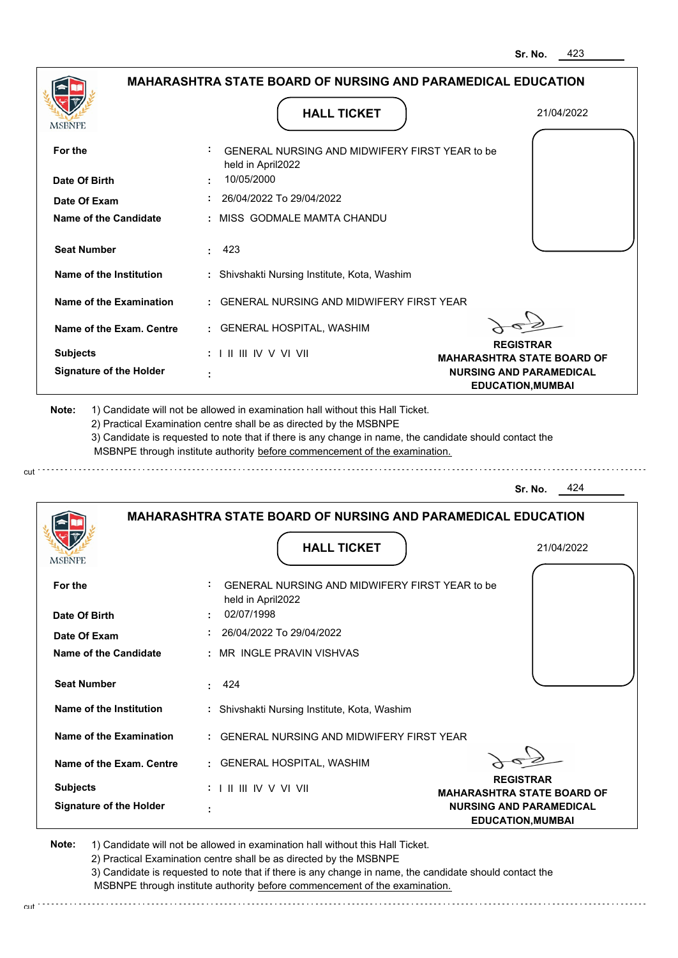|                                              |                                                                                                                                                                                       | 423<br>Sr. No.                                             |
|----------------------------------------------|---------------------------------------------------------------------------------------------------------------------------------------------------------------------------------------|------------------------------------------------------------|
|                                              | <b>MAHARASHTRA STATE BOARD OF NURSING AND PARAMEDICAL EDUCATION</b>                                                                                                                   |                                                            |
| <b>MSBNPE</b>                                | <b>HALL TICKET</b>                                                                                                                                                                    | 21/04/2022                                                 |
| For the                                      | GENERAL NURSING AND MIDWIFERY FIRST YEAR to be<br>held in April2022                                                                                                                   |                                                            |
| Date Of Birth                                | 10/05/2000                                                                                                                                                                            |                                                            |
| Date Of Exam                                 | 26/04/2022 To 29/04/2022                                                                                                                                                              |                                                            |
| <b>Name of the Candidate</b>                 | MISS GODMALE MAMTA CHANDU                                                                                                                                                             |                                                            |
| <b>Seat Number</b>                           | 423                                                                                                                                                                                   |                                                            |
| Name of the Institution                      | : Shivshakti Nursing Institute, Kota, Washim                                                                                                                                          |                                                            |
| <b>Name of the Examination</b>               | <b>GENERAL NURSING AND MIDWIFERY FIRST YEAR</b>                                                                                                                                       |                                                            |
| Name of the Exam. Centre                     | : GENERAL HOSPITAL, WASHIM                                                                                                                                                            |                                                            |
| <b>Subjects</b>                              | $: 1 \mathbb{H} \mathbb{H} \mathbb{W} \vee \mathbb{V} \mathbb{W}$                                                                                                                     | <b>REGISTRAR</b><br><b>MAHARASHTRA STATE BOARD OF</b>      |
| <b>Signature of the Holder</b>               |                                                                                                                                                                                       | <b>NURSING AND PARAMEDICAL</b><br><b>EDUCATION, MUMBAI</b> |
|                                              | 3) Candidate is requested to note that if there is any change in name, the candidate should contact the<br>MSBNPE through institute authority before commencement of the examination. | 424<br>Sr. No.                                             |
|                                              | <b>MAHARASHTRA STATE BOARD OF NURSING AND PARAMEDICAL EDUCATION</b><br><b>HALL TICKET</b>                                                                                             | 21/04/2022                                                 |
| <b>IMODIAL L</b>                             |                                                                                                                                                                                       |                                                            |
| For the                                      | GENERAL NURSING AND MIDWIFERY FIRST YEAR to be<br>held in April2022                                                                                                                   |                                                            |
| Date Of Birth                                | 02/07/1998<br>26/04/2022 To 29/04/2022                                                                                                                                                |                                                            |
| Date Of Exam<br><b>Name of the Candidate</b> | MR INGLE PRAVIN VISHVAS                                                                                                                                                               |                                                            |
| <b>Seat Number</b>                           | 424<br>÷                                                                                                                                                                              |                                                            |
| <b>Name of the Institution</b>               | : Shivshakti Nursing Institute, Kota, Washim                                                                                                                                          |                                                            |
|                                              |                                                                                                                                                                                       |                                                            |
| <b>Name of the Examination</b>               | <b>GENERAL NURSING AND MIDWIFERY FIRST YEAR</b>                                                                                                                                       |                                                            |
| Name of the Exam. Centre                     | : GENERAL HOSPITAL, WASHIM                                                                                                                                                            | <b>REGISTRAR</b>                                           |
| <b>Subjects</b>                              |                                                                                                                                                                                       | <b>MAHARASHTRA STATE BOARD OF</b>                          |
| <b>Signature of the Holder</b>               |                                                                                                                                                                                       | <b>NURSING AND PARAMEDICAL</b><br><b>EDUCATION, MUMBAI</b> |

cut

2) Practical Examination centre shall be as directed by the MSBNPE

3) Candidate is requested to note that if there is any change in name, the candidate should contact the MSBNPE through institute authority before commencement of the examination. cut de contra a construction de construction de construction de construction de construction de construction de construction de construction de construction de construction de construction de construction de construction d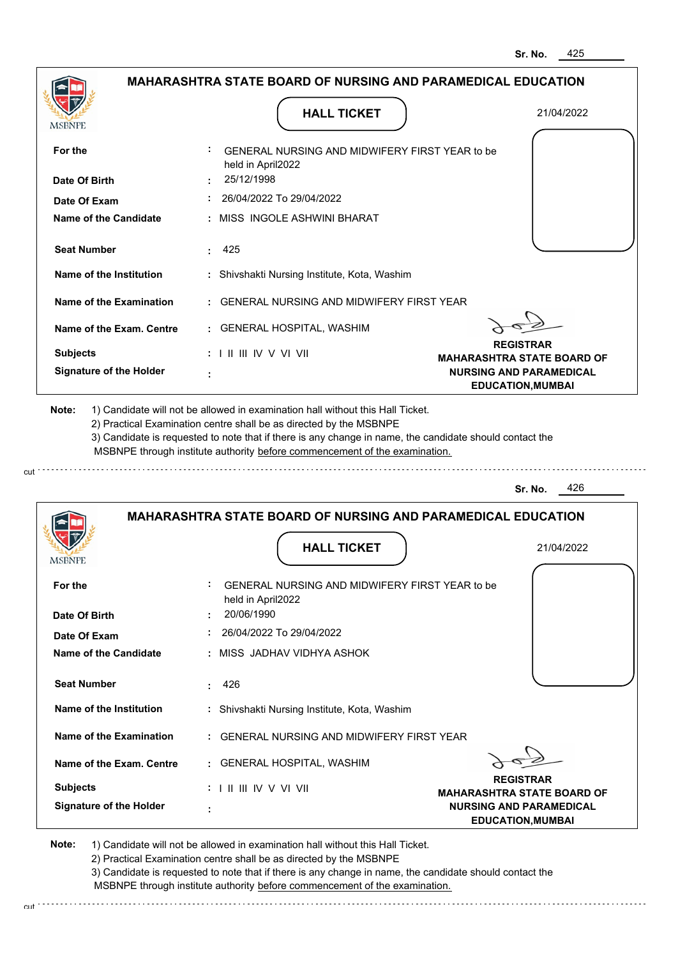|                                                                                             | <b>MAHARASHTRA STATE BOARD OF NURSING AND PARAMEDICAL EDUCATION</b>                                                                                                                                                                                         |                                                            |
|---------------------------------------------------------------------------------------------|-------------------------------------------------------------------------------------------------------------------------------------------------------------------------------------------------------------------------------------------------------------|------------------------------------------------------------|
| MSBNPE                                                                                      | <b>HALL TICKET</b>                                                                                                                                                                                                                                          | 21/04/2022                                                 |
| For the                                                                                     | GENERAL NURSING AND MIDWIFERY FIRST YEAR to be<br>held in April2022                                                                                                                                                                                         |                                                            |
| Date Of Birth                                                                               | 25/12/1998                                                                                                                                                                                                                                                  |                                                            |
| Date Of Exam                                                                                | $: 26/04/2022$ To 29/04/2022                                                                                                                                                                                                                                |                                                            |
| Name of the Candidate                                                                       | : MISS INGOLE ASHWINI BHARAT                                                                                                                                                                                                                                |                                                            |
| <b>Seat Number</b>                                                                          | : 425                                                                                                                                                                                                                                                       |                                                            |
| Name of the Institution                                                                     | : Shivshakti Nursing Institute, Kota, Washim                                                                                                                                                                                                                |                                                            |
| Name of the Examination                                                                     | : GENERAL NURSING AND MIDWIFERY FIRST YEAR                                                                                                                                                                                                                  |                                                            |
| Name of the Exam. Centre                                                                    | : GENERAL HOSPITAL, WASHIM                                                                                                                                                                                                                                  |                                                            |
| <b>Subjects</b>                                                                             | : I II III IV V VI VII                                                                                                                                                                                                                                      | <b>REGISTRAR</b><br><b>MAHARASHTRA STATE BOARD OF</b>      |
| <b>Signature of the Holder</b>                                                              |                                                                                                                                                                                                                                                             | <b>NURSING AND PARAMEDICAL</b><br><b>EDUCATION, MUMBAI</b> |
|                                                                                             | 2) Practical Examination centre shall be as directed by the MSBNPE<br>3) Candidate is requested to note that if there is any change in name, the candidate should contact the<br>MSBNPE through institute authority before commencement of the examination. |                                                            |
|                                                                                             |                                                                                                                                                                                                                                                             | 426<br>Sr. No.                                             |
|                                                                                             | <b>MAHARASHTRA STATE BOARD OF NURSING AND PARAMEDICAL EDUCATION</b>                                                                                                                                                                                         |                                                            |
|                                                                                             |                                                                                                                                                                                                                                                             |                                                            |
|                                                                                             | <b>HALL TICKET</b>                                                                                                                                                                                                                                          | 21/04/2022                                                 |
| For the                                                                                     | GENERAL NURSING AND MIDWIFERY FIRST YEAR to be                                                                                                                                                                                                              |                                                            |
|                                                                                             | held in April2022<br>20/06/1990                                                                                                                                                                                                                             |                                                            |
| Date Of Exam                                                                                | 26/04/2022 To 29/04/2022                                                                                                                                                                                                                                    |                                                            |
|                                                                                             | : MISS JADHAV VIDHYA ASHOK                                                                                                                                                                                                                                  |                                                            |
| <b>Seat Number</b>                                                                          | 426                                                                                                                                                                                                                                                         |                                                            |
| Name of the Institution                                                                     | : Shivshakti Nursing Institute, Kota, Washim                                                                                                                                                                                                                |                                                            |
| Name of the Examination                                                                     | : GENERAL NURSING AND MIDWIFERY FIRST YEAR                                                                                                                                                                                                                  |                                                            |
| <b>IMPDIAL</b><br>Date Of Birth<br><b>Name of the Candidate</b><br>Name of the Exam. Centre | : GENERAL HOSPITAL, WASHIM                                                                                                                                                                                                                                  |                                                            |
| <b>Subjects</b>                                                                             | $: 1 \mathbb{H} \mathbb{H} \mathbb{N} \vee \mathbb{V} \mathbb{N}$                                                                                                                                                                                           | <b>REGISTRAR</b><br><b>MAHARASHTRA STATE BOARD OF</b>      |

2) Practical Examination centre shall be as directed by the MSBNPE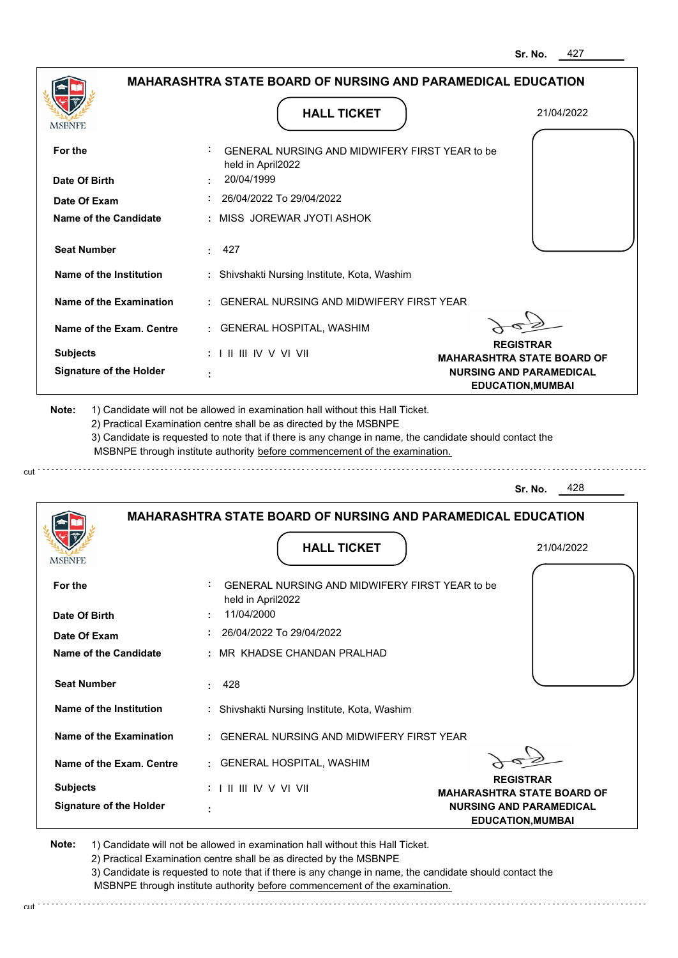|                                                                                |                                                                                                                                                                                                                                                             | <b>MAHARASHTRA STATE BOARD OF NURSING AND PARAMEDICAL EDUCATION</b> |
|--------------------------------------------------------------------------------|-------------------------------------------------------------------------------------------------------------------------------------------------------------------------------------------------------------------------------------------------------------|---------------------------------------------------------------------|
| MSBNPE                                                                         | <b>HALL TICKET</b>                                                                                                                                                                                                                                          | 21/04/2022                                                          |
| For the                                                                        | GENERAL NURSING AND MIDWIFERY FIRST YEAR to be<br>held in April2022                                                                                                                                                                                         |                                                                     |
| Date Of Birth                                                                  | 20/04/1999                                                                                                                                                                                                                                                  |                                                                     |
| Date Of Exam                                                                   | 26/04/2022 To 29/04/2022                                                                                                                                                                                                                                    |                                                                     |
| Name of the Candidate                                                          | : MISS JOREWAR JYOTI ASHOK                                                                                                                                                                                                                                  |                                                                     |
| <b>Seat Number</b>                                                             | : 427                                                                                                                                                                                                                                                       |                                                                     |
| Name of the Institution                                                        | : Shivshakti Nursing Institute, Kota, Washim                                                                                                                                                                                                                |                                                                     |
| Name of the Examination                                                        | : GENERAL NURSING AND MIDWIFERY FIRST YEAR                                                                                                                                                                                                                  |                                                                     |
| Name of the Exam. Centre                                                       | : GENERAL HOSPITAL, WASHIM                                                                                                                                                                                                                                  |                                                                     |
| <b>Subjects</b>                                                                | $: 1 \mathbb{I}$ III IIV V VI VII                                                                                                                                                                                                                           | <b>REGISTRAR</b><br><b>MAHARASHTRA STATE BOARD OF</b>               |
| <b>Signature of the Holder</b>                                                 |                                                                                                                                                                                                                                                             | <b>NURSING AND PARAMEDICAL</b><br><b>EDUCATION, MUMBAI</b>          |
| 1) Candidate will not be allowed in examination hall without this Hall Ticket. | 2) Practical Examination centre shall be as directed by the MSBNPE<br>3) Candidate is requested to note that if there is any change in name, the candidate should contact the<br>MSBNPE through institute authority before commencement of the examination. |                                                                     |
|                                                                                |                                                                                                                                                                                                                                                             | 428<br>Sr. No.                                                      |
|                                                                                | <b>MAHARASHTRA STATE BOARD OF NURSING AND PARAMEDICAL EDUCATION</b><br><b>HALL TICKET</b>                                                                                                                                                                   | 21/04/2022                                                          |
| For the                                                                        | GENERAL NURSING AND MIDWIFERY FIRST YEAR to be                                                                                                                                                                                                              |                                                                     |
|                                                                                | held in April2022<br>11/04/2000                                                                                                                                                                                                                             |                                                                     |
| <b>IMPDIAL</b> P<br>Date Of Birth<br>Date Of Exam                              | 26/04/2022 To 29/04/2022                                                                                                                                                                                                                                    |                                                                     |
|                                                                                | : MR KHADSE CHANDAN PRALHAD                                                                                                                                                                                                                                 |                                                                     |
| <b>Seat Number</b>                                                             | 428                                                                                                                                                                                                                                                         |                                                                     |
| Name of the Institution                                                        | : Shivshakti Nursing Institute, Kota, Washim                                                                                                                                                                                                                |                                                                     |
| Name of the Examination                                                        | : GENERAL NURSING AND MIDWIFERY FIRST YEAR                                                                                                                                                                                                                  |                                                                     |
| <b>Name of the Candidate</b><br>Name of the Exam. Centre                       | : GENERAL HOSPITAL, WASHIM                                                                                                                                                                                                                                  |                                                                     |
| <b>Subjects</b>                                                                |                                                                                                                                                                                                                                                             | <b>REGISTRAR</b><br><b>MAHARASHTRA STATE BOARD OF</b>               |

2) Practical Examination centre shall be as directed by the MSBNPE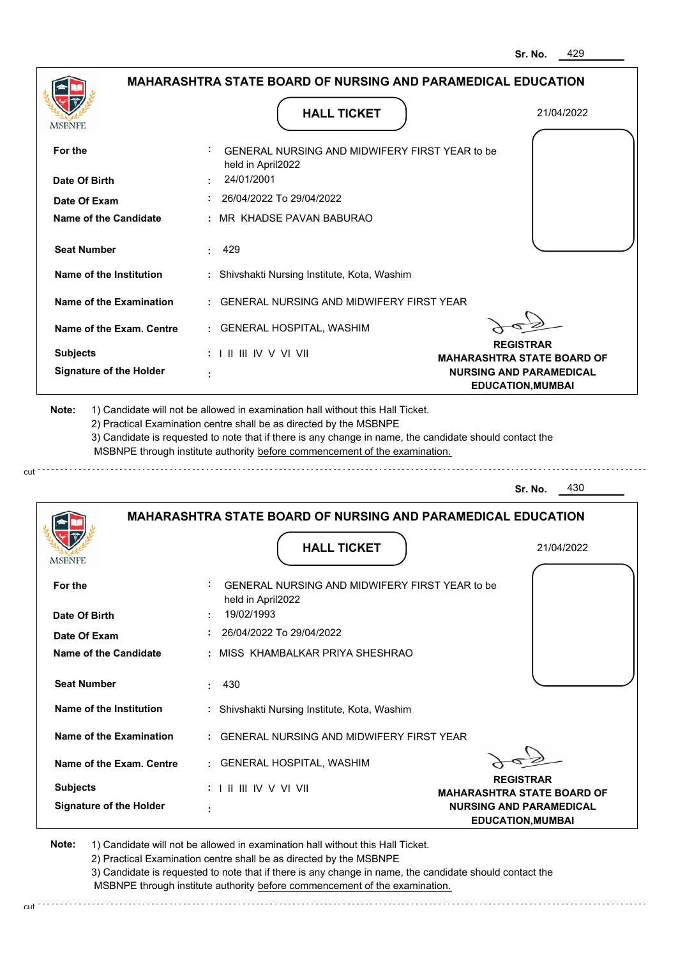|                                                                        | <b>MAHARASHTRA STATE BOARD OF NURSING AND PARAMEDICAL EDUCATION</b>                                                                                                                                                                                                                                                                           |                                                            |
|------------------------------------------------------------------------|-----------------------------------------------------------------------------------------------------------------------------------------------------------------------------------------------------------------------------------------------------------------------------------------------------------------------------------------------|------------------------------------------------------------|
| MSBNPE                                                                 | <b>HALL TICKET</b>                                                                                                                                                                                                                                                                                                                            | 21/04/2022                                                 |
| For the                                                                | GENERAL NURSING AND MIDWIFERY FIRST YEAR to be<br>held in April2022                                                                                                                                                                                                                                                                           |                                                            |
| Date Of Birth                                                          | 24/01/2001                                                                                                                                                                                                                                                                                                                                    |                                                            |
| Date Of Exam                                                           | 26/04/2022 To 29/04/2022                                                                                                                                                                                                                                                                                                                      |                                                            |
| Name of the Candidate                                                  | : MR KHADSE PAVAN BABURAO                                                                                                                                                                                                                                                                                                                     |                                                            |
| <b>Seat Number</b>                                                     | : 429                                                                                                                                                                                                                                                                                                                                         |                                                            |
| Name of the Institution                                                | : Shivshakti Nursing Institute, Kota, Washim                                                                                                                                                                                                                                                                                                  |                                                            |
| Name of the Examination                                                | : GENERAL NURSING AND MIDWIFERY FIRST YEAR                                                                                                                                                                                                                                                                                                    |                                                            |
| Name of the Exam. Centre                                               | : GENERAL HOSPITAL, WASHIM                                                                                                                                                                                                                                                                                                                    |                                                            |
| <b>Subjects</b>                                                        | : I II III IV V VI VII                                                                                                                                                                                                                                                                                                                        | <b>REGISTRAR</b><br><b>MAHARASHTRA STATE BOARD OF</b>      |
| <b>Signature of the Holder</b>                                         |                                                                                                                                                                                                                                                                                                                                               | <b>NURSING AND PARAMEDICAL</b><br><b>EDUCATION, MUMBAI</b> |
|                                                                        | 1) Candidate will not be allowed in examination hall without this Hall Ticket.<br>2) Practical Examination centre shall be as directed by the MSBNPE<br>3) Candidate is requested to note that if there is any change in name, the candidate should contact the<br>MSBNPE through institute authority before commencement of the examination. |                                                            |
| Note:                                                                  |                                                                                                                                                                                                                                                                                                                                               | 430<br>Sr. No.                                             |
|                                                                        | <b>MAHARASHTRA STATE BOARD OF NURSING AND PARAMEDICAL EDUCATION</b>                                                                                                                                                                                                                                                                           |                                                            |
|                                                                        |                                                                                                                                                                                                                                                                                                                                               |                                                            |
|                                                                        | <b>HALL TICKET</b>                                                                                                                                                                                                                                                                                                                            | 21/04/2022                                                 |
|                                                                        | GENERAL NURSING AND MIDWIFERY FIRST YEAR to be                                                                                                                                                                                                                                                                                                |                                                            |
|                                                                        | held in April2022<br>19/02/1993                                                                                                                                                                                                                                                                                                               |                                                            |
| <b>IMPDIAL</b><br>For the<br>Date Of Birth<br>Date Of Exam             | 26/04/2022 To 29/04/2022                                                                                                                                                                                                                                                                                                                      |                                                            |
| <b>Name of the Candidate</b>                                           | : MISS KHAMBALKAR PRIYA SHESHRAO                                                                                                                                                                                                                                                                                                              |                                                            |
| <b>Seat Number</b>                                                     | 430                                                                                                                                                                                                                                                                                                                                           |                                                            |
| Name of the Institution                                                | : Shivshakti Nursing Institute, Kota, Washim                                                                                                                                                                                                                                                                                                  |                                                            |
|                                                                        | : GENERAL NURSING AND MIDWIFERY FIRST YEAR                                                                                                                                                                                                                                                                                                    |                                                            |
|                                                                        | : GENERAL HOSPITAL, WASHIM                                                                                                                                                                                                                                                                                                                    |                                                            |
| Name of the Examination<br>Name of the Exam. Centre<br><b>Subjects</b> | $: 1 \mathbb{H} \mathbb{H} \mathbb{N} \vee \mathbb{V} \mathbb{N}$                                                                                                                                                                                                                                                                             | <b>REGISTRAR</b><br><b>MAHARASHTRA STATE BOARD OF</b>      |

2) Practical Examination centre shall be as directed by the MSBNPE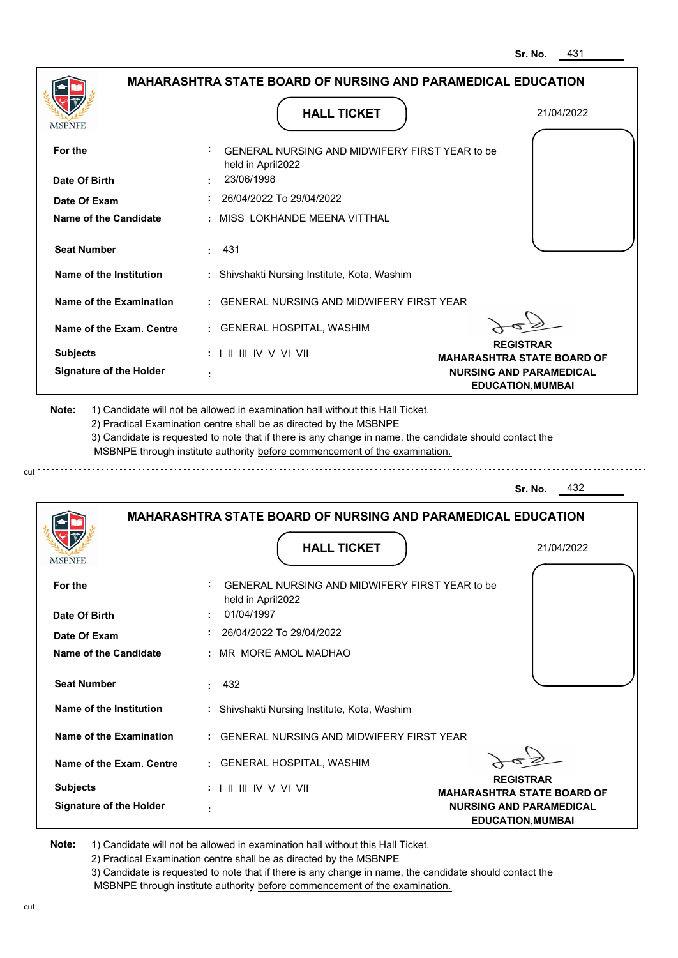|                                |                                                                                        | 431<br>Sr. No.                                                                                  |
|--------------------------------|----------------------------------------------------------------------------------------|-------------------------------------------------------------------------------------------------|
|                                | <b>MAHARASHTRA STATE BOARD OF NURSING AND PARAMEDICAL EDUCATION</b>                    |                                                                                                 |
| <b>MSBNPE</b>                  | <b>HALL TICKET</b>                                                                     | 21/04/2022                                                                                      |
| For the                        | GENERAL NURSING AND MIDWIFERY FIRST YEAR to be<br>held in April2022                    |                                                                                                 |
| Date Of Birth                  | 23/06/1998                                                                             |                                                                                                 |
| Date Of Exam                   | 26/04/2022 To 29/04/2022                                                               |                                                                                                 |
| Name of the Candidate          | MISS LOKHANDE MEENA VITTHAL                                                            |                                                                                                 |
| <b>Seat Number</b>             | 431                                                                                    |                                                                                                 |
| Name of the Institution        | : Shivshakti Nursing Institute, Kota, Washim                                           |                                                                                                 |
| <b>Name of the Examination</b> | <b>GENERAL NURSING AND MIDWIFERY FIRST YEAR</b>                                        |                                                                                                 |
| Name of the Exam. Centre       | : GENERAL HOSPITAL, WASHIM                                                             |                                                                                                 |
| <b>Subjects</b>                | $: 1 \mathbb{I}$ III IIV V VI VII                                                      | <b>REGISTRAR</b><br><b>MAHARASHTRA STATE BOARD OF</b>                                           |
| <b>Signature of the Holder</b> |                                                                                        | <b>NURSING AND PARAMEDICAL</b><br><b>EDUCATION, MUMBAI</b>                                      |
|                                | MSBNPE through institute authority before commencement of the examination.             | 432<br>Sr. No.                                                                                  |
|                                | <b>MAHARASHTRA STATE BOARD OF NURSING AND PARAMEDICAL EDUCATION</b>                    |                                                                                                 |
|                                | <b>HALL TICKET</b>                                                                     | 21/04/2022                                                                                      |
| For the<br>Date Of Birth       | ÷<br>GENERAL NURSING AND MIDWIFERY FIRST YEAR to be<br>held in April2022<br>01/04/1997 |                                                                                                 |
| Date Of Exam                   | 26/04/2022 To 29/04/2022                                                               |                                                                                                 |
| Name of the Candidate          | MR MORE AMOL MADHAO                                                                    |                                                                                                 |
| <b>Seat Number</b>             | 432<br>÷.                                                                              |                                                                                                 |
| Name of the Institution        |                                                                                        |                                                                                                 |
|                                | : Shivshakti Nursing Institute, Kota, Washim                                           |                                                                                                 |
| <b>Name of the Examination</b> | GENERAL NURSING AND MIDWIFERY FIRST YEAR                                               |                                                                                                 |
| Name of the Exam. Centre       | : GENERAL HOSPITAL, WASHIM                                                             |                                                                                                 |
| <b>Subjects</b>                | :             V V    V                                                                 | <b>REGISTRAR</b>                                                                                |
| <b>Signature of the Holder</b> |                                                                                        | <b>MAHARASHTRA STATE BOARD OF</b><br><b>NURSING AND PARAMEDICAL</b><br><b>EDUCATION, MUMBAI</b> |

cut

2) Practical Examination centre shall be as directed by the MSBNPE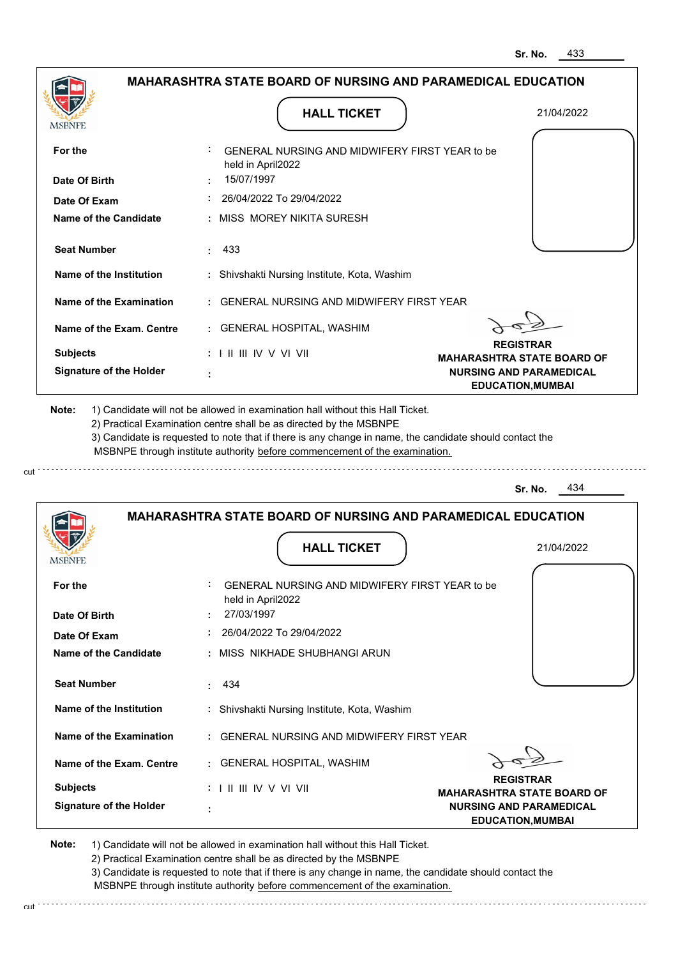|                                   | <b>MAHARASHTRA STATE BOARD OF NURSING AND PARAMEDICAL EDUCATION</b>                                                                                                                                                                                                                                                                           |                                                            |
|-----------------------------------|-----------------------------------------------------------------------------------------------------------------------------------------------------------------------------------------------------------------------------------------------------------------------------------------------------------------------------------------------|------------------------------------------------------------|
|                                   |                                                                                                                                                                                                                                                                                                                                               |                                                            |
| <b>MSBNPE</b>                     | <b>HALL TICKET</b>                                                                                                                                                                                                                                                                                                                            | 21/04/2022                                                 |
|                                   |                                                                                                                                                                                                                                                                                                                                               |                                                            |
| For the                           | <b>GENERAL NURSING AND MIDWIFERY FIRST YEAR to be</b><br>held in April2022                                                                                                                                                                                                                                                                    |                                                            |
| Date Of Birth                     | 15/07/1997                                                                                                                                                                                                                                                                                                                                    |                                                            |
| Date Of Exam                      | 26/04/2022 To 29/04/2022                                                                                                                                                                                                                                                                                                                      |                                                            |
| Name of the Candidate             | : MISS MOREY NIKITA SURESH                                                                                                                                                                                                                                                                                                                    |                                                            |
| <b>Seat Number</b>                | : 433                                                                                                                                                                                                                                                                                                                                         |                                                            |
| Name of the Institution           | : Shivshakti Nursing Institute, Kota, Washim                                                                                                                                                                                                                                                                                                  |                                                            |
| Name of the Examination           | : GENERAL NURSING AND MIDWIFERY FIRST YEAR                                                                                                                                                                                                                                                                                                    |                                                            |
| Name of the Exam. Centre          | : GENERAL HOSPITAL, WASHIM                                                                                                                                                                                                                                                                                                                    |                                                            |
| <b>Subjects</b>                   |                                                                                                                                                                                                                                                                                                                                               | <b>REGISTRAR</b><br><b>MAHARASHTRA STATE BOARD OF</b>      |
| <b>Signature of the Holder</b>    |                                                                                                                                                                                                                                                                                                                                               | <b>NURSING AND PARAMEDICAL</b><br><b>EDUCATION, MUMBAI</b> |
| Note:                             | 1) Candidate will not be allowed in examination hall without this Hall Ticket.<br>2) Practical Examination centre shall be as directed by the MSBNPE<br>3) Candidate is requested to note that if there is any change in name, the candidate should contact the<br>MSBNPE through institute authority before commencement of the examination. |                                                            |
|                                   |                                                                                                                                                                                                                                                                                                                                               | 434<br>Sr. No.                                             |
|                                   | <b>MAHARASHTRA STATE BOARD OF NURSING AND PARAMEDICAL EDUCATION</b>                                                                                                                                                                                                                                                                           |                                                            |
|                                   | <b>HALL TICKET</b>                                                                                                                                                                                                                                                                                                                            | 21/04/2022                                                 |
| For the                           | GENERAL NURSING AND MIDWIFERY FIRST YEAR to be                                                                                                                                                                                                                                                                                                |                                                            |
| Date Of Birth                     | held in April2022<br>27/03/1997                                                                                                                                                                                                                                                                                                               |                                                            |
| Date Of Exam                      | 26/04/2022 To 29/04/2022                                                                                                                                                                                                                                                                                                                      |                                                            |
| <b>Name of the Candidate</b>      | : MISS NIKHADE SHUBHANGI ARUN                                                                                                                                                                                                                                                                                                                 |                                                            |
| <b>Seat Number</b>                | 434                                                                                                                                                                                                                                                                                                                                           |                                                            |
| Name of the Institution           | : Shivshakti Nursing Institute, Kota, Washim                                                                                                                                                                                                                                                                                                  |                                                            |
| Name of the Examination           | : GENERAL NURSING AND MIDWIFERY FIRST YEAR                                                                                                                                                                                                                                                                                                    |                                                            |
| Name of the Exam. Centre          | : GENERAL HOSPITAL, WASHIM                                                                                                                                                                                                                                                                                                                    |                                                            |
| <b>IMPDIAL</b><br><b>Subjects</b> |                                                                                                                                                                                                                                                                                                                                               | <b>REGISTRAR</b><br><b>MAHARASHTRA STATE BOARD OF</b>      |

**Note:**  1) Candidate will not be allowed in examination hall without this Hall Ticket.

2) Practical Examination centre shall be as directed by the MSBNPE

3) Candidate is requested to note that if there is any change in name, the candidate should contact the MSBNPE through institute authority before commencement of the examination. cut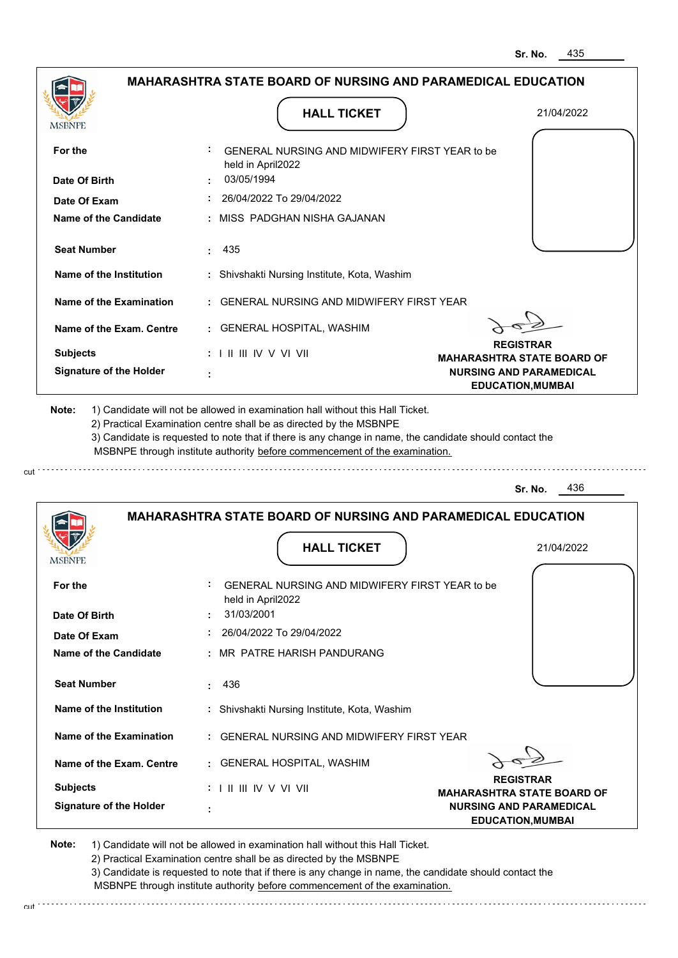| <b>MSBNPE</b>                                     | <b>HALL TICKET</b>                                                                                                                                                                                                                                                                                                                            | 21/04/2022                                                          |
|---------------------------------------------------|-----------------------------------------------------------------------------------------------------------------------------------------------------------------------------------------------------------------------------------------------------------------------------------------------------------------------------------------------|---------------------------------------------------------------------|
| For the                                           | <b>GENERAL NURSING AND MIDWIFERY FIRST YEAR to be</b>                                                                                                                                                                                                                                                                                         |                                                                     |
|                                                   | held in April2022                                                                                                                                                                                                                                                                                                                             |                                                                     |
| Date Of Birth                                     | 03/05/1994                                                                                                                                                                                                                                                                                                                                    |                                                                     |
| Date Of Exam                                      | 26/04/2022 To 29/04/2022                                                                                                                                                                                                                                                                                                                      |                                                                     |
| <b>Name of the Candidate</b>                      | : MISS PADGHAN NISHA GAJANAN                                                                                                                                                                                                                                                                                                                  |                                                                     |
| <b>Seat Number</b>                                | 435                                                                                                                                                                                                                                                                                                                                           |                                                                     |
| Name of the Institution                           | : Shivshakti Nursing Institute, Kota, Washim                                                                                                                                                                                                                                                                                                  |                                                                     |
| Name of the Examination                           | : GENERAL NURSING AND MIDWIFERY FIRST YEAR                                                                                                                                                                                                                                                                                                    |                                                                     |
| Name of the Exam. Centre                          | : GENERAL HOSPITAL, WASHIM                                                                                                                                                                                                                                                                                                                    |                                                                     |
|                                                   |                                                                                                                                                                                                                                                                                                                                               | <b>REGISTRAR</b>                                                    |
| <b>Subjects</b><br><b>Signature of the Holder</b> | $: 1 \parallel \parallel \parallel$ IV V VI VII                                                                                                                                                                                                                                                                                               | <b>MAHARASHTRA STATE BOARD OF</b><br><b>NURSING AND PARAMEDICAL</b> |
|                                                   |                                                                                                                                                                                                                                                                                                                                               |                                                                     |
| Note:                                             | 1) Candidate will not be allowed in examination hall without this Hall Ticket.<br>2) Practical Examination centre shall be as directed by the MSBNPE<br>3) Candidate is requested to note that if there is any change in name, the candidate should contact the<br>MSBNPE through institute authority before commencement of the examination. |                                                                     |
|                                                   |                                                                                                                                                                                                                                                                                                                                               | 436<br>Sr. No.                                                      |
|                                                   | <b>MAHARASHTRA STATE BOARD OF NURSING AND PARAMEDICAL EDUCATION</b>                                                                                                                                                                                                                                                                           |                                                                     |
|                                                   | <b>HALL TICKET</b>                                                                                                                                                                                                                                                                                                                            | 21/04/2022                                                          |
|                                                   |                                                                                                                                                                                                                                                                                                                                               |                                                                     |
| <b>MSBNPE</b><br>For the                          | <b>GENERAL NURSING AND MIDWIFERY FIRST YEAR to be</b><br>held in April2022                                                                                                                                                                                                                                                                    |                                                                     |
| Date Of Birth                                     | 31/03/2001                                                                                                                                                                                                                                                                                                                                    |                                                                     |
| Date Of Exam                                      | 26/04/2022 To 29/04/2022                                                                                                                                                                                                                                                                                                                      |                                                                     |
|                                                   | : MR PATRE HARISH PANDURANG                                                                                                                                                                                                                                                                                                                   |                                                                     |
| <b>Seat Number</b>                                | : 436                                                                                                                                                                                                                                                                                                                                         |                                                                     |
| Name of the Institution                           | : Shivshakti Nursing Institute, Kota, Washim                                                                                                                                                                                                                                                                                                  |                                                                     |
| Name of the Candidate<br>Name of the Examination  | : GENERAL NURSING AND MIDWIFERY FIRST YEAR                                                                                                                                                                                                                                                                                                    |                                                                     |
| Name of the Exam. Centre                          | : GENERAL HOSPITAL, WASHIM                                                                                                                                                                                                                                                                                                                    |                                                                     |
| <b>Subjects</b>                                   | $: 1 \mathbb{I}$ III IIV V VI VII                                                                                                                                                                                                                                                                                                             | <b>REGISTRAR</b><br><b>MAHARASHTRA STATE BOARD OF</b>               |

2) Practical Examination centre shall be as directed by the MSBNPE

3) Candidate is requested to note that if there is any change in name, the candidate should contact the MSBNPE through institute authority before commencement of the examination.

cut de contra a construction de construction de construction de construction de construction de construction de construction de construction de construction de construction de construction de construction de construction d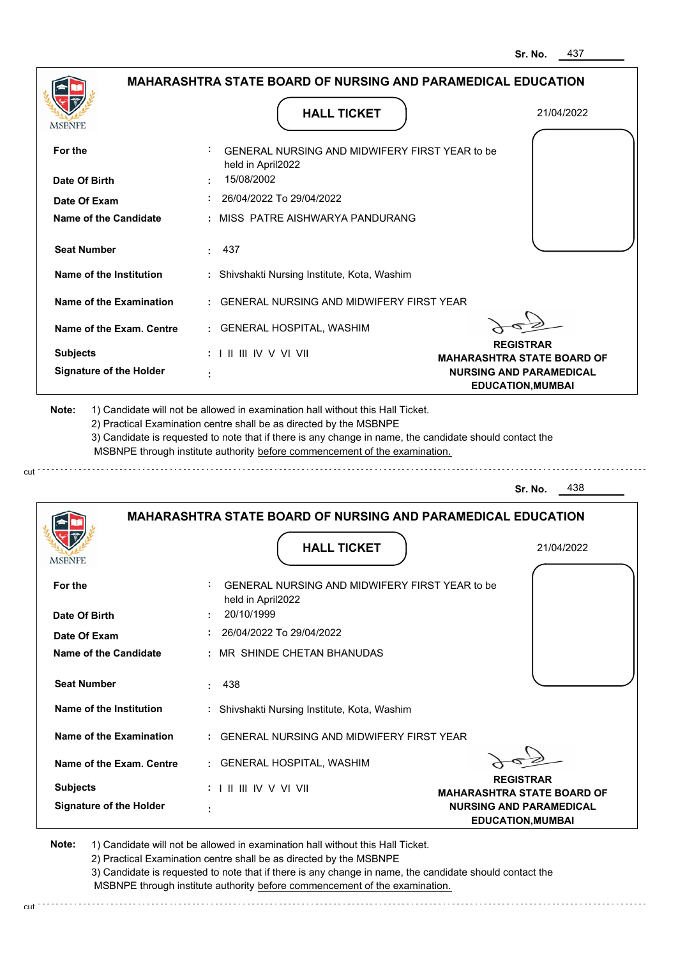|                                                                                                                          | <b>MAHARASHTRA STATE BOARD OF NURSING AND PARAMEDICAL EDUCATION</b>                                                                                                                   |                                                            |
|--------------------------------------------------------------------------------------------------------------------------|---------------------------------------------------------------------------------------------------------------------------------------------------------------------------------------|------------------------------------------------------------|
| MSBNPE                                                                                                                   | <b>HALL TICKET</b>                                                                                                                                                                    | 21/04/2022                                                 |
| For the                                                                                                                  | GENERAL NURSING AND MIDWIFERY FIRST YEAR to be<br>held in April2022                                                                                                                   |                                                            |
| Date Of Birth                                                                                                            | 15/08/2002                                                                                                                                                                            |                                                            |
| Date Of Exam                                                                                                             | 26/04/2022 To 29/04/2022                                                                                                                                                              |                                                            |
| Name of the Candidate                                                                                                    | : MISS PATRE AISHWARYA PANDURANG                                                                                                                                                      |                                                            |
| <b>Seat Number</b>                                                                                                       | : 437                                                                                                                                                                                 |                                                            |
| Name of the Institution                                                                                                  | : Shivshakti Nursing Institute, Kota, Washim                                                                                                                                          |                                                            |
| Name of the Examination                                                                                                  | : GENERAL NURSING AND MIDWIFERY FIRST YEAR                                                                                                                                            |                                                            |
| Name of the Exam. Centre                                                                                                 | : GENERAL HOSPITAL, WASHIM                                                                                                                                                            |                                                            |
| <b>Subjects</b>                                                                                                          | $: 1 \mathbb{I}$ III IIV V VI VII                                                                                                                                                     | <b>REGISTRAR</b><br><b>MAHARASHTRA STATE BOARD OF</b>      |
| <b>Signature of the Holder</b>                                                                                           |                                                                                                                                                                                       | <b>NURSING AND PARAMEDICAL</b><br><b>EDUCATION, MUMBAI</b> |
|                                                                                                                          | 3) Candidate is requested to note that if there is any change in name, the candidate should contact the<br>MSBNPE through institute authority before commencement of the examination. |                                                            |
|                                                                                                                          |                                                                                                                                                                                       | 438<br>Sr. No.                                             |
|                                                                                                                          | <b>MAHARASHTRA STATE BOARD OF NURSING AND PARAMEDICAL EDUCATION</b>                                                                                                                   |                                                            |
|                                                                                                                          | <b>HALL TICKET</b>                                                                                                                                                                    | 21/04/2022                                                 |
|                                                                                                                          | GENERAL NURSING AND MIDWIFERY FIRST YEAR to be<br>held in April2022                                                                                                                   |                                                            |
|                                                                                                                          | 20/10/1999<br>26/04/2022 To 29/04/2022                                                                                                                                                |                                                            |
|                                                                                                                          | : MR SHINDE CHETAN BHANUDAS                                                                                                                                                           |                                                            |
| <b>Seat Number</b>                                                                                                       | 438                                                                                                                                                                                   |                                                            |
| Name of the Institution                                                                                                  | : Shivshakti Nursing Institute, Kota, Washim                                                                                                                                          |                                                            |
| Name of the Examination                                                                                                  | : GENERAL NURSING AND MIDWIFERY FIRST YEAR                                                                                                                                            |                                                            |
| <b>IMPDIAL</b> P<br>For the<br>Date Of Birth<br>Date Of Exam<br><b>Name of the Candidate</b><br>Name of the Exam. Centre | : GENERAL HOSPITAL, WASHIM                                                                                                                                                            | <b>REGISTRAR</b>                                           |

**Note:**  1) Candidate will not be allowed in examination hall without this Hall Ticket.

2) Practical Examination centre shall be as directed by the MSBNPE

3) Candidate is requested to note that if there is any change in name, the candidate should contact the MSBNPE through institute authority before commencement of the examination.

cut de la component de la component de la component de la component de la component de la component de la component de la component de la component de la component de la component de la component de la component de la comp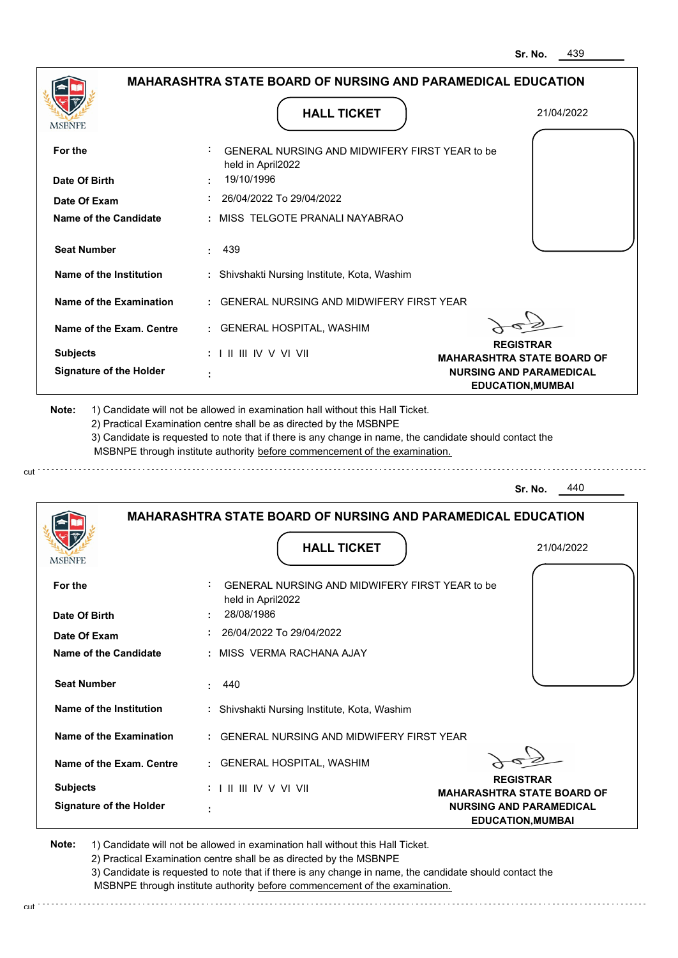| MSBNPE                                                                                                                                                                                                        |                                   | <b>HALL TICKET</b>                                                                                                                                                                                                                                                                                                                            | 21/04/2022                                                 |
|---------------------------------------------------------------------------------------------------------------------------------------------------------------------------------------------------------------|-----------------------------------|-----------------------------------------------------------------------------------------------------------------------------------------------------------------------------------------------------------------------------------------------------------------------------------------------------------------------------------------------|------------------------------------------------------------|
| For the                                                                                                                                                                                                       |                                   | GENERAL NURSING AND MIDWIFERY FIRST YEAR to be<br>held in April2022                                                                                                                                                                                                                                                                           |                                                            |
| Date Of Birth                                                                                                                                                                                                 | 19/10/1996                        |                                                                                                                                                                                                                                                                                                                                               |                                                            |
| Date Of Exam                                                                                                                                                                                                  |                                   | 26/04/2022 To 29/04/2022                                                                                                                                                                                                                                                                                                                      |                                                            |
| <b>Name of the Candidate</b>                                                                                                                                                                                  |                                   | : MISS TELGOTE PRANALI NAYABRAO                                                                                                                                                                                                                                                                                                               |                                                            |
| <b>Seat Number</b>                                                                                                                                                                                            | 439                               |                                                                                                                                                                                                                                                                                                                                               |                                                            |
| Name of the Institution                                                                                                                                                                                       |                                   | : Shivshakti Nursing Institute, Kota, Washim                                                                                                                                                                                                                                                                                                  |                                                            |
| <b>Name of the Examination</b>                                                                                                                                                                                |                                   | <b>GENERAL NURSING AND MIDWIFERY FIRST YEAR</b>                                                                                                                                                                                                                                                                                               |                                                            |
| Name of the Exam. Centre                                                                                                                                                                                      |                                   | : GENERAL HOSPITAL, WASHIM                                                                                                                                                                                                                                                                                                                    |                                                            |
| <b>Subjects</b>                                                                                                                                                                                               | $: 1 \mathbb{I}$ III IIV V VI VII |                                                                                                                                                                                                                                                                                                                                               | <b>REGISTRAR</b><br><b>MAHARASHTRA STATE BOARD OF</b>      |
| <b>Signature of the Holder</b>                                                                                                                                                                                |                                   |                                                                                                                                                                                                                                                                                                                                               | <b>NURSING AND PARAMEDICAL</b><br><b>EDUCATION, MUMBAI</b> |
|                                                                                                                                                                                                               |                                   | 1) Candidate will not be allowed in examination hall without this Hall Ticket.<br>2) Practical Examination centre shall be as directed by the MSBNPE<br>3) Candidate is requested to note that if there is any change in name, the candidate should contact the<br>MSBNPE through institute authority before commencement of the examination. | 440<br>Sr. No.                                             |
| Note:                                                                                                                                                                                                         |                                   | <b>MAHARASHTRA STATE BOARD OF NURSING AND PARAMEDICAL EDUCATION</b>                                                                                                                                                                                                                                                                           |                                                            |
|                                                                                                                                                                                                               |                                   | <b>HALL TICKET</b>                                                                                                                                                                                                                                                                                                                            | 21/04/2022                                                 |
|                                                                                                                                                                                                               |                                   | GENERAL NURSING AND MIDWIFERY FIRST YEAR to be                                                                                                                                                                                                                                                                                                |                                                            |
|                                                                                                                                                                                                               | 28/08/1986                        | held in April2022                                                                                                                                                                                                                                                                                                                             |                                                            |
|                                                                                                                                                                                                               |                                   | 26/04/2022 To 29/04/2022                                                                                                                                                                                                                                                                                                                      |                                                            |
|                                                                                                                                                                                                               |                                   | : MISS VERMA RACHANA AJAY                                                                                                                                                                                                                                                                                                                     |                                                            |
|                                                                                                                                                                                                               | 440<br>÷                          |                                                                                                                                                                                                                                                                                                                                               |                                                            |
|                                                                                                                                                                                                               |                                   | : Shivshakti Nursing Institute, Kota, Washim                                                                                                                                                                                                                                                                                                  |                                                            |
|                                                                                                                                                                                                               |                                   | : GENERAL NURSING AND MIDWIFERY FIRST YEAR                                                                                                                                                                                                                                                                                                    |                                                            |
|                                                                                                                                                                                                               |                                   | : GENERAL HOSPITAL, WASHIM                                                                                                                                                                                                                                                                                                                    |                                                            |
| MSBNPE<br>For the<br>Date Of Birth<br>Date Of Exam<br>Name of the Candidate<br><b>Seat Number</b><br><b>Name of the Institution</b><br>Name of the Examination<br>Name of the Exam. Centre<br><b>Subjects</b> | $: 1 \mathbb{I}$ III IIV V VI VII |                                                                                                                                                                                                                                                                                                                                               | <b>REGISTRAR</b><br><b>MAHARASHTRA STATE BOARD OF</b>      |

2) Practical Examination centre shall be as directed by the MSBNPE

cut

3) Candidate is requested to note that if there is any change in name, the candidate should contact the MSBNPE through institute authority before commencement of the examination. cut de la component de la component de la component de la component de la component de la component de la component de la component de la component de la component de la component de la component de la component de la comp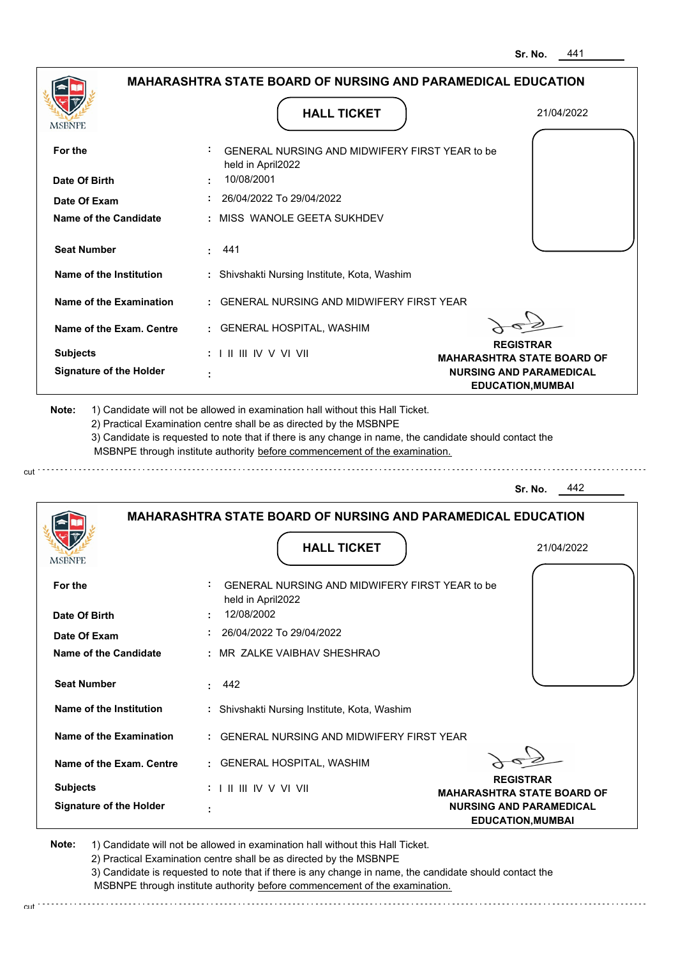|                                                          | <b>MAHARASHTRA STATE BOARD OF NURSING AND PARAMEDICAL EDUCATION</b>                                                                                                                                                                                         |                                                            |
|----------------------------------------------------------|-------------------------------------------------------------------------------------------------------------------------------------------------------------------------------------------------------------------------------------------------------------|------------------------------------------------------------|
| MSBNPE                                                   | <b>HALL TICKET</b>                                                                                                                                                                                                                                          | 21/04/2022                                                 |
|                                                          |                                                                                                                                                                                                                                                             |                                                            |
| For the                                                  | GENERAL NURSING AND MIDWIFERY FIRST YEAR to be<br>held in April2022                                                                                                                                                                                         |                                                            |
| Date Of Birth                                            | 10/08/2001                                                                                                                                                                                                                                                  |                                                            |
| Date Of Exam                                             | 26/04/2022 To 29/04/2022                                                                                                                                                                                                                                    |                                                            |
| Name of the Candidate                                    | : MISS WANOLE GEETA SUKHDEV                                                                                                                                                                                                                                 |                                                            |
| <b>Seat Number</b>                                       | . 441                                                                                                                                                                                                                                                       |                                                            |
| Name of the Institution                                  | : Shivshakti Nursing Institute, Kota, Washim                                                                                                                                                                                                                |                                                            |
| Name of the Examination                                  | : GENERAL NURSING AND MIDWIFERY FIRST YEAR                                                                                                                                                                                                                  |                                                            |
| Name of the Exam. Centre                                 | : GENERAL HOSPITAL, WASHIM                                                                                                                                                                                                                                  |                                                            |
| <b>Subjects</b>                                          | : I II III IV V VI VII                                                                                                                                                                                                                                      | <b>REGISTRAR</b><br><b>MAHARASHTRA STATE BOARD OF</b>      |
| <b>Signature of the Holder</b>                           |                                                                                                                                                                                                                                                             | <b>NURSING AND PARAMEDICAL</b><br><b>EDUCATION, MUMBAI</b> |
|                                                          | 2) Practical Examination centre shall be as directed by the MSBNPE<br>3) Candidate is requested to note that if there is any change in name, the candidate should contact the<br>MSBNPE through institute authority before commencement of the examination. |                                                            |
|                                                          |                                                                                                                                                                                                                                                             | 442<br>Sr. No.                                             |
|                                                          | <b>MAHARASHTRA STATE BOARD OF NURSING AND PARAMEDICAL EDUCATION</b><br><b>HALL TICKET</b>                                                                                                                                                                   | 21/04/2022                                                 |
|                                                          |                                                                                                                                                                                                                                                             |                                                            |
| For the                                                  | GENERAL NURSING AND MIDWIFERY FIRST YEAR to be<br>held in April2022                                                                                                                                                                                         |                                                            |
|                                                          | 12/08/2002                                                                                                                                                                                                                                                  |                                                            |
| Date Of Exam                                             | 26/04/2022 To 29/04/2022                                                                                                                                                                                                                                    |                                                            |
|                                                          | : MR ZALKE VAIBHAV SHESHRAO                                                                                                                                                                                                                                 |                                                            |
| <b>Seat Number</b>                                       | 442                                                                                                                                                                                                                                                         |                                                            |
| Name of the Institution                                  | : Shivshakti Nursing Institute, Kota, Washim                                                                                                                                                                                                                |                                                            |
| Name of the Examination                                  | : GENERAL NURSING AND MIDWIFERY FIRST YEAR                                                                                                                                                                                                                  |                                                            |
| <b>Name of the Candidate</b><br>Name of the Exam. Centre | : GENERAL HOSPITAL, WASHIM                                                                                                                                                                                                                                  |                                                            |
| <b>IMPDIAL</b><br>Date Of Birth<br><b>Subjects</b>       | $: 1 \mathbb{H} \mathbb{H} \mathbb{N} \vee \mathbb{V} \mathbb{N}$                                                                                                                                                                                           | <b>REGISTRAR</b><br><b>MAHARASHTRA STATE BOARD OF</b>      |

**Note:**  1) Candidate will not be allowed in examination hall without this Hall Ticket.

2) Practical Examination centre shall be as directed by the MSBNPE

3) Candidate is requested to note that if there is any change in name, the candidate should contact the MSBNPE through institute authority before commencement of the examination. cut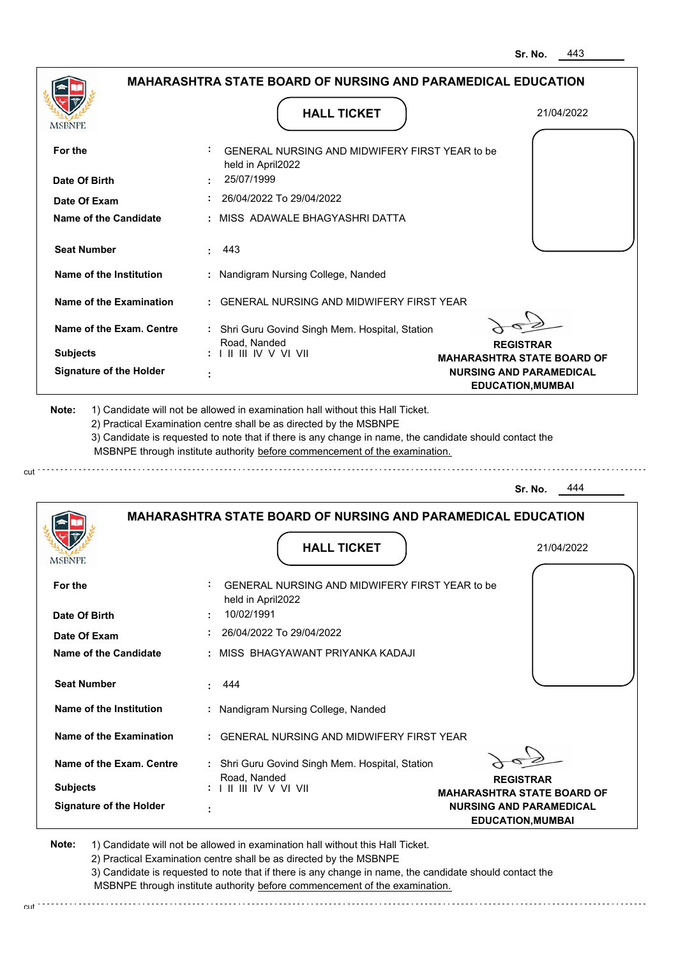|                                | <b>MAHARASHTRA STATE BOARD OF NURSING AND PARAMEDICAL EDUCATION</b>                                                                                                                                                                                                                                                                           |                                                            |
|--------------------------------|-----------------------------------------------------------------------------------------------------------------------------------------------------------------------------------------------------------------------------------------------------------------------------------------------------------------------------------------------|------------------------------------------------------------|
| <b>MSBNPE</b>                  | <b>HALL TICKET</b>                                                                                                                                                                                                                                                                                                                            | 21/04/2022                                                 |
|                                |                                                                                                                                                                                                                                                                                                                                               |                                                            |
| For the                        | GENERAL NURSING AND MIDWIFERY FIRST YEAR to be<br>held in April2022                                                                                                                                                                                                                                                                           |                                                            |
| Date Of Birth                  | 25/07/1999                                                                                                                                                                                                                                                                                                                                    |                                                            |
| Date Of Exam                   | 26/04/2022 To 29/04/2022                                                                                                                                                                                                                                                                                                                      |                                                            |
| Name of the Candidate          | MISS ADAWALE BHAGYASHRI DATTA                                                                                                                                                                                                                                                                                                                 |                                                            |
| <b>Seat Number</b>             | 443                                                                                                                                                                                                                                                                                                                                           |                                                            |
| <b>Name of the Institution</b> | : Nandigram Nursing College, Nanded                                                                                                                                                                                                                                                                                                           |                                                            |
| <b>Name of the Examination</b> | <b>GENERAL NURSING AND MIDWIFERY FIRST YEAR</b>                                                                                                                                                                                                                                                                                               |                                                            |
| Name of the Exam. Centre       | : Shri Guru Govind Singh Mem. Hospital, Station<br>Road, Nanded                                                                                                                                                                                                                                                                               | <b>REGISTRAR</b>                                           |
| <b>Subjects</b>                | : I II III IV V VI VII                                                                                                                                                                                                                                                                                                                        | <b>MAHARASHTRA STATE BOARD OF</b>                          |
| <b>Signature of the Holder</b> |                                                                                                                                                                                                                                                                                                                                               | <b>NURSING AND PARAMEDICAL</b><br><b>EDUCATION, MUMBAI</b> |
| Note:                          | 1) Candidate will not be allowed in examination hall without this Hall Ticket.<br>2) Practical Examination centre shall be as directed by the MSBNPE<br>3) Candidate is requested to note that if there is any change in name, the candidate should contact the<br>MSBNPE through institute authority before commencement of the examination. |                                                            |
|                                |                                                                                                                                                                                                                                                                                                                                               | 444<br>Sr. No.                                             |
|                                | <b>MAHARASHTRA STATE BOARD OF NURSING AND PARAMEDICAL EDUCATION</b>                                                                                                                                                                                                                                                                           |                                                            |
| <b>MSBNPE</b>                  | <b>HALL TICKET</b>                                                                                                                                                                                                                                                                                                                            | 21/04/2022                                                 |
| For the                        | GENERAL NURSING AND MIDWIFERY FIRST YEAR to be<br>held in April2022                                                                                                                                                                                                                                                                           |                                                            |
| ∩ato ∩f Rirth                  | 10/02/1991                                                                                                                                                                                                                                                                                                                                    |                                                            |

| Date Of Birth           | $1000$ 2013 31                      |  |
|-------------------------|-------------------------------------|--|
| Date Of Exam            | $: 26/04/2022$ To 29/04/2022        |  |
| Name of the Candidate   | : MISS BHAGYAWANT PRIYANKA KADAJI   |  |
| <b>Seat Number</b>      | - 444                               |  |
| Name of the Institution | : Nandigram Nursing College, Nanded |  |

cut

**Name of the Examination :** GENERAL NURSING AND MIDWIFERY FIRST YEAR

| Name of the Exam. Centre | : Shri Guru Govind Singh Mem. Hospital, Station                                   |            |
|--------------------------|-----------------------------------------------------------------------------------|------------|
| <b>Subjects</b>          | Road, Nanded<br>$: 1 \mathbb{H} \mathbb{H} \mathbb{V} \vee \mathbb{V} \mathbb{H}$ | <b>MAH</b> |
| Signature of the Holder  |                                                                                   | ΝU         |

**REGISTRAR**

**ARASHTRA STATE BOARD OF NURSING AND PARAMEDICAL EDUCATION,MUMBAI**

**Note:**  1) Candidate will not be allowed in examination hall without this Hall Ticket.

 **:**

2) Practical Examination centre shall be as directed by the MSBNPE

3) Candidate is requested to note that if there is any change in name, the candidate should contact the MSBNPE through institute authority before commencement of the examination.

cut de contra a construction de construction de construction de construction de construction de construction de construction de construction de construction de construction de construction de construction de construction d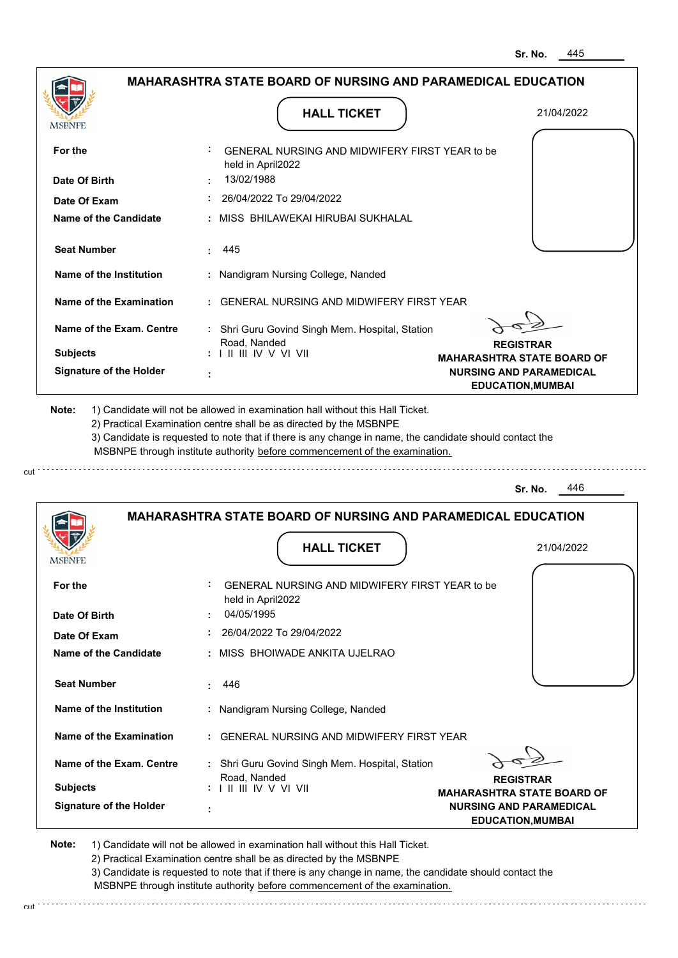|                                | <b>MAHARASHTRA STATE BOARD OF NURSING AND PARAMEDICAL EDUCATION</b>                                                                                                                                                                                                                                                                           |                                                            |
|--------------------------------|-----------------------------------------------------------------------------------------------------------------------------------------------------------------------------------------------------------------------------------------------------------------------------------------------------------------------------------------------|------------------------------------------------------------|
| MSBNPE                         | <b>HALL TICKET</b>                                                                                                                                                                                                                                                                                                                            | 21/04/2022                                                 |
| For the                        | GENERAL NURSING AND MIDWIFERY FIRST YEAR to be<br>held in April2022                                                                                                                                                                                                                                                                           |                                                            |
| Date Of Birth                  | 13/02/1988                                                                                                                                                                                                                                                                                                                                    |                                                            |
| Date Of Exam                   | 26/04/2022 To 29/04/2022                                                                                                                                                                                                                                                                                                                      |                                                            |
| Name of the Candidate          | MISS BHILAWEKAI HIRUBAI SUKHALAL                                                                                                                                                                                                                                                                                                              |                                                            |
| <b>Seat Number</b>             | 445                                                                                                                                                                                                                                                                                                                                           |                                                            |
| Name of the Institution        | Nandigram Nursing College, Nanded                                                                                                                                                                                                                                                                                                             |                                                            |
| <b>Name of the Examination</b> | <b>GENERAL NURSING AND MIDWIFERY FIRST YEAR</b>                                                                                                                                                                                                                                                                                               |                                                            |
| Name of the Exam. Centre       | : Shri Guru Govind Singh Mem. Hospital, Station                                                                                                                                                                                                                                                                                               |                                                            |
| <b>Subjects</b>                | Road, Nanded<br>: I II III IV V VI VII                                                                                                                                                                                                                                                                                                        | <b>REGISTRAR</b><br><b>MAHARASHTRA STATE BOARD OF</b>      |
| <b>Signature of the Holder</b> |                                                                                                                                                                                                                                                                                                                                               | <b>NURSING AND PARAMEDICAL</b><br><b>EDUCATION, MUMBAI</b> |
| Note:                          | 1) Candidate will not be allowed in examination hall without this Hall Ticket.<br>2) Practical Examination centre shall be as directed by the MSBNPE<br>3) Candidate is requested to note that if there is any change in name, the candidate should contact the<br>MSBNPE through institute authority before commencement of the examination. |                                                            |
|                                |                                                                                                                                                                                                                                                                                                                                               | 446<br>Sr. No.                                             |
|                                | <b>MAHARASHTRA STATE BOARD OF NURSING AND PARAMEDICAL EDUCATION</b>                                                                                                                                                                                                                                                                           |                                                            |
|                                | <b>HALL TICKET</b>                                                                                                                                                                                                                                                                                                                            | 21/04/2022                                                 |
| <b>MSBNPE</b>                  |                                                                                                                                                                                                                                                                                                                                               |                                                            |

| For the                        | GENERAL NURSING AND MIDWIFERY FIRST YEAR to be<br>held in April2022 |
|--------------------------------|---------------------------------------------------------------------|
| Date Of Birth                  | 04/05/1995                                                          |
| Date Of Exam                   | 26/04/2022 To 29/04/2022                                            |
| Name of the Candidate          | : MISS BHOIWADE ANKITA UJELRAO                                      |
| <b>Seat Number</b>             | 446<br>t.                                                           |
| Name of the Institution        | : Nandigram Nursing College, Nanded                                 |
| Name of the Examination        | : GENERAL NURSING AND MIDWIFERY FIRST YEAR                          |
| Name of the Exam. Centre       | : Shri Guru Govind Singh Mem. Hospital, Station<br>Road, Nanded     |
| <b>Subjects</b>                | <b>REGISTRAR</b><br><b>MAHARASHTRA STATE BOARD OF</b>               |
| <b>Signature of the Holder</b> | <b>NURSING AND PARAMEDICAL</b><br><b>EDUCATION, MUMBAI</b>          |

**Note:**  1) Candidate will not be allowed in examination hall without this Hall Ticket. 2) Practical Examination centre shall be as directed by the MSBNPE 3) Candidate is requested to note that if there is any change in name, the candidate should contact the MSBNPE through institute authority before commencement of the examination.

cut 

cut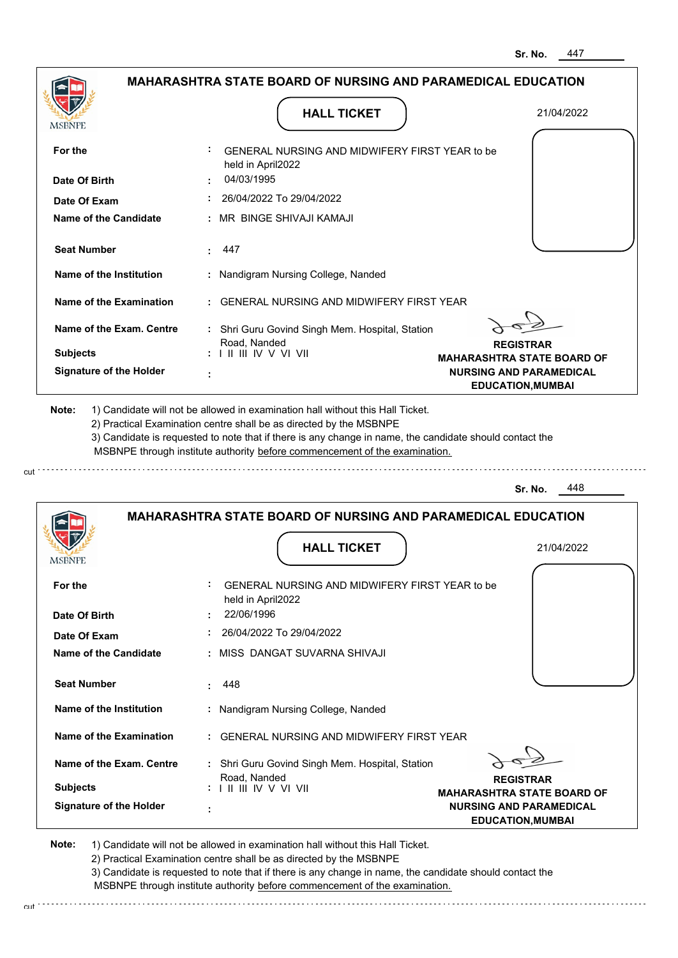|                                   | <b>HALL TICKET</b>                                                                                                                                                                                                                                                                                                                            | 21/04/2022                                            |
|-----------------------------------|-----------------------------------------------------------------------------------------------------------------------------------------------------------------------------------------------------------------------------------------------------------------------------------------------------------------------------------------------|-------------------------------------------------------|
| <b>MSBNPE</b>                     |                                                                                                                                                                                                                                                                                                                                               |                                                       |
| For the                           | GENERAL NURSING AND MIDWIFERY FIRST YEAR to be<br>held in April2022                                                                                                                                                                                                                                                                           |                                                       |
| Date Of Birth                     | 04/03/1995                                                                                                                                                                                                                                                                                                                                    |                                                       |
| Date Of Exam                      | : 26/04/2022 To 29/04/2022                                                                                                                                                                                                                                                                                                                    |                                                       |
| <b>Name of the Candidate</b>      | : MR BINGE SHIVAJI KAMAJI                                                                                                                                                                                                                                                                                                                     |                                                       |
| <b>Seat Number</b>                | 447                                                                                                                                                                                                                                                                                                                                           |                                                       |
| Name of the Institution           | : Nandigram Nursing College, Nanded                                                                                                                                                                                                                                                                                                           |                                                       |
| Name of the Examination           | : GENERAL NURSING AND MIDWIFERY FIRST YEAR                                                                                                                                                                                                                                                                                                    |                                                       |
| Name of the Exam. Centre          | : Shri Guru Govind Singh Mem. Hospital, Station<br>Road, Nanded                                                                                                                                                                                                                                                                               |                                                       |
| <b>Subjects</b>                   | : I II III IV V VI VII                                                                                                                                                                                                                                                                                                                        | <b>REGISTRAR</b><br><b>MAHARASHTRA STATE BOARD OF</b> |
| <b>Signature of the Holder</b>    |                                                                                                                                                                                                                                                                                                                                               | <b>NURSING AND PARAMEDICAL</b>                        |
|                                   |                                                                                                                                                                                                                                                                                                                                               | <b>EDUCATION, MUMBAI</b>                              |
|                                   | 1) Candidate will not be allowed in examination hall without this Hall Ticket.<br>2) Practical Examination centre shall be as directed by the MSBNPE<br>3) Candidate is requested to note that if there is any change in name, the candidate should contact the<br>MSBNPE through institute authority before commencement of the examination. | 448<br>Sr. No.                                        |
|                                   | <b>MAHARASHTRA STATE BOARD OF NURSING AND PARAMEDICAL EDUCATION</b>                                                                                                                                                                                                                                                                           |                                                       |
|                                   | <b>HALL TICKET</b>                                                                                                                                                                                                                                                                                                                            | 21/04/2022                                            |
| Note:<br><b>MSBNPE</b><br>For the | GENERAL NURSING AND MIDWIFERY FIRST YEAR to be<br>held in April2022                                                                                                                                                                                                                                                                           |                                                       |

| Date Of Exam                   | 26/04/2022 To 29/04/2022                                      |                                                            |
|--------------------------------|---------------------------------------------------------------|------------------------------------------------------------|
| Name of the Candidate          | MISS DANGAT SUVARNA SHIVAJI                                   |                                                            |
| <b>Seat Number</b>             | $\pm 448$                                                     |                                                            |
| Name of the Institution        | : Nandigram Nursing College, Nanded                           |                                                            |
| <b>Name of the Examination</b> | <b>GENERAL NURSING AND MIDWIFERY FIRST YEAR</b>               |                                                            |
| Name of the Exam. Centre       | Shri Guru Govind Singh Mem. Hospital, Station<br>Road, Nanded | <b>REGISTRAR</b>                                           |
| <b>Subjects</b>                | <b>THEIR V V VI VII</b>                                       | <b>MAHARASHTRA STATE BOARD OF</b>                          |
| <b>Signature of the Holder</b> |                                                               | <b>NURSING AND PARAMEDICAL</b><br><b>EDUCATION, MUMBAI</b> |

**Note:**  1) Candidate will not be allowed in examination hall without this Hall Ticket. 2) Practical Examination centre shall be as directed by the MSBNPE

3) Candidate is requested to note that if there is any change in name, the candidate should contact the MSBNPE through institute authority before commencement of the examination. cut

and the company of the company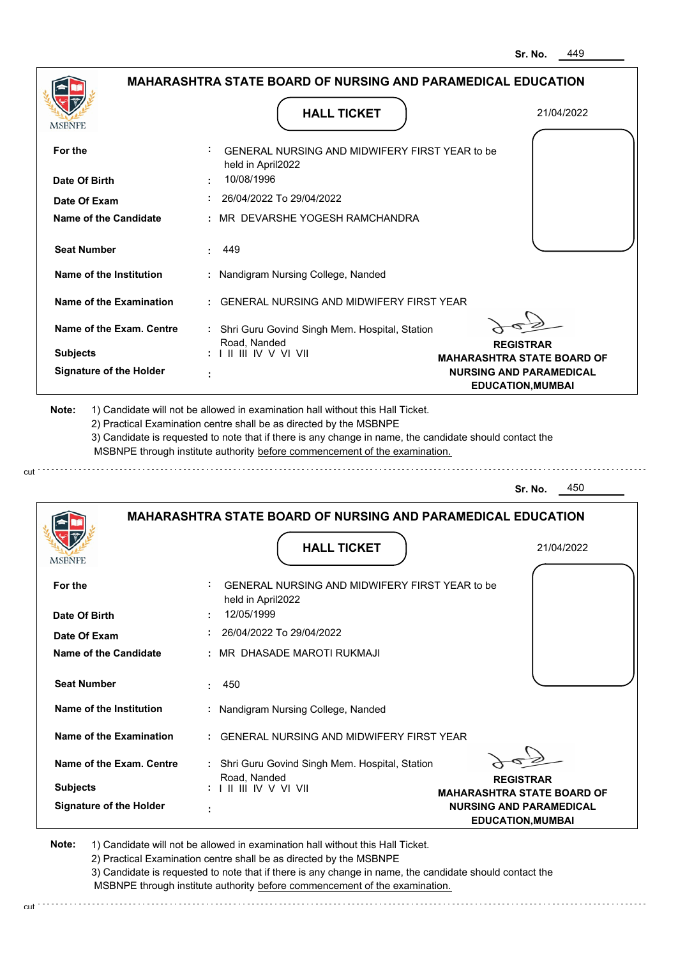. . . . . . . . . . . . . . . . . . . .

|                                | <b>MAHARASHTRA STATE BOARD OF NURSING AND PARAMEDICAL EDUCATION</b><br><b>HALL TICKET</b>                                                                                                                                                                                                                                                     |                                                                     |
|--------------------------------|-----------------------------------------------------------------------------------------------------------------------------------------------------------------------------------------------------------------------------------------------------------------------------------------------------------------------------------------------|---------------------------------------------------------------------|
|                                |                                                                                                                                                                                                                                                                                                                                               | 21/04/2022                                                          |
| For the                        | GENERAL NURSING AND MIDWIFERY FIRST YEAR to be<br>held in April2022                                                                                                                                                                                                                                                                           |                                                                     |
| Date Of Birth                  | 10/08/1996                                                                                                                                                                                                                                                                                                                                    |                                                                     |
| Date Of Exam                   | 26/04/2022 To 29/04/2022                                                                                                                                                                                                                                                                                                                      |                                                                     |
| <b>Name of the Candidate</b>   | MR DEVARSHE YOGESH RAMCHANDRA                                                                                                                                                                                                                                                                                                                 |                                                                     |
| <b>Seat Number</b>             | 449                                                                                                                                                                                                                                                                                                                                           |                                                                     |
| <b>Name of the Institution</b> | : Nandigram Nursing College, Nanded                                                                                                                                                                                                                                                                                                           |                                                                     |
| <b>Name of the Examination</b> | <b>GENERAL NURSING AND MIDWIFERY FIRST YEAR</b>                                                                                                                                                                                                                                                                                               |                                                                     |
| Name of the Exam. Centre       | : Shri Guru Govind Singh Mem. Hospital, Station                                                                                                                                                                                                                                                                                               |                                                                     |
| <b>Subjects</b>                | Road, Nanded<br>: I II III IV V VI VII                                                                                                                                                                                                                                                                                                        | <b>REGISTRAR</b>                                                    |
| <b>Signature of the Holder</b> |                                                                                                                                                                                                                                                                                                                                               | <b>MAHARASHTRA STATE BOARD OF</b><br><b>NURSING AND PARAMEDICAL</b> |
|                                |                                                                                                                                                                                                                                                                                                                                               | <b>EDUCATION, MUMBAI</b>                                            |
| Note:                          | 1) Candidate will not be allowed in examination hall without this Hall Ticket.<br>2) Practical Examination centre shall be as directed by the MSBNPE<br>3) Candidate is requested to note that if there is any change in name, the candidate should contact the<br>MSBNPE through institute authority before commencement of the examination. |                                                                     |
|                                |                                                                                                                                                                                                                                                                                                                                               | 450<br>Sr. No.                                                      |
|                                | <b>MAHARASHTRA STATE BOARD OF NURSING AND PARAMEDICAL EDUCATION</b>                                                                                                                                                                                                                                                                           |                                                                     |
| <b>MSBNPE</b>                  | <b>HALL TICKET</b>                                                                                                                                                                                                                                                                                                                            | 21/04/2022                                                          |
| For the                        | GENERAL NURSING AND MIDWIFERY FIRST YEAR to be<br>held in April2022                                                                                                                                                                                                                                                                           |                                                                     |

| <b>Signature of the Holder</b> | $\blacksquare$ |                                                 | <b>NURSING AND PARAMEDICAL</b><br><b>EDUCATION, MUMBAI</b> |
|--------------------------------|----------------|-------------------------------------------------|------------------------------------------------------------|
| <b>Subjects</b>                |                | Road, Nanded<br>: I II III IV V VI VII          | <b>REGISTRAR</b><br><b>MAHARASHTRA STATE BOARD OF</b>      |
| Name of the Exam. Centre       |                | Shri Guru Govind Singh Mem. Hospital, Station   |                                                            |
| Name of the Examination        |                | <b>GENERAL NURSING AND MIDWIFERY FIRST YEAR</b> |                                                            |
| Name of the Institution        |                | : Nandigram Nursing College, Nanded             |                                                            |
| <b>Seat Number</b>             | ÷.             | -450                                            |                                                            |
| Name of the Candidate          |                | : MR DHASADE MAROTI RUKMAJI                     |                                                            |
| Date Of Exam                   |                | 26/04/2022 To 29/04/2022                        |                                                            |
| Date Of Birth                  | ٠              | held in April2022<br>12/05/1999                 |                                                            |

**Note:**  1) Candidate will not be allowed in examination hall without this Hall Ticket. 2) Practical Examination centre shall be as directed by the MSBNPE 3) Candidate is requested to note that if there is any change in name, the candidate should contact the

cut

MSBNPE through institute authority before commencement of the examination.

 $\mathsf{cut}^{(1)},\ldots,\ldots,\ldots,\ldots,\ldots,\ldots,\ldots,\ldots$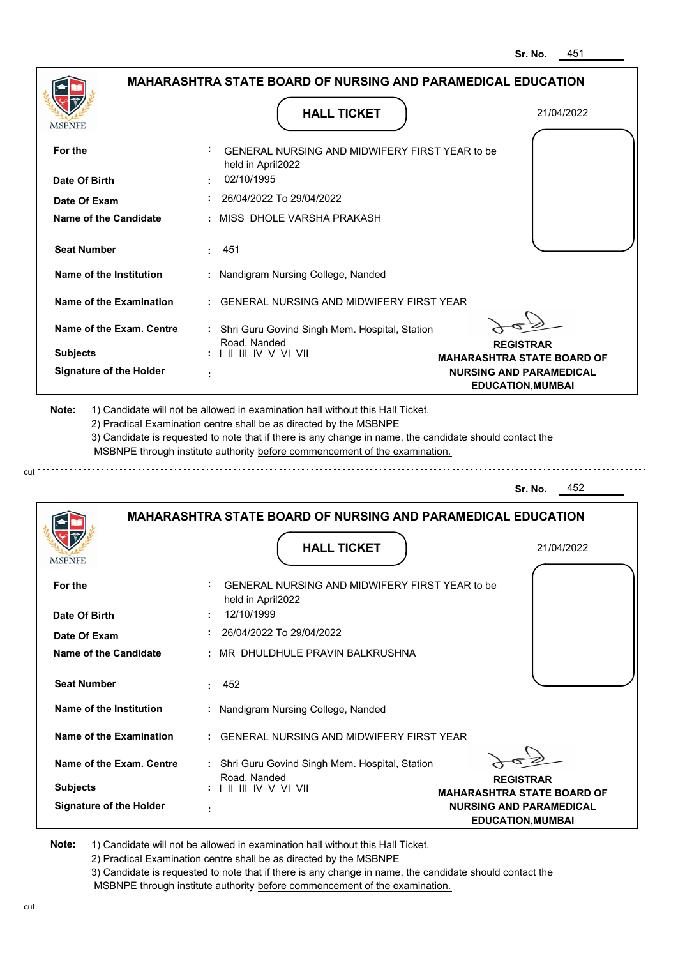| <b>MSBNPE</b>                  | <b>HALL TICKET</b>                                                                                                                                                                                                                                                                                                                            | 21/04/2022                                                                                      |
|--------------------------------|-----------------------------------------------------------------------------------------------------------------------------------------------------------------------------------------------------------------------------------------------------------------------------------------------------------------------------------------------|-------------------------------------------------------------------------------------------------|
| For the                        | <b>GENERAL NURSING AND MIDWIFERY FIRST YEAR to be</b><br>held in April2022                                                                                                                                                                                                                                                                    |                                                                                                 |
| Date Of Birth                  | 02/10/1995                                                                                                                                                                                                                                                                                                                                    |                                                                                                 |
| Date Of Exam                   | $: 26/04/2022$ To 29/04/2022                                                                                                                                                                                                                                                                                                                  |                                                                                                 |
| <b>Name of the Candidate</b>   | : MISS DHOLE VARSHA PRAKASH                                                                                                                                                                                                                                                                                                                   |                                                                                                 |
| <b>Seat Number</b>             | $\pm 451$                                                                                                                                                                                                                                                                                                                                     |                                                                                                 |
| Name of the Institution        | : Nandigram Nursing College, Nanded                                                                                                                                                                                                                                                                                                           |                                                                                                 |
| Name of the Examination        | : GENERAL NURSING AND MIDWIFERY FIRST YEAR                                                                                                                                                                                                                                                                                                    |                                                                                                 |
| Name of the Exam. Centre       | : Shri Guru Govind Singh Mem. Hospital, Station                                                                                                                                                                                                                                                                                               |                                                                                                 |
| <b>Subjects</b>                | Road, Nanded<br>: I II III IV V VI VII                                                                                                                                                                                                                                                                                                        | <b>REGISTRAR</b>                                                                                |
|                                |                                                                                                                                                                                                                                                                                                                                               |                                                                                                 |
| <b>Signature of the Holder</b> |                                                                                                                                                                                                                                                                                                                                               | <b>MAHARASHTRA STATE BOARD OF</b><br><b>NURSING AND PARAMEDICAL</b><br><b>EDUCATION, MUMBAI</b> |
| Note:                          | 1) Candidate will not be allowed in examination hall without this Hall Ticket.<br>2) Practical Examination centre shall be as directed by the MSBNPE<br>3) Candidate is requested to note that if there is any change in name, the candidate should contact the<br>MSBNPE through institute authority before commencement of the examination. |                                                                                                 |
|                                |                                                                                                                                                                                                                                                                                                                                               | 452<br>Sr. No.                                                                                  |
|                                | <b>MAHARASHTRA STATE BOARD OF NURSING AND PARAMEDICAL EDUCATION</b>                                                                                                                                                                                                                                                                           |                                                                                                 |

| <b>Signature of the Holder</b> | <b>NURSING AND PARAMEDICAL</b><br>٠<br><b>EDUCATION, MUMBAI</b>                                                                                                    |
|--------------------------------|--------------------------------------------------------------------------------------------------------------------------------------------------------------------|
| <b>Subjects</b>                | Road, Nanded<br><b>REGISTRAR</b><br>$: 1 \mathrel{\mathsf{II}} \mathrel{\mathsf{III}} \mathsf{IV} \mathsf{V} \mathsf{VI}$ VII<br><b>MAHARASHTRA STATE BOARD OF</b> |
| Name of the Exam. Centre       | : Shri Guru Govind Singh Mem. Hospital, Station                                                                                                                    |
| Name of the Examination        | : GENERAL NURSING AND MIDWIFERY FIRST YEAR                                                                                                                         |
| Name of the Institution        | : Nandigram Nursing College, Nanded                                                                                                                                |
| <b>Seat Number</b>             | 452                                                                                                                                                                |
| Name of the Candidate          | : MR DHULDHULE PRAVIN BALKRUSHNA                                                                                                                                   |
| Date Of Exam                   | 26/04/2022 To 29/04/2022                                                                                                                                           |
| סווו ושנ<br>Date Of Birth      | GENERAL NURSING AND MIDIVIFERT FIRST TEAR 10 DE<br>held in April2022<br>12/10/1999                                                                                 |

**Note:**  1) Candidate will not be allowed in examination hall without this Hall Ticket. 2) Practical Examination centre shall be as directed by the MSBNPE

3) Candidate is requested to note that if there is any change in name, the candidate should contact the MSBNPE through institute authority before commencement of the examination. cut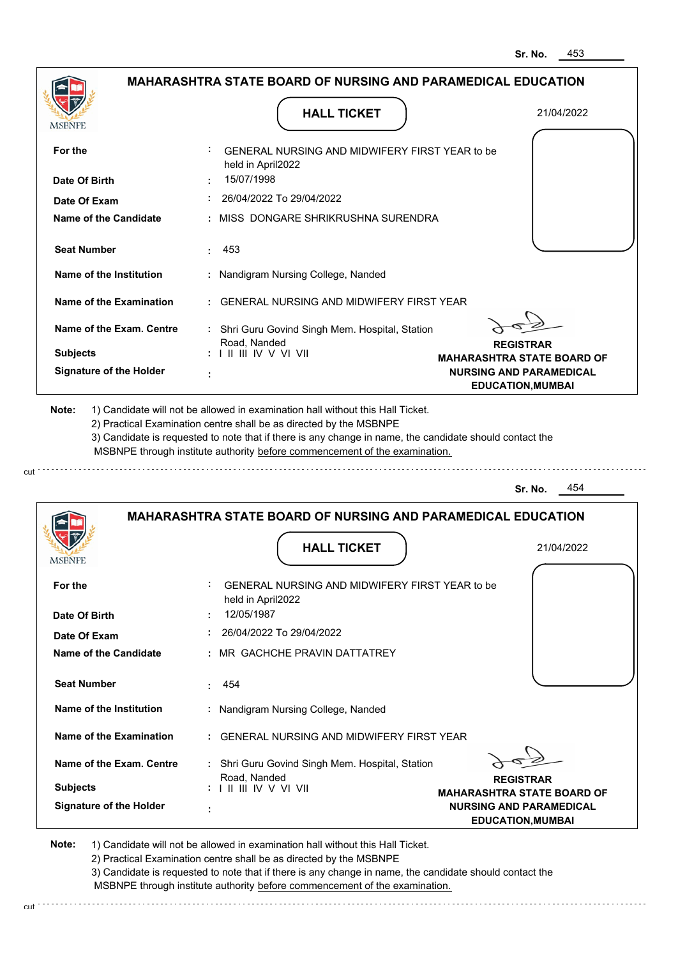21/04/2022

|                                | MAHARASHTRA STATE BOARD OF NURSING AND PARAMEDICAL EDUCATION                                                                                                                                                                                                                                                                                  |            |
|--------------------------------|-----------------------------------------------------------------------------------------------------------------------------------------------------------------------------------------------------------------------------------------------------------------------------------------------------------------------------------------------|------------|
| MSBNPE                         | <b>HALL TICKET</b>                                                                                                                                                                                                                                                                                                                            | 21/04/2022 |
| For the                        | GENERAL NURSING AND MIDWIFERY FIRST YEAR to be<br>held in April2022                                                                                                                                                                                                                                                                           |            |
| Date Of Birth                  | 15/07/1998                                                                                                                                                                                                                                                                                                                                    |            |
| Date Of Exam                   | 26/04/2022 To 29/04/2022                                                                                                                                                                                                                                                                                                                      |            |
| <b>Name of the Candidate</b>   | MISS DONGARE SHRIKRUSHNA SURENDRA                                                                                                                                                                                                                                                                                                             |            |
| <b>Seat Number</b>             | 453<br>٠                                                                                                                                                                                                                                                                                                                                      |            |
| Name of the Institution        | Nandigram Nursing College, Nanded                                                                                                                                                                                                                                                                                                             |            |
| Name of the Examination        | <b>GENERAL NURSING AND MIDWIFERY FIRST YEAR</b>                                                                                                                                                                                                                                                                                               |            |
| Name of the Exam. Centre       | : Shri Guru Govind Singh Mem. Hospital, Station                                                                                                                                                                                                                                                                                               |            |
| <b>Subjects</b>                | Road, Nanded<br><b>REGISTRAR</b><br>$: 1 \mathbb{H} \mathbb{H} \mathbb{W} \vee \mathbb{V} \mathbb{W}$<br><b>MAHARASHTRA STATE BOARD OF</b>                                                                                                                                                                                                    |            |
| <b>Signature of the Holder</b> | <b>NURSING AND PARAMEDICAL</b><br><b>EDUCATION, MUMBAI</b>                                                                                                                                                                                                                                                                                    |            |
| Note:                          | 1) Candidate will not be allowed in examination hall without this Hall Ticket.<br>2) Practical Examination centre shall be as directed by the MSBNPE<br>3) Candidate is requested to note that if there is any change in name, the candidate should contact the<br>MSBNPE through institute authority before commencement of the examination. |            |
|                                | Sr. No.                                                                                                                                                                                                                                                                                                                                       | 454        |
|                                | <b>MAHARASHTRA STATE BOARD OF NURSING AND PARAMEDICAL EDUCATION</b>                                                                                                                                                                                                                                                                           |            |

**HALL TICKET**

| For the                        | ÷.<br>GENERAL NURSING AND MIDWIFERY FIRST YEAR to be<br>held in April2022                                                                                    |  |
|--------------------------------|--------------------------------------------------------------------------------------------------------------------------------------------------------------|--|
| Date Of Birth                  | 12/05/1987                                                                                                                                                   |  |
| Date Of Exam                   | 26/04/2022 To 29/04/2022                                                                                                                                     |  |
| Name of the Candidate          | : MR GACHCHE PRAVIN DATTATREY                                                                                                                                |  |
|                                |                                                                                                                                                              |  |
| <b>Seat Number</b>             | 454                                                                                                                                                          |  |
| Name of the Institution        | : Nandigram Nursing College, Nanded                                                                                                                          |  |
| Name of the Examination        | : GENERAL NURSING AND MIDWIFERY FIRST YEAR                                                                                                                   |  |
| Name of the Exam. Centre       | : Shri Guru Govind Singh Mem. Hospital, Station                                                                                                              |  |
| <b>Subjects</b>                | Road, Nanded<br><b>REGISTRAR</b><br>$: 1 \mathbb{I} \mathbb{I} \mathbb{I} \mathbb{I} \mathbb{I} \mathbb{V} \vee \mathbb{V} \mathbb{I} \mathbb{V} \mathbb{I}$ |  |
|                                | <b>MAHARASHTRA STATE BOARD OF</b>                                                                                                                            |  |
| <b>Signature of the Holder</b> | <b>NURSING AND PARAMEDICAL</b><br>٠                                                                                                                          |  |
|                                | <b>EDUCATION, MUMBAI</b>                                                                                                                                     |  |

**Note:**  1) Candidate will not be allowed in examination hall without this Hall Ticket. 2) Practical Examination centre shall be as directed by the MSBNPE

3) Candidate is requested to note that if there is any change in name, the candidate should contact the MSBNPE through institute authority before commencement of the examination.

**Service State** 

cut : · · · · · · · · · · · · · · ·

cut

**MSBNPE**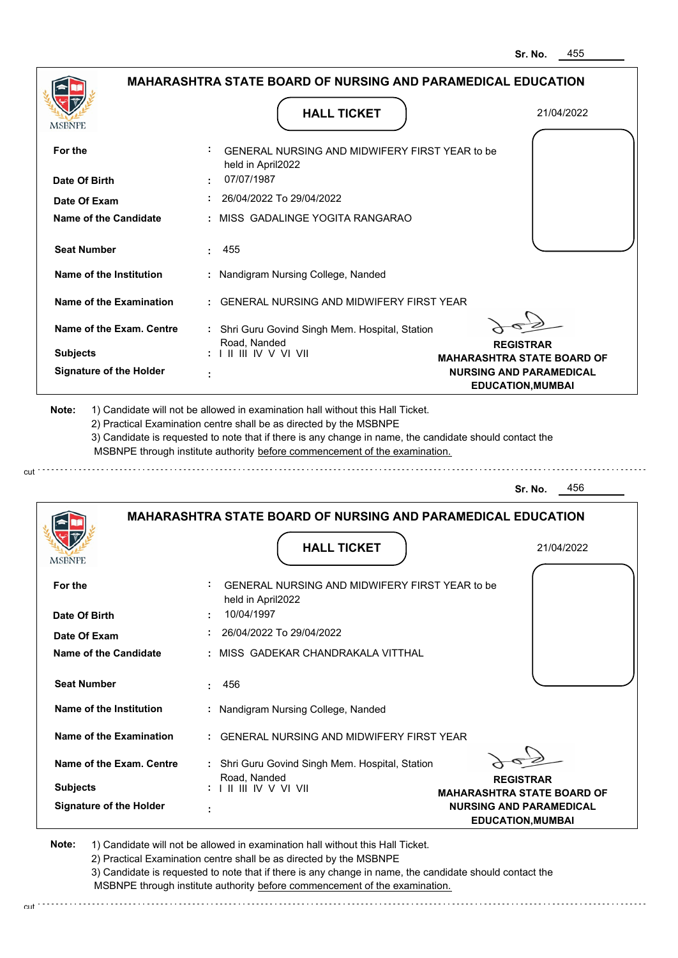|                                |                                                                     | 455<br>Sr. No.                    |
|--------------------------------|---------------------------------------------------------------------|-----------------------------------|
|                                | <b>MAHARASHTRA STATE BOARD OF NURSING AND PARAMEDICAL EDUCATION</b> |                                   |
|                                | <b>HALL TICKET</b>                                                  | 21/04/2022                        |
| MSBNPE                         |                                                                     |                                   |
| For the                        | GENERAL NURSING AND MIDWIFERY FIRST YEAR to be<br>held in April2022 |                                   |
| Date Of Birth                  | 07/07/1987                                                          |                                   |
| Date Of Exam                   | 26/04/2022 To 29/04/2022                                            |                                   |
| Name of the Candidate          | MISS GADALINGE YOGITA RANGARAO                                      |                                   |
| <b>Seat Number</b>             | 455                                                                 |                                   |
| Name of the Institution        | Nandigram Nursing College, Nanded                                   |                                   |
| Name of the Examination        | <b>GENERAL NURSING AND MIDWIFERY FIRST YEAR</b>                     |                                   |
| Name of the Exam. Centre       | : Shri Guru Govind Singh Mem. Hospital, Station<br>Road, Nanded     | <b>REGISTRAR</b>                  |
| <b>Subjects</b>                |                                                                     | <b>MAHARASHTRA STATE BOARD OF</b> |
| <b>Signature of the Holder</b> |                                                                     | <b>NURSING AND PARAMEDICAL</b>    |
|                                |                                                                     |                                   |
|                                |                                                                     | 456<br>Sr. No.                    |
|                                | <b>MAHARASHTRA STATE BOARD OF NURSING AND PARAMEDICAL EDUCATION</b> |                                   |
|                                | <b>HALL TICKET</b>                                                  | 21/04/2022                        |
|                                |                                                                     |                                   |
| For the                        | GENERAL NURSING AND MIDWIFERY FIRST YEAR to be<br>held in April2022 |                                   |
| Date Of Birth                  | 10/04/1997                                                          |                                   |
| Date Of Exam                   | 26/04/2022 To 29/04/2022                                            |                                   |
| <b>Name of the Candidate</b>   | MISS GADEKAR CHANDRAKALA VITTHAL                                    |                                   |
| <b>Seat Number</b>             | 456                                                                 |                                   |
| Name of the Institution        | : Nandigram Nursing College, Nanded                                 |                                   |
| <b>Name of the Examination</b> | GENERAL NURSING AND MIDWIFERY FIRST YEAR                            |                                   |
| Name of the Exam. Centre       | : Shri Guru Govind Singh Mem. Hospital, Station<br>Road, Nanded     | <b>REGISTRAR</b>                  |

**REGISTRAR MAHARASHTRA STATE BOARD OF NURSING AND PARAMEDICAL EDUCATION,MUMBAI**

**Note:**  1) Candidate will not be allowed in examination hall without this Hall Ticket.

I II III IV V VI VII

 **:**

**Signature of the Holder**

**Subjects :**

cut

2) Practical Examination centre shall be as directed by the MSBNPE

3) Candidate is requested to note that if there is any change in name, the candidate should contact the MSBNPE through institute authority before commencement of the examination. cut de la component de la component de la component de la component de la component de la component de la component de la component de la component de la component de la component de la component de la component de la comp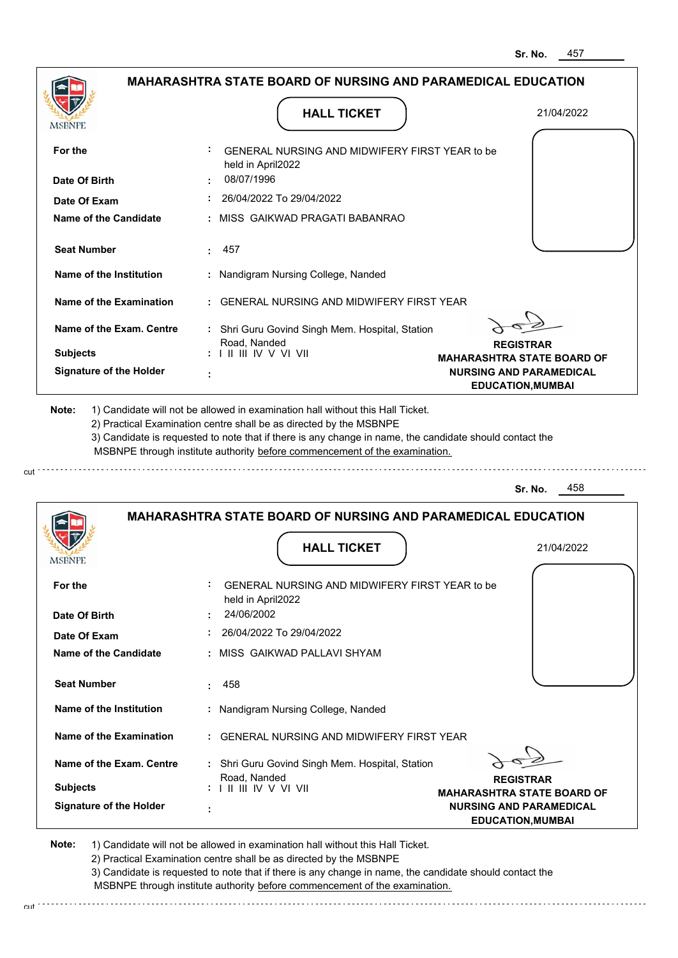|                                | <b>MAHARASHTRA STATE BOARD OF NURSING AND PARAMEDICAL EDUCATION</b>                                                                                                                                                                                                                                                                           |                                                                     |
|--------------------------------|-----------------------------------------------------------------------------------------------------------------------------------------------------------------------------------------------------------------------------------------------------------------------------------------------------------------------------------------------|---------------------------------------------------------------------|
| <b>MSBNPE</b>                  | <b>HALL TICKET</b>                                                                                                                                                                                                                                                                                                                            | 21/04/2022                                                          |
| For the                        | GENERAL NURSING AND MIDWIFERY FIRST YEAR to be<br>held in April2022                                                                                                                                                                                                                                                                           |                                                                     |
| Date Of Birth                  | 08/07/1996                                                                                                                                                                                                                                                                                                                                    |                                                                     |
| Date Of Exam                   | 26/04/2022 To 29/04/2022                                                                                                                                                                                                                                                                                                                      |                                                                     |
| Name of the Candidate          | : MISS GAIKWAD PRAGATI BABANRAO                                                                                                                                                                                                                                                                                                               |                                                                     |
| <b>Seat Number</b>             | 457<br>÷.                                                                                                                                                                                                                                                                                                                                     |                                                                     |
| Name of the Institution        | : Nandigram Nursing College, Nanded                                                                                                                                                                                                                                                                                                           |                                                                     |
| Name of the Examination        | : GENERAL NURSING AND MIDWIFERY FIRST YEAR                                                                                                                                                                                                                                                                                                    |                                                                     |
| Name of the Exam. Centre       | : Shri Guru Govind Singh Mem. Hospital, Station                                                                                                                                                                                                                                                                                               |                                                                     |
| <b>Subjects</b>                | Road, Nanded<br>$: 1 \mathbb{H} \mathbb{H} \mathbb{V} \vee \mathbb{V} \mathbb{H}$                                                                                                                                                                                                                                                             | <b>REGISTRAR</b>                                                    |
| <b>Signature of the Holder</b> |                                                                                                                                                                                                                                                                                                                                               | <b>MAHARASHTRA STATE BOARD OF</b><br><b>NURSING AND PARAMEDICAL</b> |
|                                |                                                                                                                                                                                                                                                                                                                                               | <b>EDUCATION, MUMBAI</b>                                            |
| Note:                          | 1) Candidate will not be allowed in examination hall without this Hall Ticket.<br>2) Practical Examination centre shall be as directed by the MSBNPE<br>3) Candidate is requested to note that if there is any change in name, the candidate should contact the<br>MSBNPE through institute authority before commencement of the examination. |                                                                     |
|                                |                                                                                                                                                                                                                                                                                                                                               | 458<br>Sr. No.                                                      |
|                                | <b>MAHARASHTRA STATE BOARD OF NURSING AND PARAMEDICAL EDUCATION</b>                                                                                                                                                                                                                                                                           |                                                                     |
| <b>MSBNPE</b>                  | <b>HALL TICKET</b>                                                                                                                                                                                                                                                                                                                            | 21/04/2022                                                          |
| For the                        | GENERAL NURSING AND MIDWIFERY FIRST YEAR to be<br>$-1 - 1 - 1 - 1 - 10000$                                                                                                                                                                                                                                                                    |                                                                     |

| For the                        | ÷<br>GENERAL NURSING AND MIDWIFERY FIRST YEAR to be<br>held in April2022                               |
|--------------------------------|--------------------------------------------------------------------------------------------------------|
| Date Of Birth                  | 24/06/2002                                                                                             |
| Date Of Exam                   | 26/04/2022 To 29/04/2022                                                                               |
| Name of the Candidate          | : MISS GAIKWAD PALLAVI SHYAM                                                                           |
| <b>Seat Number</b>             | 458<br>. .                                                                                             |
| Name of the Institution        | : Nandigram Nursing College, Nanded                                                                    |
| Name of the Examination        | : GENERAL NURSING AND MIDWIFERY FIRST YEAR                                                             |
| Name of the Exam. Centre       | : Shri Guru Govind Singh Mem. Hospital, Station<br>Road, Nanded<br><b>REGISTRAR</b>                    |
| <b>Subjects</b>                | $: 1 \mathbb{H} \mathbb{H} \mathbb{W} \vee \mathbb{V} \mathbb{W}$<br><b>MAHARASHTRA STATE BOARD OF</b> |
| <b>Signature of the Holder</b> | <b>NURSING AND PARAMEDICAL</b><br><b>EDUCATION, MUMBAI</b>                                             |

**Note:**  1) Candidate will not be allowed in examination hall without this Hall Ticket. 2) Practical Examination centre shall be as directed by the MSBNPE

3) Candidate is requested to note that if there is any change in name, the candidate should contact the MSBNPE through institute authority before commencement of the examination.

cut de la component de la component de la component de la component de la component de la component de la component de la component de la component de la component de la component de la component de la component de la comp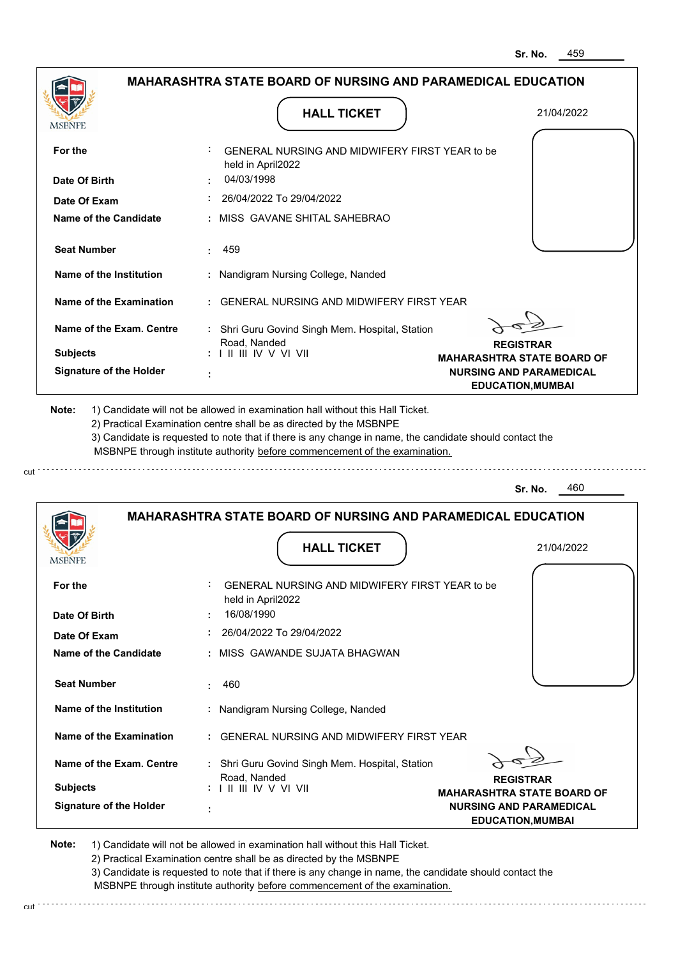|                                 | <b>MAHARASHTRA STATE BOARD OF NURSING AND PARAMEDICAL EDUCATION</b>                                                                                                                   |                                                            |
|---------------------------------|---------------------------------------------------------------------------------------------------------------------------------------------------------------------------------------|------------------------------------------------------------|
| <b>MSBNPE</b>                   | <b>HALL TICKET</b>                                                                                                                                                                    | 21/04/2022                                                 |
| For the                         | GENERAL NURSING AND MIDWIFERY FIRST YEAR to be<br>held in April2022                                                                                                                   |                                                            |
| Date Of Birth                   | 04/03/1998                                                                                                                                                                            |                                                            |
| Date Of Exam                    | 26/04/2022 To 29/04/2022                                                                                                                                                              |                                                            |
| Name of the Candidate           | : MISS GAVANE SHITAL SAHEBRAO                                                                                                                                                         |                                                            |
| <b>Seat Number</b>              | 459                                                                                                                                                                                   |                                                            |
| Name of the Institution         | : Nandigram Nursing College, Nanded                                                                                                                                                   |                                                            |
| <b>Name of the Examination</b>  | <b>GENERAL NURSING AND MIDWIFERY FIRST YEAR</b>                                                                                                                                       |                                                            |
| <b>Name of the Exam. Centre</b> | : Shri Guru Govind Singh Mem. Hospital, Station<br>Road, Nanded                                                                                                                       | <b>REGISTRAR</b>                                           |
| <b>Subjects</b>                 | : I II III IV V VI VII                                                                                                                                                                | <b>MAHARASHTRA STATE BOARD OF</b>                          |
| <b>Signature of the Holder</b>  |                                                                                                                                                                                       | <b>NURSING AND PARAMEDICAL</b><br><b>EDUCATION, MUMBAI</b> |
| Note:                           | 1) Candidate will not be allowed in examination hall without this Hall Ticket.<br>2) Practical Examination centre shall be as directed by the MSBNPE                                  |                                                            |
|                                 | 3) Candidate is requested to note that if there is any change in name, the candidate should contact the<br>MSBNPE through institute authority before commencement of the examination. | 460<br>Sr. No.                                             |
|                                 | <b>MAHARASHTRA STATE BOARD OF NURSING AND PARAMEDICAL EDUCATION</b>                                                                                                                   |                                                            |
|                                 | <b>HALL TICKET</b>                                                                                                                                                                    | 21/04/2022                                                 |
| For the                         | GENERAL NURSING AND MIDWIFERY FIRST YEAR to be<br>held in April2022                                                                                                                   |                                                            |
| <b>MSBNPE</b><br>Date Of Birth  | 16/08/1990<br>26/04/2022 To 29/04/2022                                                                                                                                                |                                                            |

| Date Of Exam                   |        | 26/04/2022 To 29/04/2022                                        |                                                           |
|--------------------------------|--------|-----------------------------------------------------------------|-----------------------------------------------------------|
| Name of the Candidate          |        | : MISS GAWANDE SUJATA BHAGWAN                                   |                                                           |
| <b>Seat Number</b>             |        | 460                                                             |                                                           |
| Name of the Institution        |        | : Nandigram Nursing College, Nanded                             |                                                           |
| Name of the Examination        |        | : GENERAL NURSING AND MIDWIFERY FIRST YEAR                      |                                                           |
| Name of the Exam. Centre       |        | : Shri Guru Govind Singh Mem. Hospital, Station<br>Road, Nanded | <b>REGISTRAR</b>                                          |
| <b>Subjects</b>                |        | : I II III IV V VI VII                                          | <b>MAHARASHTRA STATE BOARD OF</b>                         |
| <b>Signature of the Holder</b> | ٠<br>٠ |                                                                 | <b>NURSING AND PARAMEDICAL</b><br><b>EDUCATION.MUMBAI</b> |

**Note:**  1) Candidate will not be allowed in examination hall without this Hall Ticket. 2) Practical Examination centre shall be as directed by the MSBNPE 3) Candidate is requested to note that if there is any change in name, the candidate should contact the MSBNPE through institute authority before commencement of the examination.

cut

cut de la component de la component de la component de la component de la component de la component de la component de la component de la component de la component de la component de la component de la component de la comp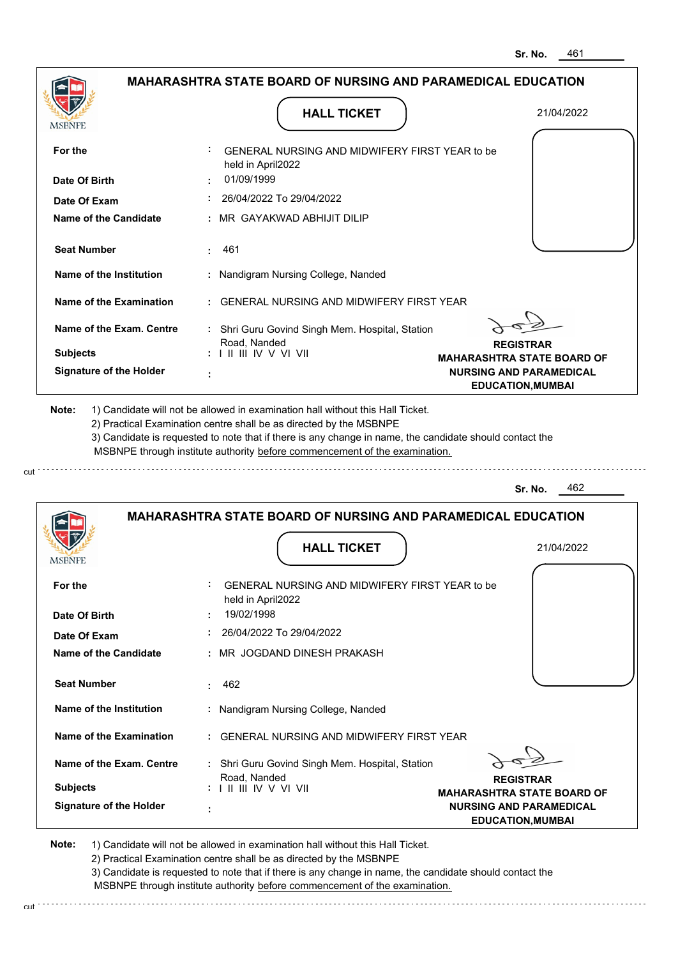|                                |                                                                                                                                                                                       | Sr. No.<br>40 I                                            |
|--------------------------------|---------------------------------------------------------------------------------------------------------------------------------------------------------------------------------------|------------------------------------------------------------|
|                                | <b>MAHARASHTRA STATE BOARD OF NURSING AND PARAMEDICAL EDUCATION</b>                                                                                                                   |                                                            |
| <b>MSBNPE</b>                  | <b>HALL TICKET</b>                                                                                                                                                                    | 21/04/2022                                                 |
| For the                        | GENERAL NURSING AND MIDWIFERY FIRST YEAR to be<br>held in April2022                                                                                                                   |                                                            |
| Date Of Birth                  | 01/09/1999                                                                                                                                                                            |                                                            |
| Date Of Exam                   | 26/04/2022 To 29/04/2022                                                                                                                                                              |                                                            |
| <b>Name of the Candidate</b>   | MR GAYAKWAD ABHIJIT DILIP                                                                                                                                                             |                                                            |
| <b>Seat Number</b>             | 461                                                                                                                                                                                   |                                                            |
| Name of the Institution        | : Nandigram Nursing College, Nanded                                                                                                                                                   |                                                            |
| <b>Name of the Examination</b> | GENERAL NURSING AND MIDWIFERY FIRST YEAR                                                                                                                                              |                                                            |
| Name of the Exam. Centre       | : Shri Guru Govind Singh Mem. Hospital, Station<br>Road, Nanded                                                                                                                       | <b>REGISTRAR</b>                                           |
| <b>Subjects</b>                | $: 1 \mathbb{I}$ III IV V VI VII                                                                                                                                                      | <b>MAHARASHTRA STATE BOARD OF</b>                          |
| <b>Signature of the Holder</b> |                                                                                                                                                                                       | <b>NURSING AND PARAMEDICAL</b><br><b>EDUCATION, MUMBAI</b> |
|                                | 3) Candidate is requested to note that if there is any change in name, the candidate should contact the<br>MSBNPE through institute authority before commencement of the examination. |                                                            |
|                                |                                                                                                                                                                                       | 462<br>Sr. No.                                             |
|                                | <b>MAHARASHTRA STATE BOARD OF NURSING AND PARAMEDICAL EDUCATION</b>                                                                                                                   |                                                            |
| MSBNPE                         | <b>HALL TICKET</b>                                                                                                                                                                    | 21/04/2022                                                 |
| For the<br>Date Of Birth       | GENERAL NURSING AND MIDWIFERY FIRST YEAR to be<br>held in April2022<br>19/02/1998                                                                                                     |                                                            |
| Date Of Exam                   | 26/04/2022 To 29/04/2022                                                                                                                                                              |                                                            |
| <b>Name of the Candidate</b>   | MR JOGDAND DINESH PRAKASH                                                                                                                                                             |                                                            |
| <b>Seat Number</b>             | 462<br>÷.                                                                                                                                                                             |                                                            |
| <b>Name of the Institution</b> | : Nandigram Nursing College, Nanded                                                                                                                                                   |                                                            |
| <b>Name of the Examination</b> | : GENERAL NURSING AND MIDWIFERY FIRST YEAR                                                                                                                                            |                                                            |

**Signature of the Holder Name of the Exam. Centre :** Shri Guru Govind Singh Mem. Hospital, Station  **: Subjects :** Road, Nanded I II III IV V VI VII

**REGISTRAR**

**MAHARASHTRA STATE BOARD OF NURSING AND PARAMEDICAL EDUCATION,MUMBAI**

**Note:**  1) Candidate will not be allowed in examination hall without this Hall Ticket.

cut

2) Practical Examination centre shall be as directed by the MSBNPE

3) Candidate is requested to note that if there is any change in name, the candidate should contact the MSBNPE through institute authority before commencement of the examination. cut de contra a construction de construction de construction de construction de construction de construction de construction de construction de construction de construction de construction de construction de construction d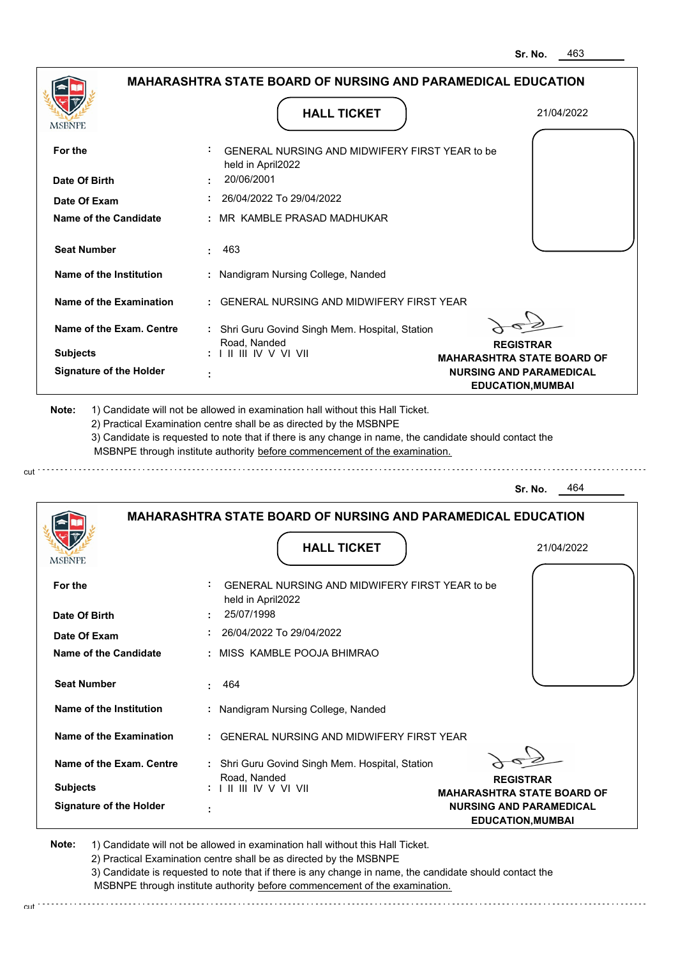|                                | <b>MAHARASHTRA STATE BOARD OF NURSING AND PARAMEDICAL EDUCATION</b><br><b>HALL TICKET</b>                                                                                                                                                                                                                                                     | 21/04/2022                                                          |
|--------------------------------|-----------------------------------------------------------------------------------------------------------------------------------------------------------------------------------------------------------------------------------------------------------------------------------------------------------------------------------------------|---------------------------------------------------------------------|
| MSBNPE                         | GENERAL NURSING AND MIDWIFERY FIRST YEAR to be                                                                                                                                                                                                                                                                                                |                                                                     |
| For the                        | held in April2022                                                                                                                                                                                                                                                                                                                             |                                                                     |
| Date Of Birth                  | 20/06/2001                                                                                                                                                                                                                                                                                                                                    |                                                                     |
| Date Of Exam                   | 26/04/2022 To 29/04/2022                                                                                                                                                                                                                                                                                                                      |                                                                     |
| <b>Name of the Candidate</b>   | MR KAMBLE PRASAD MADHUKAR                                                                                                                                                                                                                                                                                                                     |                                                                     |
| <b>Seat Number</b>             | 463<br>÷                                                                                                                                                                                                                                                                                                                                      |                                                                     |
| Name of the Institution        | : Nandigram Nursing College, Nanded                                                                                                                                                                                                                                                                                                           |                                                                     |
| <b>Name of the Examination</b> | <b>GENERAL NURSING AND MIDWIFERY FIRST YEAR</b>                                                                                                                                                                                                                                                                                               |                                                                     |
| Name of the Exam. Centre       | : Shri Guru Govind Singh Mem. Hospital, Station                                                                                                                                                                                                                                                                                               |                                                                     |
| <b>Subjects</b>                | Road, Nanded<br>$: 1 \mathbb{H} \mathbb{H} \mathbb{W} \vee \mathbb{V} \mathbb{V} \mathbb{H}$                                                                                                                                                                                                                                                  | <b>REGISTRAR</b>                                                    |
| <b>Signature of the Holder</b> |                                                                                                                                                                                                                                                                                                                                               | <b>MAHARASHTRA STATE BOARD OF</b><br><b>NURSING AND PARAMEDICAL</b> |
|                                |                                                                                                                                                                                                                                                                                                                                               | <b>EDUCATION, MUMBAI</b>                                            |
| Note:                          | 1) Candidate will not be allowed in examination hall without this Hall Ticket.<br>2) Practical Examination centre shall be as directed by the MSBNPE<br>3) Candidate is requested to note that if there is any change in name, the candidate should contact the<br>MSBNPE through institute authority before commencement of the examination. | 464<br>Sr. No.                                                      |
|                                |                                                                                                                                                                                                                                                                                                                                               |                                                                     |
|                                | <b>MAHARASHTRA STATE BOARD OF NURSING AND PARAMEDICAL EDUCATION</b>                                                                                                                                                                                                                                                                           |                                                                     |
| MSBNPE                         | <b>HALL TICKET</b>                                                                                                                                                                                                                                                                                                                            | 21/04/2022                                                          |
| For the                        | GENERAL NURSING AND MIDWIFERY FIRST YEAR to be<br>held in April2022                                                                                                                                                                                                                                                                           |                                                                     |
| Date Of Birth                  | 25/07/1998                                                                                                                                                                                                                                                                                                                                    |                                                                     |
| Date Of Exam                   | 26/04/2022 To 29/04/2022                                                                                                                                                                                                                                                                                                                      |                                                                     |
| <b>Name of the Candidate</b>   | : MISS KAMBLE POOJA BHIMRAO                                                                                                                                                                                                                                                                                                                   |                                                                     |
| <b>Seat Number</b>             | 464                                                                                                                                                                                                                                                                                                                                           |                                                                     |

**REGISTRAR MAHARASHTRA STATE BOARD OF NURSING AND PARAMEDICAL EDUCATION,MUMBAI Signature of the Holder Name of the Exam. Centre Name of the Examination :** GENERAL NURSING AND MIDWIFERY FIRST YEAR  **:** Shri Guru Govind Singh Mem. Hospital, Station  **: Subjects :** Road, Nanded I II III IV V VI VII

 **:** Nandigram Nursing College, Nanded

**Note:**  1) Candidate will not be allowed in examination hall without this Hall Ticket.

cut

**Name of the Institution**

2) Practical Examination centre shall be as directed by the MSBNPE

3) Candidate is requested to note that if there is any change in name, the candidate should contact the MSBNPE through institute authority before commencement of the examination. cut de la component de la component de la component de la component de la component de la component de la component de la component de la component de la component de la component de la component de la component de la comp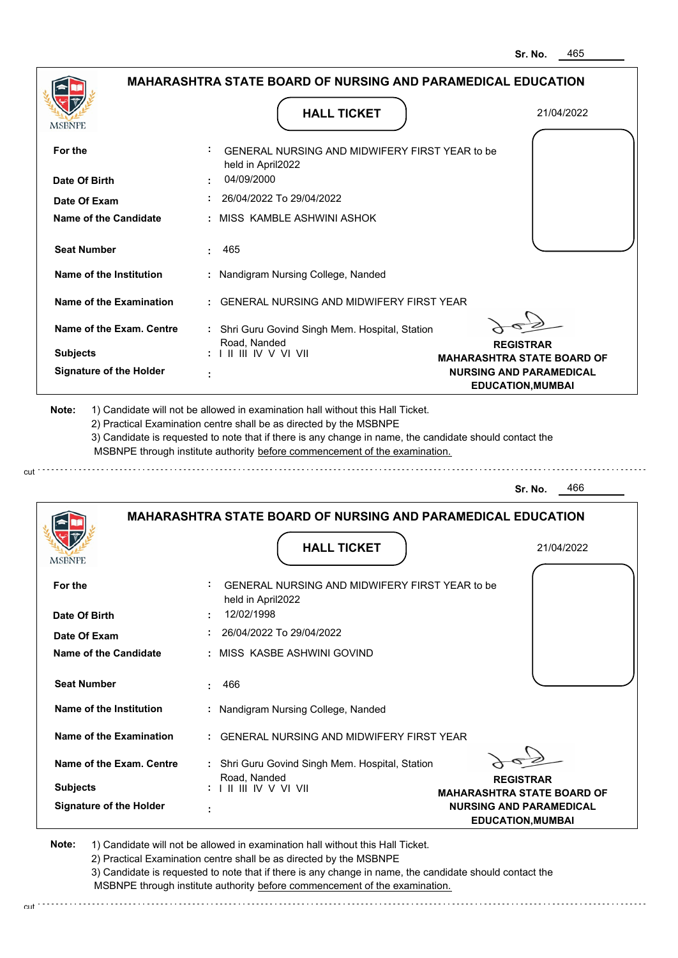|                                |                                                                                           | Sr. No.<br>400                                             |
|--------------------------------|-------------------------------------------------------------------------------------------|------------------------------------------------------------|
|                                | <b>MAHARASHTRA STATE BOARD OF NURSING AND PARAMEDICAL EDUCATION</b>                       |                                                            |
| MSBNPE                         | <b>HALL TICKET</b>                                                                        | 21/04/2022                                                 |
|                                |                                                                                           |                                                            |
| For the                        | GENERAL NURSING AND MIDWIFERY FIRST YEAR to be<br>held in April2022                       |                                                            |
| Date Of Birth                  | 04/09/2000                                                                                |                                                            |
| Date Of Exam                   | 26/04/2022 To 29/04/2022                                                                  |                                                            |
| <b>Name of the Candidate</b>   | MISS KAMBLE ASHWINI ASHOK                                                                 |                                                            |
| <b>Seat Number</b>             | 465                                                                                       |                                                            |
| Name of the Institution        | : Nandigram Nursing College, Nanded                                                       |                                                            |
| <b>Name of the Examination</b> | <b>GENERAL NURSING AND MIDWIFERY FIRST YEAR</b>                                           |                                                            |
| Name of the Exam. Centre       | : Shri Guru Govind Singh Mem. Hospital, Station                                           |                                                            |
|                                | Road, Nanded                                                                              | <b>REGISTRAR</b>                                           |
| <b>Subjects</b>                | $: 1 \mathbb{I}$ III IIV V VI VII                                                         | <b>MAHARASHTRA STATE BOARD OF</b>                          |
| <b>Signature of the Holder</b> |                                                                                           | <b>NURSING AND PARAMEDICAL</b><br><b>EDUCATION, MUMBAI</b> |
|                                | MSBNPE through institute authority before commencement of the examination.                |                                                            |
|                                |                                                                                           | 466<br>Sr. No.                                             |
|                                | <b>MAHARASHTRA STATE BOARD OF NURSING AND PARAMEDICAL EDUCATION</b><br><b>HALL TICKET</b> | 21/04/2022                                                 |
| MSBNPE                         |                                                                                           |                                                            |
| For the                        | GENERAL NURSING AND MIDWIFERY FIRST YEAR to be<br>held in April2022                       |                                                            |
| Date Of Birth                  | 12/02/1998                                                                                |                                                            |
| Date Of Exam                   | 26/04/2022 To 29/04/2022                                                                  |                                                            |
| <b>Name of the Candidate</b>   | MISS KASBE ASHWINI GOVIND                                                                 |                                                            |
| <b>Seat Number</b>             | 466<br>÷                                                                                  |                                                            |
| Name of the Institution        | : Nandigram Nursing College, Nanded                                                       |                                                            |
| <b>Name of the Examination</b> | : GENERAL NURSING AND MIDWIFERY FIRST YEAR                                                |                                                            |

**Signature of the Holder Name of the Exam. Centre :** Shri Guru Govind Singh Mem. Hospital, Station  **: Subjects :** Road, Nanded I II III IV V VI VII

**REGISTRAR**

**MAHARASHTRA STATE BOARD OF NURSING AND PARAMEDICAL EDUCATION,MUMBAI**

**Note:**  1) Candidate will not be allowed in examination hall without this Hall Ticket.

cut

2) Practical Examination centre shall be as directed by the MSBNPE

3) Candidate is requested to note that if there is any change in name, the candidate should contact the MSBNPE through institute authority before commencement of the examination. cut de contra a construction de construction de construction de construction de construction de construction de construction de construction de construction de construction de construction de construction de construction d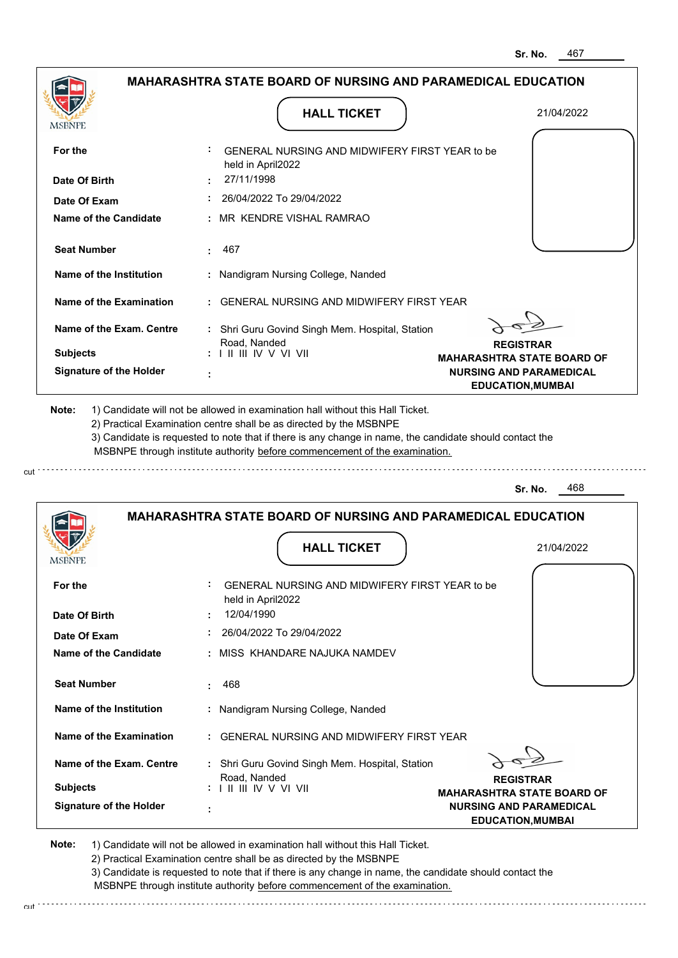| MSBNPE                                | <b>HALL TICKET</b>                                                                                                                                                                                                                                                                                                                            | 21/04/2022                                                 |
|---------------------------------------|-----------------------------------------------------------------------------------------------------------------------------------------------------------------------------------------------------------------------------------------------------------------------------------------------------------------------------------------------|------------------------------------------------------------|
| For the                               | GENERAL NURSING AND MIDWIFERY FIRST YEAR to be<br>held in April2022                                                                                                                                                                                                                                                                           |                                                            |
| Date Of Birth                         | 27/11/1998<br>26/04/2022 To 29/04/2022                                                                                                                                                                                                                                                                                                        |                                                            |
| Date Of Exam<br>Name of the Candidate | : MR KENDRE VISHAL RAMRAO                                                                                                                                                                                                                                                                                                                     |                                                            |
| <b>Seat Number</b>                    | 467                                                                                                                                                                                                                                                                                                                                           |                                                            |
| Name of the Institution               | : Nandigram Nursing College, Nanded                                                                                                                                                                                                                                                                                                           |                                                            |
| Name of the Examination               | : GENERAL NURSING AND MIDWIFERY FIRST YEAR                                                                                                                                                                                                                                                                                                    |                                                            |
| Name of the Exam. Centre              | : Shri Guru Govind Singh Mem. Hospital, Station                                                                                                                                                                                                                                                                                               |                                                            |
| <b>Subjects</b>                       | Road, Nanded<br>: I II III IV V VI VII                                                                                                                                                                                                                                                                                                        | <b>REGISTRAR</b><br><b>MAHARASHTRA STATE BOARD OF</b>      |
| <b>Signature of the Holder</b>        |                                                                                                                                                                                                                                                                                                                                               | <b>NURSING AND PARAMEDICAL</b><br><b>EDUCATION, MUMBAI</b> |
| Note:                                 | 1) Candidate will not be allowed in examination hall without this Hall Ticket.<br>2) Practical Examination centre shall be as directed by the MSBNPE<br>3) Candidate is requested to note that if there is any change in name, the candidate should contact the<br>MSBNPE through institute authority before commencement of the examination. |                                                            |
|                                       |                                                                                                                                                                                                                                                                                                                                               | 468<br>Sr. No.                                             |
|                                       | <b>MAHARASHTRA STATE BOARD OF NURSING AND PARAMEDICAL EDUCATION</b>                                                                                                                                                                                                                                                                           |                                                            |
|                                       |                                                                                                                                                                                                                                                                                                                                               |                                                            |

| <b>Subjects</b><br><b>Signature of the Holder</b> | Road, Nanded<br>: I II III IV V VI VII                                            | <b>REGISTRAR</b><br><b>MAHARASHTRA STATE BOARD OF</b><br><b>NURSING AND PARAMEDICAL</b> |  |
|---------------------------------------------------|-----------------------------------------------------------------------------------|-----------------------------------------------------------------------------------------|--|
| Name of the Exam. Centre                          | : Shri Guru Govind Singh Mem. Hospital, Station                                   |                                                                                         |  |
| Name of the Examination                           | : GENERAL NURSING AND MIDWIFERY FIRST YEAR                                        |                                                                                         |  |
| Name of the Institution                           | : Nandigram Nursing College, Nanded                                               |                                                                                         |  |
| <b>Seat Number</b>                                | 468                                                                               |                                                                                         |  |
| Name of the Candidate                             | : MISS KHANDARE NAJUKA NAMDEV                                                     |                                                                                         |  |
| Date Of Exam                                      | 26/04/2022 To 29/04/2022                                                          |                                                                                         |  |
| For the<br>Date Of Birth                          | GENERAL NURSING AND MIDWIFERY FIRST YEAR to be<br>held in April2022<br>12/04/1990 |                                                                                         |  |
|                                                   |                                                                                   |                                                                                         |  |

**Note:**  1) Candidate will not be allowed in examination hall without this Hall Ticket. 2) Practical Examination centre shall be as directed by the MSBNPE 3) Candidate is requested to note that if there is any change in name, the candidate should contact the MSBNPE through institute authority before commencement of the examination.

cut.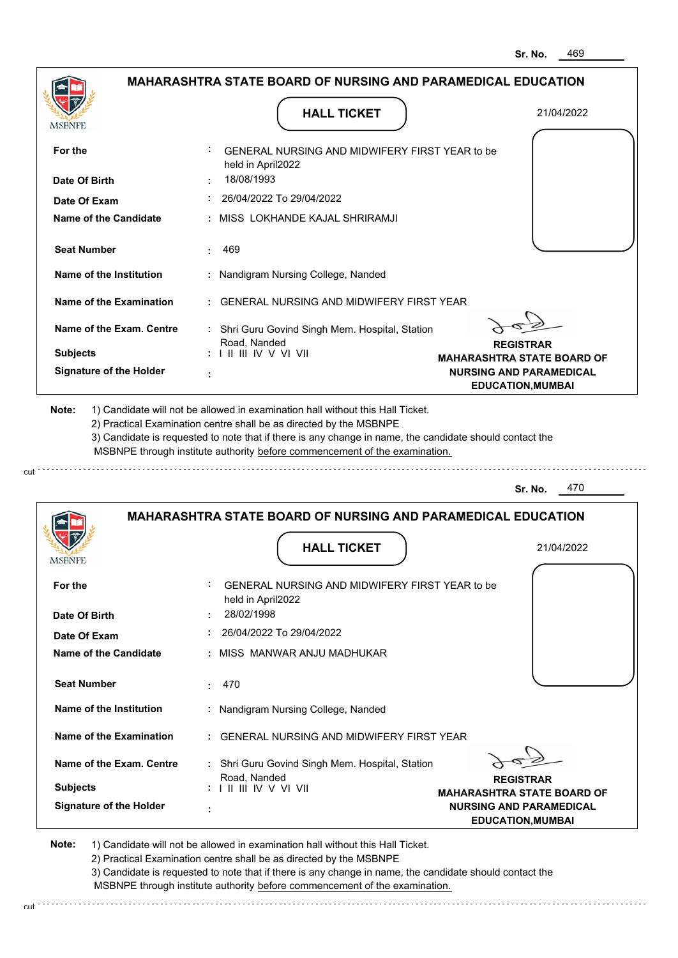|                                | <b>MAHARASHTRA STATE BOARD OF NURSING AND PARAMEDICAL EDUCATION</b>                                                                                                                                                                                                                                                                           |                                                       |
|--------------------------------|-----------------------------------------------------------------------------------------------------------------------------------------------------------------------------------------------------------------------------------------------------------------------------------------------------------------------------------------------|-------------------------------------------------------|
| <b>MSBNPE</b>                  | <b>HALL TICKET</b>                                                                                                                                                                                                                                                                                                                            | 21/04/2022                                            |
| For the                        | GENERAL NURSING AND MIDWIFERY FIRST YEAR to be<br>held in April2022                                                                                                                                                                                                                                                                           |                                                       |
| Date Of Birth                  | 18/08/1993                                                                                                                                                                                                                                                                                                                                    |                                                       |
| Date Of Exam                   | 26/04/2022 To 29/04/2022                                                                                                                                                                                                                                                                                                                      |                                                       |
| <b>Name of the Candidate</b>   | MISS LOKHANDE KAJAL SHRIRAMJI                                                                                                                                                                                                                                                                                                                 |                                                       |
| <b>Seat Number</b>             | 469                                                                                                                                                                                                                                                                                                                                           |                                                       |
| Name of the Institution        | : Nandigram Nursing College, Nanded                                                                                                                                                                                                                                                                                                           |                                                       |
| Name of the Examination        | <b>GENERAL NURSING AND MIDWIFERY FIRST YEAR</b>                                                                                                                                                                                                                                                                                               |                                                       |
| Name of the Exam. Centre       | : Shri Guru Govind Singh Mem. Hospital, Station<br>Road, Nanded                                                                                                                                                                                                                                                                               |                                                       |
| <b>Subjects</b>                | : I II III IV V VI VII                                                                                                                                                                                                                                                                                                                        | <b>REGISTRAR</b><br><b>MAHARASHTRA STATE BOARD OF</b> |
| <b>Signature of the Holder</b> |                                                                                                                                                                                                                                                                                                                                               | <b>NURSING AND PARAMEDICAL</b>                        |
|                                |                                                                                                                                                                                                                                                                                                                                               | <b>EDUCATION, MUMBAI</b>                              |
| Note:                          | 1) Candidate will not be allowed in examination hall without this Hall Ticket.<br>2) Practical Examination centre shall be as directed by the MSBNPE<br>3) Candidate is requested to note that if there is any change in name, the candidate should contact the<br>MSBNPE through institute authority before commencement of the examination. |                                                       |
|                                |                                                                                                                                                                                                                                                                                                                                               | 470<br>Sr. No.                                        |
|                                | <b>MAHARASHTRA STATE BOARD OF NURSING AND PARAMEDICAL EDUCATION</b><br><b>HALL TICKET</b>                                                                                                                                                                                                                                                     | 21/04/2022                                            |
| MSBNPE                         |                                                                                                                                                                                                                                                                                                                                               |                                                       |
| For the                        | GENERAL NURSING AND MIDWIFERY FIRST YEAR to be<br>held in April2022                                                                                                                                                                                                                                                                           |                                                       |
| Date Of Birth                  | 28/02/1998                                                                                                                                                                                                                                                                                                                                    |                                                       |
| Date Of Exam                   | 26/04/2022 To 29/04/2022                                                                                                                                                                                                                                                                                                                      |                                                       |
| Name of the Candidate          | : MISS MANWAR ANJU MADHUKAR                                                                                                                                                                                                                                                                                                                   |                                                       |
| <b>Seat Number</b>             | 470<br>÷                                                                                                                                                                                                                                                                                                                                      |                                                       |

**Name of the Examination :** GENERAL NURSING AND MIDWIFERY FIRST YEAR

**Signature of the Holder Name of the Exam. Centre :** Shri Guru Govind Singh Mem. Hospital, Station **Subjects :** Road, Nanded I II III IV V VI VII

**REGISTRAR**

**MAHARASHTRA STATE BOARD OF NURSING AND PARAMEDICAL EDUCATION,MUMBAI**

**Note:**  1) Candidate will not be allowed in examination hall without this Hall Ticket.

 **:**

cut

2) Practical Examination centre shall be as directed by the MSBNPE

3) Candidate is requested to note that if there is any change in name, the candidate should contact the MSBNPE through institute authority before commencement of the examination. cut de contra a construction de construction de construction de construction de construction de construction de construction de construction de construction de construction de construction de construction de construction d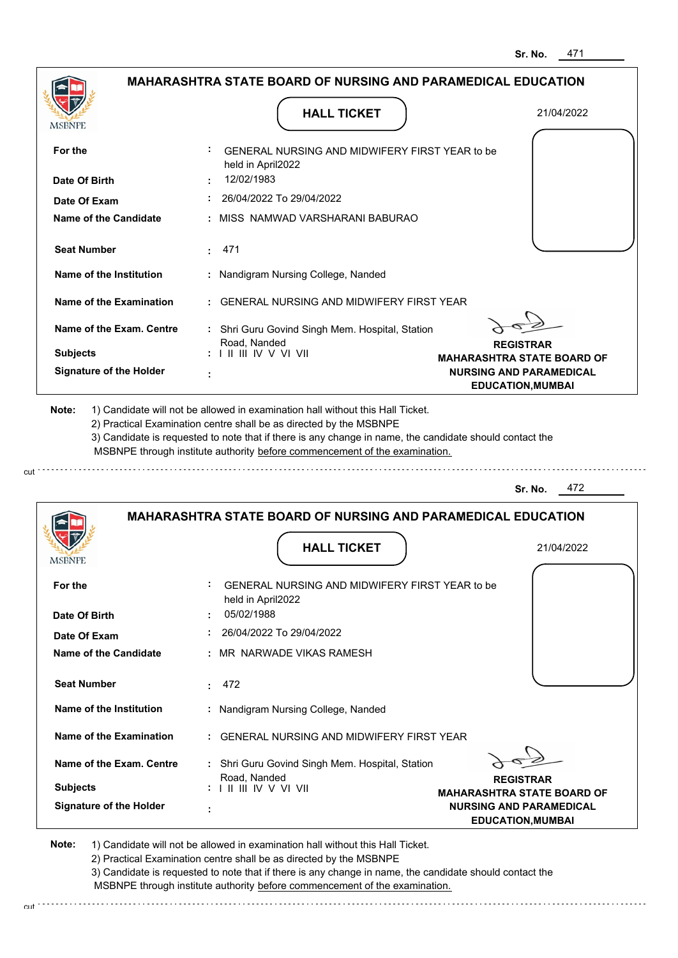**REGISTRAR MAHARASHTRA STATE BOARD OF NURSING AND PARAMEDICAL EDUCATION,MUMBAI**

|                                |                                                                                                                                                                                       | טוי וט.<br>TI 1                                            |
|--------------------------------|---------------------------------------------------------------------------------------------------------------------------------------------------------------------------------------|------------------------------------------------------------|
|                                | <b>MAHARASHTRA STATE BOARD OF NURSING AND PARAMEDICAL EDUCATION</b>                                                                                                                   |                                                            |
| MSBNPE                         | <b>HALL TICKET</b>                                                                                                                                                                    | 21/04/2022                                                 |
| For the                        | GENERAL NURSING AND MIDWIFERY FIRST YEAR to be<br>held in April2022                                                                                                                   |                                                            |
| Date Of Birth                  | 12/02/1983                                                                                                                                                                            |                                                            |
| Date Of Exam                   | 26/04/2022 To 29/04/2022                                                                                                                                                              |                                                            |
| <b>Name of the Candidate</b>   | : MISS NAMWAD VARSHARANI BABURAO                                                                                                                                                      |                                                            |
| <b>Seat Number</b>             | 471<br>$\mathbf{L}$                                                                                                                                                                   |                                                            |
| Name of the Institution        | : Nandigram Nursing College, Nanded                                                                                                                                                   |                                                            |
| Name of the Examination        | : GENERAL NURSING AND MIDWIFERY FIRST YEAR                                                                                                                                            |                                                            |
| Name of the Exam. Centre       | : Shri Guru Govind Singh Mem. Hospital, Station<br>Road, Nanded                                                                                                                       | <b>REGISTRAR</b>                                           |
| <b>Subjects</b>                | $: 1 \mathbb{H} \mathbb{H} \mathbb{V} \vee \mathbb{V} \mathbb{V} \mathbb{H}$                                                                                                          | <b>MAHARASHTRA STATE BOARD OF</b>                          |
| <b>Signature of the Holder</b> | ÷                                                                                                                                                                                     | <b>NURSING AND PARAMEDICAL</b><br><b>EDUCATION, MUMBAI</b> |
|                                | 3) Candidate is requested to note that if there is any change in name, the candidate should contact the<br>MSBNPE through institute authority before commencement of the examination. |                                                            |
|                                | <b>MAHARASHTRA STATE BOARD OF NURSING AND PARAMEDICAL EDUCATION</b>                                                                                                                   | 472<br>Sr. No.                                             |
| <b>MSBNPE</b>                  | <b>HALL TICKET</b>                                                                                                                                                                    | 21/04/2022                                                 |
| For the                        | GENERAL NURSING AND MIDWIFERY FIRST YEAR to be<br>held in April2022                                                                                                                   |                                                            |
| Date Of Birth                  | 05/02/1988                                                                                                                                                                            |                                                            |
| Date Of Exam                   | 26/04/2022 To 29/04/2022                                                                                                                                                              |                                                            |
| Name of the Candidate          | : MR NARWADE VIKAS RAMESH                                                                                                                                                             |                                                            |
| <b>Seat Number</b>             |                                                                                                                                                                                       |                                                            |
|                                | 472<br>t in                                                                                                                                                                           |                                                            |

2) Practical Examination centre shall be as directed by the MSBNPE 3) Candidate is requested to note that if there is any change in name, the candidate should contact the MSBNPE through institute authority before commencement of the examination.

 **:** GENERAL NURSING AND MIDWIFERY FIRST YEAR

 **:** Shri Guru Govind Singh Mem. Hospital, Station

cut de la component de la component de la component de la component de la component de la component de la component de la component de la component de la component de la component de la component de la component de la comp

1) Candidate will not be allowed in examination hall without this Hall Ticket.

Road, Nanded I II III IV V VI VII

 **:**

**Signature of the Holder**

**Note:** 

**Subjects :**

**Name of the Exam. Centre**

**Name of the Examination**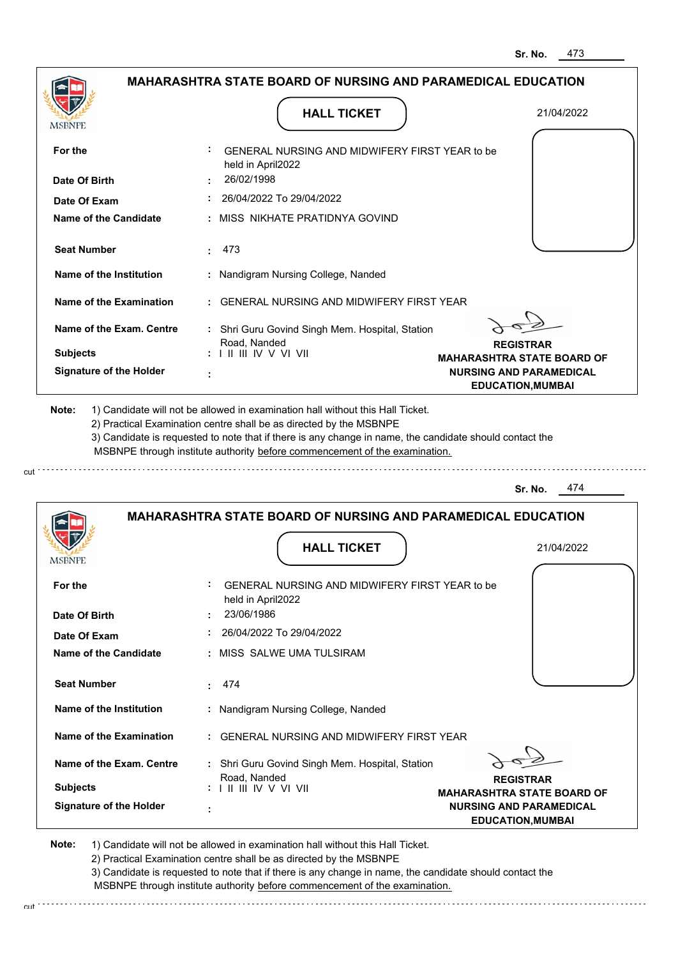**REGISTRAR MAHARASHTRA STATE BOARD OF NURSING AND PARAMEDICAL EDUCATION,MUMBAI**

|                                |                                                                                                                                                                                                                                                             | $\cdot$                                                             |
|--------------------------------|-------------------------------------------------------------------------------------------------------------------------------------------------------------------------------------------------------------------------------------------------------------|---------------------------------------------------------------------|
|                                | <b>MAHARASHTRA STATE BOARD OF NURSING AND PARAMEDICAL EDUCATION</b>                                                                                                                                                                                         |                                                                     |
| MSBNPE                         | <b>HALL TICKET</b>                                                                                                                                                                                                                                          | 21/04/2022                                                          |
| For the                        | GENERAL NURSING AND MIDWIFERY FIRST YEAR to be<br>held in April2022                                                                                                                                                                                         |                                                                     |
| Date Of Birth                  | 26/02/1998                                                                                                                                                                                                                                                  |                                                                     |
| Date Of Exam                   | 26/04/2022 To 29/04/2022                                                                                                                                                                                                                                    |                                                                     |
| <b>Name of the Candidate</b>   | : MISS NIKHATE PRATIDNYA GOVIND                                                                                                                                                                                                                             |                                                                     |
| <b>Seat Number</b>             | 473<br>2.11                                                                                                                                                                                                                                                 |                                                                     |
| Name of the Institution        | : Nandigram Nursing College, Nanded                                                                                                                                                                                                                         |                                                                     |
| Name of the Examination        | : GENERAL NURSING AND MIDWIFERY FIRST YEAR                                                                                                                                                                                                                  |                                                                     |
| Name of the Exam. Centre       | : Shri Guru Govind Singh Mem. Hospital, Station                                                                                                                                                                                                             |                                                                     |
| <b>Subjects</b>                | Road, Nanded<br>: I II III IV V VI VII                                                                                                                                                                                                                      | <b>REGISTRAR</b>                                                    |
| <b>Signature of the Holder</b> |                                                                                                                                                                                                                                                             | <b>MAHARASHTRA STATE BOARD OF</b><br><b>NURSING AND PARAMEDICAL</b> |
|                                |                                                                                                                                                                                                                                                             | <b>EDUCATION, MUMBAI</b>                                            |
|                                | 2) Practical Examination centre shall be as directed by the MSBNPE<br>3) Candidate is requested to note that if there is any change in name, the candidate should contact the<br>MSBNPE through institute authority before commencement of the examination. | 474<br>Sr. No.                                                      |
|                                | MAHARASHTRA STATE BOARD OF NURSING AND PARAMEDICAL EDUCATION                                                                                                                                                                                                |                                                                     |
| <b>MSBNPE</b>                  | <b>HALL TICKET</b>                                                                                                                                                                                                                                          | 21/04/2022                                                          |
| For the                        | GENERAL NURSING AND MIDWIFERY FIRST YEAR to be<br>held in April2022                                                                                                                                                                                         |                                                                     |
| Date Of Birth                  | 23/06/1986                                                                                                                                                                                                                                                  |                                                                     |
| Date Of Exam                   | 26/04/2022 To 29/04/2022                                                                                                                                                                                                                                    |                                                                     |
| Name of the Candidate          | : MISS SALWE UMA TULSIRAM                                                                                                                                                                                                                                   |                                                                     |
| <b>Seat Number</b>             | 474                                                                                                                                                                                                                                                         |                                                                     |
|                                |                                                                                                                                                                                                                                                             |                                                                     |

**Note:**  1) Candidate will not be allowed in examination hall without this Hall Ticket. 2) Practical Examination centre shall be as directed by the MSBNPE

Road, Nanded I II III IV V VI VII

 **:**

**Signature of the Holder**

**Subjects :**

cut \*\*\*\*\*\*\*\*\*\*\*\*\*\*\*\*\*\*

**Name of the Exam. Centre**

**Name of the Examination**

**Name of the Institution**

3) Candidate is requested to note that if there is any change in name, the candidate should contact the MSBNPE through institute authority before commencement of the examination.

 **:** GENERAL NURSING AND MIDWIFERY FIRST YEAR

 **:** Shri Guru Govind Singh Mem. Hospital, Station

 **:** Nandigram Nursing College, Nanded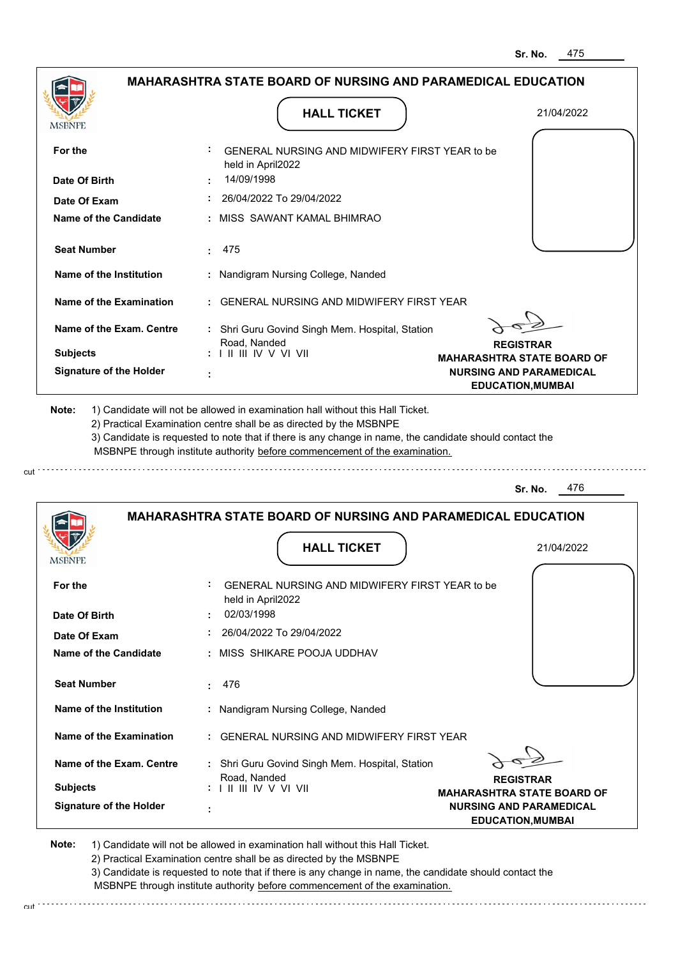. . . . . . . . . . . . . . . . . . .

| <b>MSBNPE</b>   |                                | <b>HALL TICKET</b>                                                                                                                                                                                                                                                                                                                            | 21/04/2022                                                                                      |
|-----------------|--------------------------------|-----------------------------------------------------------------------------------------------------------------------------------------------------------------------------------------------------------------------------------------------------------------------------------------------------------------------------------------------|-------------------------------------------------------------------------------------------------|
| For the         | Date Of Birth                  | GENERAL NURSING AND MIDWIFERY FIRST YEAR to be<br>held in April2022<br>14/09/1998                                                                                                                                                                                                                                                             |                                                                                                 |
|                 | Date Of Exam                   | 26/04/2022 To 29/04/2022                                                                                                                                                                                                                                                                                                                      |                                                                                                 |
|                 | Name of the Candidate          | : MISS SAWANT KAMAL BHIMRAO                                                                                                                                                                                                                                                                                                                   |                                                                                                 |
|                 | <b>Seat Number</b>             | 475                                                                                                                                                                                                                                                                                                                                           |                                                                                                 |
|                 | Name of the Institution        | : Nandigram Nursing College, Nanded                                                                                                                                                                                                                                                                                                           |                                                                                                 |
|                 | Name of the Examination        | : GENERAL NURSING AND MIDWIFERY FIRST YEAR                                                                                                                                                                                                                                                                                                    |                                                                                                 |
| <b>Subjects</b> | Name of the Exam. Centre       | : Shri Guru Govind Singh Mem. Hospital, Station<br>Road, Nanded<br>$: 1$ II III IV V VI VII                                                                                                                                                                                                                                                   | <b>REGISTRAR</b>                                                                                |
|                 | <b>Signature of the Holder</b> |                                                                                                                                                                                                                                                                                                                                               | <b>MAHARASHTRA STATE BOARD OF</b><br><b>NURSING AND PARAMEDICAL</b><br><b>EDUCATION, MUMBAI</b> |
| Note:           |                                | 1) Candidate will not be allowed in examination hall without this Hall Ticket.<br>2) Practical Examination centre shall be as directed by the MSBNPE<br>3) Candidate is requested to note that if there is any change in name, the candidate should contact the<br>MSBNPE through institute authority before commencement of the examination. |                                                                                                 |
|                 |                                |                                                                                                                                                                                                                                                                                                                                               |                                                                                                 |

| For the                        | GENERAL NURSING AND MIDWIFERY FIRST YEAR to be<br>held in April2022                                    |
|--------------------------------|--------------------------------------------------------------------------------------------------------|
| Date Of Birth                  | 02/03/1998<br>$\mathbf{r}$                                                                             |
| Date Of Exam                   | 26/04/2022 To 29/04/2022                                                                               |
| Name of the Candidate          | : MISS SHIKARE POOJA UDDHAV                                                                            |
|                                |                                                                                                        |
| <b>Seat Number</b>             | 476<br>$\sim$                                                                                          |
| Name of the Institution        | : Nandigram Nursing College, Nanded                                                                    |
| Name of the Examination        | : GENERAL NURSING AND MIDWIFERY FIRST YEAR                                                             |
| Name of the Exam. Centre       | : Shri Guru Govind Singh Mem. Hospital, Station                                                        |
|                                | Road, Nanded<br><b>REGISTRAR</b>                                                                       |
| <b>Subjects</b>                | $: 1 \mathbb{H} \mathbb{H} \mathbb{W} \vee \mathbb{V} \mathbb{W}$<br><b>MAHARASHTRA STATE BOARD OF</b> |
| <b>Signature of the Holder</b> | <b>NURSING AND PARAMEDICAL</b><br><b>EDUCATION, MUMBAI</b>                                             |

**Note:**  1) Candidate will not be allowed in examination hall without this Hall Ticket.

2) Practical Examination centre shall be as directed by the MSBNPE

cut

**MSBNPE** 

3) Candidate is requested to note that if there is any change in name, the candidate should contact the MSBNPE through institute authority before commencement of the examination.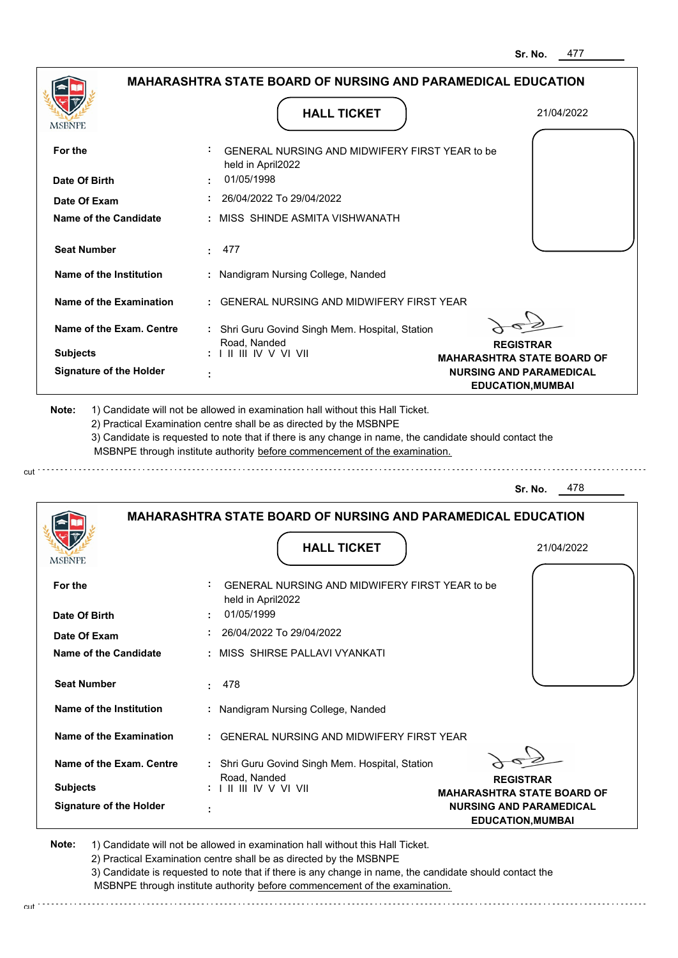| <b>MSBNPE</b>                  | <b>HALL TICKET</b>                                                                                                                                                                                                                                                                                                                            | 21/04/2022                                                 |
|--------------------------------|-----------------------------------------------------------------------------------------------------------------------------------------------------------------------------------------------------------------------------------------------------------------------------------------------------------------------------------------------|------------------------------------------------------------|
| For the                        | GENERAL NURSING AND MIDWIFERY FIRST YEAR to be<br>held in April2022                                                                                                                                                                                                                                                                           |                                                            |
| Date Of Birth                  | 01/05/1998                                                                                                                                                                                                                                                                                                                                    |                                                            |
| Date Of Exam                   | 26/04/2022 To 29/04/2022                                                                                                                                                                                                                                                                                                                      |                                                            |
| Name of the Candidate          | MISS SHINDE ASMITA VISHWANATH                                                                                                                                                                                                                                                                                                                 |                                                            |
| <b>Seat Number</b>             | 477<br>÷.                                                                                                                                                                                                                                                                                                                                     |                                                            |
| Name of the Institution        | : Nandigram Nursing College, Nanded                                                                                                                                                                                                                                                                                                           |                                                            |
| Name of the Examination        | : GENERAL NURSING AND MIDWIFERY FIRST YEAR                                                                                                                                                                                                                                                                                                    |                                                            |
| Name of the Exam. Centre       | : Shri Guru Govind Singh Mem. Hospital, Station                                                                                                                                                                                                                                                                                               |                                                            |
|                                | Road, Nanded                                                                                                                                                                                                                                                                                                                                  | <b>REGISTRAR</b>                                           |
| <b>Subjects</b>                | $: 1 \mathbb{H} \mathbb{H} \mathbb{V} \vee \mathbb{V} \mathbb{H}$                                                                                                                                                                                                                                                                             | <b>MAHARASHTRA STATE BOARD OF</b>                          |
| <b>Signature of the Holder</b> |                                                                                                                                                                                                                                                                                                                                               | <b>NURSING AND PARAMEDICAL</b><br><b>EDUCATION, MUMBAI</b> |
|                                |                                                                                                                                                                                                                                                                                                                                               |                                                            |
| Note:                          | 1) Candidate will not be allowed in examination hall without this Hall Ticket.<br>2) Practical Examination centre shall be as directed by the MSBNPE<br>3) Candidate is requested to note that if there is any change in name, the candidate should contact the<br>MSBNPE through institute authority before commencement of the examination. |                                                            |
|                                |                                                                                                                                                                                                                                                                                                                                               | 478<br>Sr. No.                                             |
| <b>MSBNPE</b>                  | <b>MAHARASHTRA STATE BOARD OF NURSING AND PARAMEDICAL EDUCATION</b><br><b>HALL TICKET</b>                                                                                                                                                                                                                                                     | 21/04/2022                                                 |
| For the                        | GENERAL NURSING AND MIDWIFERY FIRST YEAR to be<br>held in April2022                                                                                                                                                                                                                                                                           |                                                            |

| Date Of Birth                  | 0.1105/1999<br>٠                                                                  |
|--------------------------------|-----------------------------------------------------------------------------------|
| Date Of Exam                   | 26/04/2022 To 29/04/2022                                                          |
| Name of the Candidate          | : MISS SHIRSE PALLAVI VYANKATI                                                    |
| <b>Seat Number</b>             | . 478                                                                             |
| Name of the Institution        | : Nandigram Nursing College, Nanded                                               |
| Name of the Examination        | : GENERAL NURSING AND MIDWIFERY FIRST YEAR                                        |
| Name of the Exam. Centre       | : Shri Guru Govind Singh Mem. Hospital, Station<br>Road, Nanded                   |
| <b>Subjects</b>                | <b>REGISTRAR</b><br>: I II III IV V VI VII<br><b>MAHARASHTRA STATE BOARD OF</b>   |
| <b>Signature of the Holder</b> | <b>NURSING AND PARAMEDICAL</b><br>٠<br>$\blacksquare$<br><b>EDUCATION, MUMBAI</b> |

**Note:**  1) Candidate will not be allowed in examination hall without this Hall Ticket. 2) Practical Examination centre shall be as directed by the MSBNPE 3) Candidate is requested to note that if there is any change in name, the candidate should contact the

 MSBNPE through institute authority before commencement of the examination. cut de la component de la component de la component de la component de la component de la component de la component de la component de la component de la component de la component de la component de la component de la comp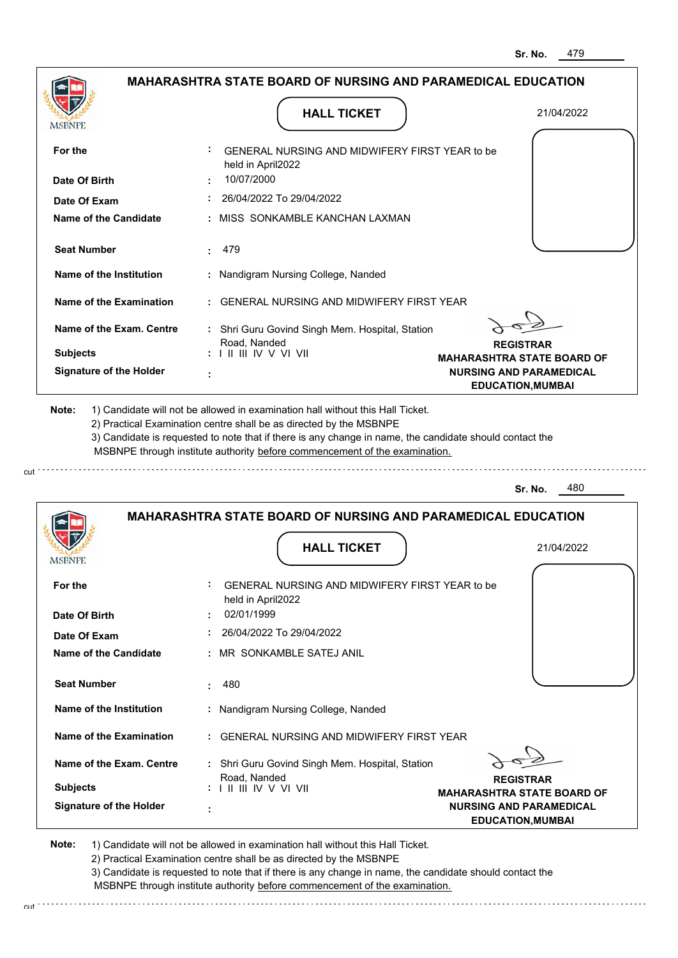| <b>MSBNPE</b>                  | <b>HALL TICKET</b>                                                                                                                                                                                                                                                                                                                            | 21/04/2022                        |
|--------------------------------|-----------------------------------------------------------------------------------------------------------------------------------------------------------------------------------------------------------------------------------------------------------------------------------------------------------------------------------------------|-----------------------------------|
| For the                        | GENERAL NURSING AND MIDWIFERY FIRST YEAR to be<br>held in April2022                                                                                                                                                                                                                                                                           |                                   |
| Date Of Birth                  | 10/07/2000                                                                                                                                                                                                                                                                                                                                    |                                   |
| Date Of Exam                   | 26/04/2022 To 29/04/2022                                                                                                                                                                                                                                                                                                                      |                                   |
| Name of the Candidate          | : MISS SONKAMBLE KANCHAN LAXMAN                                                                                                                                                                                                                                                                                                               |                                   |
| <b>Seat Number</b>             | 479<br>t.                                                                                                                                                                                                                                                                                                                                     |                                   |
| Name of the Institution        | : Nandigram Nursing College, Nanded                                                                                                                                                                                                                                                                                                           |                                   |
| Name of the Examination        | : GENERAL NURSING AND MIDWIFERY FIRST YEAR                                                                                                                                                                                                                                                                                                    |                                   |
| Name of the Exam. Centre       | : Shri Guru Govind Singh Mem. Hospital, Station                                                                                                                                                                                                                                                                                               |                                   |
|                                | Road, Nanded                                                                                                                                                                                                                                                                                                                                  | <b>REGISTRAR</b>                  |
| <b>Subjects</b>                | $: 1 \mathbb{H} \mathbb{H} \mathbb{V} \vee \mathbb{V} \mathbb{H}$                                                                                                                                                                                                                                                                             | <b>MAHARASHTRA STATE BOARD OF</b> |
| <b>Signature of the Holder</b> |                                                                                                                                                                                                                                                                                                                                               | <b>NURSING AND PARAMEDICAL</b>    |
|                                |                                                                                                                                                                                                                                                                                                                                               | <b>EDUCATION, MUMBAI</b>          |
| Note:                          | 1) Candidate will not be allowed in examination hall without this Hall Ticket.<br>2) Practical Examination centre shall be as directed by the MSBNPE<br>3) Candidate is requested to note that if there is any change in name, the candidate should contact the<br>MSBNPE through institute authority before commencement of the examination. |                                   |
|                                |                                                                                                                                                                                                                                                                                                                                               | 480<br>Sr. No.                    |
|                                | <b>MAHARASHTRA STATE BOARD OF NURSING AND PARAMEDICAL EDUCATION</b>                                                                                                                                                                                                                                                                           |                                   |

| For the                        | GENERAL NURSING AND MIDWIFERY FIRST YEAR to be<br>held in April2022                             |
|--------------------------------|-------------------------------------------------------------------------------------------------|
| Date Of Birth                  | 02/01/1999                                                                                      |
| Date Of Exam                   | 26/04/2022 To 29/04/2022                                                                        |
| Name of the Candidate          | : MR_SONKAMBLE SATEJ ANIL                                                                       |
| <b>Seat Number</b>             | 480                                                                                             |
| Name of the Institution        | : Nandigram Nursing College, Nanded                                                             |
| Name of the Examination        | : GENERAL NURSING AND MIDWIFERY FIRST YEAR                                                      |
| Name of the Exam. Centre       | : Shri Guru Govind Singh Mem. Hospital, Station                                                 |
| <b>Subjects</b>                | Road, Nanded<br><b>REGISTRAR</b><br>: I II III IV V VI VII<br><b>MAHARASHTRA STATE BOARD OF</b> |
| <b>Signature of the Holder</b> | <b>NURSING AND PARAMEDICAL</b><br>٠<br><b>EDUCATION, MUMBAI</b>                                 |

**Note:**  1) Candidate will not be allowed in examination hall without this Hall Ticket. 2) Practical Examination centre shall be as directed by the MSBNPE

cut.

3) Candidate is requested to note that if there is any change in name, the candidate should contact the MSBNPE through institute authority before commencement of the examination.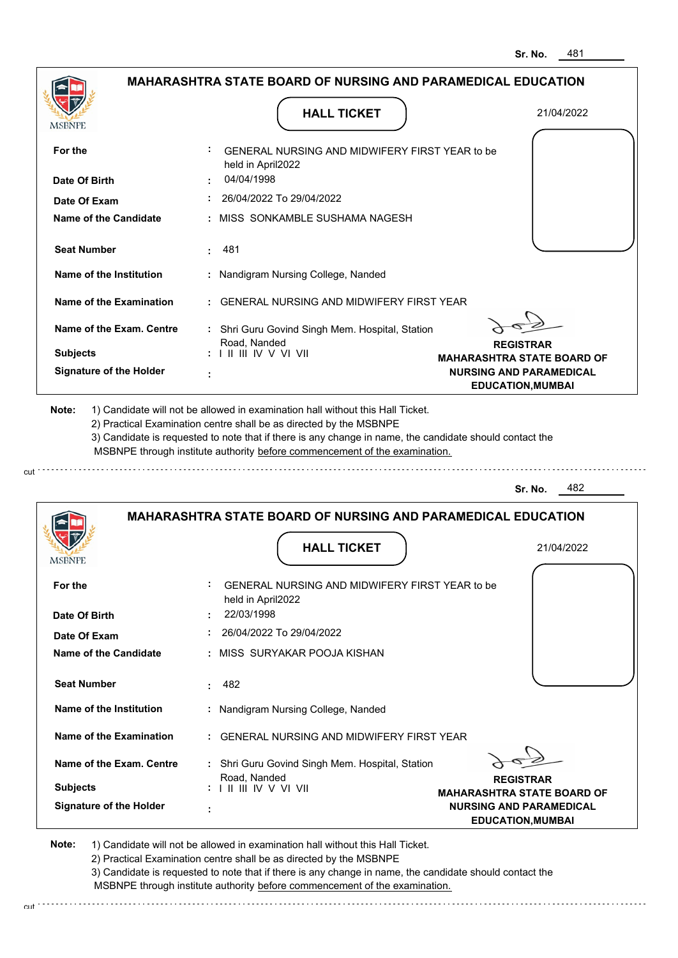**REGISTRAR MAHARASHTRA STATE BOARD OF NURSING AND PARAMEDICAL EDUCATION,MUMBAI**

|                                |                                                                                                                                                                                                                                                                                                                                               | ᠇୰                                                         |
|--------------------------------|-----------------------------------------------------------------------------------------------------------------------------------------------------------------------------------------------------------------------------------------------------------------------------------------------------------------------------------------------|------------------------------------------------------------|
|                                | <b>MAHARASHTRA STATE BOARD OF NURSING AND PARAMEDICAL EDUCATION</b>                                                                                                                                                                                                                                                                           |                                                            |
| MSBNPE                         | <b>HALL TICKET</b>                                                                                                                                                                                                                                                                                                                            | 21/04/2022                                                 |
| For the                        | GENERAL NURSING AND MIDWIFERY FIRST YEAR to be<br>held in April2022                                                                                                                                                                                                                                                                           |                                                            |
| Date Of Birth                  | 04/04/1998                                                                                                                                                                                                                                                                                                                                    |                                                            |
| Date Of Exam                   | 26/04/2022 To 29/04/2022                                                                                                                                                                                                                                                                                                                      |                                                            |
| <b>Name of the Candidate</b>   | : MISS SONKAMBLE SUSHAMA NAGESH                                                                                                                                                                                                                                                                                                               |                                                            |
| <b>Seat Number</b>             | 481<br>÷.                                                                                                                                                                                                                                                                                                                                     |                                                            |
| Name of the Institution        | : Nandigram Nursing College, Nanded                                                                                                                                                                                                                                                                                                           |                                                            |
| Name of the Examination        | <b>GENERAL NURSING AND MIDWIFERY FIRST YEAR</b>                                                                                                                                                                                                                                                                                               |                                                            |
| Name of the Exam. Centre       | : Shri Guru Govind Singh Mem. Hospital, Station<br>Road, Nanded                                                                                                                                                                                                                                                                               | <b>REGISTRAR</b>                                           |
| <b>Subjects</b>                | $: 1 \mathbb{I}$ III IIV V VI VII                                                                                                                                                                                                                                                                                                             | <b>MAHARASHTRA STATE BOARD OF</b>                          |
| <b>Signature of the Holder</b> |                                                                                                                                                                                                                                                                                                                                               | <b>NURSING AND PARAMEDICAL</b><br><b>EDUCATION, MUMBAI</b> |
| Note:                          | 1) Candidate will not be allowed in examination hall without this Hall Ticket.<br>2) Practical Examination centre shall be as directed by the MSBNPE<br>3) Candidate is requested to note that if there is any change in name, the candidate should contact the<br>MSBNPE through institute authority before commencement of the examination. |                                                            |
|                                |                                                                                                                                                                                                                                                                                                                                               | 482<br>Sr. No.                                             |
|                                | <b>MAHARASHTRA STATE BOARD OF NURSING AND PARAMEDICAL EDUCATION</b><br><b>HALL TICKET</b>                                                                                                                                                                                                                                                     | 21/04/2022                                                 |
| MSBNPE                         |                                                                                                                                                                                                                                                                                                                                               |                                                            |
| For the                        | GENERAL NURSING AND MIDWIFERY FIRST YEAR to be<br>held in April2022                                                                                                                                                                                                                                                                           |                                                            |
| Date Of Birth                  | 22/03/1998                                                                                                                                                                                                                                                                                                                                    |                                                            |
| Date Of Exam                   | 26/04/2022 To 29/04/2022                                                                                                                                                                                                                                                                                                                      |                                                            |
| <b>Name of the Candidate</b>   | : MISS SURYAKAR POOJA KISHAN                                                                                                                                                                                                                                                                                                                  |                                                            |
| <b>Seat Number</b>             | 482                                                                                                                                                                                                                                                                                                                                           |                                                            |
| Name of the Institution        | : Nandigram Nursing College, Nanded                                                                                                                                                                                                                                                                                                           |                                                            |

**Note:**  1) Candidate will not be allowed in examination hall without this Hall Ticket. 2) Practical Examination centre shall be as directed by the MSBNPE 3) Candidate is requested to note that if there is any change in name, the candidate should contact the MSBNPE through institute authority before commencement of the examination.

 **:** GENERAL NURSING AND MIDWIFERY FIRST YEAR

 **:** Shri Guru Govind Singh Mem. Hospital, Station

cut de la component de la component de la component de la component de la component de la component de la component de la component de la component de la component de la component de la component de la component de la comp

Road, Nanded I II III IV V VI VII

 **:**

cut

**Signature of the Holder**

**Subjects :**

**Name of the Exam. Centre**

**Name of the Examination**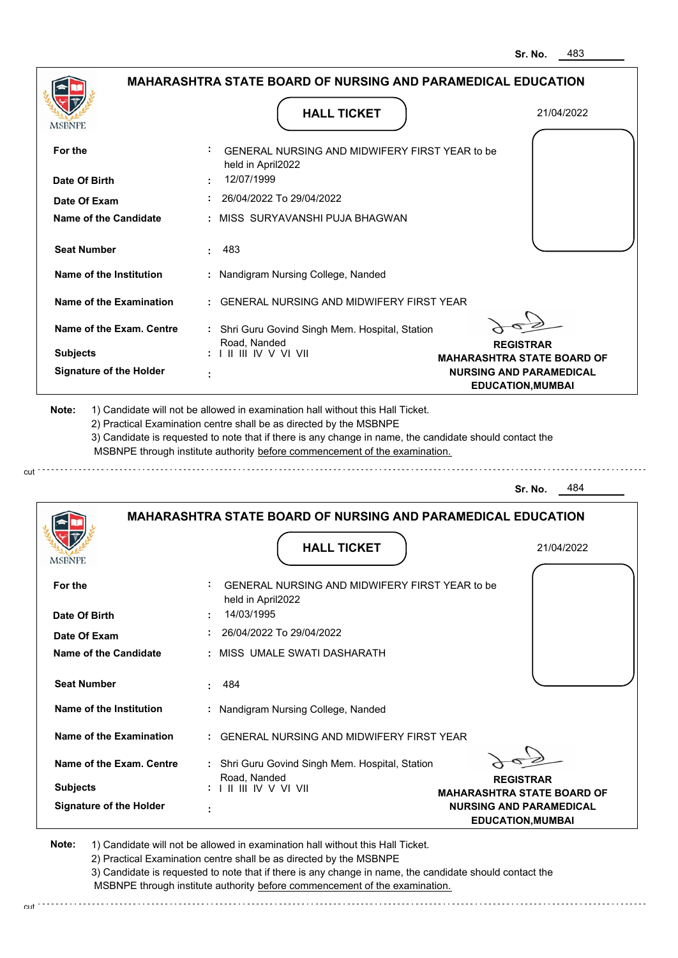**REGISTRAR MAHARASHTRA STATE BOARD OF NURSING AND PARAMEDICAL EDUCATION,MUMBAI**

|                                |                                                                                                                                                                                                                                                                                                                                               | 31. IVU.<br>ט⊬                                             |
|--------------------------------|-----------------------------------------------------------------------------------------------------------------------------------------------------------------------------------------------------------------------------------------------------------------------------------------------------------------------------------------------|------------------------------------------------------------|
|                                | <b>MAHARASHTRA STATE BOARD OF NURSING AND PARAMEDICAL EDUCATION</b>                                                                                                                                                                                                                                                                           |                                                            |
| MSBNPE                         | <b>HALL TICKET</b>                                                                                                                                                                                                                                                                                                                            | 21/04/2022                                                 |
| For the                        | GENERAL NURSING AND MIDWIFERY FIRST YEAR to be<br>held in April2022                                                                                                                                                                                                                                                                           |                                                            |
| Date Of Birth                  | 12/07/1999                                                                                                                                                                                                                                                                                                                                    |                                                            |
| Date Of Exam                   | 26/04/2022 To 29/04/2022                                                                                                                                                                                                                                                                                                                      |                                                            |
| Name of the Candidate          | MISS SURYAVANSHI PUJA BHAGWAN                                                                                                                                                                                                                                                                                                                 |                                                            |
| <b>Seat Number</b>             | 483<br>÷.                                                                                                                                                                                                                                                                                                                                     |                                                            |
| Name of the Institution        | : Nandigram Nursing College, Nanded                                                                                                                                                                                                                                                                                                           |                                                            |
| <b>Name of the Examination</b> | <b>GENERAL NURSING AND MIDWIFERY FIRST YEAR</b>                                                                                                                                                                                                                                                                                               |                                                            |
| Name of the Exam. Centre       | : Shri Guru Govind Singh Mem. Hospital, Station                                                                                                                                                                                                                                                                                               |                                                            |
| <b>Subjects</b>                | Road, Nanded<br>: I II III IV V VI VII                                                                                                                                                                                                                                                                                                        | <b>REGISTRAR</b><br><b>MAHARASHTRA STATE BOARD OF</b>      |
| <b>Signature of the Holder</b> |                                                                                                                                                                                                                                                                                                                                               | <b>NURSING AND PARAMEDICAL</b><br><b>EDUCATION, MUMBAI</b> |
| Note:                          | 1) Candidate will not be allowed in examination hall without this Hall Ticket.<br>2) Practical Examination centre shall be as directed by the MSBNPE<br>3) Candidate is requested to note that if there is any change in name, the candidate should contact the<br>MSBNPE through institute authority before commencement of the examination. | 484<br>Sr. No.                                             |
|                                | <b>MAHARASHTRA STATE BOARD OF NURSING AND PARAMEDICAL EDUCATION</b><br><b>HALL TICKET</b>                                                                                                                                                                                                                                                     | 21/04/2022                                                 |
| MSBNPE                         |                                                                                                                                                                                                                                                                                                                                               |                                                            |
| For the                        | GENERAL NURSING AND MIDWIFERY FIRST YEAR to be<br>held in April2022                                                                                                                                                                                                                                                                           |                                                            |
| Date Of Birth                  | 14/03/1995                                                                                                                                                                                                                                                                                                                                    |                                                            |
| Date Of Exam                   | 26/04/2022 To 29/04/2022                                                                                                                                                                                                                                                                                                                      |                                                            |
| Name of the Candidate          | : MISS UMALE SWATI DASHARATH                                                                                                                                                                                                                                                                                                                  |                                                            |
| <b>Seat Number</b>             | 484                                                                                                                                                                                                                                                                                                                                           |                                                            |

2) Practical Examination centre shall be as directed by the MSBNPE 3) Candidate is requested to note that if there is any change in name, the candidate should contact the MSBNPE through institute authority before commencement of the examination.

 **:** Nandigram Nursing College, Nanded

 **:** GENERAL NURSING AND MIDWIFERY FIRST YEAR

 **:** Shri Guru Govind Singh Mem. Hospital, Station

cut de la component de la component de la component de la component de la component de la component de la component de la component de la component de la component de la component de la component de la component de la comp

1) Candidate will not be allowed in examination hall without this Hall Ticket.

Road, Nanded I II III IV V VI VII

 **:**

**Note:** 

**Subjects :**

**Signature of the Holder**

**Name of the Exam. Centre**

**Name of the Examination**

**Name of the Institution**

cut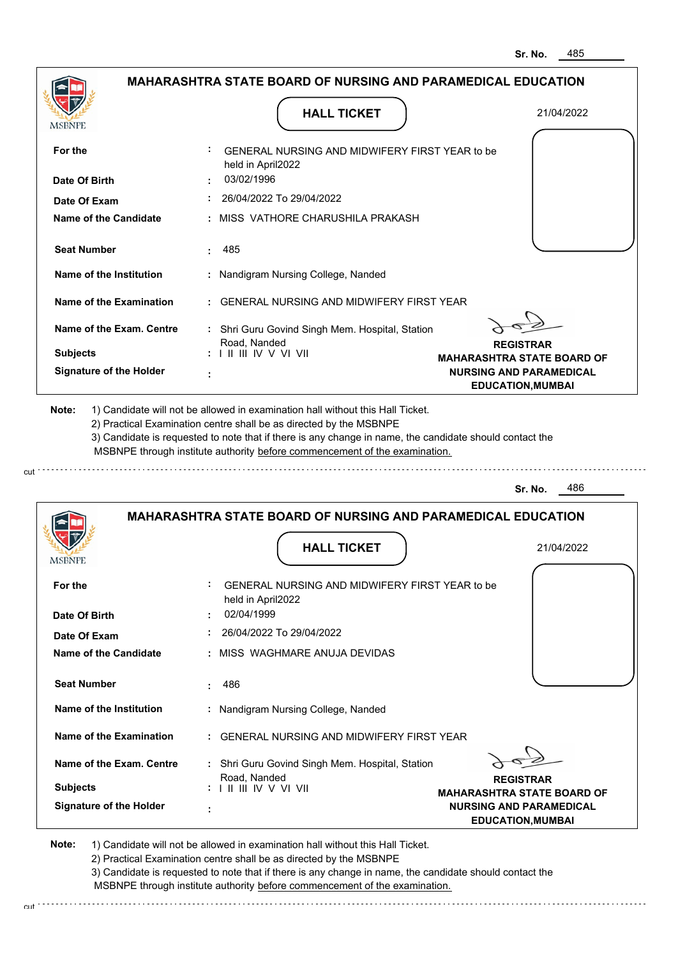|                                | <b>MAHARASHTRA STATE BOARD OF NURSING AND PARAMEDICAL EDUCATION</b>                                                                                                                                                                                                                                                                           |                                                            |
|--------------------------------|-----------------------------------------------------------------------------------------------------------------------------------------------------------------------------------------------------------------------------------------------------------------------------------------------------------------------------------------------|------------------------------------------------------------|
| MSBNPE                         | <b>HALL TICKET</b>                                                                                                                                                                                                                                                                                                                            | 21/04/2022                                                 |
| For the                        | GENERAL NURSING AND MIDWIFERY FIRST YEAR to be<br>held in April2022                                                                                                                                                                                                                                                                           |                                                            |
| Date Of Birth                  | 03/02/1996                                                                                                                                                                                                                                                                                                                                    |                                                            |
| Date Of Exam                   | 26/04/2022 To 29/04/2022                                                                                                                                                                                                                                                                                                                      |                                                            |
| <b>Name of the Candidate</b>   | MISS VATHORE CHARUSHILA PRAKASH                                                                                                                                                                                                                                                                                                               |                                                            |
| <b>Seat Number</b>             | 485<br>÷.                                                                                                                                                                                                                                                                                                                                     |                                                            |
| Name of the Institution        | Nandigram Nursing College, Nanded                                                                                                                                                                                                                                                                                                             |                                                            |
| <b>Name of the Examination</b> | GENERAL NURSING AND MIDWIFFRY FIRST YFAR                                                                                                                                                                                                                                                                                                      |                                                            |
| Name of the Exam. Centre       | : Shri Guru Govind Singh Mem. Hospital, Station<br>Road, Nanded                                                                                                                                                                                                                                                                               | <b>REGISTRAR</b>                                           |
| <b>Subjects</b>                | $: 1 \mathbb{I}$ III IIV V VI VII                                                                                                                                                                                                                                                                                                             | <b>MAHARASHTRA STATE BOARD OF</b>                          |
| <b>Signature of the Holder</b> |                                                                                                                                                                                                                                                                                                                                               | <b>NURSING AND PARAMEDICAL</b><br><b>EDUCATION, MUMBAI</b> |
|                                |                                                                                                                                                                                                                                                                                                                                               |                                                            |
| Note:                          | 1) Candidate will not be allowed in examination hall without this Hall Ticket.<br>2) Practical Examination centre shall be as directed by the MSBNPE<br>3) Candidate is requested to note that if there is any change in name, the candidate should contact the<br>MSBNPE through institute authority before commencement of the examination. | 486                                                        |
|                                |                                                                                                                                                                                                                                                                                                                                               | Sr. No.                                                    |
| <b>MSBNPE</b>                  | <b>MAHARASHTRA STATE BOARD OF NURSING AND PARAMEDICAL EDUCATION</b><br><b>HALL TICKET</b>                                                                                                                                                                                                                                                     | 21/04/2022                                                 |
| For the                        | GENERAL NURSING AND MIDWIFERY FIRST YEAR to be                                                                                                                                                                                                                                                                                                |                                                            |
| Date Of Birth                  | held in April2022<br>02/04/1999                                                                                                                                                                                                                                                                                                               |                                                            |
| Date Of Exam                   | 26/04/2022 To 29/04/2022                                                                                                                                                                                                                                                                                                                      |                                                            |
| Name of the Candidate          | MISS WAGHMARE ANUJA DEVIDAS                                                                                                                                                                                                                                                                                                                   |                                                            |
| <b>Seat Number</b>             | 486                                                                                                                                                                                                                                                                                                                                           |                                                            |

**Name of the Examination :** GENERAL NURSING AND MIDWIFERY FIRST YEAR

**Signature of the Holder Name of the Exam. Centre :** Shri Guru Govind Singh Mem. Hospital, Station **Subjects :** Road, Nanded I II III IV V VI VII

**REGISTRAR**

**MAHARASHTRA STATE BOARD OF NURSING AND PARAMEDICAL EDUCATION,MUMBAI**

**Note:**  1) Candidate will not be allowed in examination hall without this Hall Ticket.

 **:**

cut

2) Practical Examination centre shall be as directed by the MSBNPE

3) Candidate is requested to note that if there is any change in name, the candidate should contact the MSBNPE through institute authority before commencement of the examination. cut de la component de la component de la component de la component de la component de la component de la component de la component de la component de la component de la component de la component de la component de la comp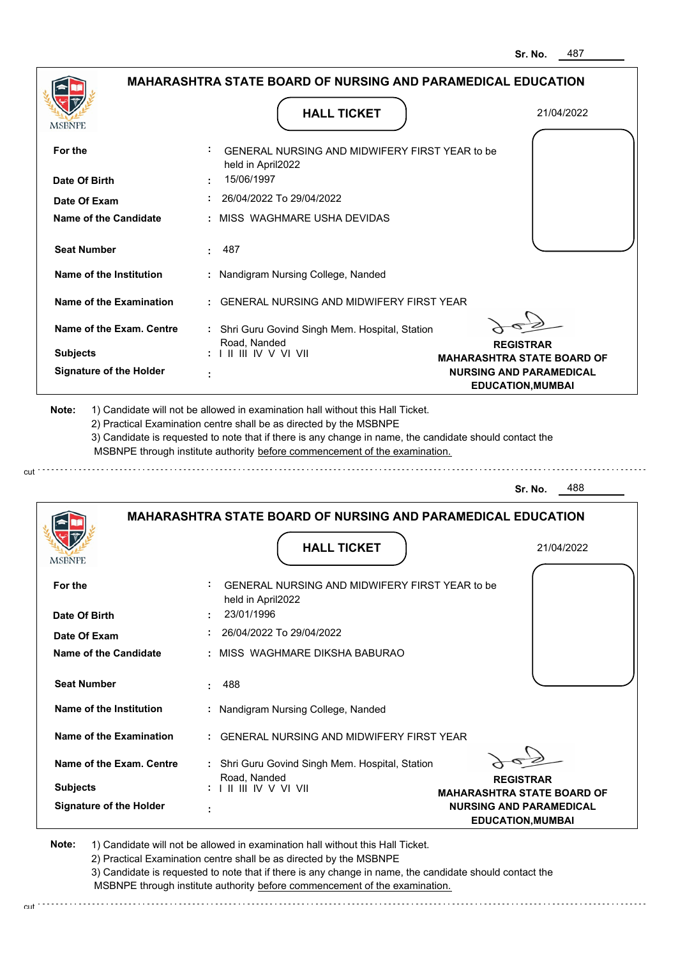| MSBNPE                                | <b>HALL TICKET</b>                                                                                                                                                                                                                                                                                                                            | 21/04/2022                                                 |
|---------------------------------------|-----------------------------------------------------------------------------------------------------------------------------------------------------------------------------------------------------------------------------------------------------------------------------------------------------------------------------------------------|------------------------------------------------------------|
| For the                               | <b>GENERAL NURSING AND MIDWIFERY FIRST YEAR to be</b><br>held in April2022<br>15/06/1997                                                                                                                                                                                                                                                      |                                                            |
| Date Of Birth                         | 26/04/2022 To 29/04/2022                                                                                                                                                                                                                                                                                                                      |                                                            |
| Date Of Exam<br>Name of the Candidate | : MISS WAGHMARE USHA DEVIDAS                                                                                                                                                                                                                                                                                                                  |                                                            |
| <b>Seat Number</b>                    | 487                                                                                                                                                                                                                                                                                                                                           |                                                            |
| Name of the Institution               | : Nandigram Nursing College, Nanded                                                                                                                                                                                                                                                                                                           |                                                            |
| Name of the Examination               | : GENERAL NURSING AND MIDWIFERY FIRST YEAR                                                                                                                                                                                                                                                                                                    |                                                            |
| Name of the Exam. Centre              | : Shri Guru Govind Singh Mem. Hospital, Station                                                                                                                                                                                                                                                                                               |                                                            |
| <b>Subjects</b>                       | Road, Nanded<br>$: 1 \mathbb{H}$ $\mathbb{H}$ IV V VI VII                                                                                                                                                                                                                                                                                     | <b>REGISTRAR</b><br><b>MAHARASHTRA STATE BOARD OF</b>      |
| <b>Signature of the Holder</b>        |                                                                                                                                                                                                                                                                                                                                               | <b>NURSING AND PARAMEDICAL</b><br><b>EDUCATION, MUMBAI</b> |
| Note:                                 | 1) Candidate will not be allowed in examination hall without this Hall Ticket.<br>2) Practical Examination centre shall be as directed by the MSBNPE<br>3) Candidate is requested to note that if there is any change in name, the candidate should contact the<br>MSBNPE through institute authority before commencement of the examination. |                                                            |
|                                       |                                                                                                                                                                                                                                                                                                                                               |                                                            |
|                                       |                                                                                                                                                                                                                                                                                                                                               | 488<br>Sr. No.                                             |
|                                       | <b>MAHARASHTRA STATE BOARD OF NURSING AND PARAMEDICAL EDUCATION</b>                                                                                                                                                                                                                                                                           |                                                            |

| For the                        | GENERAL NURSING AND MIDWIFERY FIRST YEAR to be<br>held in April2022                                                                        |
|--------------------------------|--------------------------------------------------------------------------------------------------------------------------------------------|
| Date Of Birth                  | 23/01/1996                                                                                                                                 |
| Date Of Exam                   | 26/04/2022 To 29/04/2022                                                                                                                   |
| Name of the Candidate          | : MISS WAGHMARE DIKSHA BABURAO                                                                                                             |
| <b>Seat Number</b>             | 488                                                                                                                                        |
| Name of the Institution        | : Nandigram Nursing College, Nanded                                                                                                        |
| Name of the Examination        | : GENERAL NURSING AND MIDWIFERY FIRST YEAR                                                                                                 |
| Name of the Exam. Centre       | : Shri Guru Govind Singh Mem. Hospital, Station                                                                                            |
| <b>Subjects</b>                | Road, Nanded<br><b>REGISTRAR</b><br>$: 1 \mathbb{H} \mathbb{H} \mathbb{W} \vee \mathbb{V} \mathbb{W}$<br><b>MAHARASHTRA STATE BOARD OF</b> |
| <b>Signature of the Holder</b> | <b>NURSING AND PARAMEDICAL</b><br>٠<br><b>EDUCATION, MUMBAI</b>                                                                            |

**Note:**  1) Candidate will not be allowed in examination hall without this Hall Ticket. 2) Practical Examination centre shall be as directed by the MSBNPE 3) Candidate is requested to note that if there is any change in name, the candidate should contact the MSBNPE through institute authority before commencement of the examination.

cut.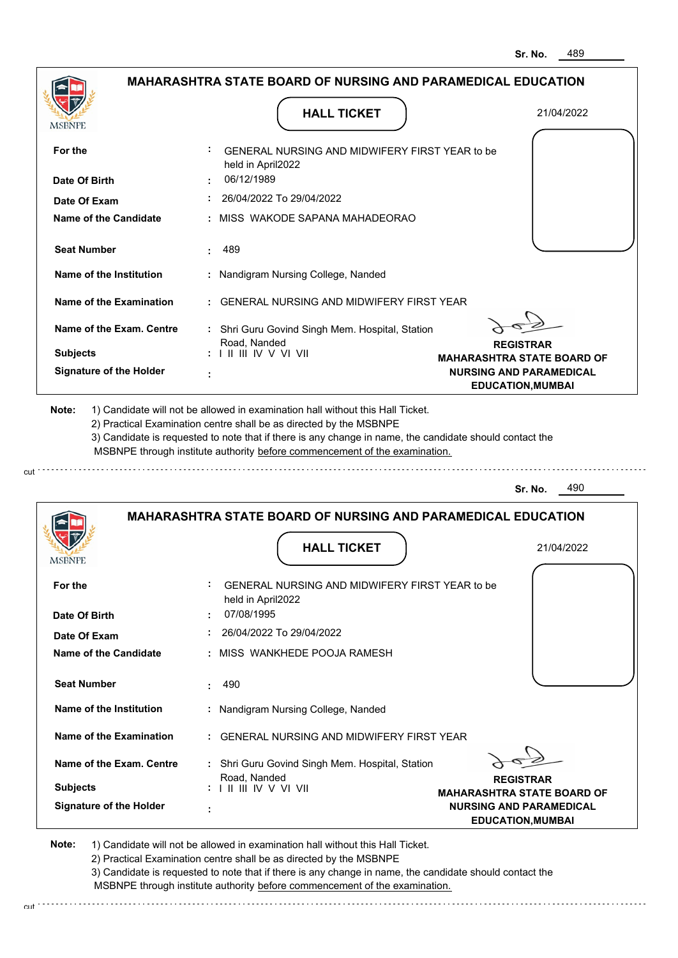**REGISTRAR MAHARASHTRA STATE BOARD OF NURSING AND PARAMEDICAL EDUCATION,MUMBAI**

|                                |                                                                                                                                                                                                                                                                                                                                               | 31. NU.<br>⊤∪≎                                             |
|--------------------------------|-----------------------------------------------------------------------------------------------------------------------------------------------------------------------------------------------------------------------------------------------------------------------------------------------------------------------------------------------|------------------------------------------------------------|
|                                | MAHARASHTRA STATE BOARD OF NURSING AND PARAMEDICAL EDUCATION                                                                                                                                                                                                                                                                                  |                                                            |
| MSBNPE                         | <b>HALL TICKET</b>                                                                                                                                                                                                                                                                                                                            | 21/04/2022                                                 |
| For the                        | GENERAL NURSING AND MIDWIFERY FIRST YEAR to be<br>held in April2022                                                                                                                                                                                                                                                                           |                                                            |
| Date Of Birth                  | 06/12/1989                                                                                                                                                                                                                                                                                                                                    |                                                            |
| Date Of Exam                   | 26/04/2022 To 29/04/2022                                                                                                                                                                                                                                                                                                                      |                                                            |
| Name of the Candidate          | MISS WAKODE SAPANA MAHADEORAO                                                                                                                                                                                                                                                                                                                 |                                                            |
| <b>Seat Number</b>             | 489<br>÷                                                                                                                                                                                                                                                                                                                                      |                                                            |
| Name of the Institution        | : Nandigram Nursing College, Nanded                                                                                                                                                                                                                                                                                                           |                                                            |
| Name of the Examination        | <b>GENERAL NURSING AND MIDWIFERY FIRST YEAR</b>                                                                                                                                                                                                                                                                                               |                                                            |
| Name of the Exam. Centre       | : Shri Guru Govind Singh Mem. Hospital, Station<br>Road, Nanded                                                                                                                                                                                                                                                                               | <b>REGISTRAR</b>                                           |
| <b>Subjects</b>                | : I II III IV V VI VII                                                                                                                                                                                                                                                                                                                        | <b>MAHARASHTRA STATE BOARD OF</b>                          |
| <b>Signature of the Holder</b> | ÷                                                                                                                                                                                                                                                                                                                                             | <b>NURSING AND PARAMEDICAL</b><br><b>EDUCATION, MUMBAI</b> |
| Note:                          | 1) Candidate will not be allowed in examination hall without this Hall Ticket.<br>2) Practical Examination centre shall be as directed by the MSBNPE<br>3) Candidate is requested to note that if there is any change in name, the candidate should contact the<br>MSBNPE through institute authority before commencement of the examination. | 490<br>Sr. No.                                             |
|                                |                                                                                                                                                                                                                                                                                                                                               |                                                            |
|                                | <b>MAHARASHTRA STATE BOARD OF NURSING AND PARAMEDICAL EDUCATION</b><br><b>HALL TICKET</b>                                                                                                                                                                                                                                                     | 21/04/2022                                                 |
| MSBNPE                         |                                                                                                                                                                                                                                                                                                                                               |                                                            |
| For the                        | GENERAL NURSING AND MIDWIFERY FIRST YEAR to be<br>held in April2022                                                                                                                                                                                                                                                                           |                                                            |
| Date Of Birth                  | 07/08/1995                                                                                                                                                                                                                                                                                                                                    |                                                            |
| Date Of Exam                   | 26/04/2022 To 29/04/2022                                                                                                                                                                                                                                                                                                                      |                                                            |
| Name of the Candidate          | : MISS WANKHEDE POOJA RAMESH                                                                                                                                                                                                                                                                                                                  |                                                            |
| <b>Seat Number</b>             | 490                                                                                                                                                                                                                                                                                                                                           |                                                            |

1) Candidate will not be allowed in examination hall without this Hall Ticket. 2) Practical Examination centre shall be as directed by the MSBNPE 3) Candidate is requested to note that if there is any change in name, the candidate should contact the

 **:** Nandigram Nursing College, Nanded

 **:** GENERAL NURSING AND MIDWIFERY FIRST YEAR

 **:** Shri Guru Govind Singh Mem. Hospital, Station

 MSBNPE through institute authority before commencement of the examination. cut de la component de la component de la component de la component de la component de la component de la component de la component de la component de la component de la component de la component de la component de la comp

Road, Nanded I II III IV V VI VII

 **:**

cut

**Signature of the Holder**

**Note:** 

**Subjects :**

**Name of the Exam. Centre**

**Name of the Examination**

**Name of the Institution**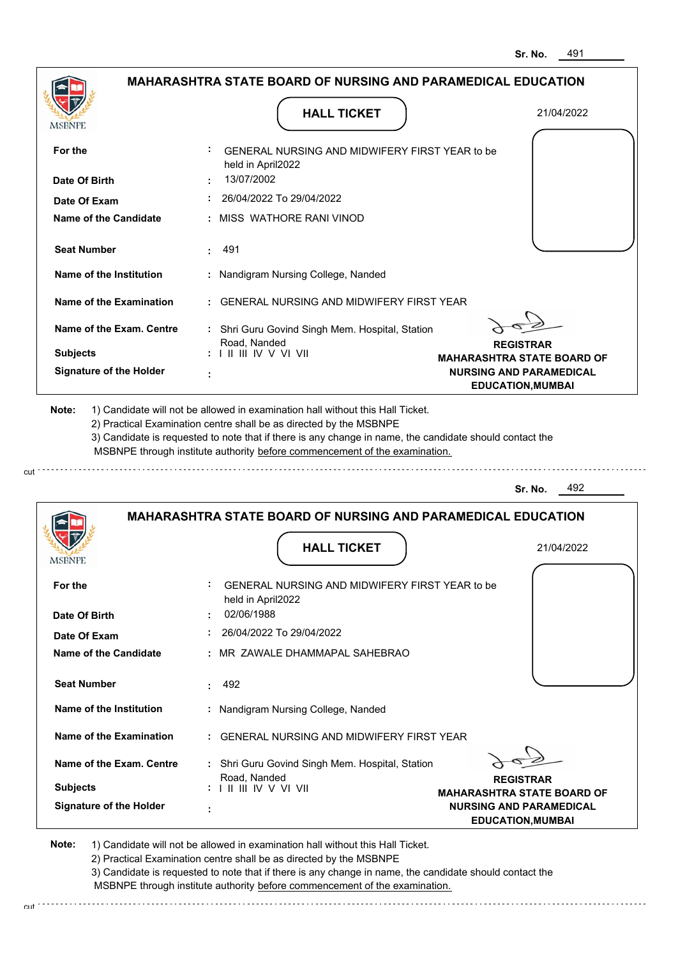|                                | <b>MAHARASHTRA STATE BOARD OF NURSING AND PARAMEDICAL EDUCATION</b>                                                                                                                                                                                                                                                                           |                                                            |  |
|--------------------------------|-----------------------------------------------------------------------------------------------------------------------------------------------------------------------------------------------------------------------------------------------------------------------------------------------------------------------------------------------|------------------------------------------------------------|--|
| <b>MSBNPE</b>                  | <b>HALL TICKET</b>                                                                                                                                                                                                                                                                                                                            | 21/04/2022                                                 |  |
| For the                        | GENERAL NURSING AND MIDWIFERY FIRST YEAR to be<br>held in April2022                                                                                                                                                                                                                                                                           |                                                            |  |
| Date Of Birth                  | 13/07/2002                                                                                                                                                                                                                                                                                                                                    |                                                            |  |
| Date Of Exam                   | 26/04/2022 To 29/04/2022                                                                                                                                                                                                                                                                                                                      |                                                            |  |
| <b>Name of the Candidate</b>   | MISS WATHORE RANI VINOD                                                                                                                                                                                                                                                                                                                       |                                                            |  |
| <b>Seat Number</b>             | 491                                                                                                                                                                                                                                                                                                                                           |                                                            |  |
| Name of the Institution        | : Nandigram Nursing College, Nanded                                                                                                                                                                                                                                                                                                           |                                                            |  |
| <b>Name of the Examination</b> | GENERAL NURSING AND MIDWIFERY FIRST YEAR                                                                                                                                                                                                                                                                                                      |                                                            |  |
| Name of the Exam. Centre       | : Shri Guru Govind Singh Mem. Hospital, Station<br>Road, Nanded                                                                                                                                                                                                                                                                               | <b>REGISTRAR</b>                                           |  |
| <b>Subjects</b>                | : I II III IV V VI VII                                                                                                                                                                                                                                                                                                                        | <b>MAHARASHTRA STATE BOARD OF</b>                          |  |
| <b>Signature of the Holder</b> |                                                                                                                                                                                                                                                                                                                                               | <b>NURSING AND PARAMEDICAL</b><br><b>EDUCATION, MUMBAI</b> |  |
|                                |                                                                                                                                                                                                                                                                                                                                               |                                                            |  |
| Note:                          | 1) Candidate will not be allowed in examination hall without this Hall Ticket.<br>2) Practical Examination centre shall be as directed by the MSBNPE<br>3) Candidate is requested to note that if there is any change in name, the candidate should contact the<br>MSBNPE through institute authority before commencement of the examination. |                                                            |  |
|                                |                                                                                                                                                                                                                                                                                                                                               | 492<br>Sr. No.                                             |  |
|                                | <b>MAHARASHTRA STATE BOARD OF NURSING AND PARAMEDICAL EDUCATION</b>                                                                                                                                                                                                                                                                           |                                                            |  |
| MSBNPE                         | <b>HALL TICKET</b>                                                                                                                                                                                                                                                                                                                            | 21/04/2022                                                 |  |
| For the                        | GENERAL NURSING AND MIDWIFERY FIRST YEAR to be<br>held in April2022                                                                                                                                                                                                                                                                           |                                                            |  |
| Date Of Birth                  | 02/06/1988                                                                                                                                                                                                                                                                                                                                    |                                                            |  |
| Date Of Exam                   | 26/04/2022 To 29/04/2022                                                                                                                                                                                                                                                                                                                      |                                                            |  |
| <b>Name of the Candidate</b>   | MR ZAWALE DHAMMAPAL SAHEBRAO                                                                                                                                                                                                                                                                                                                  |                                                            |  |
| <b>Seat Number</b>             | 492<br>÷.                                                                                                                                                                                                                                                                                                                                     |                                                            |  |
| <b>Name of the Institution</b> | : Nandigram Nursing College, Nanded                                                                                                                                                                                                                                                                                                           |                                                            |  |

**REGISTRAR MAHARASHTRA STATE BOARD OF NURSING AND PARAMEDICAL EDUCATION,MUMBAI**

**Note:**  1) Candidate will not be allowed in examination hall without this Hall Ticket.

Road, Nanded I II III IV V VI VII

 **:**

**Signature of the Holder**

**Subjects :**

**Name of the Exam. Centre**

cut

2) Practical Examination centre shall be as directed by the MSBNPE

3) Candidate is requested to note that if there is any change in name, the candidate should contact the MSBNPE through institute authority before commencement of the examination. cut de contra a construction de construction de construction de construction de construction de construction de construction de construction de construction de construction de construction de construction de construction d

 **:** Shri Guru Govind Singh Mem. Hospital, Station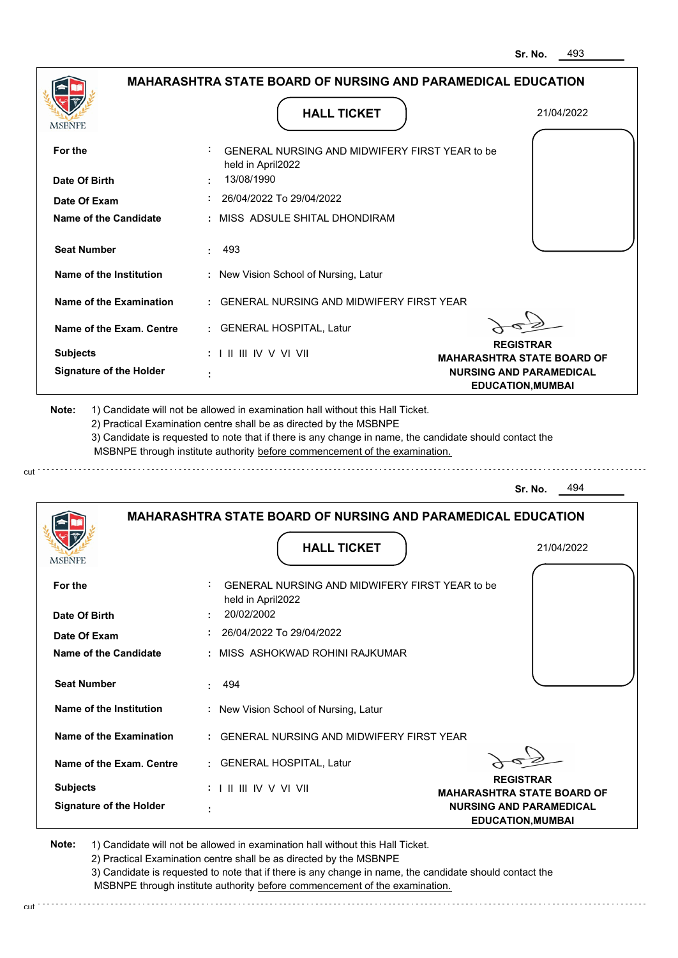|                                                                                                                                                                                                               |                                   | <b>HALL TICKET</b>                                                                                                                                                                                                                                                                                                                            | 21/04/2022                                                          |
|---------------------------------------------------------------------------------------------------------------------------------------------------------------------------------------------------------------|-----------------------------------|-----------------------------------------------------------------------------------------------------------------------------------------------------------------------------------------------------------------------------------------------------------------------------------------------------------------------------------------------|---------------------------------------------------------------------|
| MSBNPE                                                                                                                                                                                                        |                                   |                                                                                                                                                                                                                                                                                                                                               |                                                                     |
| For the                                                                                                                                                                                                       | held in April2022                 | GENERAL NURSING AND MIDWIFERY FIRST YEAR to be                                                                                                                                                                                                                                                                                                |                                                                     |
| Date Of Birth                                                                                                                                                                                                 | 13/08/1990                        |                                                                                                                                                                                                                                                                                                                                               |                                                                     |
| Date Of Exam                                                                                                                                                                                                  |                                   | 26/04/2022 To 29/04/2022                                                                                                                                                                                                                                                                                                                      |                                                                     |
| <b>Name of the Candidate</b>                                                                                                                                                                                  |                                   | MISS ADSULE SHITAL DHONDIRAM                                                                                                                                                                                                                                                                                                                  |                                                                     |
| <b>Seat Number</b>                                                                                                                                                                                            | 493<br>÷                          |                                                                                                                                                                                                                                                                                                                                               |                                                                     |
| Name of the Institution                                                                                                                                                                                       |                                   | : New Vision School of Nursing, Latur                                                                                                                                                                                                                                                                                                         |                                                                     |
| <b>Name of the Examination</b>                                                                                                                                                                                |                                   | <b>GENERAL NURSING AND MIDWIFERY FIRST YEAR</b>                                                                                                                                                                                                                                                                                               |                                                                     |
| Name of the Exam. Centre                                                                                                                                                                                      |                                   | : GENERAL HOSPITAL, Latur                                                                                                                                                                                                                                                                                                                     |                                                                     |
| <b>Subjects</b>                                                                                                                                                                                               | $: 1 \mathbb{I}$ III IIV V VI VII |                                                                                                                                                                                                                                                                                                                                               | <b>REGISTRAR</b><br><b>MAHARASHTRA STATE BOARD OF</b>               |
| <b>Signature of the Holder</b>                                                                                                                                                                                | ÷                                 |                                                                                                                                                                                                                                                                                                                                               | <b>NURSING AND PARAMEDICAL</b><br><b>EDUCATION, MUMBAI</b>          |
|                                                                                                                                                                                                               |                                   | 1) Candidate will not be allowed in examination hall without this Hall Ticket.<br>2) Practical Examination centre shall be as directed by the MSBNPE<br>3) Candidate is requested to note that if there is any change in name, the candidate should contact the<br>MSBNPE through institute authority before commencement of the examination. | 494<br>Sr. No.                                                      |
| Note:                                                                                                                                                                                                         |                                   |                                                                                                                                                                                                                                                                                                                                               | <b>MAHARASHTRA STATE BOARD OF NURSING AND PARAMEDICAL EDUCATION</b> |
|                                                                                                                                                                                                               |                                   | <b>HALL TICKET</b>                                                                                                                                                                                                                                                                                                                            | 21/04/2022                                                          |
|                                                                                                                                                                                                               |                                   | <b>GENERAL NURSING AND MIDWIFERY FIRST YEAR to be</b>                                                                                                                                                                                                                                                                                         |                                                                     |
|                                                                                                                                                                                                               | held in April2022<br>20/02/2002   |                                                                                                                                                                                                                                                                                                                                               |                                                                     |
|                                                                                                                                                                                                               |                                   | 26/04/2022 To 29/04/2022                                                                                                                                                                                                                                                                                                                      |                                                                     |
|                                                                                                                                                                                                               |                                   | MISS ASHOKWAD ROHINI RAJKUMAR                                                                                                                                                                                                                                                                                                                 |                                                                     |
|                                                                                                                                                                                                               | 494<br>÷                          |                                                                                                                                                                                                                                                                                                                                               |                                                                     |
|                                                                                                                                                                                                               |                                   | : New Vision School of Nursing, Latur                                                                                                                                                                                                                                                                                                         |                                                                     |
|                                                                                                                                                                                                               |                                   | : GENERAL NURSING AND MIDWIFERY FIRST YEAR                                                                                                                                                                                                                                                                                                    |                                                                     |
|                                                                                                                                                                                                               |                                   | : GENERAL HOSPITAL, Latur                                                                                                                                                                                                                                                                                                                     |                                                                     |
| <b>MSBNPE</b><br>For the<br>Date Of Birth<br>Date Of Exam<br>Name of the Candidate<br><b>Seat Number</b><br>Name of the Institution<br>Name of the Examination<br>Name of the Exam. Centre<br><b>Subjects</b> | : I II III IV V VI VII            |                                                                                                                                                                                                                                                                                                                                               | <b>REGISTRAR</b><br><b>MAHARASHTRA STATE BOARD OF</b>               |

3) Candidate is requested to note that if there is any change in name, the candidate should contact the MSBNPE through institute authority before commencement of the examination.

cut de la component de la component de la component de la component de la component de la component de la component de la component de la component de la component de la component de la component de la component de la comp

cut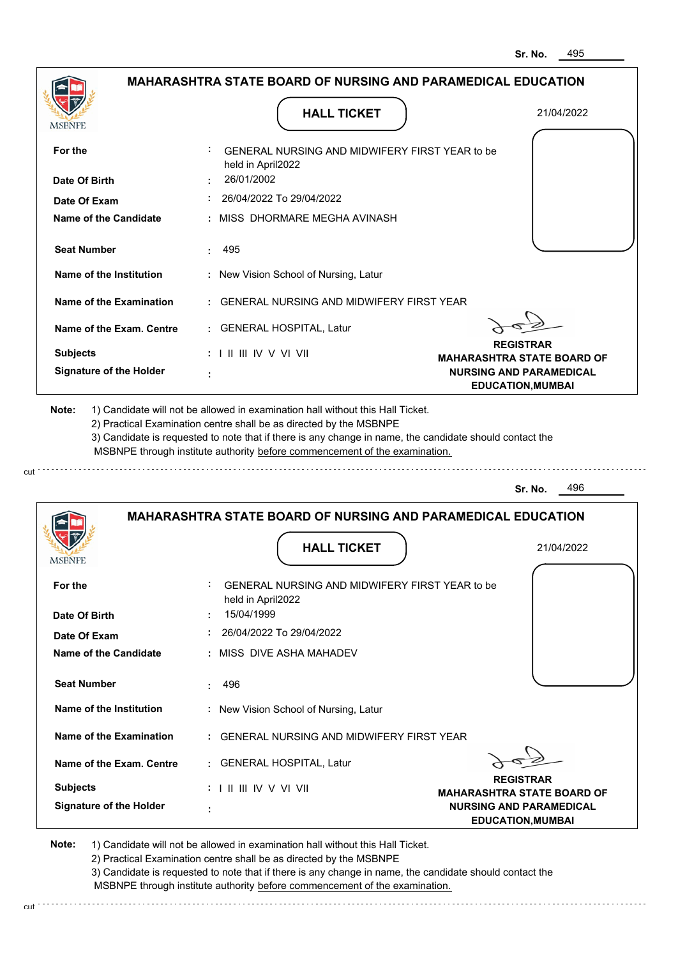|                                                                                                          | <b>HALL TICKET</b>                                                                                                                                                                                                                                          | 21/04/2022                                                 |
|----------------------------------------------------------------------------------------------------------|-------------------------------------------------------------------------------------------------------------------------------------------------------------------------------------------------------------------------------------------------------------|------------------------------------------------------------|
| MSBNPE                                                                                                   |                                                                                                                                                                                                                                                             |                                                            |
| For the                                                                                                  | GENERAL NURSING AND MIDWIFERY FIRST YEAR to be<br>held in April2022                                                                                                                                                                                         |                                                            |
| Date Of Birth                                                                                            | 26/01/2002                                                                                                                                                                                                                                                  |                                                            |
| Date Of Exam                                                                                             | 26/04/2022 To 29/04/2022                                                                                                                                                                                                                                    |                                                            |
| <b>Name of the Candidate</b>                                                                             | : MISS DHORMARE MEGHA AVINASH                                                                                                                                                                                                                               |                                                            |
| <b>Seat Number</b>                                                                                       | 495<br>÷.                                                                                                                                                                                                                                                   |                                                            |
| Name of the Institution                                                                                  | : New Vision School of Nursing, Latur                                                                                                                                                                                                                       |                                                            |
| Name of the Examination                                                                                  | : GENERAL NURSING AND MIDWIFERY FIRST YEAR                                                                                                                                                                                                                  |                                                            |
| Name of the Exam. Centre                                                                                 | : GENERAL HOSPITAL, Latur                                                                                                                                                                                                                                   |                                                            |
| <b>Subjects</b>                                                                                          | $: 1 \mathbb{H} \mathbb{H} \mathbb{V} \vee \mathbb{V} \mathbb{V} \mathbb{H}$                                                                                                                                                                                | <b>REGISTRAR</b><br><b>MAHARASHTRA STATE BOARD OF</b>      |
| <b>Signature of the Holder</b>                                                                           |                                                                                                                                                                                                                                                             | <b>NURSING AND PARAMEDICAL</b><br><b>EDUCATION, MUMBAI</b> |
|                                                                                                          | 2) Practical Examination centre shall be as directed by the MSBNPE<br>3) Candidate is requested to note that if there is any change in name, the candidate should contact the<br>MSBNPE through institute authority before commencement of the examination. | 496<br>Sr. No.                                             |
|                                                                                                          | <b>MAHARASHTRA STATE BOARD OF NURSING AND PARAMEDICAL EDUCATION</b>                                                                                                                                                                                         |                                                            |
|                                                                                                          | <b>HALL TICKET</b>                                                                                                                                                                                                                                          | 21/04/2022                                                 |
|                                                                                                          | <b>GENERAL NURSING AND MIDWIFERY FIRST YEAR to be</b>                                                                                                                                                                                                       |                                                            |
|                                                                                                          | held in April2022                                                                                                                                                                                                                                           |                                                            |
|                                                                                                          | 15/04/1999                                                                                                                                                                                                                                                  |                                                            |
|                                                                                                          | 26/04/2022 To 29/04/2022                                                                                                                                                                                                                                    |                                                            |
|                                                                                                          | : MISS DIVE ASHA MAHADEV                                                                                                                                                                                                                                    |                                                            |
| <b>MSBNPE</b><br>For the<br>Date Of Birth<br>Date Of Exam<br>Name of the Candidate<br><b>Seat Number</b> | 496                                                                                                                                                                                                                                                         |                                                            |
|                                                                                                          | : New Vision School of Nursing, Latur                                                                                                                                                                                                                       |                                                            |
| Name of the Institution<br>Name of the Examination                                                       | : GENERAL NURSING AND MIDWIFERY FIRST YEAR                                                                                                                                                                                                                  |                                                            |
| Name of the Exam. Centre                                                                                 | : GENERAL HOSPITAL, Latur                                                                                                                                                                                                                                   |                                                            |
| <b>Subjects</b>                                                                                          | : I II III IV V VI VII                                                                                                                                                                                                                                      | <b>REGISTRAR</b><br><b>MAHARASHTRA STATE BOARD OF</b>      |

3) Candidate is requested to note that if there is any change in name, the candidate should contact the MSBNPE through institute authority before commencement of the examination.

cut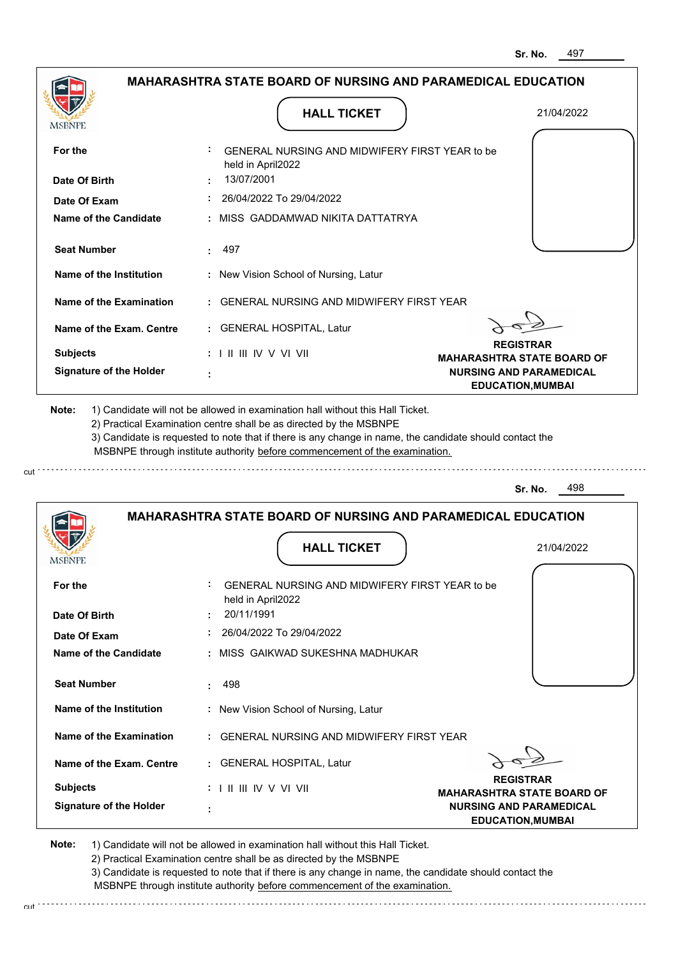|                                                | <b>HALL TICKET</b>                                                                                                                                                                                                                                          | 21/04/2022                                                 |
|------------------------------------------------|-------------------------------------------------------------------------------------------------------------------------------------------------------------------------------------------------------------------------------------------------------------|------------------------------------------------------------|
| MSBNPE                                         |                                                                                                                                                                                                                                                             |                                                            |
| For the                                        | GENERAL NURSING AND MIDWIFERY FIRST YEAR to be<br>held in April2022                                                                                                                                                                                         |                                                            |
| Date Of Birth                                  | 13/07/2001                                                                                                                                                                                                                                                  |                                                            |
| Date Of Exam                                   | 26/04/2022 To 29/04/2022                                                                                                                                                                                                                                    |                                                            |
| <b>Name of the Candidate</b>                   | : MISS GADDAMWAD NIKITA DATTATRYA                                                                                                                                                                                                                           |                                                            |
| <b>Seat Number</b>                             | 497<br>÷.                                                                                                                                                                                                                                                   |                                                            |
| Name of the Institution                        | : New Vision School of Nursing, Latur                                                                                                                                                                                                                       |                                                            |
| Name of the Examination                        | : GENERAL NURSING AND MIDWIFERY FIRST YEAR                                                                                                                                                                                                                  |                                                            |
| Name of the Exam. Centre                       | : GENERAL HOSPITAL, Latur                                                                                                                                                                                                                                   |                                                            |
| <b>Subjects</b>                                | $: 1 \mathbb{H} \mathbb{H} \mathbb{V} \vee \mathbb{V} \mathbb{V} \mathbb{H}$                                                                                                                                                                                | <b>REGISTRAR</b><br><b>MAHARASHTRA STATE BOARD OF</b>      |
| <b>Signature of the Holder</b>                 |                                                                                                                                                                                                                                                             | <b>NURSING AND PARAMEDICAL</b><br><b>EDUCATION, MUMBAI</b> |
|                                                | 2) Practical Examination centre shall be as directed by the MSBNPE<br>3) Candidate is requested to note that if there is any change in name, the candidate should contact the<br>MSBNPE through institute authority before commencement of the examination. | 498<br>Sr. No.                                             |
|                                                | <b>MAHARASHTRA STATE BOARD OF NURSING AND PARAMEDICAL EDUCATION</b>                                                                                                                                                                                         |                                                            |
|                                                | <b>HALL TICKET</b>                                                                                                                                                                                                                                          | 21/04/2022                                                 |
| For the                                        | GENERAL NURSING AND MIDWIFERY FIRST YEAR to be<br>held in April2022                                                                                                                                                                                         |                                                            |
|                                                | 20/11/1991                                                                                                                                                                                                                                                  |                                                            |
| <b>MSBNPE</b><br>Date Of Birth<br>Date Of Exam | 26/04/2022 To 29/04/2022                                                                                                                                                                                                                                    |                                                            |
| Name of the Candidate                          | : MISS GAIKWAD SUKESHNA MADHUKAR                                                                                                                                                                                                                            |                                                            |
| <b>Seat Number</b>                             | 498                                                                                                                                                                                                                                                         |                                                            |
| Name of the Institution                        | : New Vision School of Nursing, Latur                                                                                                                                                                                                                       |                                                            |
| Name of the Examination                        | : GENERAL NURSING AND MIDWIFERY FIRST YEAR                                                                                                                                                                                                                  |                                                            |
| Name of the Exam. Centre                       | : GENERAL HOSPITAL, Latur                                                                                                                                                                                                                                   |                                                            |
| <b>Subjects</b>                                | : I II III IV V VI VII                                                                                                                                                                                                                                      | <b>REGISTRAR</b><br><b>MAHARASHTRA STATE BOARD OF</b>      |

3) Candidate is requested to note that if there is any change in name, the candidate should contact the MSBNPE through institute authority before commencement of the examination.

cut de la component de la component de la component de la component de la component de la component de la component de la component de la component de la component de la component de la component de la component de la comp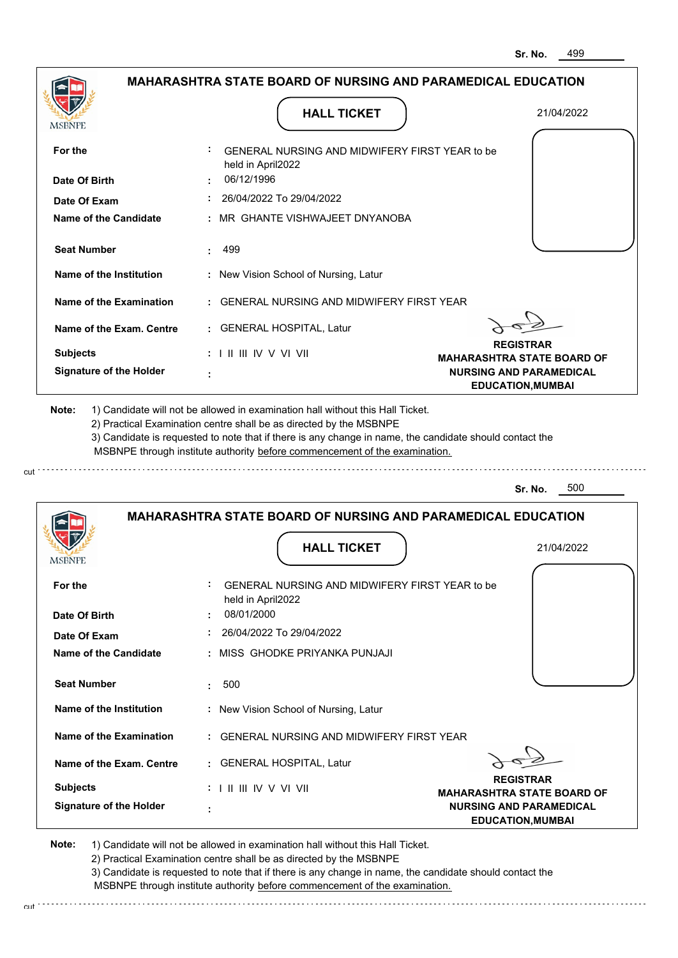|                                                                                                                                                                                                                 | <b>HALL TICKET</b>                                                                                                                                                                                                                                                                                                                            | 21/04/2022                                                 |
|-----------------------------------------------------------------------------------------------------------------------------------------------------------------------------------------------------------------|-----------------------------------------------------------------------------------------------------------------------------------------------------------------------------------------------------------------------------------------------------------------------------------------------------------------------------------------------|------------------------------------------------------------|
| MSBNPE                                                                                                                                                                                                          |                                                                                                                                                                                                                                                                                                                                               |                                                            |
| For the                                                                                                                                                                                                         | GENERAL NURSING AND MIDWIFERY FIRST YEAR to be<br>held in April2022                                                                                                                                                                                                                                                                           |                                                            |
| Date Of Birth                                                                                                                                                                                                   | 06/12/1996                                                                                                                                                                                                                                                                                                                                    |                                                            |
| Date Of Exam                                                                                                                                                                                                    | 26/04/2022 To 29/04/2022                                                                                                                                                                                                                                                                                                                      |                                                            |
| <b>Name of the Candidate</b>                                                                                                                                                                                    | MR GHANTE VISHWAJEET DNYANOBA                                                                                                                                                                                                                                                                                                                 |                                                            |
| <b>Seat Number</b>                                                                                                                                                                                              | 499<br>÷                                                                                                                                                                                                                                                                                                                                      |                                                            |
| Name of the Institution                                                                                                                                                                                         | : New Vision School of Nursing, Latur                                                                                                                                                                                                                                                                                                         |                                                            |
| Name of the Examination                                                                                                                                                                                         | <b>GENERAL NURSING AND MIDWIFERY FIRST YEAR</b>                                                                                                                                                                                                                                                                                               |                                                            |
| Name of the Exam. Centre                                                                                                                                                                                        | : GENERAL HOSPITAL, Latur                                                                                                                                                                                                                                                                                                                     |                                                            |
| <b>Subjects</b>                                                                                                                                                                                                 | $: 1 \mathbb{I}$ III IIV V VI VII                                                                                                                                                                                                                                                                                                             | <b>REGISTRAR</b><br><b>MAHARASHTRA STATE BOARD OF</b>      |
| <b>Signature of the Holder</b>                                                                                                                                                                                  | ÷                                                                                                                                                                                                                                                                                                                                             | <b>NURSING AND PARAMEDICAL</b><br><b>EDUCATION, MUMBAI</b> |
|                                                                                                                                                                                                                 | 1) Candidate will not be allowed in examination hall without this Hall Ticket.<br>2) Practical Examination centre shall be as directed by the MSBNPE<br>3) Candidate is requested to note that if there is any change in name, the candidate should contact the<br>MSBNPE through institute authority before commencement of the examination. | 500<br>Sr. No.                                             |
|                                                                                                                                                                                                                 | <b>MAHARASHTRA STATE BOARD OF NURSING AND PARAMEDICAL EDUCATION</b>                                                                                                                                                                                                                                                                           |                                                            |
|                                                                                                                                                                                                                 | <b>HALL TICKET</b>                                                                                                                                                                                                                                                                                                                            | 21/04/2022                                                 |
|                                                                                                                                                                                                                 | GENERAL NURSING AND MIDWIFERY FIRST YEAR to be                                                                                                                                                                                                                                                                                                |                                                            |
|                                                                                                                                                                                                                 | held in April2022                                                                                                                                                                                                                                                                                                                             |                                                            |
|                                                                                                                                                                                                                 | 08/01/2000                                                                                                                                                                                                                                                                                                                                    |                                                            |
|                                                                                                                                                                                                                 | 26/04/2022 To 29/04/2022<br>MISS GHODKE PRIYANKA PUNJAJI                                                                                                                                                                                                                                                                                      |                                                            |
|                                                                                                                                                                                                                 |                                                                                                                                                                                                                                                                                                                                               |                                                            |
|                                                                                                                                                                                                                 | 500<br>÷                                                                                                                                                                                                                                                                                                                                      |                                                            |
|                                                                                                                                                                                                                 | : New Vision School of Nursing, Latur                                                                                                                                                                                                                                                                                                         |                                                            |
|                                                                                                                                                                                                                 | : GENERAL NURSING AND MIDWIFERY FIRST YEAR                                                                                                                                                                                                                                                                                                    |                                                            |
|                                                                                                                                                                                                                 | : GENERAL HOSPITAL, Latur                                                                                                                                                                                                                                                                                                                     |                                                            |
| Note:<br>MSBNPE<br>For the<br>Date Of Birth<br>Date Of Exam<br>Name of the Candidate<br><b>Seat Number</b><br>Name of the Institution<br>Name of the Examination<br>Name of the Exam. Centre<br><b>Subjects</b> | $: 1 \mathbb{I}$ III IIV V VI VII                                                                                                                                                                                                                                                                                                             | <b>REGISTRAR</b><br><b>MAHARASHTRA STATE BOARD OF</b>      |

2) Practical Examination centre snall be as directed by the Mobivicum (2) Practical Examination contact the 2)<br>3) Candidate is requested to note that if there is any change in name, the candidate should contact the MSBNPE through institute authority before commencement of the examination.

cut de la component de la component de la component de la component de la component de la component de la component de la component de la component de la component de la component de la component de la component de la comp

cut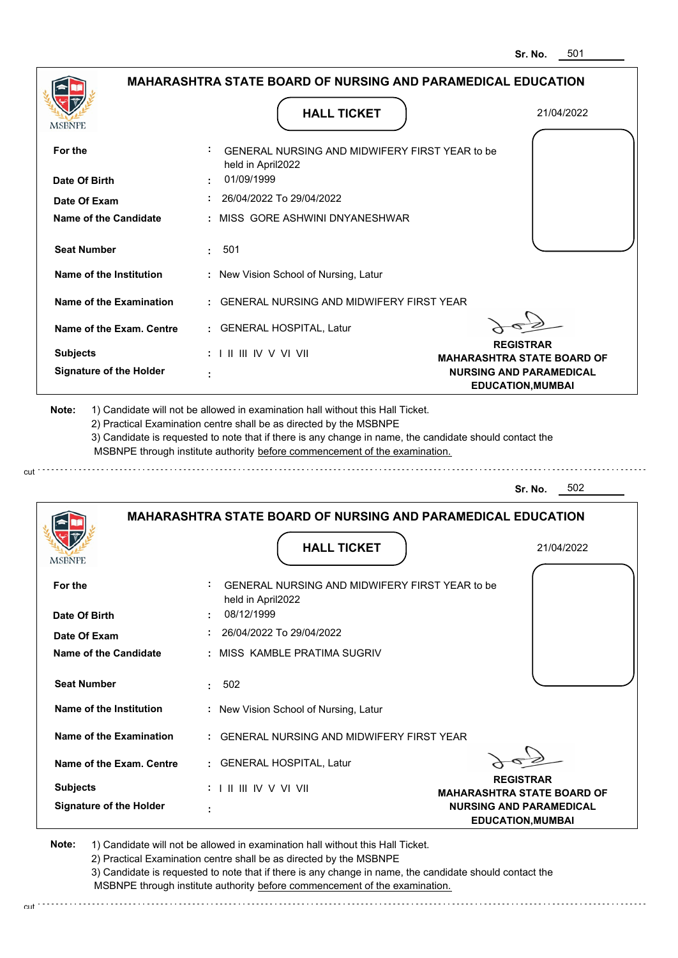| <b>MSBNPE</b>                                | <b>HALL TICKET</b>                                                                                                                                                                                                                                                                                                                            | 21/04/2022                                                 |
|----------------------------------------------|-----------------------------------------------------------------------------------------------------------------------------------------------------------------------------------------------------------------------------------------------------------------------------------------------------------------------------------------------|------------------------------------------------------------|
| For the                                      | GENERAL NURSING AND MIDWIFERY FIRST YEAR to be<br>held in April2022                                                                                                                                                                                                                                                                           |                                                            |
| Date Of Birth                                | 01/09/1999                                                                                                                                                                                                                                                                                                                                    |                                                            |
| Date Of Exam                                 | 26/04/2022 To 29/04/2022                                                                                                                                                                                                                                                                                                                      |                                                            |
| Name of the Candidate                        | : MISS GORE ASHWINI DNYANESHWAR                                                                                                                                                                                                                                                                                                               |                                                            |
| <b>Seat Number</b>                           | 501<br>÷.                                                                                                                                                                                                                                                                                                                                     |                                                            |
| Name of the Institution                      | : New Vision School of Nursing, Latur                                                                                                                                                                                                                                                                                                         |                                                            |
| Name of the Examination                      | : GENERAL NURSING AND MIDWIFERY FIRST YEAR                                                                                                                                                                                                                                                                                                    |                                                            |
| Name of the Exam. Centre                     | : GENERAL HOSPITAL, Latur                                                                                                                                                                                                                                                                                                                     |                                                            |
| <b>Subjects</b>                              | $: 1 \mathbb{H} \mathbb{H} \mathbb{W} \vee \mathbb{V} \mathbb{V} \mathbb{H}$                                                                                                                                                                                                                                                                  | <b>REGISTRAR</b><br><b>MAHARASHTRA STATE BOARD OF</b>      |
| <b>Signature of the Holder</b>               |                                                                                                                                                                                                                                                                                                                                               | <b>NURSING AND PARAMEDICAL</b><br><b>EDUCATION, MUMBAI</b> |
| Note:                                        | 1) Candidate will not be allowed in examination hall without this Hall Ticket.<br>2) Practical Examination centre shall be as directed by the MSBNPE<br>3) Candidate is requested to note that if there is any change in name, the candidate should contact the<br>MSBNPE through institute authority before commencement of the examination. | 502<br>Sr. No.                                             |
|                                              |                                                                                                                                                                                                                                                                                                                                               |                                                            |
|                                              | <b>MAHARASHTRA STATE BOARD OF NURSING AND PARAMEDICAL EDUCATION</b>                                                                                                                                                                                                                                                                           |                                                            |
| MSBNF                                        | <b>HALL TICKET</b>                                                                                                                                                                                                                                                                                                                            | 21/04/2022                                                 |
| For the                                      | <b>GENERAL NURSING AND MIDWIFERY FIRST YEAR to be</b><br>held in April2022                                                                                                                                                                                                                                                                    |                                                            |
| Date Of Birth                                | 08/12/1999                                                                                                                                                                                                                                                                                                                                    |                                                            |
| Date Of Exam<br><b>Name of the Candidate</b> | 26/04/2022 To 29/04/2022<br>: MISS KAMBLE PRATIMA SUGRIV                                                                                                                                                                                                                                                                                      |                                                            |
| <b>Seat Number</b>                           | 502<br>t.                                                                                                                                                                                                                                                                                                                                     |                                                            |
| Name of the Institution                      | : New Vision School of Nursing, Latur                                                                                                                                                                                                                                                                                                         |                                                            |
| Name of the Examination                      | : GENERAL NURSING AND MIDWIFERY FIRST YEAR                                                                                                                                                                                                                                                                                                    |                                                            |
| Name of the Exam. Centre                     | : GENERAL HOSPITAL, Latur                                                                                                                                                                                                                                                                                                                     |                                                            |
| <b>Subjects</b>                              | : I II III IV V VI VII                                                                                                                                                                                                                                                                                                                        | <b>REGISTRAR</b><br><b>MAHARASHTRA STATE BOARD OF</b>      |

2) Practical Examination centre shall be as directed by the MSBNPE

3) Candidate is requested to note that if there is any change in name, the candidate should contact the MSBNPE through institute authority before commencement of the examination. cut de contra a construction de construction de construction de construction de construction de construction de construction de construction de construction de construction de construction de construction de construction d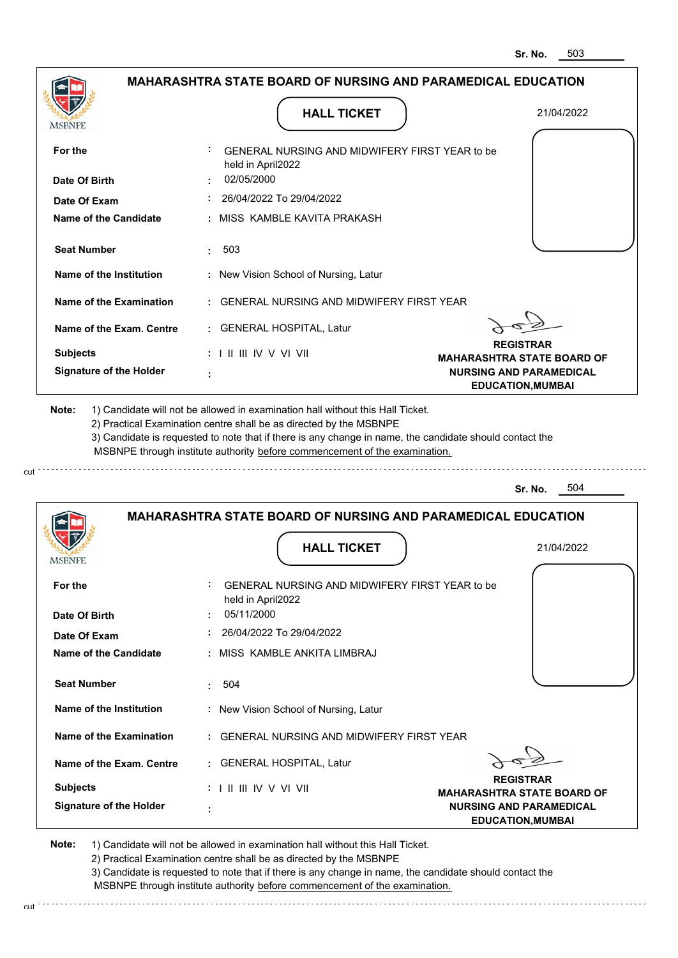|                                                                                                                                    | <b>HALL TICKET</b>                                                                                                                                                                                                                                                                                                                            | 21/04/2022                                                 |
|------------------------------------------------------------------------------------------------------------------------------------|-----------------------------------------------------------------------------------------------------------------------------------------------------------------------------------------------------------------------------------------------------------------------------------------------------------------------------------------------|------------------------------------------------------------|
| <b>MSBNPE</b><br>For the                                                                                                           | GENERAL NURSING AND MIDWIFERY FIRST YEAR to be                                                                                                                                                                                                                                                                                                |                                                            |
|                                                                                                                                    | held in April2022                                                                                                                                                                                                                                                                                                                             |                                                            |
| Date Of Birth                                                                                                                      | 02/05/2000                                                                                                                                                                                                                                                                                                                                    |                                                            |
| Date Of Exam                                                                                                                       | 26/04/2022 To 29/04/2022                                                                                                                                                                                                                                                                                                                      |                                                            |
| <b>Name of the Candidate</b>                                                                                                       | : MISS KAMBLE KAVITA PRAKASH                                                                                                                                                                                                                                                                                                                  |                                                            |
| <b>Seat Number</b>                                                                                                                 | 503                                                                                                                                                                                                                                                                                                                                           |                                                            |
| Name of the Institution                                                                                                            | : New Vision School of Nursing, Latur                                                                                                                                                                                                                                                                                                         |                                                            |
| Name of the Examination                                                                                                            | : GENERAL NURSING AND MIDWIFERY FIRST YEAR                                                                                                                                                                                                                                                                                                    |                                                            |
| Name of the Exam. Centre                                                                                                           | : GENERAL HOSPITAL, Latur                                                                                                                                                                                                                                                                                                                     |                                                            |
| <b>Subjects</b>                                                                                                                    | $: 1 \mathbb{H} \mathbb{H} \mathbb{W} \vee \mathbb{V} \mathbb{V} \mathbb{H}$                                                                                                                                                                                                                                                                  | <b>REGISTRAR</b><br><b>MAHARASHTRA STATE BOARD OF</b>      |
| <b>Signature of the Holder</b>                                                                                                     |                                                                                                                                                                                                                                                                                                                                               | <b>NURSING AND PARAMEDICAL</b><br><b>EDUCATION, MUMBAI</b> |
|                                                                                                                                    | 1) Candidate will not be allowed in examination hall without this Hall Ticket.<br>2) Practical Examination centre shall be as directed by the MSBNPE<br>3) Candidate is requested to note that if there is any change in name, the candidate should contact the<br>MSBNPE through institute authority before commencement of the examination. | 504<br>Sr. No.                                             |
|                                                                                                                                    | <b>MAHARASHTRA STATE BOARD OF NURSING AND PARAMEDICAL EDUCATION</b>                                                                                                                                                                                                                                                                           |                                                            |
|                                                                                                                                    |                                                                                                                                                                                                                                                                                                                                               |                                                            |
|                                                                                                                                    | <b>HALL TICKET</b>                                                                                                                                                                                                                                                                                                                            | 21/04/2022                                                 |
|                                                                                                                                    | GENERAL NURSING AND MIDWIFERY FIRST YEAR to be                                                                                                                                                                                                                                                                                                |                                                            |
|                                                                                                                                    | held in April2022                                                                                                                                                                                                                                                                                                                             |                                                            |
|                                                                                                                                    | 05/11/2000                                                                                                                                                                                                                                                                                                                                    |                                                            |
|                                                                                                                                    | 26/04/2022 To 29/04/2022                                                                                                                                                                                                                                                                                                                      |                                                            |
|                                                                                                                                    | : MISS KAMBLE ANKITA LIMBRAJ                                                                                                                                                                                                                                                                                                                  |                                                            |
| <b>Seat Number</b>                                                                                                                 | 504<br>2.11                                                                                                                                                                                                                                                                                                                                   |                                                            |
|                                                                                                                                    | : New Vision School of Nursing, Latur                                                                                                                                                                                                                                                                                                         |                                                            |
| Name of the Institution                                                                                                            | : GENERAL NURSING AND MIDWIFERY FIRST YEAR                                                                                                                                                                                                                                                                                                    |                                                            |
| Name of the Exam. Centre                                                                                                           | : GENERAL HOSPITAL, Latur                                                                                                                                                                                                                                                                                                                     |                                                            |
| Note:<br>MSBNPI<br>For the<br>Date Of Birth<br>Date Of Exam<br>Name of the Candidate<br>Name of the Examination<br><b>Subjects</b> | $: 1 \mathbb{I}$ III IIV V VI VII                                                                                                                                                                                                                                                                                                             | <b>REGISTRAR</b><br><b>MAHARASHTRA STATE BOARD OF</b>      |

2) Practical Examination centre shall be as directed by the MSBNPE

3) Candidate is requested to note that if there is any change in name, the candidate should contact the MSBNPE through institute authority before commencement of the examination. cut de contra a construction de construction de construction de construction de construction de construction de construction de construction de construction de construction de construction de construction de construction d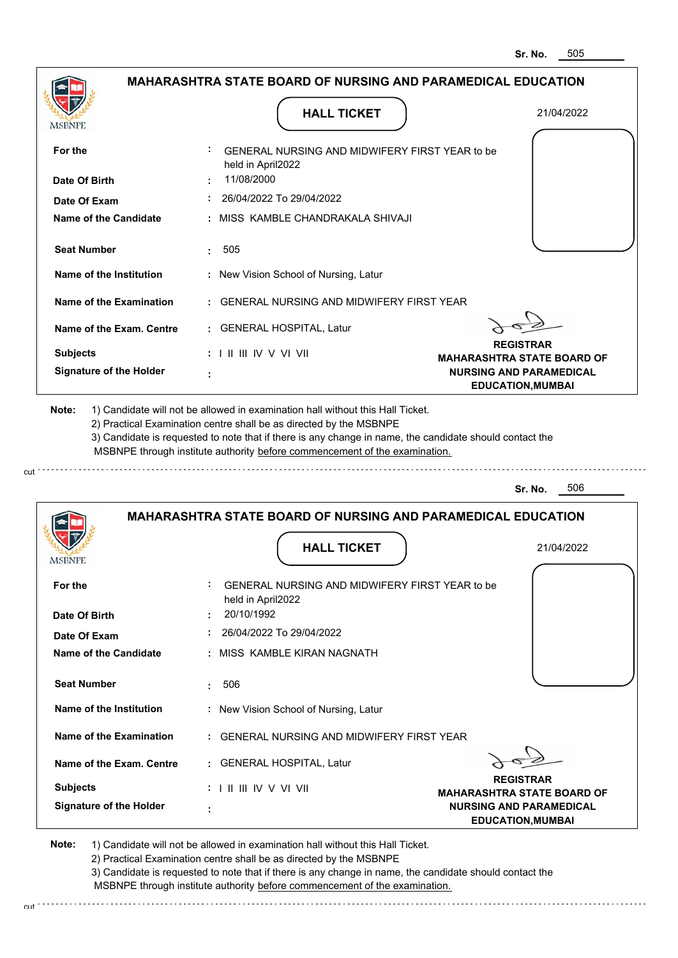|                                                                                                                                                                                                               | <b>HALL TICKET</b>                                                                                                                                                                                                                                                                                                                            | 21/04/2022                                                 |
|---------------------------------------------------------------------------------------------------------------------------------------------------------------------------------------------------------------|-----------------------------------------------------------------------------------------------------------------------------------------------------------------------------------------------------------------------------------------------------------------------------------------------------------------------------------------------|------------------------------------------------------------|
| <b>MSBNPE</b>                                                                                                                                                                                                 |                                                                                                                                                                                                                                                                                                                                               |                                                            |
| For the                                                                                                                                                                                                       | GENERAL NURSING AND MIDWIFERY FIRST YEAR to be<br>held in April2022                                                                                                                                                                                                                                                                           |                                                            |
| Date Of Birth                                                                                                                                                                                                 | 11/08/2000                                                                                                                                                                                                                                                                                                                                    |                                                            |
| Date Of Exam                                                                                                                                                                                                  | 26/04/2022 To 29/04/2022                                                                                                                                                                                                                                                                                                                      |                                                            |
| <b>Name of the Candidate</b>                                                                                                                                                                                  | : MISS KAMBLE CHANDRAKALA SHIVAJI                                                                                                                                                                                                                                                                                                             |                                                            |
| <b>Seat Number</b>                                                                                                                                                                                            | 505<br>÷.                                                                                                                                                                                                                                                                                                                                     |                                                            |
| Name of the Institution                                                                                                                                                                                       | : New Vision School of Nursing, Latur                                                                                                                                                                                                                                                                                                         |                                                            |
| <b>Name of the Examination</b>                                                                                                                                                                                | : GENERAL NURSING AND MIDWIFERY FIRST YEAR                                                                                                                                                                                                                                                                                                    |                                                            |
| Name of the Exam. Centre                                                                                                                                                                                      | : GENERAL HOSPITAL, Latur                                                                                                                                                                                                                                                                                                                     |                                                            |
| <b>Subjects</b>                                                                                                                                                                                               | $: 1 \parallel \parallel \parallel$ IV V VI VII                                                                                                                                                                                                                                                                                               | <b>REGISTRAR</b><br><b>MAHARASHTRA STATE BOARD OF</b>      |
| <b>Signature of the Holder</b>                                                                                                                                                                                |                                                                                                                                                                                                                                                                                                                                               | <b>NURSING AND PARAMEDICAL</b><br><b>EDUCATION, MUMBAI</b> |
|                                                                                                                                                                                                               | 1) Candidate will not be allowed in examination hall without this Hall Ticket.<br>2) Practical Examination centre shall be as directed by the MSBNPE<br>3) Candidate is requested to note that if there is any change in name, the candidate should contact the<br>MSBNPE through institute authority before commencement of the examination. | 506<br>Sr. No.                                             |
| Note:                                                                                                                                                                                                         | <b>MAHARASHTRA STATE BOARD OF NURSING AND PARAMEDICAL EDUCATION</b>                                                                                                                                                                                                                                                                           |                                                            |
|                                                                                                                                                                                                               |                                                                                                                                                                                                                                                                                                                                               |                                                            |
|                                                                                                                                                                                                               | <b>HALL TICKET</b>                                                                                                                                                                                                                                                                                                                            | 21/04/2022                                                 |
|                                                                                                                                                                                                               | <b>GENERAL NURSING AND MIDWIFERY FIRST YEAR to be</b><br>held in April2022<br>20/10/1992                                                                                                                                                                                                                                                      |                                                            |
|                                                                                                                                                                                                               | 26/04/2022 To 29/04/2022                                                                                                                                                                                                                                                                                                                      |                                                            |
|                                                                                                                                                                                                               | : MISS KAMBLE KIRAN NAGNATH                                                                                                                                                                                                                                                                                                                   |                                                            |
|                                                                                                                                                                                                               | 506                                                                                                                                                                                                                                                                                                                                           |                                                            |
|                                                                                                                                                                                                               | : New Vision School of Nursing, Latur                                                                                                                                                                                                                                                                                                         |                                                            |
|                                                                                                                                                                                                               | : GENERAL NURSING AND MIDWIFERY FIRST YEAR                                                                                                                                                                                                                                                                                                    |                                                            |
|                                                                                                                                                                                                               | : GENERAL HOSPITAL, Latur                                                                                                                                                                                                                                                                                                                     |                                                            |
| <b>MSBNPE</b><br>For the<br>Date Of Birth<br>Date Of Exam<br>Name of the Candidate<br><b>Seat Number</b><br>Name of the Institution<br>Name of the Examination<br>Name of the Exam. Centre<br><b>Subjects</b> | $: 1 \mathbb{I}$ III IIV V VI VII                                                                                                                                                                                                                                                                                                             | <b>REGISTRAR</b><br><b>MAHARASHTRA STATE BOARD OF</b>      |

3) Candidate is requested to note that if there is any change in name, the candidate should contact the MSBNPE through institute authority before commencement of the examination.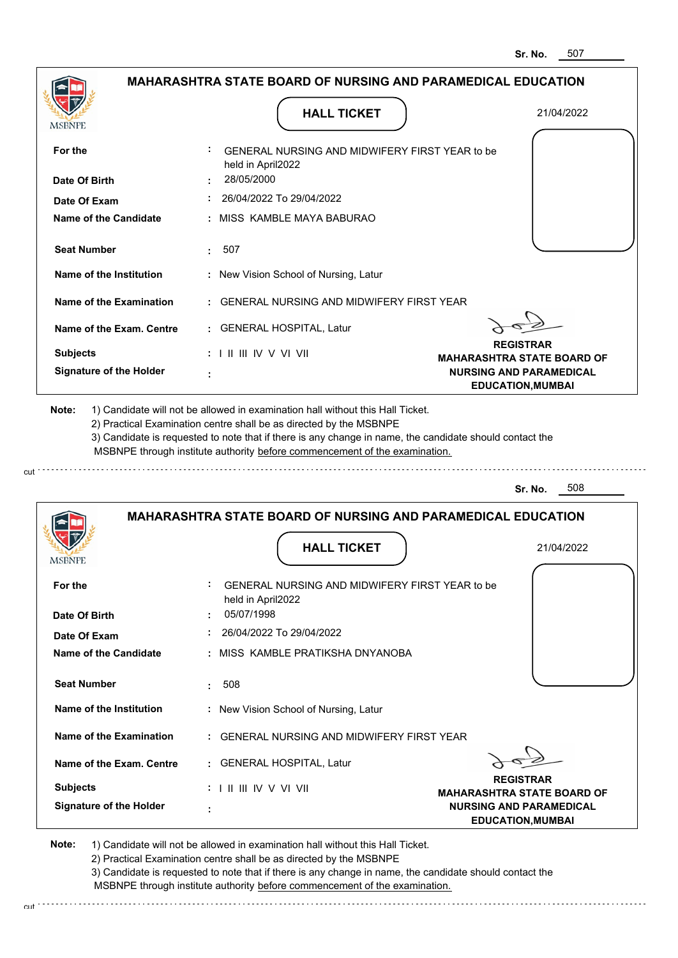| <b>MSBNPE</b>                                      | <b>HALL TICKET</b>                                                                                                                                                                                                                                                                                                                            | 21/04/2022                                                 |
|----------------------------------------------------|-----------------------------------------------------------------------------------------------------------------------------------------------------------------------------------------------------------------------------------------------------------------------------------------------------------------------------------------------|------------------------------------------------------------|
| For the                                            | GENERAL NURSING AND MIDWIFERY FIRST YEAR to be<br>held in April2022                                                                                                                                                                                                                                                                           |                                                            |
| Date Of Birth                                      | 28/05/2000                                                                                                                                                                                                                                                                                                                                    |                                                            |
| Date Of Exam                                       | 26/04/2022 To 29/04/2022                                                                                                                                                                                                                                                                                                                      |                                                            |
| <b>Name of the Candidate</b>                       | : MISS KAMBLE MAYA BABURAO                                                                                                                                                                                                                                                                                                                    |                                                            |
| <b>Seat Number</b>                                 | 507<br>÷.                                                                                                                                                                                                                                                                                                                                     |                                                            |
| Name of the Institution                            | : New Vision School of Nursing, Latur                                                                                                                                                                                                                                                                                                         |                                                            |
| Name of the Examination                            | : GENERAL NURSING AND MIDWIFERY FIRST YEAR                                                                                                                                                                                                                                                                                                    |                                                            |
| Name of the Exam. Centre                           | : GENERAL HOSPITAL, Latur                                                                                                                                                                                                                                                                                                                     |                                                            |
| <b>Subjects</b>                                    | : I II III IV V VI VII                                                                                                                                                                                                                                                                                                                        | <b>REGISTRAR</b><br><b>MAHARASHTRA STATE BOARD OF</b>      |
| <b>Signature of the Holder</b>                     |                                                                                                                                                                                                                                                                                                                                               | <b>NURSING AND PARAMEDICAL</b><br><b>EDUCATION, MUMBAI</b> |
|                                                    | 1) Candidate will not be allowed in examination hall without this Hall Ticket.<br>2) Practical Examination centre shall be as directed by the MSBNPE<br>3) Candidate is requested to note that if there is any change in name, the candidate should contact the<br>MSBNPE through institute authority before commencement of the examination. |                                                            |
|                                                    |                                                                                                                                                                                                                                                                                                                                               | 508<br>Sr. No.                                             |
|                                                    | <b>MAHARASHTRA STATE BOARD OF NURSING AND PARAMEDICAL EDUCATION</b>                                                                                                                                                                                                                                                                           |                                                            |
|                                                    | <b>HALL TICKET</b>                                                                                                                                                                                                                                                                                                                            | 21/04/2022                                                 |
|                                                    | GENERAL NURSING AND MIDWIFERY FIRST YEAR to be<br>held in April2022<br>05/07/1998                                                                                                                                                                                                                                                             |                                                            |
| For the<br>Date Of Birth<br>Date Of Exam           | 26/04/2022 To 29/04/2022                                                                                                                                                                                                                                                                                                                      |                                                            |
|                                                    | : MISS KAMBLE PRATIKSHA DNYANOBA                                                                                                                                                                                                                                                                                                              |                                                            |
| Name of the Candidate<br><b>Seat Number</b>        | 508                                                                                                                                                                                                                                                                                                                                           |                                                            |
|                                                    | : New Vision School of Nursing, Latur                                                                                                                                                                                                                                                                                                         |                                                            |
| Name of the Institution<br>Name of the Examination | : GENERAL NURSING AND MIDWIFERY FIRST YEAR                                                                                                                                                                                                                                                                                                    |                                                            |
| Name of the Exam. Centre                           | : GENERAL HOSPITAL, Latur                                                                                                                                                                                                                                                                                                                     |                                                            |
| <b>Subjects</b>                                    | $: 1 \mathbb{H} \mathbb{H} \mathbb{N} \vee \mathbb{V} \mathbb{N}$                                                                                                                                                                                                                                                                             | <b>REGISTRAR</b><br><b>MAHARASHTRA STATE BOARD OF</b>      |

3) Candidate is requested to note that if there is any change in name, the candidate should contact the MSBNPE through institute authority before commencement of the examination.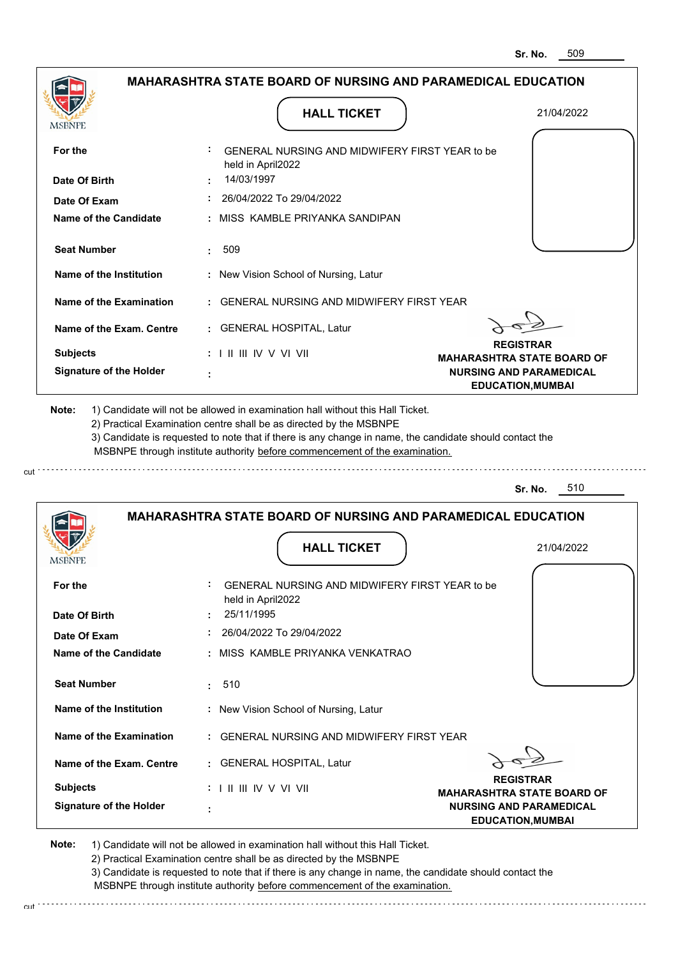| <b>MSBNPE</b>                                | <b>HALL TICKET</b>                                                                                                                                                                                                                                                                                                                            | 21/04/2022                                                 |
|----------------------------------------------|-----------------------------------------------------------------------------------------------------------------------------------------------------------------------------------------------------------------------------------------------------------------------------------------------------------------------------------------------|------------------------------------------------------------|
| For the                                      | GENERAL NURSING AND MIDWIFERY FIRST YEAR to be<br>held in April2022                                                                                                                                                                                                                                                                           |                                                            |
| Date Of Birth                                | 14/03/1997                                                                                                                                                                                                                                                                                                                                    |                                                            |
| Date Of Exam                                 | 26/04/2022 To 29/04/2022                                                                                                                                                                                                                                                                                                                      |                                                            |
| Name of the Candidate                        | : MISS KAMBLE PRIYANKA SANDIPAN                                                                                                                                                                                                                                                                                                               |                                                            |
| <b>Seat Number</b>                           | 509<br>÷.                                                                                                                                                                                                                                                                                                                                     |                                                            |
| Name of the Institution                      | : New Vision School of Nursing, Latur                                                                                                                                                                                                                                                                                                         |                                                            |
| Name of the Examination                      | : GENERAL NURSING AND MIDWIFERY FIRST YEAR                                                                                                                                                                                                                                                                                                    |                                                            |
| Name of the Exam. Centre                     | : GENERAL HOSPITAL, Latur                                                                                                                                                                                                                                                                                                                     |                                                            |
| <b>Subjects</b>                              | $: 1 \mathbb{H} \mathbb{H} \mathbb{W} \vee \mathbb{V} \mathbb{V} \mathbb{H}$                                                                                                                                                                                                                                                                  | <b>REGISTRAR</b><br><b>MAHARASHTRA STATE BOARD OF</b>      |
| <b>Signature of the Holder</b>               |                                                                                                                                                                                                                                                                                                                                               | <b>NURSING AND PARAMEDICAL</b><br><b>EDUCATION, MUMBAI</b> |
|                                              | 1) Candidate will not be allowed in examination hall without this Hall Ticket.<br>2) Practical Examination centre shall be as directed by the MSBNPE<br>3) Candidate is requested to note that if there is any change in name, the candidate should contact the<br>MSBNPE through institute authority before commencement of the examination. | 510<br>Sr. No.                                             |
| Note:                                        |                                                                                                                                                                                                                                                                                                                                               |                                                            |
|                                              | <b>MAHARASHTRA STATE BOARD OF NURSING AND PARAMEDICAL EDUCATION</b>                                                                                                                                                                                                                                                                           |                                                            |
| MSBNF                                        | <b>HALL TICKET</b>                                                                                                                                                                                                                                                                                                                            | 21/04/2022                                                 |
| For the                                      | <b>GENERAL NURSING AND MIDWIFERY FIRST YEAR to be</b><br>held in April2022<br>25/11/1995                                                                                                                                                                                                                                                      |                                                            |
| Date Of Birth                                | 26/04/2022 To 29/04/2022                                                                                                                                                                                                                                                                                                                      |                                                            |
| Date Of Exam<br><b>Name of the Candidate</b> | : MISS KAMBLE PRIYANKA VENKATRAO                                                                                                                                                                                                                                                                                                              |                                                            |
| <b>Seat Number</b>                           | : 510                                                                                                                                                                                                                                                                                                                                         |                                                            |
| Name of the Institution                      | : New Vision School of Nursing, Latur                                                                                                                                                                                                                                                                                                         |                                                            |
| Name of the Examination                      | : GENERAL NURSING AND MIDWIFERY FIRST YEAR                                                                                                                                                                                                                                                                                                    |                                                            |
| Name of the Exam. Centre                     | : GENERAL HOSPITAL, Latur                                                                                                                                                                                                                                                                                                                     |                                                            |
| <b>Subjects</b>                              |                                                                                                                                                                                                                                                                                                                                               | <b>REGISTRAR</b><br><b>MAHARASHTRA STATE BOARD OF</b>      |

3) Candidate is requested to note that if there is any change in name, the candidate should contact the MSBNPE through institute authority before commencement of the examination. cut de contra a construction de construction de construction de construction de construction de construction de construction de construction de construction de construction de construction de construction de construction d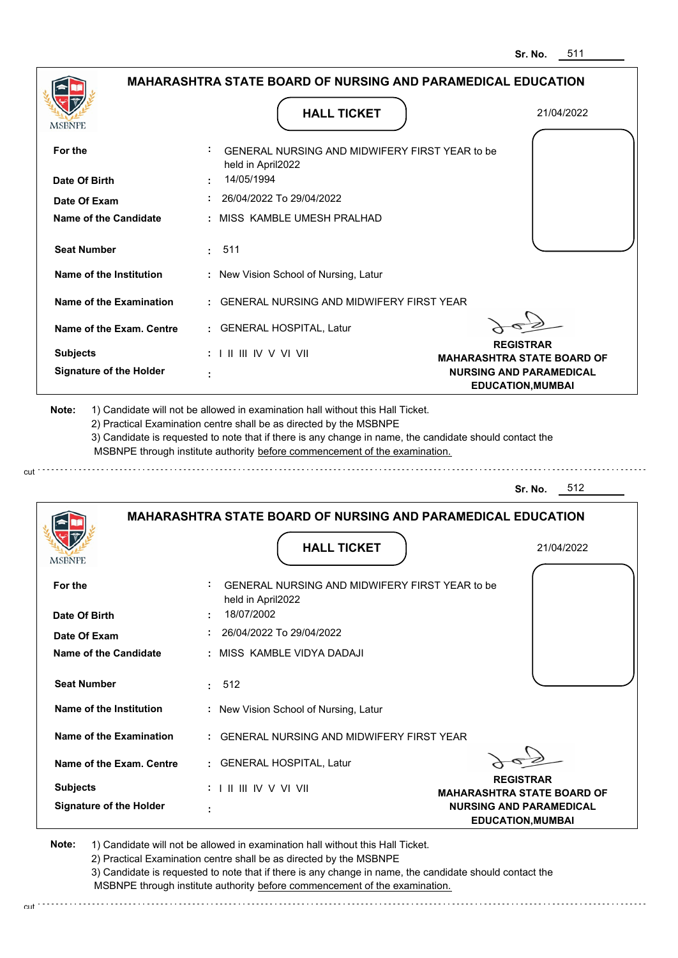| MSBNPE                                                                                                                                                                                                                 |                                 | <b>HALL TICKET</b>                                                                                                                                                                                                                                                                                                                            | 21/04/2022                                                          |  |
|------------------------------------------------------------------------------------------------------------------------------------------------------------------------------------------------------------------------|---------------------------------|-----------------------------------------------------------------------------------------------------------------------------------------------------------------------------------------------------------------------------------------------------------------------------------------------------------------------------------------------|---------------------------------------------------------------------|--|
| For the                                                                                                                                                                                                                | held in April2022               | GENERAL NURSING AND MIDWIFERY FIRST YEAR to be                                                                                                                                                                                                                                                                                                |                                                                     |  |
| Date Of Birth                                                                                                                                                                                                          | 14/05/1994                      |                                                                                                                                                                                                                                                                                                                                               |                                                                     |  |
| Date Of Exam                                                                                                                                                                                                           |                                 | 26/04/2022 To 29/04/2022                                                                                                                                                                                                                                                                                                                      |                                                                     |  |
| Name of the Candidate                                                                                                                                                                                                  |                                 | : MISS KAMBLE UMESH PRALHAD                                                                                                                                                                                                                                                                                                                   |                                                                     |  |
| <b>Seat Number</b>                                                                                                                                                                                                     | 511<br>÷.                       |                                                                                                                                                                                                                                                                                                                                               |                                                                     |  |
| Name of the Institution                                                                                                                                                                                                |                                 | : New Vision School of Nursing, Latur                                                                                                                                                                                                                                                                                                         |                                                                     |  |
| Name of the Examination                                                                                                                                                                                                |                                 | <b>GENERAL NURSING AND MIDWIFERY FIRST YEAR</b>                                                                                                                                                                                                                                                                                               |                                                                     |  |
| Name of the Exam. Centre                                                                                                                                                                                               |                                 | : GENERAL HOSPITAL, Latur                                                                                                                                                                                                                                                                                                                     |                                                                     |  |
| <b>Subjects</b>                                                                                                                                                                                                        | $: 1$ II III IV V VI VII        |                                                                                                                                                                                                                                                                                                                                               | <b>REGISTRAR</b><br><b>MAHARASHTRA STATE BOARD OF</b>               |  |
| <b>Signature of the Holder</b>                                                                                                                                                                                         |                                 |                                                                                                                                                                                                                                                                                                                                               | <b>NURSING AND PARAMEDICAL</b><br><b>EDUCATION, MUMBAI</b>          |  |
|                                                                                                                                                                                                                        |                                 | 1) Candidate will not be allowed in examination hall without this Hall Ticket.<br>2) Practical Examination centre shall be as directed by the MSBNPE<br>3) Candidate is requested to note that if there is any change in name, the candidate should contact the<br>MSBNPE through institute authority before commencement of the examination. | 512<br>Sr. No.                                                      |  |
|                                                                                                                                                                                                                        |                                 |                                                                                                                                                                                                                                                                                                                                               | <b>MAHARASHTRA STATE BOARD OF NURSING AND PARAMEDICAL EDUCATION</b> |  |
|                                                                                                                                                                                                                        |                                 | <b>HALL TICKET</b>                                                                                                                                                                                                                                                                                                                            | 21/04/2022                                                          |  |
|                                                                                                                                                                                                                        |                                 | GENERAL NURSING AND MIDWIFERY FIRST YEAR to be                                                                                                                                                                                                                                                                                                |                                                                     |  |
|                                                                                                                                                                                                                        | held in April2022<br>18/07/2002 |                                                                                                                                                                                                                                                                                                                                               |                                                                     |  |
|                                                                                                                                                                                                                        |                                 | 26/04/2022 To 29/04/2022                                                                                                                                                                                                                                                                                                                      |                                                                     |  |
|                                                                                                                                                                                                                        |                                 | : MISS KAMBLE VIDYA DADAJI                                                                                                                                                                                                                                                                                                                    |                                                                     |  |
|                                                                                                                                                                                                                        | 512                             |                                                                                                                                                                                                                                                                                                                                               |                                                                     |  |
|                                                                                                                                                                                                                        |                                 | : New Vision School of Nursing, Latur                                                                                                                                                                                                                                                                                                         |                                                                     |  |
|                                                                                                                                                                                                                        |                                 | : GENERAL NURSING AND MIDWIFERY FIRST YEAR                                                                                                                                                                                                                                                                                                    |                                                                     |  |
|                                                                                                                                                                                                                        |                                 | : GENERAL HOSPITAL, Latur                                                                                                                                                                                                                                                                                                                     |                                                                     |  |
| Note:<br><b>MSBNPE</b><br>For the<br>Date Of Birth<br>Date Of Exam<br>Name of the Candidate<br><b>Seat Number</b><br>Name of the Institution<br>Name of the Examination<br>Name of the Exam. Centre<br><b>Subjects</b> | : I II III IV V VI VII          |                                                                                                                                                                                                                                                                                                                                               | <b>REGISTRAR</b><br><b>MAHARASHTRA STATE BOARD OF</b>               |  |

cut

2) Practical Examination centre shall be as directed by the MSBNPE

3) Candidate is requested to note that if there is any change in name, the candidate should contact the MSBNPE through institute authority before commencement of the examination. cut de la component de la component de la component de la component de la component de la component de la component de la component de la component de la component de la component de la component de la component de la comp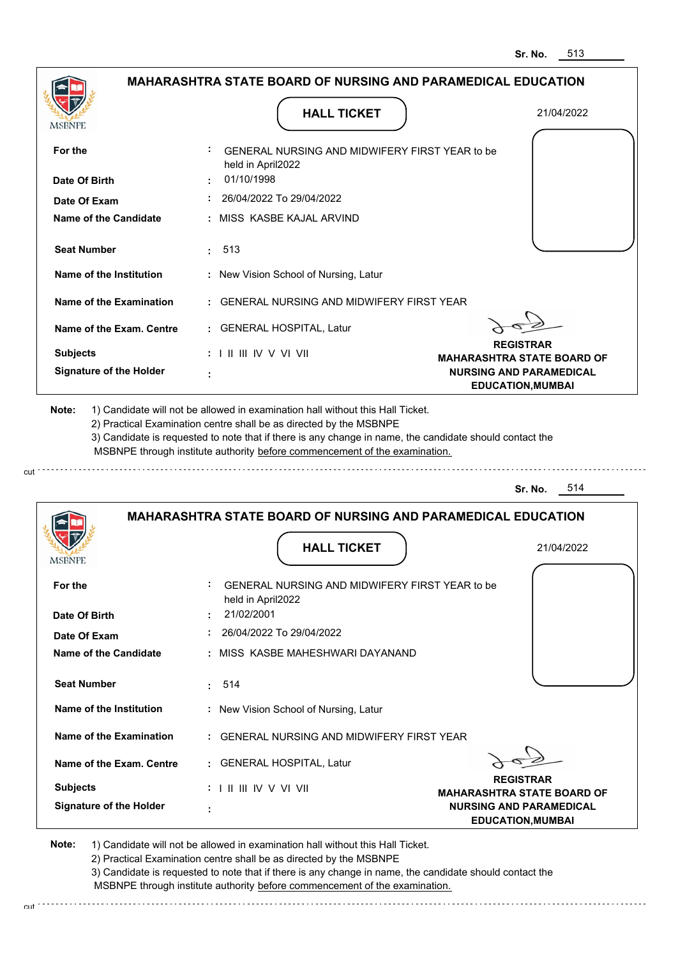| MSBNPE                                                                         | <b>HALL TICKET</b>                                                                                                                                                                                                                                          | 21/04/2022                                                                                      |
|--------------------------------------------------------------------------------|-------------------------------------------------------------------------------------------------------------------------------------------------------------------------------------------------------------------------------------------------------------|-------------------------------------------------------------------------------------------------|
|                                                                                |                                                                                                                                                                                                                                                             |                                                                                                 |
| For the                                                                        | GENERAL NURSING AND MIDWIFERY FIRST YEAR to be<br>held in April2022                                                                                                                                                                                         |                                                                                                 |
| Date Of Birth                                                                  | 01/10/1998                                                                                                                                                                                                                                                  |                                                                                                 |
| Date Of Exam                                                                   | 26/04/2022 To 29/04/2022                                                                                                                                                                                                                                    |                                                                                                 |
| Name of the Candidate                                                          | : MISS KASBE KAJAL ARVIND                                                                                                                                                                                                                                   |                                                                                                 |
| <b>Seat Number</b>                                                             | 513<br>t.                                                                                                                                                                                                                                                   |                                                                                                 |
| Name of the Institution                                                        | : New Vision School of Nursing, Latur                                                                                                                                                                                                                       |                                                                                                 |
| Name of the Examination                                                        | : GENERAL NURSING AND MIDWIFERY FIRST YEAR                                                                                                                                                                                                                  |                                                                                                 |
| Name of the Exam. Centre                                                       | : GENERAL HOSPITAL, Latur                                                                                                                                                                                                                                   |                                                                                                 |
| <b>Subjects</b>                                                                | $: 1 \mathbb{H} \mathbb{H} \mathbb{V} \vee \mathbb{V} \mathbb{V} \mathbb{H}$                                                                                                                                                                                | <b>REGISTRAR</b>                                                                                |
| <b>Signature of the Holder</b>                                                 |                                                                                                                                                                                                                                                             | <b>MAHARASHTRA STATE BOARD OF</b><br><b>NURSING AND PARAMEDICAL</b><br><b>EDUCATION, MUMBAI</b> |
| 1) Candidate will not be allowed in examination hall without this Hall Ticket. | 2) Practical Examination centre shall be as directed by the MSBNPE<br>3) Candidate is requested to note that if there is any change in name, the candidate should contact the<br>MSBNPE through institute authority before commencement of the examination. | 514<br>Sr. No.                                                                                  |
|                                                                                | MAHARASHTRA STATE BOARD OF NURSING AND PARAMEDICAL EDUCATION                                                                                                                                                                                                |                                                                                                 |
|                                                                                | <b>HALL TICKET</b>                                                                                                                                                                                                                                          | 21/04/2022                                                                                      |
|                                                                                | GENERAL NURSING AND MIDWIFERY FIRST YEAR to be                                                                                                                                                                                                              |                                                                                                 |
|                                                                                | held in April2022                                                                                                                                                                                                                                           |                                                                                                 |
|                                                                                | 21/02/2001                                                                                                                                                                                                                                                  |                                                                                                 |
| Date Of Exam                                                                   | 26/04/2022 To 29/04/2022                                                                                                                                                                                                                                    |                                                                                                 |
| <b>MSBNPE</b><br>For the<br>Date Of Birth<br>Name of the Candidate             | : MISS KASBE MAHESHWARI DAYANAND                                                                                                                                                                                                                            |                                                                                                 |
| <b>Seat Number</b>                                                             | 514<br>t.                                                                                                                                                                                                                                                   |                                                                                                 |
| Name of the Institution                                                        | : New Vision School of Nursing, Latur                                                                                                                                                                                                                       |                                                                                                 |
| Name of the Examination                                                        | : GENERAL NURSING AND MIDWIFERY FIRST YEAR                                                                                                                                                                                                                  |                                                                                                 |
| Name of the Exam. Centre                                                       | : GENERAL HOSPITAL, Latur                                                                                                                                                                                                                                   |                                                                                                 |
| <b>Subjects</b>                                                                | $: 1 \mathbb{I}$ III IIV V VI VII                                                                                                                                                                                                                           | <b>REGISTRAR</b><br><b>MAHARASHTRA STATE BOARD OF</b>                                           |

3) Candidate is requested to note that if there is any change in name, the candidate should contact the MSBNPE through institute authority before commencement of the examination.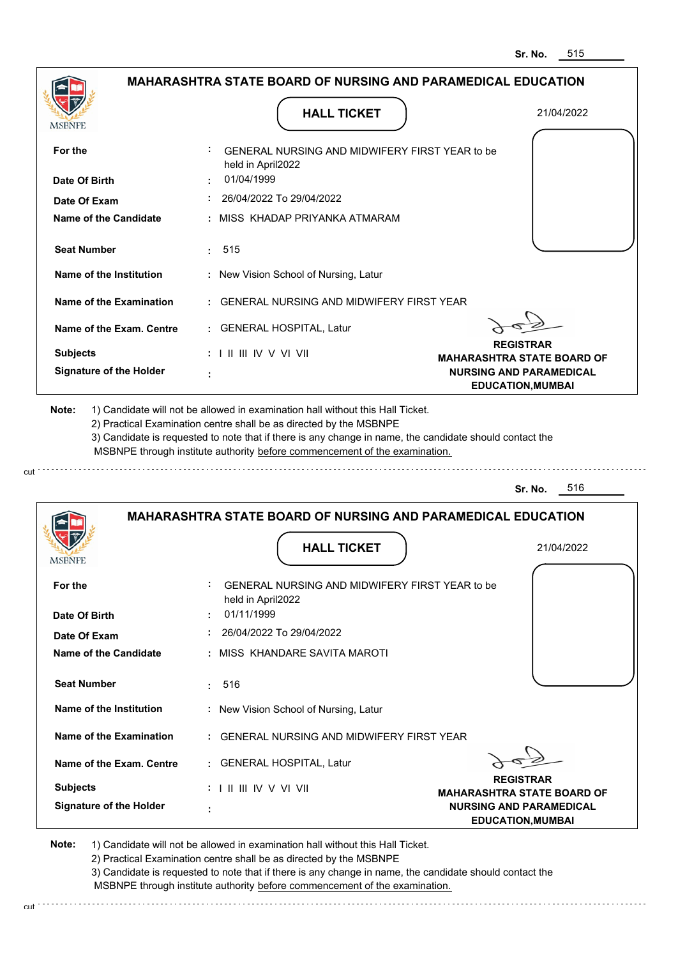| MSBNPE                                                                                                                                                                                                               | <b>HALL TICKET</b>                                                                                                                                                                                                                                                                                                                            | 21/04/2022                                                 |
|----------------------------------------------------------------------------------------------------------------------------------------------------------------------------------------------------------------------|-----------------------------------------------------------------------------------------------------------------------------------------------------------------------------------------------------------------------------------------------------------------------------------------------------------------------------------------------|------------------------------------------------------------|
| For the                                                                                                                                                                                                              | GENERAL NURSING AND MIDWIFERY FIRST YEAR to be<br>held in April2022                                                                                                                                                                                                                                                                           |                                                            |
| Date Of Birth                                                                                                                                                                                                        | 01/04/1999                                                                                                                                                                                                                                                                                                                                    |                                                            |
| Date Of Exam                                                                                                                                                                                                         | 26/04/2022 To 29/04/2022                                                                                                                                                                                                                                                                                                                      |                                                            |
| <b>Name of the Candidate</b>                                                                                                                                                                                         | MISS KHADAP PRIYANKA ATMARAM                                                                                                                                                                                                                                                                                                                  |                                                            |
| <b>Seat Number</b>                                                                                                                                                                                                   | 515<br>÷.                                                                                                                                                                                                                                                                                                                                     |                                                            |
| Name of the Institution                                                                                                                                                                                              | : New Vision School of Nursing, Latur                                                                                                                                                                                                                                                                                                         |                                                            |
| Name of the Examination                                                                                                                                                                                              | <b>GENERAL NURSING AND MIDWIFERY FIRST YEAR</b>                                                                                                                                                                                                                                                                                               |                                                            |
| Name of the Exam. Centre                                                                                                                                                                                             | <b>GENERAL HOSPITAL, Latur</b>                                                                                                                                                                                                                                                                                                                |                                                            |
| <b>Subjects</b>                                                                                                                                                                                                      | : I II III IV V VI VII                                                                                                                                                                                                                                                                                                                        | <b>REGISTRAR</b><br><b>MAHARASHTRA STATE BOARD OF</b>      |
| <b>Signature of the Holder</b>                                                                                                                                                                                       |                                                                                                                                                                                                                                                                                                                                               | <b>NURSING AND PARAMEDICAL</b><br><b>EDUCATION, MUMBAI</b> |
|                                                                                                                                                                                                                      | 1) Candidate will not be allowed in examination hall without this Hall Ticket.<br>2) Practical Examination centre shall be as directed by the MSBNPE<br>3) Candidate is requested to note that if there is any change in name, the candidate should contact the<br>MSBNPE through institute authority before commencement of the examination. | 516<br>Sr. No.                                             |
| Note:                                                                                                                                                                                                                | <b>MAHARASHTRA STATE BOARD OF NURSING AND PARAMEDICAL EDUCATION</b>                                                                                                                                                                                                                                                                           |                                                            |
|                                                                                                                                                                                                                      | <b>HALL TICKET</b>                                                                                                                                                                                                                                                                                                                            | 21/04/2022                                                 |
|                                                                                                                                                                                                                      | GENERAL NURSING AND MIDWIFERY FIRST YEAR to be                                                                                                                                                                                                                                                                                                |                                                            |
|                                                                                                                                                                                                                      | held in April2022<br>01/11/1999                                                                                                                                                                                                                                                                                                               |                                                            |
|                                                                                                                                                                                                                      | 26/04/2022 To 29/04/2022<br>÷                                                                                                                                                                                                                                                                                                                 |                                                            |
|                                                                                                                                                                                                                      | MISS KHANDARE SAVITA MAROTI                                                                                                                                                                                                                                                                                                                   |                                                            |
|                                                                                                                                                                                                                      | 516<br>÷                                                                                                                                                                                                                                                                                                                                      |                                                            |
|                                                                                                                                                                                                                      | : New Vision School of Nursing, Latur                                                                                                                                                                                                                                                                                                         |                                                            |
|                                                                                                                                                                                                                      | GENERAL NURSING AND MIDWIFERY FIRST YEAR                                                                                                                                                                                                                                                                                                      |                                                            |
|                                                                                                                                                                                                                      | : GENERAL HOSPITAL, Latur                                                                                                                                                                                                                                                                                                                     |                                                            |
| MSBNPE<br>For the<br>Date Of Birth<br>Date Of Exam<br><b>Name of the Candidate</b><br><b>Seat Number</b><br>Name of the Institution<br><b>Name of the Examination</b><br>Name of the Exam. Centre<br><b>Subjects</b> | $: 1 \mathrel{\mathsf{II}} \mathrel{\mathsf{III}} \mathsf{IV} \mathsf{V} \mathsf{VI}$ VII                                                                                                                                                                                                                                                     | <b>REGISTRAR</b><br><b>MAHARASHTRA STATE BOARD OF</b>      |

2) Practical Examination centre shall be as directed by the MSBNPE 3) Candidate is requested to note that if there is any change in name, the candidate should contact the MSBNPE through institute authority before commencement of the examination.

cut de la component de la component de la component de la component de la component de la component de la component de la component de la component de la component de la component de la component de la component de la comp

cut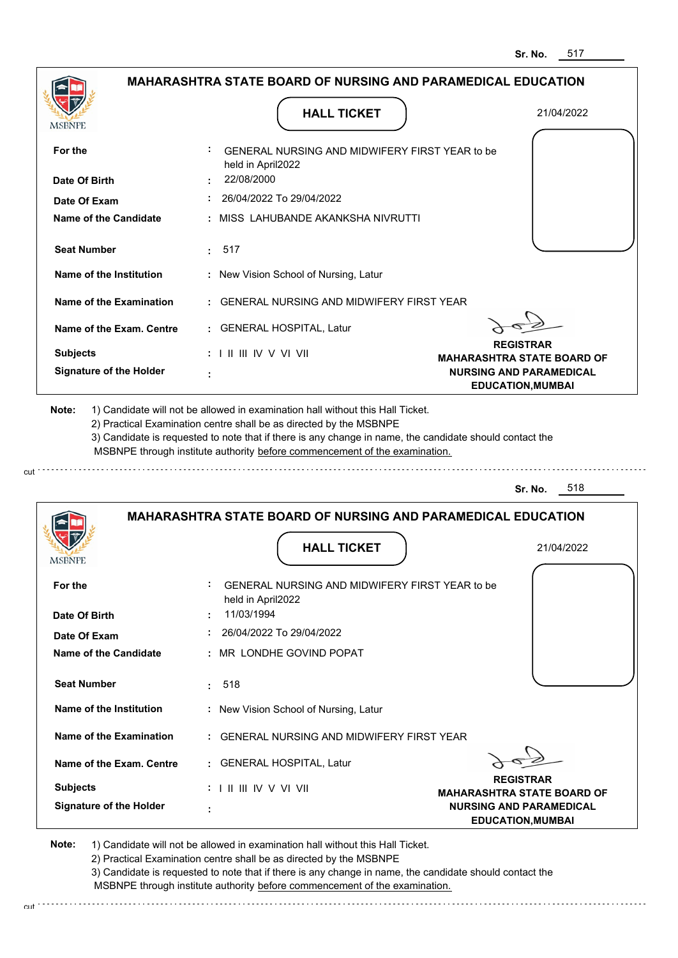|                                                                                                   |                                   | <b>HALL TICKET</b>                                                                                                                                                                                                                                                                                                                            | 21/04/2022                                                                                      |
|---------------------------------------------------------------------------------------------------|-----------------------------------|-----------------------------------------------------------------------------------------------------------------------------------------------------------------------------------------------------------------------------------------------------------------------------------------------------------------------------------------------|-------------------------------------------------------------------------------------------------|
| MSBNPE                                                                                            |                                   |                                                                                                                                                                                                                                                                                                                                               |                                                                                                 |
| For the                                                                                           | held in April2022                 | GENERAL NURSING AND MIDWIFERY FIRST YEAR to be                                                                                                                                                                                                                                                                                                |                                                                                                 |
| Date Of Birth                                                                                     | 22/08/2000                        |                                                                                                                                                                                                                                                                                                                                               |                                                                                                 |
| Date Of Exam                                                                                      |                                   | 26/04/2022 To 29/04/2022                                                                                                                                                                                                                                                                                                                      |                                                                                                 |
| <b>Name of the Candidate</b>                                                                      |                                   | MISS LAHUBANDE AKANKSHA NIVRUTTI                                                                                                                                                                                                                                                                                                              |                                                                                                 |
| <b>Seat Number</b>                                                                                | 517<br>÷.                         |                                                                                                                                                                                                                                                                                                                                               |                                                                                                 |
| Name of the Institution                                                                           |                                   | : New Vision School of Nursing, Latur                                                                                                                                                                                                                                                                                                         |                                                                                                 |
| Name of the Examination                                                                           |                                   | <b>GENERAL NURSING AND MIDWIFERY FIRST YEAR</b>                                                                                                                                                                                                                                                                                               |                                                                                                 |
| Name of the Exam. Centre                                                                          |                                   | : GENERAL HOSPITAL, Latur                                                                                                                                                                                                                                                                                                                     |                                                                                                 |
| <b>Subjects</b>                                                                                   | $: 1 \mathbb{I}$ III IIV V VI VII |                                                                                                                                                                                                                                                                                                                                               | <b>REGISTRAR</b>                                                                                |
| <b>Signature of the Holder</b>                                                                    | ÷                                 |                                                                                                                                                                                                                                                                                                                                               | <b>MAHARASHTRA STATE BOARD OF</b><br><b>NURSING AND PARAMEDICAL</b><br><b>EDUCATION, MUMBAI</b> |
|                                                                                                   |                                   | 1) Candidate will not be allowed in examination hall without this Hall Ticket.<br>2) Practical Examination centre shall be as directed by the MSBNPE<br>3) Candidate is requested to note that if there is any change in name, the candidate should contact the<br>MSBNPE through institute authority before commencement of the examination. | 518<br>Sr. No.                                                                                  |
| Note:                                                                                             |                                   |                                                                                                                                                                                                                                                                                                                                               | <b>MAHARASHTRA STATE BOARD OF NURSING AND PARAMEDICAL EDUCATION</b>                             |
|                                                                                                   |                                   | <b>HALL TICKET</b>                                                                                                                                                                                                                                                                                                                            | 21/04/2022                                                                                      |
| MSBNPE<br>For the                                                                                 |                                   | GENERAL NURSING AND MIDWIFERY FIRST YEAR to be                                                                                                                                                                                                                                                                                                |                                                                                                 |
|                                                                                                   | held in April2022<br>11/03/1994   |                                                                                                                                                                                                                                                                                                                                               |                                                                                                 |
|                                                                                                   |                                   | 26/04/2022 To 29/04/2022                                                                                                                                                                                                                                                                                                                      |                                                                                                 |
|                                                                                                   |                                   | MR LONDHE GOVIND POPAT                                                                                                                                                                                                                                                                                                                        |                                                                                                 |
| Date Of Birth<br>Date Of Exam<br><b>Name of the Candidate</b><br><b>Seat Number</b>               | 518<br>÷.                         |                                                                                                                                                                                                                                                                                                                                               |                                                                                                 |
|                                                                                                   |                                   | : New Vision School of Nursing, Latur                                                                                                                                                                                                                                                                                                         |                                                                                                 |
|                                                                                                   |                                   | <b>GENERAL NURSING AND MIDWIFERY FIRST YEAR</b>                                                                                                                                                                                                                                                                                               |                                                                                                 |
|                                                                                                   |                                   | : GENERAL HOSPITAL, Latur                                                                                                                                                                                                                                                                                                                     |                                                                                                 |
| Name of the Institution<br>Name of the Examination<br>Name of the Exam. Centre<br><b>Subjects</b> | : I II III IV V VI VII            |                                                                                                                                                                                                                                                                                                                                               | <b>REGISTRAR</b><br><b>MAHARASHTRA STATE BOARD OF</b>                                           |

2) Practical Examination centre shall be as directed by the MSBNPE 3) Candidate is requested to note that if there is any change in name, the candidate should contact the MSBNPE through institute authority before commencement of the examination.

cut de la component de la component de la component de la component de la component de la component de la component de la component de la component de la component de la component de la component de la component de la comp

cut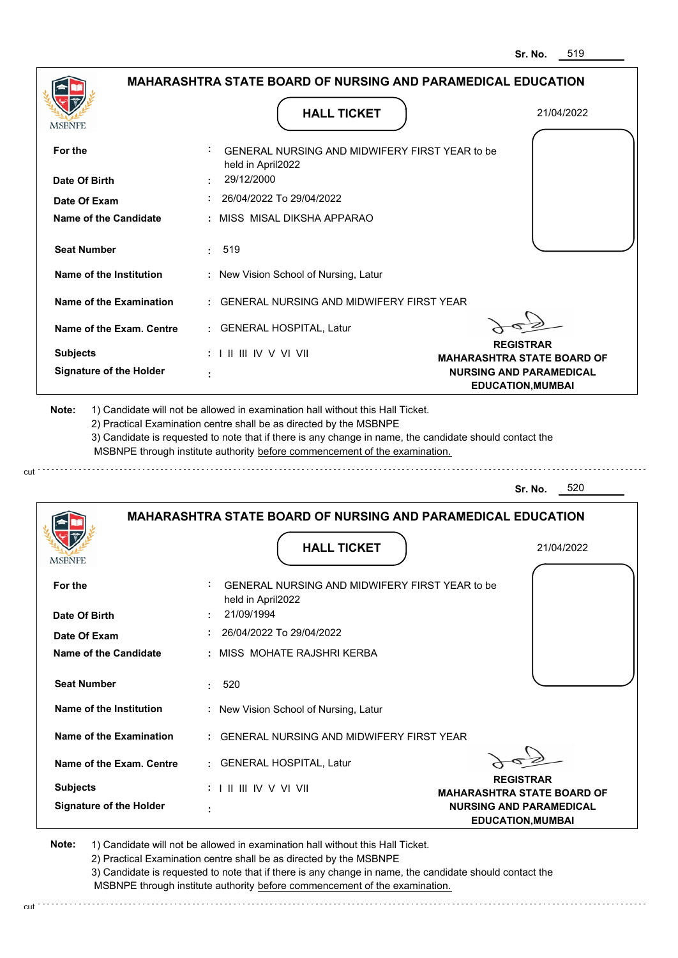| MSBNPE                                                    | <b>HALL TICKET</b>                                                                                                                                                                                                                                          | 21/04/2022                                                                                      |
|-----------------------------------------------------------|-------------------------------------------------------------------------------------------------------------------------------------------------------------------------------------------------------------------------------------------------------------|-------------------------------------------------------------------------------------------------|
| For the                                                   | GENERAL NURSING AND MIDWIFERY FIRST YEAR to be                                                                                                                                                                                                              |                                                                                                 |
|                                                           | held in April2022                                                                                                                                                                                                                                           |                                                                                                 |
| Date Of Birth                                             | 29/12/2000                                                                                                                                                                                                                                                  |                                                                                                 |
| Date Of Exam                                              | 26/04/2022 To 29/04/2022                                                                                                                                                                                                                                    |                                                                                                 |
| Name of the Candidate                                     | : MISS MISAL DIKSHA APPARAO                                                                                                                                                                                                                                 |                                                                                                 |
| <b>Seat Number</b>                                        | 519<br>t.                                                                                                                                                                                                                                                   |                                                                                                 |
| Name of the Institution                                   | : New Vision School of Nursing, Latur                                                                                                                                                                                                                       |                                                                                                 |
| Name of the Examination                                   | : GENERAL NURSING AND MIDWIFERY FIRST YEAR                                                                                                                                                                                                                  |                                                                                                 |
| Name of the Exam. Centre                                  | : GENERAL HOSPITAL, Latur                                                                                                                                                                                                                                   |                                                                                                 |
| <b>Subjects</b>                                           | $: 1 \mathbb{H} \mathbb{H} \mathbb{V} \vee \mathbb{V} \mathbb{V} \mathbb{H}$                                                                                                                                                                                | <b>REGISTRAR</b>                                                                                |
| <b>Signature of the Holder</b>                            |                                                                                                                                                                                                                                                             | <b>MAHARASHTRA STATE BOARD OF</b><br><b>NURSING AND PARAMEDICAL</b><br><b>EDUCATION, MUMBAI</b> |
|                                                           | 2) Practical Examination centre shall be as directed by the MSBNPE<br>3) Candidate is requested to note that if there is any change in name, the candidate should contact the<br>MSBNPE through institute authority before commencement of the examination. | 520<br>Sr. No.                                                                                  |
|                                                           | MAHARASHTRA STATE BOARD OF NURSING AND PARAMEDICAL EDUCATION                                                                                                                                                                                                |                                                                                                 |
|                                                           | <b>HALL TICKET</b>                                                                                                                                                                                                                                          | 21/04/2022                                                                                      |
|                                                           | GENERAL NURSING AND MIDWIFERY FIRST YEAR to be                                                                                                                                                                                                              |                                                                                                 |
|                                                           | held in April2022                                                                                                                                                                                                                                           |                                                                                                 |
|                                                           | 21/09/1994                                                                                                                                                                                                                                                  |                                                                                                 |
| <b>MSBNPE</b><br>For the<br>Date Of Birth<br>Date Of Exam | 26/04/2022 To 29/04/2022                                                                                                                                                                                                                                    |                                                                                                 |
| Name of the Candidate                                     | : MISS MOHATE RAJSHRI KERBA                                                                                                                                                                                                                                 |                                                                                                 |
| <b>Seat Number</b>                                        | 520<br>÷.                                                                                                                                                                                                                                                   |                                                                                                 |
| Name of the Institution                                   | : New Vision School of Nursing, Latur                                                                                                                                                                                                                       |                                                                                                 |
| Name of the Examination                                   | : GENERAL NURSING AND MIDWIFERY FIRST YEAR                                                                                                                                                                                                                  |                                                                                                 |
| Name of the Exam. Centre                                  | : GENERAL HOSPITAL, Latur                                                                                                                                                                                                                                   |                                                                                                 |
| <b>Subjects</b>                                           | $: 1 \mathbb{I}$ III IIV V VI VII                                                                                                                                                                                                                           | <b>REGISTRAR</b><br><b>MAHARASHTRA STATE BOARD OF</b>                                           |

3) Candidate is requested to note that if there is any change in name, the candidate should contact the MSBNPE through institute authority before commencement of the examination.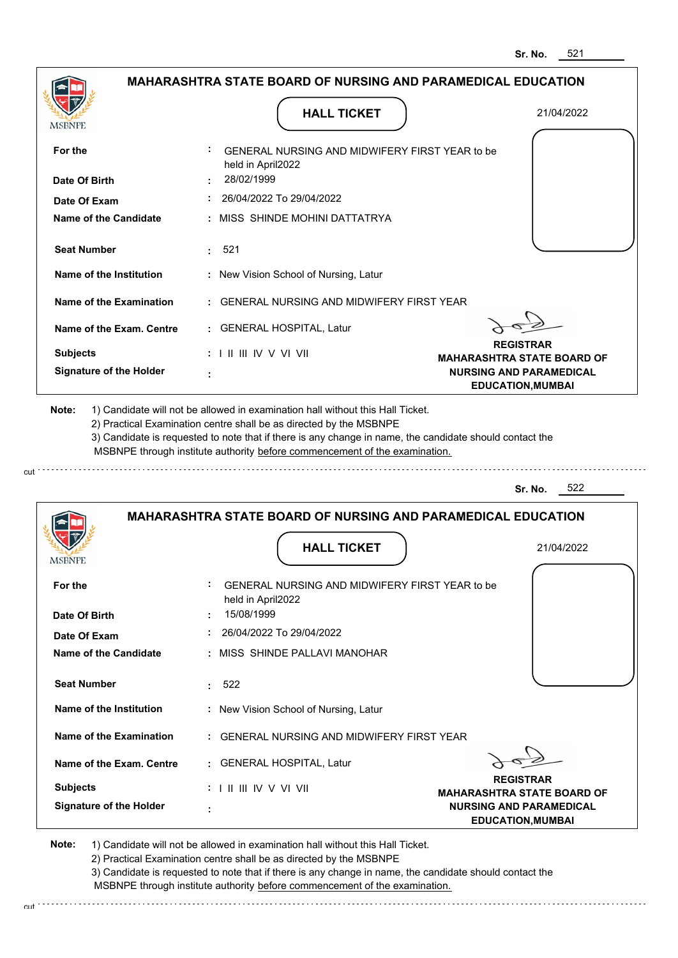| MSBNPE                                                     |                                   | <b>HALL TICKET</b>                                                                                                                                                                                                                                                                                                                            | 21/04/2022                                                 |
|------------------------------------------------------------|-----------------------------------|-----------------------------------------------------------------------------------------------------------------------------------------------------------------------------------------------------------------------------------------------------------------------------------------------------------------------------------------------|------------------------------------------------------------|
| For the                                                    | held in April2022                 | GENERAL NURSING AND MIDWIFERY FIRST YEAR to be                                                                                                                                                                                                                                                                                                |                                                            |
| Date Of Birth                                              | 28/02/1999                        |                                                                                                                                                                                                                                                                                                                                               |                                                            |
| Date Of Exam                                               |                                   | 26/04/2022 To 29/04/2022                                                                                                                                                                                                                                                                                                                      |                                                            |
| <b>Name of the Candidate</b>                               |                                   | : MISS SHINDE MOHINI DATTATRYA                                                                                                                                                                                                                                                                                                                |                                                            |
| <b>Seat Number</b>                                         | 521<br>÷.                         |                                                                                                                                                                                                                                                                                                                                               |                                                            |
| Name of the Institution                                    |                                   | : New Vision School of Nursing, Latur                                                                                                                                                                                                                                                                                                         |                                                            |
| <b>Name of the Examination</b>                             |                                   | <b>GENERAL NURSING AND MIDWIFERY FIRST YEAR</b>                                                                                                                                                                                                                                                                                               |                                                            |
| Name of the Exam. Centre                                   |                                   | : GENERAL HOSPITAL, Latur                                                                                                                                                                                                                                                                                                                     |                                                            |
| <b>Subjects</b>                                            | $: 1 \mathbb{I}$ III IIV V VI VII |                                                                                                                                                                                                                                                                                                                                               | <b>REGISTRAR</b><br><b>MAHARASHTRA STATE BOARD OF</b>      |
| <b>Signature of the Holder</b>                             |                                   |                                                                                                                                                                                                                                                                                                                                               | <b>NURSING AND PARAMEDICAL</b><br><b>EDUCATION, MUMBAI</b> |
|                                                            |                                   | 1) Candidate will not be allowed in examination hall without this Hall Ticket.<br>2) Practical Examination centre shall be as directed by the MSBNPE<br>3) Candidate is requested to note that if there is any change in name, the candidate should contact the<br>MSBNPE through institute authority before commencement of the examination. | 522<br>Sr. No.                                             |
|                                                            |                                   | <b>MAHARASHTRA STATE BOARD OF NURSING AND PARAMEDICAL EDUCATION</b>                                                                                                                                                                                                                                                                           |                                                            |
|                                                            |                                   | <b>HALL TICKET</b>                                                                                                                                                                                                                                                                                                                            | 21/04/2022                                                 |
|                                                            |                                   | GENERAL NURSING AND MIDWIFERY FIRST YEAR to be                                                                                                                                                                                                                                                                                                |                                                            |
|                                                            | held in April2022<br>15/08/1999   |                                                                                                                                                                                                                                                                                                                                               |                                                            |
|                                                            |                                   | 26/04/2022 To 29/04/2022                                                                                                                                                                                                                                                                                                                      |                                                            |
| For the<br>Date Of Exam<br>Name of the Candidate           |                                   | MISS SHINDE PALLAVI MANOHAR                                                                                                                                                                                                                                                                                                                   |                                                            |
| <b>Seat Number</b>                                         | 522<br>÷.                         |                                                                                                                                                                                                                                                                                                                                               |                                                            |
| <b>Name of the Institution</b>                             |                                   | : New Vision School of Nursing, Latur                                                                                                                                                                                                                                                                                                         |                                                            |
| Name of the Examination                                    |                                   | <b>GENERAL NURSING AND MIDWIFERY FIRST YEAR</b>                                                                                                                                                                                                                                                                                               |                                                            |
| Name of the Exam. Centre                                   |                                   | : GENERAL HOSPITAL, Latur                                                                                                                                                                                                                                                                                                                     |                                                            |
| Note:<br><b>MSBNPE</b><br>Date Of Birth<br><b>Subjects</b> | $: 1 \mathbb{I}$ III IIV V VI VII |                                                                                                                                                                                                                                                                                                                                               | <b>REGISTRAR</b><br><b>MAHARASHTRA STATE BOARD OF</b>      |

cut

3) Candidate is requested to note that if there is any change in name, the candidate should contact the MSBNPE through institute authority before commencement of the examination.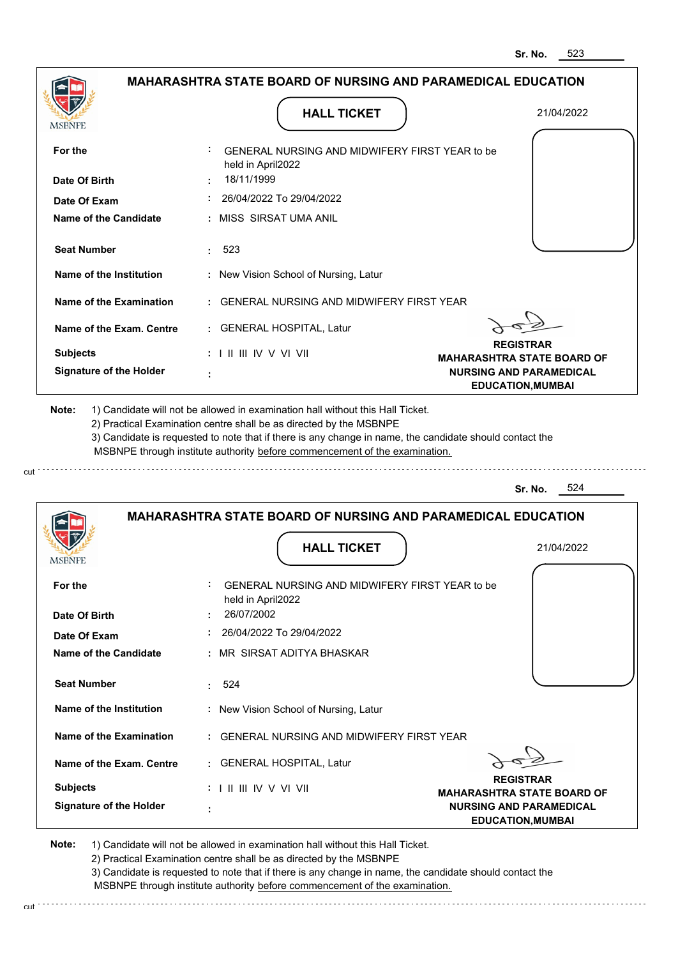| <b>MSBNPE</b>                                               | <b>HALL TICKET</b>                                                                                                                                                                                                                                                                                                                            | 21/04/2022                                                 |
|-------------------------------------------------------------|-----------------------------------------------------------------------------------------------------------------------------------------------------------------------------------------------------------------------------------------------------------------------------------------------------------------------------------------------|------------------------------------------------------------|
| For the                                                     | GENERAL NURSING AND MIDWIFERY FIRST YEAR to be<br>held in April2022                                                                                                                                                                                                                                                                           |                                                            |
| Date Of Birth                                               | 18/11/1999                                                                                                                                                                                                                                                                                                                                    |                                                            |
| Date Of Exam                                                | 26/04/2022 To 29/04/2022                                                                                                                                                                                                                                                                                                                      |                                                            |
| <b>Name of the Candidate</b>                                | : MISS SIRSAT UMA ANIL                                                                                                                                                                                                                                                                                                                        |                                                            |
| <b>Seat Number</b>                                          | 523                                                                                                                                                                                                                                                                                                                                           |                                                            |
| Name of the Institution                                     | : New Vision School of Nursing, Latur                                                                                                                                                                                                                                                                                                         |                                                            |
| Name of the Examination                                     | : GENERAL NURSING AND MIDWIFERY FIRST YEAR                                                                                                                                                                                                                                                                                                    |                                                            |
| Name of the Exam. Centre                                    | : GENERAL HOSPITAL, Latur                                                                                                                                                                                                                                                                                                                     |                                                            |
| <b>Subjects</b>                                             | $: 1 \mathbb{H} \mathbb{H} \mathbb{V} \vee \mathbb{V} \mathbb{H}$                                                                                                                                                                                                                                                                             | <b>REGISTRAR</b><br><b>MAHARASHTRA STATE BOARD OF</b>      |
| <b>Signature of the Holder</b>                              |                                                                                                                                                                                                                                                                                                                                               | <b>NURSING AND PARAMEDICAL</b><br><b>EDUCATION, MUMBAI</b> |
|                                                             | 1) Candidate will not be allowed in examination hall without this Hall Ticket.<br>2) Practical Examination centre shall be as directed by the MSBNPE<br>3) Candidate is requested to note that if there is any change in name, the candidate should contact the<br>MSBNPE through institute authority before commencement of the examination. | 524<br>Sr. No.                                             |
| Note:                                                       |                                                                                                                                                                                                                                                                                                                                               |                                                            |
|                                                             | <b>MAHARASHTRA STATE BOARD OF NURSING AND PARAMEDICAL EDUCATION</b>                                                                                                                                                                                                                                                                           |                                                            |
|                                                             | <b>HALL TICKET</b>                                                                                                                                                                                                                                                                                                                            | 21/04/2022                                                 |
|                                                             | GENERAL NURSING AND MIDWIFERY FIRST YEAR to be<br>held in April2022                                                                                                                                                                                                                                                                           |                                                            |
| MSBNF<br>For the<br>Date Of Birth                           | 26/07/2002<br>26/04/2022 To 29/04/2022                                                                                                                                                                                                                                                                                                        |                                                            |
|                                                             | : MR SIRSAT ADITYA BHASKAR                                                                                                                                                                                                                                                                                                                    |                                                            |
| Date Of Exam<br>Name of the Candidate<br><b>Seat Number</b> | : 524                                                                                                                                                                                                                                                                                                                                         |                                                            |
| Name of the Institution                                     | : New Vision School of Nursing, Latur                                                                                                                                                                                                                                                                                                         |                                                            |
| Name of the Examination                                     | : GENERAL NURSING AND MIDWIFERY FIRST YEAR                                                                                                                                                                                                                                                                                                    |                                                            |
| Name of the Exam. Centre                                    | : GENERAL HOSPITAL, Latur                                                                                                                                                                                                                                                                                                                     |                                                            |
| <b>Subjects</b>                                             | $: 1 \mathbb{H} \mathbb{H} \mathbb{W} \vee \mathbb{V} \mathbb{V} \mathbb{H}$                                                                                                                                                                                                                                                                  | <b>REGISTRAR</b><br><b>MAHARASHTRA STATE BOARD OF</b>      |

3) Candidate is requested to note that if there is any change in name, the candidate should contact the MSBNPE through institute authority before commencement of the examination.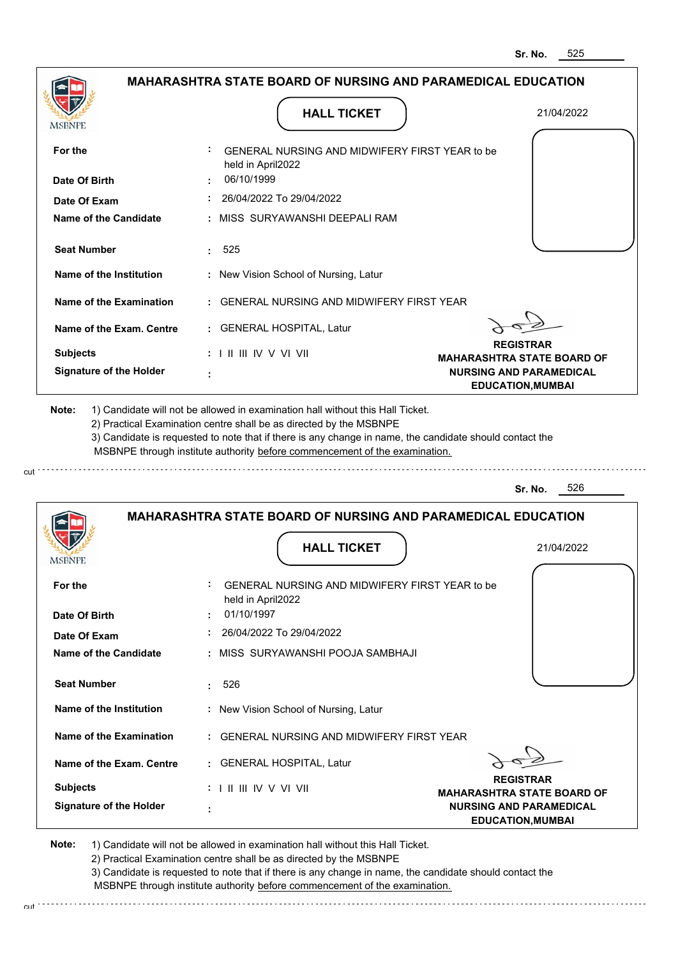| <b>MSBNPE</b>                  | <b>HALL TICKET</b>                                                                                                                                                                                                                                                                                                                            | 21/04/2022                                                 |
|--------------------------------|-----------------------------------------------------------------------------------------------------------------------------------------------------------------------------------------------------------------------------------------------------------------------------------------------------------------------------------------------|------------------------------------------------------------|
| For the                        | GENERAL NURSING AND MIDWIFERY FIRST YEAR to be<br>held in April2022                                                                                                                                                                                                                                                                           |                                                            |
| Date Of Birth                  | 06/10/1999                                                                                                                                                                                                                                                                                                                                    |                                                            |
| Date Of Exam                   | 26/04/2022 To 29/04/2022                                                                                                                                                                                                                                                                                                                      |                                                            |
| Name of the Candidate          | : MISS SURYAWANSHI DEEPALI RAM                                                                                                                                                                                                                                                                                                                |                                                            |
| <b>Seat Number</b>             | 525<br>÷.                                                                                                                                                                                                                                                                                                                                     |                                                            |
| Name of the Institution        | : New Vision School of Nursing, Latur                                                                                                                                                                                                                                                                                                         |                                                            |
| Name of the Examination        | : GENERAL NURSING AND MIDWIFERY FIRST YEAR                                                                                                                                                                                                                                                                                                    |                                                            |
| Name of the Exam. Centre       | : GENERAL HOSPITAL, Latur                                                                                                                                                                                                                                                                                                                     |                                                            |
| <b>Subjects</b>                | $: 1 \mathbb{H} \mathbb{H} \mathbb{W} \vee \mathbb{V} \mathbb{V} \mathbb{H}$                                                                                                                                                                                                                                                                  | <b>REGISTRAR</b><br><b>MAHARASHTRA STATE BOARD OF</b>      |
| <b>Signature of the Holder</b> |                                                                                                                                                                                                                                                                                                                                               | <b>NURSING AND PARAMEDICAL</b><br><b>EDUCATION, MUMBAI</b> |
|                                | 1) Candidate will not be allowed in examination hall without this Hall Ticket.<br>2) Practical Examination centre shall be as directed by the MSBNPE<br>3) Candidate is requested to note that if there is any change in name, the candidate should contact the<br>MSBNPE through institute authority before commencement of the examination. | 526<br>Sr. No.                                             |
|                                |                                                                                                                                                                                                                                                                                                                                               |                                                            |
|                                | <b>MAHARASHTRA STATE BOARD OF NURSING AND PARAMEDICAL EDUCATION</b>                                                                                                                                                                                                                                                                           |                                                            |
| MSBNF                          | <b>HALL TICKET</b>                                                                                                                                                                                                                                                                                                                            | 21/04/2022                                                 |
|                                | <b>GENERAL NURSING AND MIDWIFERY FIRST YEAR to be</b><br>held in April2022                                                                                                                                                                                                                                                                    |                                                            |
| For the<br>Date Of Birth       | 01/10/1997                                                                                                                                                                                                                                                                                                                                    |                                                            |
| Date Of Exam                   | 26/04/2022 To 29/04/2022                                                                                                                                                                                                                                                                                                                      |                                                            |
| <b>Name of the Candidate</b>   | : MISS SURYAWANSHI POOJA SAMBHAJI                                                                                                                                                                                                                                                                                                             |                                                            |
| <b>Seat Number</b>             | 526<br>t.                                                                                                                                                                                                                                                                                                                                     |                                                            |
| Name of the Institution        | : New Vision School of Nursing, Latur                                                                                                                                                                                                                                                                                                         |                                                            |
| Name of the Examination        | : GENERAL NURSING AND MIDWIFERY FIRST YEAR                                                                                                                                                                                                                                                                                                    |                                                            |
| Name of the Exam. Centre       | : GENERAL HOSPITAL, Latur                                                                                                                                                                                                                                                                                                                     |                                                            |
| <b>Subjects</b>                | : I II III IV V VI VII                                                                                                                                                                                                                                                                                                                        | <b>REGISTRAR</b><br><b>MAHARASHTRA STATE BOARD OF</b>      |

2) Practical Examination centre shall be as directed by the MSBNPE 3) Candidate is requested to note that if there is any change in name, the candidate should contact the

MSBNPE through institute authority before commencement of the examination.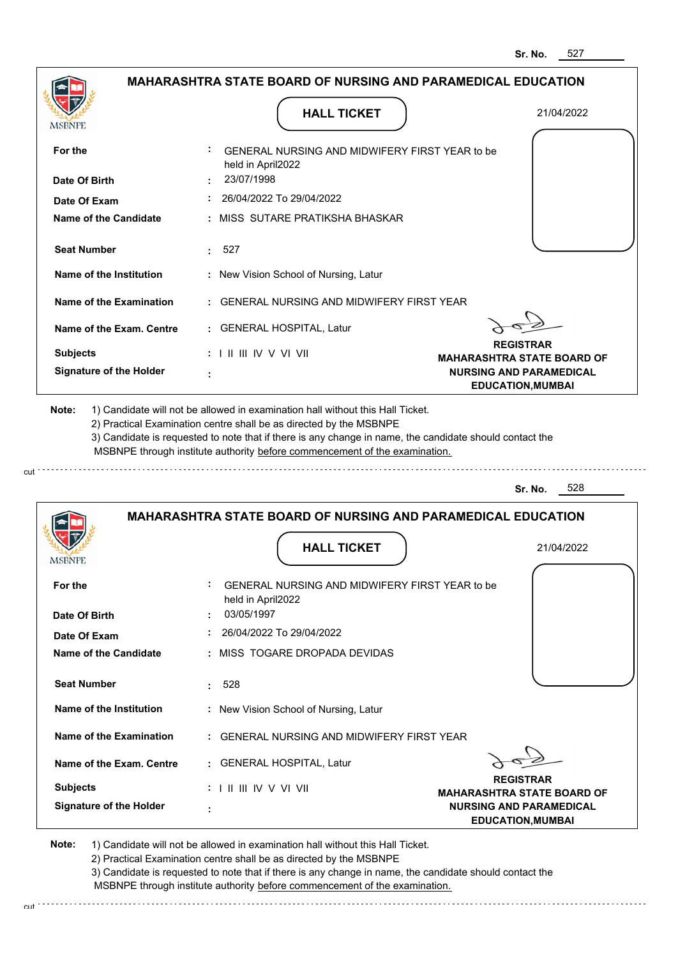|                                                                                                                       | <b>HALL TICKET</b>                                                                                                                                                                                                                                          | 21/04/2022                                                 |
|-----------------------------------------------------------------------------------------------------------------------|-------------------------------------------------------------------------------------------------------------------------------------------------------------------------------------------------------------------------------------------------------------|------------------------------------------------------------|
| MSBNPE                                                                                                                |                                                                                                                                                                                                                                                             |                                                            |
| For the                                                                                                               | GENERAL NURSING AND MIDWIFERY FIRST YEAR to be<br>held in April2022                                                                                                                                                                                         |                                                            |
| Date Of Birth                                                                                                         | 23/07/1998                                                                                                                                                                                                                                                  |                                                            |
| Date Of Exam                                                                                                          | 26/04/2022 To 29/04/2022                                                                                                                                                                                                                                    |                                                            |
| <b>Name of the Candidate</b>                                                                                          | : MISS SUTARE PRATIKSHA BHASKAR                                                                                                                                                                                                                             |                                                            |
| <b>Seat Number</b>                                                                                                    | 527<br>$\mathbf{L}$                                                                                                                                                                                                                                         |                                                            |
| Name of the Institution                                                                                               | : New Vision School of Nursing, Latur                                                                                                                                                                                                                       |                                                            |
| Name of the Examination                                                                                               | : GENERAL NURSING AND MIDWIFERY FIRST YEAR                                                                                                                                                                                                                  |                                                            |
| Name of the Exam. Centre                                                                                              | : GENERAL HOSPITAL, Latur                                                                                                                                                                                                                                   |                                                            |
| <b>Subjects</b>                                                                                                       | $: 1 \mathbb{I}$ III IIV V VI VII                                                                                                                                                                                                                           | <b>REGISTRAR</b><br><b>MAHARASHTRA STATE BOARD OF</b>      |
| <b>Signature of the Holder</b>                                                                                        |                                                                                                                                                                                                                                                             | <b>NURSING AND PARAMEDICAL</b><br><b>EDUCATION, MUMBAI</b> |
|                                                                                                                       | 2) Practical Examination centre shall be as directed by the MSBNPE<br>3) Candidate is requested to note that if there is any change in name, the candidate should contact the<br>MSBNPE through institute authority before commencement of the examination. | 528<br>Sr. No.                                             |
|                                                                                                                       | <b>MAHARASHTRA STATE BOARD OF NURSING AND PARAMEDICAL EDUCATION</b>                                                                                                                                                                                         |                                                            |
|                                                                                                                       | <b>HALL TICKET</b>                                                                                                                                                                                                                                          | 21/04/2022                                                 |
|                                                                                                                       | GENERAL NURSING AND MIDWIFERY FIRST YFAR to be                                                                                                                                                                                                              |                                                            |
|                                                                                                                       | held in April2022<br>03/05/1997                                                                                                                                                                                                                             |                                                            |
|                                                                                                                       | 26/04/2022 To 29/04/2022                                                                                                                                                                                                                                    |                                                            |
|                                                                                                                       | : MISS TOGARE DROPADA DEVIDAS                                                                                                                                                                                                                               |                                                            |
| <b>Seat Number</b>                                                                                                    | 528<br>÷.                                                                                                                                                                                                                                                   |                                                            |
| Name of the Institution                                                                                               | : New Vision School of Nursing, Latur                                                                                                                                                                                                                       |                                                            |
| Name of the Examination                                                                                               | : GENERAL NURSING AND MIDWIFERY FIRST YEAR                                                                                                                                                                                                                  |                                                            |
| <b>MSBNPE</b><br>For the<br>Date Of Birth<br>Date Of Exam<br><b>Name of the Candidate</b><br>Name of the Exam. Centre | : GENERAL HOSPITAL, Latur                                                                                                                                                                                                                                   |                                                            |
| <b>Subjects</b>                                                                                                       | $: 1 \mathbb{I}$ III IIV V VI VII                                                                                                                                                                                                                           | <b>REGISTRAR</b><br><b>MAHARASHTRA STATE BOARD OF</b>      |

3) Candidate is requested to note that if there is any change in name, the candidate should contact the MSBNPE through institute authority before commencement of the examination.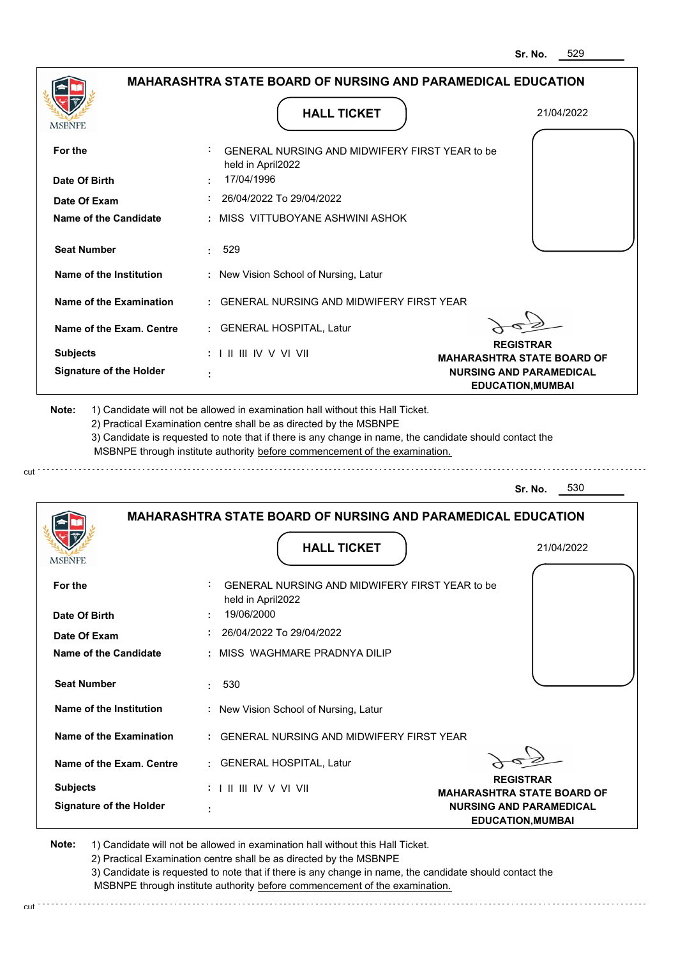| <b>MSBNPE</b>                               | <b>HALL TICKET</b>                                                                                                                                                                                                                                                                                                                            | 21/04/2022                                                 |
|---------------------------------------------|-----------------------------------------------------------------------------------------------------------------------------------------------------------------------------------------------------------------------------------------------------------------------------------------------------------------------------------------------|------------------------------------------------------------|
| For the                                     | GENERAL NURSING AND MIDWIFERY FIRST YEAR to be<br>held in April2022                                                                                                                                                                                                                                                                           |                                                            |
| Date Of Birth                               | 17/04/1996                                                                                                                                                                                                                                                                                                                                    |                                                            |
| Date Of Exam                                | 26/04/2022 To 29/04/2022                                                                                                                                                                                                                                                                                                                      |                                                            |
| <b>Name of the Candidate</b>                | : MISS VITTUBOYANE ASHWINI ASHOK                                                                                                                                                                                                                                                                                                              |                                                            |
| <b>Seat Number</b>                          | 529                                                                                                                                                                                                                                                                                                                                           |                                                            |
| Name of the Institution                     | : New Vision School of Nursing, Latur                                                                                                                                                                                                                                                                                                         |                                                            |
| Name of the Examination                     | : GENERAL NURSING AND MIDWIFERY FIRST YEAR                                                                                                                                                                                                                                                                                                    |                                                            |
| Name of the Exam. Centre                    | : GENERAL HOSPITAL, Latur                                                                                                                                                                                                                                                                                                                     |                                                            |
| <b>Subjects</b>                             | : I II III IV V VI VII                                                                                                                                                                                                                                                                                                                        | <b>REGISTRAR</b><br><b>MAHARASHTRA STATE BOARD OF</b>      |
| <b>Signature of the Holder</b>              |                                                                                                                                                                                                                                                                                                                                               | <b>NURSING AND PARAMEDICAL</b><br><b>EDUCATION, MUMBAI</b> |
| Note:                                       | 1) Candidate will not be allowed in examination hall without this Hall Ticket.<br>2) Practical Examination centre shall be as directed by the MSBNPE<br>3) Candidate is requested to note that if there is any change in name, the candidate should contact the<br>MSBNPE through institute authority before commencement of the examination. | 530<br>Sr. No.                                             |
|                                             |                                                                                                                                                                                                                                                                                                                                               |                                                            |
|                                             | <b>MAHARASHTRA STATE BOARD OF NURSING AND PARAMEDICAL EDUCATION</b>                                                                                                                                                                                                                                                                           |                                                            |
|                                             | <b>HALL TICKET</b>                                                                                                                                                                                                                                                                                                                            | 21/04/2022                                                 |
| For the<br>Date Of Birth                    | GENERAL NURSING AND MIDWIFERY FIRST YEAR to be<br>held in April2022<br>19/06/2000                                                                                                                                                                                                                                                             |                                                            |
| Date Of Exam                                | 26/04/2022 To 29/04/2022                                                                                                                                                                                                                                                                                                                      |                                                            |
|                                             | : MISS WAGHMARE PRADNYA DILIP                                                                                                                                                                                                                                                                                                                 |                                                            |
| Name of the Candidate<br><b>Seat Number</b> | 530                                                                                                                                                                                                                                                                                                                                           |                                                            |
| Name of the Institution                     | : New Vision School of Nursing, Latur                                                                                                                                                                                                                                                                                                         |                                                            |
| Name of the Examination                     | : GENERAL NURSING AND MIDWIFERY FIRST YEAR                                                                                                                                                                                                                                                                                                    |                                                            |
| Name of the Exam. Centre                    | : GENERAL HOSPITAL, Latur                                                                                                                                                                                                                                                                                                                     |                                                            |
| <b>Subjects</b>                             | $: 1 \mathbb{H} \mathbb{H} \mathbb{N} \vee \mathbb{V} \mathbb{N}$                                                                                                                                                                                                                                                                             | <b>REGISTRAR</b><br><b>MAHARASHTRA STATE BOARD OF</b>      |

3) Candidate is requested to note that if there is any change in name, the candidate should contact the MSBNPE through institute authority before commencement of the examination. cut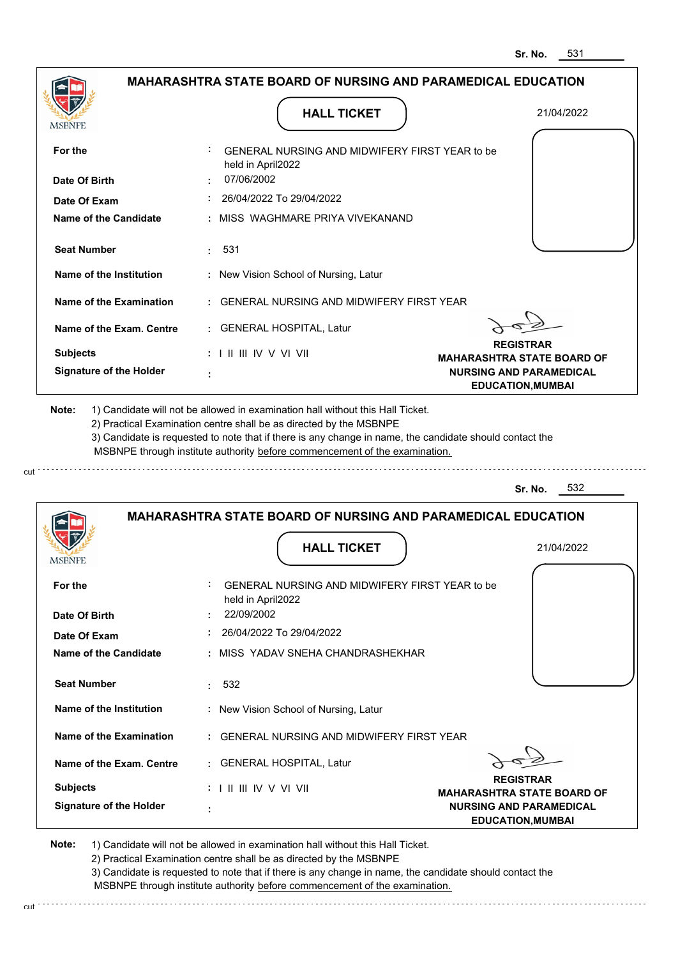| <b>MSBNPE</b><br>For the<br>Date Of Birth |                                                                              |                                                |                                                                     |
|-------------------------------------------|------------------------------------------------------------------------------|------------------------------------------------|---------------------------------------------------------------------|
|                                           |                                                                              | GENERAL NURSING AND MIDWIFERY FIRST YEAR to be |                                                                     |
|                                           | held in April2022<br>07/06/2002                                              |                                                |                                                                     |
| Date Of Exam                              | 26/04/2022 To 29/04/2022                                                     |                                                |                                                                     |
| <b>Name of the Candidate</b>              | : MISS WAGHMARE PRIYA VIVEKANAND                                             |                                                |                                                                     |
| <b>Seat Number</b>                        | 531<br>t.                                                                    |                                                |                                                                     |
| Name of the Institution                   | : New Vision School of Nursing, Latur                                        |                                                |                                                                     |
| Name of the Examination                   | : GENERAL NURSING AND MIDWIFERY FIRST YEAR                                   |                                                |                                                                     |
| Name of the Exam. Centre                  | : GENERAL HOSPITAL, Latur                                                    |                                                |                                                                     |
| <b>Subjects</b>                           | $: 1 \mathbb{H} \mathbb{H} \mathbb{W} \vee \mathbb{V} \mathbb{V} \mathbb{H}$ |                                                | <b>REGISTRAR</b><br><b>MAHARASHTRA STATE BOARD OF</b>               |
| <b>Signature of the Holder</b>            |                                                                              |                                                | <b>NURSING AND PARAMEDICAL</b><br><b>EDUCATION, MUMBAI</b>          |
|                                           |                                                                              |                                                | <b>MAHARASHTRA STATE BOARD OF NURSING AND PARAMEDICAL EDUCATION</b> |
| MSBNPI                                    |                                                                              | <b>HALL TICKET</b>                             | 21/04/2022                                                          |
| For the                                   | held in April2022                                                            | GENERAL NURSING AND MIDWIFERY FIRST YEAR to be |                                                                     |
| Date Of Birth                             | 22/09/2002                                                                   |                                                |                                                                     |
| Date Of Exam                              | $: 26/04/2022$ To 29/04/2022                                                 |                                                |                                                                     |
| Name of the Candidate                     | : MISS YADAV SNEHA CHANDRASHEKHAR                                            |                                                |                                                                     |
| <b>Seat Number</b>                        | : 532                                                                        |                                                |                                                                     |
| Name of the Institution                   | : New Vision School of Nursing, Latur                                        |                                                |                                                                     |
| Name of the Examination                   | : GENERAL NURSING AND MIDWIFERY FIRST YEAR                                   |                                                |                                                                     |
|                                           | : GENERAL HOSPITAL, Latur                                                    |                                                |                                                                     |
| Name of the Exam. Centre                  |                                                                              |                                                | <b>REGISTRAR</b>                                                    |
|                                           | MSBNPE through institute authority before commencement of the examination.   |                                                | 532<br>Sr. No.                                                      |

2) Practical Examination centre shall be as directed by the MSBNPE 3) Candidate is requested to note that if there is any change in name, the candidate should contact the MSBNPE through institute authority before commencement of the examination.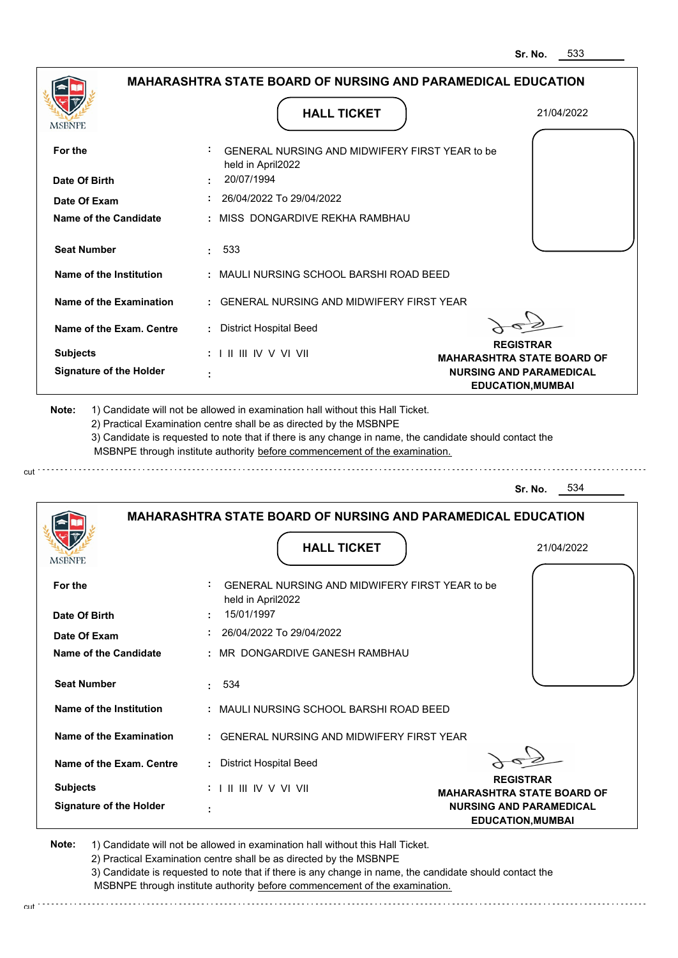|                                                                                | <b>MAHARASHTRA STATE BOARD OF NURSING AND PARAMEDICAL EDUCATION</b>                                                                                                                                                                                         |                                                            |
|--------------------------------------------------------------------------------|-------------------------------------------------------------------------------------------------------------------------------------------------------------------------------------------------------------------------------------------------------------|------------------------------------------------------------|
| MSBNPE                                                                         | <b>HALL TICKET</b>                                                                                                                                                                                                                                          | 21/04/2022                                                 |
| For the                                                                        | GENERAL NURSING AND MIDWIFERY FIRST YEAR to be<br>held in April2022                                                                                                                                                                                         |                                                            |
| Date Of Birth                                                                  | 20/07/1994                                                                                                                                                                                                                                                  |                                                            |
| Date Of Exam                                                                   | $: 26/04/2022$ To 29/04/2022                                                                                                                                                                                                                                |                                                            |
| Name of the Candidate                                                          | : MISS DONGARDIVE REKHA RAMBHAU                                                                                                                                                                                                                             |                                                            |
| <b>Seat Number</b>                                                             | : 533                                                                                                                                                                                                                                                       |                                                            |
| Name of the Institution                                                        | : MAULI NURSING SCHOOL BARSHI ROAD BEED                                                                                                                                                                                                                     |                                                            |
| Name of the Examination                                                        | : GENERAL NURSING AND MIDWIFERY FIRST YEAR                                                                                                                                                                                                                  |                                                            |
| Name of the Exam. Centre                                                       | : District Hospital Beed                                                                                                                                                                                                                                    |                                                            |
| <b>Subjects</b>                                                                | : I II III IV V VI VII                                                                                                                                                                                                                                      | <b>REGISTRAR</b><br><b>MAHARASHTRA STATE BOARD OF</b>      |
| <b>Signature of the Holder</b>                                                 |                                                                                                                                                                                                                                                             | <b>NURSING AND PARAMEDICAL</b><br><b>EDUCATION, MUMBAI</b> |
| 1) Candidate will not be allowed in examination hall without this Hall Ticket. | 2) Practical Examination centre shall be as directed by the MSBNPE<br>3) Candidate is requested to note that if there is any change in name, the candidate should contact the<br>MSBNPE through institute authority before commencement of the examination. |                                                            |
|                                                                                |                                                                                                                                                                                                                                                             | 534<br>Sr. No.                                             |
| <b>IMPDIAL</b>                                                                 | <b>MAHARASHTRA STATE BOARD OF NURSING AND PARAMEDICAL EDUCATION</b><br><b>HALL TICKET</b>                                                                                                                                                                   | 21/04/2022                                                 |
| For the                                                                        | GENERAL NURSING AND MIDWIFERY FIRST YEAR to be                                                                                                                                                                                                              |                                                            |
| Date Of Birth                                                                  | held in April2022<br>15/01/1997                                                                                                                                                                                                                             |                                                            |
| Date Of Exam                                                                   | 26/04/2022 To 29/04/2022                                                                                                                                                                                                                                    |                                                            |
| <b>Name of the Candidate</b>                                                   | : MR DONGARDIVE GANESH RAMBHAU                                                                                                                                                                                                                              |                                                            |
| <b>Seat Number</b>                                                             | 534<br>÷.                                                                                                                                                                                                                                                   |                                                            |
| Name of the Institution                                                        | : MAULI NURSING SCHOOL BARSHI ROAD BEED                                                                                                                                                                                                                     |                                                            |
| Name of the Examination                                                        | : GENERAL NURSING AND MIDWIFERY FIRST YEAR                                                                                                                                                                                                                  |                                                            |
| Name of the Exam. Centre                                                       | : District Hospital Beed                                                                                                                                                                                                                                    |                                                            |
| <b>Subjects</b><br><b>Signature of the Holder</b>                              | : I II III IV V VI VII                                                                                                                                                                                                                                      | <b>REGISTRAR</b><br><b>MAHARASHTRA STATE BOARD OF</b>      |

2) Practical Examination centre shall be as directed by the MSBNPE

3) Candidate is requested to note that if there is any change in name, the candidate should contact the MSBNPE through institute authority before commencement of the examination. cut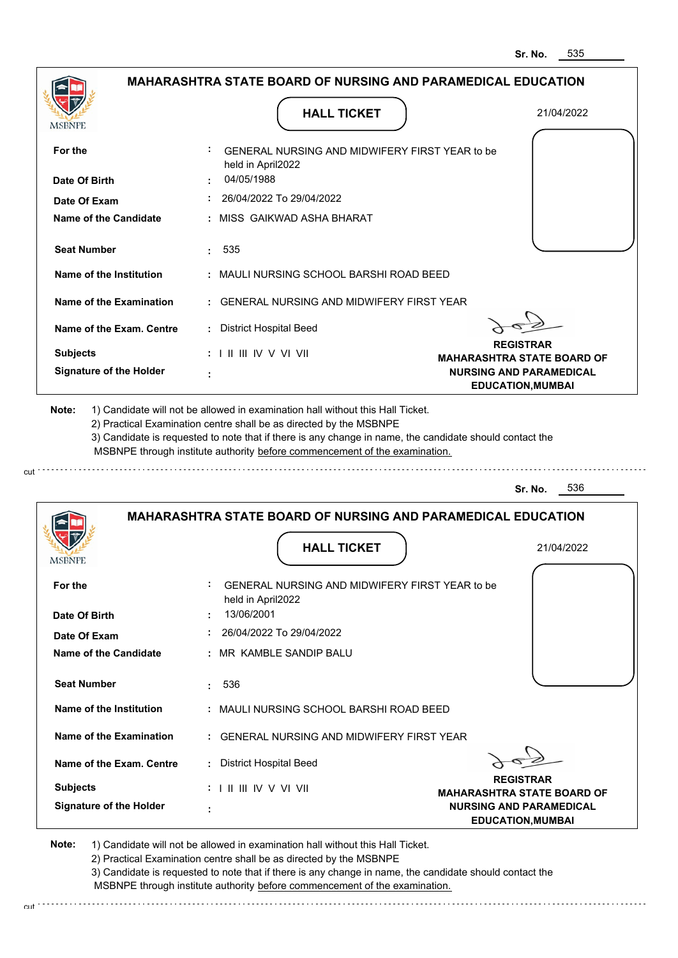| <b>MSBNPE</b>                                                                                                                                                                                         | <b>HALL TICKET</b>                                                                                                                                                                                                                                          | 21/04/2022                                                 |
|-------------------------------------------------------------------------------------------------------------------------------------------------------------------------------------------------------|-------------------------------------------------------------------------------------------------------------------------------------------------------------------------------------------------------------------------------------------------------------|------------------------------------------------------------|
| For the                                                                                                                                                                                               | GENERAL NURSING AND MIDWIFERY FIRST YEAR to be<br>held in April2022                                                                                                                                                                                         |                                                            |
| Date Of Birth                                                                                                                                                                                         | 04/05/1988                                                                                                                                                                                                                                                  |                                                            |
| Date Of Exam                                                                                                                                                                                          | 26/04/2022 To 29/04/2022                                                                                                                                                                                                                                    |                                                            |
| Name of the Candidate                                                                                                                                                                                 | : MISS GAIKWAD ASHA BHARAT                                                                                                                                                                                                                                  |                                                            |
| <b>Seat Number</b>                                                                                                                                                                                    | 535<br>t.                                                                                                                                                                                                                                                   |                                                            |
| Name of the Institution                                                                                                                                                                               | : MAULI NURSING SCHOOL BARSHI ROAD BEED                                                                                                                                                                                                                     |                                                            |
| Name of the Examination                                                                                                                                                                               | : GENERAL NURSING AND MIDWIFERY FIRST YEAR                                                                                                                                                                                                                  |                                                            |
| Name of the Exam. Centre                                                                                                                                                                              | : District Hospital Beed                                                                                                                                                                                                                                    |                                                            |
| <b>Subjects</b>                                                                                                                                                                                       | $: 1 \mathbb{H} \mathbb{H} \mathbb{V} \vee \mathbb{V} \mathbb{V} \mathbb{H}$                                                                                                                                                                                | <b>REGISTRAR</b><br><b>MAHARASHTRA STATE BOARD OF</b>      |
| <b>Signature of the Holder</b>                                                                                                                                                                        |                                                                                                                                                                                                                                                             | <b>NURSING AND PARAMEDICAL</b><br><b>EDUCATION, MUMBAI</b> |
|                                                                                                                                                                                                       | 2) Practical Examination centre shall be as directed by the MSBNPE<br>3) Candidate is requested to note that if there is any change in name, the candidate should contact the<br>MSBNPE through institute authority before commencement of the examination. |                                                            |
|                                                                                                                                                                                                       |                                                                                                                                                                                                                                                             | 536<br>Sr. No.                                             |
|                                                                                                                                                                                                       | <b>MAHARASHTRA STATE BOARD OF NURSING AND PARAMEDICAL EDUCATION</b><br><b>HALL TICKET</b>                                                                                                                                                                   | 21/04/2022                                                 |
|                                                                                                                                                                                                       | GENERAL NURSING AND MIDWIFERY FIRST YEAR to be<br>held in April2022                                                                                                                                                                                         |                                                            |
|                                                                                                                                                                                                       | 13/06/2001                                                                                                                                                                                                                                                  |                                                            |
|                                                                                                                                                                                                       | 26/04/2022 To 29/04/2022                                                                                                                                                                                                                                    |                                                            |
|                                                                                                                                                                                                       | : MR KAMBLE SANDIP BALU                                                                                                                                                                                                                                     |                                                            |
|                                                                                                                                                                                                       | 536<br>$\mathbf{r}$                                                                                                                                                                                                                                         |                                                            |
|                                                                                                                                                                                                       | : MAULI NURSING SCHOOL BARSHI ROAD BEED                                                                                                                                                                                                                     |                                                            |
|                                                                                                                                                                                                       | : GENERAL NURSING AND MIDWIFERY FIRST YEAR                                                                                                                                                                                                                  |                                                            |
|                                                                                                                                                                                                       | : District Hospital Beed                                                                                                                                                                                                                                    |                                                            |
| MSBNF<br>For the<br>Date Of Birth<br>Date Of Exam<br>Name of the Candidate<br><b>Seat Number</b><br>Name of the Institution<br>Name of the Examination<br>Name of the Exam. Centre<br><b>Subjects</b> | $: 1 \mathbb{H} \mathbb{H} \mathbb{V} \vee \mathbb{V} \mathbb{V} \mathbb{H}$                                                                                                                                                                                | <b>REGISTRAR</b><br><b>MAHARASHTRA STATE BOARD OF</b>      |

2) Practical Examination centre shall be as directed by the MSBNPE

3) Candidate is requested to note that if there is any change in name, the candidate should contact the MSBNPE through institute authority before commencement of the examination. cut de contra a construction de construction de construction de construction de construction de construction de construction de construction de construction de construction de construction de construction de construction d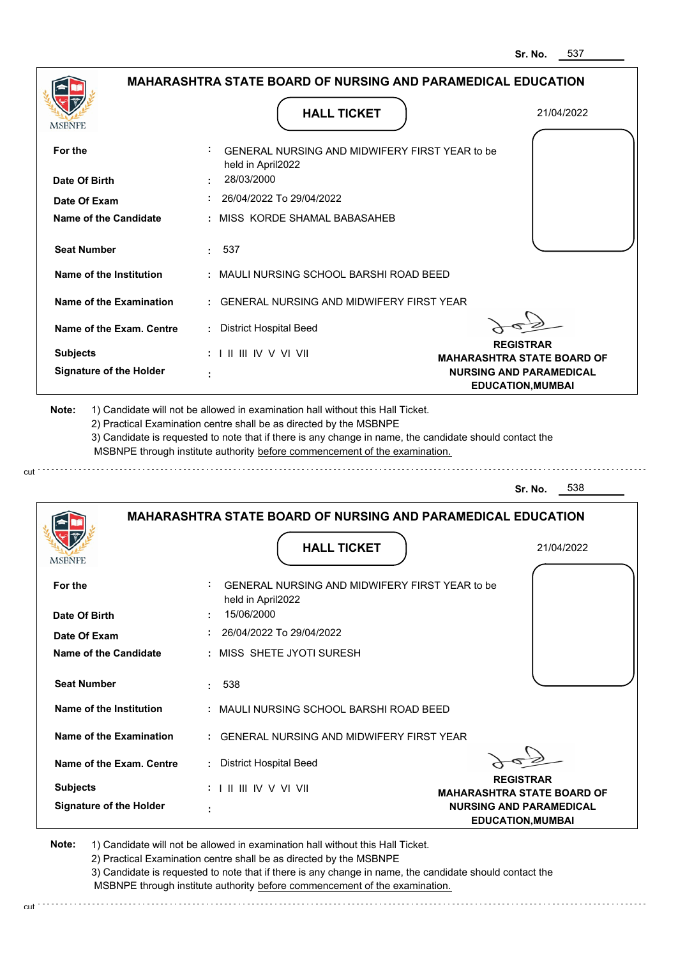|                                              |                                                                                                                                                                                       | 537<br>Sr. No.                                             |
|----------------------------------------------|---------------------------------------------------------------------------------------------------------------------------------------------------------------------------------------|------------------------------------------------------------|
|                                              | <b>MAHARASHTRA STATE BOARD OF NURSING AND PARAMEDICAL EDUCATION</b>                                                                                                                   |                                                            |
| MSBNPE                                       | <b>HALL TICKET</b>                                                                                                                                                                    | 21/04/2022                                                 |
| For the<br>Date Of Birth                     | GENERAL NURSING AND MIDWIFERY FIRST YEAR to be<br>held in April2022<br>28/03/2000                                                                                                     |                                                            |
|                                              | 26/04/2022 To 29/04/2022                                                                                                                                                              |                                                            |
| Date Of Exam<br><b>Name of the Candidate</b> | MISS KORDE SHAMAL BABASAHEB                                                                                                                                                           |                                                            |
|                                              |                                                                                                                                                                                       |                                                            |
| <b>Seat Number</b>                           | : 537                                                                                                                                                                                 |                                                            |
| <b>Name of the Institution</b>               | : MAULI NURSING SCHOOL BARSHI ROAD BEED                                                                                                                                               |                                                            |
| Name of the Examination                      | <b>GENERAL NURSING AND MIDWIFERY FIRST YEAR</b>                                                                                                                                       |                                                            |
| Name of the Exam. Centre                     | <b>District Hospital Beed</b>                                                                                                                                                         |                                                            |
| <b>Subjects</b>                              | $: 1$ II III IV V VI VII                                                                                                                                                              | <b>REGISTRAR</b><br><b>MAHARASHTRA STATE BOARD OF</b>      |
| <b>Signature of the Holder</b>               |                                                                                                                                                                                       | <b>NURSING AND PARAMEDICAL</b><br><b>EDUCATION, MUMBAI</b> |
|                                              | 3) Candidate is requested to note that if there is any change in name, the candidate should contact the<br>MSBNPE through institute authority before commencement of the examination. | 538<br>Sr. No.                                             |
| <b>IMODIAL L</b>                             | <b>MAHARASHTRA STATE BOARD OF NURSING AND PARAMEDICAL EDUCATION</b><br><b>HALL TICKET</b>                                                                                             | 21/04/2022                                                 |
| For the                                      | GENERAL NURSING AND MIDWIFERY FIRST YEAR to be<br>held in April2022                                                                                                                   |                                                            |
| Date Of Birth                                | 15/06/2000                                                                                                                                                                            |                                                            |
| Date Of Exam                                 | 26/04/2022 To 29/04/2022                                                                                                                                                              |                                                            |
| Name of the Candidate                        | MISS SHETE JYOTI SURESH                                                                                                                                                               |                                                            |
| <b>Seat Number</b>                           | 538<br>÷                                                                                                                                                                              |                                                            |
| <b>Name of the Institution</b>               | : MAULI NURSING SCHOOL BARSHI ROAD BEED                                                                                                                                               |                                                            |
| <b>Name of the Examination</b>               | GENERAL NURSING AND MIDWIFERY FIRST YEAR                                                                                                                                              |                                                            |
| Name of the Exam. Centre                     | : District Hospital Beed                                                                                                                                                              |                                                            |
| <b>Subjects</b>                              |                                                                                                                                                                                       | <b>REGISTRAR</b><br><b>MAHARASHTRA STATE BOARD OF</b>      |
| <b>Signature of the Holder</b>               |                                                                                                                                                                                       | <b>NURSING AND PARAMEDICAL</b><br><b>EDUCATION, MUMBAI</b> |

cut

2) Practical Examination centre shall be as directed by the MSBNPE

3) Candidate is requested to note that if there is any change in name, the candidate should contact the MSBNPE through institute authority before commencement of the examination. cut de contra a construction de construction de construction de construction de construction de construction de construction de construction de construction de construction de construction de construction de construction d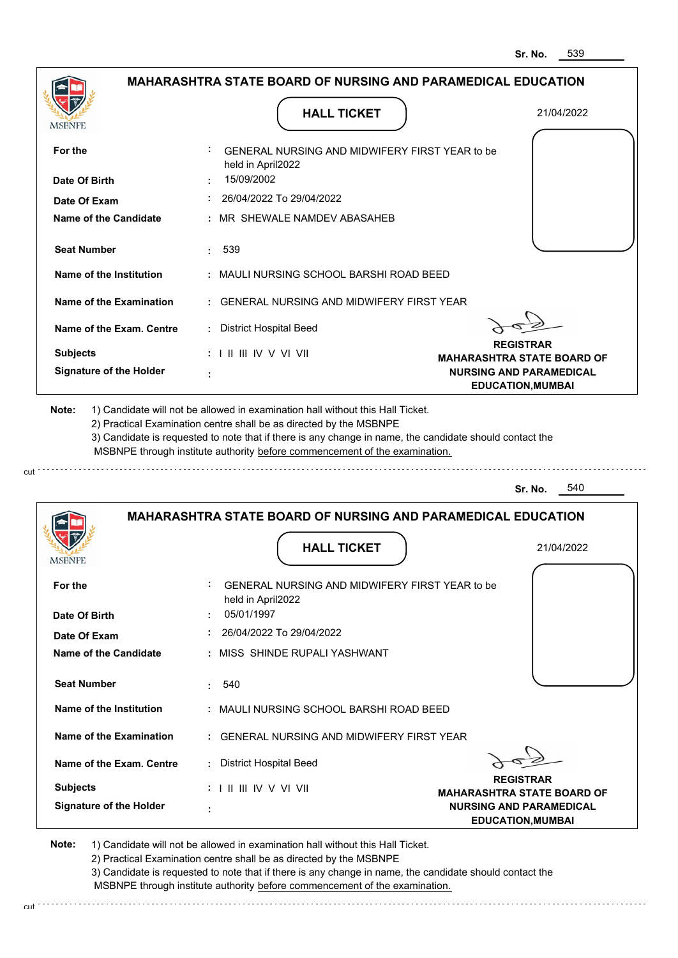|                                                   | <b>MAHARASHTRA STATE BOARD OF NURSING AND PARAMEDICAL EDUCATION</b>                                                                                                                                                                                                                                                                           |                                                       |
|---------------------------------------------------|-----------------------------------------------------------------------------------------------------------------------------------------------------------------------------------------------------------------------------------------------------------------------------------------------------------------------------------------------|-------------------------------------------------------|
|                                                   | <b>HALL TICKET</b>                                                                                                                                                                                                                                                                                                                            | 21/04/2022                                            |
| MSBNPE                                            |                                                                                                                                                                                                                                                                                                                                               |                                                       |
| For the                                           | GENERAL NURSING AND MIDWIFERY FIRST YEAR to be<br>held in April2022                                                                                                                                                                                                                                                                           |                                                       |
| Date Of Birth                                     | 15/09/2002                                                                                                                                                                                                                                                                                                                                    |                                                       |
| Date Of Exam                                      | $: 26/04/2022$ To 29/04/2022                                                                                                                                                                                                                                                                                                                  |                                                       |
| Name of the Candidate                             | : MR SHEWALE NAMDEV ABASAHEB                                                                                                                                                                                                                                                                                                                  |                                                       |
| <b>Seat Number</b>                                | . 539                                                                                                                                                                                                                                                                                                                                         |                                                       |
| Name of the Institution                           | : MAULI NURSING SCHOOL BARSHI ROAD BEED                                                                                                                                                                                                                                                                                                       |                                                       |
| Name of the Examination                           | : GENERAL NURSING AND MIDWIFERY FIRST YEAR                                                                                                                                                                                                                                                                                                    |                                                       |
| Name of the Exam. Centre                          | : District Hospital Beed                                                                                                                                                                                                                                                                                                                      |                                                       |
| <b>Subjects</b>                                   | : I II III IV V VI VII                                                                                                                                                                                                                                                                                                                        | <b>REGISTRAR</b><br><b>MAHARASHTRA STATE BOARD OF</b> |
| <b>Signature of the Holder</b>                    |                                                                                                                                                                                                                                                                                                                                               | <b>NURSING AND PARAMEDICAL</b>                        |
|                                                   | 1) Candidate will not be allowed in examination hall without this Hall Ticket.<br>2) Practical Examination centre shall be as directed by the MSBNPE<br>3) Candidate is requested to note that if there is any change in name, the candidate should contact the<br>MSBNPE through institute authority before commencement of the examination. |                                                       |
| Note:                                             |                                                                                                                                                                                                                                                                                                                                               | 540<br>Sr. No.                                        |
| <b>IMPDIAL</b>                                    | <b>MAHARASHTRA STATE BOARD OF NURSING AND PARAMEDICAL EDUCATION</b><br><b>HALL TICKET</b>                                                                                                                                                                                                                                                     | 21/04/2022                                            |
| For the                                           | GENERAL NURSING AND MIDWIFERY FIRST YEAR to be                                                                                                                                                                                                                                                                                                |                                                       |
| Date Of Birth                                     | held in April2022<br>05/01/1997                                                                                                                                                                                                                                                                                                               |                                                       |
| Date Of Exam                                      | 26/04/2022 To 29/04/2022                                                                                                                                                                                                                                                                                                                      |                                                       |
| <b>Name of the Candidate</b>                      | : MISS SHINDE RUPALI YASHWANT                                                                                                                                                                                                                                                                                                                 |                                                       |
| <b>Seat Number</b>                                | 540<br>÷.                                                                                                                                                                                                                                                                                                                                     |                                                       |
| Name of the Institution                           | : MAULI NURSING SCHOOL BARSHI ROAD BEED                                                                                                                                                                                                                                                                                                       |                                                       |
| Name of the Examination                           | : GENERAL NURSING AND MIDWIFERY FIRST YEAR                                                                                                                                                                                                                                                                                                    |                                                       |
| Name of the Exam. Centre                          | : District Hospital Beed                                                                                                                                                                                                                                                                                                                      |                                                       |
| <b>Subjects</b><br><b>Signature of the Holder</b> | : I II III IV V VI VII                                                                                                                                                                                                                                                                                                                        | <b>REGISTRAR</b><br><b>MAHARASHTRA STATE BOARD OF</b> |

2) Practical Examination centre shall be as directed by the MSBNPE

3) Candidate is requested to note that if there is any change in name, the candidate should contact the MSBNPE through institute authority before commencement of the examination. cut